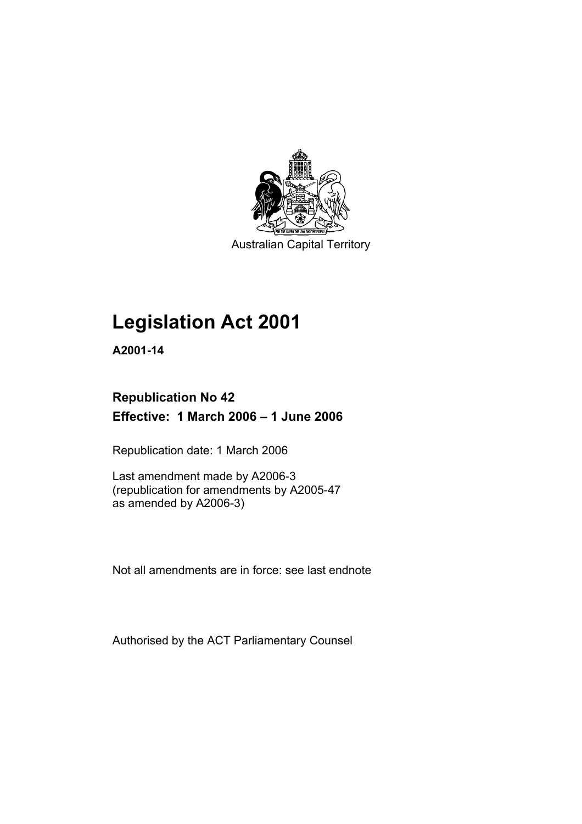

Australian Capital Territory

# **Legislation Act 2001**

**A2001-14** 

# **Republication No 42 Effective: 1 March 2006 – 1 June 2006**

Republication date: 1 March 2006

Last amendment made by A2006-3 (republication for amendments by A2005-47 as amended by A2006-3)

Not all amendments are in force: see last endnote

Authorised by the ACT Parliamentary Counsel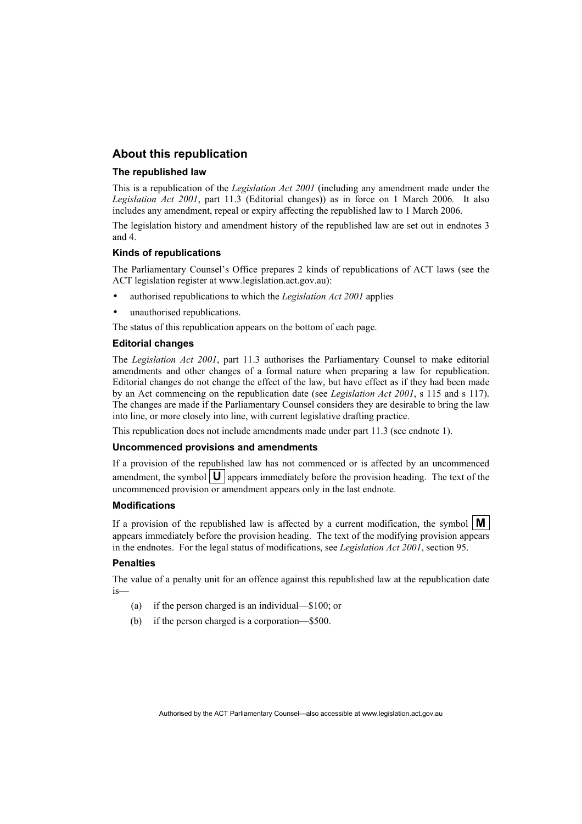## **About this republication**

#### **The republished law**

This is a republication of the *Legislation Act 2001* (including any amendment made under the *Legislation Act 2001*, part 11.3 (Editorial changes)) as in force on 1 March 2006*.* It also includes any amendment, repeal or expiry affecting the republished law to 1 March 2006.

The legislation history and amendment history of the republished law are set out in endnotes 3 and 4.

#### **Kinds of republications**

The Parliamentary Counsel's Office prepares 2 kinds of republications of ACT laws (see the ACT legislation register at www.legislation.act.gov.au):

- authorised republications to which the *Legislation Act 2001* applies
- unauthorised republications.

The status of this republication appears on the bottom of each page.

#### **Editorial changes**

The *Legislation Act 2001*, part 11.3 authorises the Parliamentary Counsel to make editorial amendments and other changes of a formal nature when preparing a law for republication. Editorial changes do not change the effect of the law, but have effect as if they had been made by an Act commencing on the republication date (see *Legislation Act 2001*, s 115 and s 117). The changes are made if the Parliamentary Counsel considers they are desirable to bring the law into line, or more closely into line, with current legislative drafting practice.

This republication does not include amendments made under part 11.3 (see endnote 1).

#### **Uncommenced provisions and amendments**

If a provision of the republished law has not commenced or is affected by an uncommenced amendment, the symbol  $\mathbf{U}$  appears immediately before the provision heading. The text of the uncommenced provision or amendment appears only in the last endnote.

#### **Modifications**

If a provision of the republished law is affected by a current modification, the symbol  $\mathbf{M}$ appears immediately before the provision heading. The text of the modifying provision appears in the endnotes. For the legal status of modifications, see *Legislation Act 2001*, section 95.

#### **Penalties**

The value of a penalty unit for an offence against this republished law at the republication date is—

- (a) if the person charged is an individual—\$100; or
- (b) if the person charged is a corporation—\$500.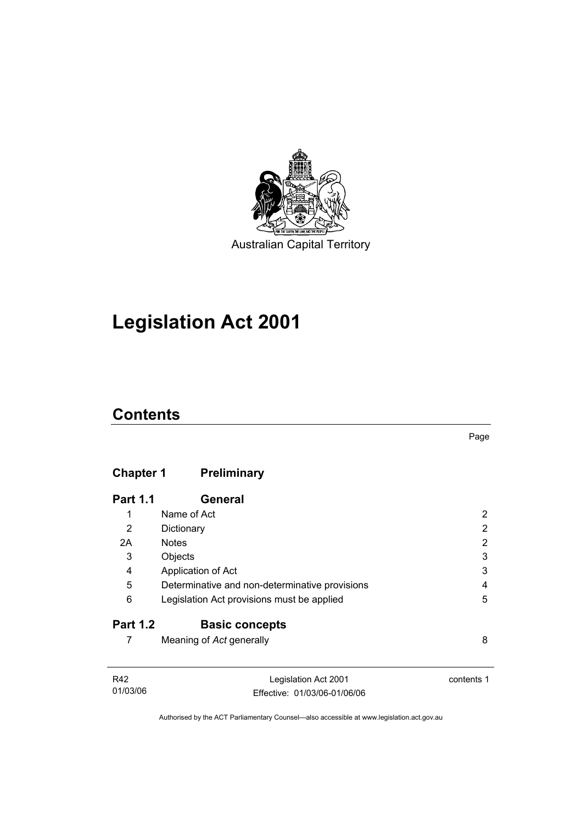

# **Legislation Act 2001**

# **Contents**

# **Chapter 1 Preliminary**

| <b>Part 1.1</b> | General                                        |   |
|-----------------|------------------------------------------------|---|
| 1               | Name of Act                                    |   |
| 2               | Dictionary                                     | 2 |
| 2A              | <b>Notes</b>                                   | 2 |
| 3               | Objects                                        | 3 |
| 4               | Application of Act                             | 3 |
| 5               | Determinative and non-determinative provisions | 4 |
| 6               | Legislation Act provisions must be applied     | 5 |
| <b>Part 1.2</b> | <b>Basic concepts</b>                          |   |
|                 | Meaning of Act generally                       | 8 |

| R42      | Legislation Act 2001         | contents 1 |
|----------|------------------------------|------------|
| 01/03/06 | Effective: 01/03/06-01/06/06 |            |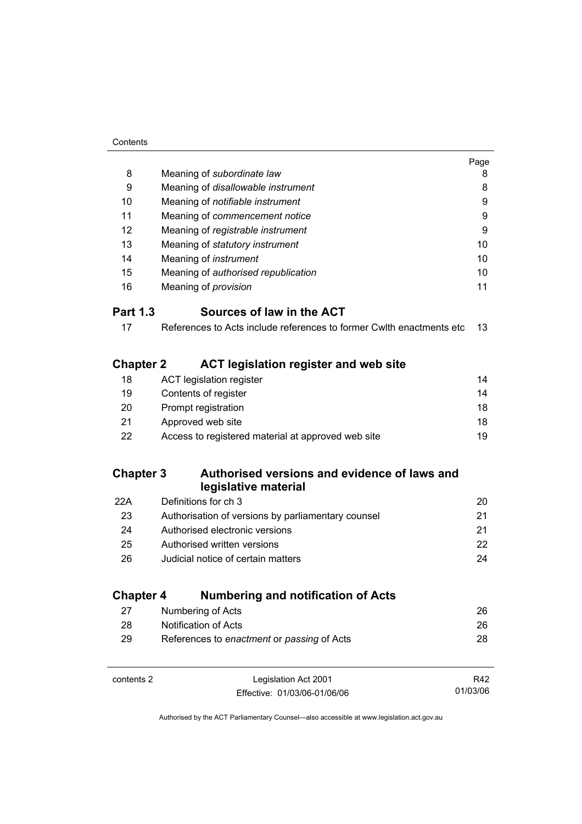| Contents |
|----------|
|          |

|                  |                                                                      | Page |
|------------------|----------------------------------------------------------------------|------|
| 8                | Meaning of subordinate law                                           | 8    |
| 9                | Meaning of disallowable instrument                                   | 8    |
| 10               | Meaning of notifiable instrument                                     | 9    |
| 11               | Meaning of commencement notice                                       | 9    |
| 12               | Meaning of registrable instrument                                    | 9    |
| 13               | Meaning of statutory instrument                                      | 10   |
| 14               | Meaning of <i>instrument</i>                                         | 10   |
| 15               | Meaning of authorised republication                                  | 10   |
| 16               | Meaning of <i>provision</i>                                          | 11   |
| <b>Part 1.3</b>  | Sources of law in the ACT                                            |      |
| 17               | References to Acts include references to former Cwlth enactments etc | 13   |
| <b>Chapter 2</b> | <b>ACT legislation register and web site</b>                         |      |
| 18               | <b>ACT legislation register</b>                                      | 14   |
| 19               | Contents of register                                                 | 14   |
| 20               | Prompt registration                                                  | 18   |
| 21               | Approved web site                                                    | 18   |
| 22               | Access to registered material at approved web site                   | 19   |
| <b>Chapter 3</b> | Authorised versions and evidence of laws and<br>legislative material |      |
| 22A              | Definitions for ch 3                                                 | 20   |
| 23               | Authorisation of versions by parliamentary counsel                   | 21   |
| 24               | Authorised electronic versions                                       | 21   |
| 25               | Authorised written versions                                          | 22   |
| 26               | Judicial notice of certain matters                                   | 24   |
| <b>Chapter 4</b> | <b>Numbering and notification of Acts</b>                            |      |
| 27               | Numbering of Acts                                                    | 26   |
| 28               | Notification of Acts                                                 | 26   |
| 29               | References to enactment or passing of Acts                           | 28   |

| contents 2 | Legislation Act 2001         | R42      |
|------------|------------------------------|----------|
|            | Effective: 01/03/06-01/06/06 | 01/03/06 |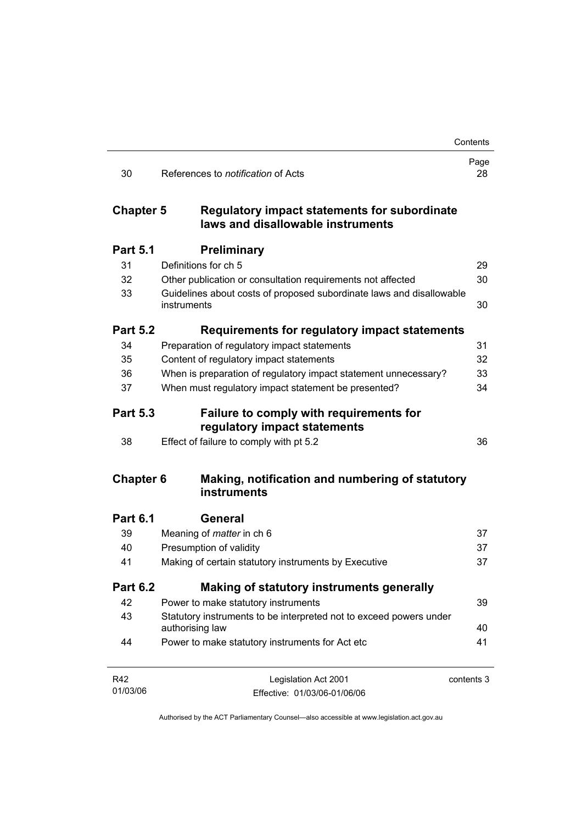|                  |                                                                                       | Contents   |
|------------------|---------------------------------------------------------------------------------------|------------|
| 30               | References to <i>notification</i> of Acts                                             | Page<br>28 |
| <b>Chapter 5</b> | Regulatory impact statements for subordinate<br>laws and disallowable instruments     |            |
| <b>Part 5.1</b>  | <b>Preliminary</b>                                                                    |            |
| 31               | Definitions for ch 5                                                                  | 29         |
| 32               | Other publication or consultation requirements not affected                           | 30         |
| 33               | Guidelines about costs of proposed subordinate laws and disallowable<br>instruments   | 30         |
| <b>Part 5.2</b>  | Requirements for regulatory impact statements                                         |            |
| 34               | Preparation of regulatory impact statements                                           | 31         |
| 35               | Content of regulatory impact statements                                               | 32         |
| 36               | When is preparation of regulatory impact statement unnecessary?                       | 33         |
| 37               | When must regulatory impact statement be presented?                                   | 34         |
| <b>Part 5.3</b>  | <b>Failure to comply with requirements for</b><br>regulatory impact statements        |            |
| 38               | Effect of failure to comply with pt 5.2                                               | 36         |
| <b>Chapter 6</b> | Making, notification and numbering of statutory<br>instruments                        |            |
| <b>Part 6.1</b>  | General                                                                               |            |
| 39               | Meaning of <i>matter</i> in ch 6                                                      | 37         |
| 40               | Presumption of validity                                                               | 37         |
| 41               | Making of certain statutory instruments by Executive                                  | 37         |
| <b>Part 6.2</b>  | Making of statutory instruments generally                                             |            |
| 42               | Power to make statutory instruments                                                   | 39         |
| 43               | Statutory instruments to be interpreted not to exceed powers under<br>authorising law | 40         |
| 44               | Power to make statutory instruments for Act etc                                       | 41         |
| R42              | Legislation Act 2001                                                                  | contents 3 |
| 01/03/06         | Effective: 01/03/06-01/06/06                                                          |            |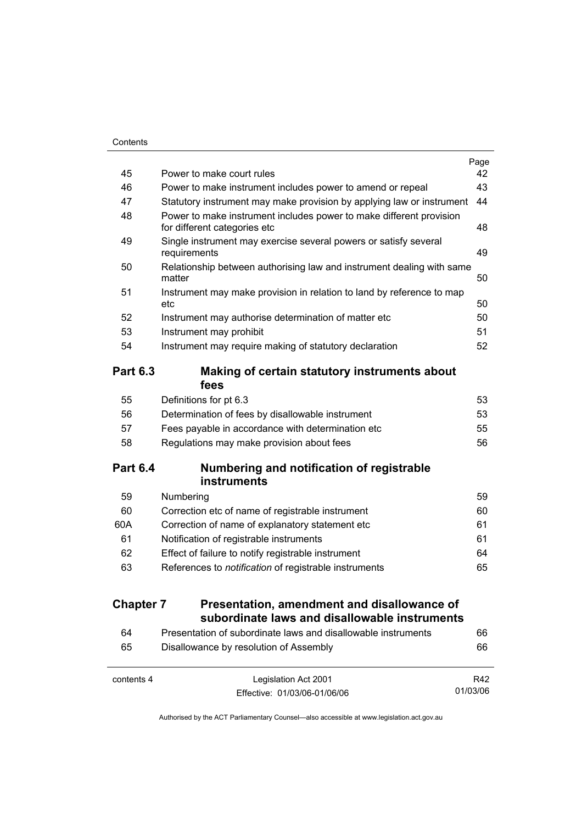|                  |                                                                                                     | Page |
|------------------|-----------------------------------------------------------------------------------------------------|------|
| 45               | Power to make court rules                                                                           | 42   |
| 46               | Power to make instrument includes power to amend or repeal                                          | 43   |
| 47               | Statutory instrument may make provision by applying law or instrument                               | 44   |
| 48               | Power to make instrument includes power to make different provision<br>for different categories etc | 48   |
| 49               | Single instrument may exercise several powers or satisfy several<br>requirements                    | 49   |
| 50               | Relationship between authorising law and instrument dealing with same<br>matter                     | 50   |
| 51               | Instrument may make provision in relation to land by reference to map<br>etc                        | 50   |
| 52               | Instrument may authorise determination of matter etc                                                | 50   |
| 53               | Instrument may prohibit                                                                             | 51   |
| 54               | Instrument may require making of statutory declaration                                              | 52   |
| <b>Part 6.3</b>  | Making of certain statutory instruments about<br>fees                                               |      |
| 55               | Definitions for pt 6.3                                                                              | 53   |
| 56               | Determination of fees by disallowable instrument                                                    | 53   |
| 57               | Fees payable in accordance with determination etc                                                   | 55   |
| 58               | Regulations may make provision about fees                                                           | 56   |
| <b>Part 6.4</b>  | Numbering and notification of registrable                                                           |      |
| 59               | <b>instruments</b><br>Numbering                                                                     | 59   |
| 60               | Correction etc of name of registrable instrument                                                    | 60   |
| 60A              | Correction of name of explanatory statement etc                                                     | 61   |
| 61               | Notification of registrable instruments                                                             | 61   |
| 62               | Effect of failure to notify registrable instrument                                                  | 64   |
| 63               | References to notification of registrable instruments                                               | 65   |
| <b>Chapter 7</b> | Presentation, amendment and disallowance of                                                         |      |
|                  | subordinate laws and disallowable instruments                                                       |      |
| 64               | Presentation of subordinate laws and disallowable instruments                                       | 66   |
| 65               | Disallowance by resolution of Assembly                                                              | 66   |

| contents 4 | Legislation Act 2001         | R42      |
|------------|------------------------------|----------|
|            | Effective: 01/03/06-01/06/06 | 01/03/06 |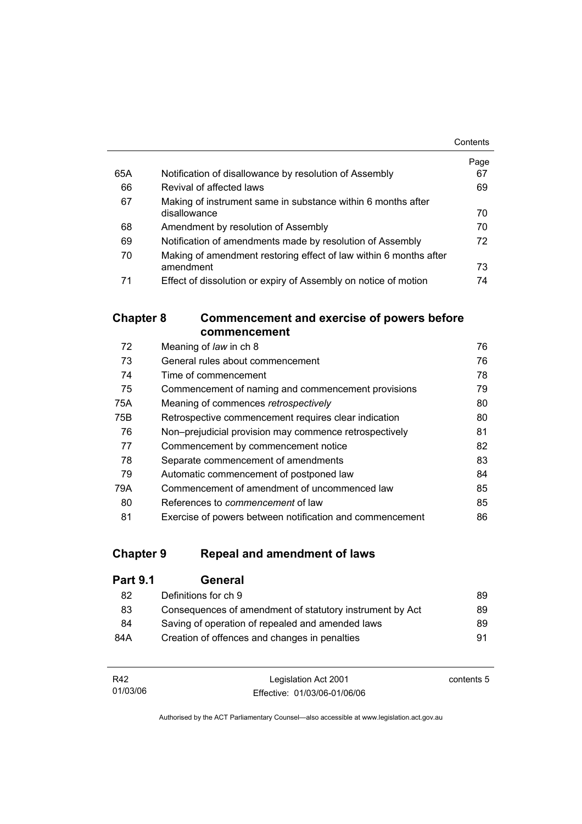|     |                                                                   | Contents |
|-----|-------------------------------------------------------------------|----------|
|     |                                                                   | Page     |
| 65A | Notification of disallowance by resolution of Assembly            | 67       |
| 66  | Revival of affected laws                                          | 69       |
| 67  | Making of instrument same in substance within 6 months after      |          |
|     | disallowance                                                      | 70       |
| 68  | Amendment by resolution of Assembly                               | 70       |
| 69  | Notification of amendments made by resolution of Assembly         | 72       |
| 70  | Making of amendment restoring effect of law within 6 months after |          |
|     | amendment                                                         | 73       |
| 71  | Effect of dissolution or expiry of Assembly on notice of motion   | 74       |

# **Chapter 8 Commencement and exercise of powers before commencement**

| 72  | Meaning of law in ch 8                                   | 76 |
|-----|----------------------------------------------------------|----|
| 73  | General rules about commencement                         | 76 |
| 74  | Time of commencement                                     | 78 |
| 75  | Commencement of naming and commencement provisions       | 79 |
| 75A | Meaning of commences retrospectively                     | 80 |
| 75B | Retrospective commencement requires clear indication     | 80 |
| 76  | Non-prejudicial provision may commence retrospectively   | 81 |
| 77  | Commencement by commencement notice                      | 82 |
| 78  | Separate commencement of amendments                      | 83 |
| 79  | Automatic commencement of postponed law                  | 84 |
| 79A | Commencement of amendment of uncommenced law             | 85 |
| 80  | References to <i>commencement</i> of law                 | 85 |
| 81  | Exercise of powers between notification and commencement | 86 |

# **Chapter 9 Repeal and amendment of laws**

| <b>Part 9.1</b> | General                                                  |    |
|-----------------|----------------------------------------------------------|----|
| 82              | Definitions for ch 9                                     | 89 |
| 83              | Consequences of amendment of statutory instrument by Act | 89 |
| 84              | Saving of operation of repealed and amended laws         | 89 |
| 84A             | Creation of offences and changes in penalties            | 91 |

| R42      | Legislation Act 2001         | contents 5 |
|----------|------------------------------|------------|
| 01/03/06 | Effective: 01/03/06-01/06/06 |            |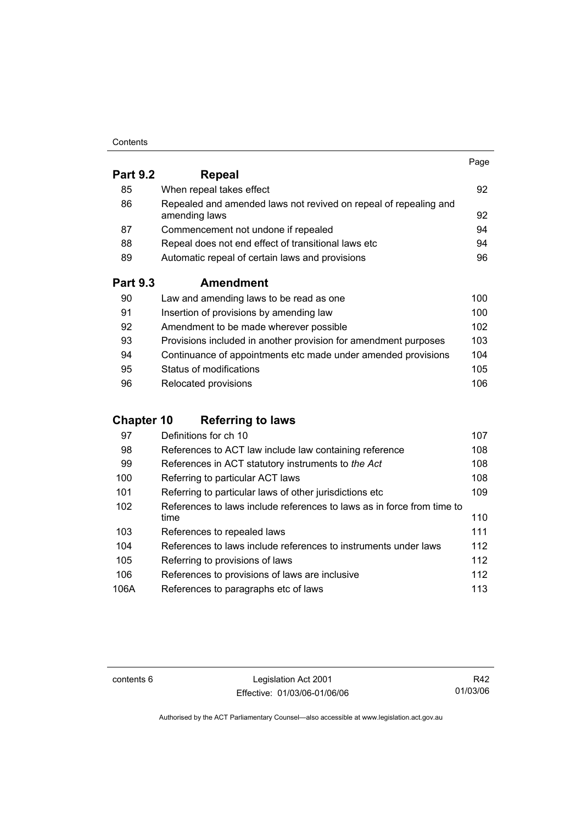#### **Contents**

|                 |                                                                                   | Page |
|-----------------|-----------------------------------------------------------------------------------|------|
| <b>Part 9.2</b> | Repeal                                                                            |      |
| 85              | When repeal takes effect                                                          | 92   |
| 86              | Repealed and amended laws not revived on repeal of repealing and<br>amending laws | 92   |
| 87              | Commencement not undone if repealed                                               | 94   |
| 88              | Repeal does not end effect of transitional laws etc                               | 94   |
| 89              | Automatic repeal of certain laws and provisions                                   | 96   |
| <b>Part 9.3</b> | <b>Amendment</b>                                                                  |      |
| 90              | Law and amending laws to be read as one                                           | 100  |
| 91              | Insertion of provisions by amending law                                           | 100  |
| 92              | Amendment to be made wherever possible                                            | 102  |
| 93              | Provisions included in another provision for amendment purposes                   | 103  |

| 94 | Continuance of appointments etc made under amended provisions | 104 |
|----|---------------------------------------------------------------|-----|
| 95 | Status of modifications                                       | 105 |
| 96 | Relocated provisions                                          | 106 |

# **Chapter 10 Referring to laws**

| 97   | Definitions for ch 10                                                  | 107 |
|------|------------------------------------------------------------------------|-----|
| 98   | References to ACT law include law containing reference                 | 108 |
| 99   | References in ACT statutory instruments to the Act                     | 108 |
| 100  | Referring to particular ACT laws                                       | 108 |
| 101  | Referring to particular laws of other jurisdictions etc                | 109 |
| 102  | References to laws include references to laws as in force from time to |     |
|      | time                                                                   | 110 |
| 103  | References to repealed laws                                            | 111 |
| 104  | References to laws include references to instruments under laws        | 112 |
| 105  | Referring to provisions of laws                                        | 112 |
| 106  | References to provisions of laws are inclusive                         | 112 |
| 106A | References to paragraphs etc of laws                                   | 113 |

contents 6 Legislation Act 2001 Effective: 01/03/06-01/06/06

R42 01/03/06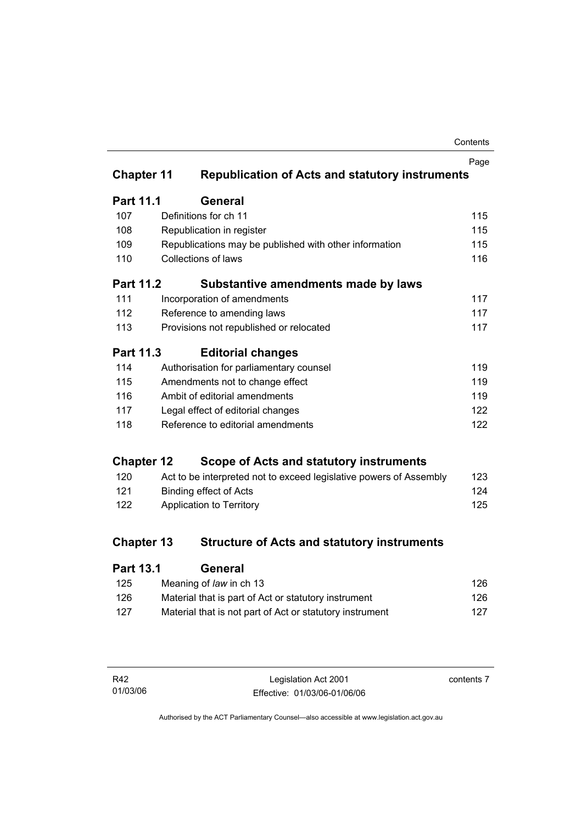| Contents |
|----------|
|----------|

|                   |                                                                    | Page |
|-------------------|--------------------------------------------------------------------|------|
| <b>Chapter 11</b> | <b>Republication of Acts and statutory instruments</b>             |      |
| <b>Part 11.1</b>  | General                                                            |      |
| 107               | Definitions for ch 11                                              | 115  |
| 108               | Republication in register                                          | 115  |
| 109               | Republications may be published with other information             | 115  |
| 110               | <b>Collections of laws</b>                                         | 116  |
| <b>Part 11.2</b>  | Substantive amendments made by laws                                |      |
| 111               | Incorporation of amendments                                        | 117  |
| 112               | Reference to amending laws                                         | 117  |
| 113               | Provisions not republished or relocated                            | 117  |
| <b>Part 11.3</b>  | <b>Editorial changes</b>                                           |      |
| 114               | Authorisation for parliamentary counsel                            | 119  |
| 115               | Amendments not to change effect                                    | 119  |
| 116               | Ambit of editorial amendments                                      | 119  |
| 117               | Legal effect of editorial changes                                  | 122  |
| 118               | Reference to editorial amendments                                  | 122  |
| <b>Chapter 12</b> | Scope of Acts and statutory instruments                            |      |
| 120               | Act to be interpreted not to exceed legislative powers of Assembly | 123  |
| 121               | <b>Binding effect of Acts</b>                                      | 124  |
| 122               | Application to Territory                                           | 125  |
| <b>Chapter 13</b> | <b>Structure of Acts and statutory instruments</b>                 |      |
| <b>Part 13.1</b>  | General                                                            |      |

| 125 | Meaning of law in ch 13                                  | 126 |
|-----|----------------------------------------------------------|-----|
| 126 | Material that is part of Act or statutory instrument     | 126 |
| 127 | Material that is not part of Act or statutory instrument | 127 |

| R42      | Legislation Act 2001         | contents 7 |
|----------|------------------------------|------------|
| 01/03/06 | Effective: 01/03/06-01/06/06 |            |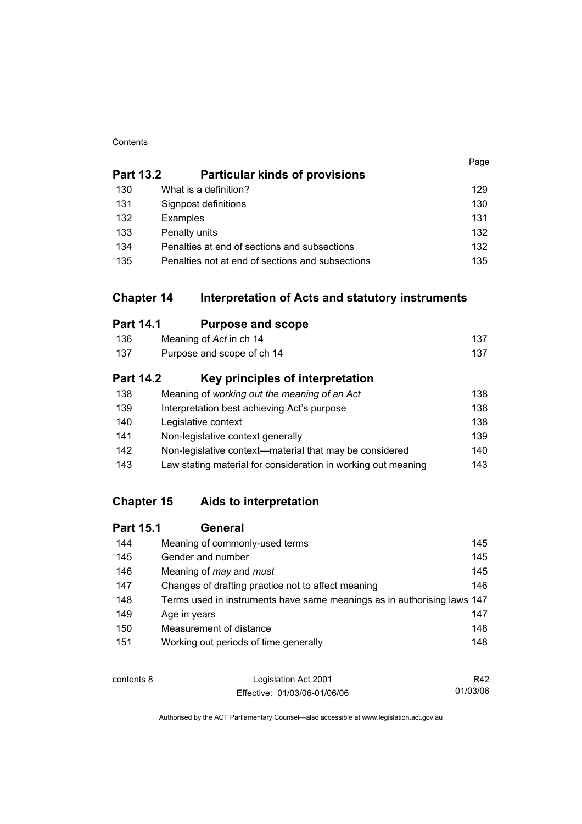#### **Contents**

|                  |                                                                       | Page |
|------------------|-----------------------------------------------------------------------|------|
| <b>Part 13.2</b> | <b>Particular kinds of provisions</b>                                 |      |
| 130              | What is a definition?                                                 | 129  |
| 131              | Signpost definitions                                                  | 130  |
| 132              | Examples                                                              | 131  |
| 133              | Penalty units                                                         | 132  |
| 134              | Penalties at end of sections and subsections                          | 132  |
| 135              | Penalties not at end of sections and subsections                      | 135  |
|                  | <b>Chapter 14</b><br>Interpretation of Acts and statutory instruments |      |
| <b>Part 14.1</b> | <b>Purpose and scope</b>                                              |      |
| 136              | Meaning of Act in ch 14                                               | 137  |
| 137              | Purpose and scope of ch 14                                            | 137  |
| <b>Part 14.2</b> | Key principles of interpretation                                      |      |
| 138              | Meaning of working out the meaning of an Act                          | 138  |
| 139              | Interpretation best achieving Act's purpose                           | 138  |
| 140              | Legislative context                                                   | 138  |
| 141              | Non-legislative context generally                                     | 139  |
| 142              | Non-legislative context-material that may be considered               | 140  |
| 143              | Law stating material for consideration in working out meaning         | 143  |

# **Chapter 15 Aids to interpretation**

| <b>Part 15.1</b> | General                                                                 |     |
|------------------|-------------------------------------------------------------------------|-----|
| 144              | Meaning of commonly-used terms                                          | 145 |
| 145              | Gender and number                                                       | 145 |
| 146              | Meaning of <i>may</i> and <i>must</i>                                   | 145 |
| 147              | Changes of drafting practice not to affect meaning                      | 146 |
| 148              | Terms used in instruments have same meanings as in authorising laws 147 |     |
| 149              | Age in years                                                            | 147 |
| 150              | Measurement of distance                                                 | 148 |
| 151              | Working out periods of time generally                                   | 148 |

| contents 8 | Legislation Act 2001         | R42      |
|------------|------------------------------|----------|
|            | Effective: 01/03/06-01/06/06 | 01/03/06 |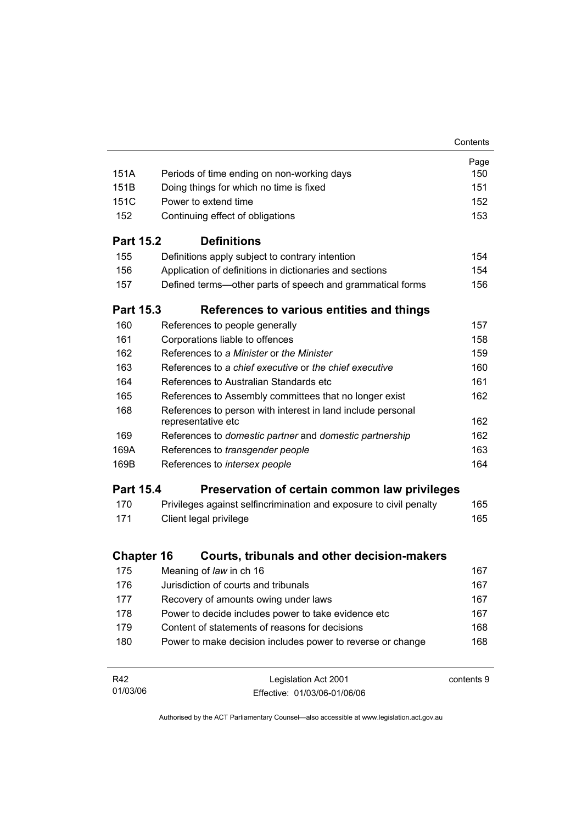|                   |                                                                                                       | Contents   |
|-------------------|-------------------------------------------------------------------------------------------------------|------------|
|                   |                                                                                                       | Page       |
| 151A              | Periods of time ending on non-working days                                                            | 150        |
| 151B              | Doing things for which no time is fixed                                                               | 151        |
| 151C              | Power to extend time                                                                                  | 152        |
| 152               | Continuing effect of obligations                                                                      | 153        |
| <b>Part 15.2</b>  | <b>Definitions</b>                                                                                    |            |
| 155               | Definitions apply subject to contrary intention                                                       | 154        |
| 156               | Application of definitions in dictionaries and sections                                               | 154        |
| 157               | Defined terms—other parts of speech and grammatical forms                                             | 156        |
| <b>Part 15.3</b>  | References to various entities and things                                                             |            |
| 160               | References to people generally                                                                        | 157        |
| 161               | Corporations liable to offences                                                                       | 158        |
| 162               | References to a Minister or the Minister                                                              | 159        |
| 163               | References to a chief executive or the chief executive                                                | 160        |
| 164               | References to Australian Standards etc                                                                | 161        |
| 165               | References to Assembly committees that no longer exist                                                | 162        |
| 168               | References to person with interest in land include personal                                           |            |
|                   | representative etc                                                                                    | 162        |
| 169               | References to domestic partner and domestic partnership                                               | 162        |
| 169A              | References to transgender people                                                                      | 163        |
| 169B              | References to intersex people                                                                         | 164        |
| <b>Part 15.4</b>  | Preservation of certain common law privileges                                                         |            |
| 170               | Privileges against selfincrimination and exposure to civil penalty                                    | 165        |
| 171               | Client legal privilege                                                                                | 165        |
| <b>Chapter 16</b> | Courts, tribunals and other decision-makers                                                           |            |
| 175               | Meaning of law in ch 16                                                                               | 167        |
| 176               | Jurisdiction of courts and tribunals                                                                  | 167        |
| 177               | Recovery of amounts owing under laws                                                                  | 167        |
|                   |                                                                                                       |            |
| 178<br>179        | Power to decide includes power to take evidence etc<br>Content of statements of reasons for decisions | 167<br>168 |
| 180               |                                                                                                       |            |
|                   | Power to make decision includes power to reverse or change                                            | 168        |
| R42               | Legislation Act 2001                                                                                  | contents 9 |
| 01/03/06          | Fffective: 01/03/06-01/06/06                                                                          |            |

Effective: 01/03/06-01/06/06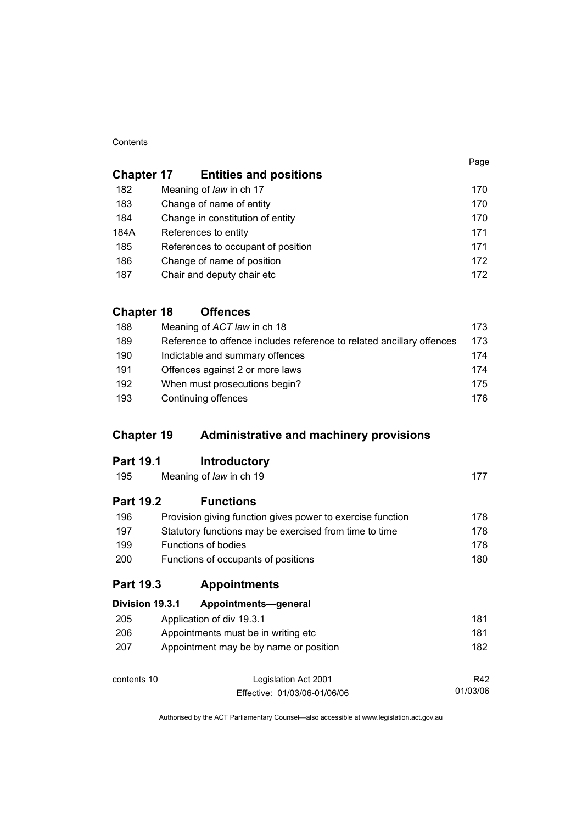#### **Contents**

01/03/06

| <b>Chapter 17</b> | <b>Entities and positions</b>      |     |
|-------------------|------------------------------------|-----|
| 182               | Meaning of law in ch 17            | 170 |
| 183               | Change of name of entity           | 170 |
| 184               | Change in constitution of entity   | 170 |
| 184A              | References to entity               | 171 |
| 185               | References to occupant of position | 171 |
| 186               | Change of name of position         | 172 |
| 187               | Chair and deputy chair etc         | 172 |

# **Chapter 18 Offences**

| 188 | Meaning of ACT law in ch 18                                           | 173  |
|-----|-----------------------------------------------------------------------|------|
| 189 | Reference to offence includes reference to related ancillary offences | 173  |
| 190 | Indictable and summary offences                                       | 174  |
| 191 | Offences against 2 or more laws                                       | 174  |
| 192 | When must prosecutions begin?                                         | 175  |
| 193 | Continuing offences                                                   | 176. |

# **Chapter 19 Administrative and machinery provisions**

| <b>Part 19.2</b> | <b>Functions</b>        |  |
|------------------|-------------------------|--|
| 195              | Meaning of law in ch 19 |  |

| 196        | Provision giving function gives power to exercise function | 178  |
|------------|------------------------------------------------------------|------|
| 197        | Statutory functions may be exercised from time to time     | 178  |
| 199        | Functions of bodies                                        | 178  |
| <b>200</b> | Functions of occupants of positions                        | 180. |

# **Part 19.3 Appointments**

| Division 19.3.1                             | Appointments-general                   |     |
|---------------------------------------------|----------------------------------------|-----|
| 205                                         | Application of div 19.3.1              | 181 |
| Appointments must be in writing etc.<br>206 |                                        | 181 |
| 207                                         | Appointment may be by name or position | 182 |
|                                             |                                        |     |
| contents 10                                 | Legislation Act 2001                   | R42 |

Effective: 01/03/06-01/06/06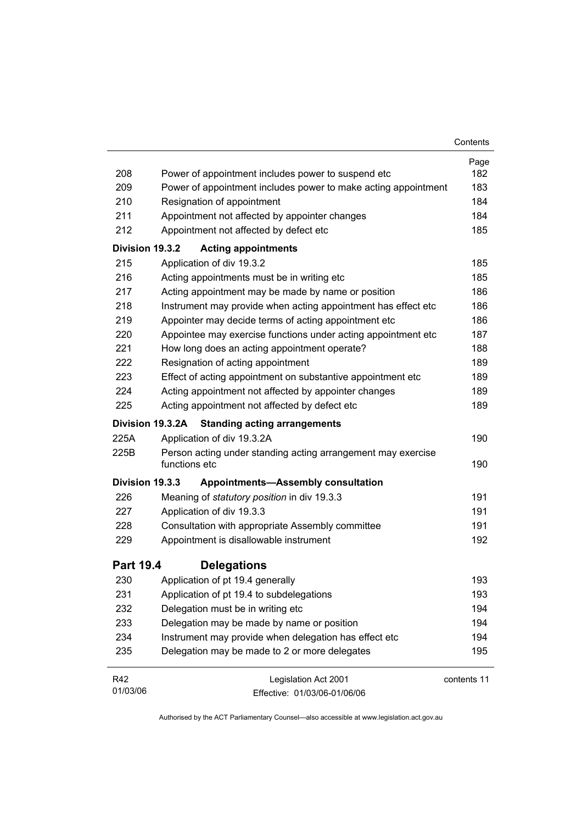|                  |                                                                               | Contents    |
|------------------|-------------------------------------------------------------------------------|-------------|
|                  |                                                                               | Page        |
| 208              | Power of appointment includes power to suspend etc.                           | 182         |
| 209              | Power of appointment includes power to make acting appointment                | 183         |
| 210              | Resignation of appointment                                                    | 184         |
| 211              | Appointment not affected by appointer changes                                 | 184         |
| 212              | Appointment not affected by defect etc                                        | 185         |
| Division 19.3.2  | <b>Acting appointments</b>                                                    |             |
| 215              | Application of div 19.3.2                                                     | 185         |
| 216              | Acting appointments must be in writing etc                                    | 185         |
| 217              | Acting appointment may be made by name or position                            | 186         |
| 218              | Instrument may provide when acting appointment has effect etc                 | 186         |
| 219              | Appointer may decide terms of acting appointment etc                          | 186         |
| 220              | Appointee may exercise functions under acting appointment etc                 | 187         |
| 221              | How long does an acting appointment operate?                                  | 188         |
| 222              | Resignation of acting appointment                                             | 189         |
| 223              | Effect of acting appointment on substantive appointment etc                   | 189         |
| 224              | Acting appointment not affected by appointer changes                          | 189         |
| 225              | Acting appointment not affected by defect etc                                 | 189         |
|                  | <b>Standing acting arrangements</b><br>Division 19.3.2A                       |             |
| 225A             | Application of div 19.3.2A                                                    | 190         |
| 225B             | Person acting under standing acting arrangement may exercise<br>functions etc | 190         |
| Division 19.3.3  | <b>Appointments-Assembly consultation</b>                                     |             |
| 226              | Meaning of statutory position in div 19.3.3                                   | 191         |
| 227              | Application of div 19.3.3                                                     | 191         |
| 228              | Consultation with appropriate Assembly committee                              | 191         |
| 229              | Appointment is disallowable instrument                                        | 192         |
| <b>Part 19.4</b> | <b>Delegations</b>                                                            |             |
| 230              | Application of pt 19.4 generally                                              | 193         |
| 231              | Application of pt 19.4 to subdelegations                                      | 193         |
| 232              | Delegation must be in writing etc                                             | 194         |
| 233              | Delegation may be made by name or position                                    | 194         |
| 234              | Instrument may provide when delegation has effect etc                         | 194         |
| 235              | Delegation may be made to 2 or more delegates                                 | 195         |
| R42              | Legislation Act 2001                                                          | contents 11 |
| 01/03/06         | Effective: 01/03/06-01/06/06                                                  |             |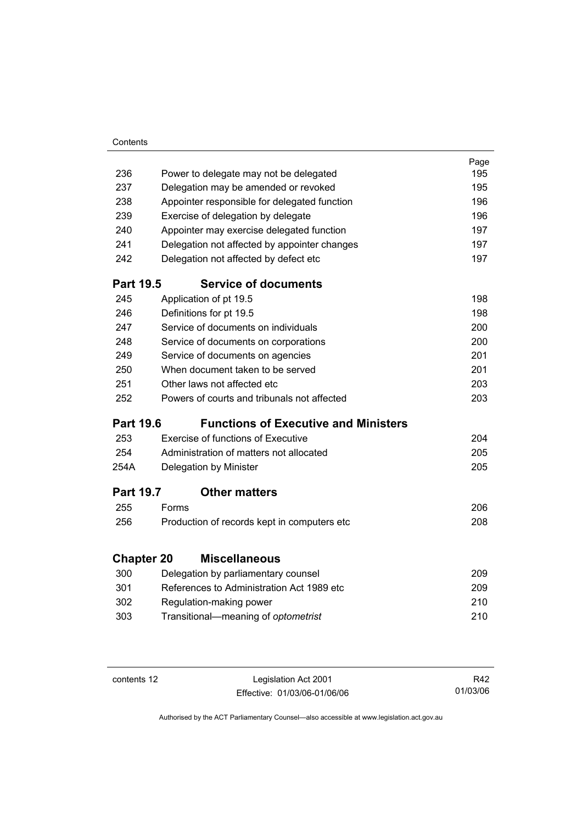| Contents |
|----------|
|          |

|                   |       |                                                | Page |
|-------------------|-------|------------------------------------------------|------|
| 236               |       | Power to delegate may not be delegated         | 195  |
| 237               |       | Delegation may be amended or revoked           | 195  |
| 238               |       | Appointer responsible for delegated function   | 196  |
| 239               |       | Exercise of delegation by delegate             | 196  |
| 240               |       | Appointer may exercise delegated function      | 197  |
| 241               |       | Delegation not affected by appointer changes   | 197  |
| 242               |       | Delegation not affected by defect etc          | 197  |
| <b>Part 19.5</b>  |       | <b>Service of documents</b>                    |      |
| 245               |       | Application of pt 19.5                         | 198  |
| 246               |       | Definitions for pt 19.5                        | 198  |
| 247               |       | Service of documents on individuals            | 200  |
| 248               |       | Service of documents on corporations           | 200  |
| 249               |       | Service of documents on agencies               | 201  |
| 250               |       | When document taken to be served               | 201  |
| 251               |       | Other laws not affected etc                    |      |
| 252               |       | Powers of courts and tribunals not affected    | 203  |
| <b>Part 19.6</b>  |       | <b>Functions of Executive and Ministers</b>    |      |
| 253               |       | <b>Exercise of functions of Executive</b>      | 204  |
| 254               |       | Administration of matters not allocated<br>205 |      |
| 254A              |       | Delegation by Minister                         | 205  |
| <b>Part 19.7</b>  |       | <b>Other matters</b>                           |      |
| 255               | Forms |                                                | 206  |
| 256               |       | Production of records kept in computers etc    | 208  |
| <b>Chapter 20</b> |       | <b>Miscellaneous</b>                           |      |
| 300               |       | Delegation by parliamentary counsel            | 209  |
| 301               |       | References to Administration Act 1989 etc      | 209  |
| 302               |       |                                                | 210  |
|                   |       | Regulation-making power                        | 210  |
| 303               |       | Transitional-meaning of optometrist            |      |

contents 12 Legislation Act 2001 Effective: 01/03/06-01/06/06

R42 01/03/06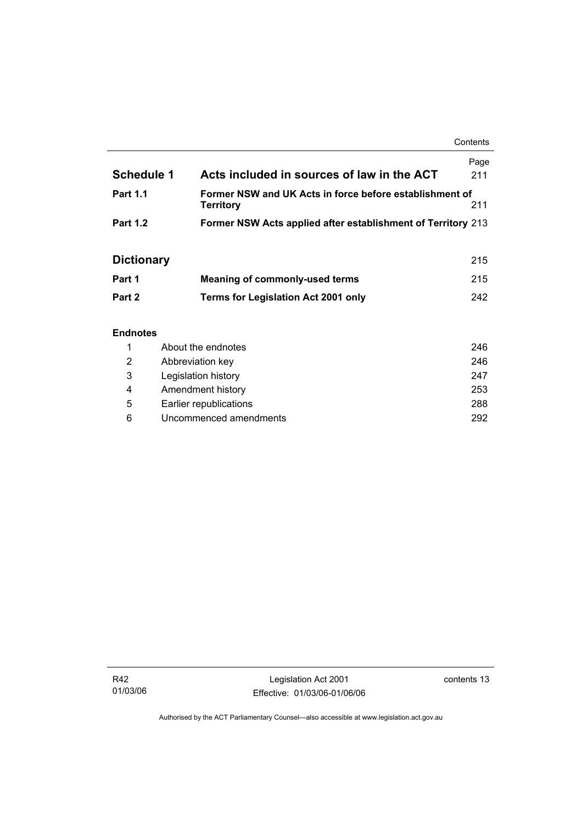**Contents** 

| <b>Schedule 1</b> | Acts included in sources of law in the ACT                                  | Page<br>211 |
|-------------------|-----------------------------------------------------------------------------|-------------|
| <b>Part 1.1</b>   | Former NSW and UK Acts in force before establishment of<br><b>Territory</b> | 211         |
| <b>Part 1.2</b>   | Former NSW Acts applied after establishment of Territory 213                |             |

# **Dictionary** 215

| Part 1 | Meaning of commonly-used terms             | 215 |
|--------|--------------------------------------------|-----|
| Part 2 | <b>Terms for Legislation Act 2001 only</b> | 242 |

## **Endnotes**

|   | About the endnotes     | 246 |
|---|------------------------|-----|
| 2 | Abbreviation key       | 246 |
| 3 | Legislation history    | 247 |
| 4 | Amendment history      | 253 |
| 5 | Earlier republications | 288 |
| 6 | Uncommenced amendments | 292 |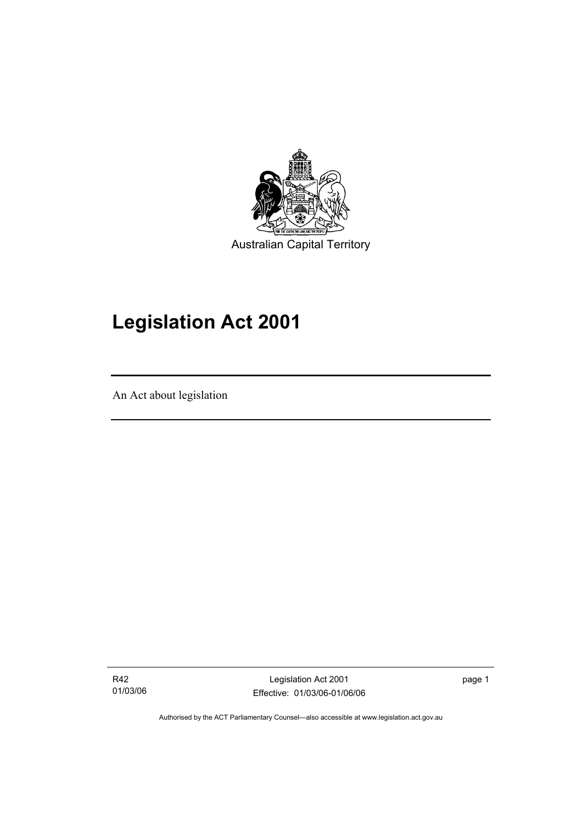

# **Legislation Act 2001**

An Act about legislation

I

R42 01/03/06

Legislation Act 2001 Effective: 01/03/06-01/06/06 page 1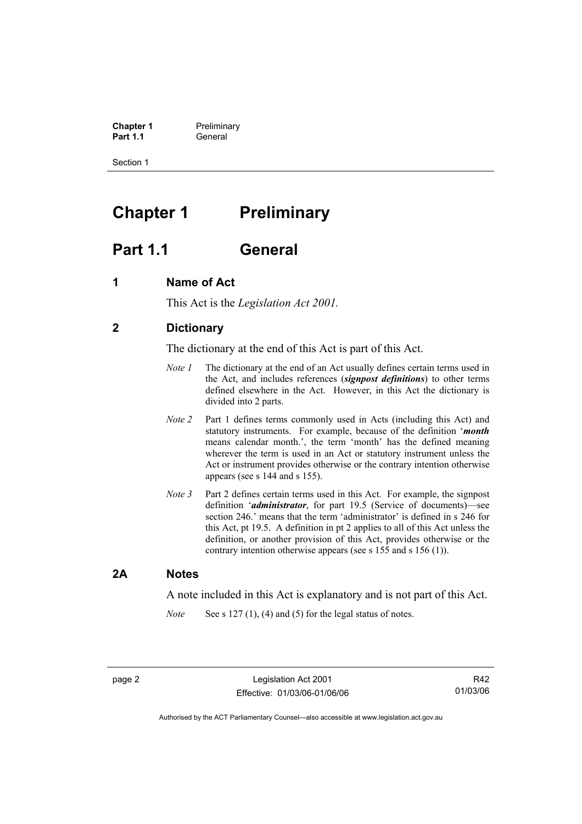**Chapter 1** Preliminary<br>**Part 1.1** General **Part 1.1** General

Section 1

# **Chapter 1** Preliminary

# **Part 1.1 General**

# **1 Name of Act**

This Act is the *Legislation Act 2001.* 

# **2 Dictionary**

The dictionary at the end of this Act is part of this Act.

- *Note 1* The dictionary at the end of an Act usually defines certain terms used in the Act, and includes references (*signpost definitions*) to other terms defined elsewhere in the Act. However, in this Act the dictionary is divided into 2 parts.
- *Note 2* Part 1 defines terms commonly used in Acts (including this Act) and statutory instruments. For example, because of the definition '*month* means calendar month.', the term 'month' has the defined meaning wherever the term is used in an Act or statutory instrument unless the Act or instrument provides otherwise or the contrary intention otherwise appears (see s 144 and s 155).
- *Note 3* Part 2 defines certain terms used in this Act. For example, the signpost definition '*administrator*, for part 19.5 (Service of documents)—see section 246.' means that the term 'administrator' is defined in s 246 for this Act, pt 19.5. A definition in pt 2 applies to all of this Act unless the definition, or another provision of this Act, provides otherwise or the contrary intention otherwise appears (see s 155 and s 156 (1)).

## **2A Notes**

A note included in this Act is explanatory and is not part of this Act.

*Note* See s 127 (1), (4) and (5) for the legal status of notes.

R42 01/03/06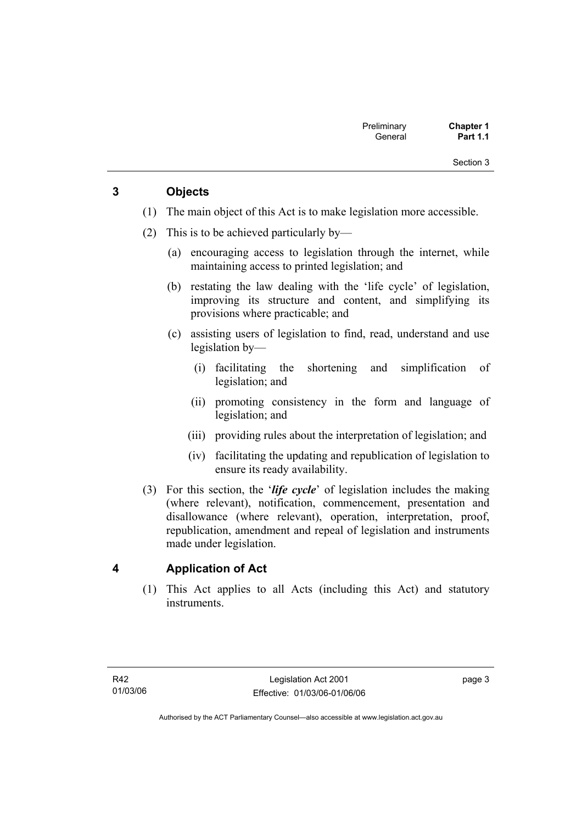# **3 Objects**

- (1) The main object of this Act is to make legislation more accessible.
- (2) This is to be achieved particularly by—
	- (a) encouraging access to legislation through the internet, while maintaining access to printed legislation; and
	- (b) restating the law dealing with the 'life cycle' of legislation, improving its structure and content, and simplifying its provisions where practicable; and
	- (c) assisting users of legislation to find, read, understand and use legislation by—
		- (i) facilitating the shortening and simplification of legislation; and
		- (ii) promoting consistency in the form and language of legislation; and
		- (iii) providing rules about the interpretation of legislation; and
		- (iv) facilitating the updating and republication of legislation to ensure its ready availability.
- (3) For this section, the '*life cycle*' of legislation includes the making (where relevant), notification, commencement, presentation and disallowance (where relevant), operation, interpretation, proof, republication, amendment and repeal of legislation and instruments made under legislation.

# **4 Application of Act**

 (1) This Act applies to all Acts (including this Act) and statutory instruments.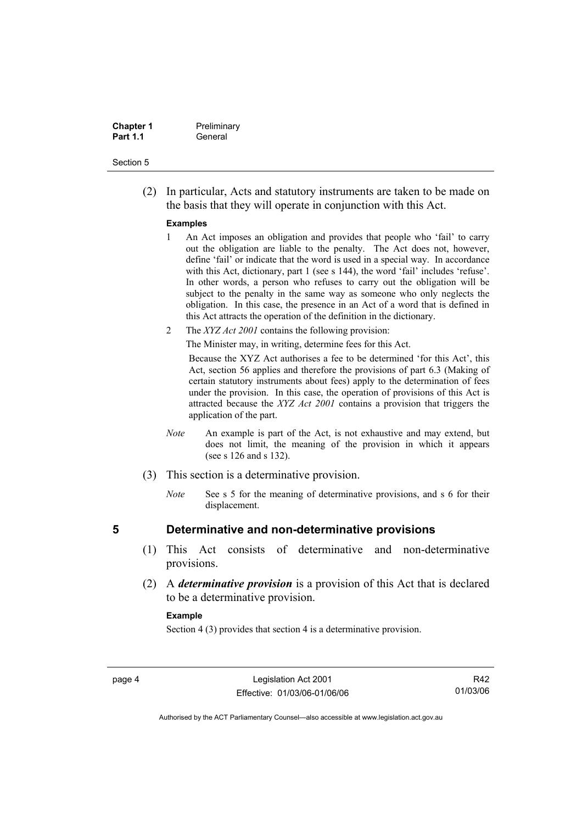| <b>Chapter 1</b> | Preliminary |
|------------------|-------------|
| <b>Part 1.1</b>  | General     |

 (2) In particular, Acts and statutory instruments are taken to be made on the basis that they will operate in conjunction with this Act.

#### **Examples**

- 1 An Act imposes an obligation and provides that people who 'fail' to carry out the obligation are liable to the penalty. The Act does not, however, define 'fail' or indicate that the word is used in a special way. In accordance with this Act, dictionary, part 1 (see s 144), the word 'fail' includes 'refuse'. In other words, a person who refuses to carry out the obligation will be subject to the penalty in the same way as someone who only neglects the obligation. In this case, the presence in an Act of a word that is defined in this Act attracts the operation of the definition in the dictionary.
- 2 The *XYZ Act 2001* contains the following provision:

The Minister may, in writing, determine fees for this Act.

Because the XYZ Act authorises a fee to be determined 'for this Act', this Act, section 56 applies and therefore the provisions of part 6.3 (Making of certain statutory instruments about fees) apply to the determination of fees under the provision. In this case, the operation of provisions of this Act is attracted because the *XYZ Act 2001* contains a provision that triggers the application of the part.

- *Note* An example is part of the Act, is not exhaustive and may extend, but does not limit, the meaning of the provision in which it appears (see s 126 and s 132).
- (3) This section is a determinative provision.
	- *Note* See s 5 for the meaning of determinative provisions, and s 6 for their displacement.

## **5 Determinative and non-determinative provisions**

- (1) This Act consists of determinative and non-determinative provisions.
- (2) A *determinative provision* is a provision of this Act that is declared to be a determinative provision.

#### **Example**

Section 4 (3) provides that section 4 is a determinative provision.

R42 01/03/06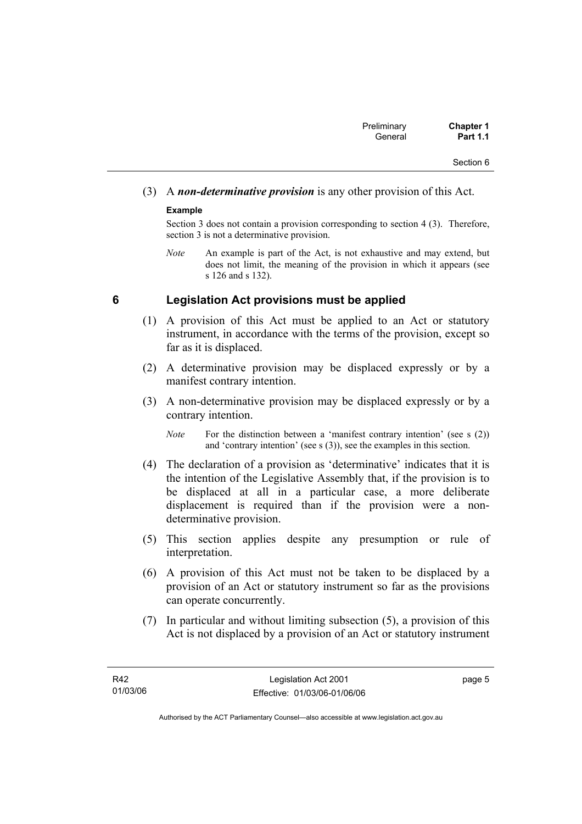# (3) A *non-determinative provision* is any other provision of this Act.

## **Example**

Section 3 does not contain a provision corresponding to section 4 (3). Therefore, section 3 is not a determinative provision.

*Note* An example is part of the Act, is not exhaustive and may extend, but does not limit, the meaning of the provision in which it appears (see s 126 and s 132).

## **6 Legislation Act provisions must be applied**

- (1) A provision of this Act must be applied to an Act or statutory instrument, in accordance with the terms of the provision, except so far as it is displaced.
- (2) A determinative provision may be displaced expressly or by a manifest contrary intention.
- (3) A non-determinative provision may be displaced expressly or by a contrary intention.

- (4) The declaration of a provision as 'determinative' indicates that it is the intention of the Legislative Assembly that, if the provision is to be displaced at all in a particular case, a more deliberate displacement is required than if the provision were a nondeterminative provision.
- (5) This section applies despite any presumption or rule of interpretation.
- (6) A provision of this Act must not be taken to be displaced by a provision of an Act or statutory instrument so far as the provisions can operate concurrently.
- (7) In particular and without limiting subsection (5), a provision of this Act is not displaced by a provision of an Act or statutory instrument

*Note* For the distinction between a 'manifest contrary intention' (see s (2)) and 'contrary intention' (see s (3)), see the examples in this section.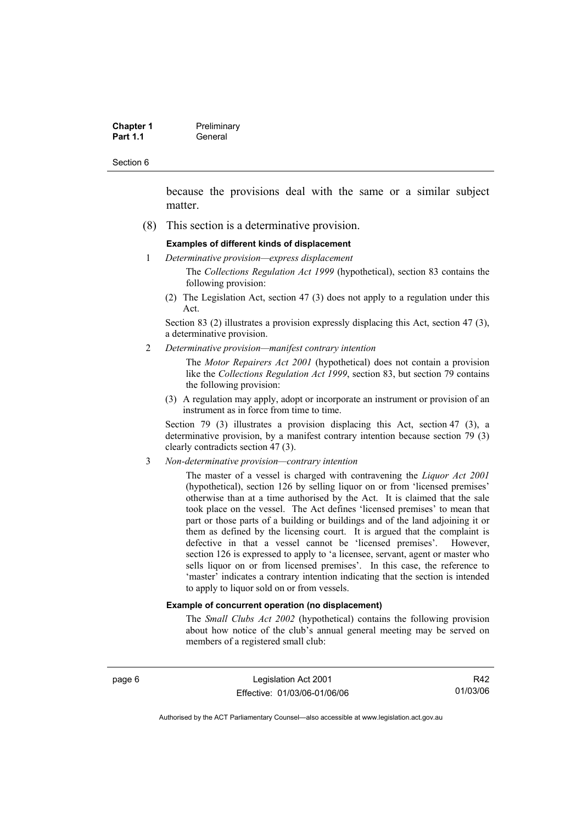| <b>Chapter 1</b> | Preliminary |
|------------------|-------------|
| <b>Part 1.1</b>  | General     |

because the provisions deal with the same or a similar subject matter.

(8) This section is a determinative provision.

#### **Examples of different kinds of displacement**

1 *Determinative provision—express displacement*

The *Collections Regulation Act 1999* (hypothetical), section 83 contains the following provision:

(2) The Legislation Act, section 47 (3) does not apply to a regulation under this Act.

Section 83 (2) illustrates a provision expressly displacing this Act, section 47 (3), a determinative provision.

2 *Determinative provision—manifest contrary intention*

The *Motor Repairers Act 2001* (hypothetical) does not contain a provision like the *Collections Regulation Act 1999*, section 83, but section 79 contains the following provision:

(3) A regulation may apply, adopt or incorporate an instrument or provision of an instrument as in force from time to time.

Section 79 (3) illustrates a provision displacing this Act, section 47 (3), a determinative provision, by a manifest contrary intention because section 79 (3) clearly contradicts section 47 (3).

3 *Non-determinative provision—contrary intention*

The master of a vessel is charged with contravening the *Liquor Act 2001* (hypothetical), section 126 by selling liquor on or from 'licensed premises' otherwise than at a time authorised by the Act. It is claimed that the sale took place on the vessel. The Act defines 'licensed premises' to mean that part or those parts of a building or buildings and of the land adjoining it or them as defined by the licensing court. It is argued that the complaint is defective in that a vessel cannot be 'licensed premises'. However, section 126 is expressed to apply to 'a licensee, servant, agent or master who sells liquor on or from licensed premises'. In this case, the reference to 'master' indicates a contrary intention indicating that the section is intended to apply to liquor sold on or from vessels.

#### **Example of concurrent operation (no displacement)**

The *Small Clubs Act 2002* (hypothetical) contains the following provision about how notice of the club's annual general meeting may be served on members of a registered small club:

page 6 Legislation Act 2001 Effective: 01/03/06-01/06/06

R42 01/03/06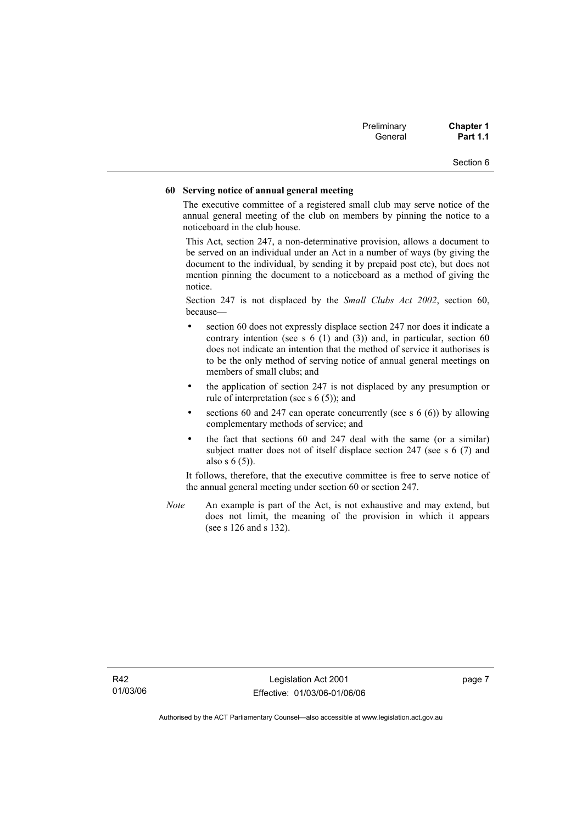| Preliminary | <b>Chapter 1</b> |
|-------------|------------------|
| General     | <b>Part 1.1</b>  |

#### **60 Serving notice of annual general meeting**

The executive committee of a registered small club may serve notice of the annual general meeting of the club on members by pinning the notice to a noticeboard in the club house.

This Act, section 247, a non-determinative provision, allows a document to be served on an individual under an Act in a number of ways (by giving the document to the individual, by sending it by prepaid post etc), but does not mention pinning the document to a noticeboard as a method of giving the notice.

Section 247 is not displaced by the *Small Clubs Act 2002*, section 60, because—

- section 60 does not expressly displace section 247 nor does it indicate a contrary intention (see s  $6(1)$  and  $(3)$ ) and, in particular, section  $60$ does not indicate an intention that the method of service it authorises is to be the only method of serving notice of annual general meetings on members of small clubs; and
- the application of section 247 is not displaced by any presumption or rule of interpretation (see s 6 (5)); and
- sections 60 and 247 can operate concurrently (see s  $6(6)$ ) by allowing complementary methods of service; and
- the fact that sections 60 and 247 deal with the same (or a similar) subject matter does not of itself displace section 247 (see s 6 (7) and also s 6 (5)).

It follows, therefore, that the executive committee is free to serve notice of the annual general meeting under section 60 or section 247.

*Note* An example is part of the Act, is not exhaustive and may extend, but does not limit, the meaning of the provision in which it appears (see s 126 and s 132).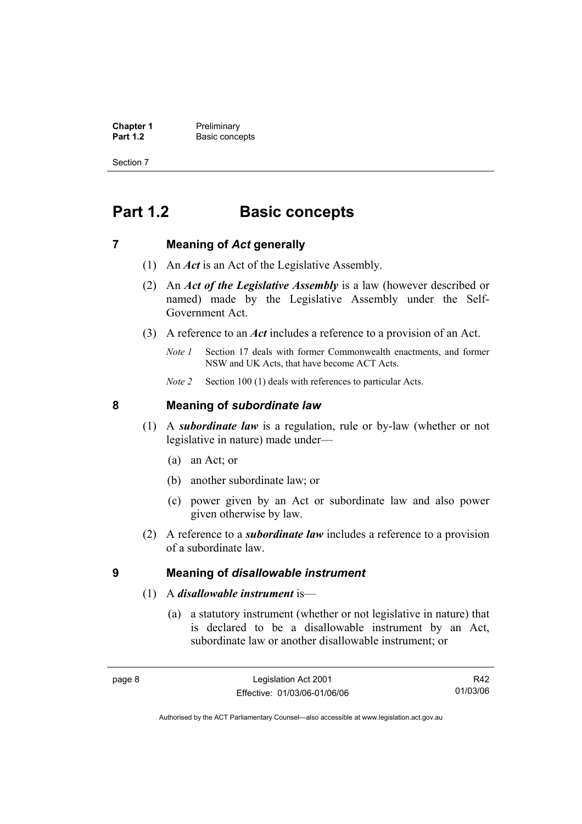**Chapter 1** Preliminary<br>**Part 1.2** Basic conce **Basic concepts** 

Section 7

# **Part 1.2 Basic concepts**

# **7 Meaning of** *Act* **generally**

- (1) An *Act* is an Act of the Legislative Assembly.
- (2) An *Act of the Legislative Assembly* is a law (however described or named) made by the Legislative Assembly under the Self-Government Act.
- (3) A reference to an *Act* includes a reference to a provision of an Act.
	- *Note 1* Section 17 deals with former Commonwealth enactments, and former NSW and UK Acts, that have become ACT Acts.
	- *Note 2* Section 100 (1) deals with references to particular Acts.

# **8 Meaning of** *subordinate law*

- (1) A *subordinate law* is a regulation, rule or by-law (whether or not legislative in nature) made under—
	- (a) an Act; or
	- (b) another subordinate law; or
	- (c) power given by an Act or subordinate law and also power given otherwise by law.
- (2) A reference to a *subordinate law* includes a reference to a provision of a subordinate law.

## **9 Meaning of** *disallowable instrument*

- (1) A *disallowable instrument* is—
	- (a) a statutory instrument (whether or not legislative in nature) that is declared to be a disallowable instrument by an Act, subordinate law or another disallowable instrument; or

R42 01/03/06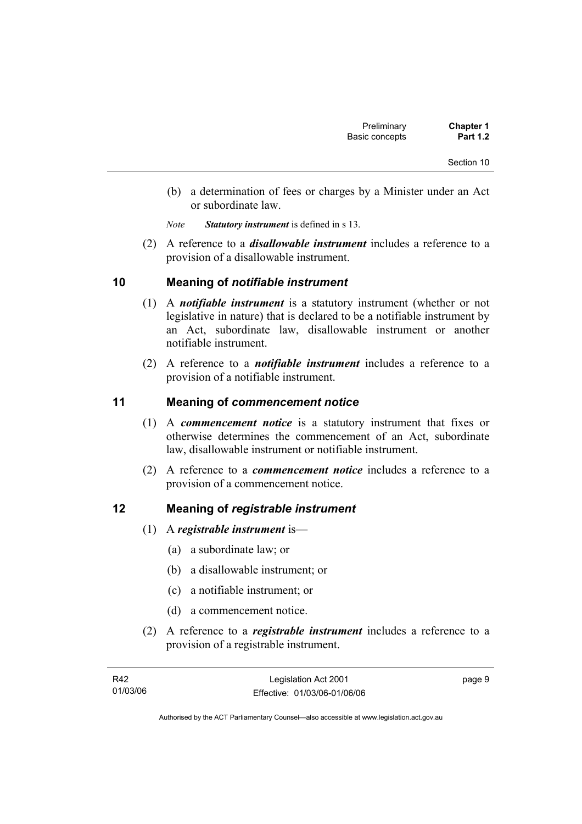- (b) a determination of fees or charges by a Minister under an Act or subordinate law.
- *Note Statutory instrument* is defined in s 13.
- (2) A reference to a *disallowable instrument* includes a reference to a provision of a disallowable instrument.

# **10 Meaning of** *notifiable instrument*

- (1) A *notifiable instrument* is a statutory instrument (whether or not legislative in nature) that is declared to be a notifiable instrument by an Act, subordinate law, disallowable instrument or another notifiable instrument.
- (2) A reference to a *notifiable instrument* includes a reference to a provision of a notifiable instrument.

# **11 Meaning of** *commencement notice*

- (1) A *commencement notice* is a statutory instrument that fixes or otherwise determines the commencement of an Act, subordinate law, disallowable instrument or notifiable instrument.
- (2) A reference to a *commencement notice* includes a reference to a provision of a commencement notice.

## **12 Meaning of** *registrable instrument*

- (1) A *registrable instrument* is—
	- (a) a subordinate law; or
	- (b) a disallowable instrument; or
	- (c) a notifiable instrument; or
	- (d) a commencement notice.
- (2) A reference to a *registrable instrument* includes a reference to a provision of a registrable instrument.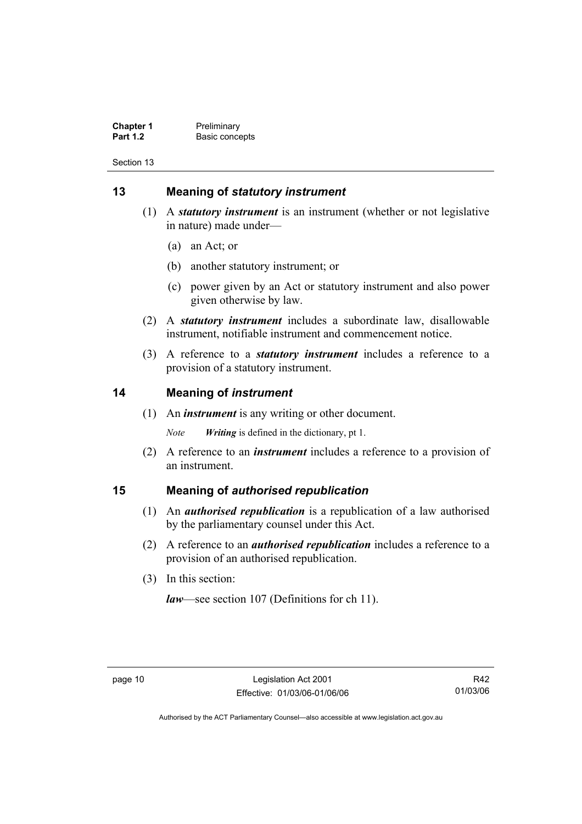**Chapter 1** Preliminary<br>**Part 1.2** Basic conce **Basic concepts** 

Section 13

# **13 Meaning of** *statutory instrument*

- (1) A *statutory instrument* is an instrument (whether or not legislative in nature) made under—
	- (a) an Act; or
	- (b) another statutory instrument; or
	- (c) power given by an Act or statutory instrument and also power given otherwise by law.
- (2) A *statutory instrument* includes a subordinate law, disallowable instrument, notifiable instrument and commencement notice.
- (3) A reference to a *statutory instrument* includes a reference to a provision of a statutory instrument.

## **14 Meaning of** *instrument*

(1) An *instrument* is any writing or other document.

*Note Writing* is defined in the dictionary, pt 1.

 (2) A reference to an *instrument* includes a reference to a provision of an instrument.

## **15 Meaning of** *authorised republication*

- (1) An *authorised republication* is a republication of a law authorised by the parliamentary counsel under this Act.
- (2) A reference to an *authorised republication* includes a reference to a provision of an authorised republication.
- (3) In this section:

*law*—see section 107 (Definitions for ch 11).

R42 01/03/06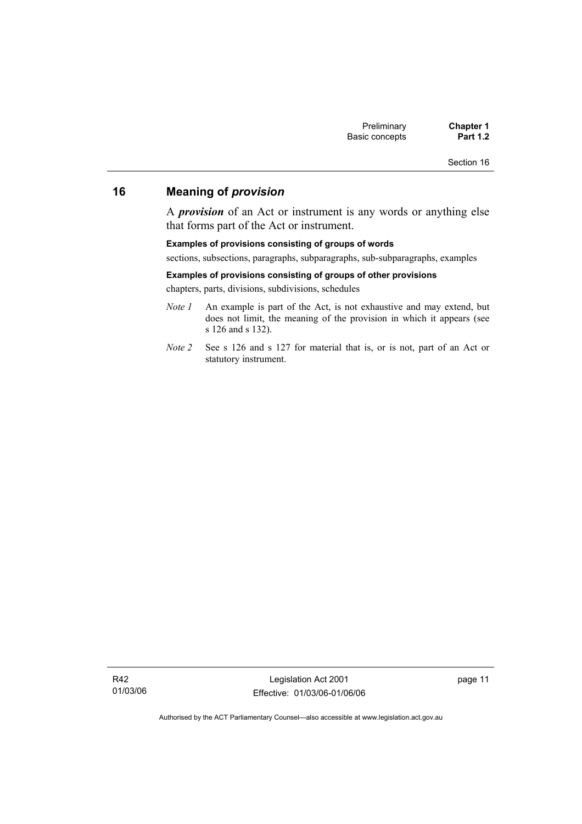# **16 Meaning of** *provision*

A *provision* of an Act or instrument is any words or anything else that forms part of the Act or instrument.

#### **Examples of provisions consisting of groups of words**

sections, subsections, paragraphs, subparagraphs, sub-subparagraphs, examples

#### **Examples of provisions consisting of groups of other provisions**

chapters, parts, divisions, subdivisions, schedules

- *Note 1* An example is part of the Act, is not exhaustive and may extend, but does not limit, the meaning of the provision in which it appears (see s 126 and s 132).
- *Note 2* See s 126 and s 127 for material that is, or is not, part of an Act or statutory instrument.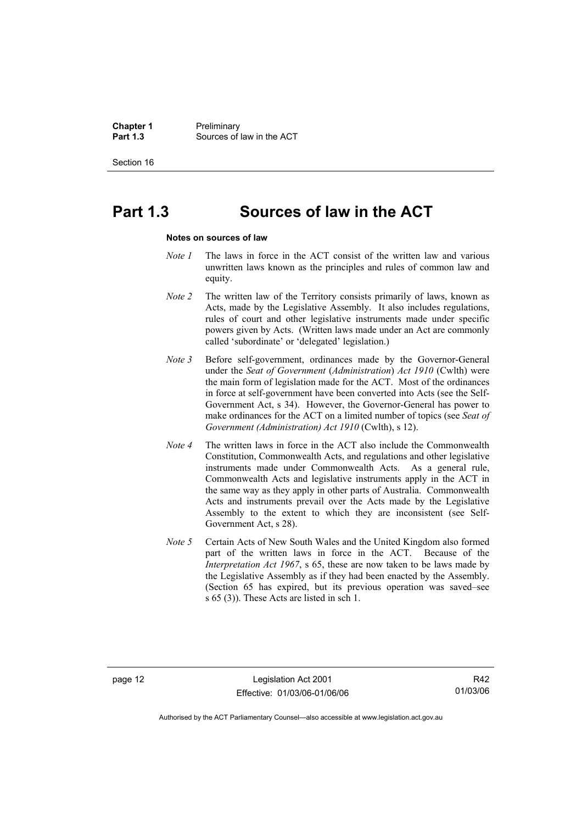**Chapter 1** Preliminary<br>**Part 1.3** Sources of **Part 1.3** Sources of law in the ACT

Section 16

# **Part 1.3 Sources of law in the ACT**

#### **Notes on sources of law**

- *Note 1* The laws in force in the ACT consist of the written law and various unwritten laws known as the principles and rules of common law and equity.
- *Note 2* The written law of the Territory consists primarily of laws, known as Acts, made by the Legislative Assembly. It also includes regulations, rules of court and other legislative instruments made under specific powers given by Acts. (Written laws made under an Act are commonly called 'subordinate' or 'delegated' legislation.)
- *Note 3* Before self-government, ordinances made by the Governor-General under the *Seat of Government* (*Administration*) *Act 1910* (Cwlth) were the main form of legislation made for the ACT. Most of the ordinances in force at self-government have been converted into Acts (see the Self-Government Act, s 34). However, the Governor-General has power to make ordinances for the ACT on a limited number of topics (see *Seat of Government (Administration) Act 1910* (Cwlth), s 12).
- *Note 4* The written laws in force in the ACT also include the Commonwealth Constitution, Commonwealth Acts, and regulations and other legislative instruments made under Commonwealth Acts. As a general rule, Commonwealth Acts and legislative instruments apply in the ACT in the same way as they apply in other parts of Australia. Commonwealth Acts and instruments prevail over the Acts made by the Legislative Assembly to the extent to which they are inconsistent (see Self-Government Act, s 28).
- *Note 5* Certain Acts of New South Wales and the United Kingdom also formed part of the written laws in force in the ACT. Because of the *Interpretation Act 1967*, s 65, these are now taken to be laws made by the Legislative Assembly as if they had been enacted by the Assembly. (Section 65 has expired, but its previous operation was saved–see s 65 (3)). These Acts are listed in sch 1.

page 12 Legislation Act 2001 Effective: 01/03/06-01/06/06

R42 01/03/06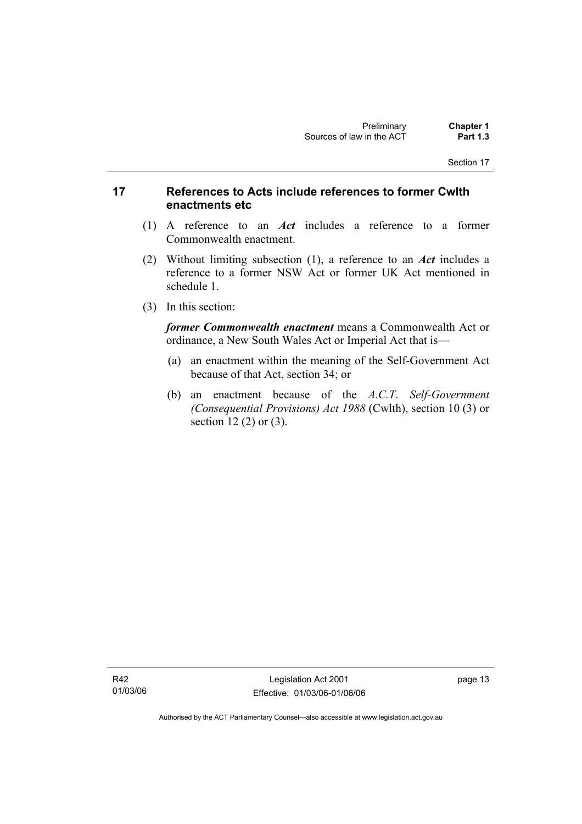# **17 References to Acts include references to former Cwlth enactments etc**

- (1) A reference to an *Act* includes a reference to a former Commonwealth enactment.
- (2) Without limiting subsection (1), a reference to an *Act* includes a reference to a former NSW Act or former UK Act mentioned in schedule 1.
- (3) In this section:

*former Commonwealth enactment* means a Commonwealth Act or ordinance, a New South Wales Act or Imperial Act that is—

- (a) an enactment within the meaning of the Self-Government Act because of that Act, section 34; or
- (b) an enactment because of the *A.C.T*. *Self-Government (Consequential Provisions) Act 1988* (Cwlth), section 10 (3) or section 12 (2) or (3).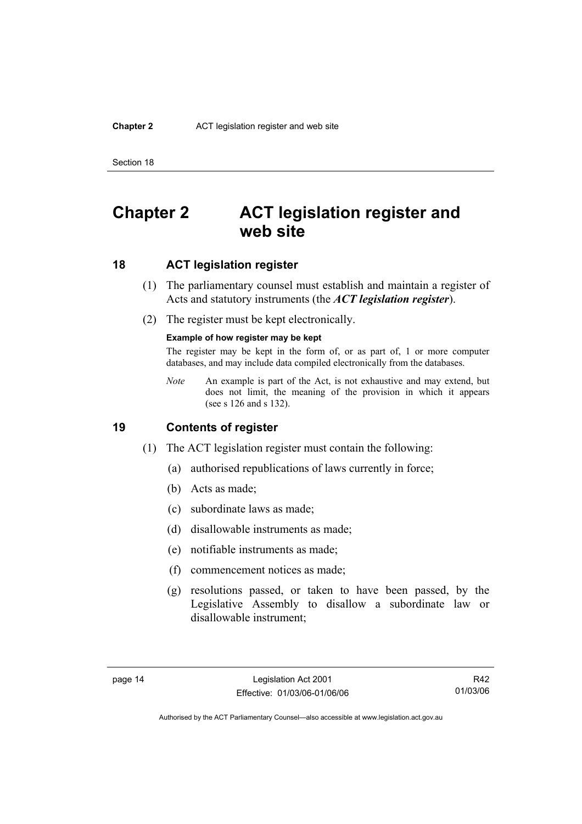#### **Chapter 2** ACT legislation register and web site

Section 18

# **Chapter 2 ACT legislation register and web site**

# **18 ACT legislation register**

- (1) The parliamentary counsel must establish and maintain a register of Acts and statutory instruments (the *ACT legislation register*).
- (2) The register must be kept electronically.

#### **Example of how register may be kept**

The register may be kept in the form of, or as part of, 1 or more computer databases, and may include data compiled electronically from the databases.

*Note* An example is part of the Act, is not exhaustive and may extend, but does not limit, the meaning of the provision in which it appears (see s 126 and s 132).

## **19 Contents of register**

- (1) The ACT legislation register must contain the following:
	- (a) authorised republications of laws currently in force;
	- (b) Acts as made;
	- (c) subordinate laws as made;
	- (d) disallowable instruments as made;
	- (e) notifiable instruments as made;
	- (f) commencement notices as made;
	- (g) resolutions passed, or taken to have been passed, by the Legislative Assembly to disallow a subordinate law or disallowable instrument;

R42 01/03/06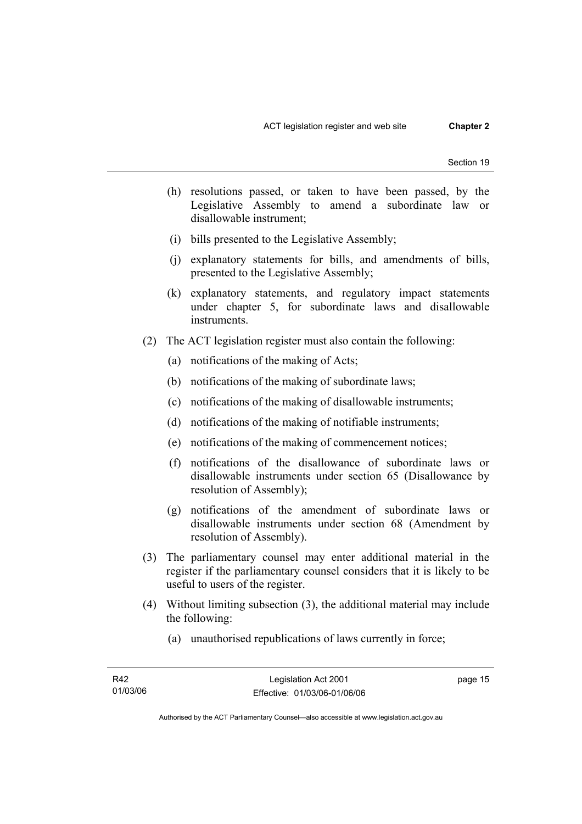- (h) resolutions passed, or taken to have been passed, by the Legislative Assembly to amend a subordinate law or disallowable instrument;
- (i) bills presented to the Legislative Assembly;
- (j) explanatory statements for bills, and amendments of bills, presented to the Legislative Assembly;
- (k) explanatory statements, and regulatory impact statements under chapter 5, for subordinate laws and disallowable instruments.
- (2) The ACT legislation register must also contain the following:
	- (a) notifications of the making of Acts;
	- (b) notifications of the making of subordinate laws;
	- (c) notifications of the making of disallowable instruments;
	- (d) notifications of the making of notifiable instruments;
	- (e) notifications of the making of commencement notices;
	- (f) notifications of the disallowance of subordinate laws or disallowable instruments under section 65 (Disallowance by resolution of Assembly);
	- (g) notifications of the amendment of subordinate laws or disallowable instruments under section 68 (Amendment by resolution of Assembly).
- (3) The parliamentary counsel may enter additional material in the register if the parliamentary counsel considers that it is likely to be useful to users of the register.
- (4) Without limiting subsection (3), the additional material may include the following:
	- (a) unauthorised republications of laws currently in force;

page 15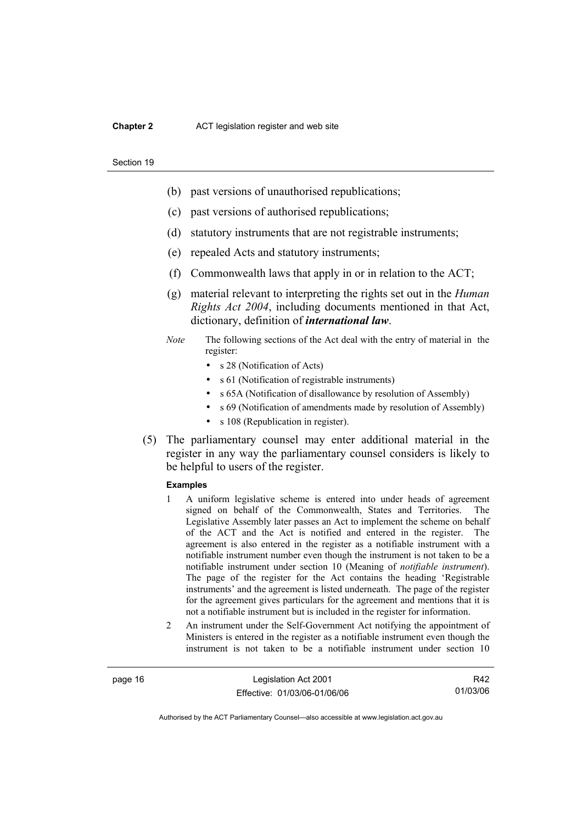#### **Chapter 2** ACT legislation register and web site

#### Section 19

- (b) past versions of unauthorised republications;
- (c) past versions of authorised republications;
- (d) statutory instruments that are not registrable instruments;
- (e) repealed Acts and statutory instruments;
- (f) Commonwealth laws that apply in or in relation to the ACT;
- (g) material relevant to interpreting the rights set out in the *Human Rights Act 2004*, including documents mentioned in that Act, dictionary, definition of *international law*.
- *Note* The following sections of the Act deal with the entry of material in the register:
	- s 28 (Notification of Acts)
	- s 61 (Notification of registrable instruments)
	- s 65A (Notification of disallowance by resolution of Assembly)
	- s 69 (Notification of amendments made by resolution of Assembly)
	- s 108 (Republication in register).
- (5) The parliamentary counsel may enter additional material in the register in any way the parliamentary counsel considers is likely to be helpful to users of the register.

#### **Examples**

- 1 A uniform legislative scheme is entered into under heads of agreement signed on behalf of the Commonwealth, States and Territories. The Legislative Assembly later passes an Act to implement the scheme on behalf of the ACT and the Act is notified and entered in the register. The agreement is also entered in the register as a notifiable instrument with a notifiable instrument number even though the instrument is not taken to be a notifiable instrument under section 10 (Meaning of *notifiable instrument*). The page of the register for the Act contains the heading 'Registrable instruments' and the agreement is listed underneath. The page of the register for the agreement gives particulars for the agreement and mentions that it is not a notifiable instrument but is included in the register for information.
- 2 An instrument under the Self-Government Act notifying the appointment of Ministers is entered in the register as a notifiable instrument even though the instrument is not taken to be a notifiable instrument under section 10

page 16 Legislation Act 2001 Effective: 01/03/06-01/06/06

R42 01/03/06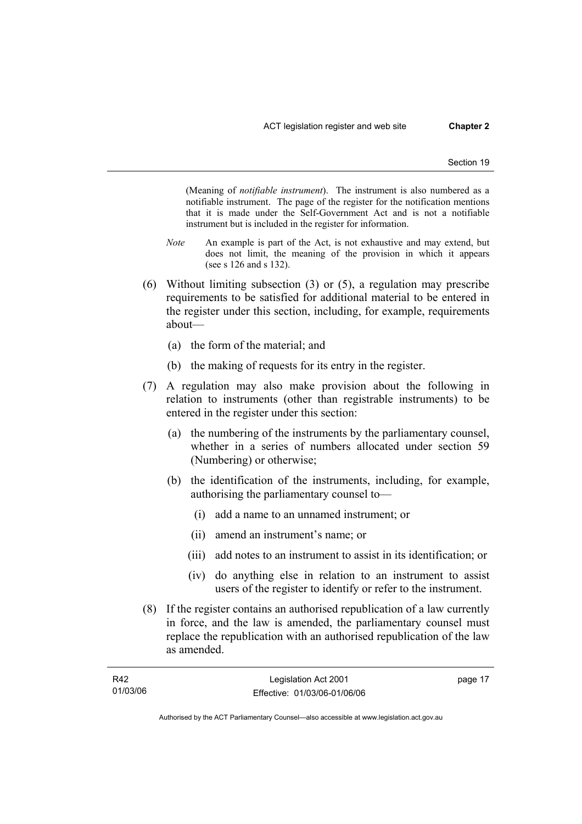(Meaning of *notifiable instrument*). The instrument is also numbered as a notifiable instrument. The page of the register for the notification mentions that it is made under the Self-Government Act and is not a notifiable instrument but is included in the register for information.

- *Note* An example is part of the Act, is not exhaustive and may extend, but does not limit, the meaning of the provision in which it appears (see s 126 and s 132).
- (6) Without limiting subsection (3) or (5), a regulation may prescribe requirements to be satisfied for additional material to be entered in the register under this section, including, for example, requirements about—
	- (a) the form of the material; and
	- (b) the making of requests for its entry in the register.
- (7) A regulation may also make provision about the following in relation to instruments (other than registrable instruments) to be entered in the register under this section:
	- (a) the numbering of the instruments by the parliamentary counsel, whether in a series of numbers allocated under section 59 (Numbering) or otherwise;
	- (b) the identification of the instruments, including, for example, authorising the parliamentary counsel to—
		- (i) add a name to an unnamed instrument; or
		- (ii) amend an instrument's name; or
		- (iii) add notes to an instrument to assist in its identification; or
		- (iv) do anything else in relation to an instrument to assist users of the register to identify or refer to the instrument.
- (8) If the register contains an authorised republication of a law currently in force, and the law is amended, the parliamentary counsel must replace the republication with an authorised republication of the law as amended.

| R42      | Legislation Act 2001         | page 17 |
|----------|------------------------------|---------|
| 01/03/06 | Effective: 01/03/06-01/06/06 |         |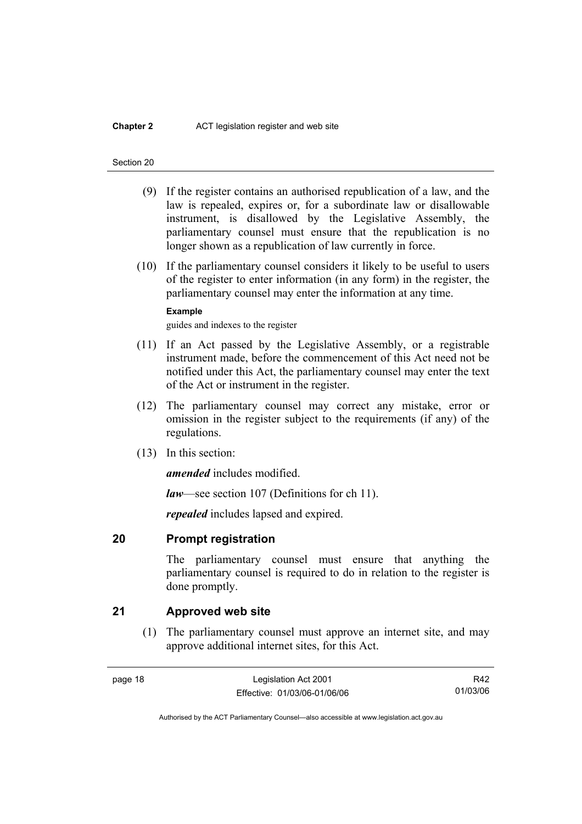#### **Chapter 2** ACT legislation register and web site

#### Section 20

- (9) If the register contains an authorised republication of a law, and the law is repealed, expires or, for a subordinate law or disallowable instrument, is disallowed by the Legislative Assembly, the parliamentary counsel must ensure that the republication is no longer shown as a republication of law currently in force.
- (10) If the parliamentary counsel considers it likely to be useful to users of the register to enter information (in any form) in the register, the parliamentary counsel may enter the information at any time.

#### **Example**

guides and indexes to the register

- (11) If an Act passed by the Legislative Assembly, or a registrable instrument made, before the commencement of this Act need not be notified under this Act, the parliamentary counsel may enter the text of the Act or instrument in the register.
- (12) The parliamentary counsel may correct any mistake, error or omission in the register subject to the requirements (if any) of the regulations.
- (13) In this section:

*amended* includes modified.

*law*—see section 107 (Definitions for ch 11).

*repealed* includes lapsed and expired.

## **20 Prompt registration**

The parliamentary counsel must ensure that anything the parliamentary counsel is required to do in relation to the register is done promptly.

## **21 Approved web site**

 (1) The parliamentary counsel must approve an internet site, and may approve additional internet sites, for this Act.

page 18 Legislation Act 2001 Effective: 01/03/06-01/06/06

R42 01/03/06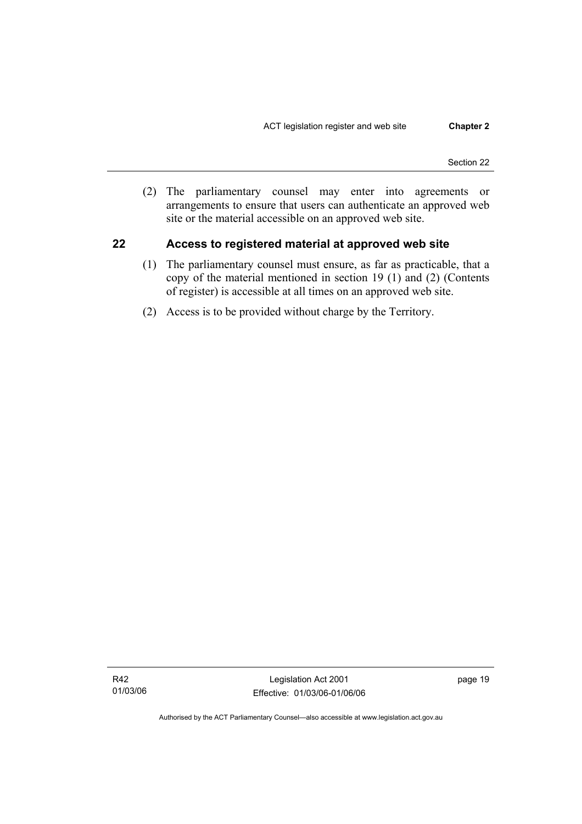(2) The parliamentary counsel may enter into agreements or arrangements to ensure that users can authenticate an approved web site or the material accessible on an approved web site.

### **22 Access to registered material at approved web site**

- (1) The parliamentary counsel must ensure, as far as practicable, that a copy of the material mentioned in section 19 (1) and (2) (Contents of register) is accessible at all times on an approved web site.
- (2) Access is to be provided without charge by the Territory.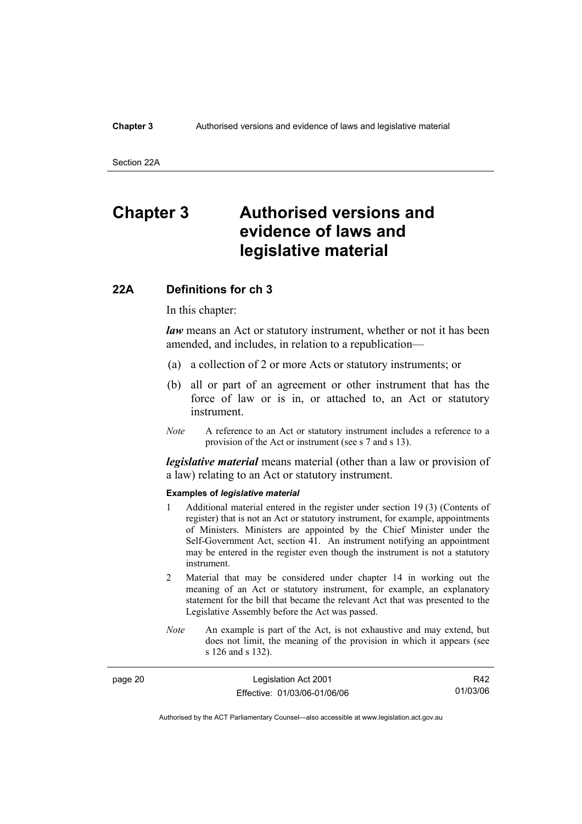#### **Chapter 3** Authorised versions and evidence of laws and legislative material

Section 22A

# **Chapter 3 Authorised versions and evidence of laws and legislative material**

#### **22A Definitions for ch 3**

In this chapter:

*law* means an Act or statutory instrument, whether or not it has been amended, and includes, in relation to a republication—

- (a) a collection of 2 or more Acts or statutory instruments; or
- (b) all or part of an agreement or other instrument that has the force of law or is in, or attached to, an Act or statutory instrument.
- *Note* A reference to an Act or statutory instrument includes a reference to a provision of the Act or instrument (see s 7 and s 13).

*legislative material* means material (other than a law or provision of a law) relating to an Act or statutory instrument.

#### **Examples of** *legislative material*

- 1 Additional material entered in the register under section 19 (3) (Contents of register) that is not an Act or statutory instrument, for example, appointments of Ministers. Ministers are appointed by the Chief Minister under the Self-Government Act, section 41. An instrument notifying an appointment may be entered in the register even though the instrument is not a statutory instrument.
- 2 Material that may be considered under chapter 14 in working out the meaning of an Act or statutory instrument, for example, an explanatory statement for the bill that became the relevant Act that was presented to the Legislative Assembly before the Act was passed.
- *Note* An example is part of the Act, is not exhaustive and may extend, but does not limit, the meaning of the provision in which it appears (see s 126 and s 132).

| page 20 | Legislation Act 2001         | R42      |
|---------|------------------------------|----------|
|         | Effective: 01/03/06-01/06/06 | 01/03/06 |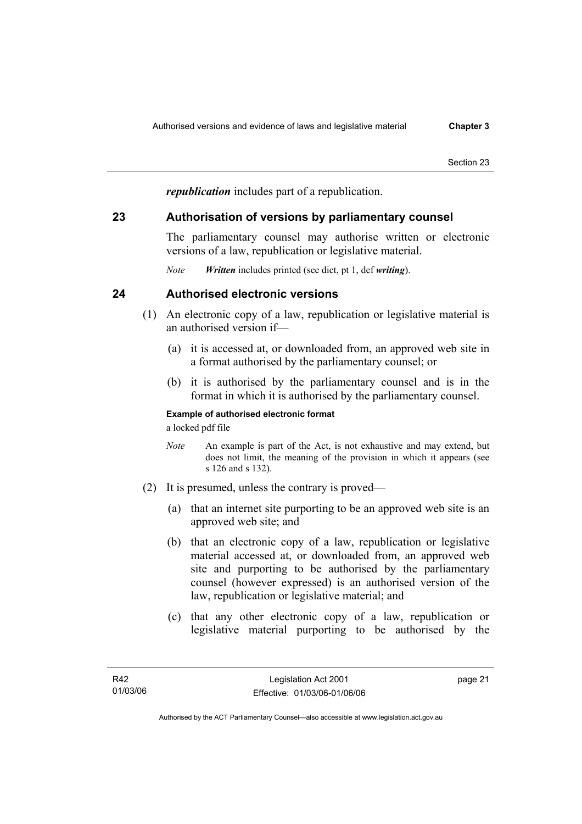*republication* includes part of a republication.

### **23 Authorisation of versions by parliamentary counsel**

The parliamentary counsel may authorise written or electronic versions of a law, republication or legislative material.

*Note Written* includes printed (see dict, pt 1, def *writing*).

## **24 Authorised electronic versions**

- (1) An electronic copy of a law, republication or legislative material is an authorised version if—
	- (a) it is accessed at, or downloaded from, an approved web site in a format authorised by the parliamentary counsel; or
	- (b) it is authorised by the parliamentary counsel and is in the format in which it is authorised by the parliamentary counsel.

### **Example of authorised electronic format**

a locked pdf file

- *Note* An example is part of the Act, is not exhaustive and may extend, but does not limit, the meaning of the provision in which it appears (see s 126 and s 132).
- (2) It is presumed, unless the contrary is proved—
	- (a) that an internet site purporting to be an approved web site is an approved web site; and
	- (b) that an electronic copy of a law, republication or legislative material accessed at, or downloaded from, an approved web site and purporting to be authorised by the parliamentary counsel (however expressed) is an authorised version of the law, republication or legislative material; and
	- (c) that any other electronic copy of a law, republication or legislative material purporting to be authorised by the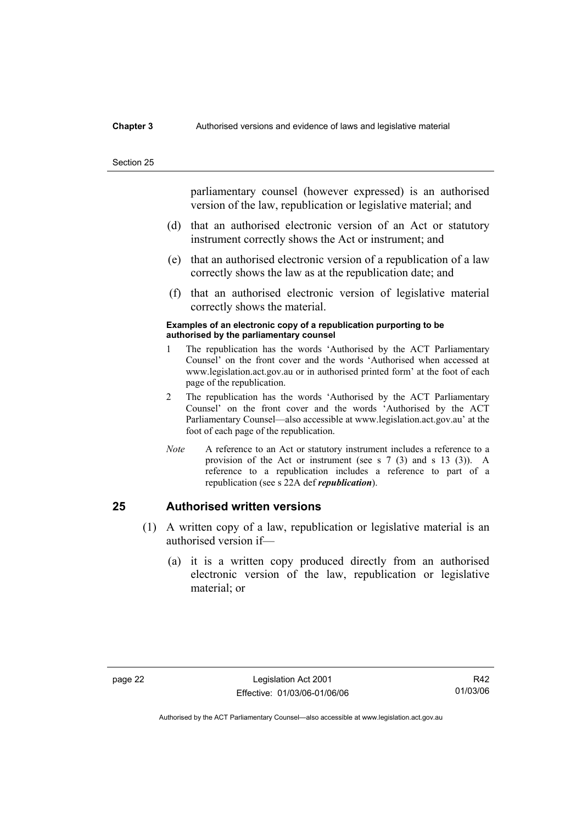#### **Chapter 3** Authorised versions and evidence of laws and legislative material

#### Section 25

parliamentary counsel (however expressed) is an authorised version of the law, republication or legislative material; and

- (d) that an authorised electronic version of an Act or statutory instrument correctly shows the Act or instrument; and
- (e) that an authorised electronic version of a republication of a law correctly shows the law as at the republication date; and
- (f) that an authorised electronic version of legislative material correctly shows the material.

#### **Examples of an electronic copy of a republication purporting to be authorised by the parliamentary counsel**

- 1 The republication has the words 'Authorised by the ACT Parliamentary Counsel' on the front cover and the words 'Authorised when accessed at www.legislation.act.gov.au or in authorised printed form' at the foot of each page of the republication.
- 2 The republication has the words 'Authorised by the ACT Parliamentary Counsel' on the front cover and the words 'Authorised by the ACT Parliamentary Counsel—also accessible at www.legislation.act.gov.au' at the foot of each page of the republication.
- *Note* A reference to an Act or statutory instrument includes a reference to a provision of the Act or instrument (see s 7 (3) and s 13 (3)). A reference to a republication includes a reference to part of a republication (see s 22A def *republication*).

### **25 Authorised written versions**

- (1) A written copy of a law, republication or legislative material is an authorised version if—
	- (a) it is a written copy produced directly from an authorised electronic version of the law, republication or legislative material; or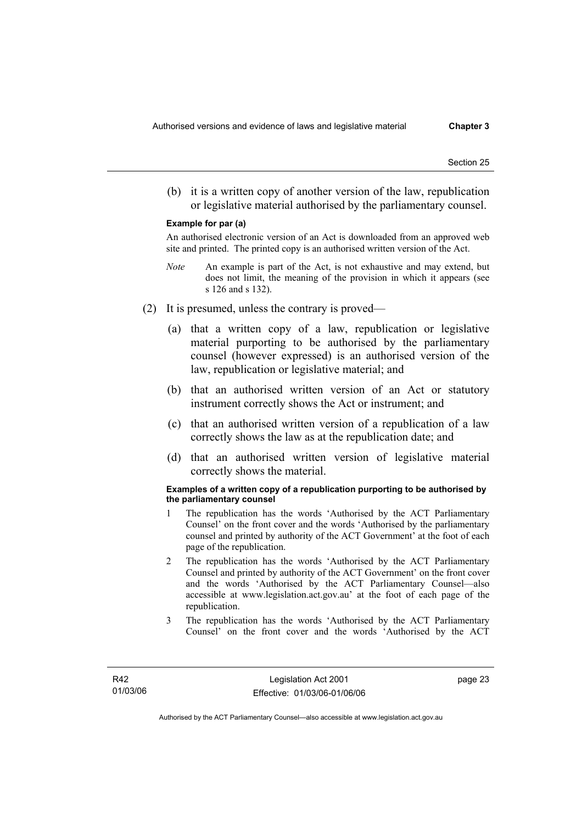(b) it is a written copy of another version of the law, republication or legislative material authorised by the parliamentary counsel.

#### **Example for par (a)**

An authorised electronic version of an Act is downloaded from an approved web site and printed. The printed copy is an authorised written version of the Act.

- *Note* An example is part of the Act, is not exhaustive and may extend, but does not limit, the meaning of the provision in which it appears (see s 126 and s 132).
- (2) It is presumed, unless the contrary is proved—
	- (a) that a written copy of a law, republication or legislative material purporting to be authorised by the parliamentary counsel (however expressed) is an authorised version of the law, republication or legislative material; and
	- (b) that an authorised written version of an Act or statutory instrument correctly shows the Act or instrument; and
	- (c) that an authorised written version of a republication of a law correctly shows the law as at the republication date; and
	- (d) that an authorised written version of legislative material correctly shows the material.

#### **Examples of a written copy of a republication purporting to be authorised by the parliamentary counsel**

- 1 The republication has the words 'Authorised by the ACT Parliamentary Counsel' on the front cover and the words 'Authorised by the parliamentary counsel and printed by authority of the ACT Government' at the foot of each page of the republication.
- 2 The republication has the words 'Authorised by the ACT Parliamentary Counsel and printed by authority of the ACT Government' on the front cover and the words 'Authorised by the ACT Parliamentary Counsel—also accessible at www.legislation.act.gov.au' at the foot of each page of the republication.
- 3 The republication has the words 'Authorised by the ACT Parliamentary Counsel' on the front cover and the words 'Authorised by the ACT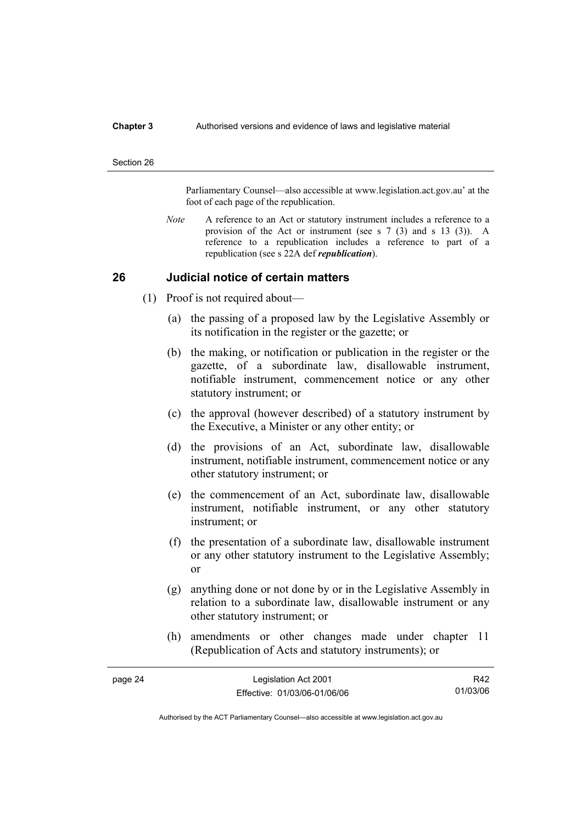#### **Chapter 3** Authorised versions and evidence of laws and legislative material

#### Section 26

Parliamentary Counsel—also accessible at www.legislation.act.gov.au' at the foot of each page of the republication.

*Note* A reference to an Act or statutory instrument includes a reference to a provision of the Act or instrument (see s 7 (3) and s 13 (3)). A reference to a republication includes a reference to part of a republication (see s 22A def *republication*).

### **26 Judicial notice of certain matters**

- (1) Proof is not required about—
	- (a) the passing of a proposed law by the Legislative Assembly or its notification in the register or the gazette; or
	- (b) the making, or notification or publication in the register or the gazette, of a subordinate law, disallowable instrument, notifiable instrument, commencement notice or any other statutory instrument; or
	- (c) the approval (however described) of a statutory instrument by the Executive, a Minister or any other entity; or
	- (d) the provisions of an Act, subordinate law, disallowable instrument, notifiable instrument, commencement notice or any other statutory instrument; or
	- (e) the commencement of an Act, subordinate law, disallowable instrument, notifiable instrument, or any other statutory instrument; or
	- (f) the presentation of a subordinate law, disallowable instrument or any other statutory instrument to the Legislative Assembly; or
	- (g) anything done or not done by or in the Legislative Assembly in relation to a subordinate law, disallowable instrument or any other statutory instrument; or
	- (h) amendments or other changes made under chapter 11 (Republication of Acts and statutory instruments); or

| page 24 | Legislation Act 2001         | R42      |
|---------|------------------------------|----------|
|         | Effective: 01/03/06-01/06/06 | 01/03/06 |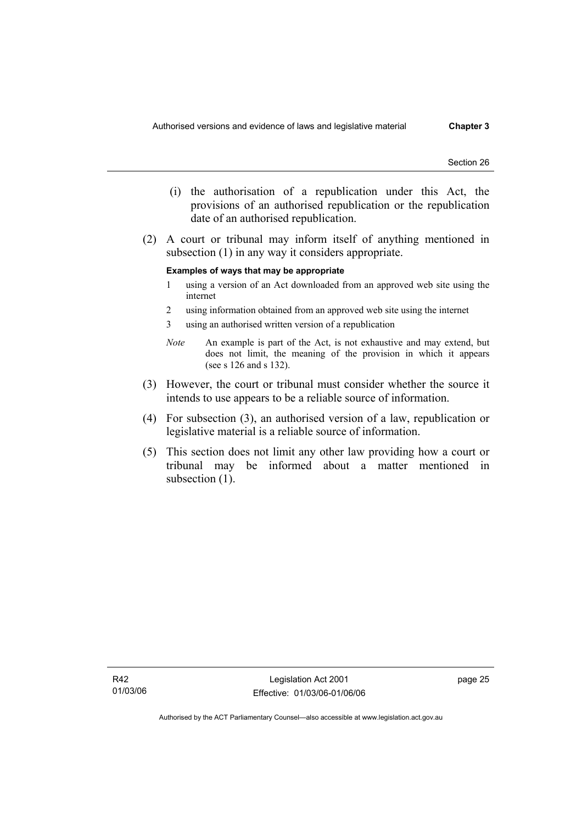- (i) the authorisation of a republication under this Act, the provisions of an authorised republication or the republication date of an authorised republication.
- (2) A court or tribunal may inform itself of anything mentioned in subsection (1) in any way it considers appropriate.

#### **Examples of ways that may be appropriate**

- 1 using a version of an Act downloaded from an approved web site using the internet
- 2 using information obtained from an approved web site using the internet
- 3 using an authorised written version of a republication
- *Note* An example is part of the Act, is not exhaustive and may extend, but does not limit, the meaning of the provision in which it appears (see s 126 and s 132).
- (3) However, the court or tribunal must consider whether the source it intends to use appears to be a reliable source of information.
- (4) For subsection (3), an authorised version of a law, republication or legislative material is a reliable source of information.
- (5) This section does not limit any other law providing how a court or tribunal may be informed about a matter mentioned in subsection  $(1)$ .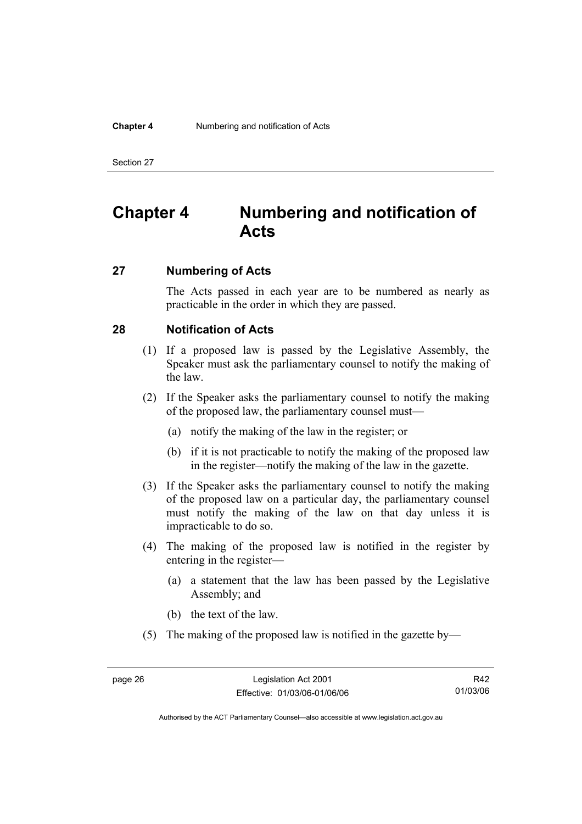#### **Chapter 4** Numbering and notification of Acts

Section 27

# **Chapter 4 Numbering and notification of Acts**

### **27 Numbering of Acts**

The Acts passed in each year are to be numbered as nearly as practicable in the order in which they are passed.

### **28 Notification of Acts**

- (1) If a proposed law is passed by the Legislative Assembly, the Speaker must ask the parliamentary counsel to notify the making of the law.
- (2) If the Speaker asks the parliamentary counsel to notify the making of the proposed law, the parliamentary counsel must—
	- (a) notify the making of the law in the register; or
	- (b) if it is not practicable to notify the making of the proposed law in the register—notify the making of the law in the gazette.
- (3) If the Speaker asks the parliamentary counsel to notify the making of the proposed law on a particular day, the parliamentary counsel must notify the making of the law on that day unless it is impracticable to do so.
- (4) The making of the proposed law is notified in the register by entering in the register—
	- (a) a statement that the law has been passed by the Legislative Assembly; and
	- (b) the text of the law.
- (5) The making of the proposed law is notified in the gazette by—

R42 01/03/06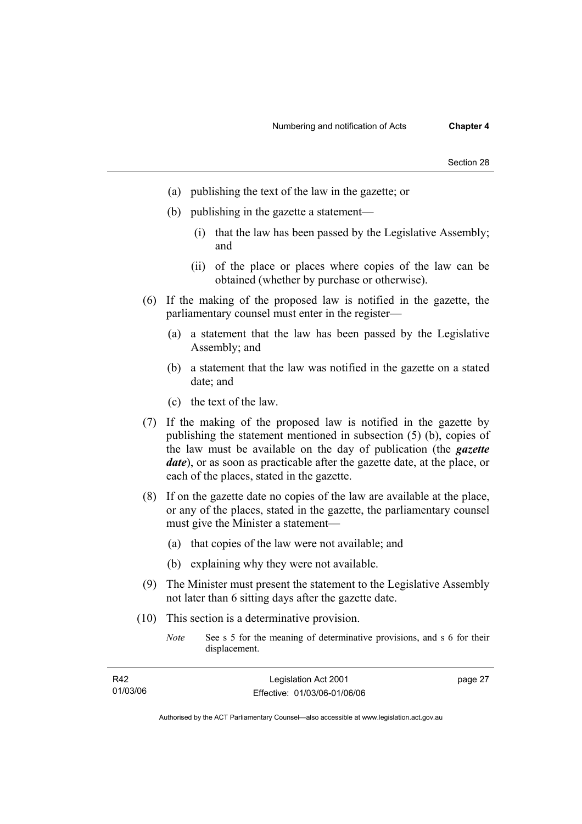- (a) publishing the text of the law in the gazette; or
- (b) publishing in the gazette a statement—
	- (i) that the law has been passed by the Legislative Assembly; and
	- (ii) of the place or places where copies of the law can be obtained (whether by purchase or otherwise).
- (6) If the making of the proposed law is notified in the gazette, the parliamentary counsel must enter in the register—
	- (a) a statement that the law has been passed by the Legislative Assembly; and
	- (b) a statement that the law was notified in the gazette on a stated date; and
	- (c) the text of the law.
- (7) If the making of the proposed law is notified in the gazette by publishing the statement mentioned in subsection (5) (b), copies of the law must be available on the day of publication (the *gazette date*), or as soon as practicable after the gazette date, at the place, or each of the places, stated in the gazette.
- (8) If on the gazette date no copies of the law are available at the place, or any of the places, stated in the gazette, the parliamentary counsel must give the Minister a statement—
	- (a) that copies of the law were not available; and
	- (b) explaining why they were not available.
- (9) The Minister must present the statement to the Legislative Assembly not later than 6 sitting days after the gazette date.
- (10) This section is a determinative provision.
	- *Note* See s 5 for the meaning of determinative provisions, and s 6 for their displacement.

| R42      | Legislation Act 2001         | page 27 |
|----------|------------------------------|---------|
| 01/03/06 | Effective: 01/03/06-01/06/06 |         |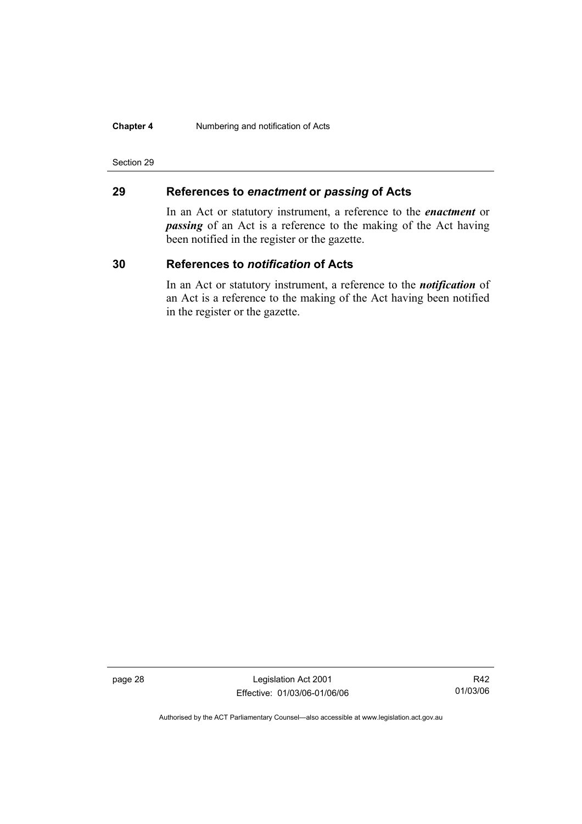#### **Chapter 4** Numbering and notification of Acts

#### Section 29

### **29 References to** *enactment* **or** *passing* **of Acts**

In an Act or statutory instrument, a reference to the *enactment* or *passing* of an Act is a reference to the making of the Act having been notified in the register or the gazette.

### **30 References to** *notification* **of Acts**

In an Act or statutory instrument, a reference to the *notification* of an Act is a reference to the making of the Act having been notified in the register or the gazette.

page 28 Legislation Act 2001 Effective: 01/03/06-01/06/06

R42 01/03/06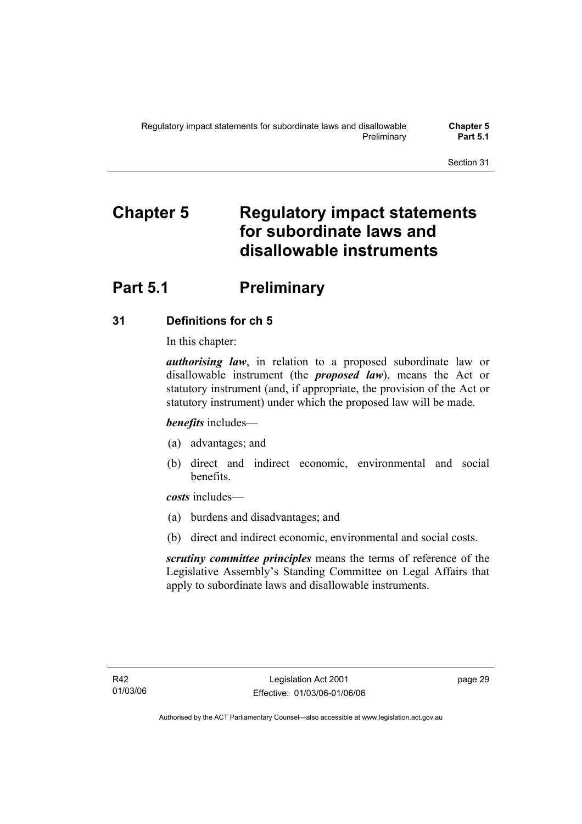# **Chapter 5 Regulatory impact statements for subordinate laws and disallowable instruments**

# **Part 5.1** Preliminary

## **31 Definitions for ch 5**

In this chapter:

*authorising law*, in relation to a proposed subordinate law or disallowable instrument (the *proposed law*), means the Act or statutory instrument (and, if appropriate, the provision of the Act or statutory instrument) under which the proposed law will be made.

*benefits* includes—

- (a) advantages; and
- (b) direct and indirect economic, environmental and social benefits.

*costs* includes—

- (a) burdens and disadvantages; and
- (b) direct and indirect economic, environmental and social costs.

*scrutiny committee principles* means the terms of reference of the Legislative Assembly's Standing Committee on Legal Affairs that apply to subordinate laws and disallowable instruments.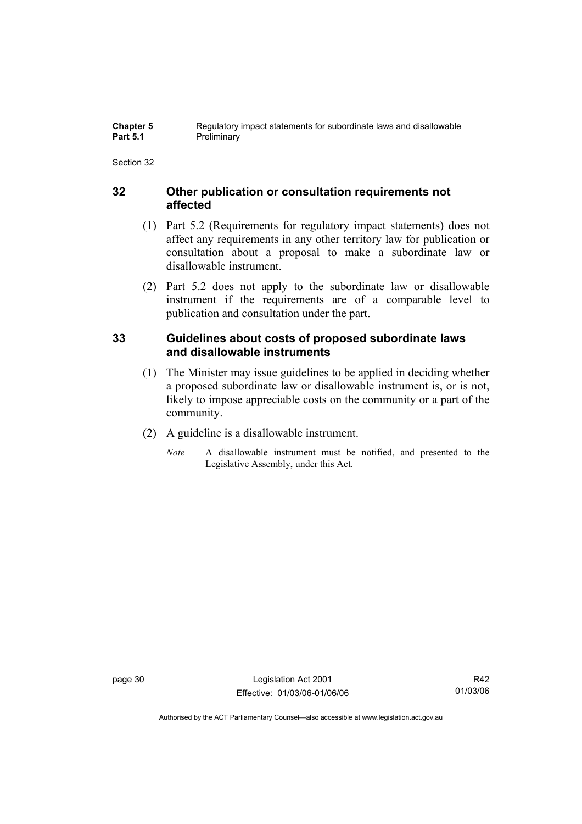### **32 Other publication or consultation requirements not affected**

- (1) Part 5.2 (Requirements for regulatory impact statements) does not affect any requirements in any other territory law for publication or consultation about a proposal to make a subordinate law or disallowable instrument.
- (2) Part 5.2 does not apply to the subordinate law or disallowable instrument if the requirements are of a comparable level to publication and consultation under the part.

## **33 Guidelines about costs of proposed subordinate laws and disallowable instruments**

- (1) The Minister may issue guidelines to be applied in deciding whether a proposed subordinate law or disallowable instrument is, or is not, likely to impose appreciable costs on the community or a part of the community.
- (2) A guideline is a disallowable instrument.
	- *Note* A disallowable instrument must be notified, and presented to the Legislative Assembly, under this Act.

page 30 Legislation Act 2001 Effective: 01/03/06-01/06/06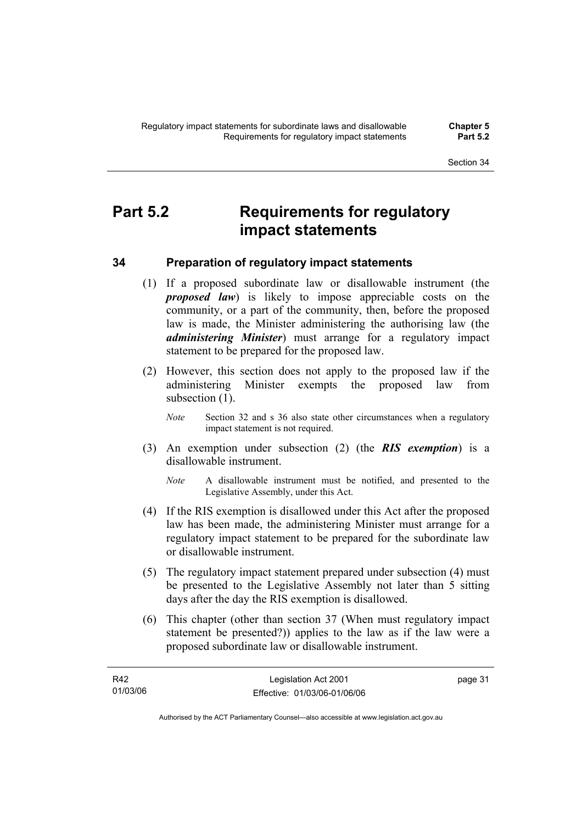# **Part 5.2 Requirements for regulatory impact statements**

## **34 Preparation of regulatory impact statements**

- (1) If a proposed subordinate law or disallowable instrument (the *proposed law*) is likely to impose appreciable costs on the community, or a part of the community, then, before the proposed law is made, the Minister administering the authorising law (the *administering Minister*) must arrange for a regulatory impact statement to be prepared for the proposed law.
- (2) However, this section does not apply to the proposed law if the administering Minister exempts the proposed law from subsection  $(1)$ .
	- *Note* Section 32 and s 36 also state other circumstances when a regulatory impact statement is not required.
- (3) An exemption under subsection (2) (the *RIS exemption*) is a disallowable instrument.
	- *Note* A disallowable instrument must be notified, and presented to the Legislative Assembly, under this Act.
- (4) If the RIS exemption is disallowed under this Act after the proposed law has been made, the administering Minister must arrange for a regulatory impact statement to be prepared for the subordinate law or disallowable instrument.
- (5) The regulatory impact statement prepared under subsection (4) must be presented to the Legislative Assembly not later than 5 sitting days after the day the RIS exemption is disallowed.
- (6) This chapter (other than section 37 (When must regulatory impact statement be presented?)) applies to the law as if the law were a proposed subordinate law or disallowable instrument.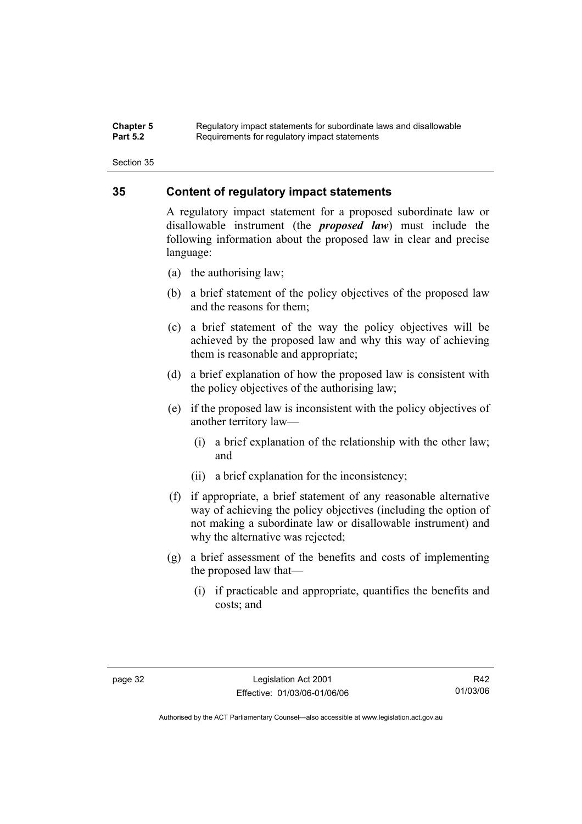#### **Chapter 5** Regulatory impact statements for subordinate laws and disallowable<br>**Part 5.2** Requirements for requistory impact statements Requirements for regulatory impact statements

Section 35

### **35 Content of regulatory impact statements**

A regulatory impact statement for a proposed subordinate law or disallowable instrument (the *proposed law*) must include the following information about the proposed law in clear and precise language:

- (a) the authorising law;
- (b) a brief statement of the policy objectives of the proposed law and the reasons for them;
- (c) a brief statement of the way the policy objectives will be achieved by the proposed law and why this way of achieving them is reasonable and appropriate;
- (d) a brief explanation of how the proposed law is consistent with the policy objectives of the authorising law;
- (e) if the proposed law is inconsistent with the policy objectives of another territory law—
	- (i) a brief explanation of the relationship with the other law; and
	- (ii) a brief explanation for the inconsistency;
- (f) if appropriate, a brief statement of any reasonable alternative way of achieving the policy objectives (including the option of not making a subordinate law or disallowable instrument) and why the alternative was rejected;
- (g) a brief assessment of the benefits and costs of implementing the proposed law that—
	- (i) if practicable and appropriate, quantifies the benefits and costs; and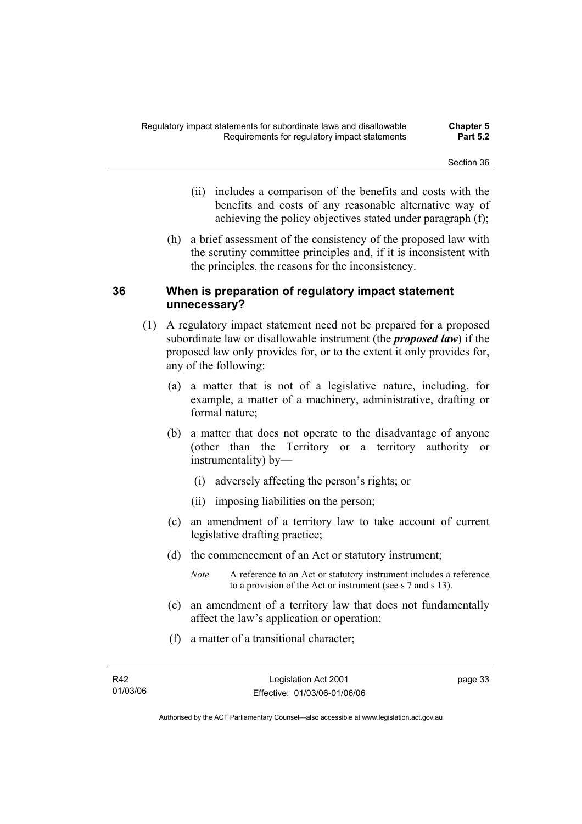- (ii) includes a comparison of the benefits and costs with the benefits and costs of any reasonable alternative way of achieving the policy objectives stated under paragraph (f);
- (h) a brief assessment of the consistency of the proposed law with the scrutiny committee principles and, if it is inconsistent with the principles, the reasons for the inconsistency.

### **36 When is preparation of regulatory impact statement unnecessary?**

- (1) A regulatory impact statement need not be prepared for a proposed subordinate law or disallowable instrument (the *proposed law*) if the proposed law only provides for, or to the extent it only provides for, any of the following:
	- (a) a matter that is not of a legislative nature, including, for example, a matter of a machinery, administrative, drafting or formal nature;
	- (b) a matter that does not operate to the disadvantage of anyone (other than the Territory or a territory authority or instrumentality) by—
		- (i) adversely affecting the person's rights; or
		- (ii) imposing liabilities on the person;
	- (c) an amendment of a territory law to take account of current legislative drafting practice;
	- (d) the commencement of an Act or statutory instrument;
		- *Note* A reference to an Act or statutory instrument includes a reference to a provision of the Act or instrument (see s 7 and s 13).
	- (e) an amendment of a territory law that does not fundamentally affect the law's application or operation;
	- (f) a matter of a transitional character;

page 33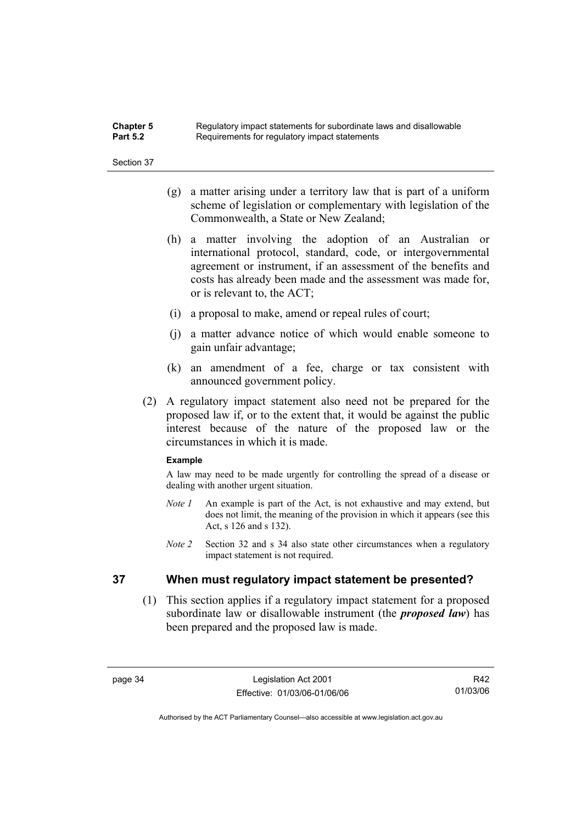| <b>Chapter 5</b> | Regulatory impact statements for subordinate laws and disallowable |
|------------------|--------------------------------------------------------------------|
| <b>Part 5.2</b>  | Requirements for regulatory impact statements                      |

- (g) a matter arising under a territory law that is part of a uniform scheme of legislation or complementary with legislation of the Commonwealth, a State or New Zealand;
- (h) a matter involving the adoption of an Australian or international protocol, standard, code, or intergovernmental agreement or instrument, if an assessment of the benefits and costs has already been made and the assessment was made for, or is relevant to, the ACT;
- (i) a proposal to make, amend or repeal rules of court;
- (j) a matter advance notice of which would enable someone to gain unfair advantage;
- (k) an amendment of a fee, charge or tax consistent with announced government policy.
- (2) A regulatory impact statement also need not be prepared for the proposed law if, or to the extent that, it would be against the public interest because of the nature of the proposed law or the circumstances in which it is made.

#### **Example**

A law may need to be made urgently for controlling the spread of a disease or dealing with another urgent situation.

- *Note 1* An example is part of the Act, is not exhaustive and may extend, but does not limit, the meaning of the provision in which it appears (see this Act, s 126 and s 132).
- *Note 2* Section 32 and s 34 also state other circumstances when a regulatory impact statement is not required.

### **37 When must regulatory impact statement be presented?**

 (1) This section applies if a regulatory impact statement for a proposed subordinate law or disallowable instrument (the *proposed law*) has been prepared and the proposed law is made.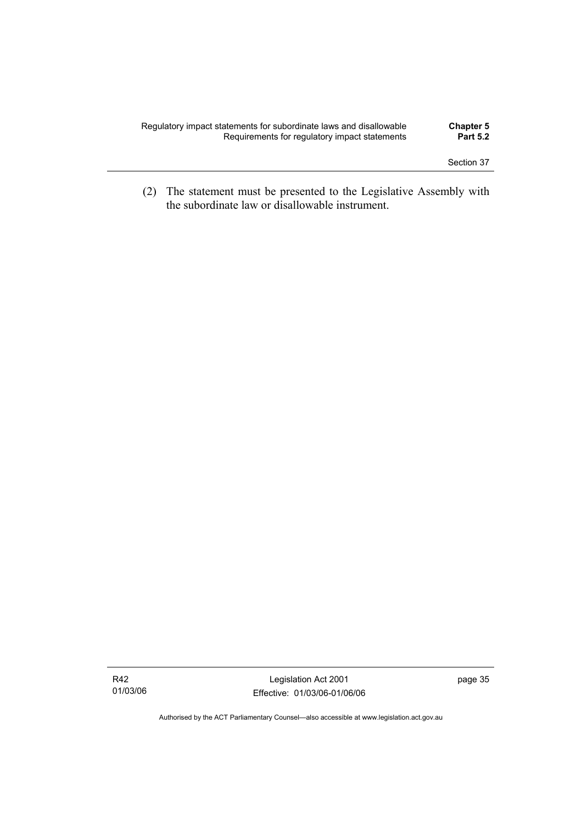| Regulatory impact statements for subordinate laws and disallowable | <b>Chapter 5</b> |
|--------------------------------------------------------------------|------------------|
| Requirements for regulatory impact statements                      | <b>Part 5.2</b>  |
|                                                                    |                  |

 (2) The statement must be presented to the Legislative Assembly with the subordinate law or disallowable instrument.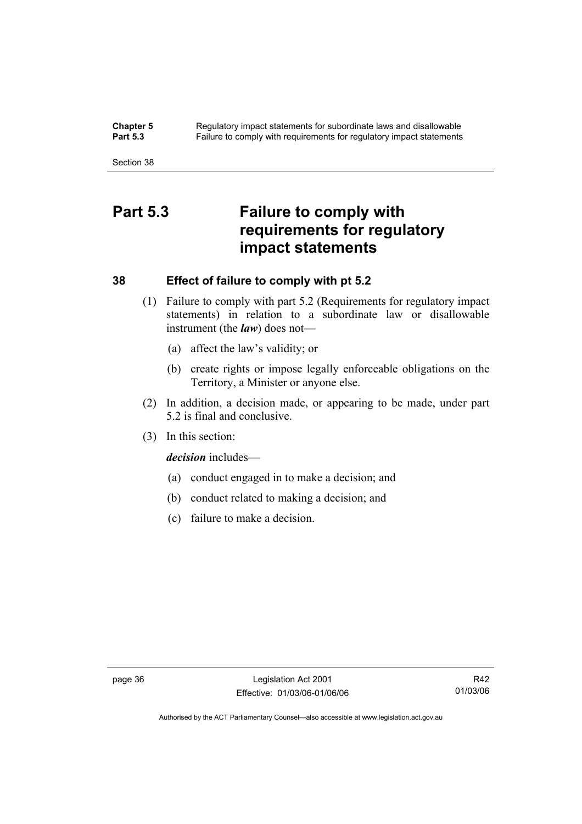**Chapter 5** Regulatory impact statements for subordinate laws and disallowable<br>**Part 5.3** Failure to comply with requirements for requilatory impact statements Failure to comply with requirements for regulatory impact statements

Section 38

# **Part 5.3 Failure to comply with requirements for regulatory impact statements**

### **38 Effect of failure to comply with pt 5.2**

- (1) Failure to comply with part 5.2 (Requirements for regulatory impact statements) in relation to a subordinate law or disallowable instrument (the *law*) does not—
	- (a) affect the law's validity; or
	- (b) create rights or impose legally enforceable obligations on the Territory, a Minister or anyone else.
- (2) In addition, a decision made, or appearing to be made, under part 5.2 is final and conclusive.
- (3) In this section:

*decision* includes—

- (a) conduct engaged in to make a decision; and
- (b) conduct related to making a decision; and
- (c) failure to make a decision.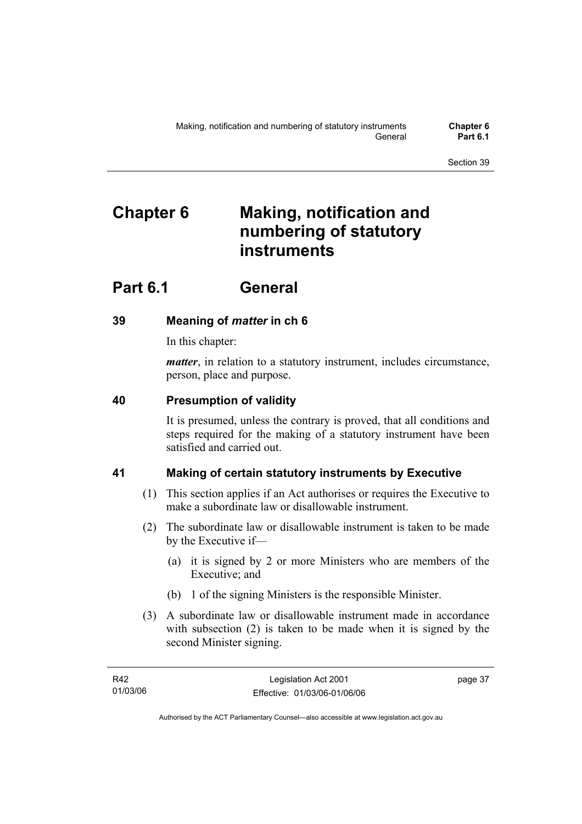# **Chapter 6 Making, notification and numbering of statutory instruments**

# **Part 6.1 General**

## **39 Meaning of** *matter* **in ch 6**

In this chapter:

*matter*, in relation to a statutory instrument, includes circumstance, person, place and purpose.

## **40 Presumption of validity**

It is presumed, unless the contrary is proved, that all conditions and steps required for the making of a statutory instrument have been satisfied and carried out.

## **41 Making of certain statutory instruments by Executive**

- (1) This section applies if an Act authorises or requires the Executive to make a subordinate law or disallowable instrument.
- (2) The subordinate law or disallowable instrument is taken to be made by the Executive if—
	- (a) it is signed by 2 or more Ministers who are members of the Executive; and
	- (b) 1 of the signing Ministers is the responsible Minister.
- (3) A subordinate law or disallowable instrument made in accordance with subsection (2) is taken to be made when it is signed by the second Minister signing.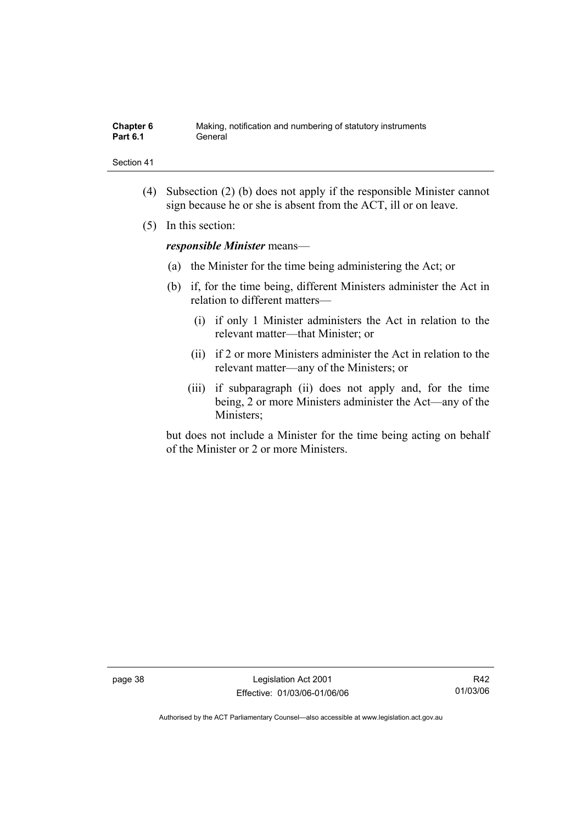| Chapter 6       | Making, notification and numbering of statutory instruments |
|-----------------|-------------------------------------------------------------|
| <b>Part 6.1</b> | General                                                     |

- (4) Subsection (2) (b) does not apply if the responsible Minister cannot sign because he or she is absent from the ACT, ill or on leave.
- (5) In this section:

*responsible Minister* means—

- (a) the Minister for the time being administering the Act; or
- (b) if, for the time being, different Ministers administer the Act in relation to different matters—
	- (i) if only 1 Minister administers the Act in relation to the relevant matter—that Minister; or
	- (ii) if 2 or more Ministers administer the Act in relation to the relevant matter—any of the Ministers; or
	- (iii) if subparagraph (ii) does not apply and, for the time being, 2 or more Ministers administer the Act—any of the Ministers;

but does not include a Minister for the time being acting on behalf of the Minister or 2 or more Ministers.

page 38 Legislation Act 2001 Effective: 01/03/06-01/06/06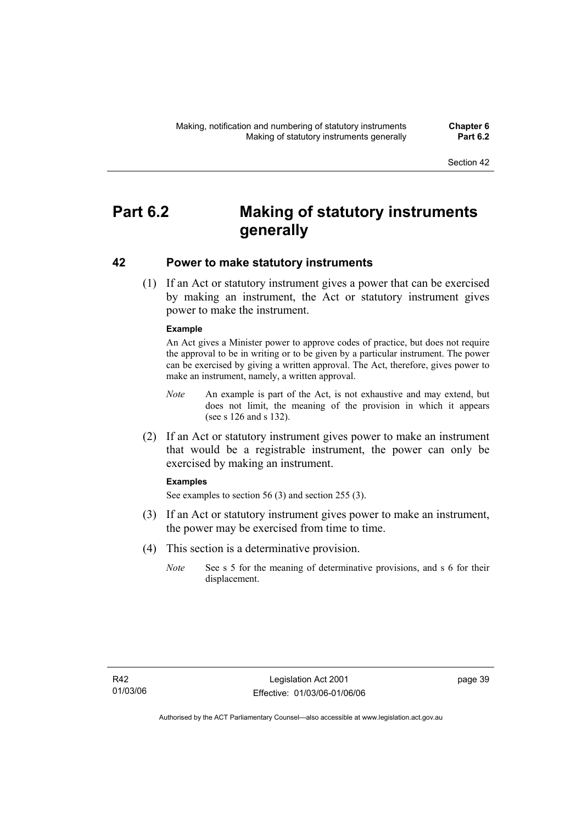# **Part 6.2 Making of statutory instruments generally**

### **42 Power to make statutory instruments**

 (1) If an Act or statutory instrument gives a power that can be exercised by making an instrument, the Act or statutory instrument gives power to make the instrument.

### **Example**

An Act gives a Minister power to approve codes of practice, but does not require the approval to be in writing or to be given by a particular instrument. The power can be exercised by giving a written approval. The Act, therefore, gives power to make an instrument, namely, a written approval.

- *Note* An example is part of the Act, is not exhaustive and may extend, but does not limit, the meaning of the provision in which it appears (see s 126 and s 132).
- (2) If an Act or statutory instrument gives power to make an instrument that would be a registrable instrument, the power can only be exercised by making an instrument.

#### **Examples**

See examples to section 56 (3) and section 255 (3).

- (3) If an Act or statutory instrument gives power to make an instrument, the power may be exercised from time to time.
- (4) This section is a determinative provision.
	- *Note* See s 5 for the meaning of determinative provisions, and s 6 for their displacement.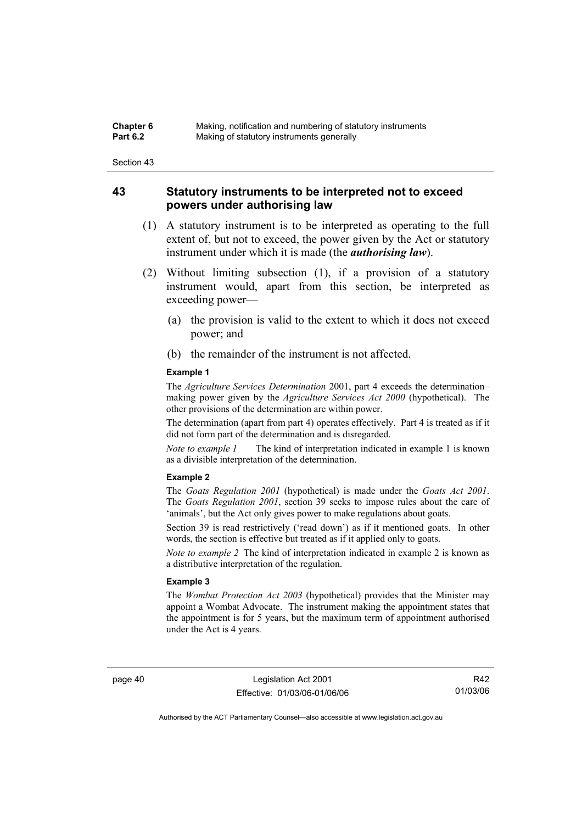| Chapter 6       | Making, notification and numbering of statutory instruments |
|-----------------|-------------------------------------------------------------|
| <b>Part 6.2</b> | Making of statutory instruments generally                   |

### **43 Statutory instruments to be interpreted not to exceed powers under authorising law**

- (1) A statutory instrument is to be interpreted as operating to the full extent of, but not to exceed, the power given by the Act or statutory instrument under which it is made (the *authorising law*).
- (2) Without limiting subsection (1), if a provision of a statutory instrument would, apart from this section, be interpreted as exceeding power—
	- (a) the provision is valid to the extent to which it does not exceed power; and
	- (b) the remainder of the instrument is not affected.

#### **Example 1**

The *Agriculture Services Determination* 2001, part 4 exceeds the determination– making power given by the *Agriculture Services Act 2000* (hypothetical). The other provisions of the determination are within power.

The determination (apart from part 4) operates effectively. Part 4 is treated as if it did not form part of the determination and is disregarded.

*Note to example 1* The kind of interpretation indicated in example 1 is known as a divisible interpretation of the determination.

#### **Example 2**

The *Goats Regulation 2001* (hypothetical) is made under the *Goats Act 2001*. The *Goats Regulation 2001*, section 39 seeks to impose rules about the care of 'animals', but the Act only gives power to make regulations about goats.

Section 39 is read restrictively ('read down') as if it mentioned goats. In other words, the section is effective but treated as if it applied only to goats.

*Note to example 2* The kind of interpretation indicated in example 2 is known as a distributive interpretation of the regulation.

#### **Example 3**

The *Wombat Protection Act 2003* (hypothetical) provides that the Minister may appoint a Wombat Advocate. The instrument making the appointment states that the appointment is for 5 years, but the maximum term of appointment authorised under the Act is 4 years.

page 40 Legislation Act 2001 Effective: 01/03/06-01/06/06

R42 01/03/06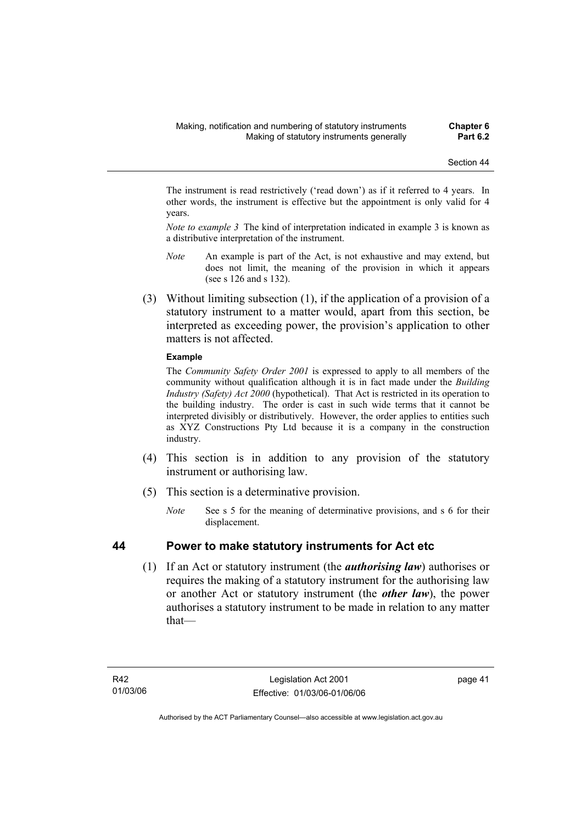The instrument is read restrictively ('read down') as if it referred to 4 years. In other words, the instrument is effective but the appointment is only valid for 4 years.

*Note to example 3* The kind of interpretation indicated in example 3 is known as a distributive interpretation of the instrument.

- *Note* An example is part of the Act, is not exhaustive and may extend, but does not limit, the meaning of the provision in which it appears (see s 126 and s 132).
- (3) Without limiting subsection (1), if the application of a provision of a statutory instrument to a matter would, apart from this section, be interpreted as exceeding power, the provision's application to other matters is not affected.

### **Example**

The *Community Safety Order 2001* is expressed to apply to all members of the community without qualification although it is in fact made under the *Building Industry (Safety) Act 2000* (hypothetical). That Act is restricted in its operation to the building industry. The order is cast in such wide terms that it cannot be interpreted divisibly or distributively. However, the order applies to entities such as XYZ Constructions Pty Ltd because it is a company in the construction industry.

- (4) This section is in addition to any provision of the statutory instrument or authorising law.
- (5) This section is a determinative provision.
	- *Note* See s 5 for the meaning of determinative provisions, and s 6 for their displacement.

## **44 Power to make statutory instruments for Act etc**

 (1) If an Act or statutory instrument (the *authorising law*) authorises or requires the making of a statutory instrument for the authorising law or another Act or statutory instrument (the *other law*), the power authorises a statutory instrument to be made in relation to any matter that—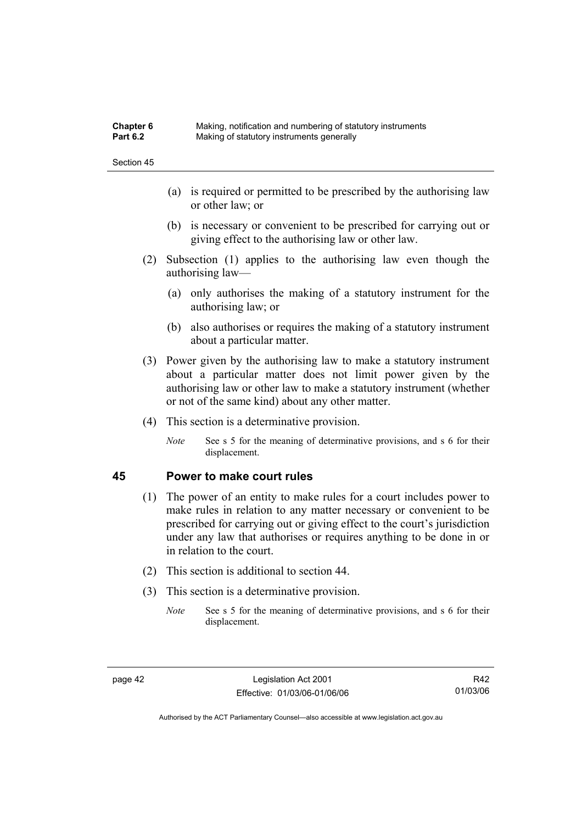| <b>Chapter 6</b> | Making, notification and numbering of statutory instruments |
|------------------|-------------------------------------------------------------|
| <b>Part 6.2</b>  | Making of statutory instruments generally                   |

- (a) is required or permitted to be prescribed by the authorising law or other law; or
- (b) is necessary or convenient to be prescribed for carrying out or giving effect to the authorising law or other law.
- (2) Subsection (1) applies to the authorising law even though the authorising law—
	- (a) only authorises the making of a statutory instrument for the authorising law; or
	- (b) also authorises or requires the making of a statutory instrument about a particular matter.
- (3) Power given by the authorising law to make a statutory instrument about a particular matter does not limit power given by the authorising law or other law to make a statutory instrument (whether or not of the same kind) about any other matter.
- (4) This section is a determinative provision.
	- *Note* See s 5 for the meaning of determinative provisions, and s 6 for their displacement.

### **45 Power to make court rules**

- (1) The power of an entity to make rules for a court includes power to make rules in relation to any matter necessary or convenient to be prescribed for carrying out or giving effect to the court's jurisdiction under any law that authorises or requires anything to be done in or in relation to the court.
- (2) This section is additional to section 44.
- (3) This section is a determinative provision.
	- *Note* See s 5 for the meaning of determinative provisions, and s 6 for their displacement.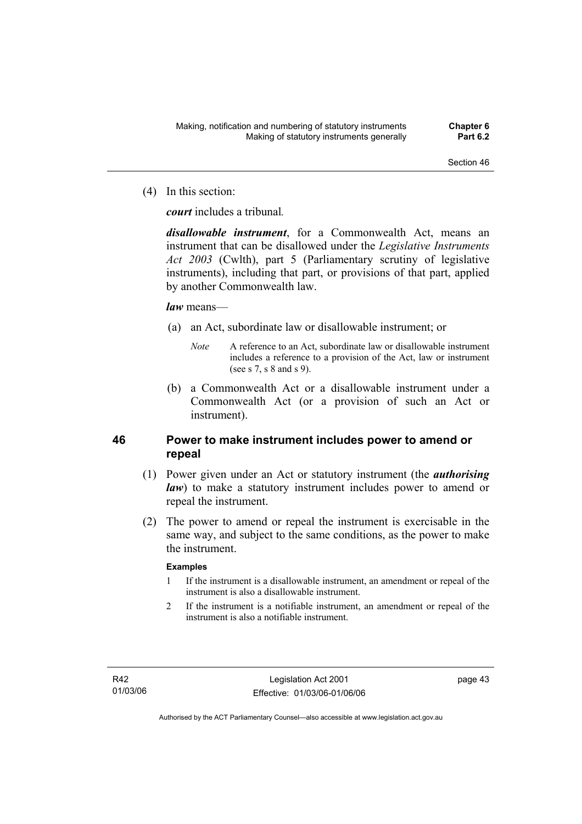(4) In this section:

*court* includes a tribunal*.*

*disallowable instrument*, for a Commonwealth Act, means an instrument that can be disallowed under the *Legislative Instruments Act 2003* (Cwlth), part 5 (Parliamentary scrutiny of legislative instruments), including that part, or provisions of that part, applied by another Commonwealth law.

### *law* means—

- (a) an Act, subordinate law or disallowable instrument; or
	- *Note* A reference to an Act, subordinate law or disallowable instrument includes a reference to a provision of the Act, law or instrument (see s 7, s 8 and s 9).
- (b) a Commonwealth Act or a disallowable instrument under a Commonwealth Act (or a provision of such an Act or instrument).

## **46 Power to make instrument includes power to amend or repeal**

- (1) Power given under an Act or statutory instrument (the *authorising law*) to make a statutory instrument includes power to amend or repeal the instrument.
- (2) The power to amend or repeal the instrument is exercisable in the same way, and subject to the same conditions, as the power to make the instrument.

### **Examples**

- 1 If the instrument is a disallowable instrument, an amendment or repeal of the instrument is also a disallowable instrument.
- 2 If the instrument is a notifiable instrument, an amendment or repeal of the instrument is also a notifiable instrument.

page 43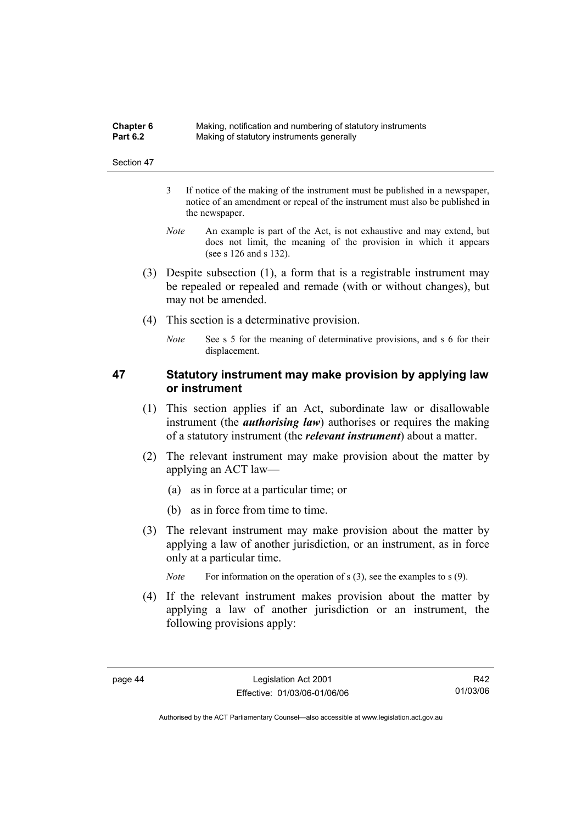| <b>Chapter 6</b> | Making, notification and numbering of statutory instruments |
|------------------|-------------------------------------------------------------|
| <b>Part 6.2</b>  | Making of statutory instruments generally                   |

- 3 If notice of the making of the instrument must be published in a newspaper, notice of an amendment or repeal of the instrument must also be published in the newspaper.
- *Note* An example is part of the Act, is not exhaustive and may extend, but does not limit, the meaning of the provision in which it appears (see s 126 and s 132).
- (3) Despite subsection (1), a form that is a registrable instrument may be repealed or repealed and remade (with or without changes), but may not be amended.
- (4) This section is a determinative provision.
	- *Note* See s 5 for the meaning of determinative provisions, and s 6 for their displacement.

## **47 Statutory instrument may make provision by applying law or instrument**

- (1) This section applies if an Act, subordinate law or disallowable instrument (the *authorising law*) authorises or requires the making of a statutory instrument (the *relevant instrument*) about a matter.
- (2) The relevant instrument may make provision about the matter by applying an ACT law—
	- (a) as in force at a particular time; or
	- (b) as in force from time to time.
- (3) The relevant instrument may make provision about the matter by applying a law of another jurisdiction, or an instrument, as in force only at a particular time.

*Note* For information on the operation of s (3), see the examples to s (9).

 (4) If the relevant instrument makes provision about the matter by applying a law of another jurisdiction or an instrument, the following provisions apply: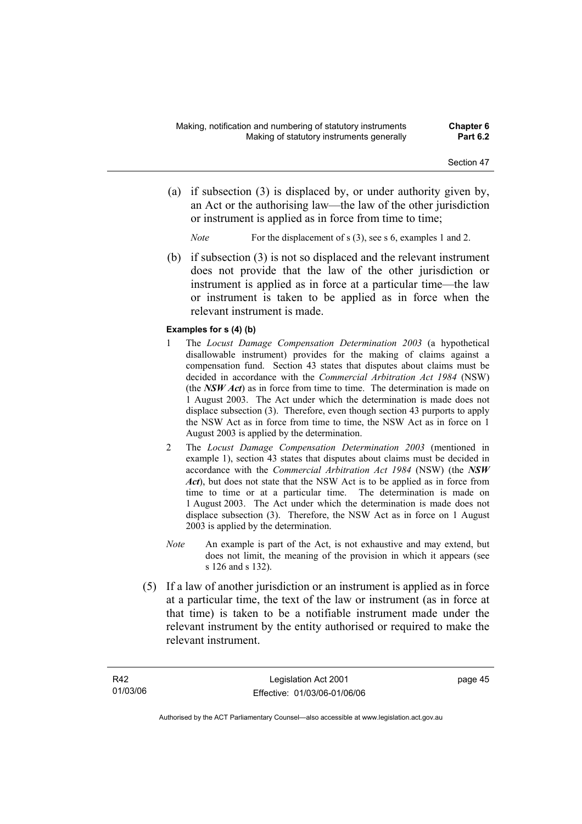- (a) if subsection (3) is displaced by, or under authority given by, an Act or the authorising law—the law of the other jurisdiction or instrument is applied as in force from time to time;
	- *Note* For the displacement of s (3), see s 6, examples 1 and 2.
- (b) if subsection (3) is not so displaced and the relevant instrument does not provide that the law of the other jurisdiction or instrument is applied as in force at a particular time—the law or instrument is taken to be applied as in force when the relevant instrument is made.

#### **Examples for s (4) (b)**

- 1 The *Locust Damage Compensation Determination 2003* (a hypothetical disallowable instrument) provides for the making of claims against a compensation fund. Section 43 states that disputes about claims must be decided in accordance with the *Commercial Arbitration Act 1984* (NSW) (the *NSW Act*) as in force from time to time. The determination is made on 1 August 2003. The Act under which the determination is made does not displace subsection (3). Therefore, even though section 43 purports to apply the NSW Act as in force from time to time, the NSW Act as in force on 1 August 2003 is applied by the determination.
- 2 The *Locust Damage Compensation Determination 2003* (mentioned in example 1), section 43 states that disputes about claims must be decided in accordance with the *Commercial Arbitration Act 1984* (NSW) (the *NSW Act*), but does not state that the NSW Act is to be applied as in force from time to time or at a particular time. The determination is made on 1 August 2003. The Act under which the determination is made does not displace subsection (3). Therefore, the NSW Act as in force on 1 August 2003 is applied by the determination.
- *Note* An example is part of the Act, is not exhaustive and may extend, but does not limit, the meaning of the provision in which it appears (see s 126 and s 132).
- (5) If a law of another jurisdiction or an instrument is applied as in force at a particular time, the text of the law or instrument (as in force at that time) is taken to be a notifiable instrument made under the relevant instrument by the entity authorised or required to make the relevant instrument.

page 45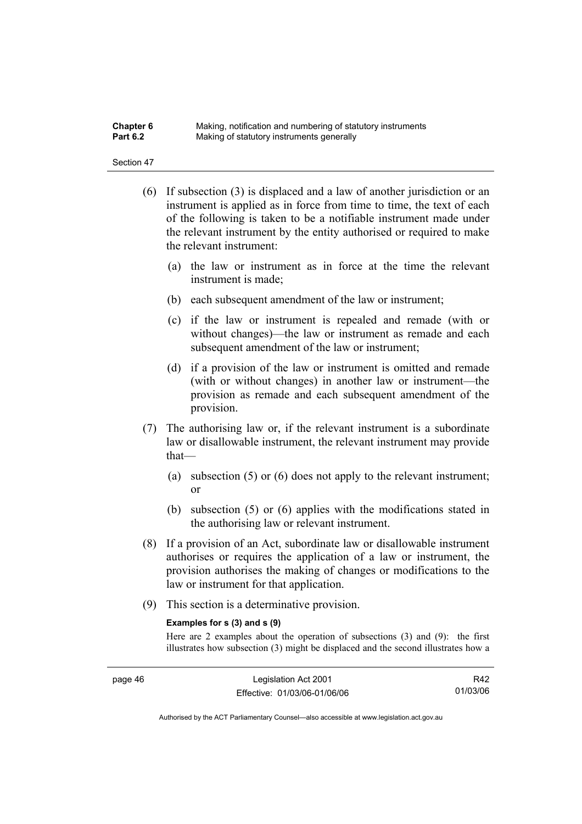| Chapter 6       | Making, notification and numbering of statutory instruments |
|-----------------|-------------------------------------------------------------|
| <b>Part 6.2</b> | Making of statutory instruments generally                   |

- (6) If subsection (3) is displaced and a law of another jurisdiction or an instrument is applied as in force from time to time, the text of each of the following is taken to be a notifiable instrument made under the relevant instrument by the entity authorised or required to make the relevant instrument:
	- (a) the law or instrument as in force at the time the relevant instrument is made;
	- (b) each subsequent amendment of the law or instrument;
	- (c) if the law or instrument is repealed and remade (with or without changes)—the law or instrument as remade and each subsequent amendment of the law or instrument;
	- (d) if a provision of the law or instrument is omitted and remade (with or without changes) in another law or instrument—the provision as remade and each subsequent amendment of the provision.
- (7) The authorising law or, if the relevant instrument is a subordinate law or disallowable instrument, the relevant instrument may provide that—
	- (a) subsection (5) or (6) does not apply to the relevant instrument; or
	- (b) subsection (5) or (6) applies with the modifications stated in the authorising law or relevant instrument.
- (8) If a provision of an Act, subordinate law or disallowable instrument authorises or requires the application of a law or instrument, the provision authorises the making of changes or modifications to the law or instrument for that application.
- (9) This section is a determinative provision.

#### **Examples for s (3) and s (9)**

Here are 2 examples about the operation of subsections (3) and (9): the first illustrates how subsection (3) might be displaced and the second illustrates how a

R42 01/03/06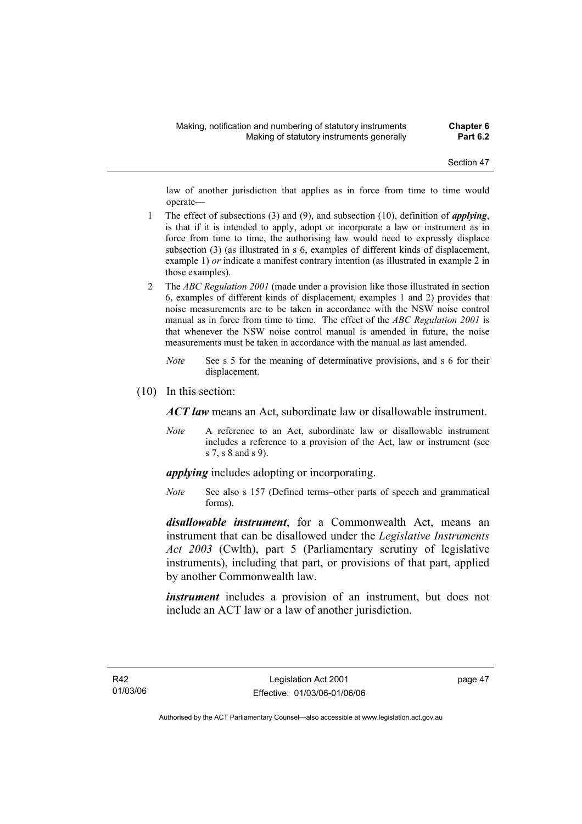law of another jurisdiction that applies as in force from time to time would operate—

- 1 The effect of subsections (3) and (9), and subsection (10), definition of *applying*, is that if it is intended to apply, adopt or incorporate a law or instrument as in force from time to time, the authorising law would need to expressly displace subsection (3) (as illustrated in s 6, examples of different kinds of displacement, example 1) *or* indicate a manifest contrary intention (as illustrated in example 2 in those examples).
- 2 The *ABC Regulation 2001* (made under a provision like those illustrated in section 6, examples of different kinds of displacement, examples 1 and 2) provides that noise measurements are to be taken in accordance with the NSW noise control manual as in force from time to time. The effect of the *ABC Regulation 2001* is that whenever the NSW noise control manual is amended in future, the noise measurements must be taken in accordance with the manual as last amended.
	- *Note* See s 5 for the meaning of determinative provisions, and s 6 for their displacement.
- (10) In this section:

*ACT law* means an Act, subordinate law or disallowable instrument.

*Note* A reference to an Act, subordinate law or disallowable instrument includes a reference to a provision of the Act, law or instrument (see s 7, s 8 and s 9).

*applying* includes adopting or incorporating.

*Note* See also s 157 (Defined terms–other parts of speech and grammatical forms).

*disallowable instrument*, for a Commonwealth Act, means an instrument that can be disallowed under the *Legislative Instruments Act 2003* (Cwlth), part 5 (Parliamentary scrutiny of legislative instruments), including that part, or provisions of that part, applied by another Commonwealth law.

*instrument* includes a provision of an instrument, but does not include an ACT law or a law of another jurisdiction.

page 47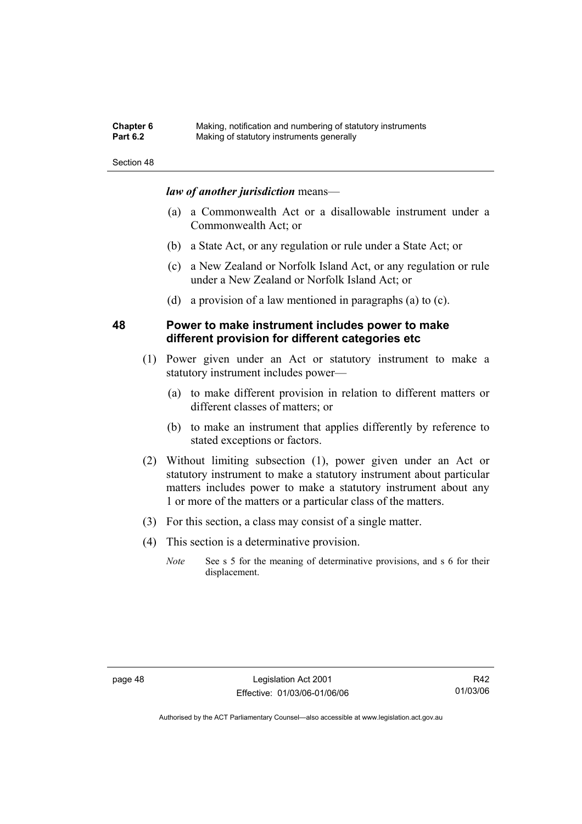| <b>Chapter 6</b> | Making, notification and numbering of statutory instruments |
|------------------|-------------------------------------------------------------|
| <b>Part 6.2</b>  | Making of statutory instruments generally                   |

### *law of another jurisdiction* means—

- (a) a Commonwealth Act or a disallowable instrument under a Commonwealth Act; or
- (b) a State Act, or any regulation or rule under a State Act; or
- (c) a New Zealand or Norfolk Island Act, or any regulation or rule under a New Zealand or Norfolk Island Act; or
- (d) a provision of a law mentioned in paragraphs (a) to (c).

### **48 Power to make instrument includes power to make different provision for different categories etc**

- (1) Power given under an Act or statutory instrument to make a statutory instrument includes power—
	- (a) to make different provision in relation to different matters or different classes of matters; or
	- (b) to make an instrument that applies differently by reference to stated exceptions or factors.
- (2) Without limiting subsection (1), power given under an Act or statutory instrument to make a statutory instrument about particular matters includes power to make a statutory instrument about any 1 or more of the matters or a particular class of the matters.
- (3) For this section, a class may consist of a single matter.
- (4) This section is a determinative provision.
	- *Note* See s 5 for the meaning of determinative provisions, and s 6 for their displacement.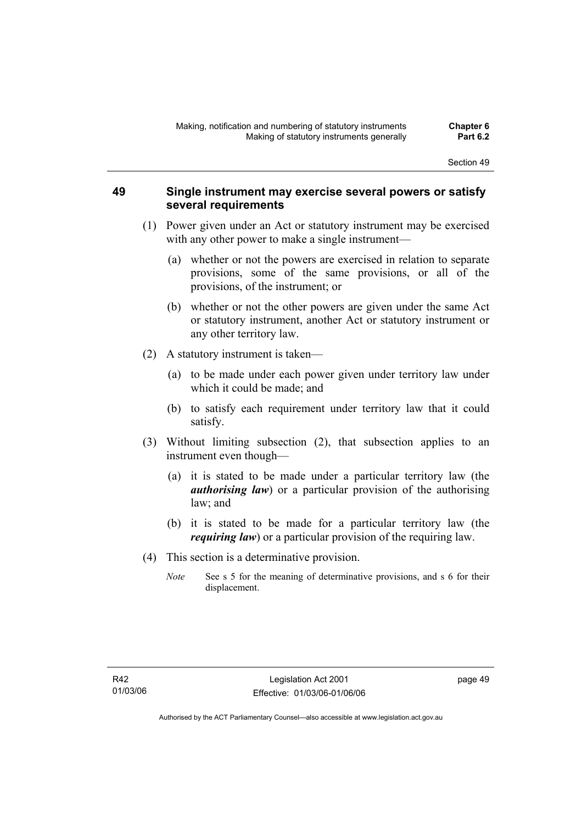### **49 Single instrument may exercise several powers or satisfy several requirements**

- (1) Power given under an Act or statutory instrument may be exercised with any other power to make a single instrument—
	- (a) whether or not the powers are exercised in relation to separate provisions, some of the same provisions, or all of the provisions, of the instrument; or
	- (b) whether or not the other powers are given under the same Act or statutory instrument, another Act or statutory instrument or any other territory law.
- (2) A statutory instrument is taken—
	- (a) to be made under each power given under territory law under which it could be made; and
	- (b) to satisfy each requirement under territory law that it could satisfy.
- (3) Without limiting subsection (2), that subsection applies to an instrument even though—
	- (a) it is stated to be made under a particular territory law (the *authorising law*) or a particular provision of the authorising law; and
	- (b) it is stated to be made for a particular territory law (the *requiring law*) or a particular provision of the requiring law.
- (4) This section is a determinative provision.
	- *Note* See s 5 for the meaning of determinative provisions, and s 6 for their displacement.

page 49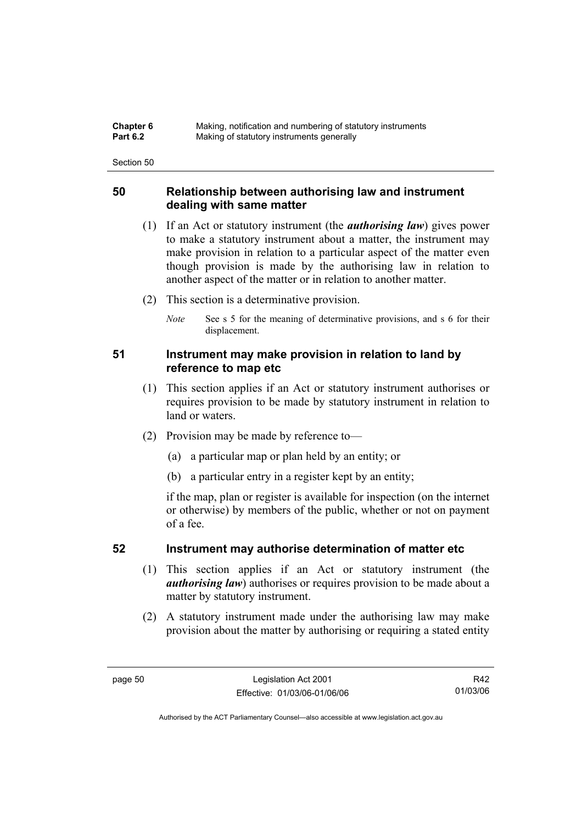| <b>Chapter 6</b> | Making, notification and numbering of statutory instruments |
|------------------|-------------------------------------------------------------|
| <b>Part 6.2</b>  | Making of statutory instruments generally                   |

### **50 Relationship between authorising law and instrument dealing with same matter**

- (1) If an Act or statutory instrument (the *authorising law*) gives power to make a statutory instrument about a matter, the instrument may make provision in relation to a particular aspect of the matter even though provision is made by the authorising law in relation to another aspect of the matter or in relation to another matter.
- (2) This section is a determinative provision.
	- *Note* See s 5 for the meaning of determinative provisions, and s 6 for their displacement.

### **51 Instrument may make provision in relation to land by reference to map etc**

- (1) This section applies if an Act or statutory instrument authorises or requires provision to be made by statutory instrument in relation to land or waters.
- (2) Provision may be made by reference to—
	- (a) a particular map or plan held by an entity; or
	- (b) a particular entry in a register kept by an entity;

if the map, plan or register is available for inspection (on the internet or otherwise) by members of the public, whether or not on payment of a fee.

### **52 Instrument may authorise determination of matter etc**

- (1) This section applies if an Act or statutory instrument (the *authorising law*) authorises or requires provision to be made about a matter by statutory instrument.
- (2) A statutory instrument made under the authorising law may make provision about the matter by authorising or requiring a stated entity

R42 01/03/06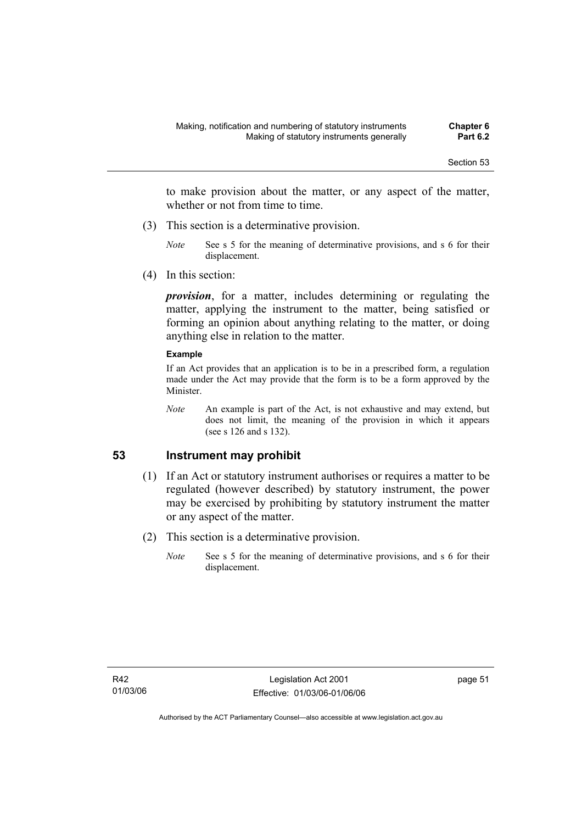to make provision about the matter, or any aspect of the matter, whether or not from time to time.

- (3) This section is a determinative provision.
	- *Note* See s 5 for the meaning of determinative provisions, and s 6 for their displacement.
- (4) In this section:

*provision*, for a matter, includes determining or regulating the matter, applying the instrument to the matter, being satisfied or forming an opinion about anything relating to the matter, or doing anything else in relation to the matter.

#### **Example**

If an Act provides that an application is to be in a prescribed form, a regulation made under the Act may provide that the form is to be a form approved by the Minister.

*Note* An example is part of the Act, is not exhaustive and may extend, but does not limit, the meaning of the provision in which it appears (see s 126 and s 132).

### **53 Instrument may prohibit**

- (1) If an Act or statutory instrument authorises or requires a matter to be regulated (however described) by statutory instrument, the power may be exercised by prohibiting by statutory instrument the matter or any aspect of the matter.
- (2) This section is a determinative provision.
	- *Note* See s 5 for the meaning of determinative provisions, and s 6 for their displacement.

page 51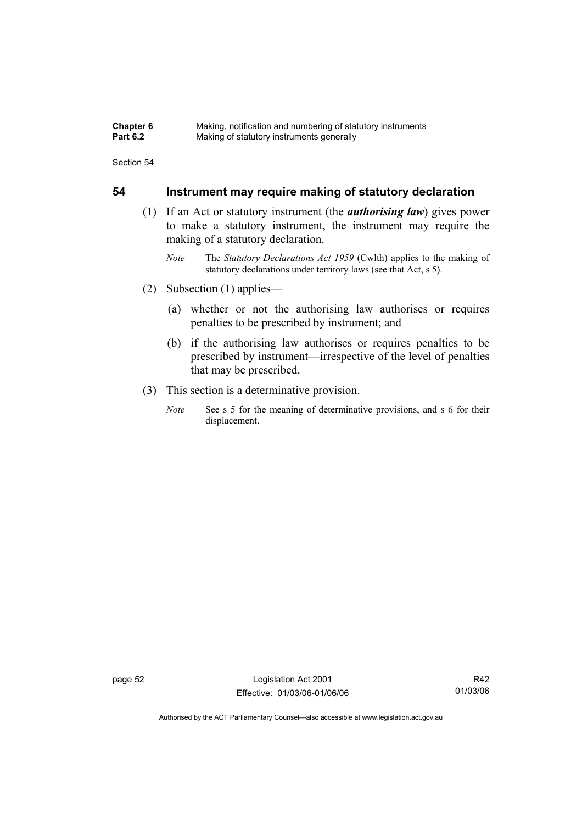| <b>Chapter 6</b> | Making, notification and numbering of statutory instruments |
|------------------|-------------------------------------------------------------|
| <b>Part 6.2</b>  | Making of statutory instruments generally                   |

### **54 Instrument may require making of statutory declaration**

- (1) If an Act or statutory instrument (the *authorising law*) gives power to make a statutory instrument, the instrument may require the making of a statutory declaration.
	- *Note* The *Statutory Declarations Act 1959* (Cwlth) applies to the making of statutory declarations under territory laws (see that Act, s 5).
- (2) Subsection (1) applies—
	- (a) whether or not the authorising law authorises or requires penalties to be prescribed by instrument; and
	- (b) if the authorising law authorises or requires penalties to be prescribed by instrument—irrespective of the level of penalties that may be prescribed.
- (3) This section is a determinative provision.
	- *Note* See s 5 for the meaning of determinative provisions, and s 6 for their displacement.

page 52 Legislation Act 2001 Effective: 01/03/06-01/06/06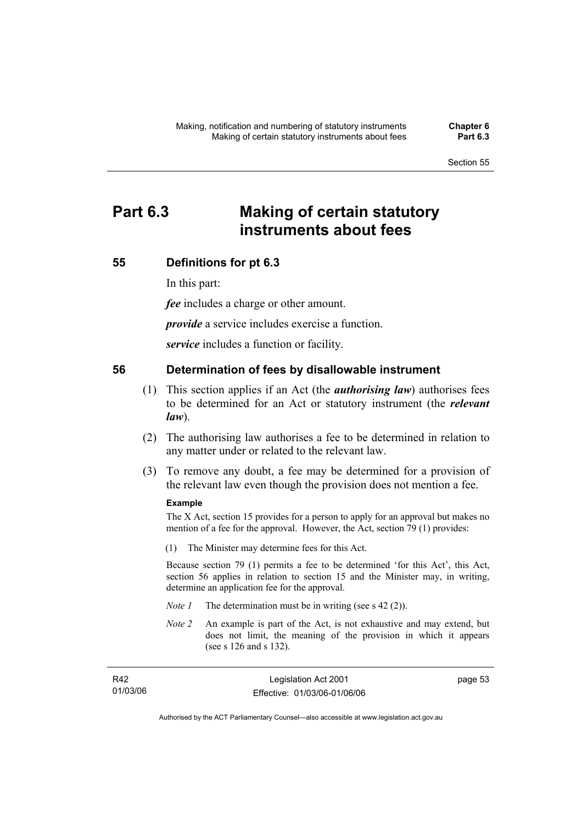# **Part 6.3 Making of certain statutory instruments about fees**

### **55 Definitions for pt 6.3**

In this part:

*fee* includes a charge or other amount.

*provide* a service includes exercise a function.

*service* includes a function or facility.

### **56 Determination of fees by disallowable instrument**

- (1) This section applies if an Act (the *authorising law*) authorises fees to be determined for an Act or statutory instrument (the *relevant law*).
- (2) The authorising law authorises a fee to be determined in relation to any matter under or related to the relevant law.
- (3) To remove any doubt, a fee may be determined for a provision of the relevant law even though the provision does not mention a fee.

#### **Example**

The X Act, section 15 provides for a person to apply for an approval but makes no mention of a fee for the approval. However, the Act, section 79 (1) provides:

(1) The Minister may determine fees for this Act.

Because section 79 (1) permits a fee to be determined 'for this Act', this Act, section 56 applies in relation to section 15 and the Minister may, in writing, determine an application fee for the approval.

- *Note 1* The determination must be in writing (see s 42 (2)).
- *Note 2* An example is part of the Act, is not exhaustive and may extend, but does not limit, the meaning of the provision in which it appears (see s 126 and s 132).

| R42      | Legislation Act 2001         | page 53 |
|----------|------------------------------|---------|
| 01/03/06 | Effective: 01/03/06-01/06/06 |         |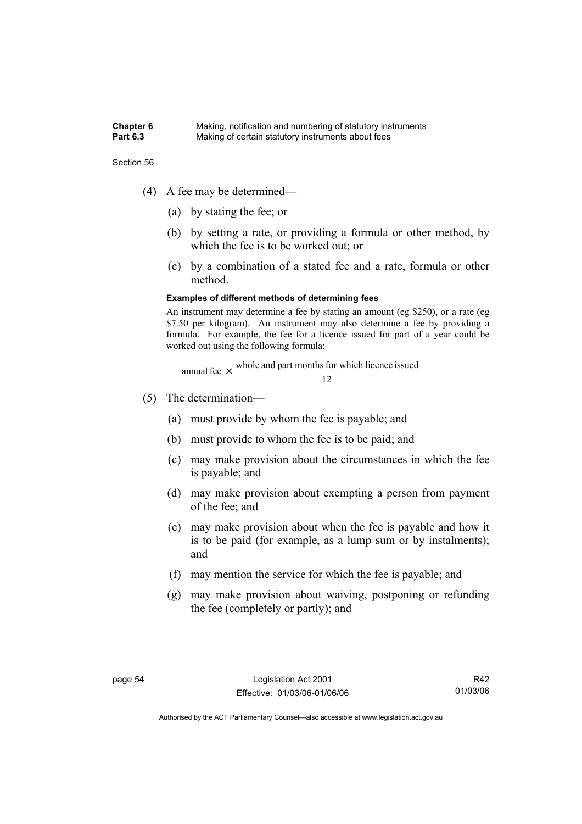#### **Chapter 6** Making, notification and numbering of statutory instruments<br>**Part 6.3** Making of certain statutory instruments about fees Making of certain statutory instruments about fees

Section 56

- (4) A fee may be determined—
	- (a) by stating the fee; or
	- (b) by setting a rate, or providing a formula or other method, by which the fee is to be worked out; or
	- (c) by a combination of a stated fee and a rate, formula or other method.

#### **Examples of different methods of determining fees**

An instrument may determine a fee by stating an amount (eg \$250), or a rate (eg \$7.50 per kilogram). An instrument may also determine a fee by providing a formula. For example, the fee for a licence issued for part of a year could be worked out using the following formula:

annual fee 
$$
\times
$$
  $\frac{\text{whole and part months for which licence issued}}{12}$ 

- (5) The determination—
	- (a) must provide by whom the fee is payable; and
	- (b) must provide to whom the fee is to be paid; and
	- (c) may make provision about the circumstances in which the fee is payable; and
	- (d) may make provision about exempting a person from payment of the fee; and
	- (e) may make provision about when the fee is payable and how it is to be paid (for example, as a lump sum or by instalments); and
	- (f) may mention the service for which the fee is payable; and
	- (g) may make provision about waiving, postponing or refunding the fee (completely or partly); and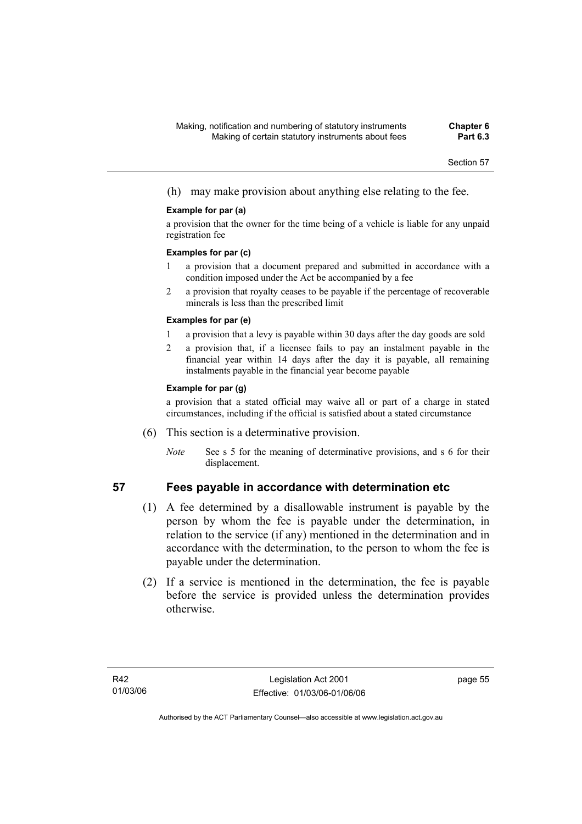(h) may make provision about anything else relating to the fee.

### **Example for par (a)**

a provision that the owner for the time being of a vehicle is liable for any unpaid registration fee

### **Examples for par (c)**

- 1 a provision that a document prepared and submitted in accordance with a condition imposed under the Act be accompanied by a fee
- 2 a provision that royalty ceases to be payable if the percentage of recoverable minerals is less than the prescribed limit

### **Examples for par (e)**

- 1 a provision that a levy is payable within 30 days after the day goods are sold
- 2 a provision that, if a licensee fails to pay an instalment payable in the financial year within 14 days after the day it is payable, all remaining instalments payable in the financial year become payable

### **Example for par (g)**

a provision that a stated official may waive all or part of a charge in stated circumstances, including if the official is satisfied about a stated circumstance

- (6) This section is a determinative provision.
	- *Note* See s 5 for the meaning of determinative provisions, and s 6 for their displacement.

- **57 Fees payable in accordance with determination etc** 
	- (1) A fee determined by a disallowable instrument is payable by the person by whom the fee is payable under the determination, in relation to the service (if any) mentioned in the determination and in accordance with the determination, to the person to whom the fee is payable under the determination.
	- (2) If a service is mentioned in the determination, the fee is payable before the service is provided unless the determination provides otherwise.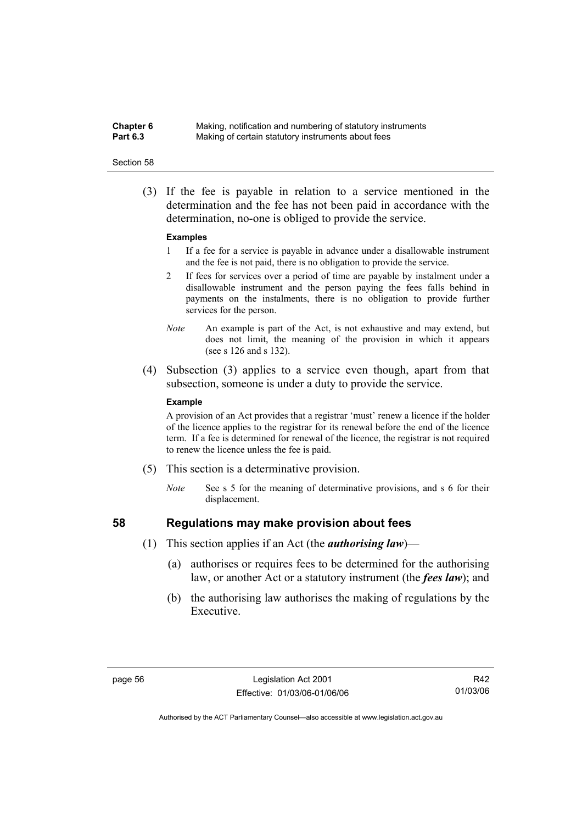**Chapter 6** Making, notification and numbering of statutory instruments<br>**Part 6.3** Making of certain statutory instruments about fees Making of certain statutory instruments about fees

#### Section 58

 (3) If the fee is payable in relation to a service mentioned in the determination and the fee has not been paid in accordance with the determination, no-one is obliged to provide the service.

#### **Examples**

- 1 If a fee for a service is payable in advance under a disallowable instrument and the fee is not paid, there is no obligation to provide the service.
- 2 If fees for services over a period of time are payable by instalment under a disallowable instrument and the person paying the fees falls behind in payments on the instalments, there is no obligation to provide further services for the person.
- *Note* An example is part of the Act, is not exhaustive and may extend, but does not limit, the meaning of the provision in which it appears (see s 126 and s 132).
- (4) Subsection (3) applies to a service even though, apart from that subsection, someone is under a duty to provide the service.

#### **Example**

A provision of an Act provides that a registrar 'must' renew a licence if the holder of the licence applies to the registrar for its renewal before the end of the licence term. If a fee is determined for renewal of the licence, the registrar is not required to renew the licence unless the fee is paid.

- (5) This section is a determinative provision.
	- *Note* See s 5 for the meaning of determinative provisions, and s 6 for their displacement.

- **58 Regulations may make provision about fees** 
	- (1) This section applies if an Act (the *authorising law*)—
		- (a) authorises or requires fees to be determined for the authorising law, or another Act or a statutory instrument (the *fees law*); and
		- (b) the authorising law authorises the making of regulations by the Executive.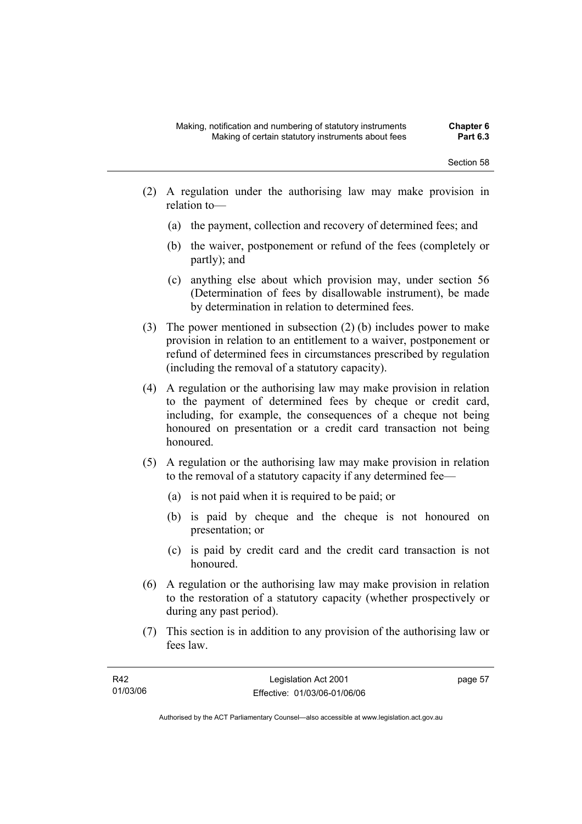- (2) A regulation under the authorising law may make provision in relation to—
	- (a) the payment, collection and recovery of determined fees; and
	- (b) the waiver, postponement or refund of the fees (completely or partly); and
	- (c) anything else about which provision may, under section 56 (Determination of fees by disallowable instrument), be made by determination in relation to determined fees.
- (3) The power mentioned in subsection (2) (b) includes power to make provision in relation to an entitlement to a waiver, postponement or refund of determined fees in circumstances prescribed by regulation (including the removal of a statutory capacity).
- (4) A regulation or the authorising law may make provision in relation to the payment of determined fees by cheque or credit card, including, for example, the consequences of a cheque not being honoured on presentation or a credit card transaction not being honoured.
- (5) A regulation or the authorising law may make provision in relation to the removal of a statutory capacity if any determined fee—
	- (a) is not paid when it is required to be paid; or
	- (b) is paid by cheque and the cheque is not honoured on presentation; or
	- (c) is paid by credit card and the credit card transaction is not honoured.
- (6) A regulation or the authorising law may make provision in relation to the restoration of a statutory capacity (whether prospectively or during any past period).
- (7) This section is in addition to any provision of the authorising law or fees law.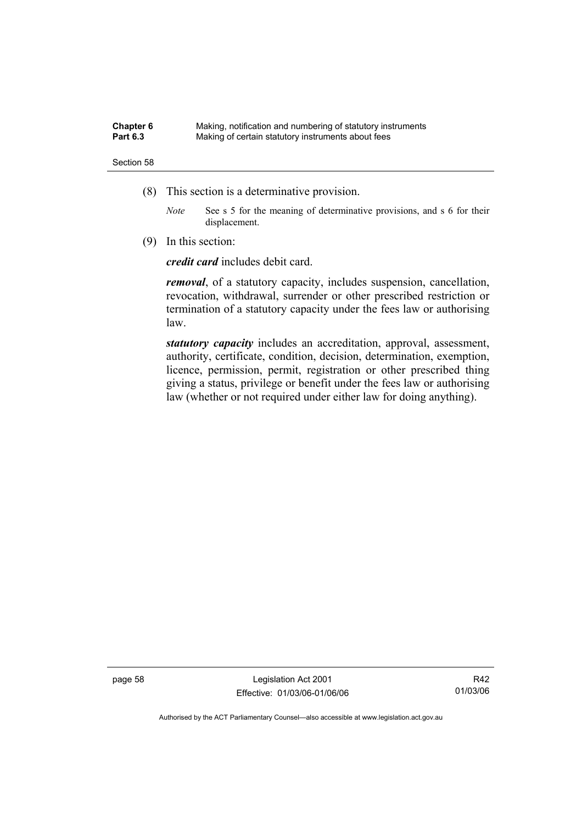| Chapter 6       | Making, notification and numbering of statutory instruments |
|-----------------|-------------------------------------------------------------|
| <b>Part 6.3</b> | Making of certain statutory instruments about fees          |

- (8) This section is a determinative provision.
	- *Note* See s 5 for the meaning of determinative provisions, and s 6 for their displacement.
- (9) In this section:

*credit card* includes debit card.

*removal*, of a statutory capacity, includes suspension, cancellation, revocation, withdrawal, surrender or other prescribed restriction or termination of a statutory capacity under the fees law or authorising law.

*statutory capacity* includes an accreditation, approval, assessment, authority, certificate, condition, decision, determination, exemption, licence, permission, permit, registration or other prescribed thing giving a status, privilege or benefit under the fees law or authorising law (whether or not required under either law for doing anything).

page 58 Legislation Act 2001 Effective: 01/03/06-01/06/06

R42 01/03/06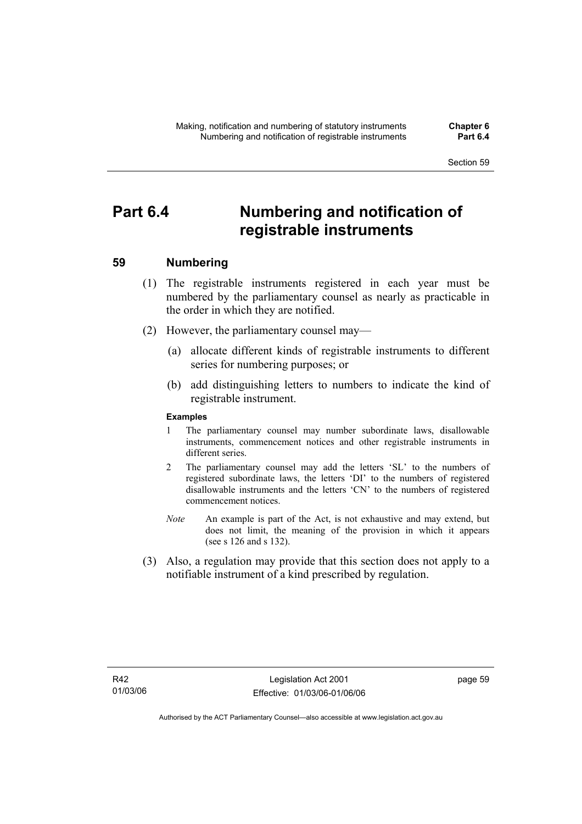# **Part 6.4 Numbering and notification of registrable instruments**

## **59 Numbering**

- (1) The registrable instruments registered in each year must be numbered by the parliamentary counsel as nearly as practicable in the order in which they are notified.
- (2) However, the parliamentary counsel may—
	- (a) allocate different kinds of registrable instruments to different series for numbering purposes; or
	- (b) add distinguishing letters to numbers to indicate the kind of registrable instrument.

## **Examples**

- 1 The parliamentary counsel may number subordinate laws, disallowable instruments, commencement notices and other registrable instruments in different series.
- 2 The parliamentary counsel may add the letters 'SL' to the numbers of registered subordinate laws, the letters 'DI' to the numbers of registered disallowable instruments and the letters 'CN' to the numbers of registered commencement notices.
- *Note* An example is part of the Act, is not exhaustive and may extend, but does not limit, the meaning of the provision in which it appears (see s 126 and s 132).
- (3) Also, a regulation may provide that this section does not apply to a notifiable instrument of a kind prescribed by regulation.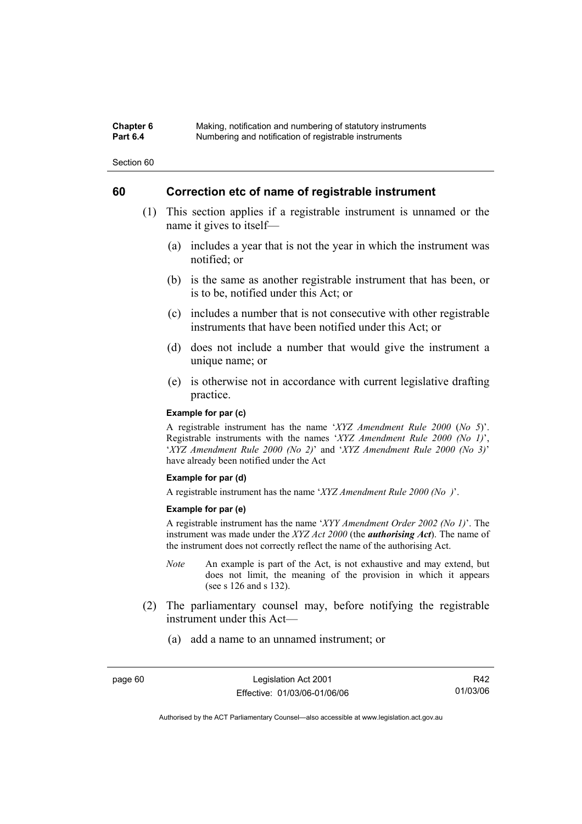### **Chapter 6** Making, notification and numbering of statutory instruments<br>**Part 6.4** Mumbering and notification of registrable instruments **Part 6.4** Numbering and notification of registrable instruments

Section 60

## **60 Correction etc of name of registrable instrument**

- (1) This section applies if a registrable instrument is unnamed or the name it gives to itself—
	- (a) includes a year that is not the year in which the instrument was notified; or
	- (b) is the same as another registrable instrument that has been, or is to be, notified under this Act; or
	- (c) includes a number that is not consecutive with other registrable instruments that have been notified under this Act; or
	- (d) does not include a number that would give the instrument a unique name; or
	- (e) is otherwise not in accordance with current legislative drafting practice.

### **Example for par (c)**

A registrable instrument has the name '*XYZ Amendment Rule 2000* (*No 5*)'. Registrable instruments with the names '*XYZ Amendment Rule 2000 (No 1)*', '*XYZ Amendment Rule 2000 (No 2)*' and '*XYZ Amendment Rule 2000 (No 3)*' have already been notified under the Act

#### **Example for par (d)**

A registrable instrument has the name '*XYZ Amendment Rule 2000 (No )*'.

#### **Example for par (e)**

A registrable instrument has the name '*XYY Amendment Order 2002 (No 1)*'. The instrument was made under the *XYZ Act 2000* (the *authorising Act*). The name of the instrument does not correctly reflect the name of the authorising Act.

- *Note* An example is part of the Act, is not exhaustive and may extend, but does not limit, the meaning of the provision in which it appears (see s 126 and s 132).
- (2) The parliamentary counsel may, before notifying the registrable instrument under this Act—
	- (a) add a name to an unnamed instrument; or

page 60 Legislation Act 2001 Effective: 01/03/06-01/06/06

R42 01/03/06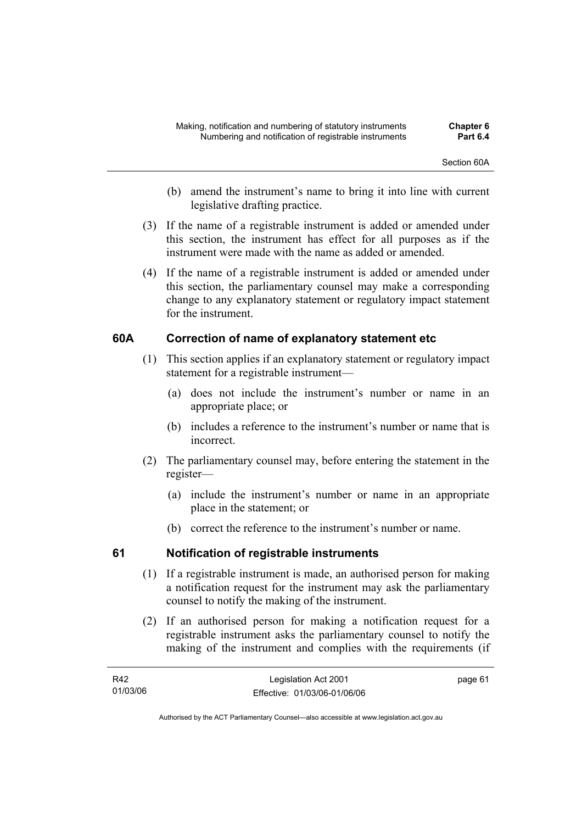- (b) amend the instrument's name to bring it into line with current legislative drafting practice.
- (3) If the name of a registrable instrument is added or amended under this section, the instrument has effect for all purposes as if the instrument were made with the name as added or amended.
- (4) If the name of a registrable instrument is added or amended under this section, the parliamentary counsel may make a corresponding change to any explanatory statement or regulatory impact statement for the instrument.

## **60A Correction of name of explanatory statement etc**

- (1) This section applies if an explanatory statement or regulatory impact statement for a registrable instrument—
	- (a) does not include the instrument's number or name in an appropriate place; or
	- (b) includes a reference to the instrument's number or name that is incorrect.
- (2) The parliamentary counsel may, before entering the statement in the register—
	- (a) include the instrument's number or name in an appropriate place in the statement; or
	- (b) correct the reference to the instrument's number or name.

## **61 Notification of registrable instruments**

- (1) If a registrable instrument is made, an authorised person for making a notification request for the instrument may ask the parliamentary counsel to notify the making of the instrument.
- (2) If an authorised person for making a notification request for a registrable instrument asks the parliamentary counsel to notify the making of the instrument and complies with the requirements (if

| R42      | Legislation Act 2001         | page 61 |
|----------|------------------------------|---------|
| 01/03/06 | Effective: 01/03/06-01/06/06 |         |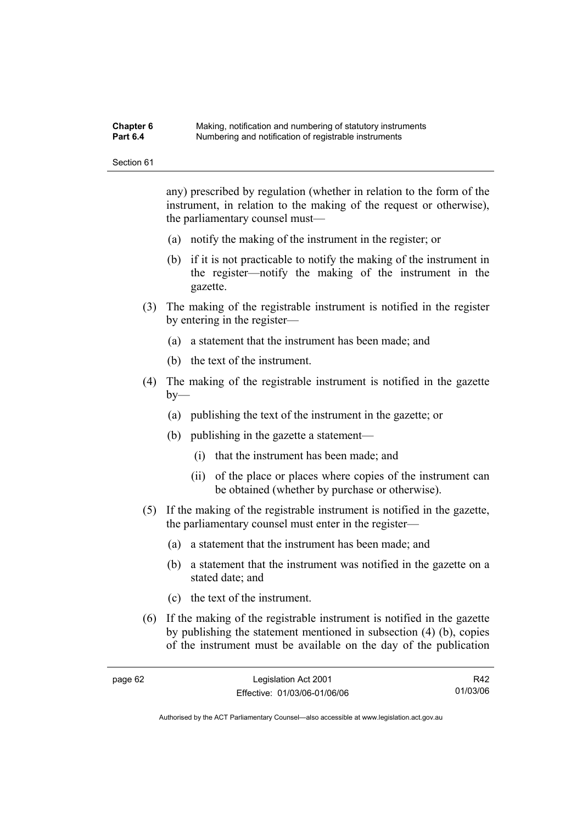#### **Chapter 6** Making, notification and numbering of statutory instruments<br>**Part 6.4** Mumbering and notification of registrable instruments **Part 6.4** Numbering and notification of registrable instruments

Section 61

any) prescribed by regulation (whether in relation to the form of the instrument, in relation to the making of the request or otherwise), the parliamentary counsel must—

- (a) notify the making of the instrument in the register; or
- (b) if it is not practicable to notify the making of the instrument in the register—notify the making of the instrument in the gazette.
- (3) The making of the registrable instrument is notified in the register by entering in the register—
	- (a) a statement that the instrument has been made; and
	- (b) the text of the instrument.
- (4) The making of the registrable instrument is notified in the gazette  $bv$ —
	- (a) publishing the text of the instrument in the gazette; or
	- (b) publishing in the gazette a statement—
		- (i) that the instrument has been made; and
		- (ii) of the place or places where copies of the instrument can be obtained (whether by purchase or otherwise).
- (5) If the making of the registrable instrument is notified in the gazette, the parliamentary counsel must enter in the register—
	- (a) a statement that the instrument has been made; and
	- (b) a statement that the instrument was notified in the gazette on a stated date; and
	- (c) the text of the instrument.
- (6) If the making of the registrable instrument is notified in the gazette by publishing the statement mentioned in subsection (4) (b), copies of the instrument must be available on the day of the publication

R42 01/03/06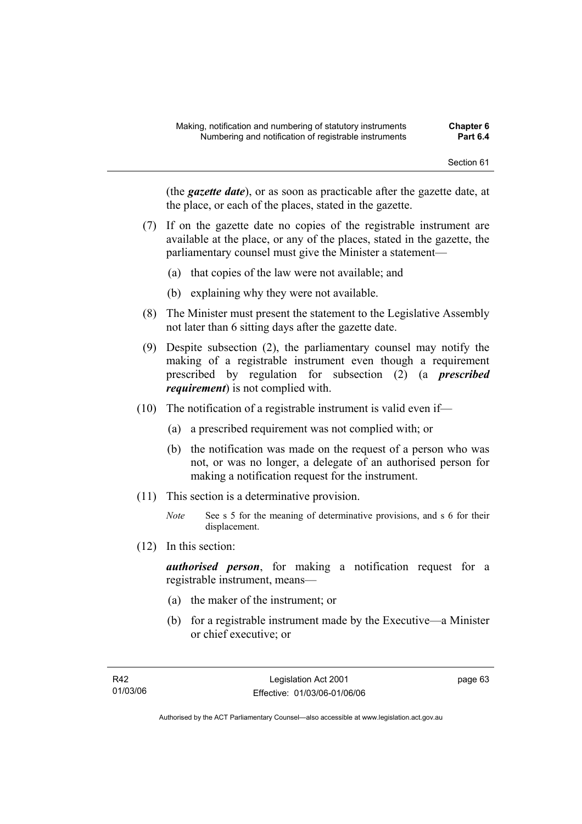(the *gazette date*), or as soon as practicable after the gazette date, at the place, or each of the places, stated in the gazette.

- (7) If on the gazette date no copies of the registrable instrument are available at the place, or any of the places, stated in the gazette, the parliamentary counsel must give the Minister a statement—
	- (a) that copies of the law were not available; and
	- (b) explaining why they were not available.
- (8) The Minister must present the statement to the Legislative Assembly not later than 6 sitting days after the gazette date.
- (9) Despite subsection (2), the parliamentary counsel may notify the making of a registrable instrument even though a requirement prescribed by regulation for subsection (2) (a *prescribed requirement*) is not complied with.
- (10) The notification of a registrable instrument is valid even if—
	- (a) a prescribed requirement was not complied with; or
	- (b) the notification was made on the request of a person who was not, or was no longer, a delegate of an authorised person for making a notification request for the instrument.
- (11) This section is a determinative provision.
	- *Note* See s 5 for the meaning of determinative provisions, and s 6 for their displacement.
- (12) In this section:

*authorised person*, for making a notification request for a registrable instrument, means—

- (a) the maker of the instrument; or
- (b) for a registrable instrument made by the Executive—a Minister or chief executive; or

page 63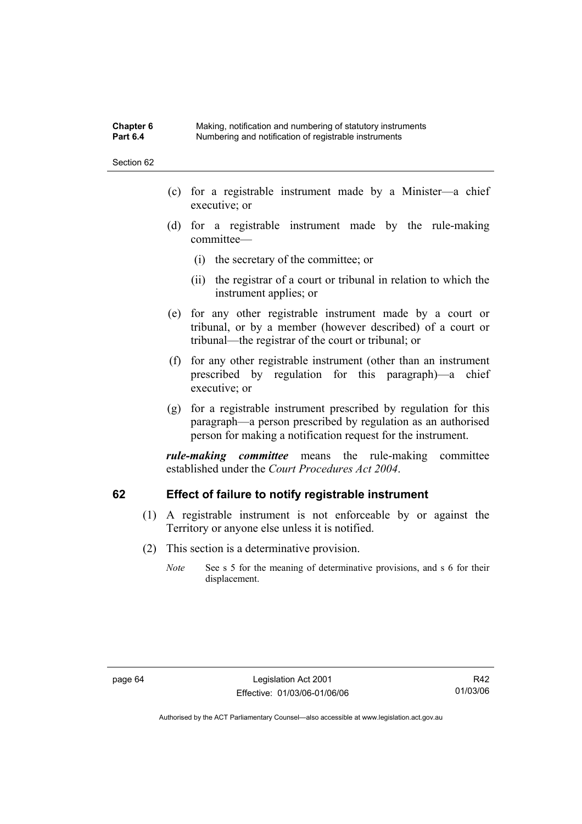**Chapter 6** Making, notification and numbering of statutory instruments<br>**Part 6.4** Mumbering and notification of registrable instruments **Part 6.4** Numbering and notification of registrable instruments

Section 62

- (c) for a registrable instrument made by a Minister—a chief executive; or
- (d) for a registrable instrument made by the rule-making committee—
	- (i) the secretary of the committee; or
	- (ii) the registrar of a court or tribunal in relation to which the instrument applies; or
- (e) for any other registrable instrument made by a court or tribunal, or by a member (however described) of a court or tribunal—the registrar of the court or tribunal; or
- (f) for any other registrable instrument (other than an instrument prescribed by regulation for this paragraph)—a chief executive; or
- (g) for a registrable instrument prescribed by regulation for this paragraph—a person prescribed by regulation as an authorised person for making a notification request for the instrument.

*rule-making committee* means the rule-making committee established under the *Court Procedures Act 2004*.

## **62 Effect of failure to notify registrable instrument**

- (1) A registrable instrument is not enforceable by or against the Territory or anyone else unless it is notified.
- (2) This section is a determinative provision.
	- *Note* See s 5 for the meaning of determinative provisions, and s 6 for their displacement.

R42 01/03/06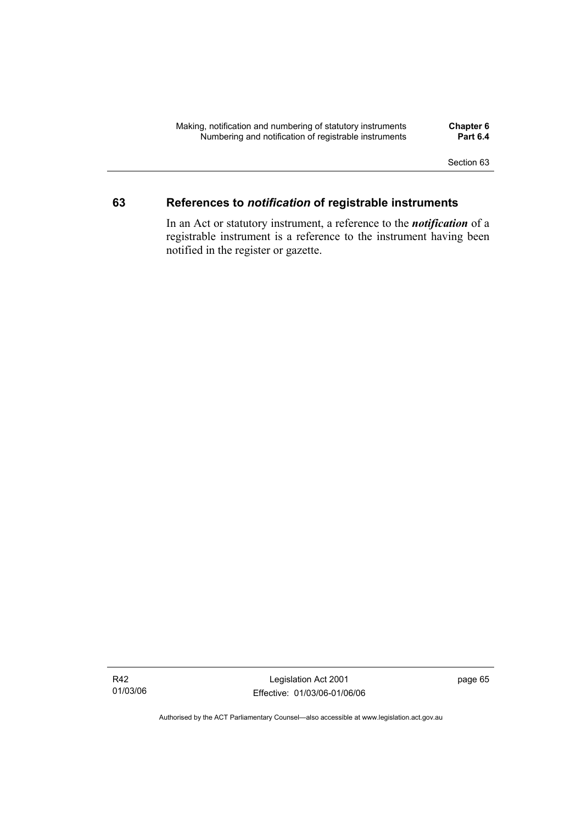## **63 References to** *notification* **of registrable instruments**

In an Act or statutory instrument, a reference to the *notification* of a registrable instrument is a reference to the instrument having been notified in the register or gazette.

Legislation Act 2001 Effective: 01/03/06-01/06/06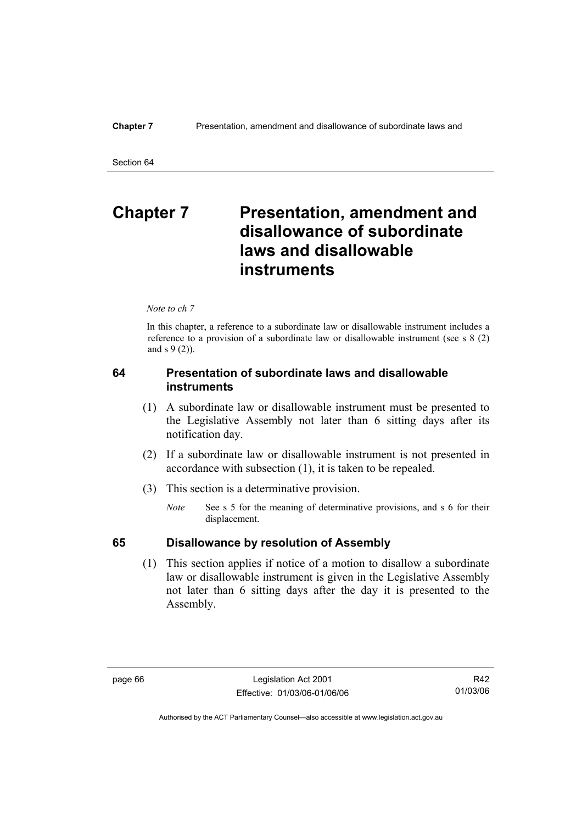# **Chapter 7** Presentation, amendment and **disallowance of subordinate laws and disallowable instruments**

*Note to ch 7* 

In this chapter, a reference to a subordinate law or disallowable instrument includes a reference to a provision of a subordinate law or disallowable instrument (see s 8 (2) and s 9 (2)).

## **64 Presentation of subordinate laws and disallowable instruments**

- (1) A subordinate law or disallowable instrument must be presented to the Legislative Assembly not later than 6 sitting days after its notification day.
- (2) If a subordinate law or disallowable instrument is not presented in accordance with subsection (1), it is taken to be repealed.
- (3) This section is a determinative provision.
	- *Note* See s 5 for the meaning of determinative provisions, and s 6 for their displacement.

## **65 Disallowance by resolution of Assembly**

 (1) This section applies if notice of a motion to disallow a subordinate law or disallowable instrument is given in the Legislative Assembly not later than 6 sitting days after the day it is presented to the Assembly.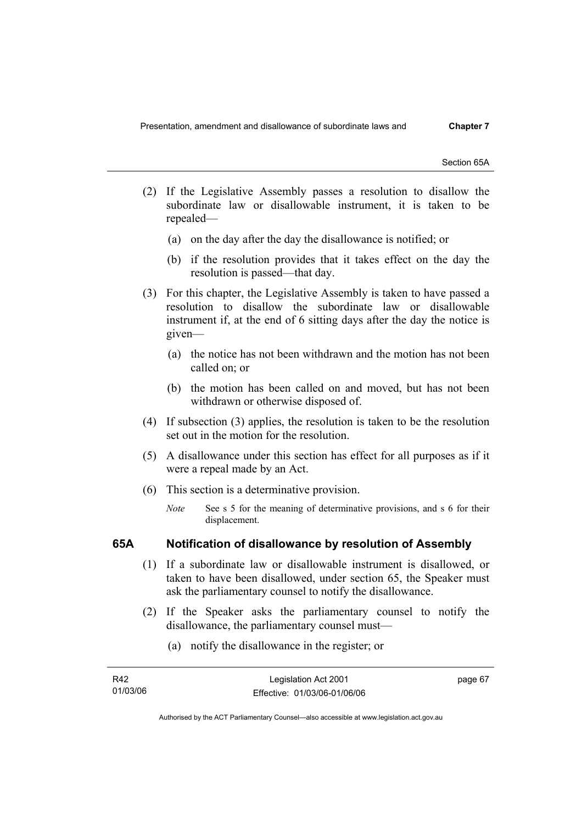Section 65A

- (2) If the Legislative Assembly passes a resolution to disallow the subordinate law or disallowable instrument, it is taken to be repealed—
	- (a) on the day after the day the disallowance is notified; or
	- (b) if the resolution provides that it takes effect on the day the resolution is passed—that day.
- (3) For this chapter, the Legislative Assembly is taken to have passed a resolution to disallow the subordinate law or disallowable instrument if, at the end of 6 sitting days after the day the notice is given—
	- (a) the notice has not been withdrawn and the motion has not been called on; or
	- (b) the motion has been called on and moved, but has not been withdrawn or otherwise disposed of.
- (4) If subsection (3) applies, the resolution is taken to be the resolution set out in the motion for the resolution.
- (5) A disallowance under this section has effect for all purposes as if it were a repeal made by an Act.
- (6) This section is a determinative provision.
	- *Note* See s 5 for the meaning of determinative provisions, and s 6 for their displacement.

## **65A Notification of disallowance by resolution of Assembly**

- (1) If a subordinate law or disallowable instrument is disallowed, or taken to have been disallowed, under section 65, the Speaker must ask the parliamentary counsel to notify the disallowance.
- (2) If the Speaker asks the parliamentary counsel to notify the disallowance, the parliamentary counsel must—
	- (a) notify the disallowance in the register; or

| R42      | Legislation Act 2001         | page 67 |
|----------|------------------------------|---------|
| 01/03/06 | Effective: 01/03/06-01/06/06 |         |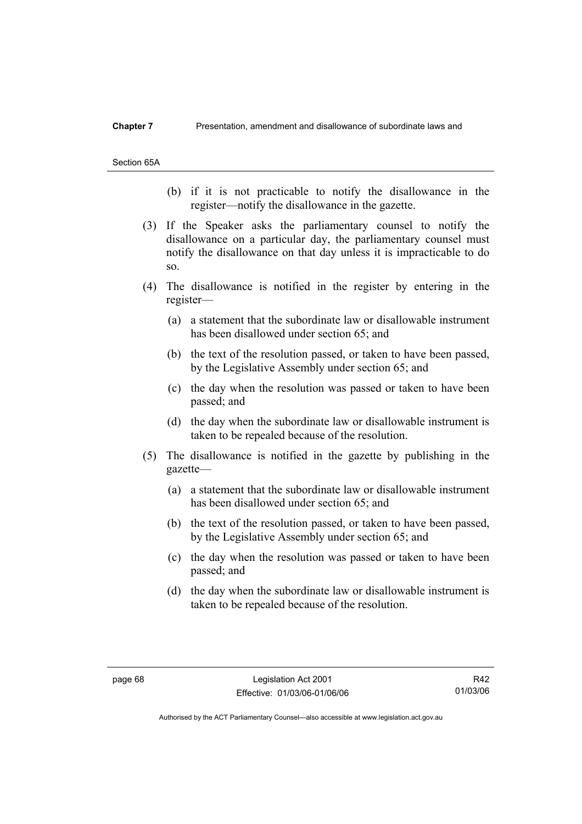#### **Chapter 7** Presentation, amendment and disallowance of subordinate laws and

Section 65A

- (b) if it is not practicable to notify the disallowance in the register—notify the disallowance in the gazette.
- (3) If the Speaker asks the parliamentary counsel to notify the disallowance on a particular day, the parliamentary counsel must notify the disallowance on that day unless it is impracticable to do so.
- (4) The disallowance is notified in the register by entering in the register—
	- (a) a statement that the subordinate law or disallowable instrument has been disallowed under section 65; and
	- (b) the text of the resolution passed, or taken to have been passed, by the Legislative Assembly under section 65; and
	- (c) the day when the resolution was passed or taken to have been passed; and
	- (d) the day when the subordinate law or disallowable instrument is taken to be repealed because of the resolution.
- (5) The disallowance is notified in the gazette by publishing in the gazette—
	- (a) a statement that the subordinate law or disallowable instrument has been disallowed under section 65; and
	- (b) the text of the resolution passed, or taken to have been passed, by the Legislative Assembly under section 65; and
	- (c) the day when the resolution was passed or taken to have been passed; and
	- (d) the day when the subordinate law or disallowable instrument is taken to be repealed because of the resolution.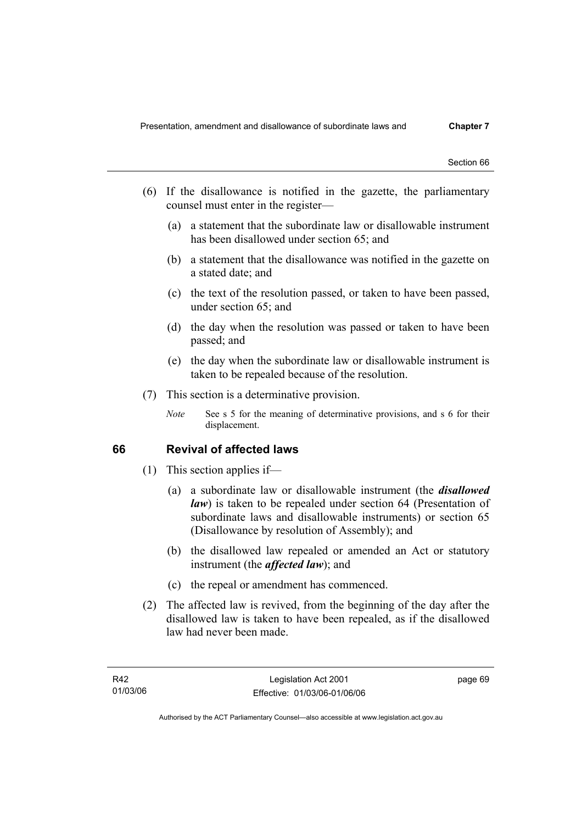- (6) If the disallowance is notified in the gazette, the parliamentary counsel must enter in the register—
	- (a) a statement that the subordinate law or disallowable instrument has been disallowed under section 65; and
	- (b) a statement that the disallowance was notified in the gazette on a stated date; and
	- (c) the text of the resolution passed, or taken to have been passed, under section 65; and
	- (d) the day when the resolution was passed or taken to have been passed; and
	- (e) the day when the subordinate law or disallowable instrument is taken to be repealed because of the resolution.
- (7) This section is a determinative provision.
	- *Note* See s 5 for the meaning of determinative provisions, and s 6 for their displacement.

## **66 Revival of affected laws**

- (1) This section applies if—
	- (a) a subordinate law or disallowable instrument (the *disallowed law*) is taken to be repealed under section 64 (Presentation of subordinate laws and disallowable instruments) or section 65 (Disallowance by resolution of Assembly); and
	- (b) the disallowed law repealed or amended an Act or statutory instrument (the *affected law*); and
	- (c) the repeal or amendment has commenced.
- (2) The affected law is revived, from the beginning of the day after the disallowed law is taken to have been repealed, as if the disallowed law had never been made.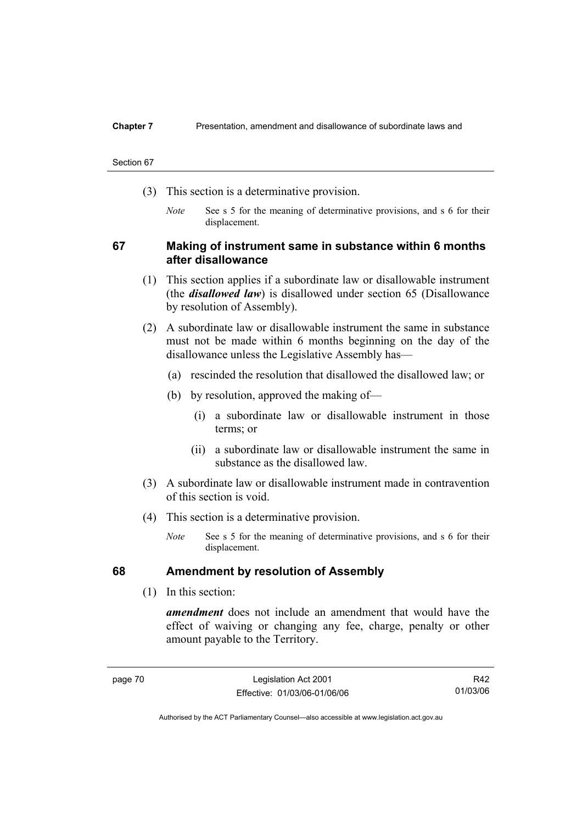#### **Chapter 7** Presentation, amendment and disallowance of subordinate laws and

#### Section 67

- (3) This section is a determinative provision.
	- *Note* See s 5 for the meaning of determinative provisions, and s 6 for their displacement.

## **67 Making of instrument same in substance within 6 months after disallowance**

- (1) This section applies if a subordinate law or disallowable instrument (the *disallowed law*) is disallowed under section 65 (Disallowance by resolution of Assembly).
- (2) A subordinate law or disallowable instrument the same in substance must not be made within 6 months beginning on the day of the disallowance unless the Legislative Assembly has—
	- (a) rescinded the resolution that disallowed the disallowed law; or
	- (b) by resolution, approved the making of—
		- (i) a subordinate law or disallowable instrument in those terms; or
		- (ii) a subordinate law or disallowable instrument the same in substance as the disallowed law.
- (3) A subordinate law or disallowable instrument made in contravention of this section is void.
- (4) This section is a determinative provision.
	- *Note* See s 5 for the meaning of determinative provisions, and s 6 for their displacement.

## **68 Amendment by resolution of Assembly**

(1) In this section:

*amendment* does not include an amendment that would have the effect of waiving or changing any fee, charge, penalty or other amount payable to the Territory.

R42 01/03/06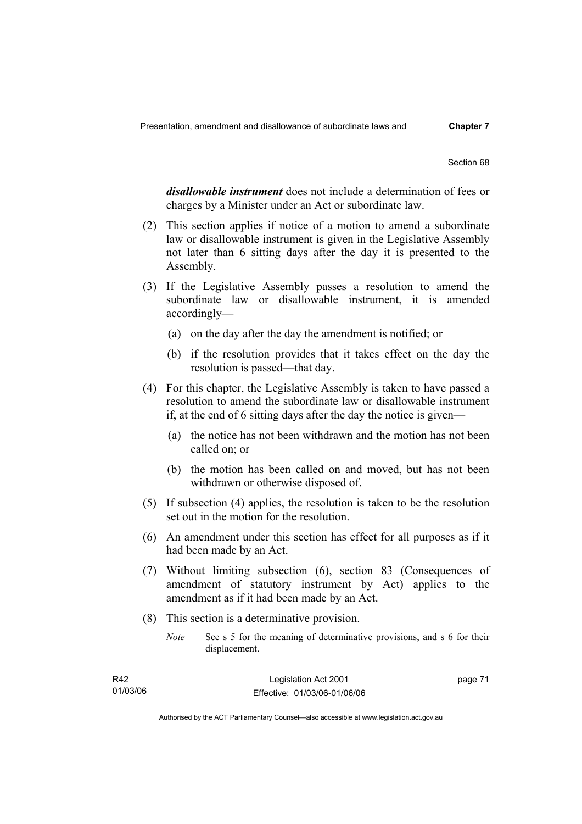*disallowable instrument* does not include a determination of fees or charges by a Minister under an Act or subordinate law.

- (2) This section applies if notice of a motion to amend a subordinate law or disallowable instrument is given in the Legislative Assembly not later than 6 sitting days after the day it is presented to the Assembly.
- (3) If the Legislative Assembly passes a resolution to amend the subordinate law or disallowable instrument, it is amended accordingly—
	- (a) on the day after the day the amendment is notified; or
	- (b) if the resolution provides that it takes effect on the day the resolution is passed—that day.
- (4) For this chapter, the Legislative Assembly is taken to have passed a resolution to amend the subordinate law or disallowable instrument if, at the end of 6 sitting days after the day the notice is given—
	- (a) the notice has not been withdrawn and the motion has not been called on; or
	- (b) the motion has been called on and moved, but has not been withdrawn or otherwise disposed of.
- (5) If subsection (4) applies, the resolution is taken to be the resolution set out in the motion for the resolution.
- (6) An amendment under this section has effect for all purposes as if it had been made by an Act.
- (7) Without limiting subsection (6), section 83 (Consequences of amendment of statutory instrument by Act) applies to the amendment as if it had been made by an Act.
- (8) This section is a determinative provision.
	- *Note* See s 5 for the meaning of determinative provisions, and s 6 for their displacement.

| R42      | Legislation Act 2001         | page 71 |
|----------|------------------------------|---------|
| 01/03/06 | Effective: 01/03/06-01/06/06 |         |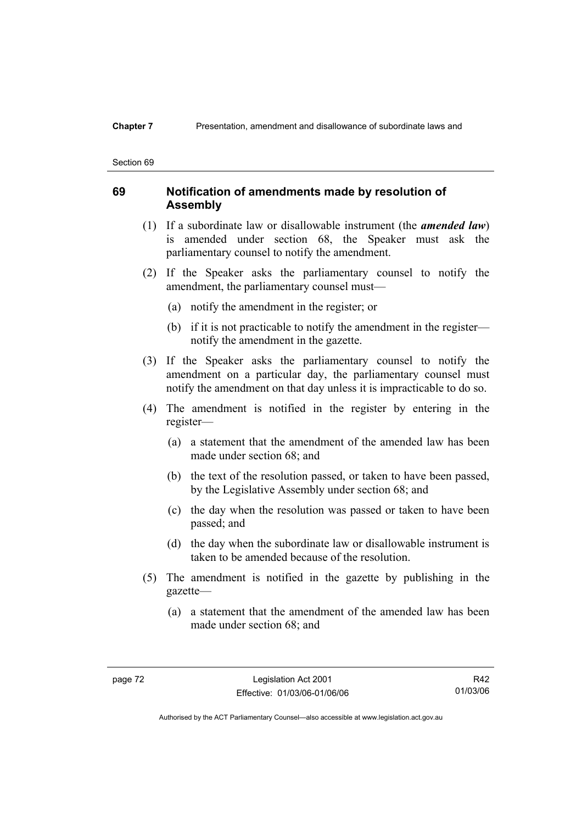## **Chapter 7** Presentation, amendment and disallowance of subordinate laws and

#### Section 69

## **69 Notification of amendments made by resolution of Assembly**

- (1) If a subordinate law or disallowable instrument (the *amended law*) is amended under section 68, the Speaker must ask the parliamentary counsel to notify the amendment.
- (2) If the Speaker asks the parliamentary counsel to notify the amendment, the parliamentary counsel must—
	- (a) notify the amendment in the register; or
	- (b) if it is not practicable to notify the amendment in the register notify the amendment in the gazette.
- (3) If the Speaker asks the parliamentary counsel to notify the amendment on a particular day, the parliamentary counsel must notify the amendment on that day unless it is impracticable to do so.
- (4) The amendment is notified in the register by entering in the register—
	- (a) a statement that the amendment of the amended law has been made under section 68; and
	- (b) the text of the resolution passed, or taken to have been passed, by the Legislative Assembly under section 68; and
	- (c) the day when the resolution was passed or taken to have been passed; and
	- (d) the day when the subordinate law or disallowable instrument is taken to be amended because of the resolution.
- (5) The amendment is notified in the gazette by publishing in the gazette—
	- (a) a statement that the amendment of the amended law has been made under section 68; and

R42 01/03/06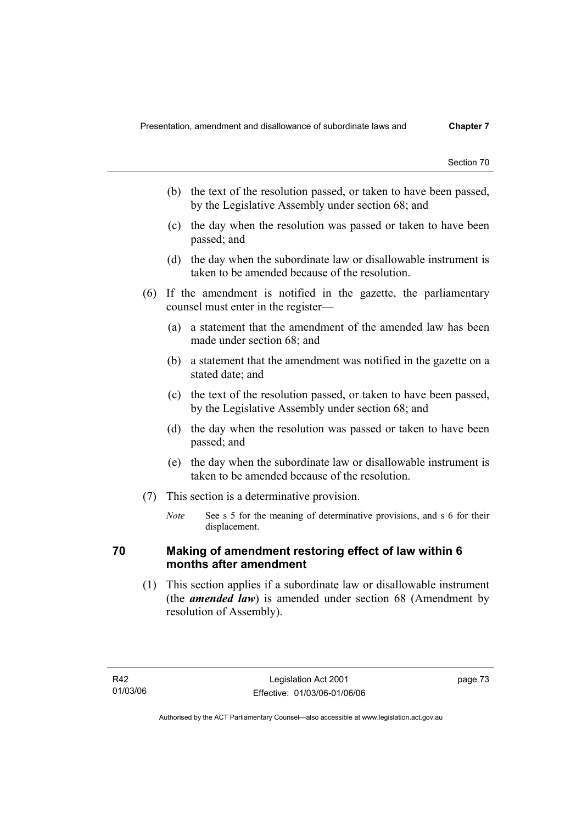- (b) the text of the resolution passed, or taken to have been passed, by the Legislative Assembly under section 68; and
- (c) the day when the resolution was passed or taken to have been passed; and
- (d) the day when the subordinate law or disallowable instrument is taken to be amended because of the resolution.
- (6) If the amendment is notified in the gazette, the parliamentary counsel must enter in the register—
	- (a) a statement that the amendment of the amended law has been made under section  $68^\circ$  and
	- (b) a statement that the amendment was notified in the gazette on a stated date; and
	- (c) the text of the resolution passed, or taken to have been passed, by the Legislative Assembly under section 68; and
	- (d) the day when the resolution was passed or taken to have been passed; and
	- (e) the day when the subordinate law or disallowable instrument is taken to be amended because of the resolution.
- (7) This section is a determinative provision.
	- *Note* See s 5 for the meaning of determinative provisions, and s 6 for their displacement.

## **70 Making of amendment restoring effect of law within 6 months after amendment**

 (1) This section applies if a subordinate law or disallowable instrument (the *amended law*) is amended under section 68 (Amendment by resolution of Assembly).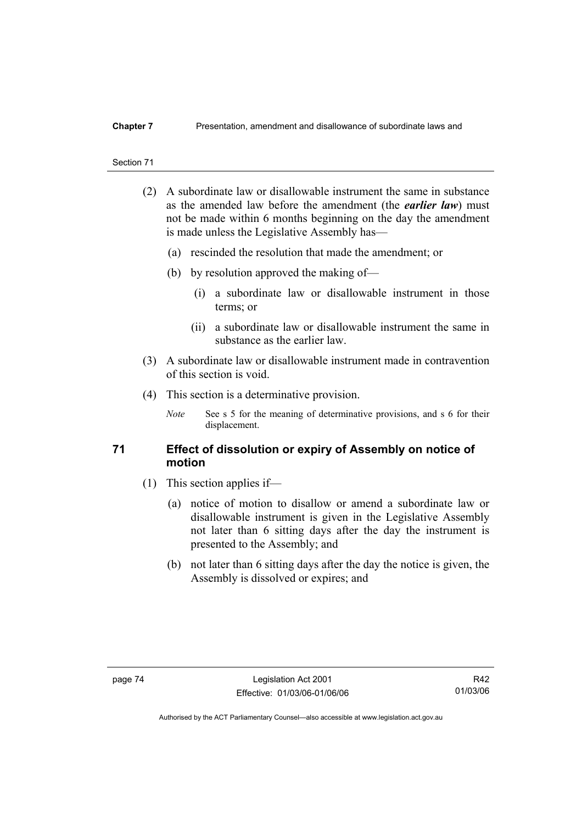- (2) A subordinate law or disallowable instrument the same in substance as the amended law before the amendment (the *earlier law*) must not be made within 6 months beginning on the day the amendment is made unless the Legislative Assembly has—
	- (a) rescinded the resolution that made the amendment; or
	- (b) by resolution approved the making of—
		- (i) a subordinate law or disallowable instrument in those terms; or
		- (ii) a subordinate law or disallowable instrument the same in substance as the earlier law.
- (3) A subordinate law or disallowable instrument made in contravention of this section is void.
- (4) This section is a determinative provision.
	- *Note* See s 5 for the meaning of determinative provisions, and s 6 for their displacement.

## **71 Effect of dissolution or expiry of Assembly on notice of motion**

- (1) This section applies if—
	- (a) notice of motion to disallow or amend a subordinate law or disallowable instrument is given in the Legislative Assembly not later than 6 sitting days after the day the instrument is presented to the Assembly; and
	- (b) not later than 6 sitting days after the day the notice is given, the Assembly is dissolved or expires; and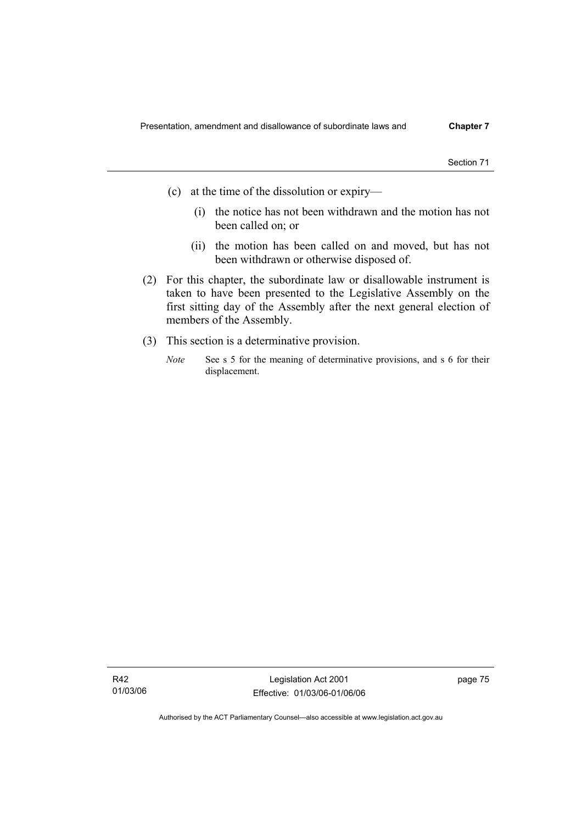- (c) at the time of the dissolution or expiry—
	- (i) the notice has not been withdrawn and the motion has not been called on; or
	- (ii) the motion has been called on and moved, but has not been withdrawn or otherwise disposed of.
- (2) For this chapter, the subordinate law or disallowable instrument is taken to have been presented to the Legislative Assembly on the first sitting day of the Assembly after the next general election of members of the Assembly.
- (3) This section is a determinative provision.
	- *Note* See s 5 for the meaning of determinative provisions, and s 6 for their displacement.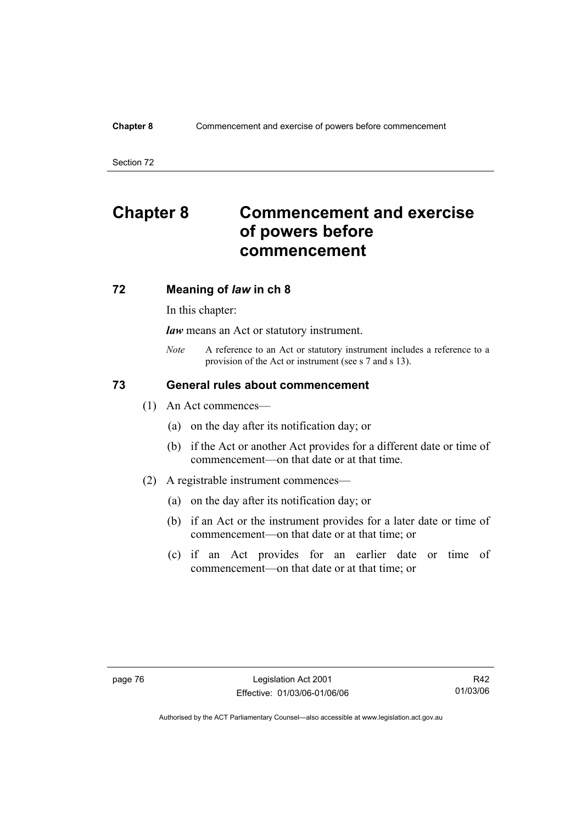### **Chapter 8** Commencement and exercise of powers before commencement

Section 72

# **Chapter 8 Commencement and exercise of powers before commencement**

## **72 Meaning of** *law* **in ch 8**

In this chapter:

*law* means an Act or statutory instrument.

*Note* A reference to an Act or statutory instrument includes a reference to a provision of the Act or instrument (see s 7 and s 13).

## **73 General rules about commencement**

- (1) An Act commences—
	- (a) on the day after its notification day; or
	- (b) if the Act or another Act provides for a different date or time of commencement—on that date or at that time.
- (2) A registrable instrument commences—
	- (a) on the day after its notification day; or
	- (b) if an Act or the instrument provides for a later date or time of commencement—on that date or at that time; or
	- (c) if an Act provides for an earlier date or time of commencement—on that date or at that time; or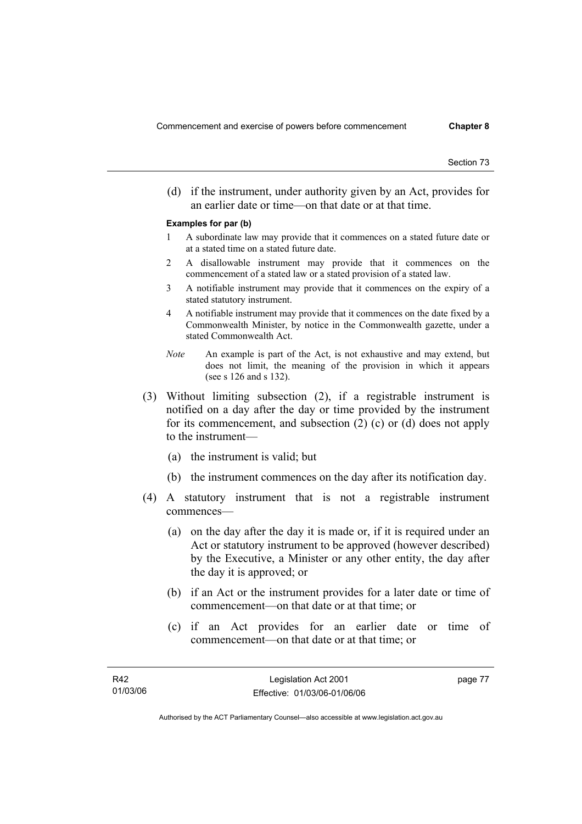(d) if the instrument, under authority given by an Act, provides for an earlier date or time—on that date or at that time.

#### **Examples for par (b)**

- 1 A subordinate law may provide that it commences on a stated future date or at a stated time on a stated future date.
- 2 A disallowable instrument may provide that it commences on the commencement of a stated law or a stated provision of a stated law.
- 3 A notifiable instrument may provide that it commences on the expiry of a stated statutory instrument.
- 4 A notifiable instrument may provide that it commences on the date fixed by a Commonwealth Minister, by notice in the Commonwealth gazette, under a stated Commonwealth Act.
- *Note* An example is part of the Act, is not exhaustive and may extend, but does not limit, the meaning of the provision in which it appears (see s 126 and s 132).
- (3) Without limiting subsection (2), if a registrable instrument is notified on a day after the day or time provided by the instrument for its commencement, and subsection (2) (c) or (d) does not apply to the instrument—
	- (a) the instrument is valid; but
	- (b) the instrument commences on the day after its notification day.
- (4) A statutory instrument that is not a registrable instrument commences—
	- (a) on the day after the day it is made or, if it is required under an Act or statutory instrument to be approved (however described) by the Executive, a Minister or any other entity, the day after the day it is approved; or
	- (b) if an Act or the instrument provides for a later date or time of commencement—on that date or at that time; or
	- (c) if an Act provides for an earlier date or time of commencement—on that date or at that time; or

page 77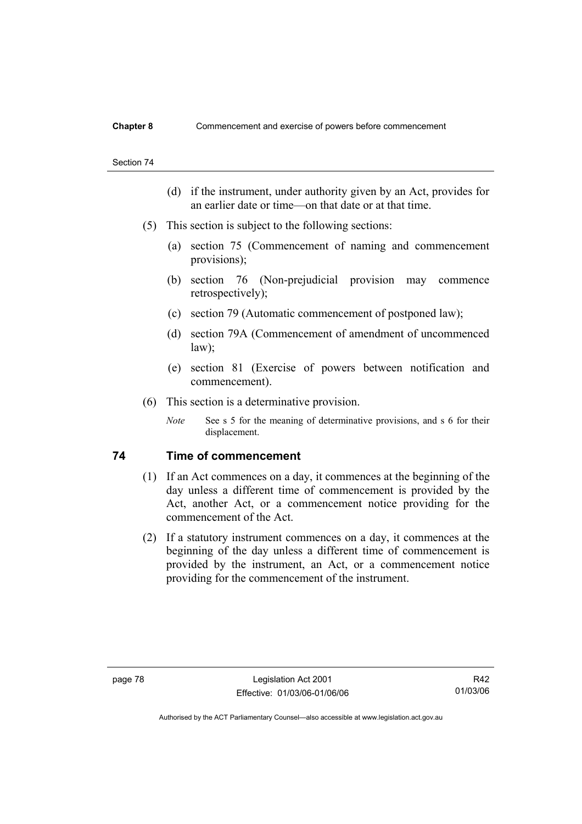- (d) if the instrument, under authority given by an Act, provides for an earlier date or time—on that date or at that time.
- (5) This section is subject to the following sections:
	- (a) section 75 (Commencement of naming and commencement provisions);
	- (b) section 76 (Non-prejudicial provision may commence retrospectively);
	- (c) section 79 (Automatic commencement of postponed law);
	- (d) section 79A (Commencement of amendment of uncommenced law);
	- (e) section 81 (Exercise of powers between notification and commencement).
- (6) This section is a determinative provision.
	- *Note* See s 5 for the meaning of determinative provisions, and s 6 for their displacement.

## **74 Time of commencement**

- (1) If an Act commences on a day, it commences at the beginning of the day unless a different time of commencement is provided by the Act, another Act, or a commencement notice providing for the commencement of the Act.
- (2) If a statutory instrument commences on a day, it commences at the beginning of the day unless a different time of commencement is provided by the instrument, an Act, or a commencement notice providing for the commencement of the instrument.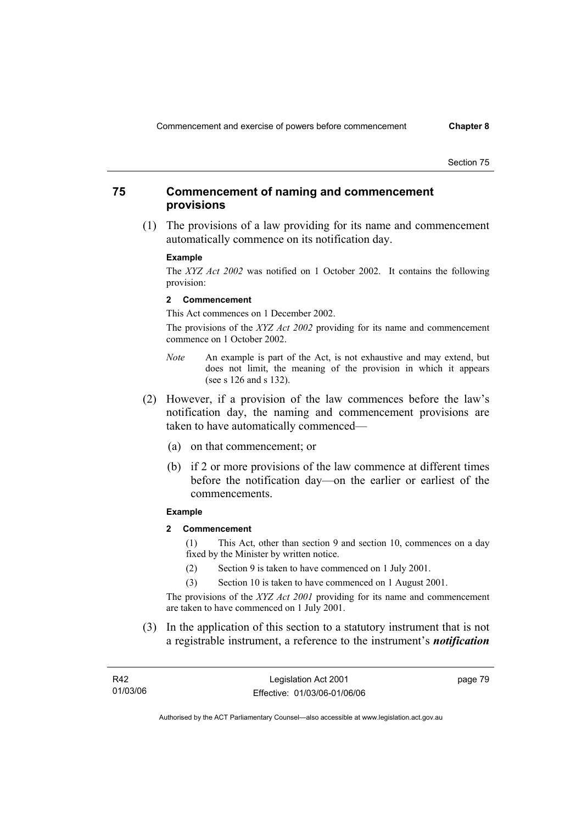## **75 Commencement of naming and commencement provisions**

 (1) The provisions of a law providing for its name and commencement automatically commence on its notification day.

#### **Example**

The *XYZ Act 2002* was notified on 1 October 2002. It contains the following provision:

#### **2 Commencement**

This Act commences on 1 December 2002.

The provisions of the *XYZ Act 2002* providing for its name and commencement commence on 1 October 2002.

- *Note* An example is part of the Act, is not exhaustive and may extend, but does not limit, the meaning of the provision in which it appears (see s 126 and s 132).
- (2) However, if a provision of the law commences before the law's notification day, the naming and commencement provisions are taken to have automatically commenced—
	- (a) on that commencement; or
	- (b) if 2 or more provisions of the law commence at different times before the notification day—on the earlier or earliest of the commencements.

#### **Example**

**2 Commencement** 

(1) This Act, other than section 9 and section 10, commences on a day fixed by the Minister by written notice.

- (2) Section 9 is taken to have commenced on 1 July 2001.
- (3) Section 10 is taken to have commenced on 1 August 2001.

The provisions of the *XYZ Act 2001* providing for its name and commencement are taken to have commenced on 1 July 2001.

 (3) In the application of this section to a statutory instrument that is not a registrable instrument, a reference to the instrument's *notification* 

| R42      | Legislation Act 2001         | page 79 |
|----------|------------------------------|---------|
| 01/03/06 | Effective: 01/03/06-01/06/06 |         |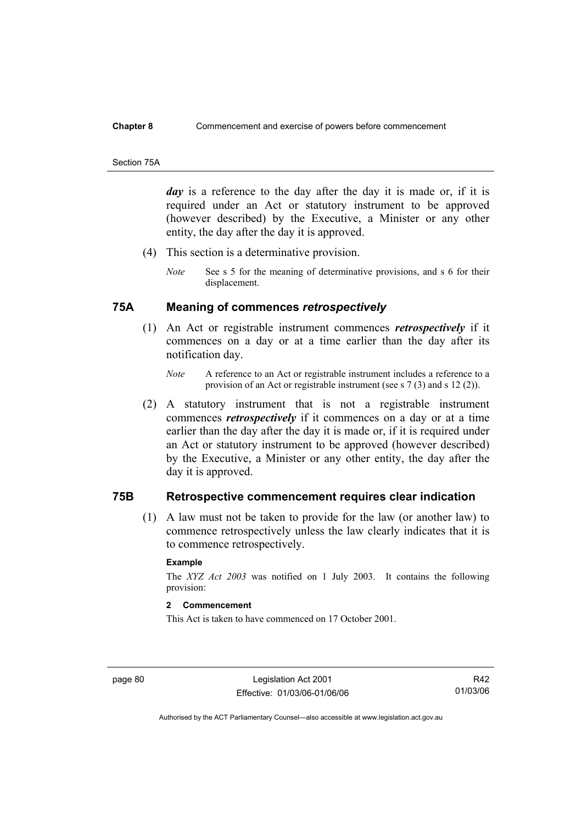#### **Chapter 8** Commencement and exercise of powers before commencement

#### Section 75A

*day* is a reference to the day after the day it is made or, if it is required under an Act or statutory instrument to be approved (however described) by the Executive, a Minister or any other entity, the day after the day it is approved.

- (4) This section is a determinative provision.
	- *Note* See s 5 for the meaning of determinative provisions, and s 6 for their displacement.

## **75A Meaning of commences** *retrospectively*

- (1) An Act or registrable instrument commences *retrospectively* if it commences on a day or at a time earlier than the day after its notification day.
	- *Note* A reference to an Act or registrable instrument includes a reference to a provision of an Act or registrable instrument (see s 7 (3) and s 12 (2)).
- (2) A statutory instrument that is not a registrable instrument commences *retrospectively* if it commences on a day or at a time earlier than the day after the day it is made or, if it is required under an Act or statutory instrument to be approved (however described) by the Executive, a Minister or any other entity, the day after the day it is approved.

## **75B Retrospective commencement requires clear indication**

 (1) A law must not be taken to provide for the law (or another law) to commence retrospectively unless the law clearly indicates that it is to commence retrospectively.

### **Example**

The *XYZ Act 2003* was notified on 1 July 2003. It contains the following provision:

## **2 Commencement**

This Act is taken to have commenced on 17 October 2001.

page 80 Legislation Act 2001 Effective: 01/03/06-01/06/06

R42 01/03/06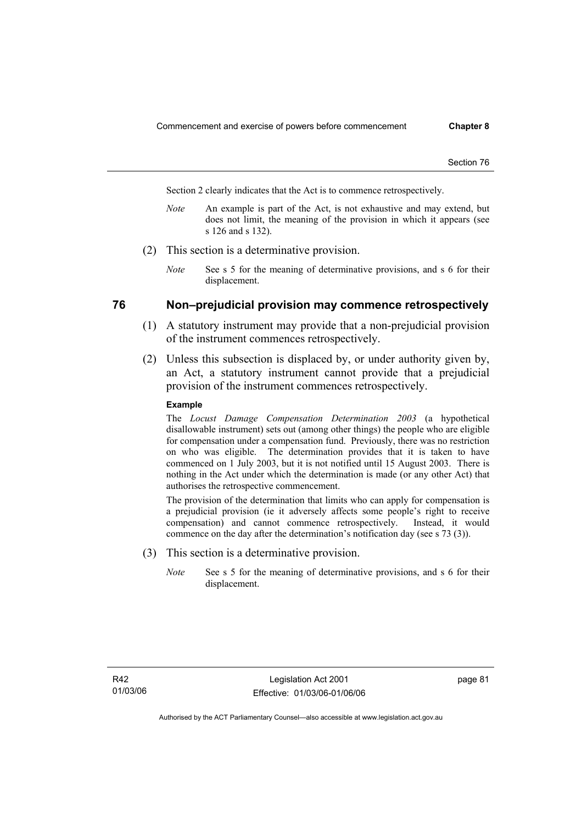Section 2 clearly indicates that the Act is to commence retrospectively.

- *Note* An example is part of the Act, is not exhaustive and may extend, but does not limit, the meaning of the provision in which it appears (see s 126 and s 132).
- (2) This section is a determinative provision.
	- *Note* See s 5 for the meaning of determinative provisions, and s 6 for their displacement.

## **76 Non–prejudicial provision may commence retrospectively**

- (1) A statutory instrument may provide that a non-prejudicial provision of the instrument commences retrospectively.
- (2) Unless this subsection is displaced by, or under authority given by, an Act, a statutory instrument cannot provide that a prejudicial provision of the instrument commences retrospectively.

#### **Example**

The *Locust Damage Compensation Determination 2003* (a hypothetical disallowable instrument) sets out (among other things) the people who are eligible for compensation under a compensation fund. Previously, there was no restriction on who was eligible. The determination provides that it is taken to have commenced on 1 July 2003, but it is not notified until 15 August 2003. There is nothing in the Act under which the determination is made (or any other Act) that authorises the retrospective commencement.

The provision of the determination that limits who can apply for compensation is a prejudicial provision (ie it adversely affects some people's right to receive compensation) and cannot commence retrospectively. Instead, it would commence on the day after the determination's notification day (see s 73 (3)).

- (3) This section is a determinative provision.
	- *Note* See s 5 for the meaning of determinative provisions, and s 6 for their displacement.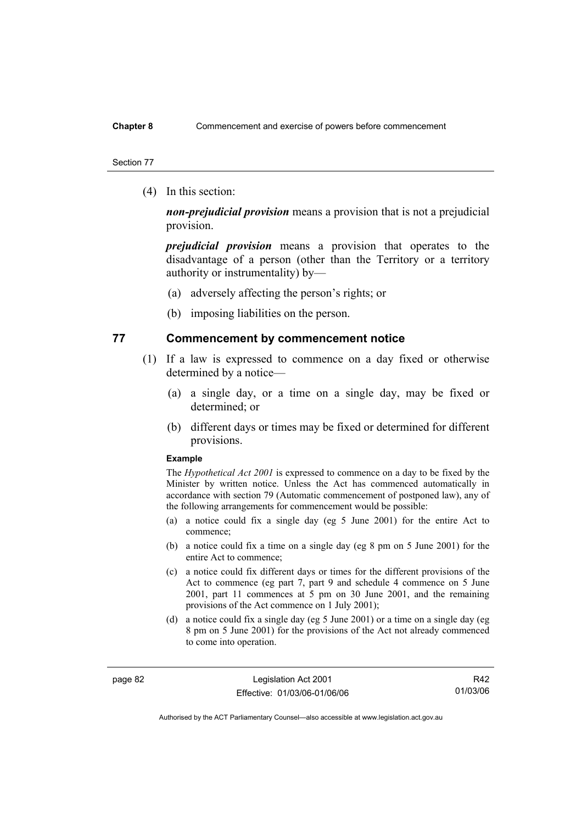### **Chapter 8** Commencement and exercise of powers before commencement

#### Section 77

(4) In this section:

*non-prejudicial provision* means a provision that is not a prejudicial provision.

*prejudicial provision* means a provision that operates to the disadvantage of a person (other than the Territory or a territory authority or instrumentality) by—

- (a) adversely affecting the person's rights; or
- (b) imposing liabilities on the person.

## **77 Commencement by commencement notice**

- (1) If a law is expressed to commence on a day fixed or otherwise determined by a notice—
	- (a) a single day, or a time on a single day, may be fixed or determined; or
	- (b) different days or times may be fixed or determined for different provisions.

#### **Example**

The *Hypothetical Act 2001* is expressed to commence on a day to be fixed by the Minister by written notice. Unless the Act has commenced automatically in accordance with section 79 (Automatic commencement of postponed law), any of the following arrangements for commencement would be possible:

- (a) a notice could fix a single day (eg 5 June 2001) for the entire Act to commence;
- (b) a notice could fix a time on a single day (eg 8 pm on 5 June 2001) for the entire Act to commence;
- (c) a notice could fix different days or times for the different provisions of the Act to commence (eg part 7, part 9 and schedule 4 commence on 5 June 2001, part 11 commences at 5 pm on 30 June 2001, and the remaining provisions of the Act commence on 1 July 2001);
- (d) a notice could fix a single day (eg 5 June 2001) or a time on a single day (eg 8 pm on 5 June 2001) for the provisions of the Act not already commenced to come into operation.

page 82 Legislation Act 2001 Effective: 01/03/06-01/06/06

R42 01/03/06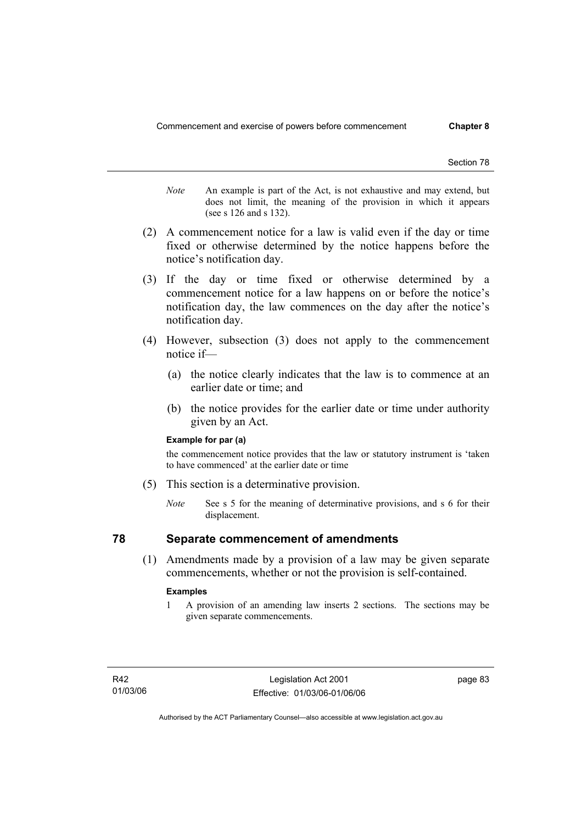- *Note* An example is part of the Act, is not exhaustive and may extend, but does not limit, the meaning of the provision in which it appears (see s 126 and s 132).
- (2) A commencement notice for a law is valid even if the day or time fixed or otherwise determined by the notice happens before the notice's notification day.
- (3) If the day or time fixed or otherwise determined by a commencement notice for a law happens on or before the notice's notification day, the law commences on the day after the notice's notification day.
- (4) However, subsection (3) does not apply to the commencement notice if—
	- (a) the notice clearly indicates that the law is to commence at an earlier date or time; and
	- (b) the notice provides for the earlier date or time under authority given by an Act.

#### **Example for par (a)**

the commencement notice provides that the law or statutory instrument is 'taken to have commenced' at the earlier date or time

- (5) This section is a determinative provision.
	- *Note* See s 5 for the meaning of determinative provisions, and s 6 for their displacement.

## **78 Separate commencement of amendments**

 (1) Amendments made by a provision of a law may be given separate commencements, whether or not the provision is self-contained.

#### **Examples**

1 A provision of an amending law inserts 2 sections. The sections may be given separate commencements.

page 83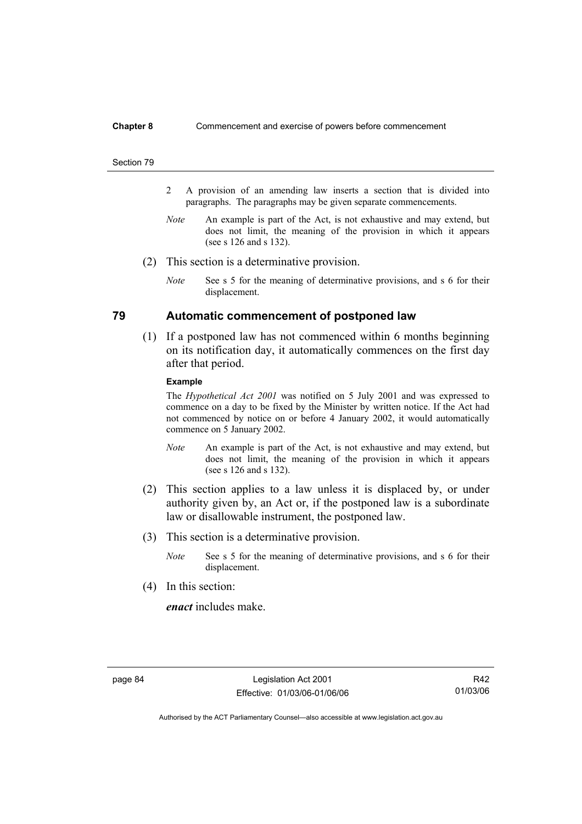#### **Chapter 8** Commencement and exercise of powers before commencement

#### Section 79

- 2 A provision of an amending law inserts a section that is divided into paragraphs. The paragraphs may be given separate commencements.
- *Note* An example is part of the Act, is not exhaustive and may extend, but does not limit, the meaning of the provision in which it appears (see s 126 and s 132).
- (2) This section is a determinative provision.
	- *Note* See s 5 for the meaning of determinative provisions, and s 6 for their displacement.

## **79 Automatic commencement of postponed law**

 (1) If a postponed law has not commenced within 6 months beginning on its notification day, it automatically commences on the first day after that period.

#### **Example**

The *Hypothetical Act 2001* was notified on 5 July 2001 and was expressed to commence on a day to be fixed by the Minister by written notice. If the Act had not commenced by notice on or before 4 January 2002, it would automatically commence on 5 January 2002.

- *Note* An example is part of the Act, is not exhaustive and may extend, but does not limit, the meaning of the provision in which it appears (see s 126 and s 132).
- (2) This section applies to a law unless it is displaced by, or under authority given by, an Act or, if the postponed law is a subordinate law or disallowable instrument, the postponed law.
- (3) This section is a determinative provision.
	- *Note* See s 5 for the meaning of determinative provisions, and s 6 for their displacement.
- (4) In this section:

*enact* includes make.

R42 01/03/06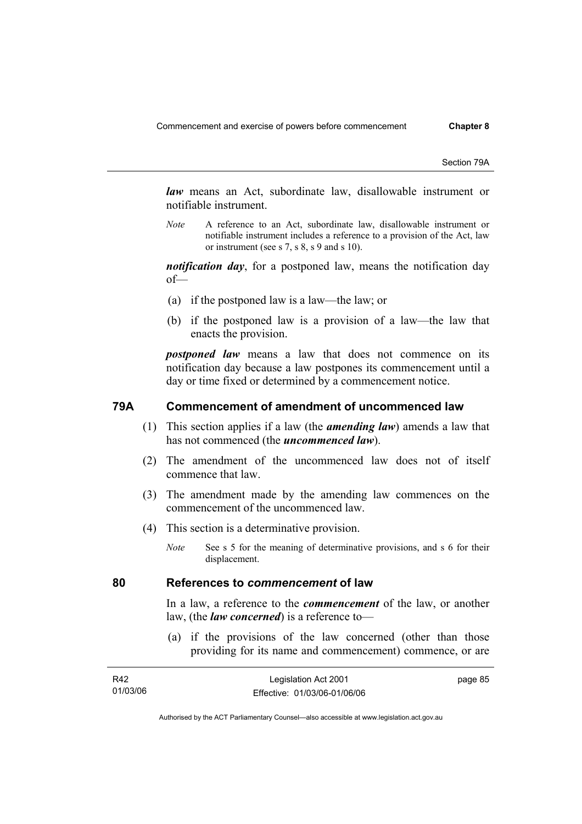Section 79A

*law* means an Act, subordinate law, disallowable instrument or notifiable instrument.

*Note* A reference to an Act, subordinate law, disallowable instrument or notifiable instrument includes a reference to a provision of the Act, law or instrument (see s 7, s 8, s 9 and s 10).

*notification day*, for a postponed law, means the notification day of—

- (a) if the postponed law is a law—the law; or
- (b) if the postponed law is a provision of a law—the law that enacts the provision.

*postponed law* means a law that does not commence on its notification day because a law postpones its commencement until a day or time fixed or determined by a commencement notice.

## **79A Commencement of amendment of uncommenced law**

- (1) This section applies if a law (the *amending law*) amends a law that has not commenced (the *uncommenced law*).
- (2) The amendment of the uncommenced law does not of itself commence that law.
- (3) The amendment made by the amending law commences on the commencement of the uncommenced law.
- (4) This section is a determinative provision.
	- *Note* See s 5 for the meaning of determinative provisions, and s 6 for their displacement.

### **80 References to** *commencement* **of law**

In a law, a reference to the *commencement* of the law, or another law, (the *law concerned*) is a reference to—

 (a) if the provisions of the law concerned (other than those providing for its name and commencement) commence, or are

| R42      | Legislation Act 2001         | page 85 |
|----------|------------------------------|---------|
| 01/03/06 | Effective: 01/03/06-01/06/06 |         |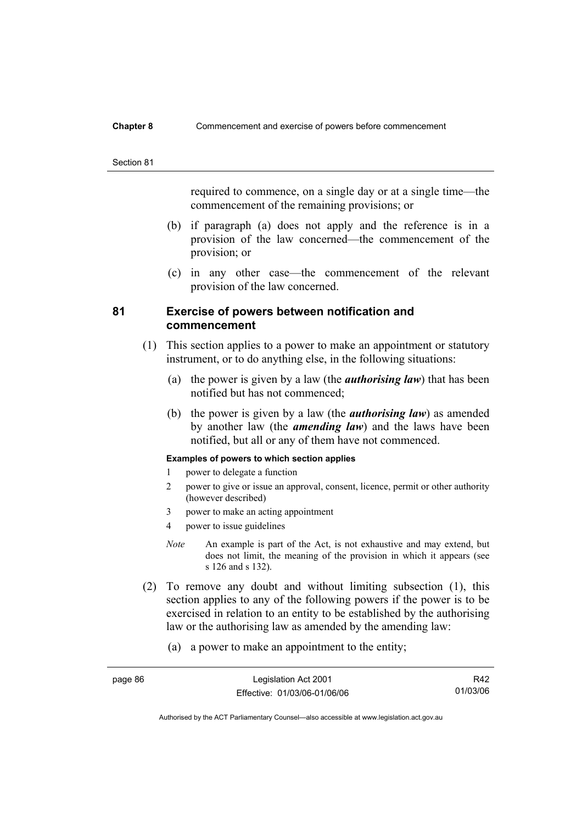#### **Chapter 8** Commencement and exercise of powers before commencement

#### Section 81

required to commence, on a single day or at a single time—the commencement of the remaining provisions; or

- (b) if paragraph (a) does not apply and the reference is in a provision of the law concerned—the commencement of the provision; or
- (c) in any other case—the commencement of the relevant provision of the law concerned.

## **81 Exercise of powers between notification and commencement**

- (1) This section applies to a power to make an appointment or statutory instrument, or to do anything else, in the following situations:
	- (a) the power is given by a law (the *authorising law*) that has been notified but has not commenced;
	- (b) the power is given by a law (the *authorising law*) as amended by another law (the *amending law*) and the laws have been notified, but all or any of them have not commenced.

### **Examples of powers to which section applies**

- 1 power to delegate a function
- 2 power to give or issue an approval, consent, licence, permit or other authority (however described)
- 3 power to make an acting appointment
- 4 power to issue guidelines
- *Note* An example is part of the Act, is not exhaustive and may extend, but does not limit, the meaning of the provision in which it appears (see s 126 and s 132).

- (2) To remove any doubt and without limiting subsection (1), this section applies to any of the following powers if the power is to be exercised in relation to an entity to be established by the authorising law or the authorising law as amended by the amending law:
	- (a) a power to make an appointment to the entity;

| page 86 | Legislation Act 2001         | R42      |
|---------|------------------------------|----------|
|         | Effective: 01/03/06-01/06/06 | 01/03/06 |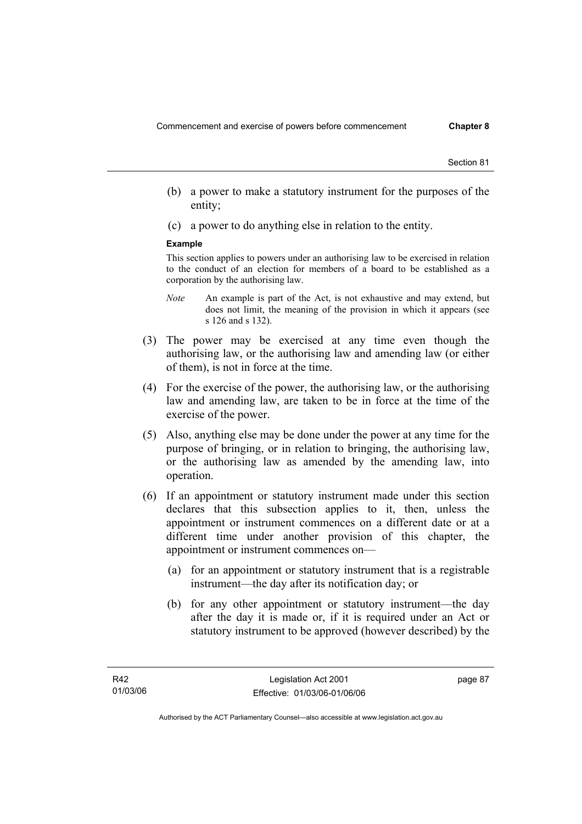- (b) a power to make a statutory instrument for the purposes of the entity;
- (c) a power to do anything else in relation to the entity.

#### **Example**

This section applies to powers under an authorising law to be exercised in relation to the conduct of an election for members of a board to be established as a corporation by the authorising law.

- *Note* An example is part of the Act, is not exhaustive and may extend, but does not limit, the meaning of the provision in which it appears (see s 126 and s 132).
- (3) The power may be exercised at any time even though the authorising law, or the authorising law and amending law (or either of them), is not in force at the time.
- (4) For the exercise of the power, the authorising law, or the authorising law and amending law, are taken to be in force at the time of the exercise of the power.
- (5) Also, anything else may be done under the power at any time for the purpose of bringing, or in relation to bringing, the authorising law, or the authorising law as amended by the amending law, into operation.
- (6) If an appointment or statutory instrument made under this section declares that this subsection applies to it, then, unless the appointment or instrument commences on a different date or at a different time under another provision of this chapter, the appointment or instrument commences on—
	- (a) for an appointment or statutory instrument that is a registrable instrument—the day after its notification day; or
	- (b) for any other appointment or statutory instrument—the day after the day it is made or, if it is required under an Act or statutory instrument to be approved (however described) by the

page 87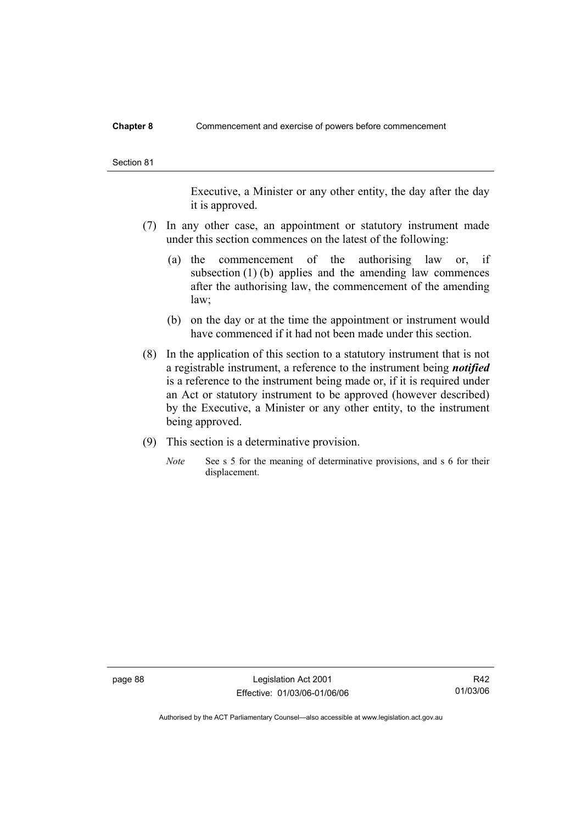#### **Chapter 8** Commencement and exercise of powers before commencement

Executive, a Minister or any other entity, the day after the day it is approved.

- (7) In any other case, an appointment or statutory instrument made under this section commences on the latest of the following:
	- (a) the commencement of the authorising law or, if subsection (1) (b) applies and the amending law commences after the authorising law, the commencement of the amending law;
	- (b) on the day or at the time the appointment or instrument would have commenced if it had not been made under this section.
- (8) In the application of this section to a statutory instrument that is not a registrable instrument, a reference to the instrument being *notified*  is a reference to the instrument being made or, if it is required under an Act or statutory instrument to be approved (however described) by the Executive, a Minister or any other entity, to the instrument being approved.
- (9) This section is a determinative provision.
	- *Note* See s 5 for the meaning of determinative provisions, and s 6 for their displacement.

page 88 Legislation Act 2001 Effective: 01/03/06-01/06/06

R42 01/03/06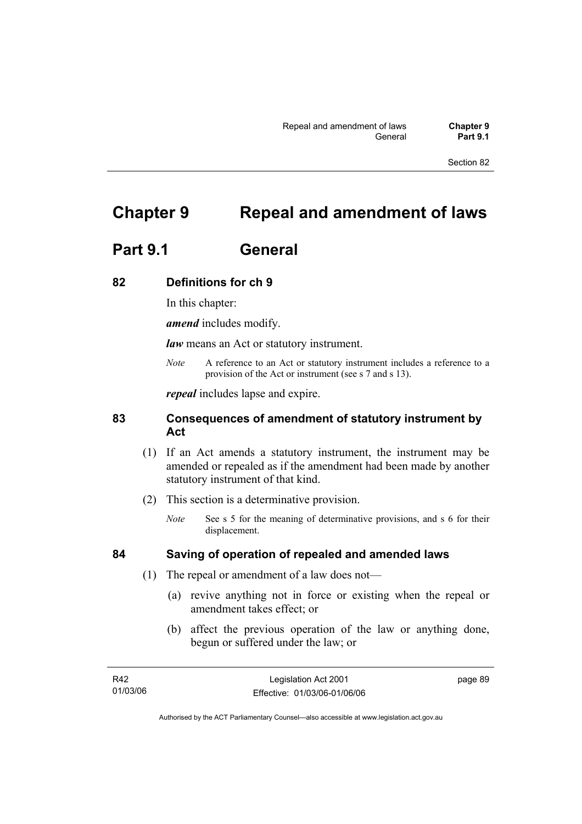# **Chapter 9 Repeal and amendment of laws**

# **Part 9.1 General**

## **82 Definitions for ch 9**

In this chapter:

*amend* includes modify.

*law* means an Act or statutory instrument.

*Note* A reference to an Act or statutory instrument includes a reference to a provision of the Act or instrument (see s 7 and s 13).

*repeal* includes lapse and expire.

## **83 Consequences of amendment of statutory instrument by Act**

- (1) If an Act amends a statutory instrument, the instrument may be amended or repealed as if the amendment had been made by another statutory instrument of that kind.
- (2) This section is a determinative provision.
	- *Note* See s 5 for the meaning of determinative provisions, and s 6 for their displacement.

## **84 Saving of operation of repealed and amended laws**

- (1) The repeal or amendment of a law does not—
	- (a) revive anything not in force or existing when the repeal or amendment takes effect; or
	- (b) affect the previous operation of the law or anything done, begun or suffered under the law; or

| R42      | Legislation Act 2001         | page 89 |
|----------|------------------------------|---------|
| 01/03/06 | Effective: 01/03/06-01/06/06 |         |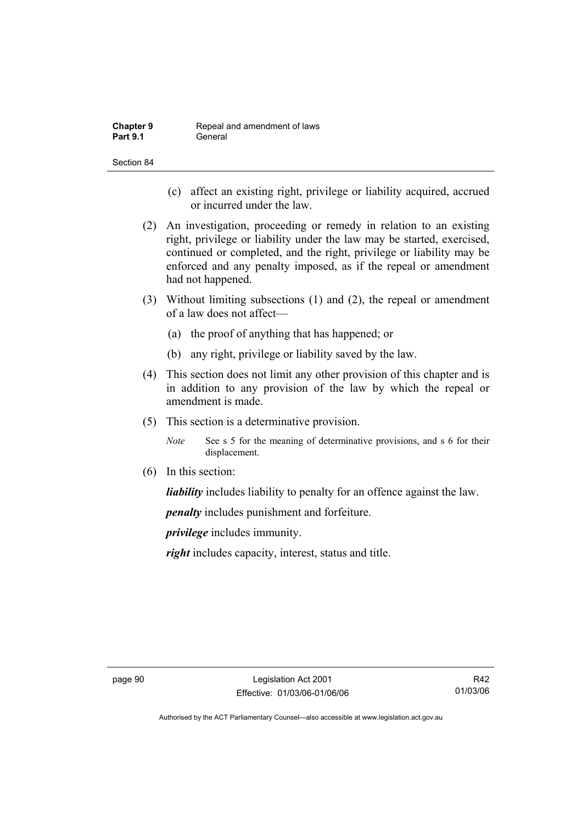| <b>Chapter 9</b> | Repeal and amendment of laws |
|------------------|------------------------------|
| <b>Part 9.1</b>  | General                      |

- (c) affect an existing right, privilege or liability acquired, accrued or incurred under the law.
- (2) An investigation, proceeding or remedy in relation to an existing right, privilege or liability under the law may be started, exercised, continued or completed, and the right, privilege or liability may be enforced and any penalty imposed, as if the repeal or amendment had not happened.
- (3) Without limiting subsections (1) and (2), the repeal or amendment of a law does not affect—
	- (a) the proof of anything that has happened; or
	- (b) any right, privilege or liability saved by the law.
- (4) This section does not limit any other provision of this chapter and is in addition to any provision of the law by which the repeal or amendment is made.
- (5) This section is a determinative provision.
	- *Note* See s 5 for the meaning of determinative provisions, and s 6 for their displacement.
- (6) In this section:

*liability* includes liability to penalty for an offence against the law.

*penalty* includes punishment and forfeiture.

*privilege* includes immunity.

*right* includes capacity, interest, status and title.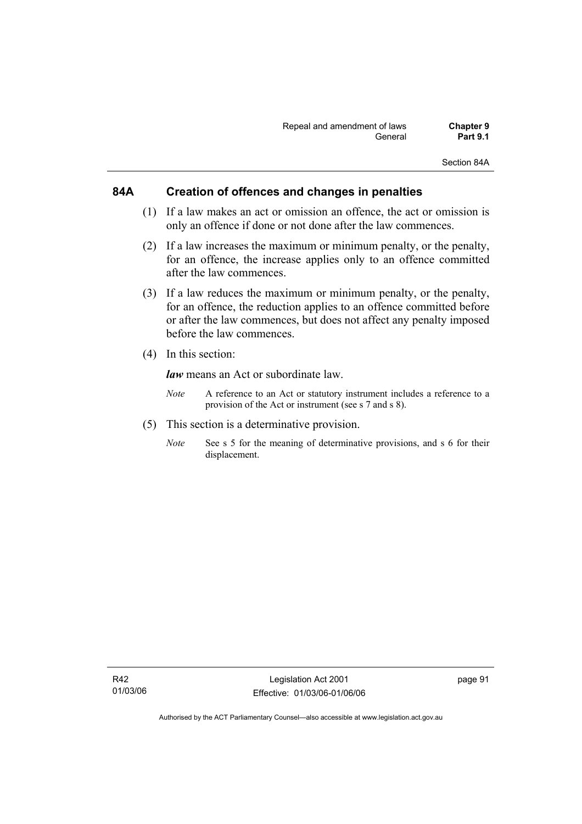Section 84A

## **84A Creation of offences and changes in penalties**

- (1) If a law makes an act or omission an offence, the act or omission is only an offence if done or not done after the law commences.
- (2) If a law increases the maximum or minimum penalty, or the penalty, for an offence, the increase applies only to an offence committed after the law commences.
- (3) If a law reduces the maximum or minimum penalty, or the penalty, for an offence, the reduction applies to an offence committed before or after the law commences, but does not affect any penalty imposed before the law commences.
- (4) In this section:

*law* means an Act or subordinate law.

- *Note* A reference to an Act or statutory instrument includes a reference to a provision of the Act or instrument (see s 7 and s 8).
- (5) This section is a determinative provision.
	- *Note* See s 5 for the meaning of determinative provisions, and s 6 for their displacement.

page 91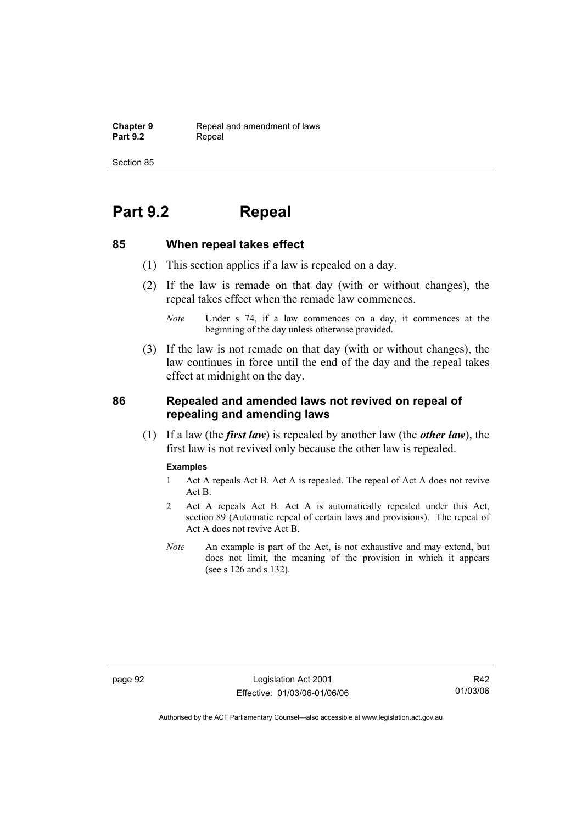**Chapter 9 Repeal and amendment of laws**<br>**Part 9.2 Repeal** Repeal

Section 85

# **Part 9.2 Repeal**

## **85 When repeal takes effect**

- (1) This section applies if a law is repealed on a day.
- (2) If the law is remade on that day (with or without changes), the repeal takes effect when the remade law commences.

 (3) If the law is not remade on that day (with or without changes), the law continues in force until the end of the day and the repeal takes effect at midnight on the day.

## **86 Repealed and amended laws not revived on repeal of repealing and amending laws**

 (1) If a law (the *first law*) is repealed by another law (the *other law*), the first law is not revived only because the other law is repealed.

#### **Examples**

- 1 Act A repeals Act B. Act A is repealed. The repeal of Act A does not revive Act B.
- 2 Act A repeals Act B. Act A is automatically repealed under this Act, section 89 (Automatic repeal of certain laws and provisions). The repeal of Act A does not revive Act B.
- *Note* An example is part of the Act, is not exhaustive and may extend, but does not limit, the meaning of the provision in which it appears (see s 126 and s 132).

page 92 Legislation Act 2001 Effective: 01/03/06-01/06/06

R42 01/03/06

*Note* Under s 74, if a law commences on a day, it commences at the beginning of the day unless otherwise provided.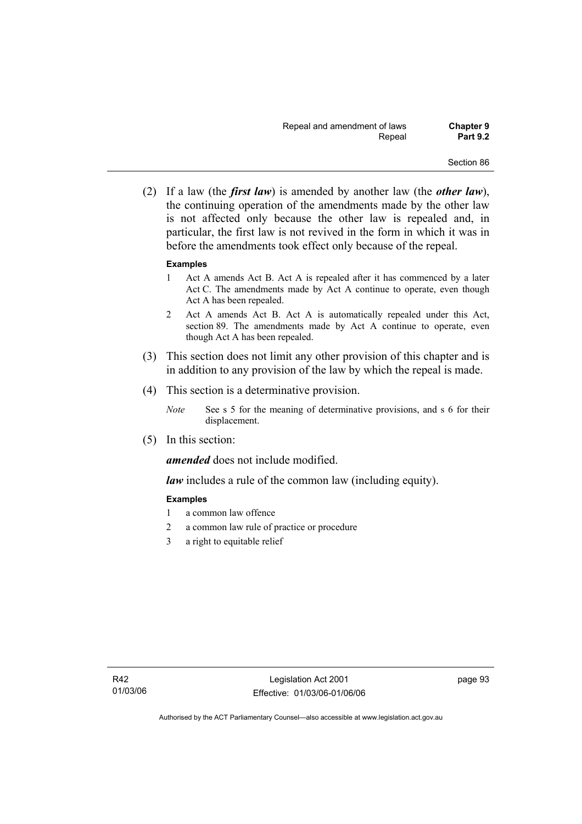(2) If a law (the *first law*) is amended by another law (the *other law*), the continuing operation of the amendments made by the other law is not affected only because the other law is repealed and, in particular, the first law is not revived in the form in which it was in before the amendments took effect only because of the repeal.

### **Examples**

- 1 Act A amends Act B. Act A is repealed after it has commenced by a later Act C. The amendments made by Act A continue to operate, even though Act A has been repealed.
- 2 Act A amends Act B. Act A is automatically repealed under this Act, section 89. The amendments made by Act A continue to operate, even though Act A has been repealed.
- (3) This section does not limit any other provision of this chapter and is in addition to any provision of the law by which the repeal is made.
- (4) This section is a determinative provision.
	- *Note* See s 5 for the meaning of determinative provisions, and s 6 for their displacement.
- (5) In this section:

*amended* does not include modified.

*law* includes a rule of the common law (including equity).

## **Examples**

- 1 a common law offence
- 2 a common law rule of practice or procedure
- 3 a right to equitable relief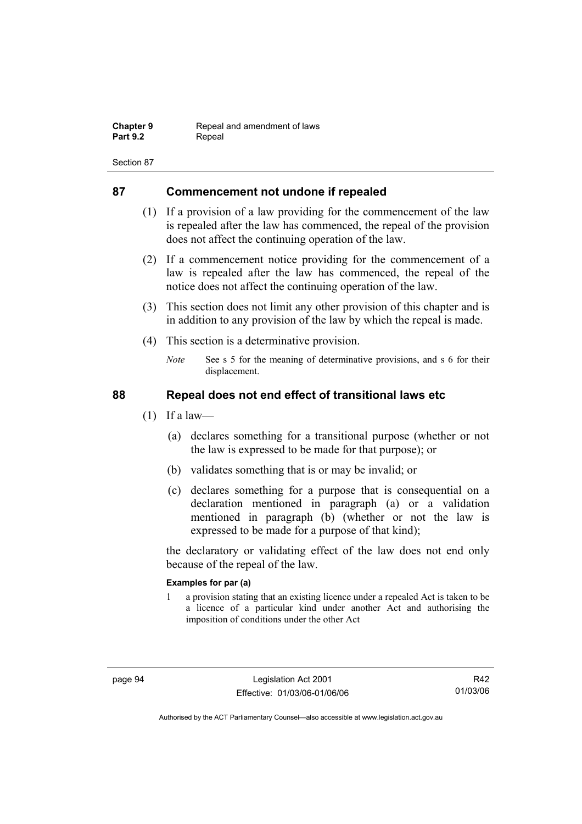| <b>Chapter 9</b> | Repeal and amendment of laws |
|------------------|------------------------------|
| <b>Part 9.2</b>  | Repeal                       |

## **87 Commencement not undone if repealed**

- (1) If a provision of a law providing for the commencement of the law is repealed after the law has commenced, the repeal of the provision does not affect the continuing operation of the law.
- (2) If a commencement notice providing for the commencement of a law is repealed after the law has commenced, the repeal of the notice does not affect the continuing operation of the law.
- (3) This section does not limit any other provision of this chapter and is in addition to any provision of the law by which the repeal is made.
- (4) This section is a determinative provision.
	- *Note* See s 5 for the meaning of determinative provisions, and s 6 for their displacement.

## **88 Repeal does not end effect of transitional laws etc**

- $(1)$  If a law—
	- (a) declares something for a transitional purpose (whether or not the law is expressed to be made for that purpose); or
	- (b) validates something that is or may be invalid; or
	- (c) declares something for a purpose that is consequential on a declaration mentioned in paragraph (a) or a validation mentioned in paragraph (b) (whether or not the law is expressed to be made for a purpose of that kind);

the declaratory or validating effect of the law does not end only because of the repeal of the law.

## **Examples for par (a)**

1 a provision stating that an existing licence under a repealed Act is taken to be a licence of a particular kind under another Act and authorising the imposition of conditions under the other Act

R42 01/03/06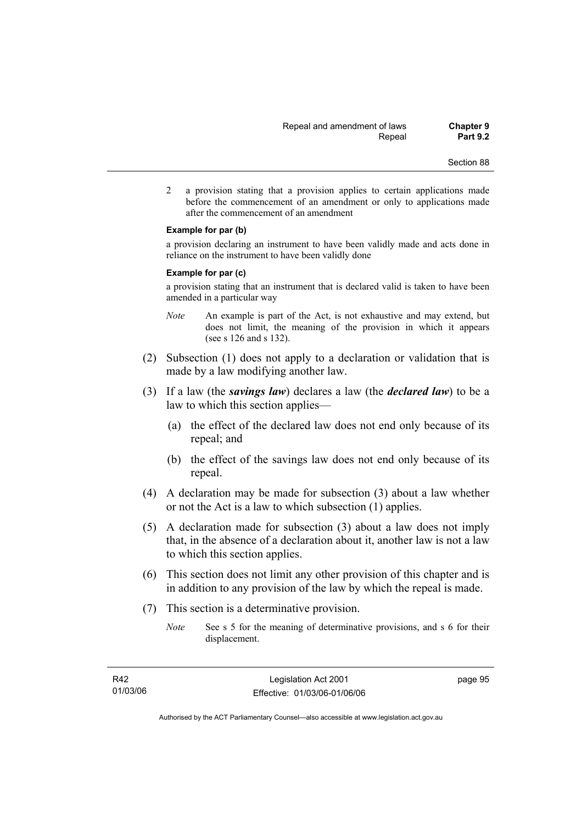2 a provision stating that a provision applies to certain applications made before the commencement of an amendment or only to applications made after the commencement of an amendment

#### **Example for par (b)**

a provision declaring an instrument to have been validly made and acts done in reliance on the instrument to have been validly done

#### **Example for par (c)**

a provision stating that an instrument that is declared valid is taken to have been amended in a particular way

- *Note* An example is part of the Act, is not exhaustive and may extend, but does not limit, the meaning of the provision in which it appears (see s 126 and s 132).
- (2) Subsection (1) does not apply to a declaration or validation that is made by a law modifying another law.
- (3) If a law (the *savings law*) declares a law (the *declared law*) to be a law to which this section applies—
	- (a) the effect of the declared law does not end only because of its repeal; and
	- (b) the effect of the savings law does not end only because of its repeal.
- (4) A declaration may be made for subsection (3) about a law whether or not the Act is a law to which subsection (1) applies.
- (5) A declaration made for subsection (3) about a law does not imply that, in the absence of a declaration about it, another law is not a law to which this section applies.
- (6) This section does not limit any other provision of this chapter and is in addition to any provision of the law by which the repeal is made.
- (7) This section is a determinative provision.
	- *Note* See s 5 for the meaning of determinative provisions, and s 6 for their displacement.

page 95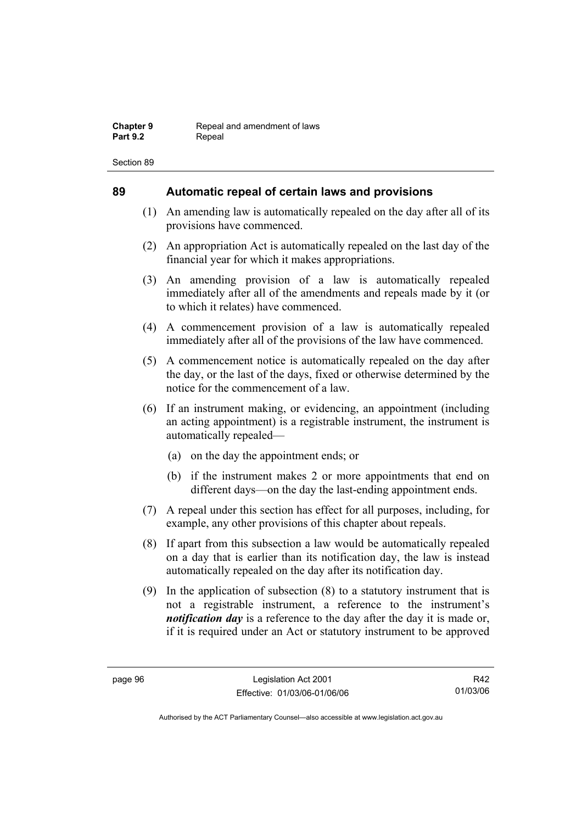## **89 Automatic repeal of certain laws and provisions**

- (1) An amending law is automatically repealed on the day after all of its provisions have commenced.
- (2) An appropriation Act is automatically repealed on the last day of the financial year for which it makes appropriations.
- (3) An amending provision of a law is automatically repealed immediately after all of the amendments and repeals made by it (or to which it relates) have commenced.
- (4) A commencement provision of a law is automatically repealed immediately after all of the provisions of the law have commenced.
- (5) A commencement notice is automatically repealed on the day after the day, or the last of the days, fixed or otherwise determined by the notice for the commencement of a law.
- (6) If an instrument making, or evidencing, an appointment (including an acting appointment) is a registrable instrument, the instrument is automatically repealed—
	- (a) on the day the appointment ends; or
	- (b) if the instrument makes 2 or more appointments that end on different days—on the day the last-ending appointment ends.
- (7) A repeal under this section has effect for all purposes, including, for example, any other provisions of this chapter about repeals.
- (8) If apart from this subsection a law would be automatically repealed on a day that is earlier than its notification day, the law is instead automatically repealed on the day after its notification day.
- (9) In the application of subsection (8) to a statutory instrument that is not a registrable instrument, a reference to the instrument's *notification day* is a reference to the day after the day it is made or, if it is required under an Act or statutory instrument to be approved

R42 01/03/06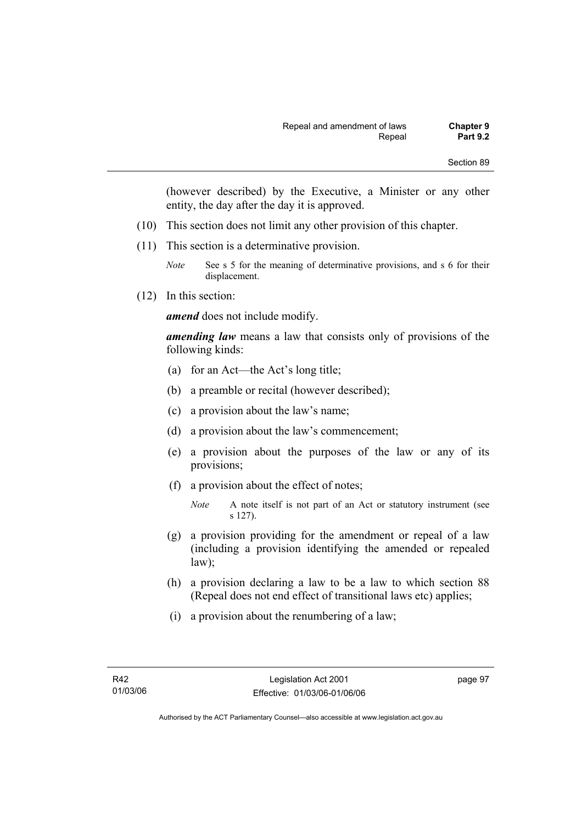(however described) by the Executive, a Minister or any other entity, the day after the day it is approved.

- (10) This section does not limit any other provision of this chapter.
- (11) This section is a determinative provision.
	- *Note* See s 5 for the meaning of determinative provisions, and s 6 for their displacement.
- (12) In this section:

*amend* does not include modify.

*amending law* means a law that consists only of provisions of the following kinds:

- (a) for an Act—the Act's long title;
- (b) a preamble or recital (however described);
- (c) a provision about the law's name;
- (d) a provision about the law's commencement;
- (e) a provision about the purposes of the law or any of its provisions;
- (f) a provision about the effect of notes;

- (g) a provision providing for the amendment or repeal of a law (including a provision identifying the amended or repealed law);
- (h) a provision declaring a law to be a law to which section 88 (Repeal does not end effect of transitional laws etc) applies;
- (i) a provision about the renumbering of a law;

*Note* A note itself is not part of an Act or statutory instrument (see s 127).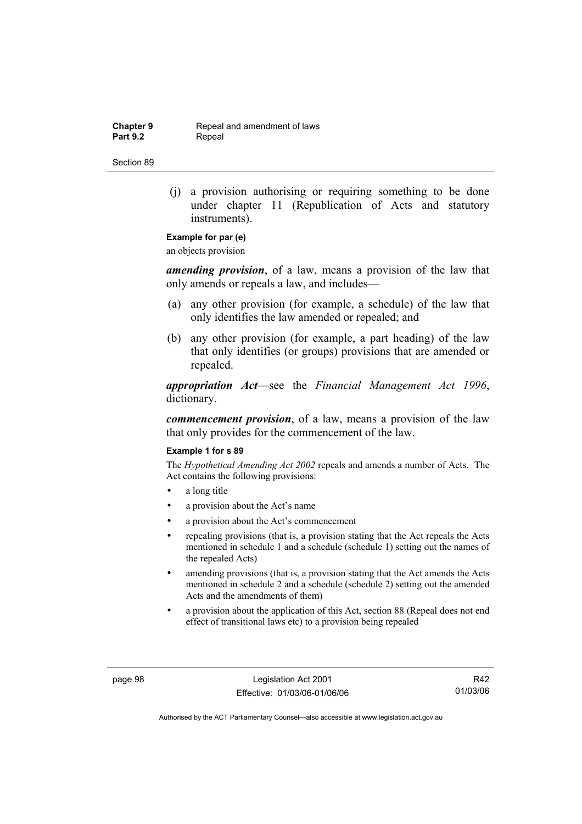**Chapter 9 Repeal and amendment of laws**<br>**Part 9.2 Repeal** Repeal

Section 89

 (j) a provision authorising or requiring something to be done under chapter 11 (Republication of Acts and statutory instruments).

# **Example for par (e)**

an objects provision

*amending provision*, of a law, means a provision of the law that only amends or repeals a law, and includes—

- (a) any other provision (for example, a schedule) of the law that only identifies the law amended or repealed; and
- (b) any other provision (for example, a part heading) of the law that only identifies (or groups) provisions that are amended or repealed.

*appropriation Act*—see the *Financial Management Act 1996*, dictionary.

*commencement provision*, of a law, means a provision of the law that only provides for the commencement of the law.

#### **Example 1 for s 89**

The *Hypothetical Amending Act 2002* repeals and amends a number of Acts. The Act contains the following provisions:

- a long title
- a provision about the Act's name
- a provision about the Act's commencement
- repealing provisions (that is, a provision stating that the Act repeals the Acts mentioned in schedule 1 and a schedule (schedule 1) setting out the names of the repealed Acts)
- amending provisions (that is, a provision stating that the Act amends the Acts mentioned in schedule 2 and a schedule (schedule 2) setting out the amended Acts and the amendments of them)
- a provision about the application of this Act, section 88 (Repeal does not end effect of transitional laws etc) to a provision being repealed

page 98 Legislation Act 2001 Effective: 01/03/06-01/06/06

R42 01/03/06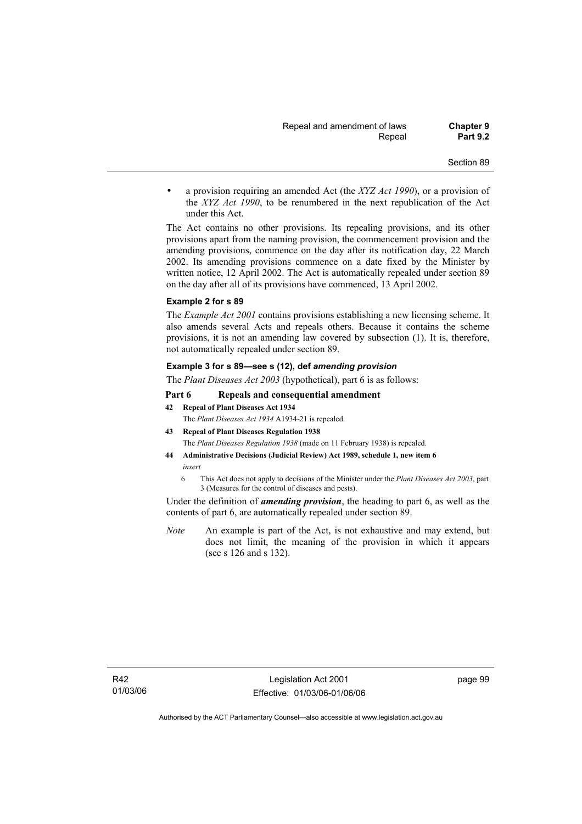• a provision requiring an amended Act (the *XYZ Act 1990*), or a provision of the *XYZ Act 1990*, to be renumbered in the next republication of the Act under this Act.

The Act contains no other provisions. Its repealing provisions, and its other provisions apart from the naming provision, the commencement provision and the amending provisions, commence on the day after its notification day, 22 March 2002. Its amending provisions commence on a date fixed by the Minister by written notice, 12 April 2002. The Act is automatically repealed under section 89 on the day after all of its provisions have commenced, 13 April 2002.

#### **Example 2 for s 89**

The *Example Act 2001* contains provisions establishing a new licensing scheme. It also amends several Acts and repeals others. Because it contains the scheme provisions, it is not an amending law covered by subsection (1). It is, therefore, not automatically repealed under section 89.

#### **Example 3 for s 89—see s (12), def** *amending provision*

The *Plant Diseases Act 2003* (hypothetical), part 6 is as follows:

#### **Part 6 Repeals and consequential amendment**

**42 Repeal of Plant Diseases Act 1934**

The *Plant Diseases Act 1934* A1934-21 is repealed.

- **43 Repeal of Plant Diseases Regulation 1938** The *Plant Diseases Regulation 1938* (made on 11 February 1938) is repealed.
- **44 Administrative Decisions (Judicial Review) Act 1989, schedule 1, new item 6**  *insert* 
	- 6 This Act does not apply to decisions of the Minister under the *Plant Diseases Act 2003*, part 3 (Measures for the control of diseases and pests).

Under the definition of *amending provision*, the heading to part 6, as well as the contents of part 6, are automatically repealed under section 89.

*Note* An example is part of the Act, is not exhaustive and may extend, but does not limit, the meaning of the provision in which it appears (see s 126 and s 132).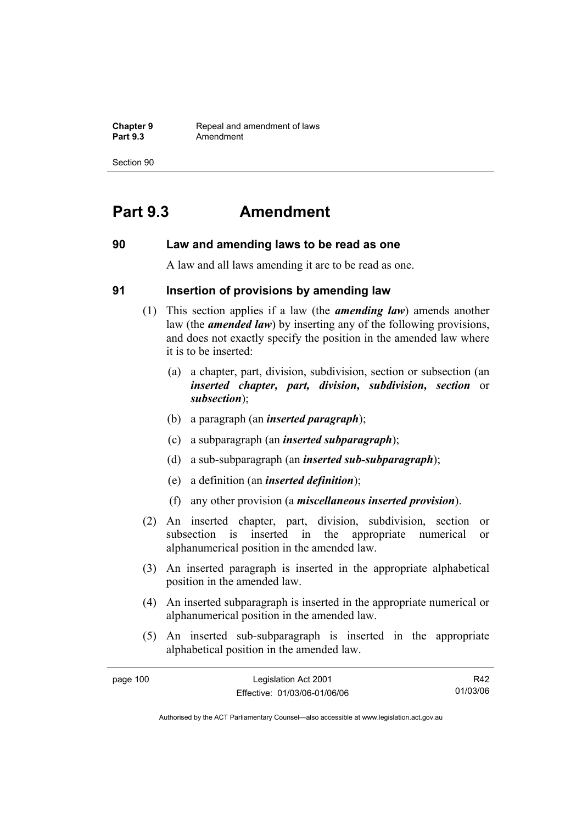**Chapter 9 Repeal and amendment of laws**<br>**Part 9.3 Amendment** Amendment

Section 90

# **Part 9.3 Amendment**

## **90 Law and amending laws to be read as one**

A law and all laws amending it are to be read as one.

## **91 Insertion of provisions by amending law**

- (1) This section applies if a law (the *amending law*) amends another law (the *amended law*) by inserting any of the following provisions, and does not exactly specify the position in the amended law where it is to be inserted:
	- (a) a chapter, part, division, subdivision, section or subsection (an *inserted chapter, part, division, subdivision, section* or *subsection*);
	- (b) a paragraph (an *inserted paragraph*);
	- (c) a subparagraph (an *inserted subparagraph*);
	- (d) a sub-subparagraph (an *inserted sub-subparagraph*);
	- (e) a definition (an *inserted definition*);
	- (f) any other provision (a *miscellaneous inserted provision*).
- (2) An inserted chapter, part, division, subdivision, section or subsection is inserted in the appropriate numerical or alphanumerical position in the amended law.
- (3) An inserted paragraph is inserted in the appropriate alphabetical position in the amended law.
- (4) An inserted subparagraph is inserted in the appropriate numerical or alphanumerical position in the amended law.
- (5) An inserted sub-subparagraph is inserted in the appropriate alphabetical position in the amended law.

| page 100 | Legislation Act 2001         | R42      |
|----------|------------------------------|----------|
|          | Effective: 01/03/06-01/06/06 | 01/03/06 |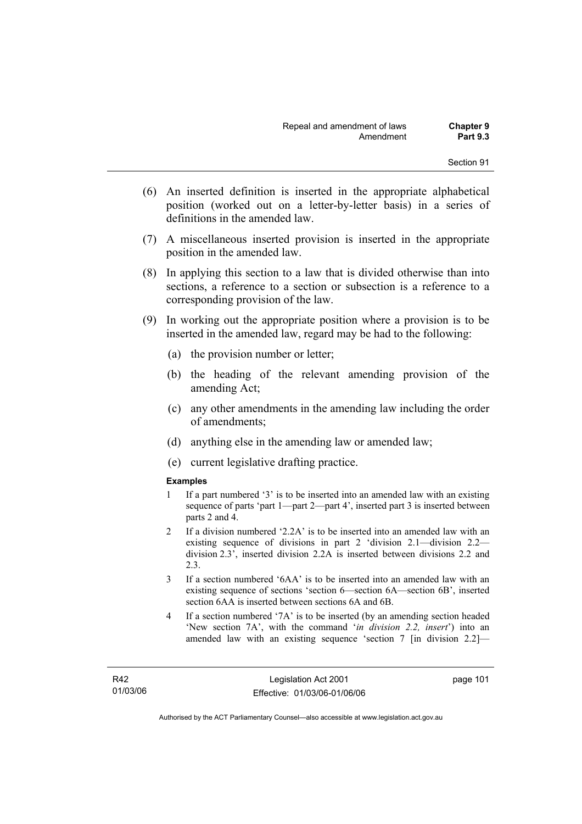- (6) An inserted definition is inserted in the appropriate alphabetical position (worked out on a letter-by-letter basis) in a series of definitions in the amended law.
- (7) A miscellaneous inserted provision is inserted in the appropriate position in the amended law.
- (8) In applying this section to a law that is divided otherwise than into sections, a reference to a section or subsection is a reference to a corresponding provision of the law.
- (9) In working out the appropriate position where a provision is to be inserted in the amended law, regard may be had to the following:
	- (a) the provision number or letter;
	- (b) the heading of the relevant amending provision of the amending Act;
	- (c) any other amendments in the amending law including the order of amendments;
	- (d) anything else in the amending law or amended law;
	- (e) current legislative drafting practice.

### **Examples**

- 1 If a part numbered '3' is to be inserted into an amended law with an existing sequence of parts 'part 1—part 2—part 4', inserted part 3 is inserted between parts 2 and 4.
- 2 If a division numbered '2.2A' is to be inserted into an amended law with an existing sequence of divisions in part 2 'division 2.1—division 2.2 division 2.3', inserted division 2.2A is inserted between divisions 2.2 and 2.3.
- 3 If a section numbered '6AA' is to be inserted into an amended law with an existing sequence of sections 'section 6—section 6A—section 6B', inserted section 6AA is inserted between sections 6A and 6B.
- 4 If a section numbered '7A' is to be inserted (by an amending section headed 'New section 7A', with the command '*in division 2.2, insert*') into an amended law with an existing sequence 'section 7 [in division 2.2]—

page 101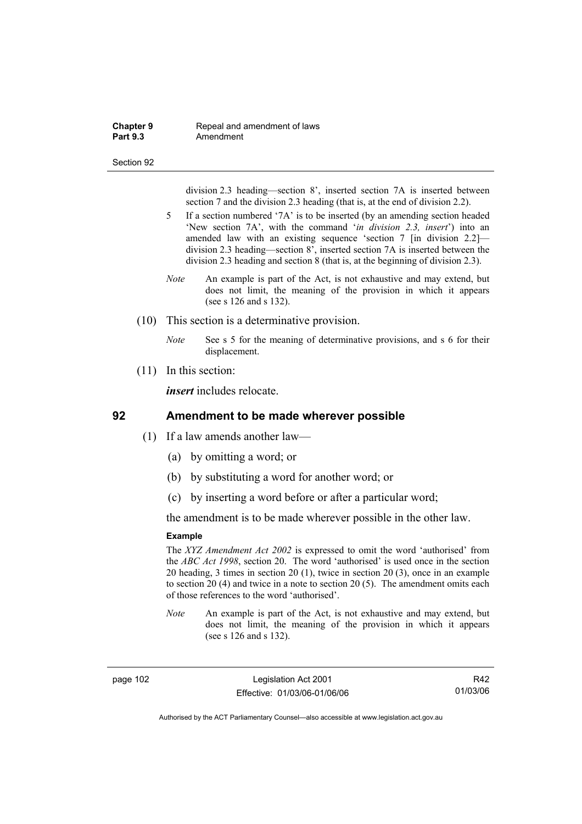#### **Chapter 9 Repeal and amendment of laws**<br>**Part 9.3 Amendment** Amendment

#### Section 92

division 2.3 heading—section 8', inserted section 7A is inserted between section 7 and the division 2.3 heading (that is, at the end of division 2.2).

- 5 If a section numbered '7A' is to be inserted (by an amending section headed 'New section 7A', with the command '*in division 2.3, insert*') into an amended law with an existing sequence 'section 7 [in division 2.2] division 2.3 heading—section 8', inserted section 7A is inserted between the division 2.3 heading and section 8 (that is, at the beginning of division 2.3).
- *Note* An example is part of the Act, is not exhaustive and may extend, but does not limit, the meaning of the provision in which it appears (see s 126 and s 132).
- (10) This section is a determinative provision.
	- *Note* See s 5 for the meaning of determinative provisions, and s 6 for their displacement.
- (11) In this section:

*insert* includes relocate.

## **92 Amendment to be made wherever possible**

- (1) If a law amends another law—
	- (a) by omitting a word; or
	- (b) by substituting a word for another word; or
	- (c) by inserting a word before or after a particular word;

the amendment is to be made wherever possible in the other law.

### **Example**

The *XYZ Amendment Act 2002* is expressed to omit the word 'authorised' from the *ABC Act 1998*, section 20. The word 'authorised' is used once in the section 20 heading, 3 times in section 20 (1), twice in section 20 (3), once in an example to section 20 (4) and twice in a note to section 20 (5). The amendment omits each of those references to the word 'authorised'.

*Note* An example is part of the Act, is not exhaustive and may extend, but does not limit, the meaning of the provision in which it appears (see s 126 and s 132).

page 102 Legislation Act 2001 Effective: 01/03/06-01/06/06

R42 01/03/06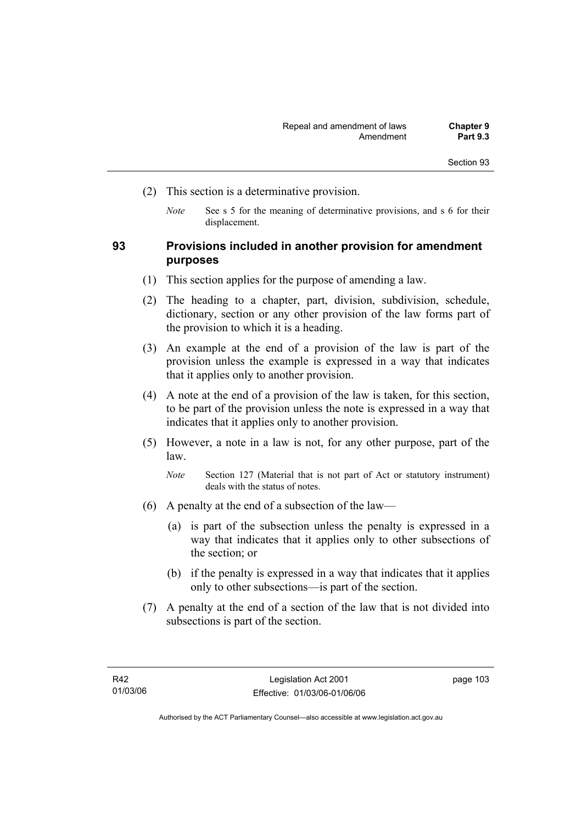- (2) This section is a determinative provision.
	- *Note* See s 5 for the meaning of determinative provisions, and s 6 for their displacement.

## **93 Provisions included in another provision for amendment purposes**

- (1) This section applies for the purpose of amending a law.
- (2) The heading to a chapter, part, division, subdivision, schedule, dictionary, section or any other provision of the law forms part of the provision to which it is a heading.
- (3) An example at the end of a provision of the law is part of the provision unless the example is expressed in a way that indicates that it applies only to another provision.
- (4) A note at the end of a provision of the law is taken, for this section, to be part of the provision unless the note is expressed in a way that indicates that it applies only to another provision.
- (5) However, a note in a law is not, for any other purpose, part of the law.

*Note* Section 127 (Material that is not part of Act or statutory instrument) deals with the status of notes.

- (6) A penalty at the end of a subsection of the law—
	- (a) is part of the subsection unless the penalty is expressed in a way that indicates that it applies only to other subsections of the section; or
	- (b) if the penalty is expressed in a way that indicates that it applies only to other subsections—is part of the section.
- (7) A penalty at the end of a section of the law that is not divided into subsections is part of the section.

page 103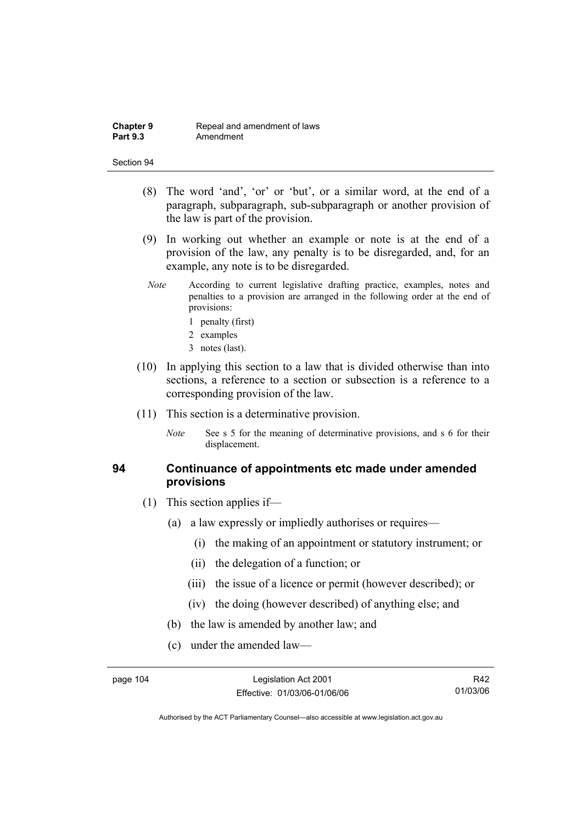- (8) The word 'and', 'or' or 'but', or a similar word, at the end of a paragraph, subparagraph, sub-subparagraph or another provision of the law is part of the provision.
- (9) In working out whether an example or note is at the end of a provision of the law, any penalty is to be disregarded, and, for an example, any note is to be disregarded.
- *Note* According to current legislative drafting practice, examples, notes and penalties to a provision are arranged in the following order at the end of provisions:
	- 1 penalty (first)
	- 2 examples
	- 3 notes (last).
- (10) In applying this section to a law that is divided otherwise than into sections, a reference to a section or subsection is a reference to a corresponding provision of the law.
- (11) This section is a determinative provision.
	- *Note* See s 5 for the meaning of determinative provisions, and s 6 for their displacement.

## **94 Continuance of appointments etc made under amended provisions**

- (1) This section applies if—
	- (a) a law expressly or impliedly authorises or requires—
		- (i) the making of an appointment or statutory instrument; or
		- (ii) the delegation of a function; or
		- (iii) the issue of a licence or permit (however described); or
		- (iv) the doing (however described) of anything else; and
	- (b) the law is amended by another law; and
	- (c) under the amended law—

R42 01/03/06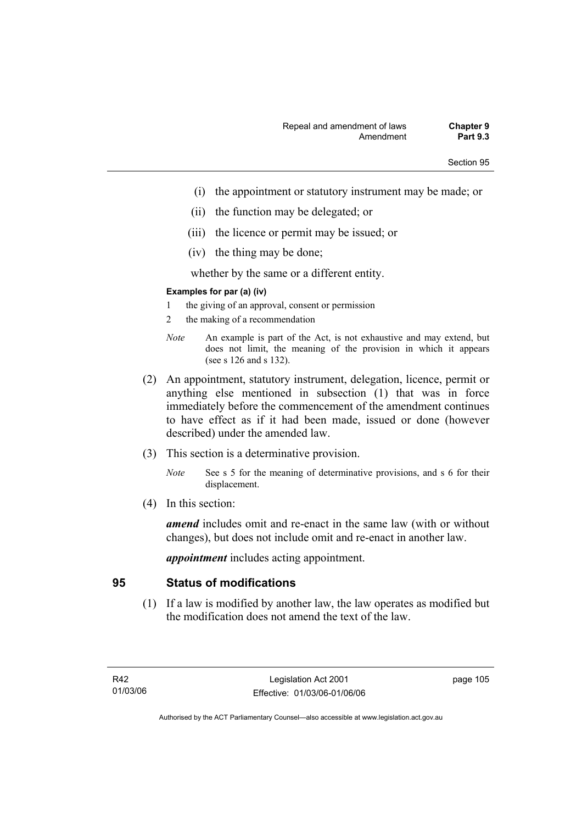- (i) the appointment or statutory instrument may be made; or
- (ii) the function may be delegated; or
- (iii) the licence or permit may be issued; or
- (iv) the thing may be done;

whether by the same or a different entity.

## **Examples for par (a) (iv)**

- 1 the giving of an approval, consent or permission
- 2 the making of a recommendation
- *Note* An example is part of the Act, is not exhaustive and may extend, but does not limit, the meaning of the provision in which it appears (see s 126 and s 132).
- (2) An appointment, statutory instrument, delegation, licence, permit or anything else mentioned in subsection (1) that was in force immediately before the commencement of the amendment continues to have effect as if it had been made, issued or done (however described) under the amended law.
- (3) This section is a determinative provision.
	- *Note* See s 5 for the meaning of determinative provisions, and s 6 for their displacement.
- (4) In this section:

*amend* includes omit and re-enact in the same law (with or without changes), but does not include omit and re-enact in another law.

*appointment* includes acting appointment.

# **95 Status of modifications**

 (1) If a law is modified by another law, the law operates as modified but the modification does not amend the text of the law.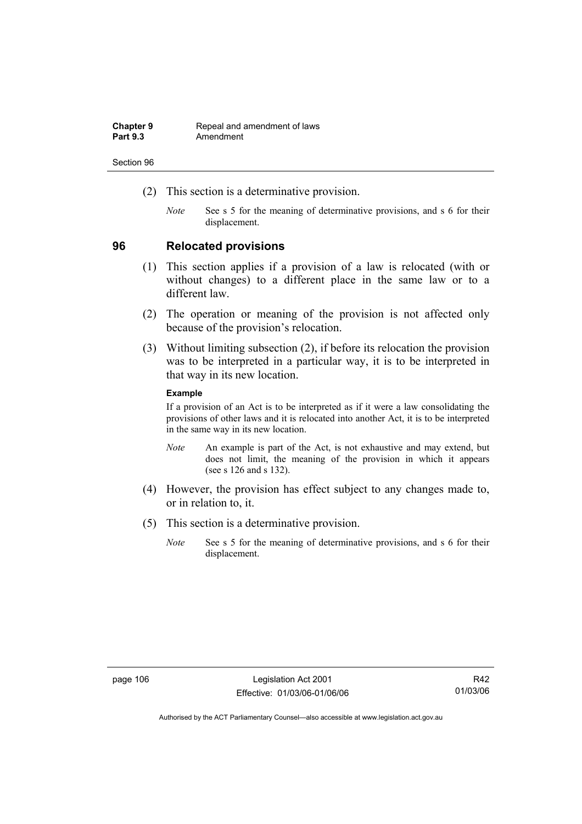| <b>Chapter 9</b> | Repeal and amendment of laws |
|------------------|------------------------------|
| <b>Part 9.3</b>  | Amendment                    |

- (2) This section is a determinative provision.
	- *Note* See s 5 for the meaning of determinative provisions, and s 6 for their displacement.

## **96 Relocated provisions**

- (1) This section applies if a provision of a law is relocated (with or without changes) to a different place in the same law or to a different law.
- (2) The operation or meaning of the provision is not affected only because of the provision's relocation.
- (3) Without limiting subsection (2), if before its relocation the provision was to be interpreted in a particular way, it is to be interpreted in that way in its new location.

### **Example**

If a provision of an Act is to be interpreted as if it were a law consolidating the provisions of other laws and it is relocated into another Act, it is to be interpreted in the same way in its new location.

- *Note* An example is part of the Act, is not exhaustive and may extend, but does not limit, the meaning of the provision in which it appears (see s 126 and s 132).
- (4) However, the provision has effect subject to any changes made to, or in relation to, it.
- (5) This section is a determinative provision.
	- *Note* See s 5 for the meaning of determinative provisions, and s 6 for their displacement.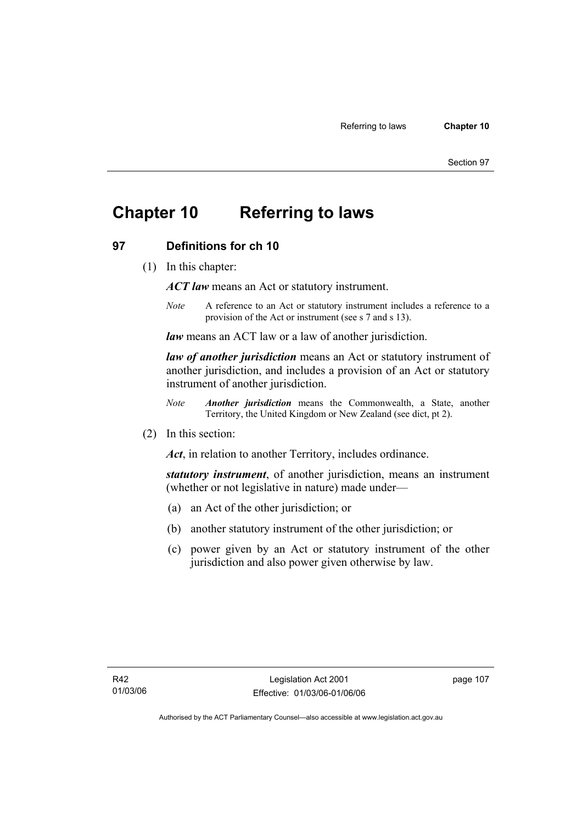# **Chapter 10 Referring to laws**

# **97 Definitions for ch 10**

(1) In this chapter:

*ACT law* means an Act or statutory instrument.

*Note* A reference to an Act or statutory instrument includes a reference to a provision of the Act or instrument (see s 7 and s 13).

*law* means an ACT law or a law of another jurisdiction.

*law of another jurisdiction* means an Act or statutory instrument of another jurisdiction, and includes a provision of an Act or statutory instrument of another jurisdiction.

- *Note Another jurisdiction* means the Commonwealth, a State, another Territory, the United Kingdom or New Zealand (see dict, pt 2).
- (2) In this section:

*Act*, in relation to another Territory, includes ordinance.

*statutory instrument*, of another jurisdiction, means an instrument (whether or not legislative in nature) made under—

- (a) an Act of the other jurisdiction; or
- (b) another statutory instrument of the other jurisdiction; or
- (c) power given by an Act or statutory instrument of the other jurisdiction and also power given otherwise by law.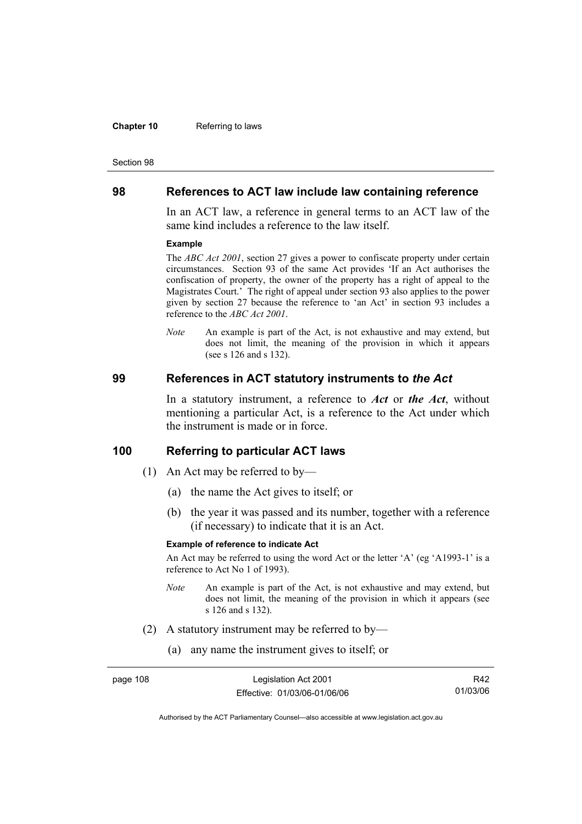#### **Chapter 10** Referring to laws

#### Section 98

## **98 References to ACT law include law containing reference**

In an ACT law, a reference in general terms to an ACT law of the same kind includes a reference to the law itself.

#### **Example**

The *ABC Act 2001*, section 27 gives a power to confiscate property under certain circumstances. Section 93 of the same Act provides 'If an Act authorises the confiscation of property, the owner of the property has a right of appeal to the Magistrates Court.' The right of appeal under section 93 also applies to the power given by section 27 because the reference to 'an Act' in section 93 includes a reference to the *ABC Act 2001*.

*Note* An example is part of the Act, is not exhaustive and may extend, but does not limit, the meaning of the provision in which it appears (see s 126 and s 132).

### **99 References in ACT statutory instruments to** *the Act*

In a statutory instrument, a reference to *Act* or *the Act*, without mentioning a particular Act, is a reference to the Act under which the instrument is made or in force.

## **100 Referring to particular ACT laws**

- (1) An Act may be referred to by—
	- (a) the name the Act gives to itself; or
	- (b) the year it was passed and its number, together with a reference (if necessary) to indicate that it is an Act.

### **Example of reference to indicate Act**

An Act may be referred to using the word Act or the letter 'A' (eg 'A1993-1' is a reference to Act No 1 of 1993).

- *Note* An example is part of the Act, is not exhaustive and may extend, but does not limit, the meaning of the provision in which it appears (see s 126 and s 132).
- (2) A statutory instrument may be referred to by—
	- (a) any name the instrument gives to itself; or

| page 108 | Legislation Act 2001         | R42.     |
|----------|------------------------------|----------|
|          | Effective: 01/03/06-01/06/06 | 01/03/06 |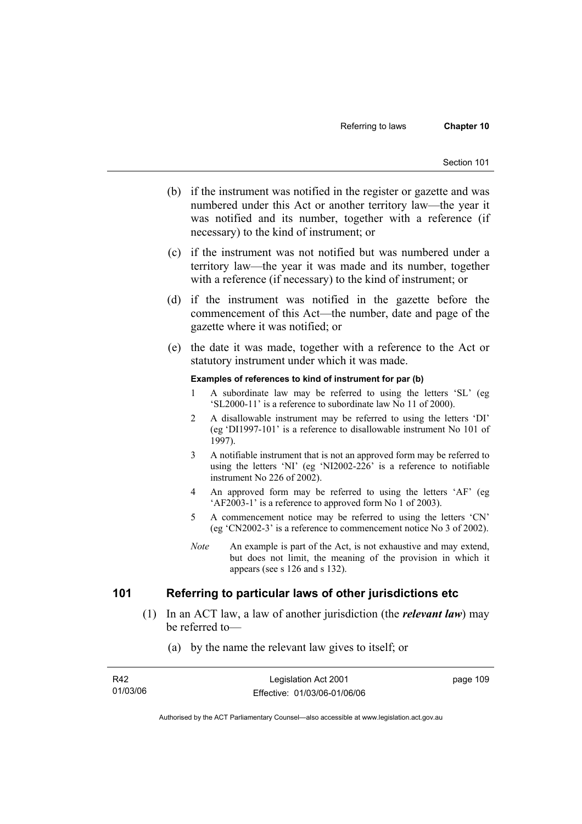- (b) if the instrument was notified in the register or gazette and was numbered under this Act or another territory law—the year it was notified and its number, together with a reference (if necessary) to the kind of instrument; or
- (c) if the instrument was not notified but was numbered under a territory law—the year it was made and its number, together with a reference (if necessary) to the kind of instrument; or
- (d) if the instrument was notified in the gazette before the commencement of this Act—the number, date and page of the gazette where it was notified; or
- (e) the date it was made, together with a reference to the Act or statutory instrument under which it was made.

#### **Examples of references to kind of instrument for par (b)**

- 1 A subordinate law may be referred to using the letters 'SL' (eg 'SL2000-11' is a reference to subordinate law No 11 of 2000).
- 2 A disallowable instrument may be referred to using the letters 'DI' (eg 'DI1997-101' is a reference to disallowable instrument No 101 of 1997).
- 3 A notifiable instrument that is not an approved form may be referred to using the letters 'NI' (eg 'NI2002-226' is a reference to notifiable instrument No 226 of 2002).
- 4 An approved form may be referred to using the letters 'AF' (eg 'AF2003-1' is a reference to approved form No 1 of 2003).
- 5 A commencement notice may be referred to using the letters 'CN' (eg 'CN2002-3' is a reference to commencement notice No 3 of 2002).
- *Note* An example is part of the Act, is not exhaustive and may extend, but does not limit, the meaning of the provision in which it appears (see s 126 and s 132).

## **101 Referring to particular laws of other jurisdictions etc**

- (1) In an ACT law, a law of another jurisdiction (the *relevant law*) may be referred to—
	- (a) by the name the relevant law gives to itself; or

| R42      | Legislation Act 2001         | page 109 |
|----------|------------------------------|----------|
| 01/03/06 | Effective: 01/03/06-01/06/06 |          |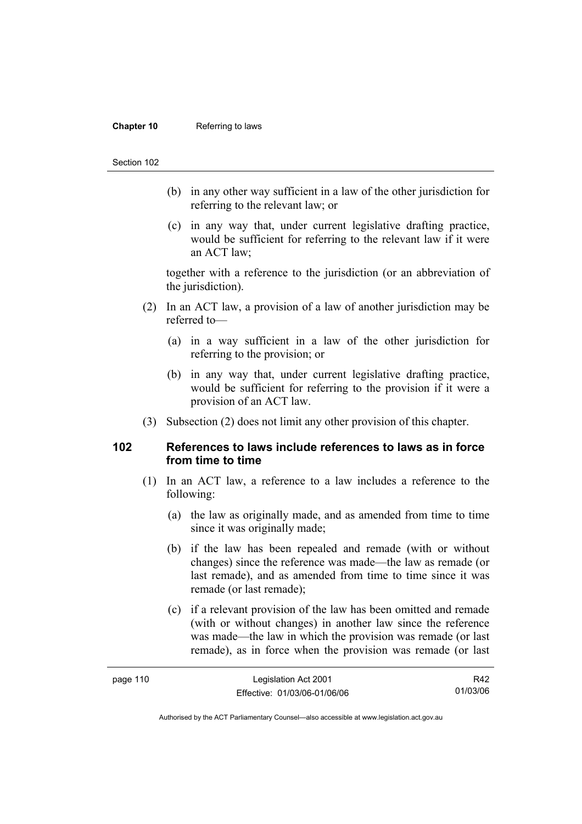#### **Chapter 10** Referring to laws

#### Section 102

- (b) in any other way sufficient in a law of the other jurisdiction for referring to the relevant law; or
- (c) in any way that, under current legislative drafting practice, would be sufficient for referring to the relevant law if it were an ACT law;

together with a reference to the jurisdiction (or an abbreviation of the jurisdiction).

- (2) In an ACT law, a provision of a law of another jurisdiction may be referred to—
	- (a) in a way sufficient in a law of the other jurisdiction for referring to the provision; or
	- (b) in any way that, under current legislative drafting practice, would be sufficient for referring to the provision if it were a provision of an ACT law.
- (3) Subsection (2) does not limit any other provision of this chapter.

## **102 References to laws include references to laws as in force from time to time**

- (1) In an ACT law, a reference to a law includes a reference to the following:
	- (a) the law as originally made, and as amended from time to time since it was originally made;
	- (b) if the law has been repealed and remade (with or without changes) since the reference was made—the law as remade (or last remade), and as amended from time to time since it was remade (or last remade);
	- (c) if a relevant provision of the law has been omitted and remade (with or without changes) in another law since the reference was made—the law in which the provision was remade (or last remade), as in force when the provision was remade (or last

| page 110 | Legislation Act 2001         | R42      |
|----------|------------------------------|----------|
|          | Effective: 01/03/06-01/06/06 | 01/03/06 |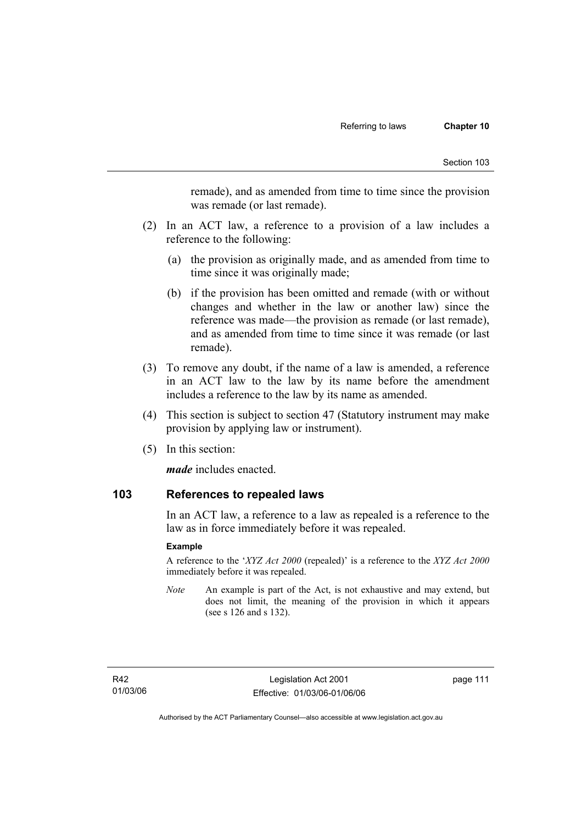remade), and as amended from time to time since the provision was remade (or last remade).

- (2) In an ACT law, a reference to a provision of a law includes a reference to the following:
	- (a) the provision as originally made, and as amended from time to time since it was originally made;
	- (b) if the provision has been omitted and remade (with or without changes and whether in the law or another law) since the reference was made—the provision as remade (or last remade), and as amended from time to time since it was remade (or last remade).
- (3) To remove any doubt, if the name of a law is amended, a reference in an ACT law to the law by its name before the amendment includes a reference to the law by its name as amended.
- (4) This section is subject to section 47 (Statutory instrument may make provision by applying law or instrument).
- (5) In this section:

*made* includes enacted.

## **103 References to repealed laws**

In an ACT law, a reference to a law as repealed is a reference to the law as in force immediately before it was repealed.

### **Example**

A reference to the '*XYZ Act 2000* (repealed)' is a reference to the *XYZ Act 2000* immediately before it was repealed.

*Note* An example is part of the Act, is not exhaustive and may extend, but does not limit, the meaning of the provision in which it appears (see s 126 and s 132).

page 111

Authorised by the ACT Parliamentary Counsel—also accessible at www.legislation.act.gov.au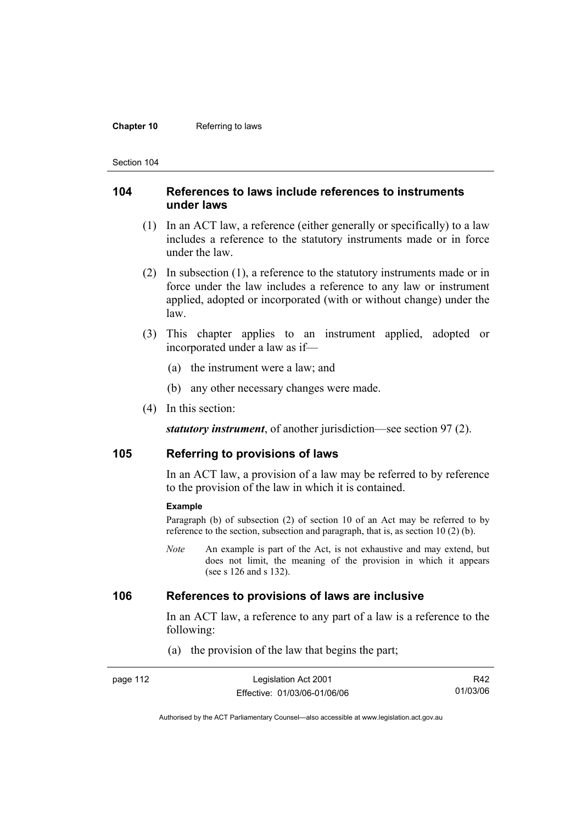#### **Chapter 10** Referring to laws

Section 104

## **104 References to laws include references to instruments under laws**

- (1) In an ACT law, a reference (either generally or specifically) to a law includes a reference to the statutory instruments made or in force under the law.
- (2) In subsection (1), a reference to the statutory instruments made or in force under the law includes a reference to any law or instrument applied, adopted or incorporated (with or without change) under the law.
- (3) This chapter applies to an instrument applied, adopted or incorporated under a law as if—
	- (a) the instrument were a law; and
	- (b) any other necessary changes were made.
- (4) In this section:

*statutory instrument*, of another jurisdiction—see section 97 (2).

## **105 Referring to provisions of laws**

In an ACT law, a provision of a law may be referred to by reference to the provision of the law in which it is contained.

#### **Example**

Paragraph (b) of subsection (2) of section 10 of an Act may be referred to by reference to the section, subsection and paragraph, that is, as section 10 (2) (b).

*Note* An example is part of the Act, is not exhaustive and may extend, but does not limit, the meaning of the provision in which it appears (see s 126 and s 132).

## **106 References to provisions of laws are inclusive**

In an ACT law, a reference to any part of a law is a reference to the following:

(a) the provision of the law that begins the part;

| page 112 | Legislation Act 2001         | R42      |
|----------|------------------------------|----------|
|          | Effective: 01/03/06-01/06/06 | 01/03/06 |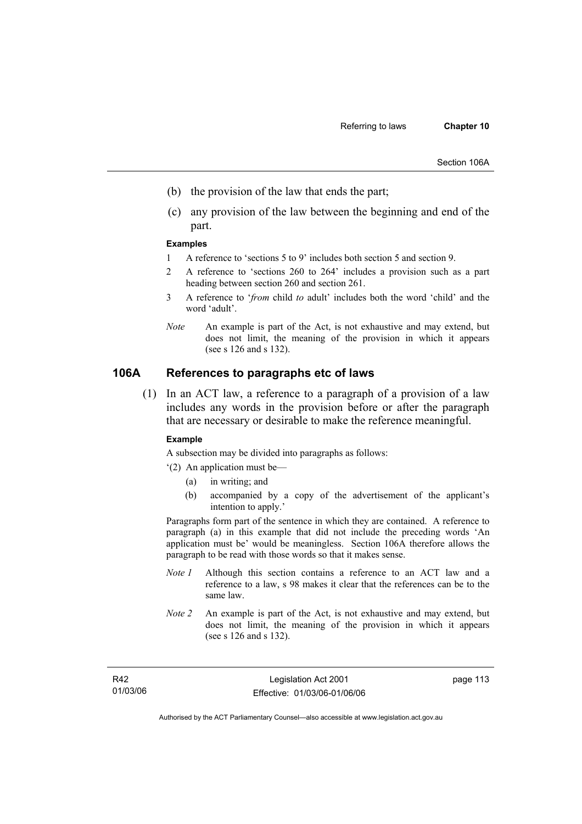- (b) the provision of the law that ends the part;
- (c) any provision of the law between the beginning and end of the part.

#### **Examples**

- 1 A reference to 'sections 5 to 9' includes both section 5 and section 9.
- 2 A reference to 'sections 260 to 264' includes a provision such as a part heading between section 260 and section 261.
- 3 A reference to '*from* child *to* adult' includes both the word 'child' and the word 'adult'.
- *Note* An example is part of the Act, is not exhaustive and may extend, but does not limit, the meaning of the provision in which it appears (see s 126 and s 132).

## **106A References to paragraphs etc of laws**

 (1) In an ACT law, a reference to a paragraph of a provision of a law includes any words in the provision before or after the paragraph that are necessary or desirable to make the reference meaningful.

#### **Example**

A subsection may be divided into paragraphs as follows:

- '(2) An application must be—
	- (a) in writing; and
	- (b) accompanied by a copy of the advertisement of the applicant's intention to apply.'

Paragraphs form part of the sentence in which they are contained. A reference to paragraph (a) in this example that did not include the preceding words 'An application must be' would be meaningless. Section 106A therefore allows the paragraph to be read with those words so that it makes sense.

- *Note 1* Although this section contains a reference to an ACT law and a reference to a law, s 98 makes it clear that the references can be to the same law.
- *Note 2* An example is part of the Act, is not exhaustive and may extend, but does not limit, the meaning of the provision in which it appears (see s 126 and s 132).

page 113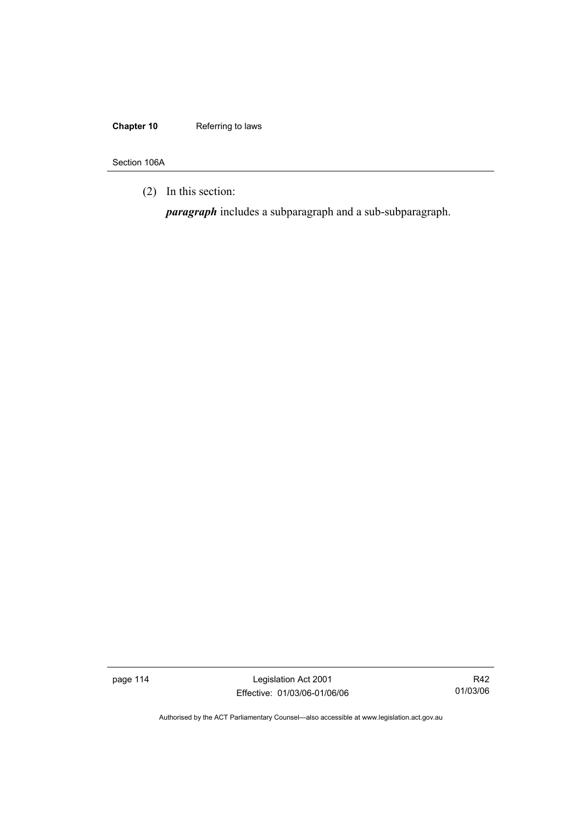## **Chapter 10** Referring to laws

Section 106A

(2) In this section:

*paragraph* includes a subparagraph and a sub-subparagraph.

page 114 Legislation Act 2001 Effective: 01/03/06-01/06/06

R42 01/03/06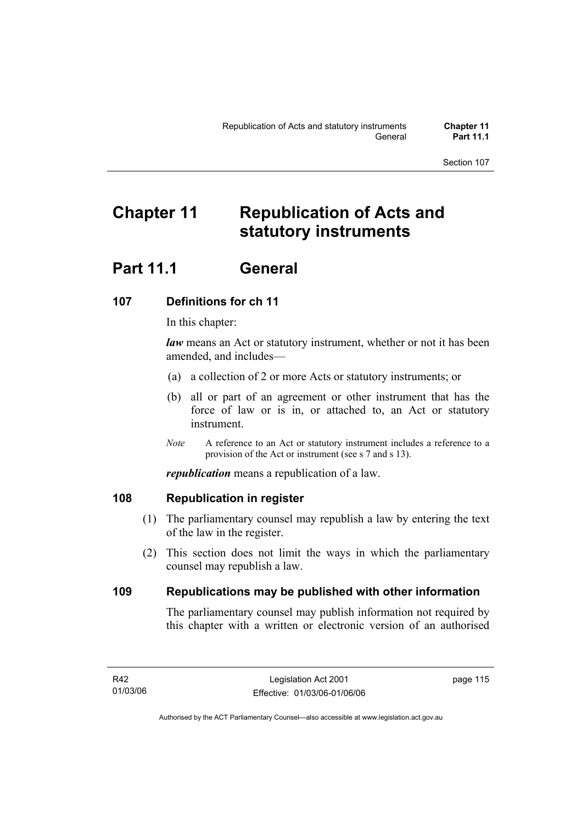# **Chapter 11 Republication of Acts and statutory instruments**

# **Part 11.1 General**

# **107 Definitions for ch 11**

In this chapter:

*law* means an Act or statutory instrument, whether or not it has been amended, and includes—

- (a) a collection of 2 or more Acts or statutory instruments; or
- (b) all or part of an agreement or other instrument that has the force of law or is in, or attached to, an Act or statutory instrument.
- *Note* A reference to an Act or statutory instrument includes a reference to a provision of the Act or instrument (see s 7 and s 13).

*republication* means a republication of a law.

# **108 Republication in register**

- (1) The parliamentary counsel may republish a law by entering the text of the law in the register.
- (2) This section does not limit the ways in which the parliamentary counsel may republish a law.

# **109 Republications may be published with other information**

The parliamentary counsel may publish information not required by this chapter with a written or electronic version of an authorised

page 115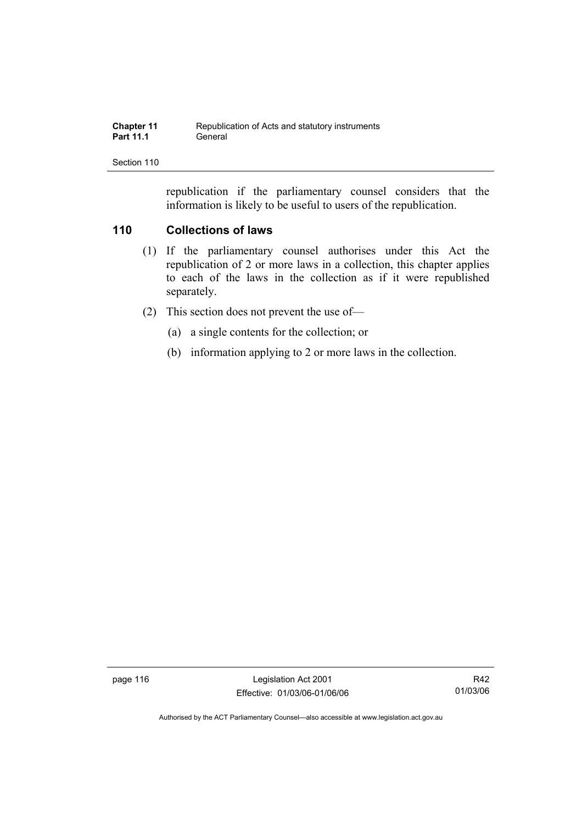| <b>Chapter 11</b> | Republication of Acts and statutory instruments |
|-------------------|-------------------------------------------------|
| <b>Part 11.1</b>  | General                                         |

republication if the parliamentary counsel considers that the information is likely to be useful to users of the republication.

## **110 Collections of laws**

- (1) If the parliamentary counsel authorises under this Act the republication of 2 or more laws in a collection, this chapter applies to each of the laws in the collection as if it were republished separately.
- (2) This section does not prevent the use of—
	- (a) a single contents for the collection; or
	- (b) information applying to 2 or more laws in the collection.

page 116 Legislation Act 2001 Effective: 01/03/06-01/06/06

R42 01/03/06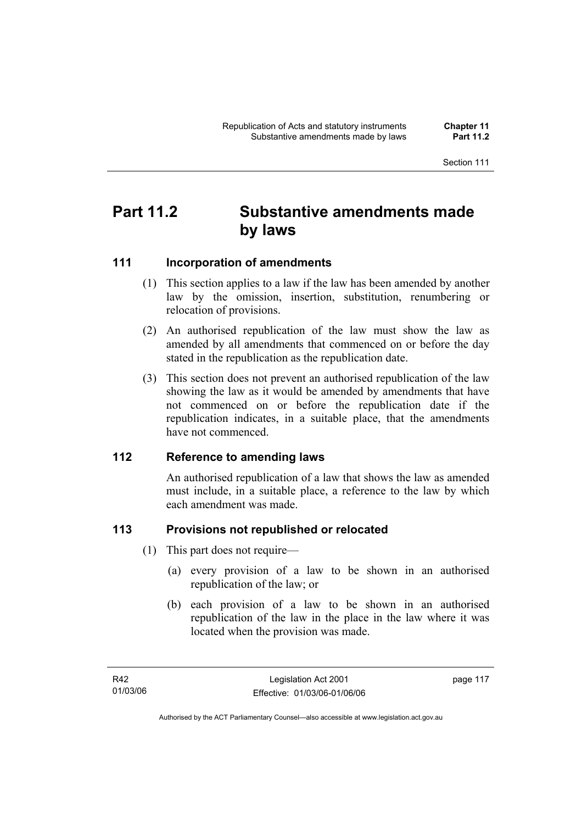# **Part 11.2 Substantive amendments made by laws**

# **111 Incorporation of amendments**

- (1) This section applies to a law if the law has been amended by another law by the omission, insertion, substitution, renumbering or relocation of provisions.
- (2) An authorised republication of the law must show the law as amended by all amendments that commenced on or before the day stated in the republication as the republication date.
- (3) This section does not prevent an authorised republication of the law showing the law as it would be amended by amendments that have not commenced on or before the republication date if the republication indicates, in a suitable place, that the amendments have not commenced.

## **112 Reference to amending laws**

An authorised republication of a law that shows the law as amended must include, in a suitable place, a reference to the law by which each amendment was made.

# **113 Provisions not republished or relocated**

- (1) This part does not require—
	- (a) every provision of a law to be shown in an authorised republication of the law; or
	- (b) each provision of a law to be shown in an authorised republication of the law in the place in the law where it was located when the provision was made.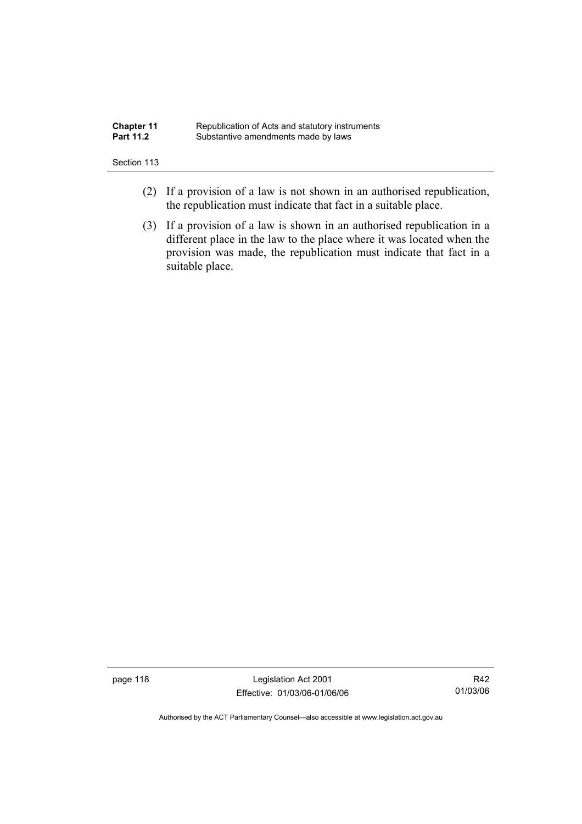| <b>Chapter 11</b> | Republication of Acts and statutory instruments |
|-------------------|-------------------------------------------------|
| <b>Part 11.2</b>  | Substantive amendments made by laws             |

- (2) If a provision of a law is not shown in an authorised republication, the republication must indicate that fact in a suitable place.
- (3) If a provision of a law is shown in an authorised republication in a different place in the law to the place where it was located when the provision was made, the republication must indicate that fact in a suitable place.

page 118 and the United States Legislation Act 2001 Effective: 01/03/06-01/06/06

R42 01/03/06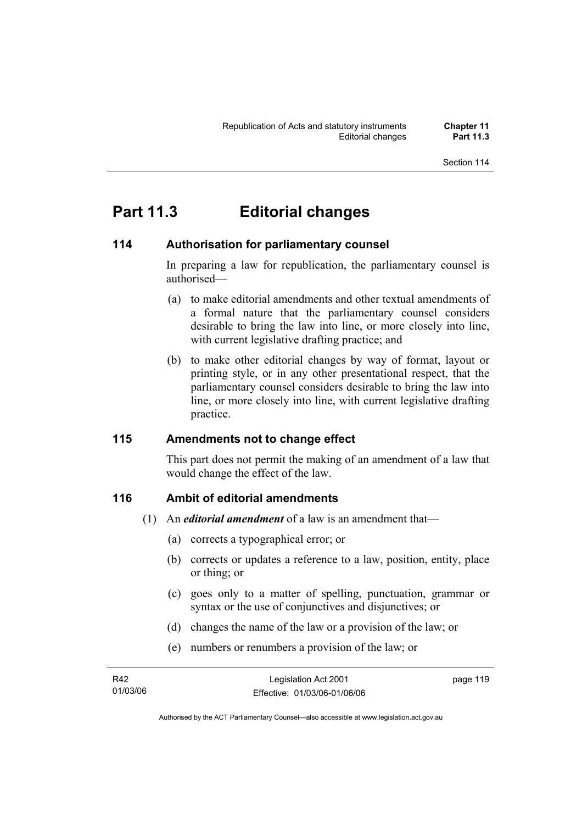# **Part 11.3 Editorial changes**

# **114 Authorisation for parliamentary counsel**

In preparing a law for republication, the parliamentary counsel is authorised—

- (a) to make editorial amendments and other textual amendments of a formal nature that the parliamentary counsel considers desirable to bring the law into line, or more closely into line, with current legislative drafting practice; and
- (b) to make other editorial changes by way of format, layout or printing style, or in any other presentational respect, that the parliamentary counsel considers desirable to bring the law into line, or more closely into line, with current legislative drafting practice.

# **115 Amendments not to change effect**

This part does not permit the making of an amendment of a law that would change the effect of the law.

# **116 Ambit of editorial amendments**

- (1) An *editorial amendment* of a law is an amendment that—
	- (a) corrects a typographical error; or
	- (b) corrects or updates a reference to a law, position, entity, place or thing; or
	- (c) goes only to a matter of spelling, punctuation, grammar or syntax or the use of conjunctives and disjunctives; or
	- (d) changes the name of the law or a provision of the law; or
	- (e) numbers or renumbers a provision of the law; or

| R42      | Legislation Act 2001         | page 119 |
|----------|------------------------------|----------|
| 01/03/06 | Effective: 01/03/06-01/06/06 |          |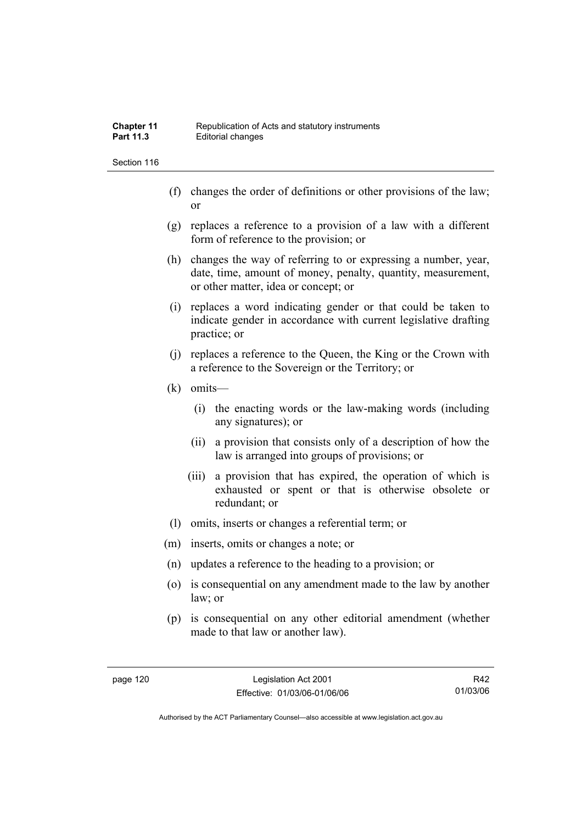- (f) changes the order of definitions or other provisions of the law; or
- (g) replaces a reference to a provision of a law with a different form of reference to the provision; or
- (h) changes the way of referring to or expressing a number, year, date, time, amount of money, penalty, quantity, measurement, or other matter, idea or concept; or
- (i) replaces a word indicating gender or that could be taken to indicate gender in accordance with current legislative drafting practice; or
- (j) replaces a reference to the Queen, the King or the Crown with a reference to the Sovereign or the Territory; or
- (k) omits—
	- (i) the enacting words or the law-making words (including any signatures); or
	- (ii) a provision that consists only of a description of how the law is arranged into groups of provisions; or
	- (iii) a provision that has expired, the operation of which is exhausted or spent or that is otherwise obsolete or redundant; or
- (l) omits, inserts or changes a referential term; or
- (m) inserts, omits or changes a note; or
- (n) updates a reference to the heading to a provision; or
- (o) is consequential on any amendment made to the law by another law; or
- (p) is consequential on any other editorial amendment (whether made to that law or another law).

R42 01/03/06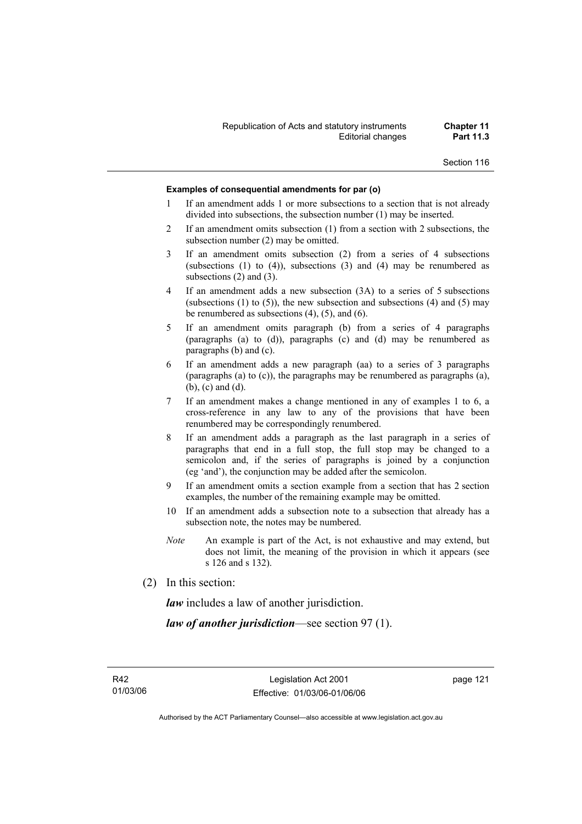#### **Examples of consequential amendments for par (o)**

- 1 If an amendment adds 1 or more subsections to a section that is not already divided into subsections, the subsection number (1) may be inserted.
- 2 If an amendment omits subsection (1) from a section with 2 subsections, the subsection number (2) may be omitted.
- 3 If an amendment omits subsection (2) from a series of 4 subsections (subsections  $(1)$  to  $(4)$ ), subsections  $(3)$  and  $(4)$  may be renumbered as subsections (2) and (3).
- 4 If an amendment adds a new subsection (3A) to a series of 5 subsections (subsections  $(1)$  to  $(5)$ ), the new subsection and subsections  $(4)$  and  $(5)$  may be renumbered as subsections (4), (5), and (6).
- 5 If an amendment omits paragraph (b) from a series of 4 paragraphs (paragraphs (a) to (d)), paragraphs (c) and (d) may be renumbered as paragraphs (b) and (c).
- 6 If an amendment adds a new paragraph (aa) to a series of 3 paragraphs (paragraphs (a) to (c)), the paragraphs may be renumbered as paragraphs (a), (b), (c) and (d).
- 7 If an amendment makes a change mentioned in any of examples 1 to 6, a cross-reference in any law to any of the provisions that have been renumbered may be correspondingly renumbered.
- 8 If an amendment adds a paragraph as the last paragraph in a series of paragraphs that end in a full stop, the full stop may be changed to a semicolon and, if the series of paragraphs is joined by a conjunction (eg 'and'), the conjunction may be added after the semicolon.
- 9 If an amendment omits a section example from a section that has 2 section examples, the number of the remaining example may be omitted.
- 10 If an amendment adds a subsection note to a subsection that already has a subsection note, the notes may be numbered.
- *Note* An example is part of the Act, is not exhaustive and may extend, but does not limit, the meaning of the provision in which it appears (see s 126 and s 132).
- (2) In this section:

*law* includes a law of another jurisdiction.

*law of another jurisdiction*—see section 97 (1).

page 121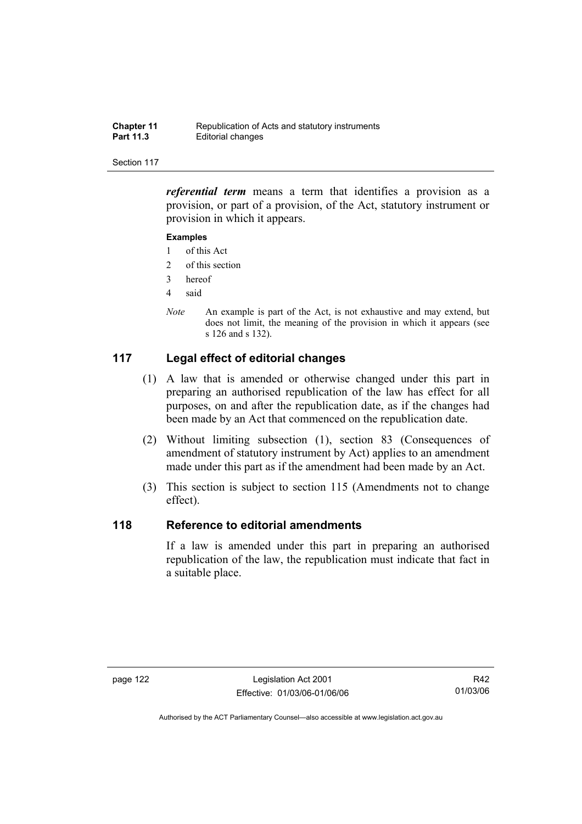| <b>Chapter 11</b> | Republication of Acts and statutory instruments |
|-------------------|-------------------------------------------------|
| <b>Part 11.3</b>  | Editorial changes                               |

*referential term* means a term that identifies a provision as a provision, or part of a provision, of the Act, statutory instrument or provision in which it appears.

#### **Examples**

- 1 of this Act
- 2 of this section
- 3 hereof
- 4 said
- *Note* An example is part of the Act, is not exhaustive and may extend, but does not limit, the meaning of the provision in which it appears (see s 126 and s 132).

## **117 Legal effect of editorial changes**

- (1) A law that is amended or otherwise changed under this part in preparing an authorised republication of the law has effect for all purposes, on and after the republication date, as if the changes had been made by an Act that commenced on the republication date.
- (2) Without limiting subsection (1), section 83 (Consequences of amendment of statutory instrument by Act) applies to an amendment made under this part as if the amendment had been made by an Act.
- (3) This section is subject to section 115 (Amendments not to change effect).

## **118 Reference to editorial amendments**

If a law is amended under this part in preparing an authorised republication of the law, the republication must indicate that fact in a suitable place.

R42 01/03/06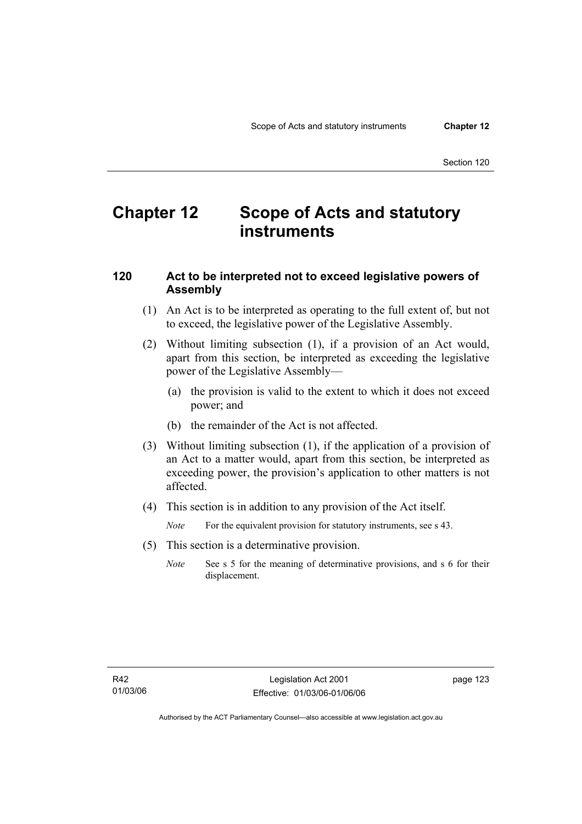# **Chapter 12 Scope of Acts and statutory instruments**

## **120 Act to be interpreted not to exceed legislative powers of Assembly**

- (1) An Act is to be interpreted as operating to the full extent of, but not to exceed, the legislative power of the Legislative Assembly.
- (2) Without limiting subsection (1), if a provision of an Act would, apart from this section, be interpreted as exceeding the legislative power of the Legislative Assembly—
	- (a) the provision is valid to the extent to which it does not exceed power; and
	- (b) the remainder of the Act is not affected.
- (3) Without limiting subsection (1), if the application of a provision of an Act to a matter would, apart from this section, be interpreted as exceeding power, the provision's application to other matters is not affected.
- (4) This section is in addition to any provision of the Act itself.

*Note* For the equivalent provision for statutory instruments, see s 43.

- (5) This section is a determinative provision.
	- *Note* See s 5 for the meaning of determinative provisions, and s 6 for their displacement.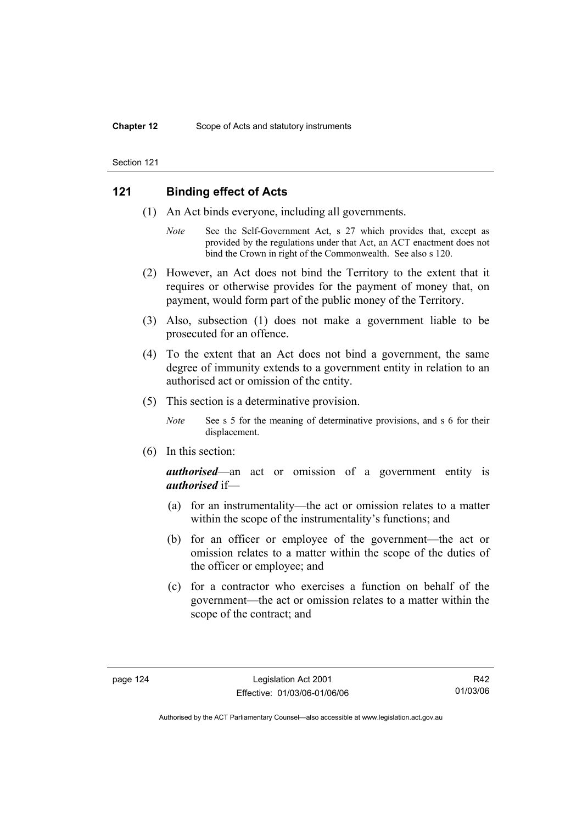## **121 Binding effect of Acts**

- (1) An Act binds everyone, including all governments.
	- *Note* See the Self-Government Act, s 27 which provides that, except as provided by the regulations under that Act, an ACT enactment does not bind the Crown in right of the Commonwealth. See also s 120.
- (2) However, an Act does not bind the Territory to the extent that it requires or otherwise provides for the payment of money that, on payment, would form part of the public money of the Territory.
- (3) Also, subsection (1) does not make a government liable to be prosecuted for an offence.
- (4) To the extent that an Act does not bind a government, the same degree of immunity extends to a government entity in relation to an authorised act or omission of the entity.
- (5) This section is a determinative provision.
	- *Note* See s 5 for the meaning of determinative provisions, and s 6 for their displacement.
- (6) In this section:

*authorised*—an act or omission of a government entity is *authorised* if—

- (a) for an instrumentality—the act or omission relates to a matter within the scope of the instrumentality's functions; and
- (b) for an officer or employee of the government—the act or omission relates to a matter within the scope of the duties of the officer or employee; and
- (c) for a contractor who exercises a function on behalf of the government—the act or omission relates to a matter within the scope of the contract; and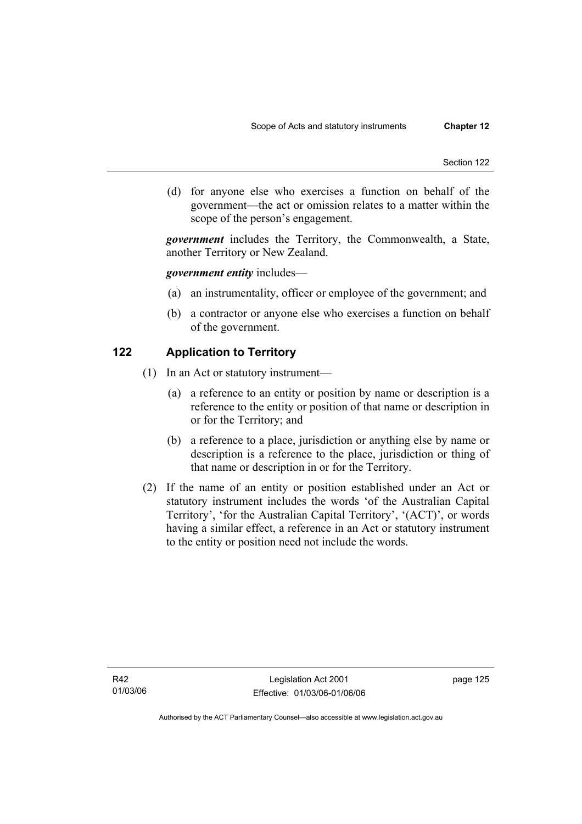(d) for anyone else who exercises a function on behalf of the government—the act or omission relates to a matter within the scope of the person's engagement.

*government* includes the Territory, the Commonwealth, a State, another Territory or New Zealand.

## *government entity* includes—

- (a) an instrumentality, officer or employee of the government; and
- (b) a contractor or anyone else who exercises a function on behalf of the government.

## **122 Application to Territory**

- (1) In an Act or statutory instrument—
	- (a) a reference to an entity or position by name or description is a reference to the entity or position of that name or description in or for the Territory; and
	- (b) a reference to a place, jurisdiction or anything else by name or description is a reference to the place, jurisdiction or thing of that name or description in or for the Territory.
- (2) If the name of an entity or position established under an Act or statutory instrument includes the words 'of the Australian Capital Territory', 'for the Australian Capital Territory', '(ACT)', or words having a similar effect, a reference in an Act or statutory instrument to the entity or position need not include the words.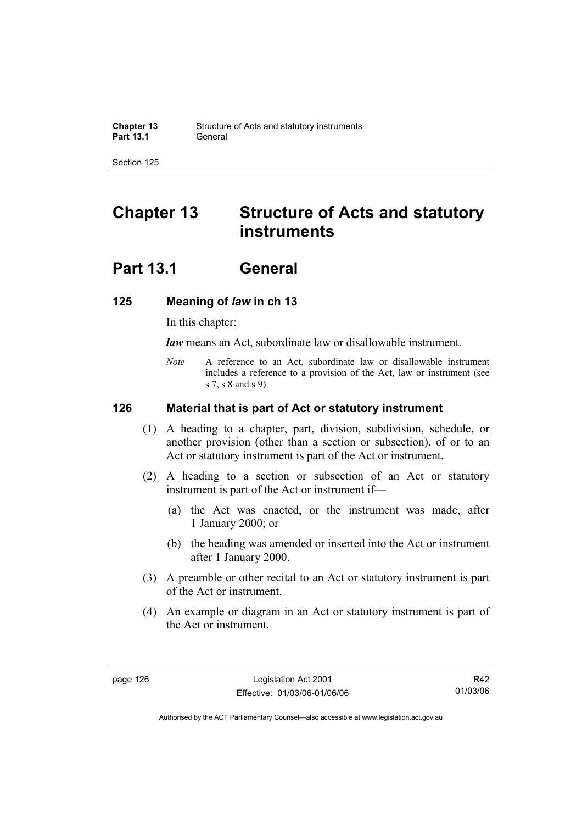# **Chapter 13 Structure of Acts and statutory instruments**

# **Part 13.1 General**

## **125 Meaning of** *law* **in ch 13**

In this chapter:

*law* means an Act, subordinate law or disallowable instrument.

*Note* A reference to an Act, subordinate law or disallowable instrument includes a reference to a provision of the Act, law or instrument (see s 7, s 8 and s 9).

## **126 Material that is part of Act or statutory instrument**

- (1) A heading to a chapter, part, division, subdivision, schedule, or another provision (other than a section or subsection), of or to an Act or statutory instrument is part of the Act or instrument.
- (2) A heading to a section or subsection of an Act or statutory instrument is part of the Act or instrument if—
	- (a) the Act was enacted, or the instrument was made, after 1 January 2000; or
	- (b) the heading was amended or inserted into the Act or instrument after 1 January 2000.
- (3) A preamble or other recital to an Act or statutory instrument is part of the Act or instrument.
- (4) An example or diagram in an Act or statutory instrument is part of the Act or instrument.

R42 01/03/06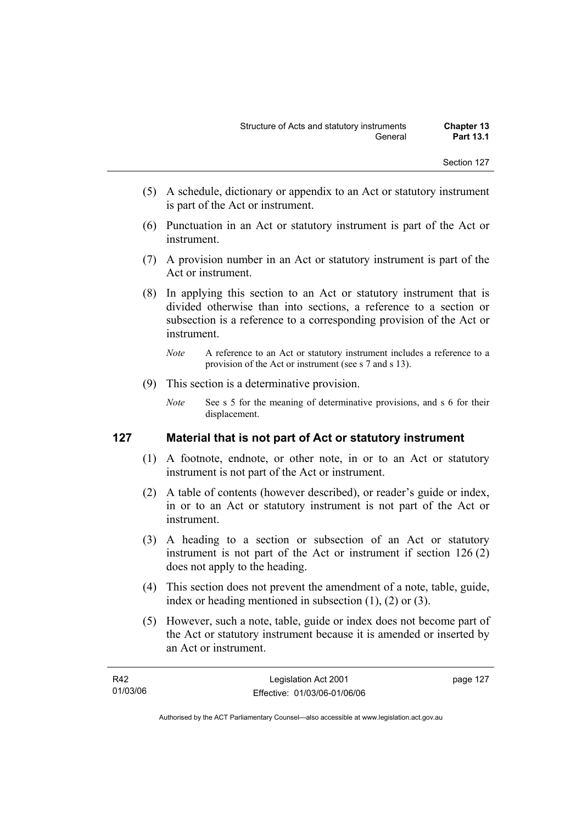- (5) A schedule, dictionary or appendix to an Act or statutory instrument is part of the Act or instrument.
- (6) Punctuation in an Act or statutory instrument is part of the Act or instrument.
- (7) A provision number in an Act or statutory instrument is part of the Act or instrument.
- (8) In applying this section to an Act or statutory instrument that is divided otherwise than into sections, a reference to a section or subsection is a reference to a corresponding provision of the Act or instrument.
	- *Note* A reference to an Act or statutory instrument includes a reference to a provision of the Act or instrument (see s 7 and s 13).
- (9) This section is a determinative provision.
	- *Note* See s 5 for the meaning of determinative provisions, and s 6 for their displacement.

# **127 Material that is not part of Act or statutory instrument**

- (1) A footnote, endnote, or other note, in or to an Act or statutory instrument is not part of the Act or instrument.
- (2) A table of contents (however described), or reader's guide or index, in or to an Act or statutory instrument is not part of the Act or instrument.
- (3) A heading to a section or subsection of an Act or statutory instrument is not part of the Act or instrument if section 126 (2) does not apply to the heading.
- (4) This section does not prevent the amendment of a note, table, guide, index or heading mentioned in subsection (1), (2) or (3).
- (5) However, such a note, table, guide or index does not become part of the Act or statutory instrument because it is amended or inserted by an Act or instrument.

| R42      | Legislation Act 2001         | page 127 |
|----------|------------------------------|----------|
| 01/03/06 | Effective: 01/03/06-01/06/06 |          |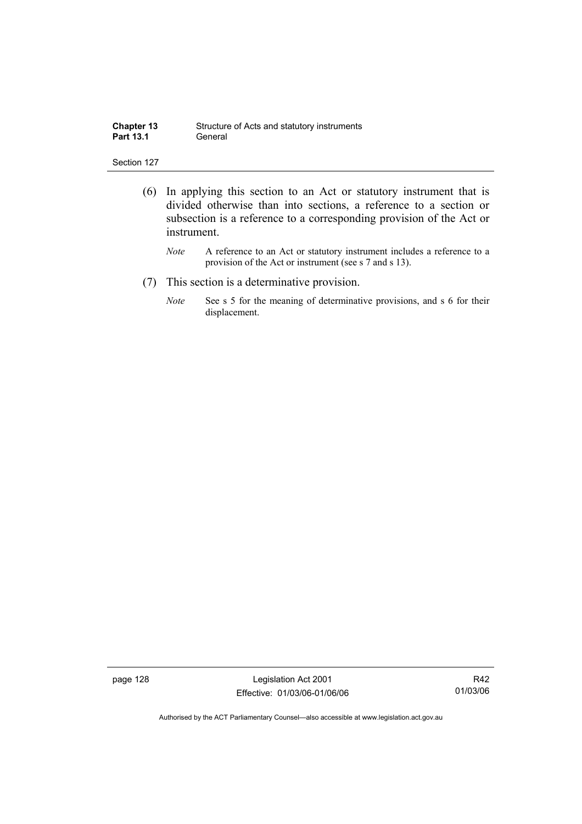| <b>Chapter 13</b> | Structure of Acts and statutory instruments |
|-------------------|---------------------------------------------|
| <b>Part 13.1</b>  | General                                     |

- (6) In applying this section to an Act or statutory instrument that is divided otherwise than into sections, a reference to a section or subsection is a reference to a corresponding provision of the Act or instrument.
	- *Note* A reference to an Act or statutory instrument includes a reference to a provision of the Act or instrument (see s 7 and s 13).
- (7) This section is a determinative provision.
	- *Note* See s 5 for the meaning of determinative provisions, and s 6 for their displacement.

page 128 Legislation Act 2001 Effective: 01/03/06-01/06/06

R42 01/03/06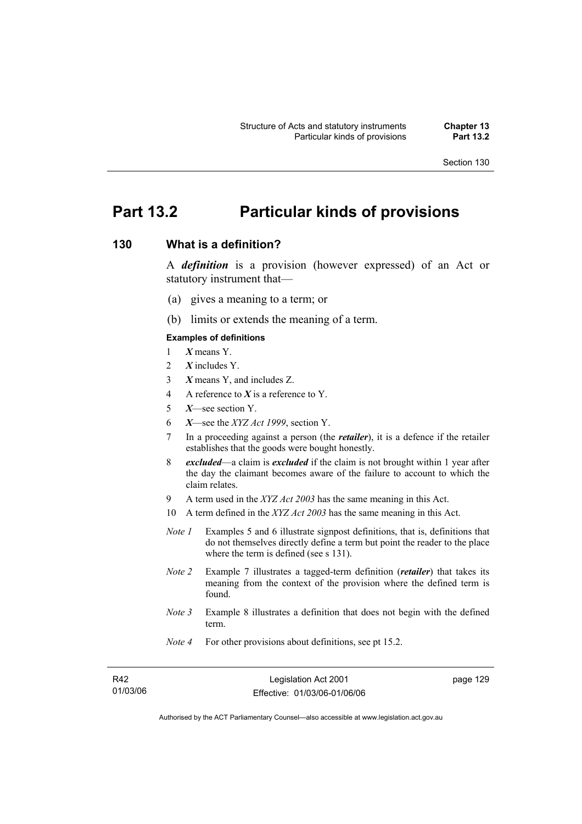## **Part 13.2 Particular kinds of provisions**

## **130 What is a definition?**

A *definition* is a provision (however expressed) of an Act or statutory instrument that—

- (a) gives a meaning to a term; or
- (b) limits or extends the meaning of a term.

#### **Examples of definitions**

- 1 *X* means Y.
- 2 *X* includes Y.
- 3 *X* means Y, and includes Z.
- 4 A reference to *X* is a reference to Y.
- 5 *X*—see section Y.
- 6 *X*—see the *XYZ Act 1999*, section Y.
- 7 In a proceeding against a person (the *retailer*), it is a defence if the retailer establishes that the goods were bought honestly.
- 8 *excluded*—a claim is *excluded* if the claim is not brought within 1 year after the day the claimant becomes aware of the failure to account to which the claim relates.
- 9 A term used in the *XYZ Act 2003* has the same meaning in this Act.
- 10 A term defined in the *XYZ Act 2003* has the same meaning in this Act.
- *Note 1* Examples 5 and 6 illustrate signpost definitions, that is, definitions that do not themselves directly define a term but point the reader to the place where the term is defined (see s 131).
- *Note 2* Example 7 illustrates a tagged-term definition (*retailer*) that takes its meaning from the context of the provision where the defined term is found.
- *Note 3* Example 8 illustrates a definition that does not begin with the defined term.
- *Note 4* For other provisions about definitions, see pt 15.2.

| R42      |
|----------|
| 01/03/06 |

page 129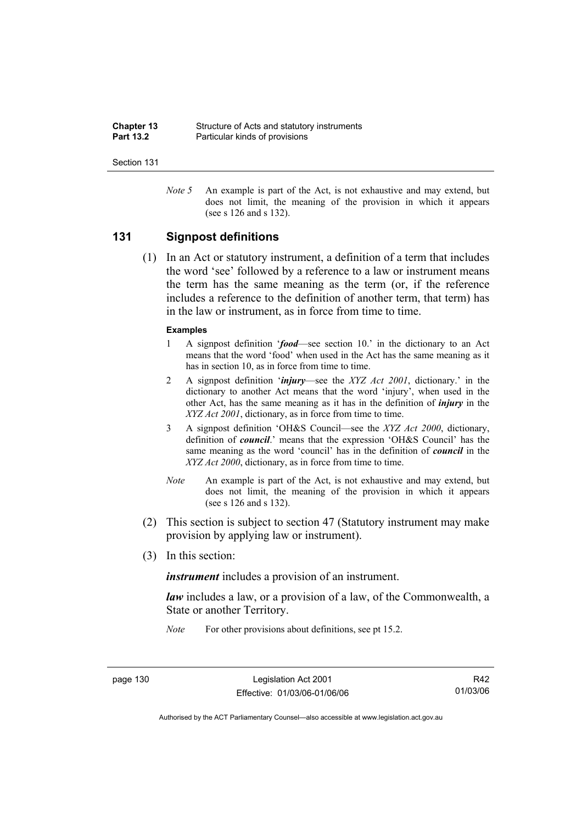| <b>Chapter 13</b> | Structure of Acts and statutory instruments |
|-------------------|---------------------------------------------|
| <b>Part 13.2</b>  | Particular kinds of provisions              |

*Note 5* An example is part of the Act, is not exhaustive and may extend, but does not limit, the meaning of the provision in which it appears (see s 126 and s 132).

### **131 Signpost definitions**

 (1) In an Act or statutory instrument, a definition of a term that includes the word 'see' followed by a reference to a law or instrument means the term has the same meaning as the term (or, if the reference includes a reference to the definition of another term, that term) has in the law or instrument, as in force from time to time.

#### **Examples**

- 1 A signpost definition '*food*—see section 10.' in the dictionary to an Act means that the word 'food' when used in the Act has the same meaning as it has in section 10, as in force from time to time.
- 2 A signpost definition '*injury*—see the *XYZ Act 2001*, dictionary.' in the dictionary to another Act means that the word 'injury', when used in the other Act, has the same meaning as it has in the definition of *injury* in the *XYZ Act 2001*, dictionary, as in force from time to time.
- 3 A signpost definition 'OH&S Council—see the *XYZ Act 2000*, dictionary, definition of *council*.' means that the expression 'OH&S Council' has the same meaning as the word 'council' has in the definition of *council* in the *XYZ Act 2000*, dictionary, as in force from time to time.
- *Note* An example is part of the Act, is not exhaustive and may extend, but does not limit, the meaning of the provision in which it appears (see s 126 and s 132).
- (2) This section is subject to section 47 (Statutory instrument may make provision by applying law or instrument).
- (3) In this section:

*instrument* includes a provision of an instrument.

*law* includes a law, or a provision of a law, of the Commonwealth, a State or another Territory.

*Note* For other provisions about definitions, see pt 15.2.

page 130 Legislation Act 2001 Effective: 01/03/06-01/06/06

R42 01/03/06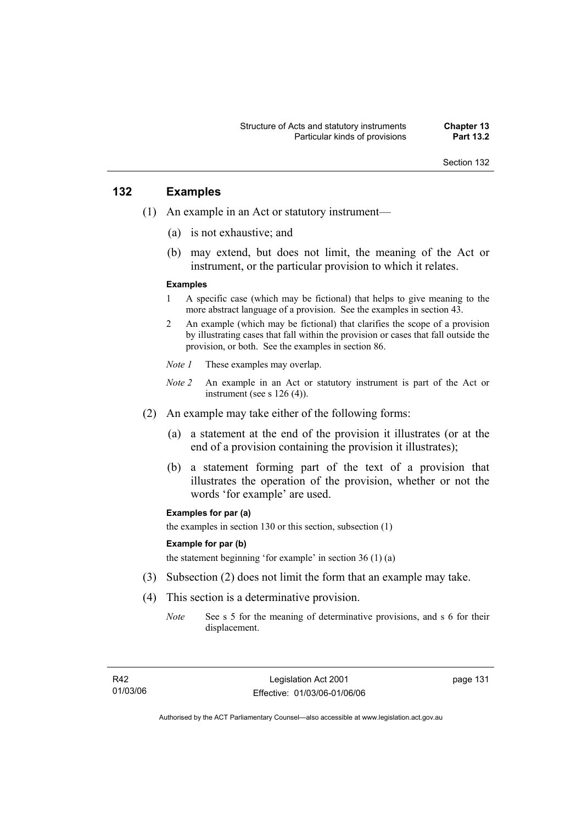## **132 Examples**

- (1) An example in an Act or statutory instrument—
	- (a) is not exhaustive; and
	- (b) may extend, but does not limit, the meaning of the Act or instrument, or the particular provision to which it relates.

#### **Examples**

- 1 A specific case (which may be fictional) that helps to give meaning to the more abstract language of a provision. See the examples in section 43.
- 2 An example (which may be fictional) that clarifies the scope of a provision by illustrating cases that fall within the provision or cases that fall outside the provision, or both. See the examples in section 86.
- *Note 1* These examples may overlap.
- *Note 2* An example in an Act or statutory instrument is part of the Act or instrument (see s 126 (4)).
- (2) An example may take either of the following forms:
	- (a) a statement at the end of the provision it illustrates (or at the end of a provision containing the provision it illustrates);
	- (b) a statement forming part of the text of a provision that illustrates the operation of the provision, whether or not the words 'for example' are used.

#### **Examples for par (a)**

the examples in section 130 or this section, subsection (1)

#### **Example for par (b)**

the statement beginning 'for example' in section 36 (1) (a)

- (3) Subsection (2) does not limit the form that an example may take.
- (4) This section is a determinative provision.
	- *Note* See s 5 for the meaning of determinative provisions, and s 6 for their displacement.

page 131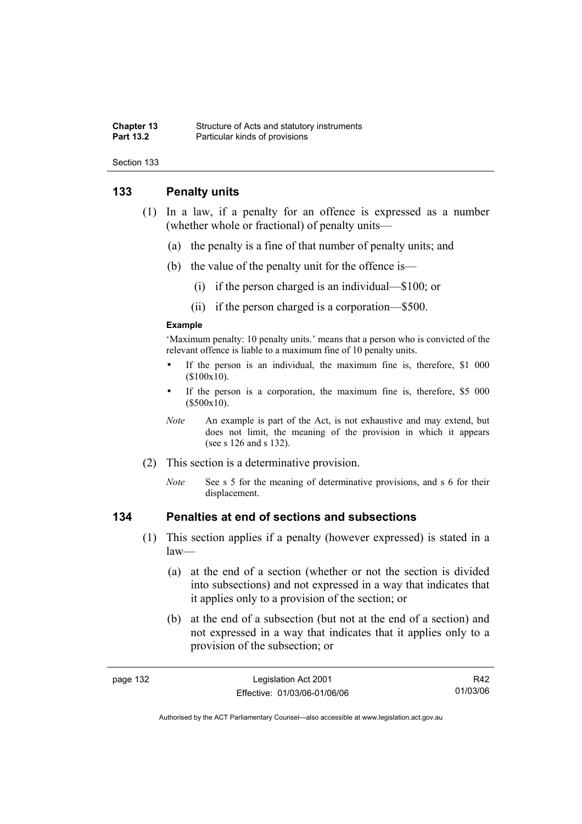#### **Chapter 13** Structure of Acts and statutory instruments<br> **Part 13.2** Particular kinds of provisions **Particular kinds of provisions**

Section 133

## **133 Penalty units**

- (1) In a law, if a penalty for an offence is expressed as a number (whether whole or fractional) of penalty units—
	- (a) the penalty is a fine of that number of penalty units; and
	- (b) the value of the penalty unit for the offence is—
		- (i) if the person charged is an individual—\$100; or
		- (ii) if the person charged is a corporation—\$500.

#### **Example**

'Maximum penalty: 10 penalty units.' means that a person who is convicted of the relevant offence is liable to a maximum fine of 10 penalty units.

- If the person is an individual, the maximum fine is, therefore, \$1 000 (\$100x10).
- If the person is a corporation, the maximum fine is, therefore, \$5 000 (\$500x10).
- *Note* An example is part of the Act, is not exhaustive and may extend, but does not limit, the meaning of the provision in which it appears (see s 126 and s 132).
- (2) This section is a determinative provision.
	- *Note* See s 5 for the meaning of determinative provisions, and s 6 for their displacement.

## **134 Penalties at end of sections and subsections**

- (1) This section applies if a penalty (however expressed) is stated in a law—
	- (a) at the end of a section (whether or not the section is divided into subsections) and not expressed in a way that indicates that it applies only to a provision of the section; or
	- (b) at the end of a subsection (but not at the end of a section) and not expressed in a way that indicates that it applies only to a provision of the subsection; or

| aade |  |
|------|--|
|------|--|

R42 01/03/06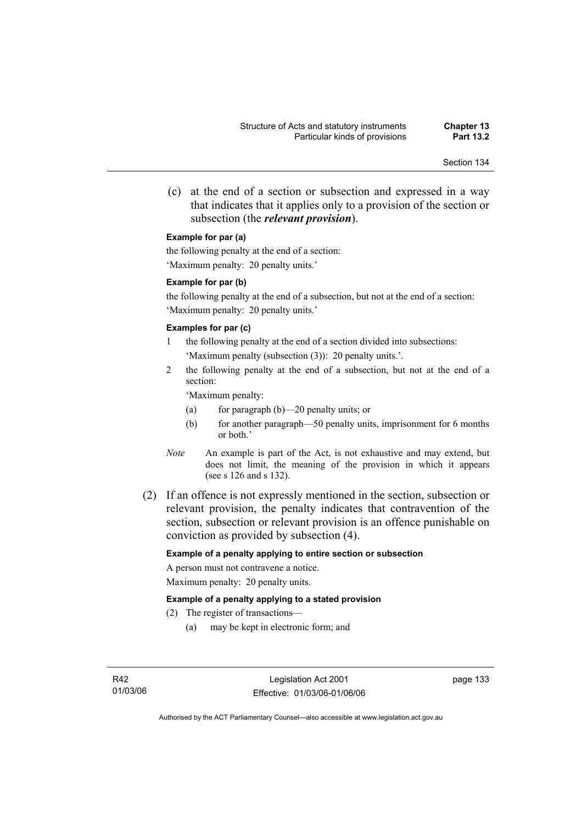(c) at the end of a section or subsection and expressed in a way that indicates that it applies only to a provision of the section or subsection (the *relevant provision*).

#### **Example for par (a)**

the following penalty at the end of a section: 'Maximum penalty: 20 penalty units.'

#### **Example for par (b)**

the following penalty at the end of a subsection, but not at the end of a section: 'Maximum penalty: 20 penalty units.'

#### **Examples for par (c)**

- 1 the following penalty at the end of a section divided into subsections: 'Maximum penalty (subsection (3)): 20 penalty units.'.
- 2 the following penalty at the end of a subsection, but not at the end of a section:

'Maximum penalty:

- (a) for paragraph (b)—20 penalty units; or
- (b) for another paragraph—50 penalty units, imprisonment for 6 months or both.'
- *Note* An example is part of the Act, is not exhaustive and may extend, but does not limit, the meaning of the provision in which it appears (see s 126 and s 132).
- (2) If an offence is not expressly mentioned in the section, subsection or relevant provision, the penalty indicates that contravention of the section, subsection or relevant provision is an offence punishable on conviction as provided by subsection (4).

#### **Example of a penalty applying to entire section or subsection**

A person must not contravene a notice. Maximum penalty: 20 penalty units.

#### **Example of a penalty applying to a stated provision**

- (2) The register of transactions—
	- (a) may be kept in electronic form; and

page 133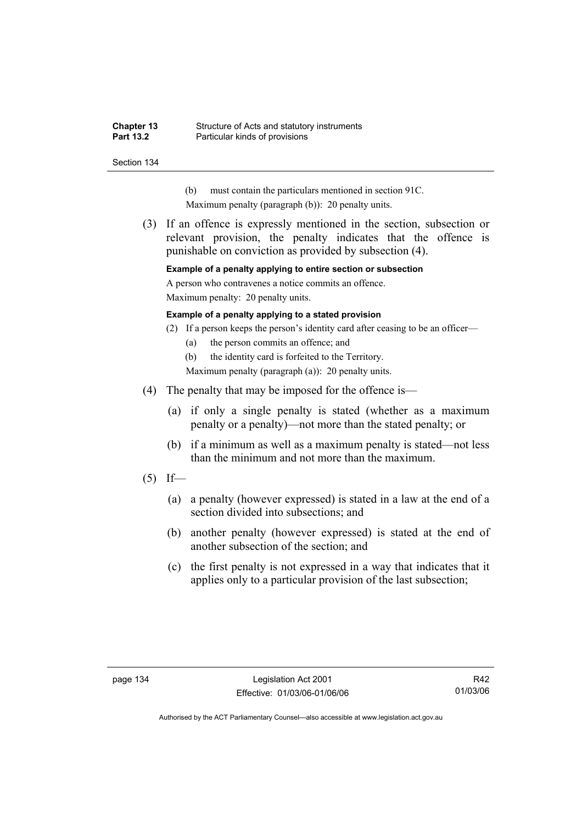#### **Chapter 13** Structure of Acts and statutory instruments<br> **Part 13.2** Particular kinds of provisions **Particular kinds of provisions**

Section 134

- (b) must contain the particulars mentioned in section 91C.
- Maximum penalty (paragraph (b)): 20 penalty units.
- (3) If an offence is expressly mentioned in the section, subsection or relevant provision, the penalty indicates that the offence is punishable on conviction as provided by subsection (4).

**Example of a penalty applying to entire section or subsection** 

A person who contravenes a notice commits an offence.

Maximum penalty: 20 penalty units.

#### **Example of a penalty applying to a stated provision**

- (2) If a person keeps the person's identity card after ceasing to be an officer—
	- (a) the person commits an offence; and

(b) the identity card is forfeited to the Territory.

Maximum penalty (paragraph (a)): 20 penalty units.

- (4) The penalty that may be imposed for the offence is—
	- (a) if only a single penalty is stated (whether as a maximum penalty or a penalty)—not more than the stated penalty; or
	- (b) if a minimum as well as a maximum penalty is stated—not less than the minimum and not more than the maximum.
- $(5)$  If—
	- (a) a penalty (however expressed) is stated in a law at the end of a section divided into subsections; and
	- (b) another penalty (however expressed) is stated at the end of another subsection of the section; and
	- (c) the first penalty is not expressed in a way that indicates that it applies only to a particular provision of the last subsection;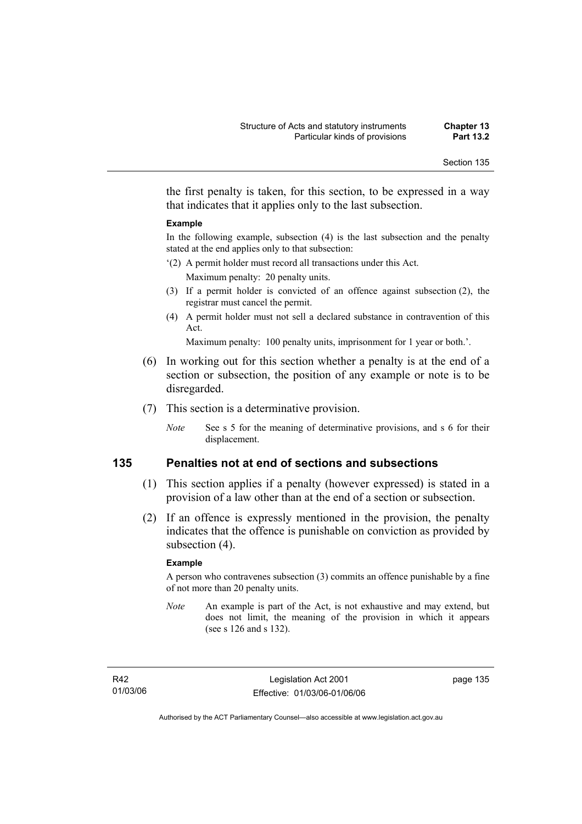the first penalty is taken, for this section, to be expressed in a way that indicates that it applies only to the last subsection.

#### **Example**

In the following example, subsection (4) is the last subsection and the penalty stated at the end applies only to that subsection:

- '(2) A permit holder must record all transactions under this Act. Maximum penalty: 20 penalty units.
- (3) If a permit holder is convicted of an offence against subsection (2), the registrar must cancel the permit.
- (4) A permit holder must not sell a declared substance in contravention of this Act.

Maximum penalty: 100 penalty units, imprisonment for 1 year or both.'.

- (6) In working out for this section whether a penalty is at the end of a section or subsection, the position of any example or note is to be disregarded.
- (7) This section is a determinative provision.
	- *Note* See s 5 for the meaning of determinative provisions, and s 6 for their displacement.

## **135 Penalties not at end of sections and subsections**

- (1) This section applies if a penalty (however expressed) is stated in a provision of a law other than at the end of a section or subsection.
- (2) If an offence is expressly mentioned in the provision, the penalty indicates that the offence is punishable on conviction as provided by subsection  $(4)$ .

#### **Example**

A person who contravenes subsection (3) commits an offence punishable by a fine of not more than 20 penalty units.

*Note* An example is part of the Act, is not exhaustive and may extend, but does not limit, the meaning of the provision in which it appears (see s 126 and s 132).

R42 01/03/06 page 135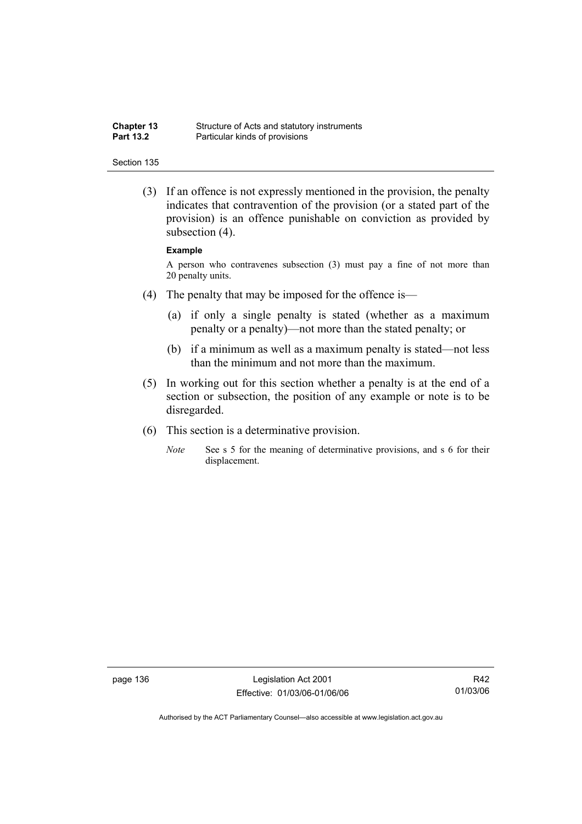| <b>Chapter 13</b> | Structure of Acts and statutory instruments |
|-------------------|---------------------------------------------|
| <b>Part 13.2</b>  | Particular kinds of provisions              |

 (3) If an offence is not expressly mentioned in the provision, the penalty indicates that contravention of the provision (or a stated part of the provision) is an offence punishable on conviction as provided by subsection  $(4)$ .

#### **Example**

A person who contravenes subsection (3) must pay a fine of not more than 20 penalty units.

- (4) The penalty that may be imposed for the offence is—
	- (a) if only a single penalty is stated (whether as a maximum penalty or a penalty)—not more than the stated penalty; or
	- (b) if a minimum as well as a maximum penalty is stated—not less than the minimum and not more than the maximum.
- (5) In working out for this section whether a penalty is at the end of a section or subsection, the position of any example or note is to be disregarded.
- (6) This section is a determinative provision.
	- *Note* See s 5 for the meaning of determinative provisions, and s 6 for their displacement.

page 136 Legislation Act 2001 Effective: 01/03/06-01/06/06

R42 01/03/06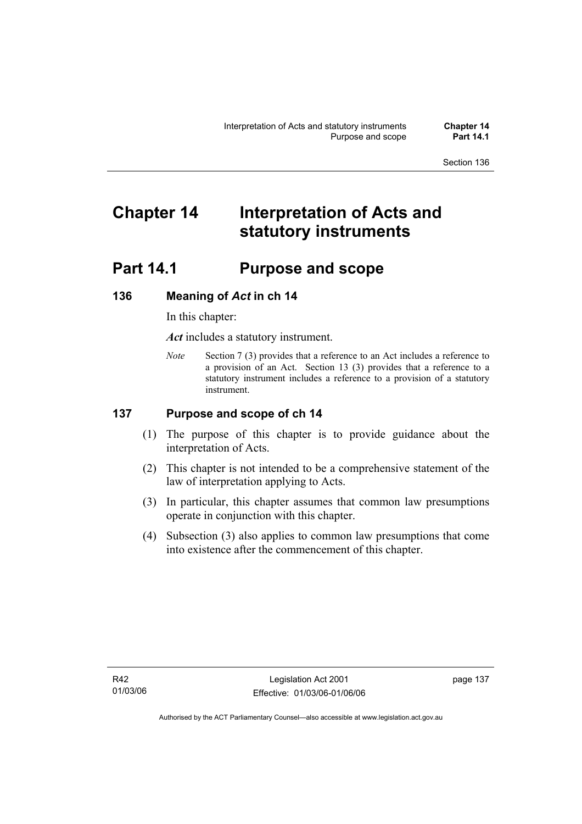# **Chapter 14 Interpretation of Acts and statutory instruments**

## **Part 14.1 Purpose and scope**

## **136 Meaning of** *Act* **in ch 14**

In this chapter:

*Act* includes a statutory instrument.

*Note* Section 7 (3) provides that a reference to an Act includes a reference to a provision of an Act. Section 13 (3) provides that a reference to a statutory instrument includes a reference to a provision of a statutory instrument.

## **137 Purpose and scope of ch 14**

- (1) The purpose of this chapter is to provide guidance about the interpretation of Acts.
- (2) This chapter is not intended to be a comprehensive statement of the law of interpretation applying to Acts.
- (3) In particular, this chapter assumes that common law presumptions operate in conjunction with this chapter.
- (4) Subsection (3) also applies to common law presumptions that come into existence after the commencement of this chapter.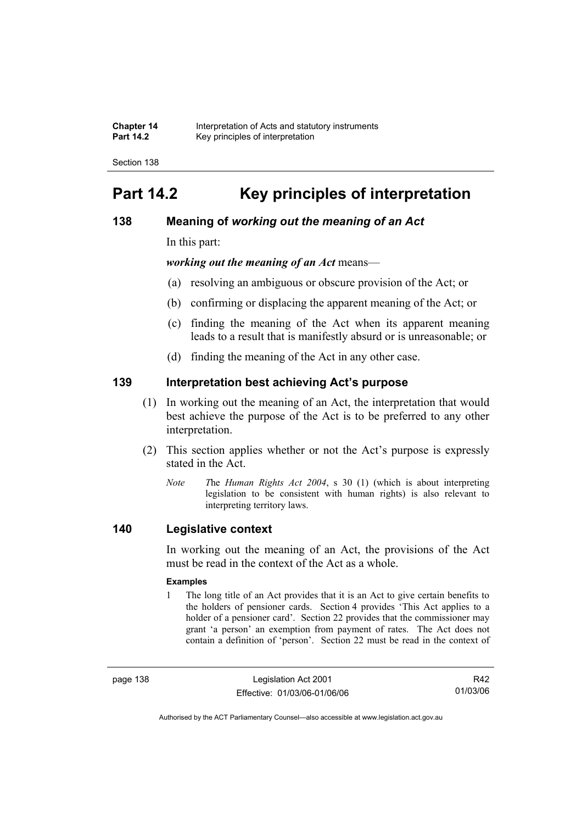| <b>Chapter 14</b> | Interpretation of Acts and statutory instruments |
|-------------------|--------------------------------------------------|
| <b>Part 14.2</b>  | Key principles of interpretation                 |

## **Part 14.2 Key principles of interpretation**

## **138 Meaning of** *working out the meaning of an Act*

In this part:

*working out the meaning of an Act* means—

- (a) resolving an ambiguous or obscure provision of the Act; or
- (b) confirming or displacing the apparent meaning of the Act; or
- (c) finding the meaning of the Act when its apparent meaning leads to a result that is manifestly absurd or is unreasonable; or
- (d) finding the meaning of the Act in any other case.

## **139 Interpretation best achieving Act's purpose**

- (1) In working out the meaning of an Act, the interpretation that would best achieve the purpose of the Act is to be preferred to any other interpretation.
- (2) This section applies whether or not the Act's purpose is expressly stated in the Act.
	- *Note T*he *Human Rights Act 2004*, s 30 (1) (which is about interpreting legislation to be consistent with human rights) is also relevant to interpreting territory laws.

## **140 Legislative context**

In working out the meaning of an Act, the provisions of the Act must be read in the context of the Act as a whole.

#### **Examples**

1 The long title of an Act provides that it is an Act to give certain benefits to the holders of pensioner cards. Section 4 provides 'This Act applies to a holder of a pensioner card'. Section 22 provides that the commissioner may grant 'a person' an exemption from payment of rates. The Act does not contain a definition of 'person'. Section 22 must be read in the context of

page 138 Legislation Act 2001 Effective: 01/03/06-01/06/06

R42 01/03/06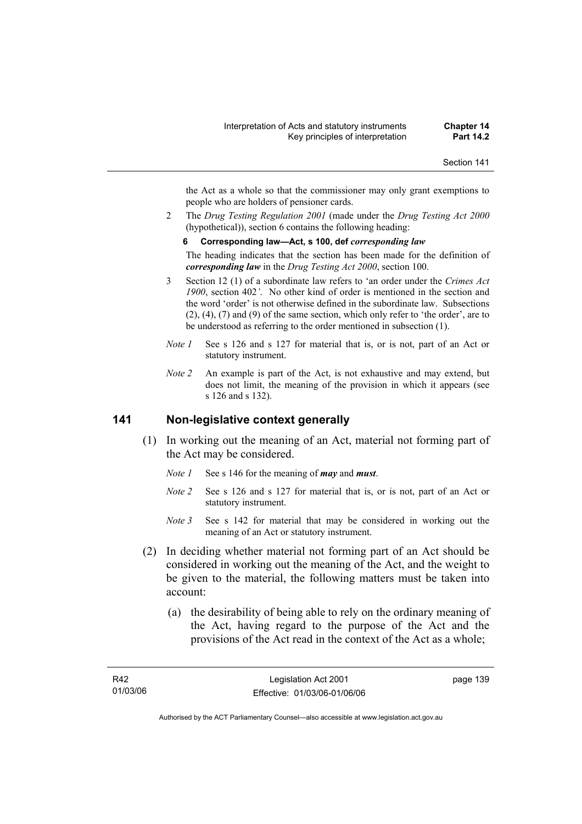the Act as a whole so that the commissioner may only grant exemptions to people who are holders of pensioner cards.

2 The *Drug Testing Regulation 2001* (made under the *Drug Testing Act 2000* (hypothetical)), section 6 contains the following heading:

#### **6 Corresponding law—Act, s 100, def** *corresponding law*

The heading indicates that the section has been made for the definition of *corresponding law* in the *Drug Testing Act 2000*, section 100.

- 3 Section 12 (1) of a subordinate law refers to 'an order under the *Crimes Act 1900*, section 402*'*. No other kind of order is mentioned in the section and the word 'order' is not otherwise defined in the subordinate law. Subsections (2), (4), (7) and (9) of the same section, which only refer to 'the order', are to be understood as referring to the order mentioned in subsection (1).
- *Note 1* See s 126 and s 127 for material that is, or is not, part of an Act or statutory instrument.
- *Note 2* An example is part of the Act, is not exhaustive and may extend, but does not limit, the meaning of the provision in which it appears (see s 126 and s 132).

### **141 Non-legislative context generally**

- (1) In working out the meaning of an Act, material not forming part of the Act may be considered.
	- *Note 1* See s 146 for the meaning of *may* and *must*.
	- *Note 2* See s 126 and s 127 for material that is, or is not, part of an Act or statutory instrument.
	- *Note* 3 See s 142 for material that may be considered in working out the meaning of an Act or statutory instrument.
- (2) In deciding whether material not forming part of an Act should be considered in working out the meaning of the Act, and the weight to be given to the material, the following matters must be taken into account:
	- (a) the desirability of being able to rely on the ordinary meaning of the Act, having regard to the purpose of the Act and the provisions of the Act read in the context of the Act as a whole;

page 139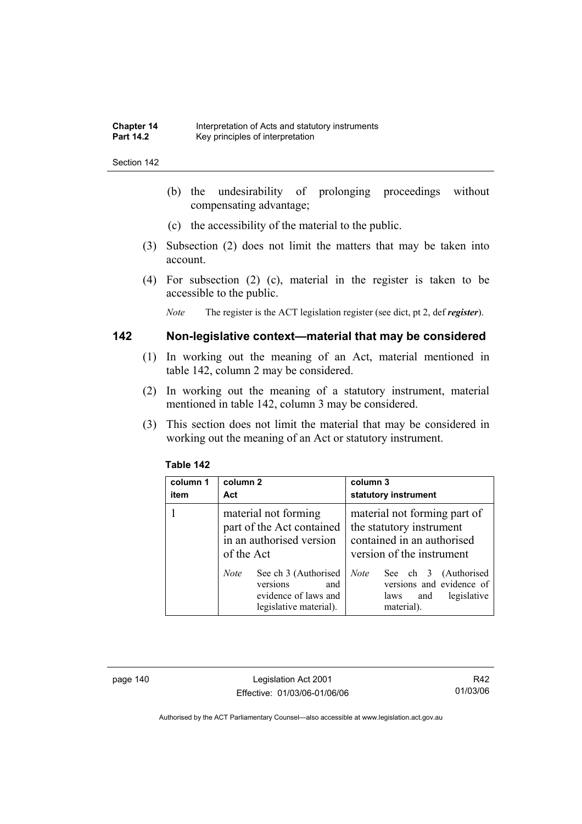- (b) the undesirability of prolonging proceedings without compensating advantage;
- (c) the accessibility of the material to the public.
- (3) Subsection (2) does not limit the matters that may be taken into account.
- (4) For subsection (2) (c), material in the register is taken to be accessible to the public.

*Note* The register is the ACT legislation register (see dict, pt 2, def *register*).

## **142 Non-legislative context—material that may be considered**

- (1) In working out the meaning of an Act, material mentioned in table 142, column 2 may be considered.
- (2) In working out the meaning of a statutory instrument, material mentioned in table 142, column 3 may be considered.
- (3) This section does not limit the material that may be considered in working out the meaning of an Act or statutory instrument.

| column 1<br>item | column 2<br>Act                                                                                                                    | column 3<br>statutory instrument                                                                                                                           |  |
|------------------|------------------------------------------------------------------------------------------------------------------------------------|------------------------------------------------------------------------------------------------------------------------------------------------------------|--|
|                  | material not forming<br>part of the Act contained<br>in an authorised version<br>of the Act<br>See ch 3 (Authorised<br><b>Note</b> | material not forming part of<br>the statutory instrument<br>contained in an authorised<br>version of the instrument<br><b>Note</b><br>See ch 3 (Authorised |  |
|                  | versions<br>and<br>evidence of laws and<br>legislative material).                                                                  | versions and evidence of<br>legislative<br>and<br>laws<br>material).                                                                                       |  |

#### **Table 142**

page 140 Legislation Act 2001 Effective: 01/03/06-01/06/06

R42 01/03/06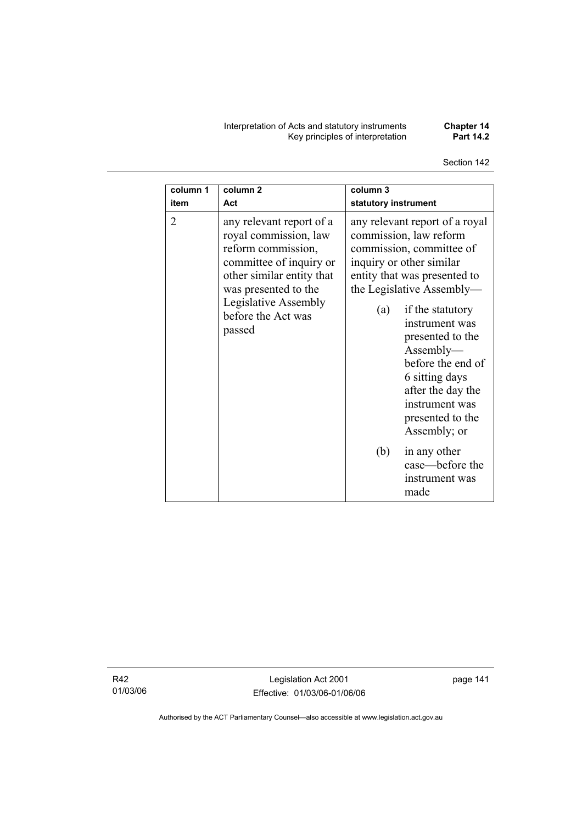Interpretation of Acts and statutory instruments **Chapter 14**  Key principles of interpretation **Part 14.2** 

Section 142

| column 1       | column <sub>2</sub>                                                                                                                                                                                             | column 3                                                                                                                                                                                                                                                                                                                                                                      |  |
|----------------|-----------------------------------------------------------------------------------------------------------------------------------------------------------------------------------------------------------------|-------------------------------------------------------------------------------------------------------------------------------------------------------------------------------------------------------------------------------------------------------------------------------------------------------------------------------------------------------------------------------|--|
| item           | Act                                                                                                                                                                                                             | statutory instrument                                                                                                                                                                                                                                                                                                                                                          |  |
| $\overline{2}$ | any relevant report of a<br>royal commission, law<br>reform commission,<br>committee of inquiry or<br>other similar entity that<br>was presented to the<br>Legislative Assembly<br>before the Act was<br>passed | any relevant report of a royal<br>commission, law reform<br>commission, committee of<br>inquiry or other similar<br>entity that was presented to<br>the Legislative Assembly-<br>if the statutory<br>(a)<br>instrument was<br>presented to the<br>Assently—<br>before the end of<br>6 sitting days<br>after the day the<br>instrument was<br>presented to the<br>Assembly; or |  |
|                |                                                                                                                                                                                                                 | (b)<br>in any other<br>case—before the<br>instrument was<br>made                                                                                                                                                                                                                                                                                                              |  |

R42 01/03/06

Legislation Act 2001 Effective: 01/03/06-01/06/06 page 141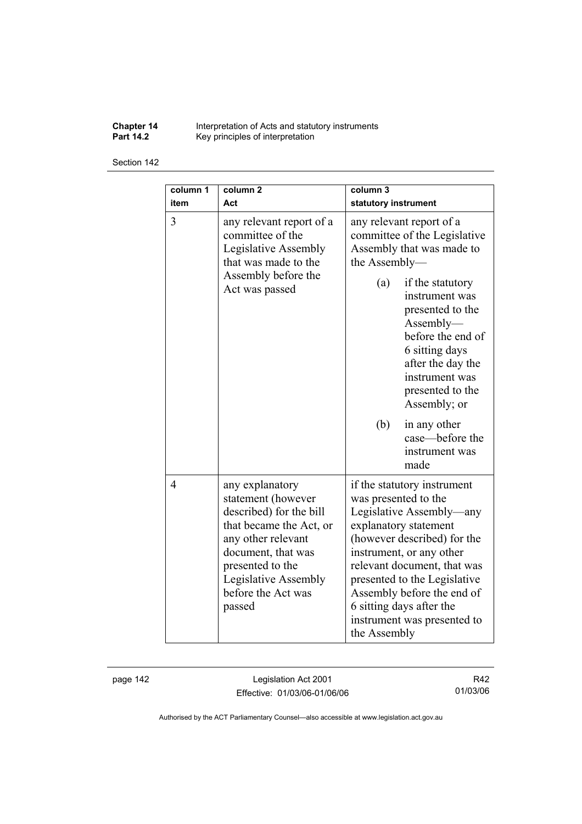**Chapter 14** Interpretation of Acts and statutory instruments **Part 14.2 Key principles of interpretation** 

#### Section 142

| column 1<br>item | column <sub>2</sub><br>Act                                                                                                                                                                                          | column <sub>3</sub><br>statutory instrument                                                                                                                                                                                                                                                                                                 |  |
|------------------|---------------------------------------------------------------------------------------------------------------------------------------------------------------------------------------------------------------------|---------------------------------------------------------------------------------------------------------------------------------------------------------------------------------------------------------------------------------------------------------------------------------------------------------------------------------------------|--|
| 3                | any relevant report of a<br>committee of the<br>Legislative Assembly<br>that was made to the                                                                                                                        | any relevant report of a<br>committee of the Legislative<br>Assembly that was made to<br>the Assembly-                                                                                                                                                                                                                                      |  |
|                  | Assembly before the<br>Act was passed                                                                                                                                                                               | (a)<br>if the statutory<br>instrument was<br>presented to the<br>Assently—<br>before the end of<br>6 sitting days<br>after the day the<br>instrument was<br>presented to the<br>Assembly; or                                                                                                                                                |  |
|                  |                                                                                                                                                                                                                     | (b)<br>in any other<br>case—before the<br>instrument was<br>made                                                                                                                                                                                                                                                                            |  |
| 4                | any explanatory<br>statement (however<br>described) for the bill<br>that became the Act, or<br>any other relevant<br>document, that was<br>presented to the<br>Legislative Assembly<br>before the Act was<br>passed | if the statutory instrument<br>was presented to the<br>Legislative Assembly—any<br>explanatory statement<br>(however described) for the<br>instrument, or any other<br>relevant document, that was<br>presented to the Legislative<br>Assembly before the end of<br>6 sitting days after the<br>instrument was presented to<br>the Assembly |  |

page 142 Legislation Act 2001 Effective: 01/03/06-01/06/06

R42 01/03/06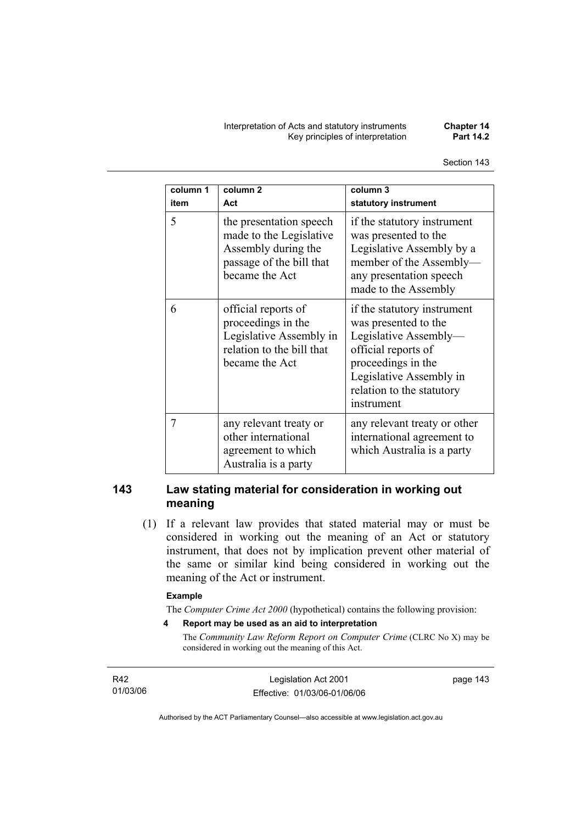Interpretation of Acts and statutory instruments **Chapter 14 Key principles of interpretation** 

| column 1<br>item | column <sub>2</sub><br>Act                                                                                              | column 3<br>statutory instrument                                                                                                                                                                |
|------------------|-------------------------------------------------------------------------------------------------------------------------|-------------------------------------------------------------------------------------------------------------------------------------------------------------------------------------------------|
| 5                | the presentation speech<br>made to the Legislative<br>Assembly during the<br>passage of the bill that<br>became the Act | if the statutory instrument<br>was presented to the<br>Legislative Assembly by a<br>member of the Assembly-<br>any presentation speech<br>made to the Assembly                                  |
| 6                | official reports of<br>proceedings in the<br>Legislative Assembly in<br>relation to the bill that<br>became the Act     | if the statutory instrument<br>was presented to the<br>Legislative Assembly-<br>official reports of<br>proceedings in the<br>Legislative Assembly in<br>relation to the statutory<br>instrument |
| 7                | any relevant treaty or<br>other international<br>agreement to which<br>Australia is a party                             | any relevant treaty or other<br>international agreement to<br>which Australia is a party                                                                                                        |

## **143 Law stating material for consideration in working out meaning**

 (1) If a relevant law provides that stated material may or must be considered in working out the meaning of an Act or statutory instrument, that does not by implication prevent other material of the same or similar kind being considered in working out the meaning of the Act or instrument.

#### **Example**

The *Computer Crime Act 2000* (hypothetical) contains the following provision:

**4 Report may be used as an aid to interpretation** 

The *Community Law Reform Report on Computer Crime* (CLRC No X) may be considered in working out the meaning of this Act.

R42 01/03/06 page 143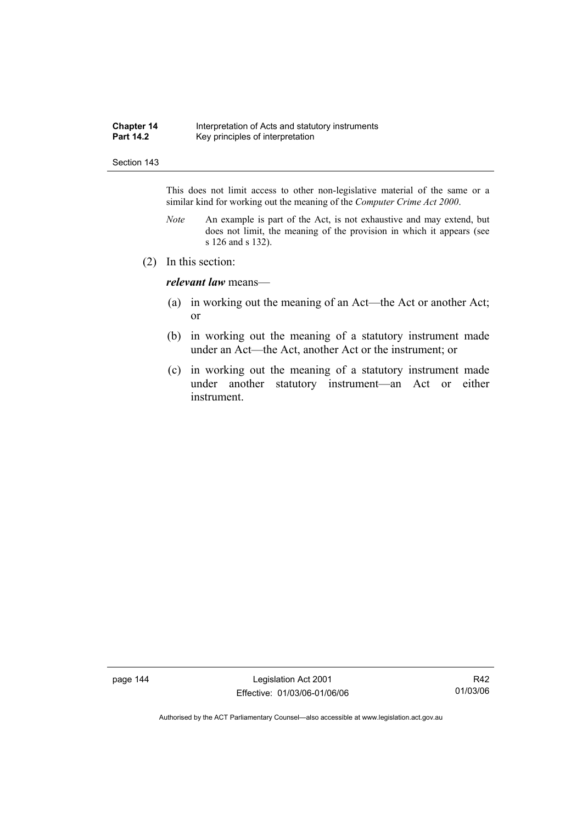#### **Chapter 14** Interpretation of Acts and statutory instruments<br>**Part 14.2** Key principles of interpretation Key principles of interpretation

#### Section 143

This does not limit access to other non-legislative material of the same or a similar kind for working out the meaning of the *Computer Crime Act 2000*.

- *Note* An example is part of the Act, is not exhaustive and may extend, but does not limit, the meaning of the provision in which it appears (see s 126 and s 132).
- (2) In this section:

*relevant law* means—

- (a) in working out the meaning of an Act—the Act or another Act; or
- (b) in working out the meaning of a statutory instrument made under an Act—the Act, another Act or the instrument; or
- (c) in working out the meaning of a statutory instrument made under another statutory instrument—an Act or either instrument.

page 144 Legislation Act 2001 Effective: 01/03/06-01/06/06

R42 01/03/06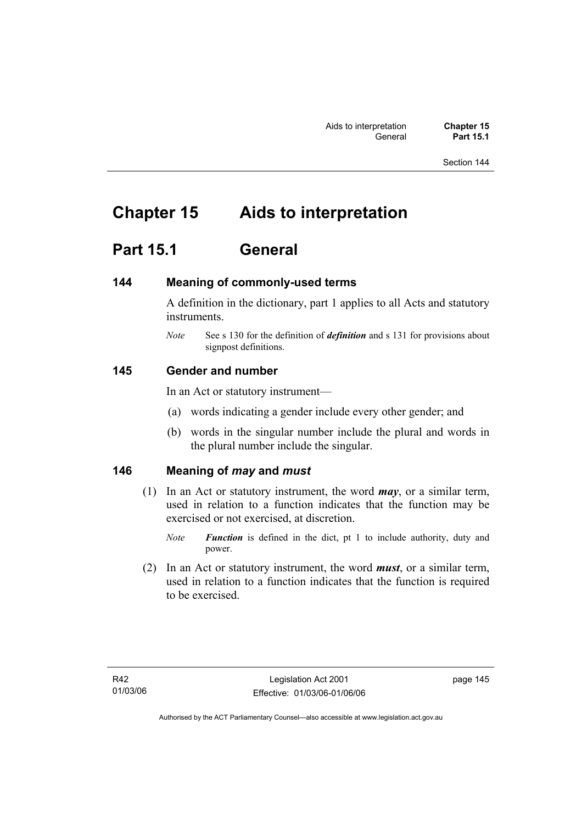## **Chapter 15 Aids to interpretation**

## **Part 15.1 General**

## **144 Meaning of commonly-used terms**

A definition in the dictionary, part 1 applies to all Acts and statutory instruments.

*Note* See s 130 for the definition of *definition* and s 131 for provisions about signpost definitions.

## **145 Gender and number**

In an Act or statutory instrument—

- (a) words indicating a gender include every other gender; and
- (b) words in the singular number include the plural and words in the plural number include the singular.

## **146 Meaning of** *may* **and** *must*

- (1) In an Act or statutory instrument, the word *may*, or a similar term, used in relation to a function indicates that the function may be exercised or not exercised, at discretion.
	- *Note Function* is defined in the dict, pt 1 to include authority, duty and power.
- (2) In an Act or statutory instrument, the word *must*, or a similar term, used in relation to a function indicates that the function is required to be exercised.

page 145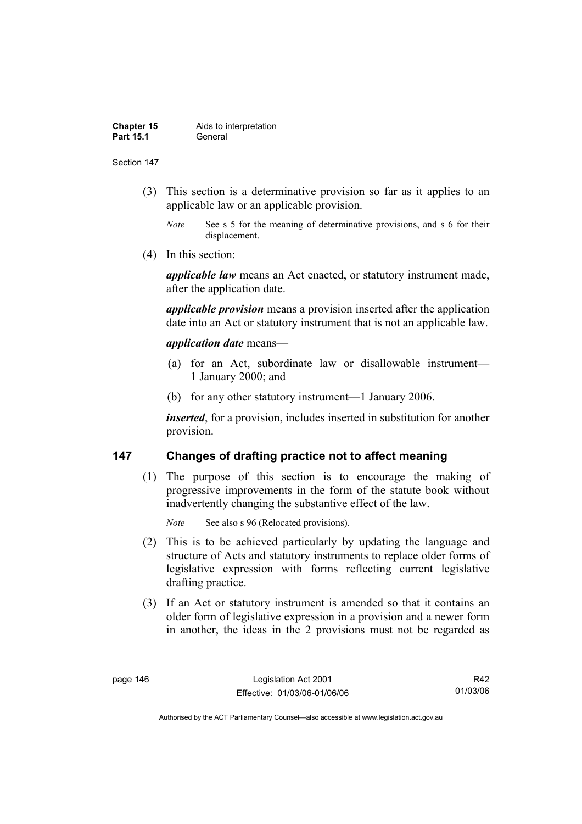| <b>Chapter 15</b> | Aids to interpretation |
|-------------------|------------------------|
| <b>Part 15.1</b>  | General                |

- (3) This section is a determinative provision so far as it applies to an applicable law or an applicable provision.
	- *Note* See s 5 for the meaning of determinative provisions, and s 6 for their displacement.
- (4) In this section:

*applicable law* means an Act enacted, or statutory instrument made, after the application date.

*applicable provision* means a provision inserted after the application date into an Act or statutory instrument that is not an applicable law.

#### *application date* means—

- (a) for an Act, subordinate law or disallowable instrument— 1 January 2000; and
- (b) for any other statutory instrument—1 January 2006.

*inserted*, for a provision, includes inserted in substitution for another provision.

## **147 Changes of drafting practice not to affect meaning**

 (1) The purpose of this section is to encourage the making of progressive improvements in the form of the statute book without inadvertently changing the substantive effect of the law.

*Note* See also s 96 (Relocated provisions).

- (2) This is to be achieved particularly by updating the language and structure of Acts and statutory instruments to replace older forms of legislative expression with forms reflecting current legislative drafting practice.
- (3) If an Act or statutory instrument is amended so that it contains an older form of legislative expression in a provision and a newer form in another, the ideas in the 2 provisions must not be regarded as

R42 01/03/06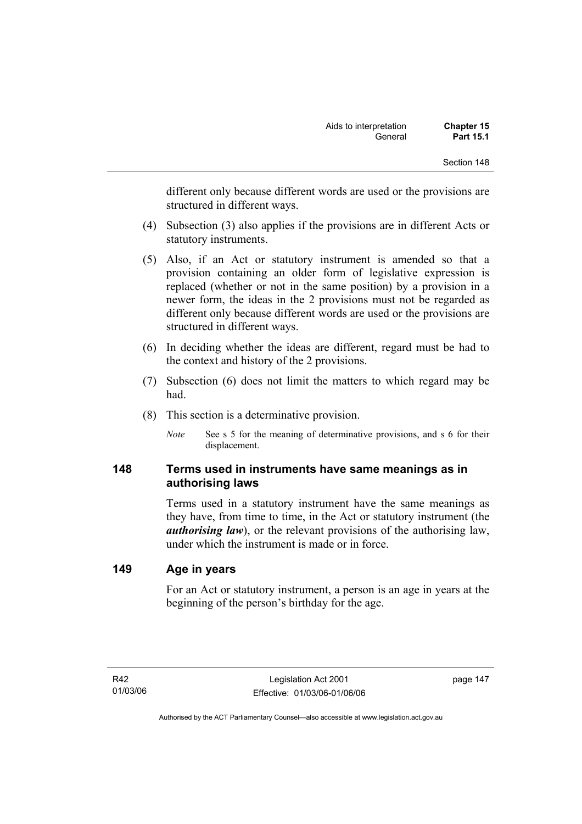different only because different words are used or the provisions are structured in different ways.

- (4) Subsection (3) also applies if the provisions are in different Acts or statutory instruments.
- (5) Also, if an Act or statutory instrument is amended so that a provision containing an older form of legislative expression is replaced (whether or not in the same position) by a provision in a newer form, the ideas in the 2 provisions must not be regarded as different only because different words are used or the provisions are structured in different ways.
- (6) In deciding whether the ideas are different, regard must be had to the context and history of the 2 provisions.
- (7) Subsection (6) does not limit the matters to which regard may be had.
- (8) This section is a determinative provision.
	- *Note* See s 5 for the meaning of determinative provisions, and s 6 for their displacement.

## **148 Terms used in instruments have same meanings as in authorising laws**

Terms used in a statutory instrument have the same meanings as they have, from time to time, in the Act or statutory instrument (the *authorising law*), or the relevant provisions of the authorising law, under which the instrument is made or in force.

## **149 Age in years**

For an Act or statutory instrument, a person is an age in years at the beginning of the person's birthday for the age.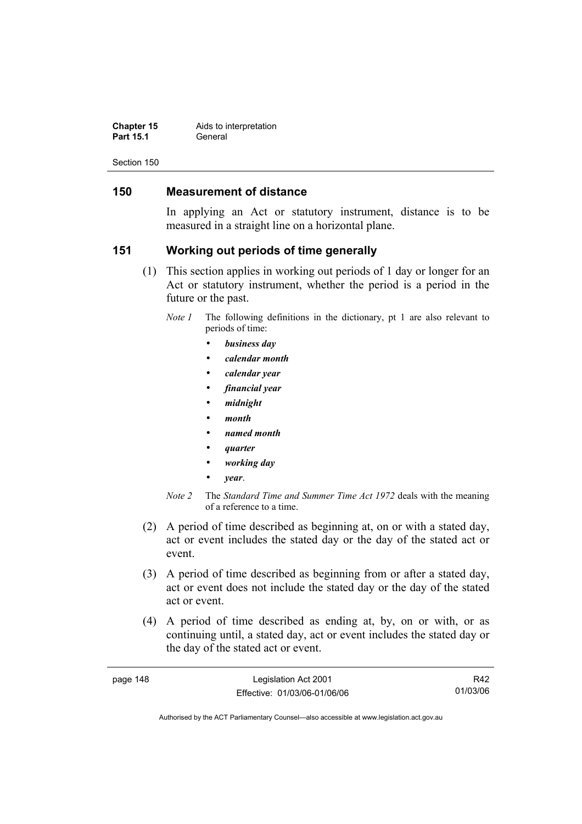| <b>Chapter 15</b> | Aids to interpretation |
|-------------------|------------------------|
| <b>Part 15.1</b>  | General                |

## **150 Measurement of distance**

In applying an Act or statutory instrument, distance is to be measured in a straight line on a horizontal plane.

## **151 Working out periods of time generally**

- (1) This section applies in working out periods of 1 day or longer for an Act or statutory instrument, whether the period is a period in the future or the past.
	- *Note 1* The following definitions in the dictionary, pt 1 are also relevant to periods of time:
		- *business day*
		- *calendar month*
		- *calendar year*
		- *financial year*
		- *midnight*
		- *month*
		- *named month*
		- *quarter*
		- *working day*
		- *year*.
	- *Note 2* The *Standard Time and Summer Time Act 1972* deals with the meaning of a reference to a time.
- (2) A period of time described as beginning at, on or with a stated day, act or event includes the stated day or the day of the stated act or event.
- (3) A period of time described as beginning from or after a stated day, act or event does not include the stated day or the day of the stated act or event.
- (4) A period of time described as ending at, by, on or with, or as continuing until, a stated day, act or event includes the stated day or the day of the stated act or event.

| page 148 | Legislation Act 2001         | R42      |
|----------|------------------------------|----------|
|          | Effective: 01/03/06-01/06/06 | 01/03/06 |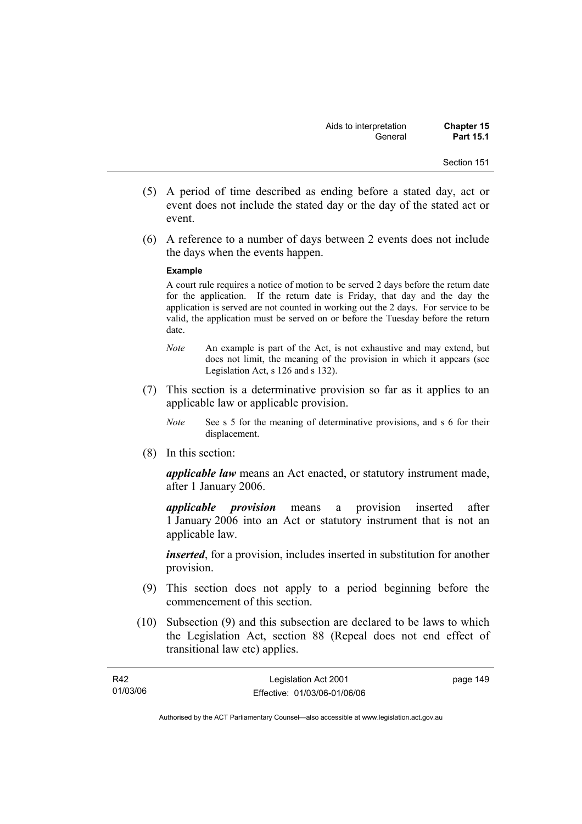- (5) A period of time described as ending before a stated day, act or event does not include the stated day or the day of the stated act or event.
- (6) A reference to a number of days between 2 events does not include the days when the events happen.

#### **Example**

A court rule requires a notice of motion to be served 2 days before the return date for the application. If the return date is Friday, that day and the day the application is served are not counted in working out the 2 days. For service to be valid, the application must be served on or before the Tuesday before the return date.

- *Note* An example is part of the Act, is not exhaustive and may extend, but does not limit, the meaning of the provision in which it appears (see Legislation Act, s 126 and s 132).
- (7) This section is a determinative provision so far as it applies to an applicable law or applicable provision.
	- *Note* See s 5 for the meaning of determinative provisions, and s 6 for their displacement.
- (8) In this section:

*applicable law* means an Act enacted, or statutory instrument made, after 1 January 2006.

*applicable provision* means a provision inserted after 1 January 2006 into an Act or statutory instrument that is not an applicable law.

*inserted*, for a provision, includes inserted in substitution for another provision.

- (9) This section does not apply to a period beginning before the commencement of this section.
- (10) Subsection (9) and this subsection are declared to be laws to which the Legislation Act, section 88 (Repeal does not end effect of transitional law etc) applies.

| R42      | Legislation Act 2001         | page 149 |
|----------|------------------------------|----------|
| 01/03/06 | Effective: 01/03/06-01/06/06 |          |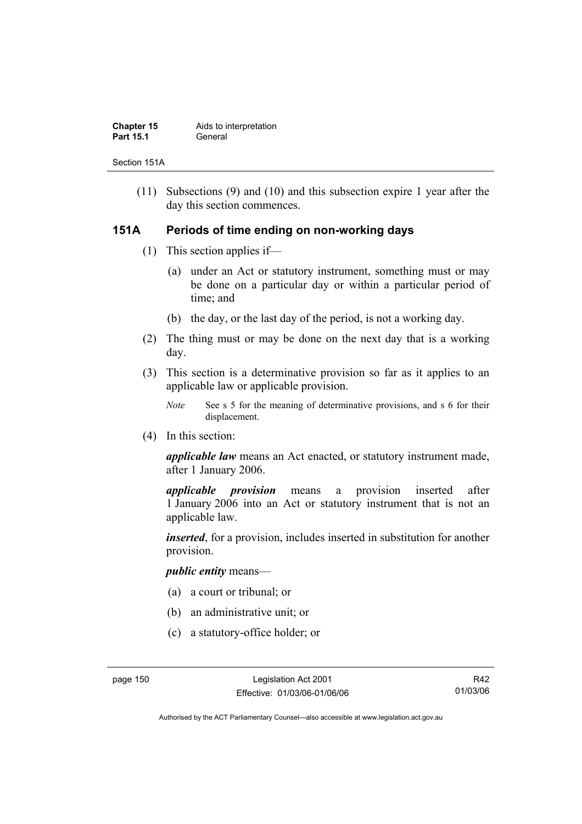| <b>Chapter 15</b> | Aids to interpretation |
|-------------------|------------------------|
| <b>Part 15.1</b>  | General                |

Section 151A

 (11) Subsections (9) and (10) and this subsection expire 1 year after the day this section commences.

## **151A Periods of time ending on non-working days**

- (1) This section applies if—
	- (a) under an Act or statutory instrument, something must or may be done on a particular day or within a particular period of time; and
	- (b) the day, or the last day of the period, is not a working day.
- (2) The thing must or may be done on the next day that is a working day.
- (3) This section is a determinative provision so far as it applies to an applicable law or applicable provision.
	- *Note* See s 5 for the meaning of determinative provisions, and s 6 for their displacement.
- (4) In this section:

*applicable law* means an Act enacted, or statutory instrument made, after 1 January 2006.

*applicable provision* means a provision inserted after 1 January 2006 into an Act or statutory instrument that is not an applicable law.

*inserted*, for a provision, includes inserted in substitution for another provision.

### *public entity* means—

- (a) a court or tribunal; or
- (b) an administrative unit; or
- (c) a statutory-office holder; or

R42 01/03/06

Authorised by the ACT Parliamentary Counsel—also accessible at www.legislation.act.gov.au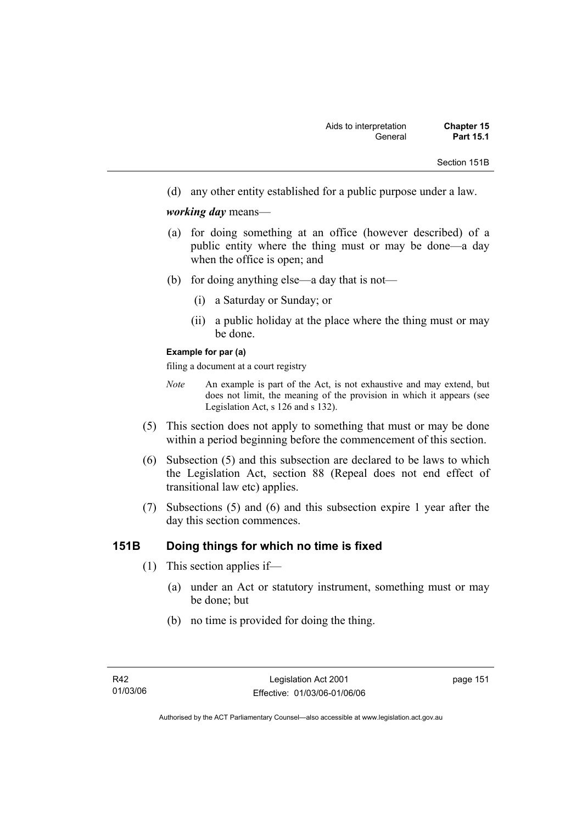Section 151B

(d) any other entity established for a public purpose under a law.

### *working day* means—

- (a) for doing something at an office (however described) of a public entity where the thing must or may be done—a day when the office is open; and
- (b) for doing anything else—a day that is not—
	- (i) a Saturday or Sunday; or
	- (ii) a public holiday at the place where the thing must or may be done.

#### **Example for par (a)**

filing a document at a court registry

- *Note* An example is part of the Act, is not exhaustive and may extend, but does not limit, the meaning of the provision in which it appears (see Legislation Act, s 126 and s 132).
- (5) This section does not apply to something that must or may be done within a period beginning before the commencement of this section.
- (6) Subsection (5) and this subsection are declared to be laws to which the Legislation Act, section 88 (Repeal does not end effect of transitional law etc) applies.
- (7) Subsections (5) and (6) and this subsection expire 1 year after the day this section commences.

## **151B Doing things for which no time is fixed**

- (1) This section applies if—
	- (a) under an Act or statutory instrument, something must or may be done; but
	- (b) no time is provided for doing the thing.

page 151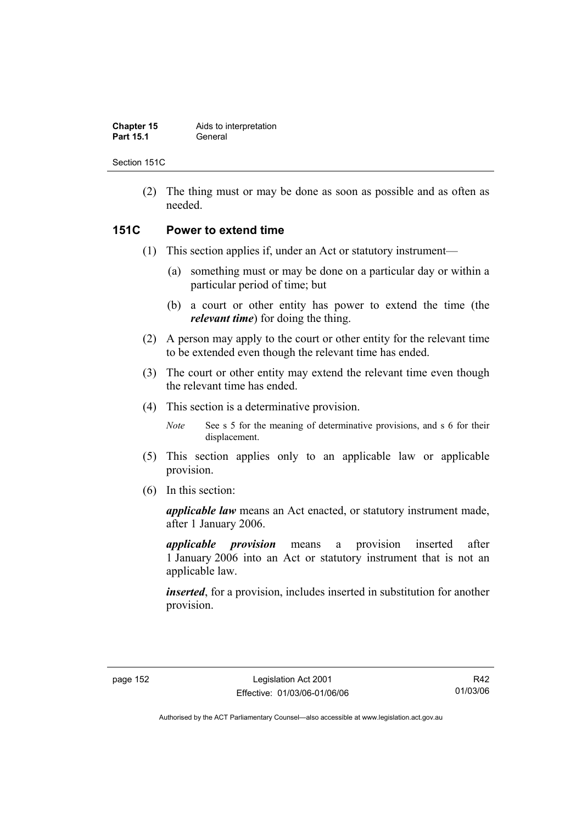| <b>Chapter 15</b> | Aids to interpretation |
|-------------------|------------------------|
| <b>Part 15.1</b>  | General                |

Section 151C

 (2) The thing must or may be done as soon as possible and as often as needed.

## **151C Power to extend time**

- (1) This section applies if, under an Act or statutory instrument—
	- (a) something must or may be done on a particular day or within a particular period of time; but
	- (b) a court or other entity has power to extend the time (the *relevant time*) for doing the thing.
- (2) A person may apply to the court or other entity for the relevant time to be extended even though the relevant time has ended.
- (3) The court or other entity may extend the relevant time even though the relevant time has ended.
- (4) This section is a determinative provision.

*Note* See s 5 for the meaning of determinative provisions, and s 6 for their displacement.

- (5) This section applies only to an applicable law or applicable provision.
- (6) In this section:

*applicable law* means an Act enacted, or statutory instrument made, after 1 January 2006.

*applicable provision* means a provision inserted after 1 January 2006 into an Act or statutory instrument that is not an applicable law.

*inserted*, for a provision, includes inserted in substitution for another provision.

R42 01/03/06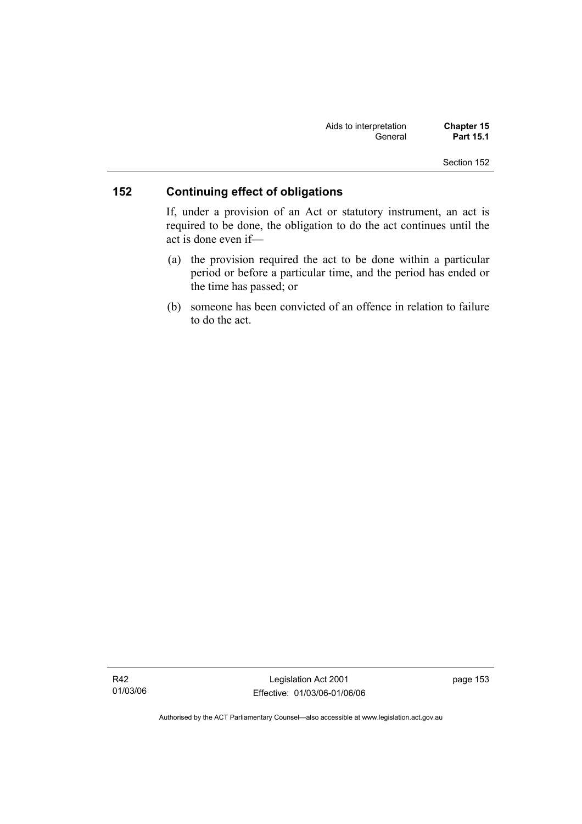| Aids to interpretation | <b>Chapter 15</b> |
|------------------------|-------------------|
| General                | <b>Part 15.1</b>  |

## **152 Continuing effect of obligations**

If, under a provision of an Act or statutory instrument, an act is required to be done, the obligation to do the act continues until the act is done even if—

- (a) the provision required the act to be done within a particular period or before a particular time, and the period has ended or the time has passed; or
- (b) someone has been convicted of an offence in relation to failure to do the act.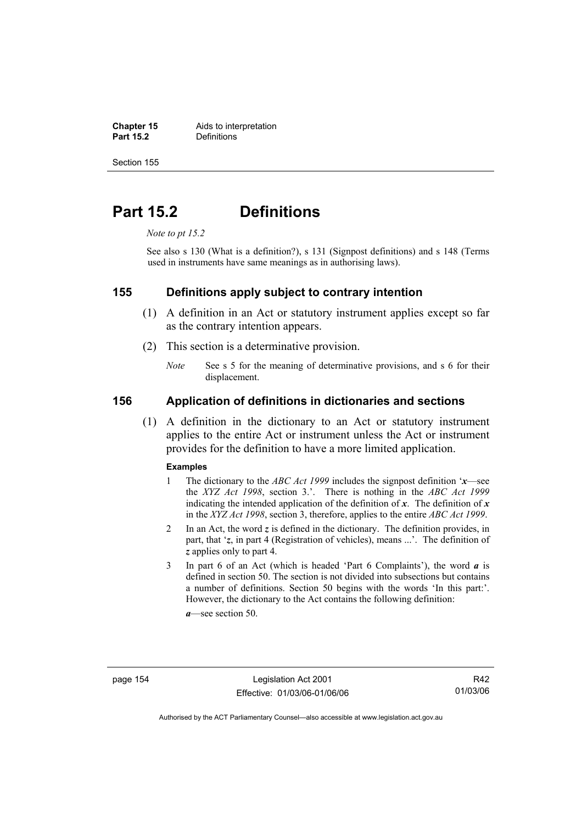**Chapter 15** Aids to interpretation<br> **Part 15.2** Definitions **Definitions** 

Section 155

## **Part 15.2 Definitions**

*Note to pt 15.2* 

See also s 130 (What is a definition?), s 131 (Signpost definitions) and s 148 (Terms used in instruments have same meanings as in authorising laws).

## **155 Definitions apply subject to contrary intention**

- (1) A definition in an Act or statutory instrument applies except so far as the contrary intention appears.
- (2) This section is a determinative provision.
	- *Note* See s 5 for the meaning of determinative provisions, and s 6 for their displacement.

## **156 Application of definitions in dictionaries and sections**

 (1) A definition in the dictionary to an Act or statutory instrument applies to the entire Act or instrument unless the Act or instrument provides for the definition to have a more limited application.

#### **Examples**

- 1 The dictionary to the *ABC Act 1999* includes the signpost definition '*x*—see the *XYZ Act 1998*, section 3.'. There is nothing in the *ABC Act 1999* indicating the intended application of the definition of  $x$ . The definition of  $x$ in the *XYZ Act 1998*, section 3, therefore, applies to the entire *ABC Act 1999*.
- 2 In an Act, the word *z* is defined in the dictionary. The definition provides, in part, that '*z*, in part 4 (Registration of vehicles), means ...'. The definition of *z* applies only to part 4.
- 3 In part 6 of an Act (which is headed 'Part 6 Complaints'), the word *a* is defined in section 50. The section is not divided into subsections but contains a number of definitions. Section 50 begins with the words 'In this part:'. However, the dictionary to the Act contains the following definition:

*a*—see section 50.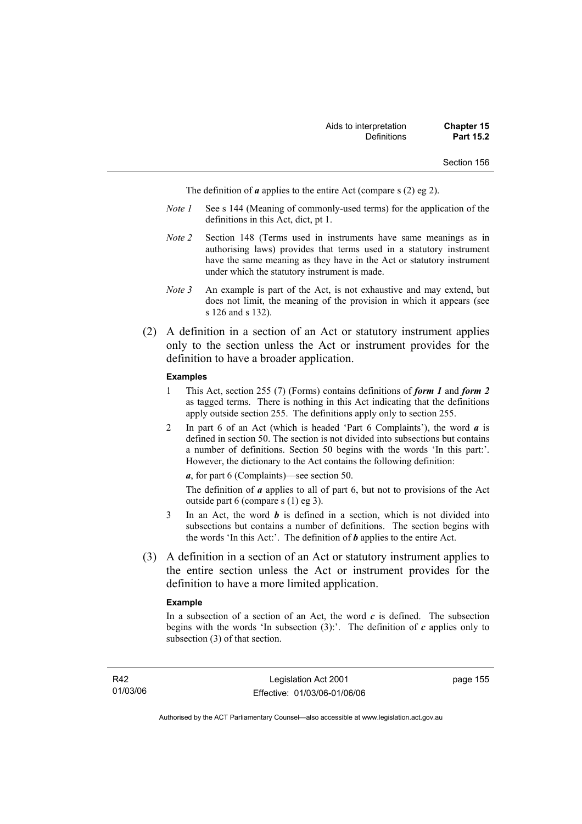The definition of *a* applies to the entire Act (compare s (2) eg 2).

- *Note 1* See s 144 (Meaning of commonly-used terms) for the application of the definitions in this Act, dict, pt 1.
- *Note 2* Section 148 (Terms used in instruments have same meanings as in authorising laws) provides that terms used in a statutory instrument have the same meaning as they have in the Act or statutory instrument under which the statutory instrument is made.
- *Note 3* An example is part of the Act, is not exhaustive and may extend, but does not limit, the meaning of the provision in which it appears (see s 126 and s 132).
- (2) A definition in a section of an Act or statutory instrument applies only to the section unless the Act or instrument provides for the definition to have a broader application.

#### **Examples**

- 1 This Act, section 255 (7) (Forms) contains definitions of *form 1* and *form 2* as tagged terms. There is nothing in this Act indicating that the definitions apply outside section 255. The definitions apply only to section 255.
- 2 In part 6 of an Act (which is headed 'Part 6 Complaints'), the word *a* is defined in section 50. The section is not divided into subsections but contains a number of definitions. Section 50 begins with the words 'In this part:'. However, the dictionary to the Act contains the following definition:

*a*, for part 6 (Complaints)—see section 50.

The definition of *a* applies to all of part 6, but not to provisions of the Act outside part 6 (compare s (1) eg 3).

- 3 In an Act, the word *b* is defined in a section, which is not divided into subsections but contains a number of definitions. The section begins with the words 'In this Act:'. The definition of *b* applies to the entire Act.
- (3) A definition in a section of an Act or statutory instrument applies to the entire section unless the Act or instrument provides for the definition to have a more limited application.

#### **Example**

In a subsection of a section of an Act, the word  $c$  is defined. The subsection begins with the words 'In subsection  $(3)$ :'. The definition of *c* applies only to subsection (3) of that section.

page 155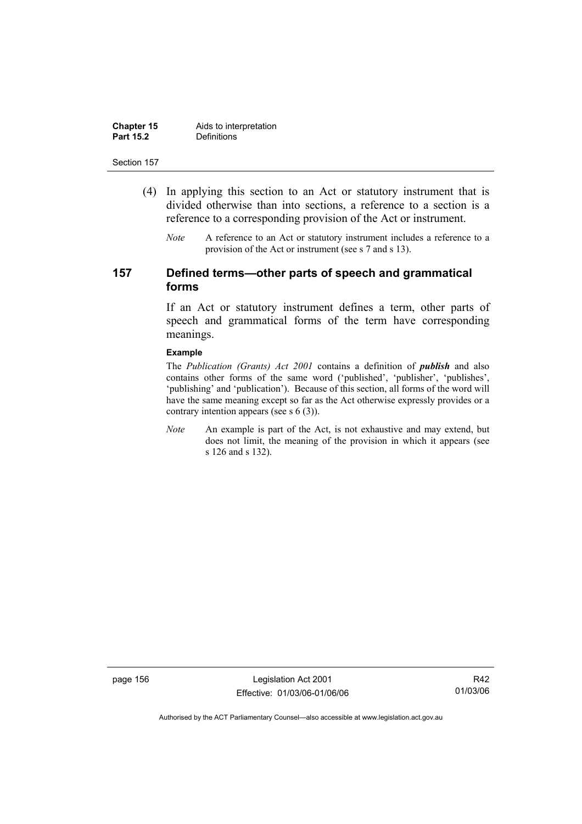| <b>Chapter 15</b> | Aids to interpretation |
|-------------------|------------------------|
| <b>Part 15.2</b>  | Definitions            |

- (4) In applying this section to an Act or statutory instrument that is divided otherwise than into sections, a reference to a section is a reference to a corresponding provision of the Act or instrument.
	- *Note* A reference to an Act or statutory instrument includes a reference to a provision of the Act or instrument (see s 7 and s 13).

## **157 Defined terms—other parts of speech and grammatical forms**

If an Act or statutory instrument defines a term, other parts of speech and grammatical forms of the term have corresponding meanings.

#### **Example**

The *Publication (Grants) Act 2001* contains a definition of *publish* and also contains other forms of the same word ('published', 'publisher', 'publishes', 'publishing' and 'publication'). Because of this section, all forms of the word will have the same meaning except so far as the Act otherwise expressly provides or a contrary intention appears (see s 6 (3)).

*Note* An example is part of the Act, is not exhaustive and may extend, but does not limit, the meaning of the provision in which it appears (see s 126 and s 132).

page 156 Legislation Act 2001 Effective: 01/03/06-01/06/06

R42 01/03/06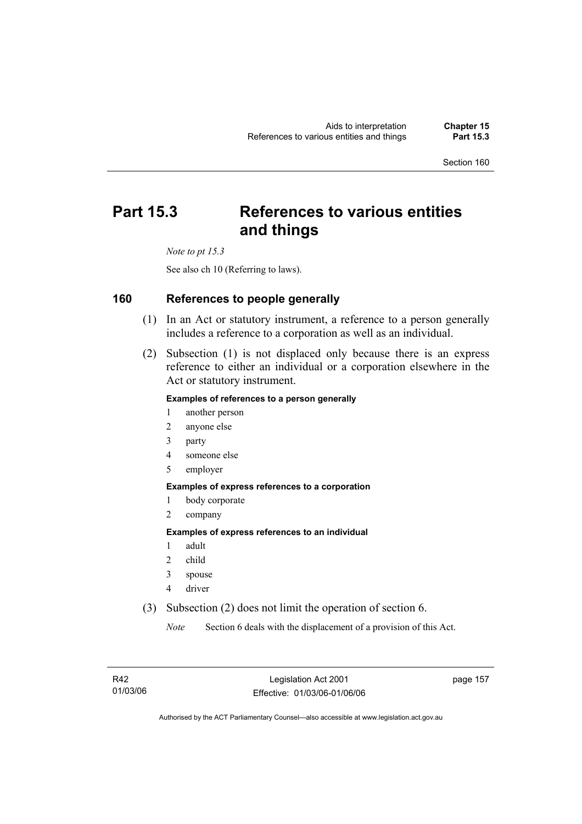## **Part 15.3 References to various entities and things**

*Note to pt 15.3* 

See also ch 10 (Referring to laws).

## **160 References to people generally**

- (1) In an Act or statutory instrument, a reference to a person generally includes a reference to a corporation as well as an individual.
- (2) Subsection (1) is not displaced only because there is an express reference to either an individual or a corporation elsewhere in the Act or statutory instrument.

### **Examples of references to a person generally**

- 1 another person
- 2 anyone else
- 3 party
- 4 someone else
- 5 employer

#### **Examples of express references to a corporation**

- 1 body corporate
- 2 company

#### **Examples of express references to an individual**

- 1 adult
- 2 child
- 3 spouse
- 4 driver
- (3) Subsection (2) does not limit the operation of section 6.

*Note* Section 6 deals with the displacement of a provision of this Act.

page 157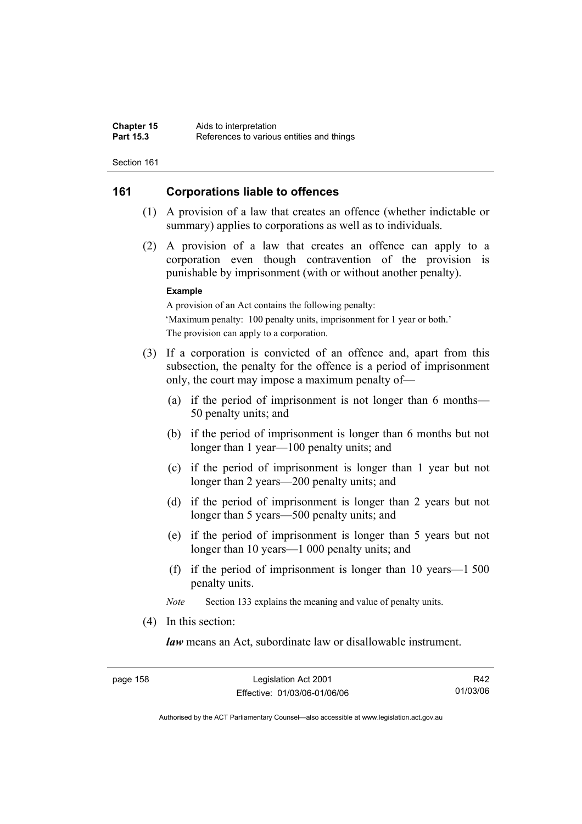## **161 Corporations liable to offences**

- (1) A provision of a law that creates an offence (whether indictable or summary) applies to corporations as well as to individuals.
- (2) A provision of a law that creates an offence can apply to a corporation even though contravention of the provision is punishable by imprisonment (with or without another penalty).

#### **Example**

A provision of an Act contains the following penalty: 'Maximum penalty: 100 penalty units, imprisonment for 1 year or both.' The provision can apply to a corporation.

- (3) If a corporation is convicted of an offence and, apart from this subsection, the penalty for the offence is a period of imprisonment only, the court may impose a maximum penalty of—
	- (a) if the period of imprisonment is not longer than 6 months— 50 penalty units; and
	- (b) if the period of imprisonment is longer than 6 months but not longer than 1 year—100 penalty units; and
	- (c) if the period of imprisonment is longer than 1 year but not longer than 2 years—200 penalty units; and
	- (d) if the period of imprisonment is longer than 2 years but not longer than 5 years—500 penalty units; and
	- (e) if the period of imprisonment is longer than 5 years but not longer than 10 years—1 000 penalty units; and
	- (f) if the period of imprisonment is longer than 10 years—1 500 penalty units.

*Note* Section 133 explains the meaning and value of penalty units.

(4) In this section:

*law* means an Act, subordinate law or disallowable instrument.

R42 01/03/06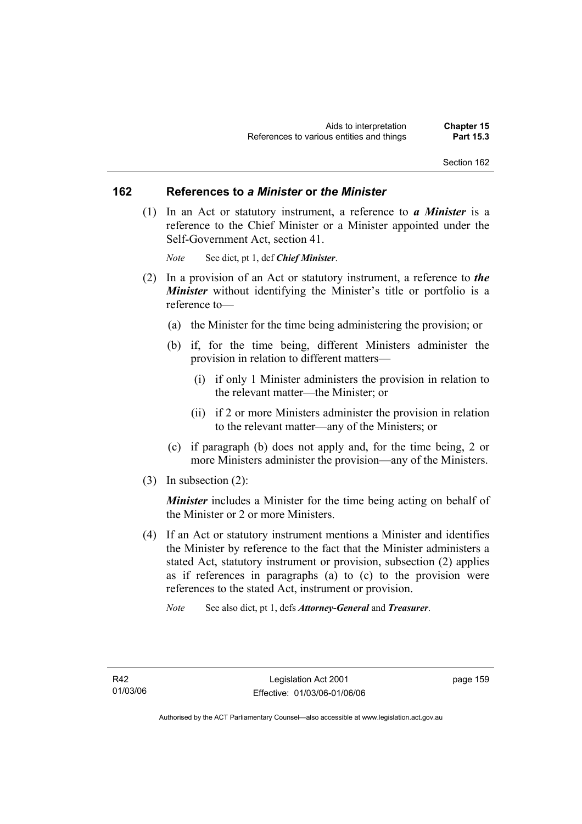### **162 References to** *a Minister* **or** *the Minister*

 (1) In an Act or statutory instrument, a reference to *a Minister* is a reference to the Chief Minister or a Minister appointed under the Self-Government Act, section 41.

*Note* See dict, pt 1, def *Chief Minister*.

- (2) In a provision of an Act or statutory instrument, a reference to *the Minister* without identifying the Minister's title or portfolio is a reference to—
	- (a) the Minister for the time being administering the provision; or
	- (b) if, for the time being, different Ministers administer the provision in relation to different matters—
		- (i) if only 1 Minister administers the provision in relation to the relevant matter—the Minister; or
		- (ii) if 2 or more Ministers administer the provision in relation to the relevant matter—any of the Ministers; or
	- (c) if paragraph (b) does not apply and, for the time being, 2 or more Ministers administer the provision—any of the Ministers.
- (3) In subsection (2):

*Minister* includes a Minister for the time being acting on behalf of the Minister or 2 or more Ministers.

- (4) If an Act or statutory instrument mentions a Minister and identifies the Minister by reference to the fact that the Minister administers a stated Act, statutory instrument or provision, subsection (2) applies as if references in paragraphs (a) to (c) to the provision were references to the stated Act, instrument or provision.
	- *Note* See also dict, pt 1, defs *Attorney-General* and *Treasurer*.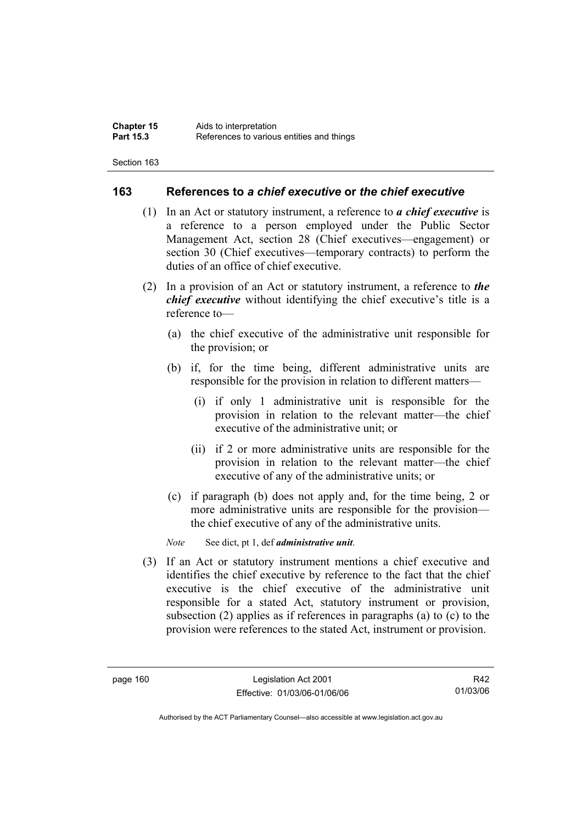## **163 References to** *a chief executive* **or** *the chief executive*

- (1) In an Act or statutory instrument, a reference to *a chief executive* is a reference to a person employed under the Public Sector Management Act, section 28 (Chief executives—engagement) or section 30 (Chief executives—temporary contracts) to perform the duties of an office of chief executive.
- (2) In a provision of an Act or statutory instrument, a reference to *the chief executive* without identifying the chief executive's title is a reference to—
	- (a) the chief executive of the administrative unit responsible for the provision; or
	- (b) if, for the time being, different administrative units are responsible for the provision in relation to different matters—
		- (i) if only 1 administrative unit is responsible for the provision in relation to the relevant matter—the chief executive of the administrative unit; or
		- (ii) if 2 or more administrative units are responsible for the provision in relation to the relevant matter—the chief executive of any of the administrative units; or
	- (c) if paragraph (b) does not apply and, for the time being, 2 or more administrative units are responsible for the provision the chief executive of any of the administrative units.

*Note* See dict, pt 1, def *administrative unit*.

 (3) If an Act or statutory instrument mentions a chief executive and identifies the chief executive by reference to the fact that the chief executive is the chief executive of the administrative unit responsible for a stated Act, statutory instrument or provision, subsection (2) applies as if references in paragraphs (a) to (c) to the provision were references to the stated Act, instrument or provision.

R42 01/03/06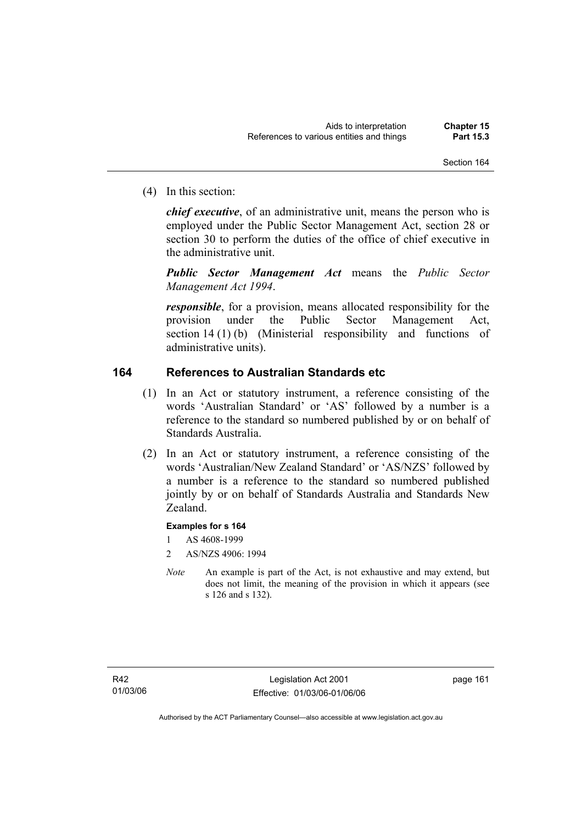(4) In this section:

*chief executive*, of an administrative unit, means the person who is employed under the Public Sector Management Act, section 28 or section 30 to perform the duties of the office of chief executive in the administrative unit.

*Public Sector Management Act* means the *Public Sector Management Act 1994*.

*responsible*, for a provision, means allocated responsibility for the provision under the Public Sector Management Act, section 14 (1) (b) (Ministerial responsibility and functions of administrative units).

## **164 References to Australian Standards etc**

- (1) In an Act or statutory instrument, a reference consisting of the words 'Australian Standard' or 'AS' followed by a number is a reference to the standard so numbered published by or on behalf of Standards Australia.
- (2) In an Act or statutory instrument, a reference consisting of the words 'Australian/New Zealand Standard' or 'AS/NZS' followed by a number is a reference to the standard so numbered published jointly by or on behalf of Standards Australia and Standards New Zealand.

### **Examples for s 164**

- 1 AS 4608-1999
- 2 AS/NZS 4906: 1994
- *Note* An example is part of the Act, is not exhaustive and may extend, but does not limit, the meaning of the provision in which it appears (see s 126 and s 132).

page 161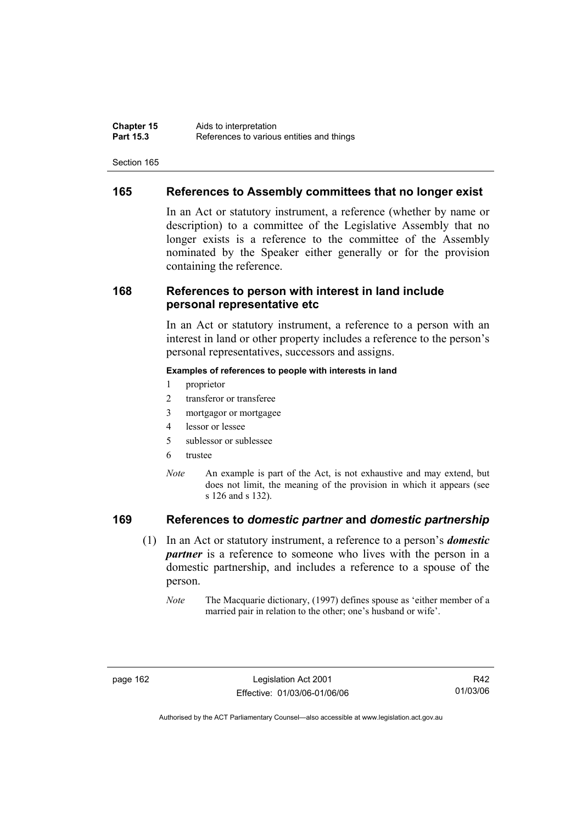## **165 References to Assembly committees that no longer exist**

In an Act or statutory instrument, a reference (whether by name or description) to a committee of the Legislative Assembly that no longer exists is a reference to the committee of the Assembly nominated by the Speaker either generally or for the provision containing the reference.

## **168 References to person with interest in land include personal representative etc**

In an Act or statutory instrument, a reference to a person with an interest in land or other property includes a reference to the person's personal representatives, successors and assigns.

#### **Examples of references to people with interests in land**

- 1 proprietor
- 2 transferor or transferee
- 3 mortgagor or mortgagee
- 4 lessor or lessee
- 5 sublessor or sublessee
- 6 trustee
- *Note* An example is part of the Act, is not exhaustive and may extend, but does not limit, the meaning of the provision in which it appears (see s 126 and s 132).

## **169 References to** *domestic partner* **and** *domestic partnership*

- (1) In an Act or statutory instrument, a reference to a person's *domestic partner* is a reference to someone who lives with the person in a domestic partnership, and includes a reference to a spouse of the person.
	- *Note* The Macquarie dictionary, (1997) defines spouse as 'either member of a married pair in relation to the other; one's husband or wife'.

R42 01/03/06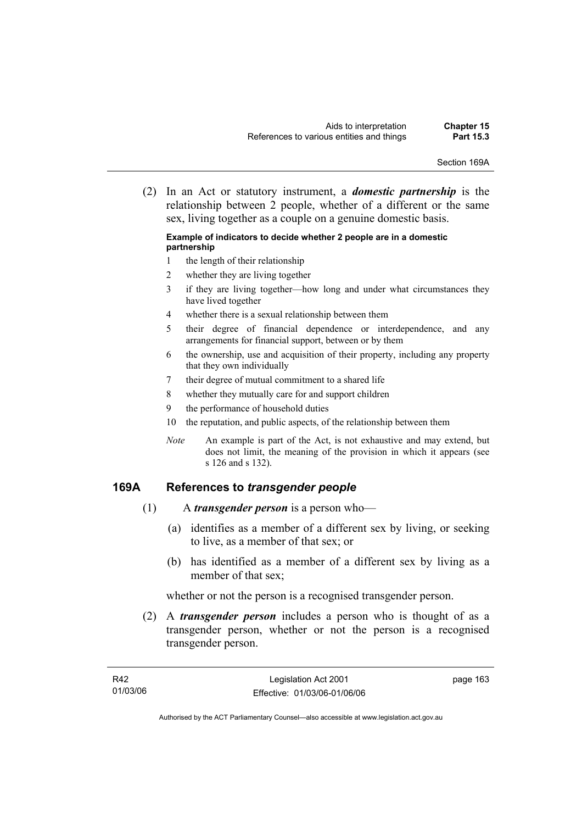Section 169A

 (2) In an Act or statutory instrument, a *domestic partnership* is the relationship between 2 people, whether of a different or the same sex, living together as a couple on a genuine domestic basis.

#### **Example of indicators to decide whether 2 people are in a domestic partnership**

- 1 the length of their relationship
- 2 whether they are living together
- 3 if they are living together—how long and under what circumstances they have lived together
- 4 whether there is a sexual relationship between them
- 5 their degree of financial dependence or interdependence, and any arrangements for financial support, between or by them
- 6 the ownership, use and acquisition of their property, including any property that they own individually
- 7 their degree of mutual commitment to a shared life
- 8 whether they mutually care for and support children
- 9 the performance of household duties
- 10 the reputation, and public aspects, of the relationship between them
- *Note* An example is part of the Act, is not exhaustive and may extend, but does not limit, the meaning of the provision in which it appears (see s 126 and s 132).

## **169A References to** *transgender people*

- (1) A *transgender person* is a person who—
	- (a) identifies as a member of a different sex by living, or seeking to live, as a member of that sex; or
	- (b) has identified as a member of a different sex by living as a member of that sex;

whether or not the person is a recognised transgender person.

 (2) A *transgender person* includes a person who is thought of as a transgender person, whether or not the person is a recognised transgender person.

page 163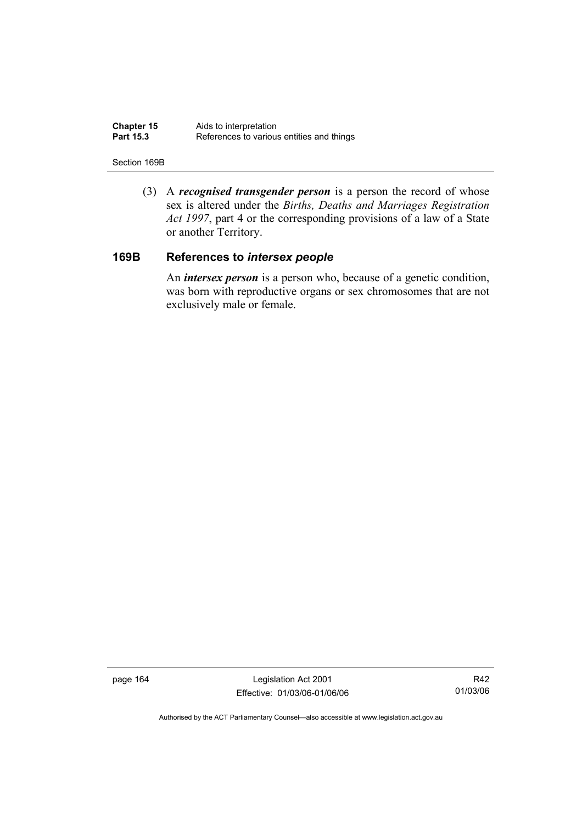| <b>Chapter 15</b> | Aids to interpretation                    |
|-------------------|-------------------------------------------|
| <b>Part 15.3</b>  | References to various entities and things |

#### Section 169B

 (3) A *recognised transgender person* is a person the record of whose sex is altered under the *Births, Deaths and Marriages Registration Act 1997*, part 4 or the corresponding provisions of a law of a State or another Territory.

## **169B References to** *intersex people*

 An *intersex person* is a person who, because of a genetic condition, was born with reproductive organs or sex chromosomes that are not exclusively male or female.

page 164 Legislation Act 2001 Effective: 01/03/06-01/06/06

R42 01/03/06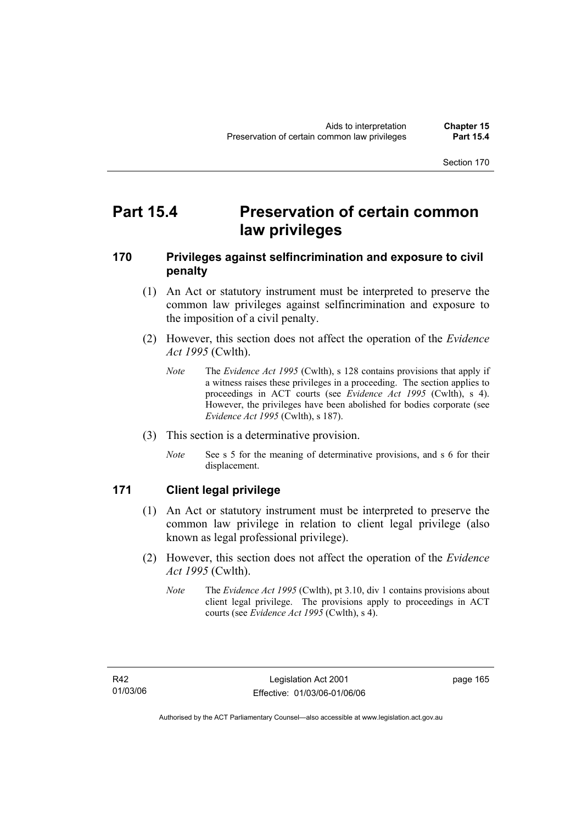## **Part 15.4 Preservation of certain common law privileges**

### **170 Privileges against selfincrimination and exposure to civil penalty**

- (1) An Act or statutory instrument must be interpreted to preserve the common law privileges against selfincrimination and exposure to the imposition of a civil penalty.
- (2) However, this section does not affect the operation of the *Evidence Act 1995* (Cwlth).
	- *Note* The *Evidence Act 1995* (Cwlth), s 128 contains provisions that apply if a witness raises these privileges in a proceeding. The section applies to proceedings in ACT courts (see *Evidence Act 1995* (Cwlth), s 4). However, the privileges have been abolished for bodies corporate (see *Evidence Act 1995* (Cwlth), s 187).
- (3) This section is a determinative provision.
	- *Note* See s 5 for the meaning of determinative provisions, and s 6 for their displacement.

### **171 Client legal privilege**

- (1) An Act or statutory instrument must be interpreted to preserve the common law privilege in relation to client legal privilege (also known as legal professional privilege).
- (2) However, this section does not affect the operation of the *Evidence Act 1995* (Cwlth).
	- *Note* The *Evidence Act 1995* (Cwlth), pt 3.10, div 1 contains provisions about client legal privilege. The provisions apply to proceedings in ACT courts (see *Evidence Act 1995* (Cwlth), s 4).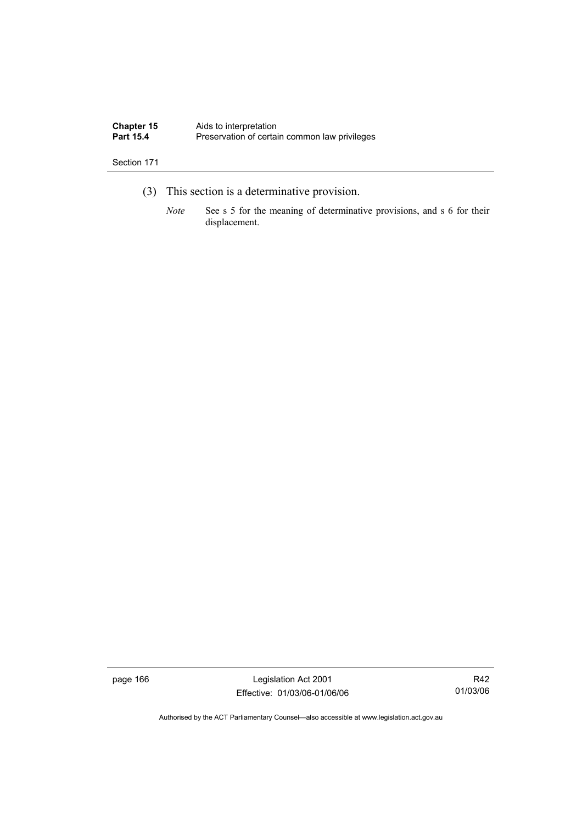| <b>Chapter 15</b> | Aids to interpretation                        |
|-------------------|-----------------------------------------------|
| <b>Part 15.4</b>  | Preservation of certain common law privileges |

- (3) This section is a determinative provision.
	- *Note* See s 5 for the meaning of determinative provisions, and s 6 for their displacement.

page 166 Legislation Act 2001 Effective: 01/03/06-01/06/06

R42 01/03/06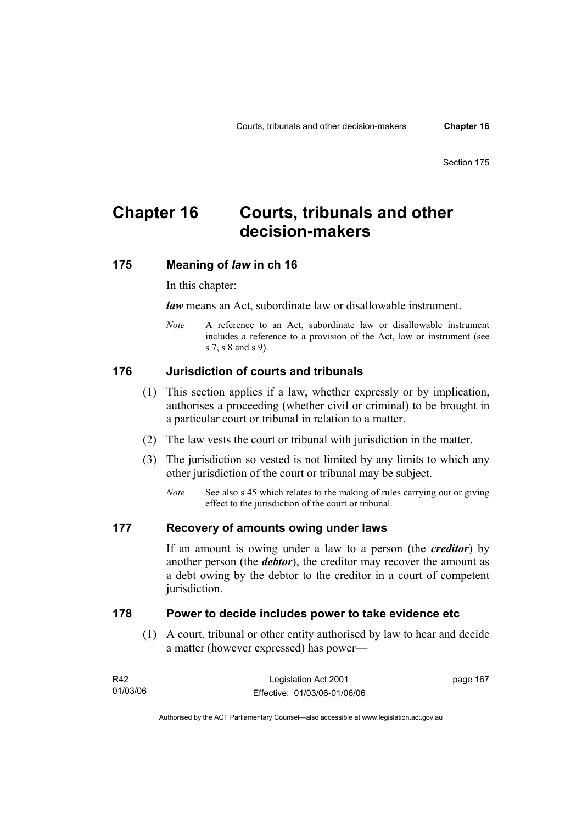## **Chapter 16 Courts, tribunals and other decision-makers**

### **175 Meaning of** *law* **in ch 16**

In this chapter:

*law* means an Act, subordinate law or disallowable instrument.

*Note* A reference to an Act, subordinate law or disallowable instrument includes a reference to a provision of the Act, law or instrument (see s 7, s 8 and s 9).

#### **176 Jurisdiction of courts and tribunals**

- (1) This section applies if a law, whether expressly or by implication, authorises a proceeding (whether civil or criminal) to be brought in a particular court or tribunal in relation to a matter.
- (2) The law vests the court or tribunal with jurisdiction in the matter.
- (3) The jurisdiction so vested is not limited by any limits to which any other jurisdiction of the court or tribunal may be subject.
	- *Note* See also s 45 which relates to the making of rules carrying out or giving effect to the jurisdiction of the court or tribunal.

#### **177 Recovery of amounts owing under laws**

If an amount is owing under a law to a person (the *creditor*) by another person (the *debtor*), the creditor may recover the amount as a debt owing by the debtor to the creditor in a court of competent jurisdiction.

#### **178 Power to decide includes power to take evidence etc**

 (1) A court, tribunal or other entity authorised by law to hear and decide a matter (however expressed) has power—

| R42      | Legislation Act 2001         | page 167 |
|----------|------------------------------|----------|
| 01/03/06 | Effective: 01/03/06-01/06/06 |          |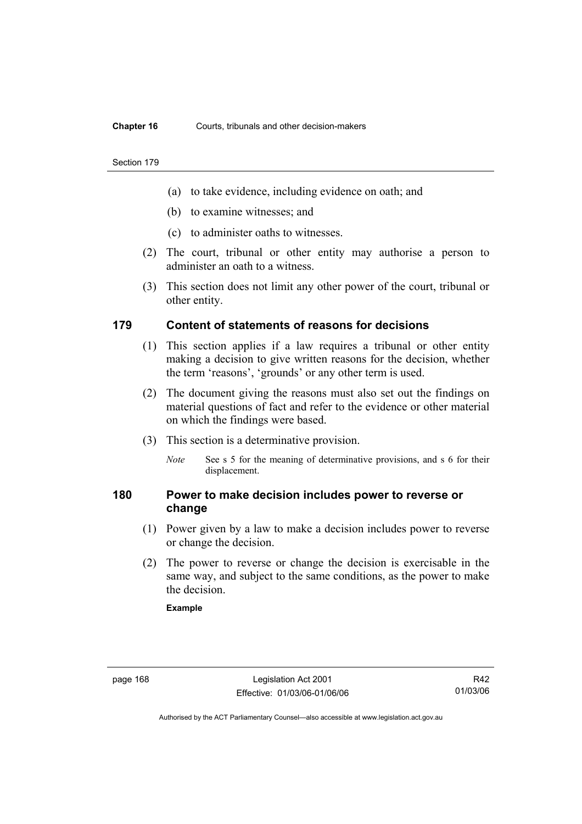#### **Chapter 16** Courts, tribunals and other decision-makers

#### Section 179

- (a) to take evidence, including evidence on oath; and
- (b) to examine witnesses; and
- (c) to administer oaths to witnesses.
- (2) The court, tribunal or other entity may authorise a person to administer an oath to a witness.
- (3) This section does not limit any other power of the court, tribunal or other entity.

### **179 Content of statements of reasons for decisions**

- (1) This section applies if a law requires a tribunal or other entity making a decision to give written reasons for the decision, whether the term 'reasons', 'grounds' or any other term is used.
- (2) The document giving the reasons must also set out the findings on material questions of fact and refer to the evidence or other material on which the findings were based.
- (3) This section is a determinative provision.
	- *Note* See s 5 for the meaning of determinative provisions, and s 6 for their displacement.

### **180 Power to make decision includes power to reverse or change**

- (1) Power given by a law to make a decision includes power to reverse or change the decision.
- (2) The power to reverse or change the decision is exercisable in the same way, and subject to the same conditions, as the power to make the decision.

#### **Example**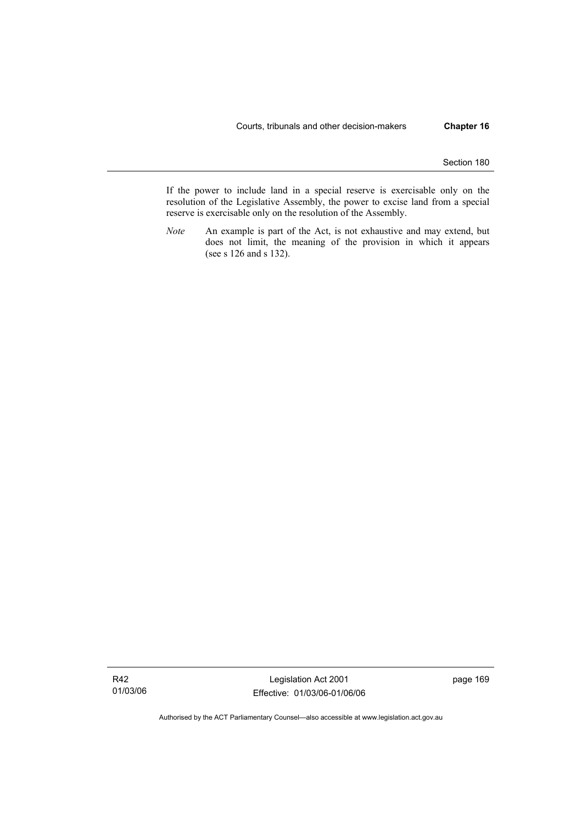If the power to include land in a special reserve is exercisable only on the resolution of the Legislative Assembly, the power to excise land from a special reserve is exercisable only on the resolution of the Assembly.

*Note* An example is part of the Act, is not exhaustive and may extend, but does not limit, the meaning of the provision in which it appears (see s 126 and s 132).

Legislation Act 2001 Effective: 01/03/06-01/06/06 page 169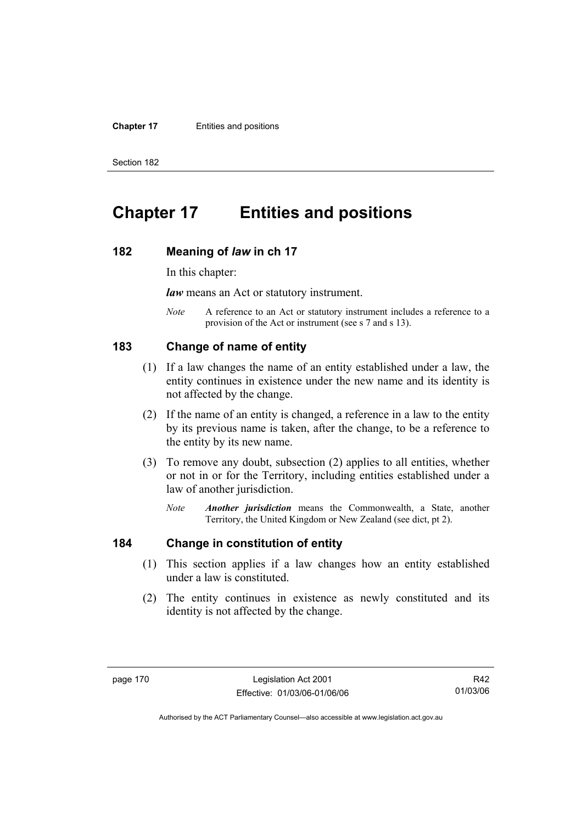#### **Chapter 17** Entities and positions

Section 182

## **Chapter 17 Entities and positions**

#### **182 Meaning of** *law* **in ch 17**

In this chapter:

*law* means an Act or statutory instrument.

*Note* A reference to an Act or statutory instrument includes a reference to a provision of the Act or instrument (see s 7 and s 13).

### **183 Change of name of entity**

- (1) If a law changes the name of an entity established under a law, the entity continues in existence under the new name and its identity is not affected by the change.
- (2) If the name of an entity is changed, a reference in a law to the entity by its previous name is taken, after the change, to be a reference to the entity by its new name.
- (3) To remove any doubt, subsection (2) applies to all entities, whether or not in or for the Territory, including entities established under a law of another jurisdiction.
	- *Note Another jurisdiction* means the Commonwealth, a State, another Territory, the United Kingdom or New Zealand (see dict, pt 2).

### **184 Change in constitution of entity**

- (1) This section applies if a law changes how an entity established under a law is constituted.
- (2) The entity continues in existence as newly constituted and its identity is not affected by the change.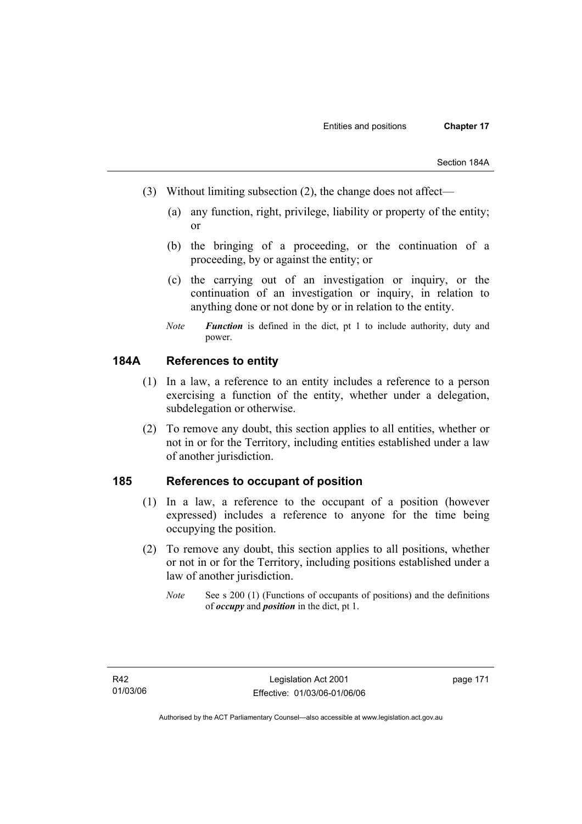- (3) Without limiting subsection (2), the change does not affect—
	- (a) any function, right, privilege, liability or property of the entity; or
	- (b) the bringing of a proceeding, or the continuation of a proceeding, by or against the entity; or
	- (c) the carrying out of an investigation or inquiry, or the continuation of an investigation or inquiry, in relation to anything done or not done by or in relation to the entity.
	- *Note Function* is defined in the dict, pt 1 to include authority, duty and power.

### **184A References to entity**

- (1) In a law, a reference to an entity includes a reference to a person exercising a function of the entity, whether under a delegation, subdelegation or otherwise.
- (2) To remove any doubt, this section applies to all entities, whether or not in or for the Territory, including entities established under a law of another jurisdiction.

### **185 References to occupant of position**

- (1) In a law, a reference to the occupant of a position (however expressed) includes a reference to anyone for the time being occupying the position.
- (2) To remove any doubt, this section applies to all positions, whether or not in or for the Territory, including positions established under a law of another jurisdiction.
	- *Note* See s 200 (1) (Functions of occupants of positions) and the definitions of *occupy* and *position* in the dict, pt 1.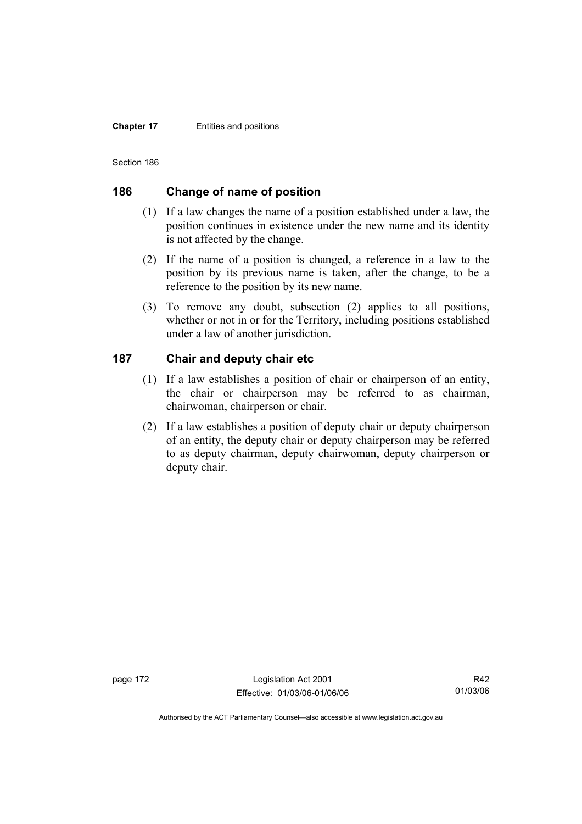#### **Chapter 17** Entities and positions

Section 186

### **186 Change of name of position**

- (1) If a law changes the name of a position established under a law, the position continues in existence under the new name and its identity is not affected by the change.
- (2) If the name of a position is changed, a reference in a law to the position by its previous name is taken, after the change, to be a reference to the position by its new name.
- (3) To remove any doubt, subsection (2) applies to all positions, whether or not in or for the Territory, including positions established under a law of another jurisdiction.

### **187 Chair and deputy chair etc**

- (1) If a law establishes a position of chair or chairperson of an entity, the chair or chairperson may be referred to as chairman, chairwoman, chairperson or chair.
- (2) If a law establishes a position of deputy chair or deputy chairperson of an entity, the deputy chair or deputy chairperson may be referred to as deputy chairman, deputy chairwoman, deputy chairperson or deputy chair.

page 172 Legislation Act 2001 Effective: 01/03/06-01/06/06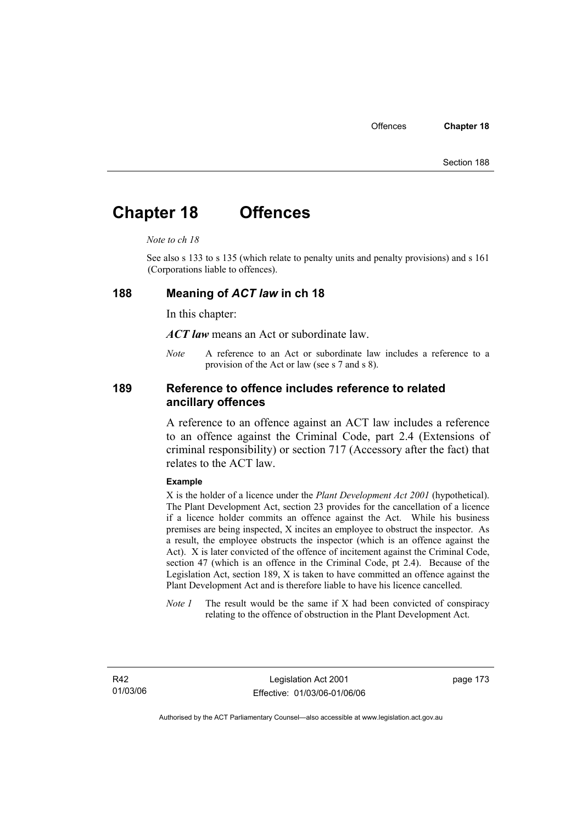## **Chapter 18 Offences**

#### *Note to ch 18*

See also s 133 to s 135 (which relate to penalty units and penalty provisions) and s 161 (Corporations liable to offences).

#### **188 Meaning of** *ACT law* **in ch 18**

In this chapter:

*ACT law* means an Act or subordinate law.

*Note* A reference to an Act or subordinate law includes a reference to a provision of the Act or law (see s 7 and s 8).

### **189 Reference to offence includes reference to related ancillary offences**

A reference to an offence against an ACT law includes a reference to an offence against the Criminal Code, part 2.4 (Extensions of criminal responsibility) or section 717 (Accessory after the fact) that relates to the ACT law.

#### **Example**

X is the holder of a licence under the *Plant Development Act 2001* (hypothetical). The Plant Development Act, section 23 provides for the cancellation of a licence if a licence holder commits an offence against the Act. While his business premises are being inspected, X incites an employee to obstruct the inspector. As a result, the employee obstructs the inspector (which is an offence against the Act). X is later convicted of the offence of incitement against the Criminal Code, section 47 (which is an offence in the Criminal Code, pt 2.4). Because of the Legislation Act, section 189, X is taken to have committed an offence against the Plant Development Act and is therefore liable to have his licence cancelled.

*Note 1* The result would be the same if X had been convicted of conspiracy relating to the offence of obstruction in the Plant Development Act.

R42 01/03/06 page 173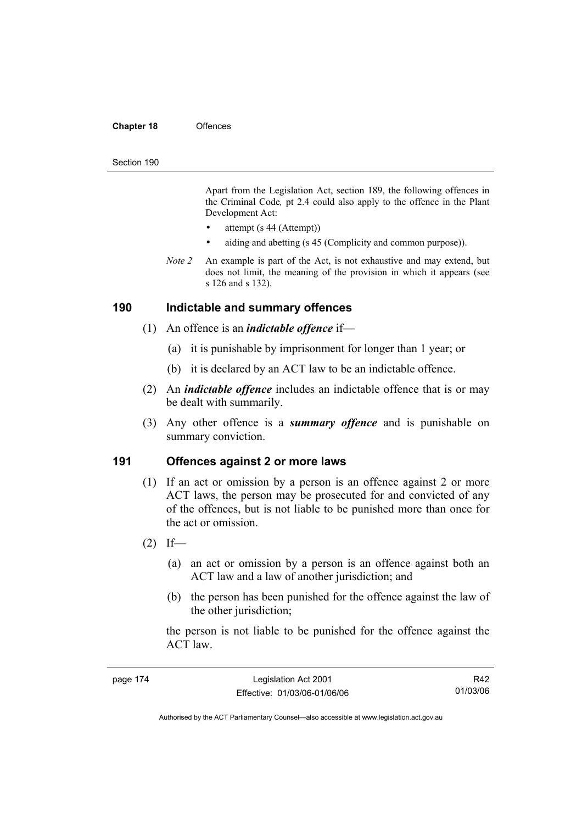#### **Chapter 18** Offences

#### Section 190

Apart from the Legislation Act, section 189, the following offences in the Criminal Code*,* pt 2.4 could also apply to the offence in the Plant Development Act:

- attempt (s 44 (Attempt))
- aiding and abetting (s 45 (Complicity and common purpose)).
- *Note 2* An example is part of the Act, is not exhaustive and may extend, but does not limit, the meaning of the provision in which it appears (see s 126 and s 132).

#### **190 Indictable and summary offences**

- (1) An offence is an *indictable offence* if—
	- (a) it is punishable by imprisonment for longer than 1 year; or
	- (b) it is declared by an ACT law to be an indictable offence.
- (2) An *indictable offence* includes an indictable offence that is or may be dealt with summarily.
- (3) Any other offence is a *summary offence* and is punishable on summary conviction.

#### **191 Offences against 2 or more laws**

- (1) If an act or omission by a person is an offence against 2 or more ACT laws, the person may be prosecuted for and convicted of any of the offences, but is not liable to be punished more than once for the act or omission.
- $(2)$  If—
	- (a) an act or omission by a person is an offence against both an ACT law and a law of another jurisdiction; and
	- (b) the person has been punished for the offence against the law of the other jurisdiction;

the person is not liable to be punished for the offence against the ACT law.

| page 174 | Legislation Act 2001         | R42      |
|----------|------------------------------|----------|
|          | Effective: 01/03/06-01/06/06 | 01/03/06 |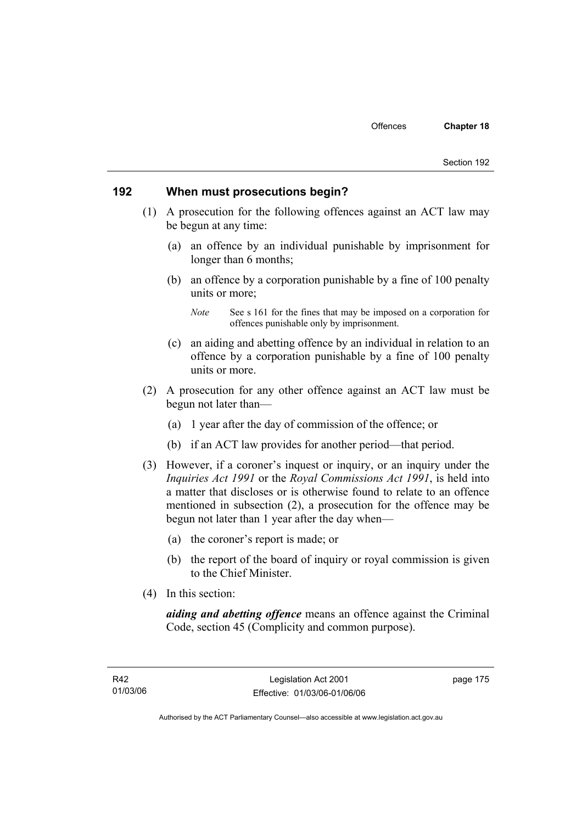#### **192 When must prosecutions begin?**

- (1) A prosecution for the following offences against an ACT law may be begun at any time:
	- (a) an offence by an individual punishable by imprisonment for longer than 6 months;
	- (b) an offence by a corporation punishable by a fine of 100 penalty units or more;

- (c) an aiding and abetting offence by an individual in relation to an offence by a corporation punishable by a fine of 100 penalty units or more.
- (2) A prosecution for any other offence against an ACT law must be begun not later than—
	- (a) 1 year after the day of commission of the offence; or
	- (b) if an ACT law provides for another period—that period.
- (3) However, if a coroner's inquest or inquiry, or an inquiry under the *Inquiries Act 1991* or the *Royal Commissions Act 1991*, is held into a matter that discloses or is otherwise found to relate to an offence mentioned in subsection (2), a prosecution for the offence may be begun not later than 1 year after the day when—
	- (a) the coroner's report is made; or
	- (b) the report of the board of inquiry or royal commission is given to the Chief Minister.
- (4) In this section:

*aiding and abetting offence* means an offence against the Criminal Code, section 45 (Complicity and common purpose).

*Note* See s 161 for the fines that may be imposed on a corporation for offences punishable only by imprisonment.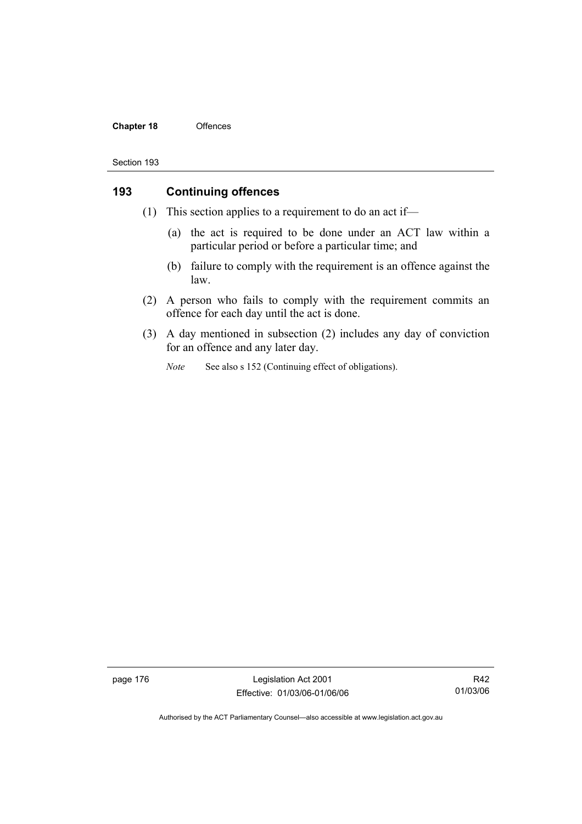#### **Chapter 18** Offences

#### Section 193

### **193 Continuing offences**

- (1) This section applies to a requirement to do an act if—
	- (a) the act is required to be done under an ACT law within a particular period or before a particular time; and
	- (b) failure to comply with the requirement is an offence against the law.
- (2) A person who fails to comply with the requirement commits an offence for each day until the act is done.
- (3) A day mentioned in subsection (2) includes any day of conviction for an offence and any later day.
	- *Note* See also s 152 (Continuing effect of obligations).

page 176 Legislation Act 2001 Effective: 01/03/06-01/06/06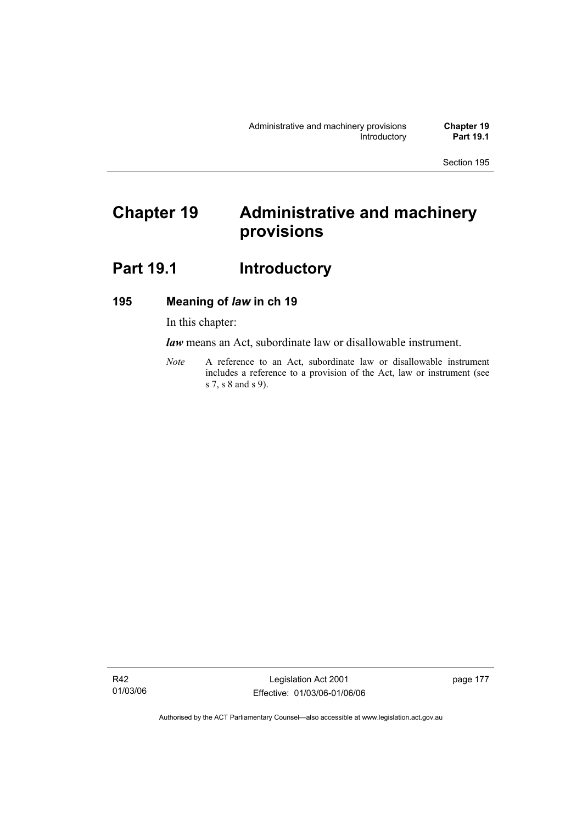# **Chapter 19 Administrative and machinery provisions**

## Part 19.1 **Introductory**

### **195 Meaning of** *law* **in ch 19**

In this chapter:

*law* means an Act, subordinate law or disallowable instrument.

*Note* A reference to an Act, subordinate law or disallowable instrument includes a reference to a provision of the Act, law or instrument (see s 7, s 8 and s 9).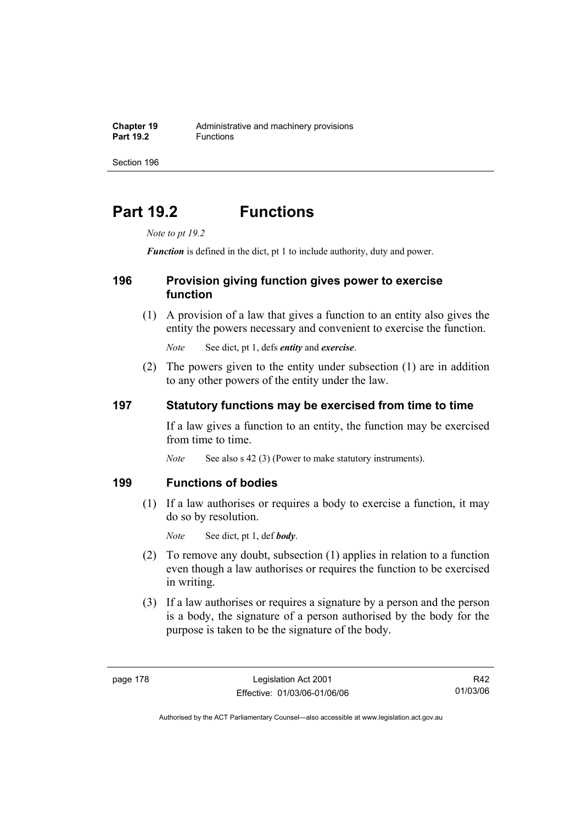# **Part 19.2 Functions**

*Note to pt 19.2* 

*Function* is defined in the dict, pt 1 to include authority, duty and power.

### **196 Provision giving function gives power to exercise function**

 (1) A provision of a law that gives a function to an entity also gives the entity the powers necessary and convenient to exercise the function.

*Note* See dict, pt 1, defs *entity* and *exercise*.

 (2) The powers given to the entity under subsection (1) are in addition to any other powers of the entity under the law.

### **197 Statutory functions may be exercised from time to time**

If a law gives a function to an entity, the function may be exercised from time to time.

*Note* See also s 42 (3) (Power to make statutory instruments).

### **199 Functions of bodies**

 (1) If a law authorises or requires a body to exercise a function, it may do so by resolution.

*Note* See dict, pt 1, def *body*.

- (2) To remove any doubt, subsection (1) applies in relation to a function even though a law authorises or requires the function to be exercised in writing.
- (3) If a law authorises or requires a signature by a person and the person is a body, the signature of a person authorised by the body for the purpose is taken to be the signature of the body.

R42 01/03/06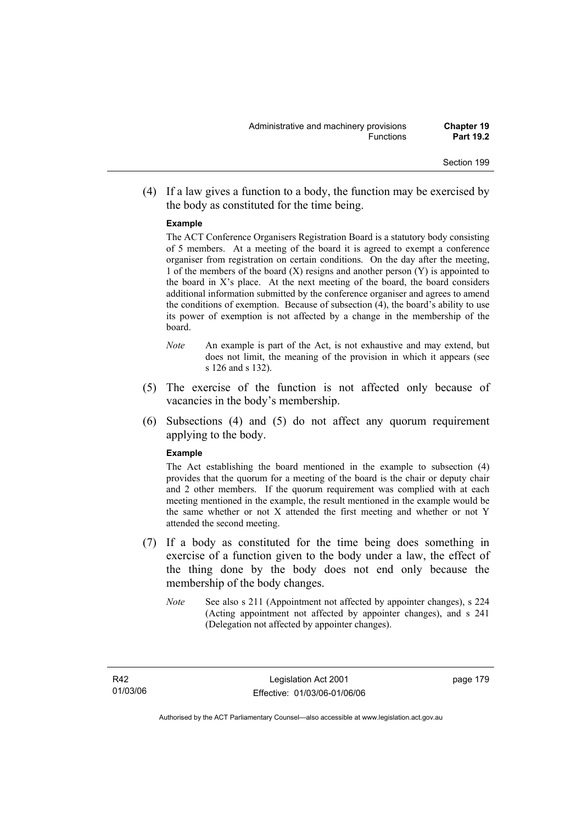(4) If a law gives a function to a body, the function may be exercised by the body as constituted for the time being.

#### **Example**

The ACT Conference Organisers Registration Board is a statutory body consisting of 5 members. At a meeting of the board it is agreed to exempt a conference organiser from registration on certain conditions. On the day after the meeting, 1 of the members of the board  $(X)$  resigns and another person  $(Y)$  is appointed to the board in  $X$ 's place. At the next meeting of the board, the board considers additional information submitted by the conference organiser and agrees to amend the conditions of exemption. Because of subsection (4), the board's ability to use its power of exemption is not affected by a change in the membership of the board.

- *Note* An example is part of the Act, is not exhaustive and may extend, but does not limit, the meaning of the provision in which it appears (see s 126 and s 132).
- (5) The exercise of the function is not affected only because of vacancies in the body's membership.
- (6) Subsections (4) and (5) do not affect any quorum requirement applying to the body.

#### **Example**

The Act establishing the board mentioned in the example to subsection (4) provides that the quorum for a meeting of the board is the chair or deputy chair and 2 other members. If the quorum requirement was complied with at each meeting mentioned in the example, the result mentioned in the example would be the same whether or not X attended the first meeting and whether or not Y attended the second meeting.

- (7) If a body as constituted for the time being does something in exercise of a function given to the body under a law, the effect of the thing done by the body does not end only because the membership of the body changes.
	- *Note* See also s 211 (Appointment not affected by appointer changes), s 224 (Acting appointment not affected by appointer changes), and s 241 (Delegation not affected by appointer changes).

Authorised by the ACT Parliamentary Counsel—also accessible at www.legislation.act.gov.au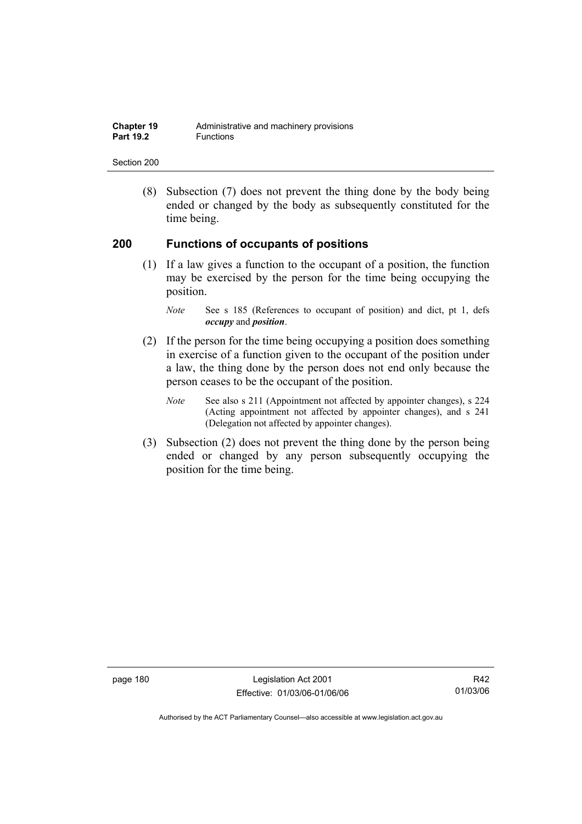| <b>Chapter 19</b> | Administrative and machinery provisions |
|-------------------|-----------------------------------------|
| <b>Part 19.2</b>  | <b>Functions</b>                        |

 (8) Subsection (7) does not prevent the thing done by the body being ended or changed by the body as subsequently constituted for the time being.

#### **200 Functions of occupants of positions**

 (1) If a law gives a function to the occupant of a position, the function may be exercised by the person for the time being occupying the position.

- (2) If the person for the time being occupying a position does something in exercise of a function given to the occupant of the position under a law, the thing done by the person does not end only because the person ceases to be the occupant of the position.
	- *Note* See also s 211 (Appointment not affected by appointer changes), s 224 (Acting appointment not affected by appointer changes), and s 241 (Delegation not affected by appointer changes).
- (3) Subsection (2) does not prevent the thing done by the person being ended or changed by any person subsequently occupying the position for the time being.

page 180 Legislation Act 2001 Effective: 01/03/06-01/06/06

*Note* See s 185 (References to occupant of position) and dict, pt 1, defs *occupy* and *position*.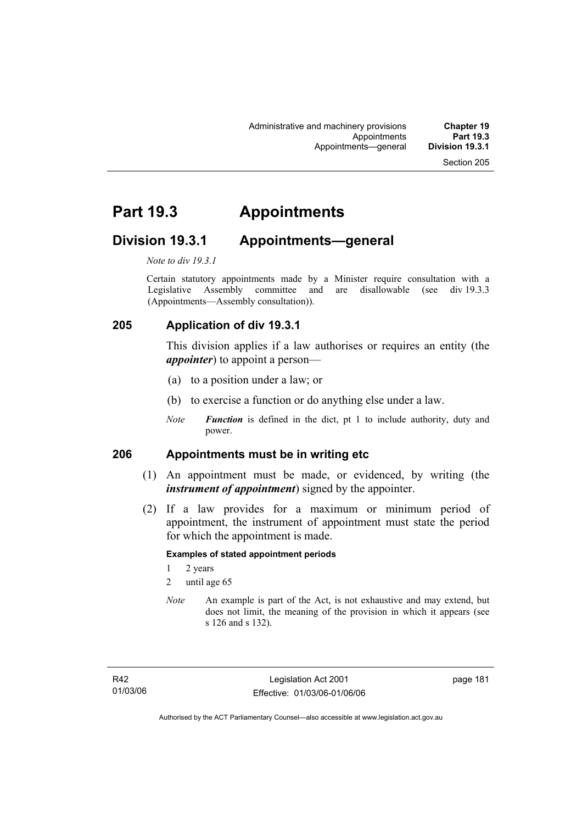## **Part 19.3 Appointments**

### **Division 19.3.1 Appointments—general**

*Note to div 19.3.1* 

Certain statutory appointments made by a Minister require consultation with a Legislative Assembly committee and are disallowable (see div 19.3.3) (Appointments—Assembly consultation)).

### **205 Application of div 19.3.1**

This division applies if a law authorises or requires an entity (the *appointer*) to appoint a person—

- (a) to a position under a law; or
- (b) to exercise a function or do anything else under a law.
- *Note Function* is defined in the dict, pt 1 to include authority, duty and power.

### **206 Appointments must be in writing etc**

- (1) An appointment must be made, or evidenced, by writing (the *instrument of appointment*) signed by the appointer.
- (2) If a law provides for a maximum or minimum period of appointment, the instrument of appointment must state the period for which the appointment is made.

#### **Examples of stated appointment periods**

- 1 2 years
- 2 until age 65
- *Note* An example is part of the Act, is not exhaustive and may extend, but does not limit, the meaning of the provision in which it appears (see s 126 and s 132).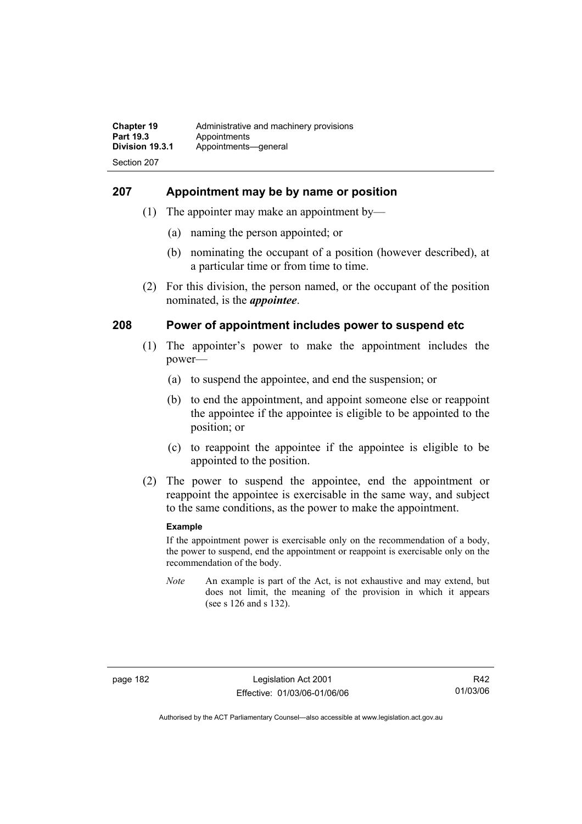### **207 Appointment may be by name or position**

- (1) The appointer may make an appointment by—
	- (a) naming the person appointed; or
	- (b) nominating the occupant of a position (however described), at a particular time or from time to time.
- (2) For this division, the person named, or the occupant of the position nominated, is the *appointee*.

### **208 Power of appointment includes power to suspend etc**

- (1) The appointer's power to make the appointment includes the power—
	- (a) to suspend the appointee, and end the suspension; or
	- (b) to end the appointment, and appoint someone else or reappoint the appointee if the appointee is eligible to be appointed to the position; or
	- (c) to reappoint the appointee if the appointee is eligible to be appointed to the position.
- (2) The power to suspend the appointee, end the appointment or reappoint the appointee is exercisable in the same way, and subject to the same conditions, as the power to make the appointment.

#### **Example**

If the appointment power is exercisable only on the recommendation of a body, the power to suspend, end the appointment or reappoint is exercisable only on the recommendation of the body.

*Note* An example is part of the Act, is not exhaustive and may extend, but does not limit, the meaning of the provision in which it appears (see s 126 and s 132).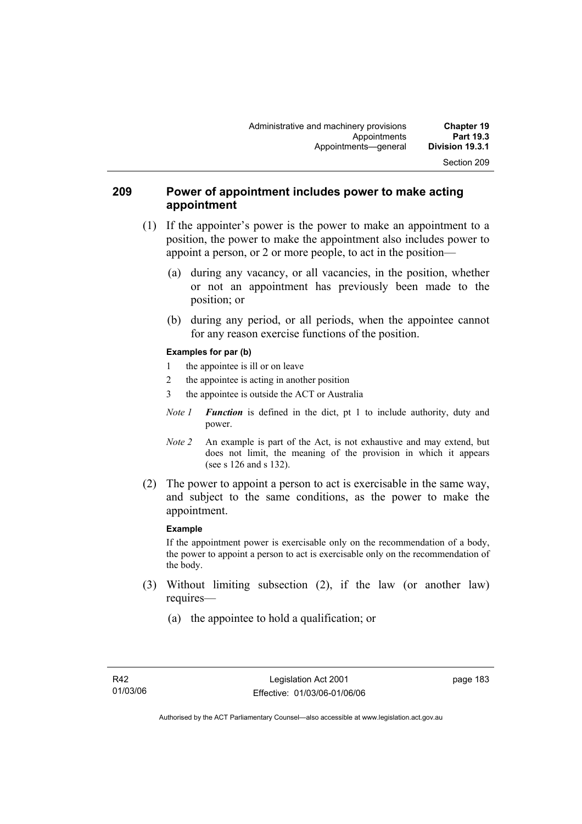### **209 Power of appointment includes power to make acting appointment**

- (1) If the appointer's power is the power to make an appointment to a position, the power to make the appointment also includes power to appoint a person, or 2 or more people, to act in the position—
	- (a) during any vacancy, or all vacancies, in the position, whether or not an appointment has previously been made to the position; or
	- (b) during any period, or all periods, when the appointee cannot for any reason exercise functions of the position.

#### **Examples for par (b)**

- 1 the appointee is ill or on leave
- 2 the appointee is acting in another position
- 3 the appointee is outside the ACT or Australia
- *Note 1 Function* is defined in the dict, pt 1 to include authority, duty and power.
- *Note 2* An example is part of the Act, is not exhaustive and may extend, but does not limit, the meaning of the provision in which it appears (see s 126 and s 132).
- (2) The power to appoint a person to act is exercisable in the same way, and subject to the same conditions, as the power to make the appointment.

#### **Example**

If the appointment power is exercisable only on the recommendation of a body, the power to appoint a person to act is exercisable only on the recommendation of the body.

- (3) Without limiting subsection (2), if the law (or another law) requires—
	- (a) the appointee to hold a qualification; or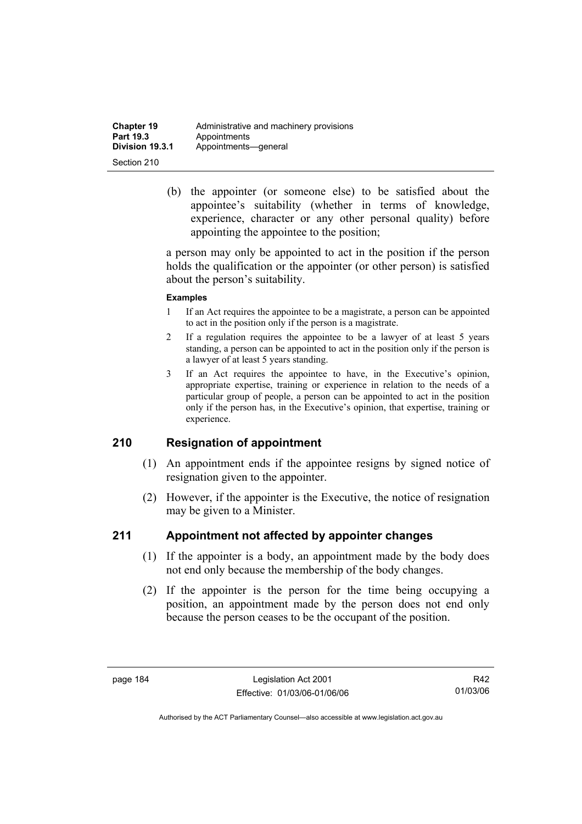| <b>Chapter 19</b> | Administrative and machinery provisions |
|-------------------|-----------------------------------------|
| Part 19.3         | Appointments                            |
| Division 19.3.1   | Appointments-qeneral                    |
| Section 210       |                                         |

 (b) the appointer (or someone else) to be satisfied about the appointee's suitability (whether in terms of knowledge, experience, character or any other personal quality) before appointing the appointee to the position;

a person may only be appointed to act in the position if the person holds the qualification or the appointer (or other person) is satisfied about the person's suitability.

#### **Examples**

- 1 If an Act requires the appointee to be a magistrate, a person can be appointed to act in the position only if the person is a magistrate.
- 2 If a regulation requires the appointee to be a lawyer of at least 5 years standing, a person can be appointed to act in the position only if the person is a lawyer of at least 5 years standing.
- 3 If an Act requires the appointee to have, in the Executive's opinion, appropriate expertise, training or experience in relation to the needs of a particular group of people, a person can be appointed to act in the position only if the person has, in the Executive's opinion, that expertise, training or experience.

### **210 Resignation of appointment**

- (1) An appointment ends if the appointee resigns by signed notice of resignation given to the appointer.
- (2) However, if the appointer is the Executive, the notice of resignation may be given to a Minister.

### **211 Appointment not affected by appointer changes**

- (1) If the appointer is a body, an appointment made by the body does not end only because the membership of the body changes.
- (2) If the appointer is the person for the time being occupying a position, an appointment made by the person does not end only because the person ceases to be the occupant of the position.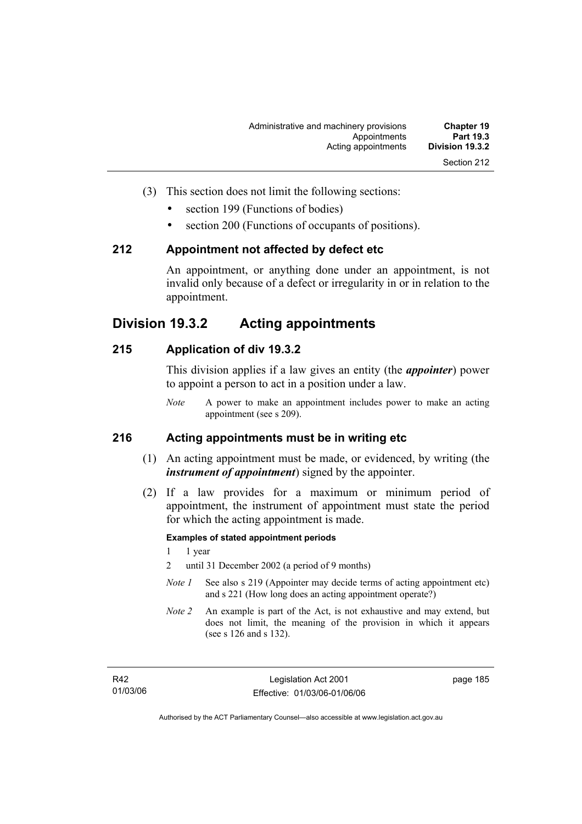- (3) This section does not limit the following sections:
	- section 199 (Functions of bodies)
	- section 200 (Functions of occupants of positions).

#### **212 Appointment not affected by defect etc**

An appointment, or anything done under an appointment, is not invalid only because of a defect or irregularity in or in relation to the appointment.

### **Division 19.3.2 Acting appointments**

### **215 Application of div 19.3.2**

This division applies if a law gives an entity (the *appointer*) power to appoint a person to act in a position under a law.

*Note* A power to make an appointment includes power to make an acting appointment (see s 209).

### **216 Acting appointments must be in writing etc**

- (1) An acting appointment must be made, or evidenced, by writing (the *instrument of appointment*) signed by the appointer.
- (2) If a law provides for a maximum or minimum period of appointment, the instrument of appointment must state the period for which the acting appointment is made.

#### **Examples of stated appointment periods**

- 1 1 year
- 2 until 31 December 2002 (a period of 9 months)
- *Note 1* See also s 219 (Appointer may decide terms of acting appointment etc) and s 221 (How long does an acting appointment operate?)
- *Note 2* An example is part of the Act, is not exhaustive and may extend, but does not limit, the meaning of the provision in which it appears (see s 126 and s 132).

page 185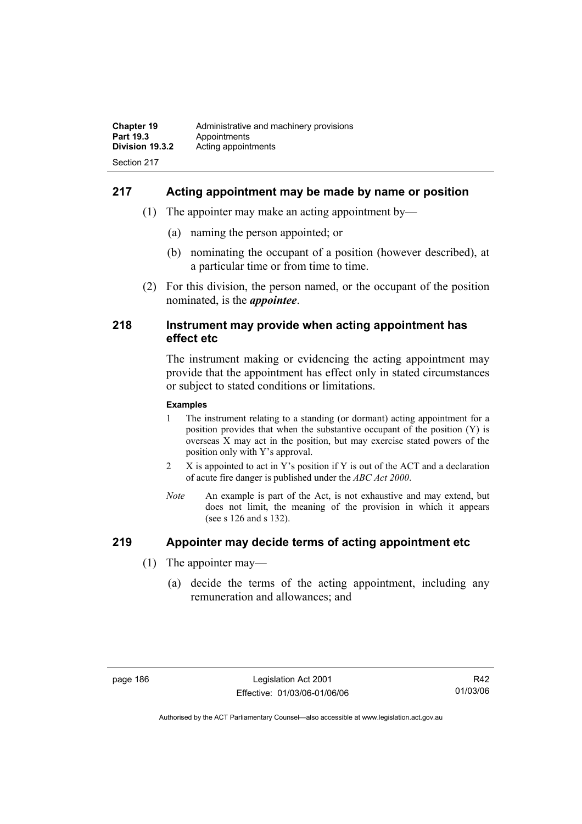### **217 Acting appointment may be made by name or position**

- (1) The appointer may make an acting appointment by—
	- (a) naming the person appointed; or
	- (b) nominating the occupant of a position (however described), at a particular time or from time to time.
- (2) For this division, the person named, or the occupant of the position nominated, is the *appointee*.

#### **218 Instrument may provide when acting appointment has effect etc**

The instrument making or evidencing the acting appointment may provide that the appointment has effect only in stated circumstances or subject to stated conditions or limitations.

#### **Examples**

- 1 The instrument relating to a standing (or dormant) acting appointment for a position provides that when the substantive occupant of the position (Y) is overseas X may act in the position, but may exercise stated powers of the position only with Y's approval.
- 2 X is appointed to act in Y's position if Y is out of the ACT and a declaration of acute fire danger is published under the *ABC Act 2000*.
- *Note* An example is part of the Act, is not exhaustive and may extend, but does not limit, the meaning of the provision in which it appears (see s 126 and s 132).

### **219 Appointer may decide terms of acting appointment etc**

- (1) The appointer may—
	- (a) decide the terms of the acting appointment, including any remuneration and allowances; and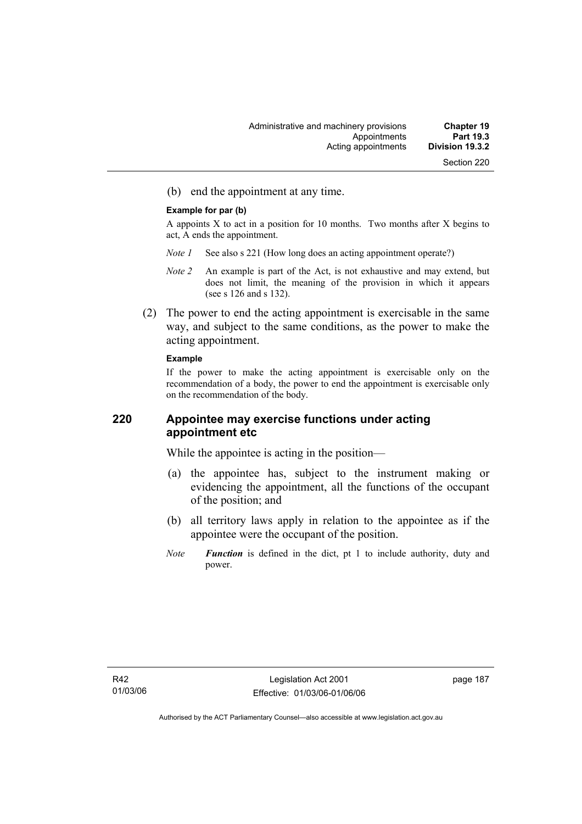(b) end the appointment at any time.

#### **Example for par (b)**

A appoints X to act in a position for 10 months. Two months after X begins to act, A ends the appointment.

- *Note 1* See also s 221 (How long does an acting appointment operate?)
- *Note 2* An example is part of the Act, is not exhaustive and may extend, but does not limit, the meaning of the provision in which it appears (see s 126 and s 132).
- (2) The power to end the acting appointment is exercisable in the same way, and subject to the same conditions, as the power to make the acting appointment.

#### **Example**

If the power to make the acting appointment is exercisable only on the recommendation of a body, the power to end the appointment is exercisable only on the recommendation of the body.

### **220 Appointee may exercise functions under acting appointment etc**

While the appointee is acting in the position—

- (a) the appointee has, subject to the instrument making or evidencing the appointment, all the functions of the occupant of the position; and
- (b) all territory laws apply in relation to the appointee as if the appointee were the occupant of the position.
- *Note Function* is defined in the dict, pt 1 to include authority, duty and power.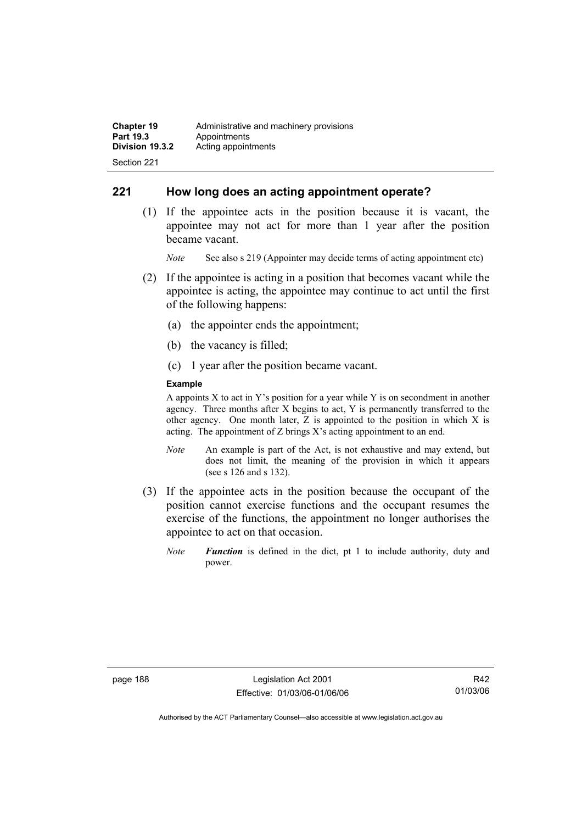### **221 How long does an acting appointment operate?**

 (1) If the appointee acts in the position because it is vacant, the appointee may not act for more than 1 year after the position became vacant.

*Note* See also s 219 (Appointer may decide terms of acting appointment etc)

- (2) If the appointee is acting in a position that becomes vacant while the appointee is acting, the appointee may continue to act until the first of the following happens:
	- (a) the appointer ends the appointment;
	- (b) the vacancy is filled;
	- (c) 1 year after the position became vacant.

#### **Example**

A appoints  $X$  to act in Y's position for a year while Y is on secondment in another agency. Three months after X begins to act, Y is permanently transferred to the other agency. One month later, Z is appointed to the position in which X is acting. The appointment of Z brings X's acting appointment to an end.

- *Note* An example is part of the Act, is not exhaustive and may extend, but does not limit, the meaning of the provision in which it appears (see s 126 and s 132).
- (3) If the appointee acts in the position because the occupant of the position cannot exercise functions and the occupant resumes the exercise of the functions, the appointment no longer authorises the appointee to act on that occasion.
	- *Note Function* is defined in the dict, pt 1 to include authority, duty and power.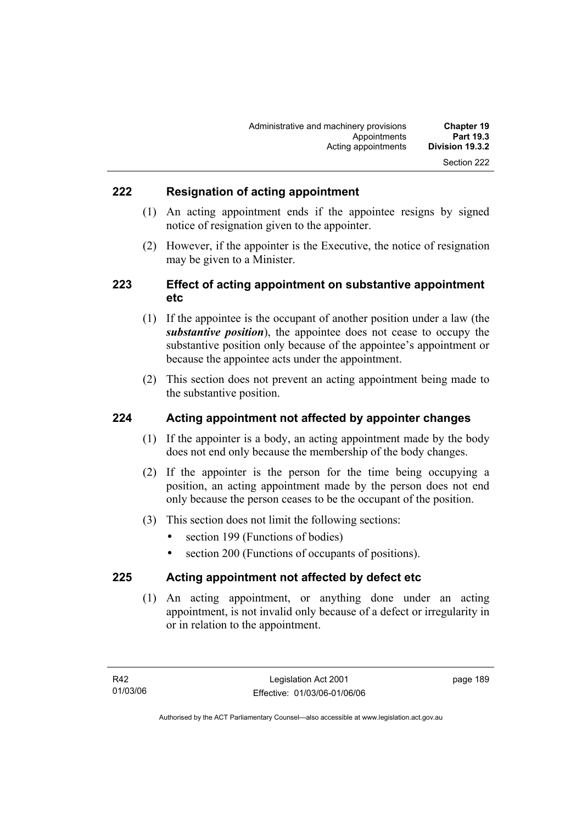### **222 Resignation of acting appointment**

- (1) An acting appointment ends if the appointee resigns by signed notice of resignation given to the appointer.
- (2) However, if the appointer is the Executive, the notice of resignation may be given to a Minister.

### **223 Effect of acting appointment on substantive appointment etc**

- (1) If the appointee is the occupant of another position under a law (the *substantive position*), the appointee does not cease to occupy the substantive position only because of the appointee's appointment or because the appointee acts under the appointment.
- (2) This section does not prevent an acting appointment being made to the substantive position.

### **224 Acting appointment not affected by appointer changes**

- (1) If the appointer is a body, an acting appointment made by the body does not end only because the membership of the body changes.
- (2) If the appointer is the person for the time being occupying a position, an acting appointment made by the person does not end only because the person ceases to be the occupant of the position.
- (3) This section does not limit the following sections:
	- section 199 (Functions of bodies)
	- section 200 (Functions of occupants of positions).

### **225 Acting appointment not affected by defect etc**

 (1) An acting appointment, or anything done under an acting appointment, is not invalid only because of a defect or irregularity in or in relation to the appointment.

page 189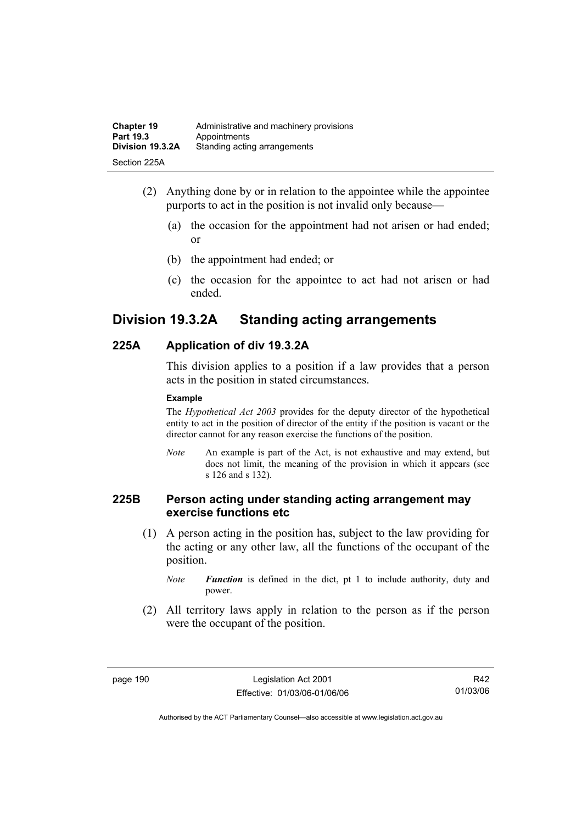| <b>Chapter 19</b> | Administrative and machinery provisions |
|-------------------|-----------------------------------------|
| Part 19.3         | Appointments                            |
| Division 19.3.2A  | Standing acting arrangements            |
| Section 225A      |                                         |

- (2) Anything done by or in relation to the appointee while the appointee purports to act in the position is not invalid only because—
	- (a) the occasion for the appointment had not arisen or had ended; or
	- (b) the appointment had ended; or
	- (c) the occasion for the appointee to act had not arisen or had ended.

## **Division 19.3.2A Standing acting arrangements**

### **225A Application of div 19.3.2A**

This division applies to a position if a law provides that a person acts in the position in stated circumstances.

#### **Example**

The *Hypothetical Act 2003* provides for the deputy director of the hypothetical entity to act in the position of director of the entity if the position is vacant or the director cannot for any reason exercise the functions of the position.

*Note* An example is part of the Act, is not exhaustive and may extend, but does not limit, the meaning of the provision in which it appears (see s 126 and s 132).

### **225B Person acting under standing acting arrangement may exercise functions etc**

 (1) A person acting in the position has, subject to the law providing for the acting or any other law, all the functions of the occupant of the position.

*Note Function* is defined in the dict, pt 1 to include authority, duty and power.

 (2) All territory laws apply in relation to the person as if the person were the occupant of the position.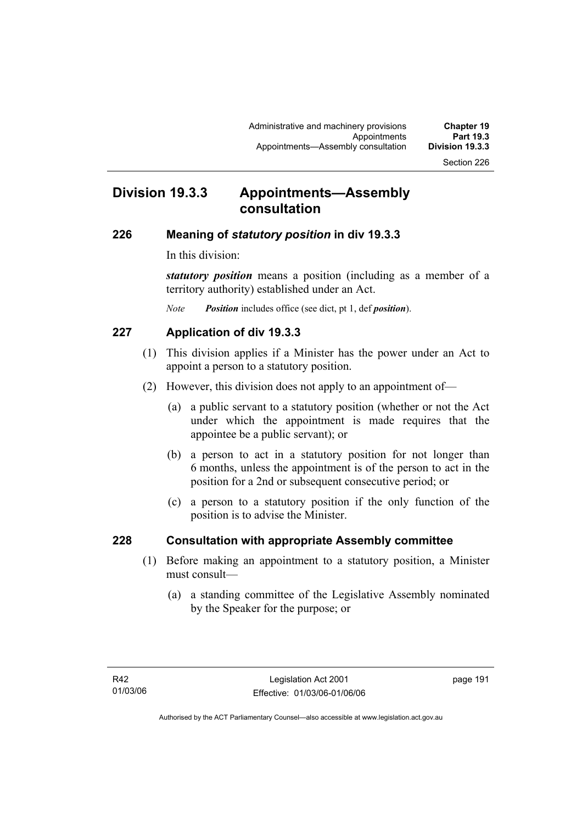## **Division 19.3.3 Appointments—Assembly consultation**

#### **226 Meaning of** *statutory position* **in div 19.3.3**

In this division:

*statutory position* means a position (including as a member of a territory authority) established under an Act.

*Note Position* includes office (see dict, pt 1, def *position*).

### **227 Application of div 19.3.3**

- (1) This division applies if a Minister has the power under an Act to appoint a person to a statutory position.
- (2) However, this division does not apply to an appointment of—
	- (a) a public servant to a statutory position (whether or not the Act under which the appointment is made requires that the appointee be a public servant); or
	- (b) a person to act in a statutory position for not longer than 6 months, unless the appointment is of the person to act in the position for a 2nd or subsequent consecutive period; or
	- (c) a person to a statutory position if the only function of the position is to advise the Minister.

### **228 Consultation with appropriate Assembly committee**

- (1) Before making an appointment to a statutory position, a Minister must consult—
	- (a) a standing committee of the Legislative Assembly nominated by the Speaker for the purpose; or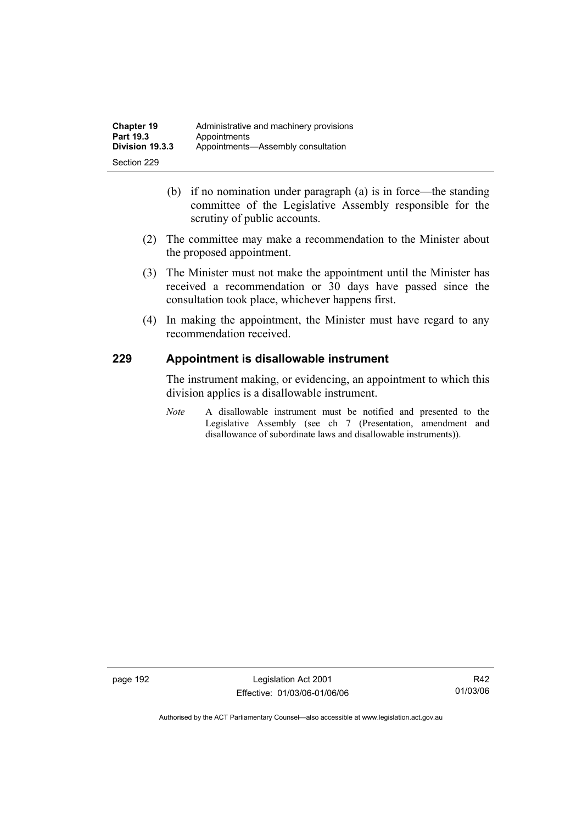- (b) if no nomination under paragraph (a) is in force—the standing committee of the Legislative Assembly responsible for the scrutiny of public accounts.
- (2) The committee may make a recommendation to the Minister about the proposed appointment.
- (3) The Minister must not make the appointment until the Minister has received a recommendation or 30 days have passed since the consultation took place, whichever happens first.
- (4) In making the appointment, the Minister must have regard to any recommendation received.

### **229 Appointment is disallowable instrument**

The instrument making, or evidencing, an appointment to which this division applies is a disallowable instrument.

*Note* A disallowable instrument must be notified and presented to the Legislative Assembly (see ch 7 (Presentation, amendment and disallowance of subordinate laws and disallowable instruments)).

page 192 Legislation Act 2001 Effective: 01/03/06-01/06/06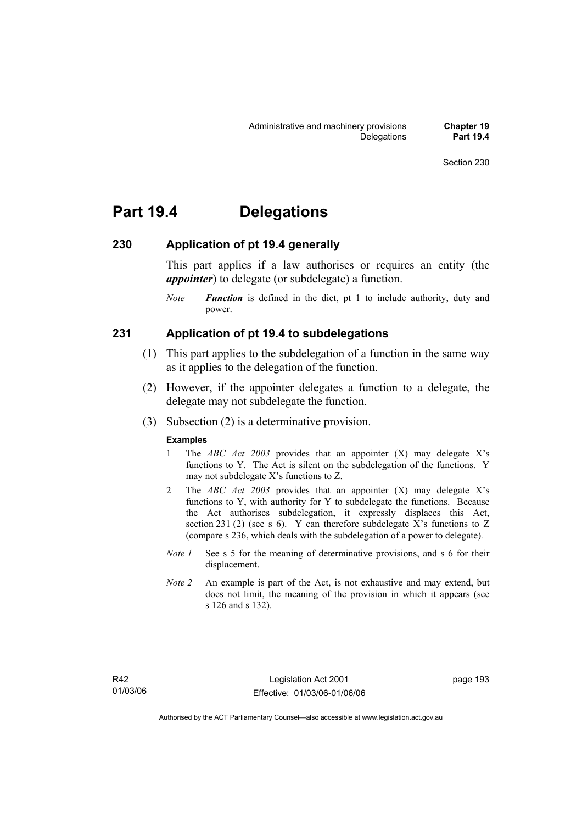## **Part 19.4 Delegations**

### **230 Application of pt 19.4 generally**

This part applies if a law authorises or requires an entity (the *appointer*) to delegate (or subdelegate) a function.

*Note Function* is defined in the dict, pt 1 to include authority, duty and power.

### **231 Application of pt 19.4 to subdelegations**

- (1) This part applies to the subdelegation of a function in the same way as it applies to the delegation of the function.
- (2) However, if the appointer delegates a function to a delegate, the delegate may not subdelegate the function.
- (3) Subsection (2) is a determinative provision.

#### **Examples**

- 1 The *ABC Act 2003* provides that an appointer (X) may delegate X's functions to Y. The Act is silent on the subdelegation of the functions. Y may not subdelegate X's functions to Z.
- 2 The *ABC Act 2003* provides that an appointer (X) may delegate X's functions to Y, with authority for Y to subdelegate the functions. Because the Act authorises subdelegation, it expressly displaces this Act, section 231 (2) (see s 6). Y can therefore subdelegate X's functions to  $Z$ (compare s 236, which deals with the subdelegation of a power to delegate)*.*
- *Note 1* See s 5 for the meaning of determinative provisions, and s 6 for their displacement.
- *Note 2* An example is part of the Act, is not exhaustive and may extend, but does not limit, the meaning of the provision in which it appears (see s 126 and s 132).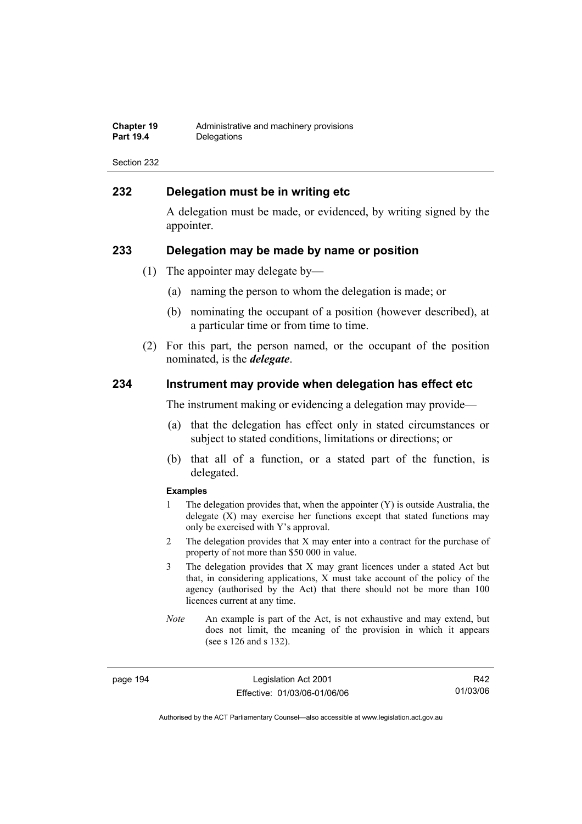| Chapter 19       | Administrative and machinery provisions |
|------------------|-----------------------------------------|
| <b>Part 19.4</b> | Delegations                             |

### **232 Delegation must be in writing etc**

A delegation must be made, or evidenced, by writing signed by the appointer.

#### **233 Delegation may be made by name or position**

- (1) The appointer may delegate by—
	- (a) naming the person to whom the delegation is made; or
	- (b) nominating the occupant of a position (however described), at a particular time or from time to time.
- (2) For this part, the person named, or the occupant of the position nominated, is the *delegate*.

#### **234 Instrument may provide when delegation has effect etc**

The instrument making or evidencing a delegation may provide—

- (a) that the delegation has effect only in stated circumstances or subject to stated conditions, limitations or directions; or
- (b) that all of a function, or a stated part of the function, is delegated.

#### **Examples**

- 1 The delegation provides that, when the appointer (Y) is outside Australia, the delegate (X) may exercise her functions except that stated functions may only be exercised with Y's approval.
- 2 The delegation provides that X may enter into a contract for the purchase of property of not more than \$50 000 in value.
- 3 The delegation provides that X may grant licences under a stated Act but that, in considering applications, X must take account of the policy of the agency (authorised by the Act) that there should not be more than 100 licences current at any time.
- *Note* An example is part of the Act, is not exhaustive and may extend, but does not limit, the meaning of the provision in which it appears (see s 126 and s 132).

page 194 Legislation Act 2001 Effective: 01/03/06-01/06/06

R42 01/03/06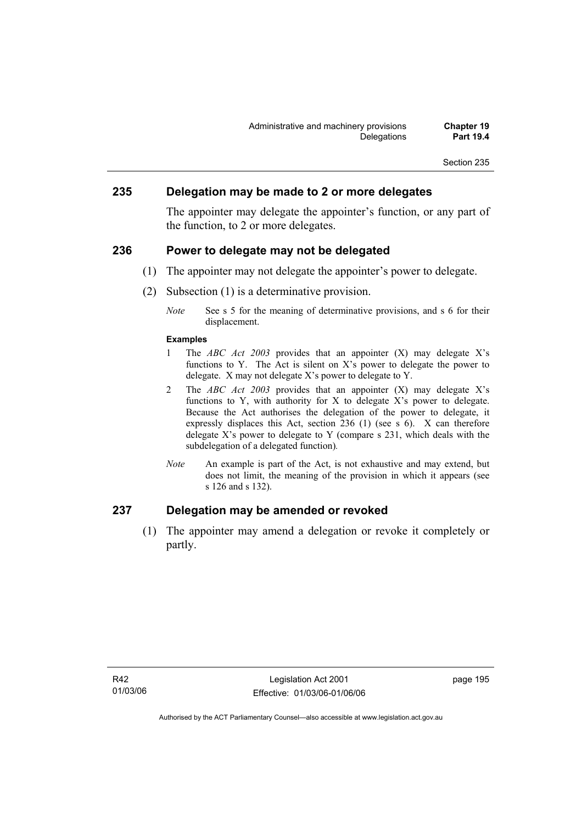### **235 Delegation may be made to 2 or more delegates**

The appointer may delegate the appointer's function, or any part of the function, to 2 or more delegates.

### **236 Power to delegate may not be delegated**

- (1) The appointer may not delegate the appointer's power to delegate.
- (2) Subsection (1) is a determinative provision.
	- *Note* See s 5 for the meaning of determinative provisions, and s 6 for their displacement.

#### **Examples**

- 1 The *ABC Act 2003* provides that an appointer (X) may delegate X's functions to Y. The Act is silent on X's power to delegate the power to delegate. X may not delegate X's power to delegate to Y.
- 2 The *ABC Act 2003* provides that an appointer (X) may delegate X's functions to Y, with authority for X to delegate X's power to delegate. Because the Act authorises the delegation of the power to delegate, it expressly displaces this Act, section 236 (1) (see s 6). X can therefore delegate  $X$ 's power to delegate to Y (compare s 231, which deals with the subdelegation of a delegated function)*.*
- *Note* An example is part of the Act, is not exhaustive and may extend, but does not limit, the meaning of the provision in which it appears (see s 126 and s 132).

### **237 Delegation may be amended or revoked**

 (1) The appointer may amend a delegation or revoke it completely or partly.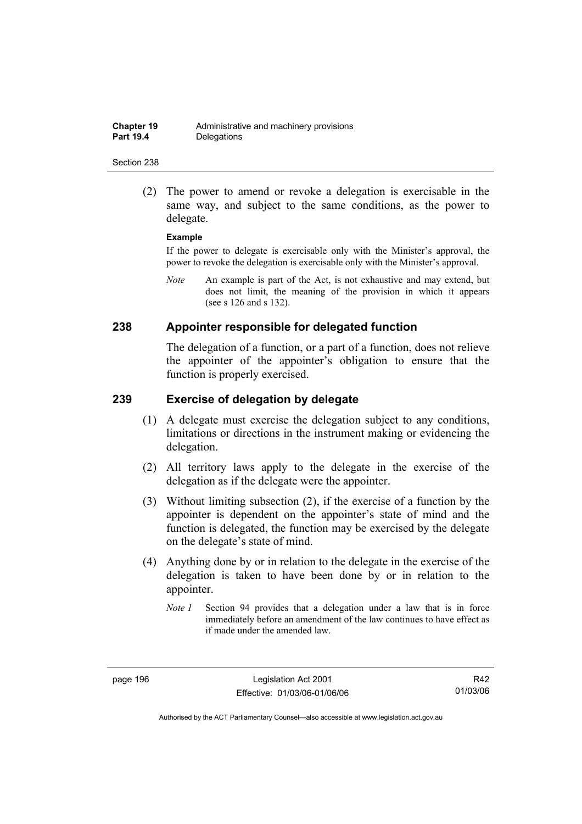(2) The power to amend or revoke a delegation is exercisable in the same way, and subject to the same conditions, as the power to delegate.

#### **Example**

If the power to delegate is exercisable only with the Minister's approval, the power to revoke the delegation is exercisable only with the Minister's approval.

*Note* An example is part of the Act, is not exhaustive and may extend, but does not limit, the meaning of the provision in which it appears (see s 126 and s 132).

### **238 Appointer responsible for delegated function**

The delegation of a function, or a part of a function, does not relieve the appointer of the appointer's obligation to ensure that the function is properly exercised.

#### **239 Exercise of delegation by delegate**

- (1) A delegate must exercise the delegation subject to any conditions, limitations or directions in the instrument making or evidencing the delegation.
- (2) All territory laws apply to the delegate in the exercise of the delegation as if the delegate were the appointer.
- (3) Without limiting subsection (2), if the exercise of a function by the appointer is dependent on the appointer's state of mind and the function is delegated, the function may be exercised by the delegate on the delegate's state of mind.
- (4) Anything done by or in relation to the delegate in the exercise of the delegation is taken to have been done by or in relation to the appointer.
	- *Note 1* Section 94 provides that a delegation under a law that is in force immediately before an amendment of the law continues to have effect as if made under the amended law.

R42 01/03/06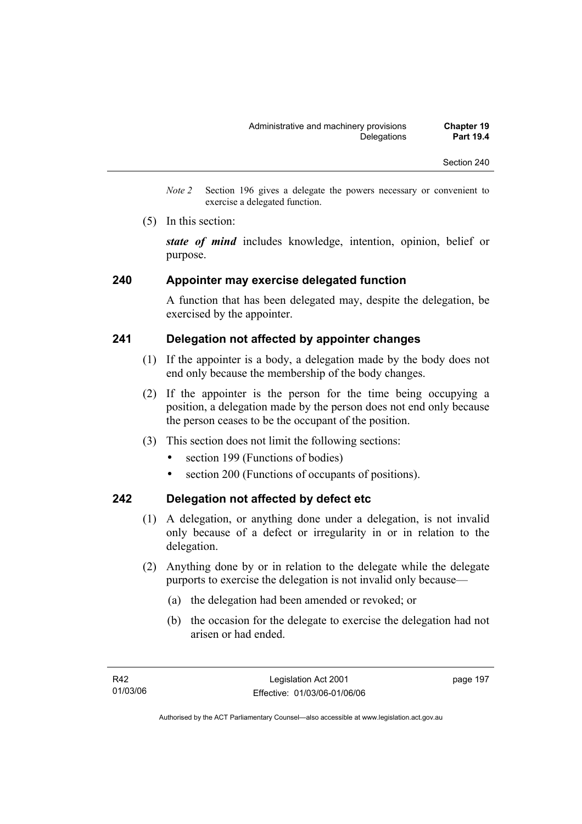- *Note 2* Section 196 gives a delegate the powers necessary or convenient to exercise a delegated function.
- (5) In this section:

*state of mind* includes knowledge, intention, opinion, belief or purpose.

### **240 Appointer may exercise delegated function**

A function that has been delegated may, despite the delegation, be exercised by the appointer.

### **241 Delegation not affected by appointer changes**

- (1) If the appointer is a body, a delegation made by the body does not end only because the membership of the body changes.
- (2) If the appointer is the person for the time being occupying a position, a delegation made by the person does not end only because the person ceases to be the occupant of the position.
- (3) This section does not limit the following sections:
	- section 199 (Functions of bodies)
	- section 200 (Functions of occupants of positions).

### **242 Delegation not affected by defect etc**

- (1) A delegation, or anything done under a delegation, is not invalid only because of a defect or irregularity in or in relation to the delegation.
- (2) Anything done by or in relation to the delegate while the delegate purports to exercise the delegation is not invalid only because—
	- (a) the delegation had been amended or revoked; or
	- (b) the occasion for the delegate to exercise the delegation had not arisen or had ended.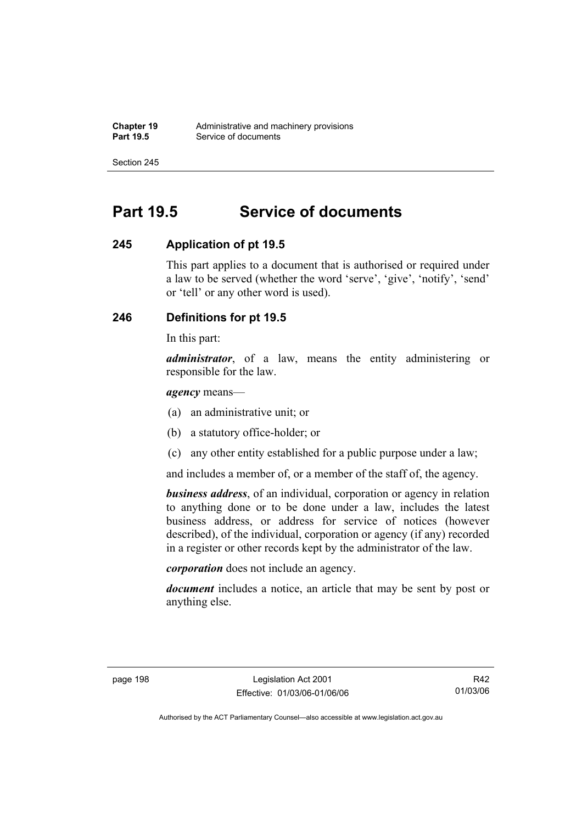## **Part 19.5 Service of documents**

### **245 Application of pt 19.5**

This part applies to a document that is authorised or required under a law to be served (whether the word 'serve', 'give', 'notify', 'send' or 'tell' or any other word is used).

### **246 Definitions for pt 19.5**

In this part:

*administrator*, of a law, means the entity administering or responsible for the law.

*agency* means—

- (a) an administrative unit; or
- (b) a statutory office-holder; or
- (c) any other entity established for a public purpose under a law;

and includes a member of, or a member of the staff of, the agency.

*business address*, of an individual, corporation or agency in relation to anything done or to be done under a law, includes the latest business address, or address for service of notices (however described), of the individual, corporation or agency (if any) recorded in a register or other records kept by the administrator of the law.

*corporation* does not include an agency.

*document* includes a notice, an article that may be sent by post or anything else.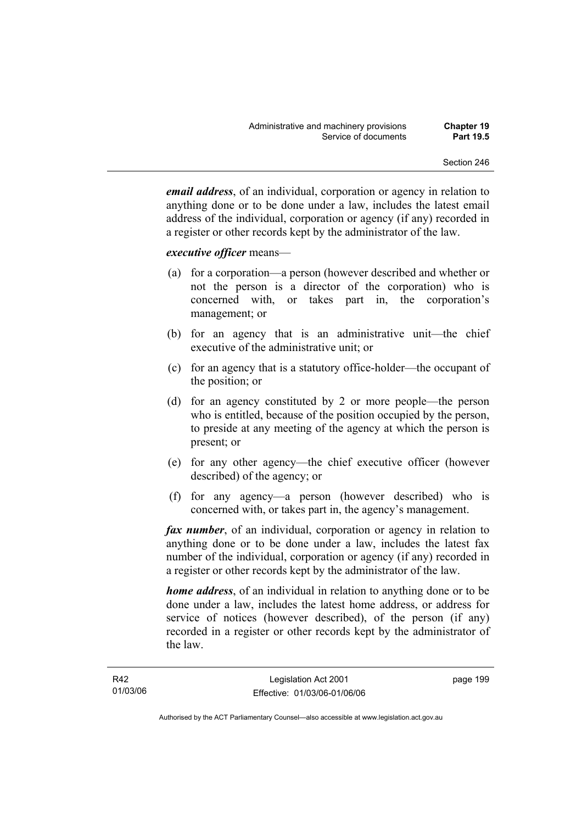*email address*, of an individual, corporation or agency in relation to anything done or to be done under a law, includes the latest email address of the individual, corporation or agency (if any) recorded in a register or other records kept by the administrator of the law.

#### *executive officer* means—

- (a) for a corporation—a person (however described and whether or not the person is a director of the corporation) who is concerned with, or takes part in, the corporation's management; or
- (b) for an agency that is an administrative unit—the chief executive of the administrative unit; or
- (c) for an agency that is a statutory office-holder—the occupant of the position; or
- (d) for an agency constituted by 2 or more people—the person who is entitled, because of the position occupied by the person, to preside at any meeting of the agency at which the person is present; or
- (e) for any other agency—the chief executive officer (however described) of the agency; or
- (f) for any agency—a person (however described) who is concerned with, or takes part in, the agency's management.

*fax number*, of an individual, corporation or agency in relation to anything done or to be done under a law, includes the latest fax number of the individual, corporation or agency (if any) recorded in a register or other records kept by the administrator of the law.

*home address*, of an individual in relation to anything done or to be done under a law, includes the latest home address, or address for service of notices (however described), of the person (if any) recorded in a register or other records kept by the administrator of the law.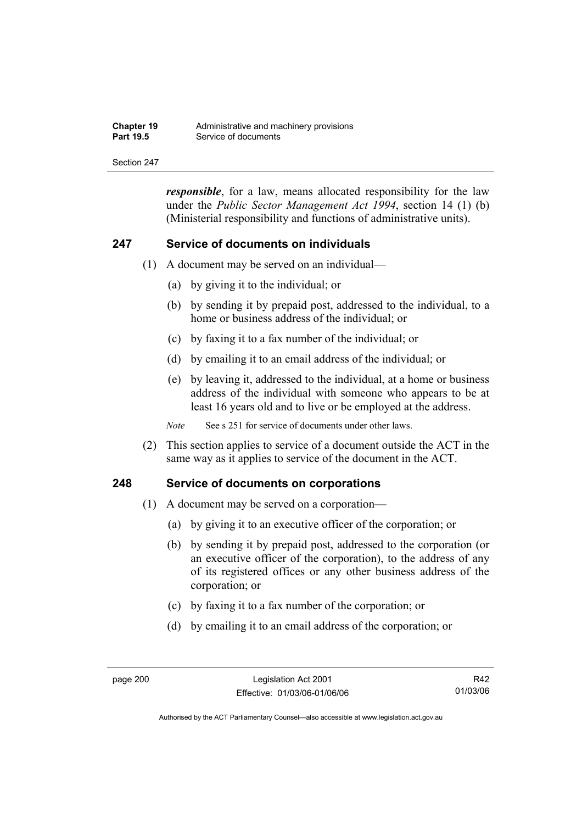| <b>Chapter 19</b> | Administrative and machinery provisions |
|-------------------|-----------------------------------------|
| <b>Part 19.5</b>  | Service of documents                    |

*responsible*, for a law, means allocated responsibility for the law under the *Public Sector Management Act 1994*, section 14 (1) (b) (Ministerial responsibility and functions of administrative units).

#### **247 Service of documents on individuals**

- (1) A document may be served on an individual—
	- (a) by giving it to the individual; or
	- (b) by sending it by prepaid post, addressed to the individual, to a home or business address of the individual; or
	- (c) by faxing it to a fax number of the individual; or
	- (d) by emailing it to an email address of the individual; or
	- (e) by leaving it, addressed to the individual, at a home or business address of the individual with someone who appears to be at least 16 years old and to live or be employed at the address.

*Note* See s 251 for service of documents under other laws.

 (2) This section applies to service of a document outside the ACT in the same way as it applies to service of the document in the ACT.

#### **248 Service of documents on corporations**

- (1) A document may be served on a corporation—
	- (a) by giving it to an executive officer of the corporation; or
	- (b) by sending it by prepaid post, addressed to the corporation (or an executive officer of the corporation), to the address of any of its registered offices or any other business address of the corporation; or
	- (c) by faxing it to a fax number of the corporation; or
	- (d) by emailing it to an email address of the corporation; or

R42 01/03/06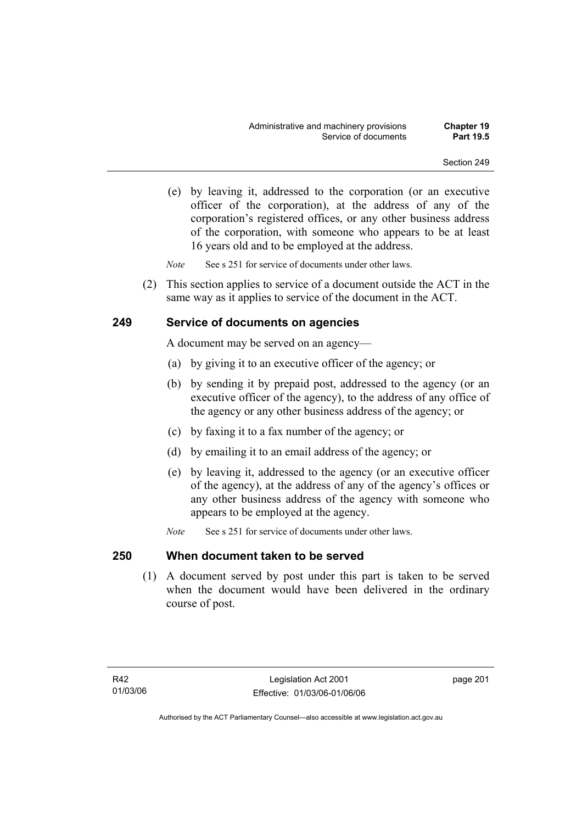(e) by leaving it, addressed to the corporation (or an executive officer of the corporation), at the address of any of the corporation's registered offices, or any other business address of the corporation, with someone who appears to be at least 16 years old and to be employed at the address.

*Note* See s 251 for service of documents under other laws.

 (2) This section applies to service of a document outside the ACT in the same way as it applies to service of the document in the ACT.

## **249 Service of documents on agencies**

A document may be served on an agency—

- (a) by giving it to an executive officer of the agency; or
- (b) by sending it by prepaid post, addressed to the agency (or an executive officer of the agency), to the address of any office of the agency or any other business address of the agency; or
- (c) by faxing it to a fax number of the agency; or
- (d) by emailing it to an email address of the agency; or
- (e) by leaving it, addressed to the agency (or an executive officer of the agency), at the address of any of the agency's offices or any other business address of the agency with someone who appears to be employed at the agency.
- *Note* See s 251 for service of documents under other laws.

### **250 When document taken to be served**

 (1) A document served by post under this part is taken to be served when the document would have been delivered in the ordinary course of post.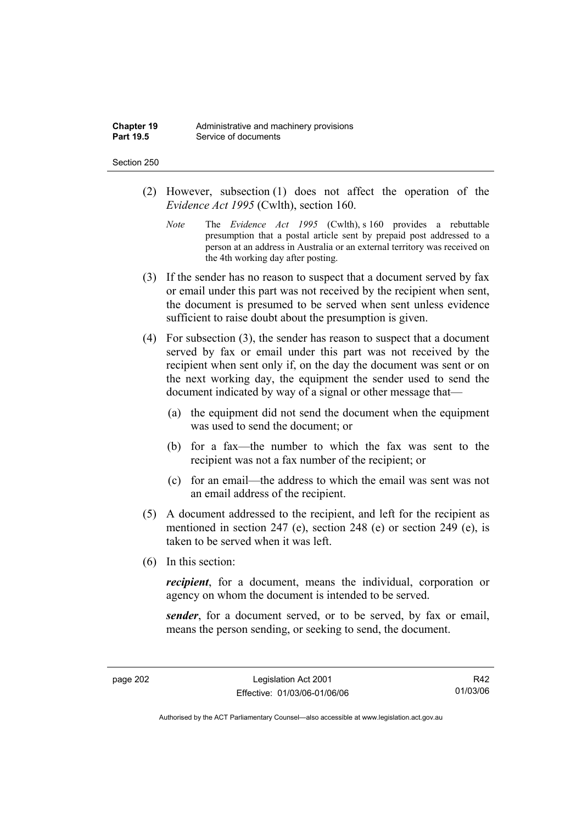#### Section 250

- (2) However, subsection (1) does not affect the operation of the *Evidence Act 1995* (Cwlth), section 160.
	- *Note* The *Evidence Act 1995* (Cwlth), s 160 provides a rebuttable presumption that a postal article sent by prepaid post addressed to a person at an address in Australia or an external territory was received on the 4th working day after posting.
- (3) If the sender has no reason to suspect that a document served by fax or email under this part was not received by the recipient when sent, the document is presumed to be served when sent unless evidence sufficient to raise doubt about the presumption is given.
- (4) For subsection (3), the sender has reason to suspect that a document served by fax or email under this part was not received by the recipient when sent only if, on the day the document was sent or on the next working day, the equipment the sender used to send the document indicated by way of a signal or other message that—
	- (a) the equipment did not send the document when the equipment was used to send the document; or
	- (b) for a fax—the number to which the fax was sent to the recipient was not a fax number of the recipient; or
	- (c) for an email—the address to which the email was sent was not an email address of the recipient.
- (5) A document addressed to the recipient, and left for the recipient as mentioned in section 247 (e), section 248 (e) or section 249 (e), is taken to be served when it was left.
- (6) In this section:

*recipient*, for a document, means the individual, corporation or agency on whom the document is intended to be served.

*sender*, for a document served, or to be served, by fax or email, means the person sending, or seeking to send, the document.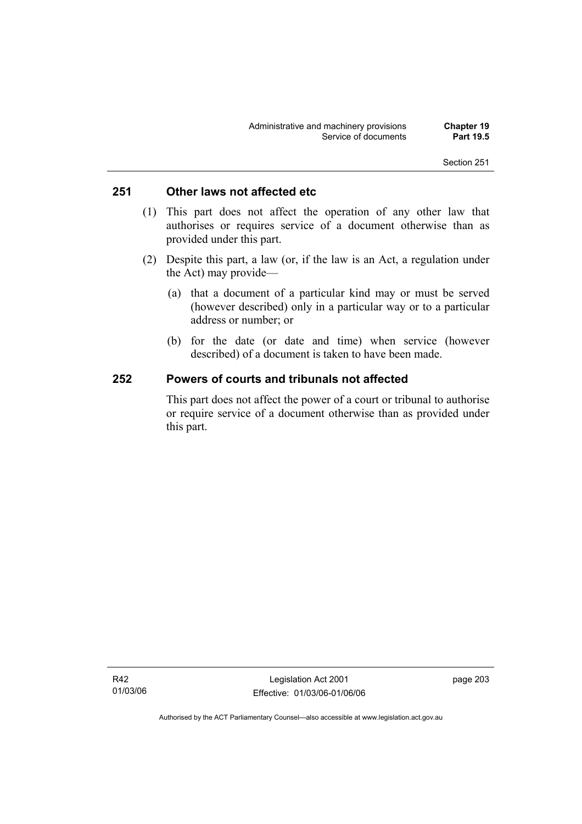## **251 Other laws not affected etc**

- (1) This part does not affect the operation of any other law that authorises or requires service of a document otherwise than as provided under this part.
- (2) Despite this part, a law (or, if the law is an Act, a regulation under the Act) may provide—
	- (a) that a document of a particular kind may or must be served (however described) only in a particular way or to a particular address or number; or
	- (b) for the date (or date and time) when service (however described) of a document is taken to have been made.

### **252 Powers of courts and tribunals not affected**

This part does not affect the power of a court or tribunal to authorise or require service of a document otherwise than as provided under this part.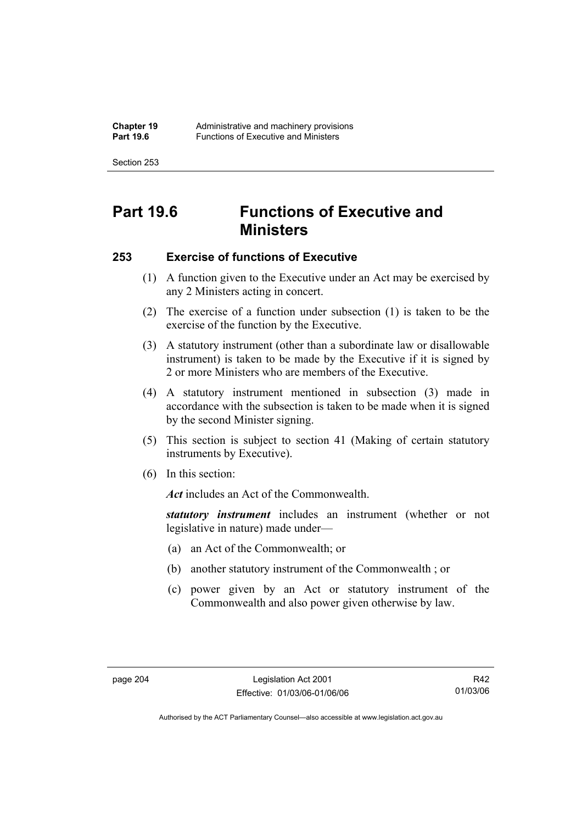Section 253

# **Part 19.6 Functions of Executive and Ministers**

## **253 Exercise of functions of Executive**

- (1) A function given to the Executive under an Act may be exercised by any 2 Ministers acting in concert.
- (2) The exercise of a function under subsection (1) is taken to be the exercise of the function by the Executive.
- (3) A statutory instrument (other than a subordinate law or disallowable instrument) is taken to be made by the Executive if it is signed by 2 or more Ministers who are members of the Executive.
- (4) A statutory instrument mentioned in subsection (3) made in accordance with the subsection is taken to be made when it is signed by the second Minister signing.
- (5) This section is subject to section 41 (Making of certain statutory instruments by Executive).
- (6) In this section:

Act includes an Act of the Commonwealth.

*statutory instrument* includes an instrument (whether or not legislative in nature) made under—

- (a) an Act of the Commonwealth; or
- (b) another statutory instrument of the Commonwealth ; or
- (c) power given by an Act or statutory instrument of the Commonwealth and also power given otherwise by law.

R42 01/03/06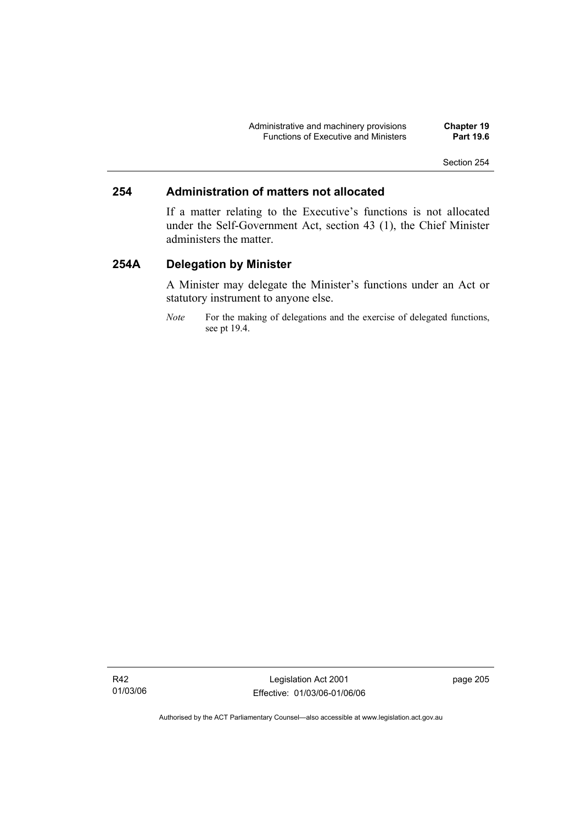Administrative and machinery provisions **Chapter 19**  Functions of Executive and Ministers **Part 19.6** 

## **254 Administration of matters not allocated**

If a matter relating to the Executive's functions is not allocated under the Self-Government Act, section 43 (1), the Chief Minister administers the matter.

## **254A Delegation by Minister**

A Minister may delegate the Minister's functions under an Act or statutory instrument to anyone else.

*Note* For the making of delegations and the exercise of delegated functions, see pt 19.4.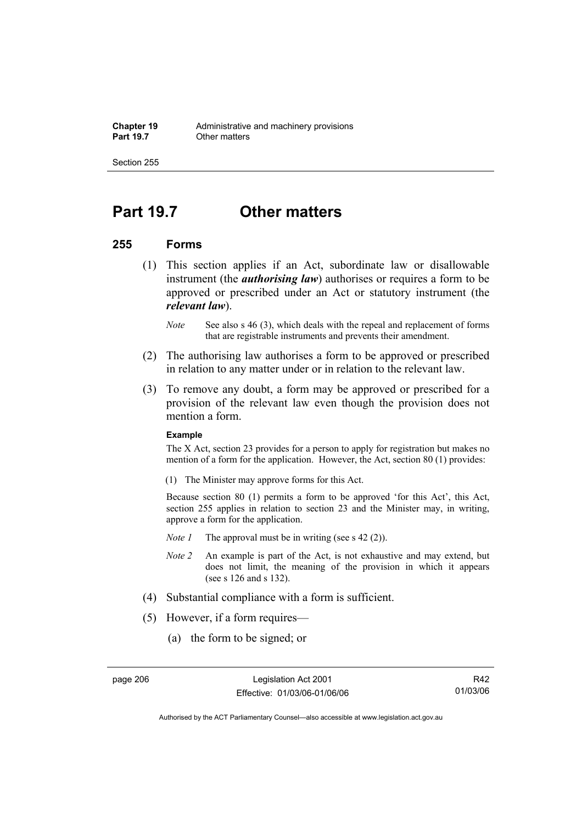Section 255

## **Part 19.7 Other matters**

#### **255 Forms**

- (1) This section applies if an Act, subordinate law or disallowable instrument (the *authorising law*) authorises or requires a form to be approved or prescribed under an Act or statutory instrument (the *relevant law*).
	- *Note* See also s 46 (3), which deals with the repeal and replacement of forms that are registrable instruments and prevents their amendment.
- (2) The authorising law authorises a form to be approved or prescribed in relation to any matter under or in relation to the relevant law.
- (3) To remove any doubt, a form may be approved or prescribed for a provision of the relevant law even though the provision does not mention a form.

#### **Example**

The X Act, section 23 provides for a person to apply for registration but makes no mention of a form for the application. However, the Act, section 80 (1) provides:

(1) The Minister may approve forms for this Act.

Because section 80 (1) permits a form to be approved 'for this Act', this Act, section 255 applies in relation to section 23 and the Minister may, in writing, approve a form for the application.

- *Note 1* The approval must be in writing (see s 42 (2)).
- *Note 2* An example is part of the Act, is not exhaustive and may extend, but does not limit, the meaning of the provision in which it appears (see s 126 and s 132).
- (4) Substantial compliance with a form is sufficient.
- (5) However, if a form requires—
	- (a) the form to be signed; or

R42 01/03/06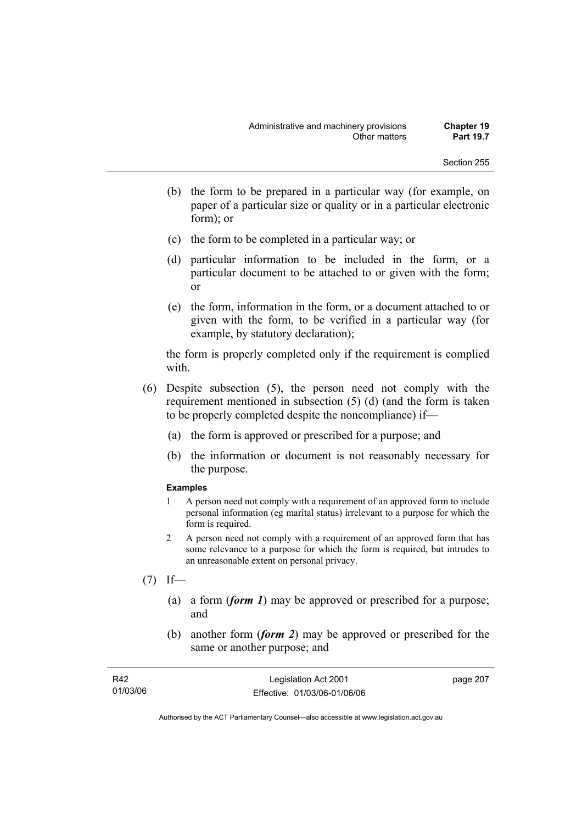- (b) the form to be prepared in a particular way (for example, on paper of a particular size or quality or in a particular electronic form); or
- (c) the form to be completed in a particular way; or
- (d) particular information to be included in the form, or a particular document to be attached to or given with the form; or
- (e) the form, information in the form, or a document attached to or given with the form, to be verified in a particular way (for example, by statutory declaration);

the form is properly completed only if the requirement is complied with.

- (6) Despite subsection (5), the person need not comply with the requirement mentioned in subsection (5) (d) (and the form is taken to be properly completed despite the noncompliance) if—
	- (a) the form is approved or prescribed for a purpose; and
	- (b) the information or document is not reasonably necessary for the purpose.

#### **Examples**

- 1 A person need not comply with a requirement of an approved form to include personal information (eg marital status) irrelevant to a purpose for which the form is required.
- 2 A person need not comply with a requirement of an approved form that has some relevance to a purpose for which the form is required, but intrudes to an unreasonable extent on personal privacy.
- $(7)$  If—
	- (a) a form (*form 1*) may be approved or prescribed for a purpose; and
	- (b) another form (*form 2*) may be approved or prescribed for the same or another purpose; and

| R42      | Legislation Act 2001         | page 207 |
|----------|------------------------------|----------|
| 01/03/06 | Effective: 01/03/06-01/06/06 |          |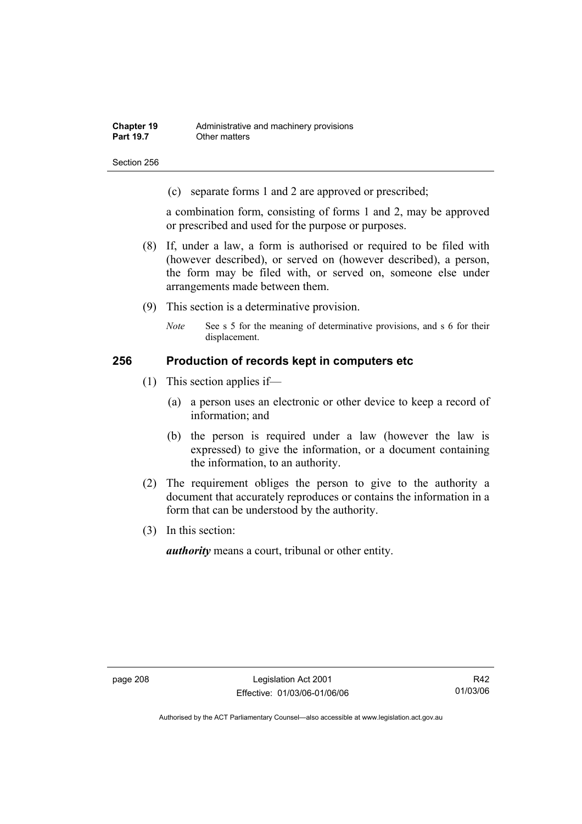Section 256

(c) separate forms 1 and 2 are approved or prescribed;

a combination form, consisting of forms 1 and 2, may be approved or prescribed and used for the purpose or purposes.

- (8) If, under a law, a form is authorised or required to be filed with (however described), or served on (however described), a person, the form may be filed with, or served on, someone else under arrangements made between them.
- (9) This section is a determinative provision.
	- *Note* See s 5 for the meaning of determinative provisions, and s 6 for their displacement.

#### **256 Production of records kept in computers etc**

- (1) This section applies if—
	- (a) a person uses an electronic or other device to keep a record of information; and
	- (b) the person is required under a law (however the law is expressed) to give the information, or a document containing the information, to an authority.
- (2) The requirement obliges the person to give to the authority a document that accurately reproduces or contains the information in a form that can be understood by the authority.
- (3) In this section:

*authority* means a court, tribunal or other entity.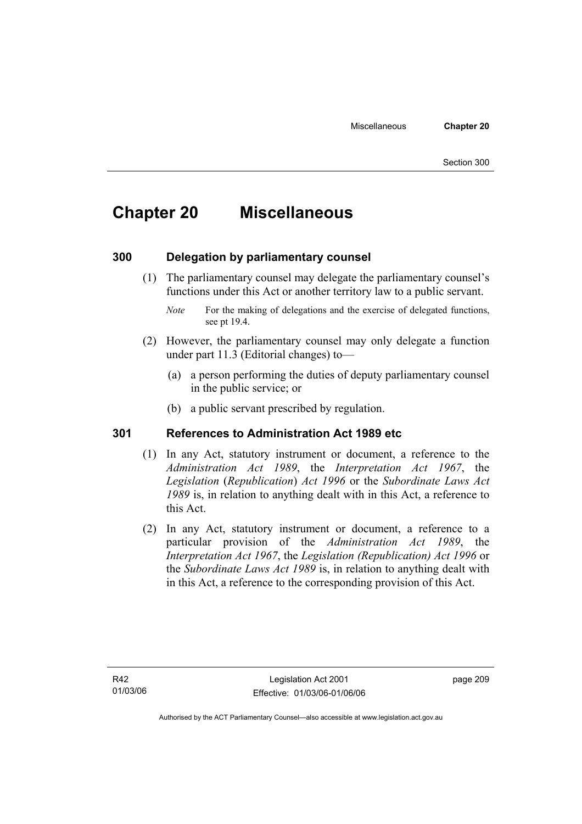# **Chapter 20 Miscellaneous**

## **300 Delegation by parliamentary counsel**

 (1) The parliamentary counsel may delegate the parliamentary counsel's functions under this Act or another territory law to a public servant.

- (2) However, the parliamentary counsel may only delegate a function under part 11.3 (Editorial changes) to—
	- (a) a person performing the duties of deputy parliamentary counsel in the public service; or
	- (b) a public servant prescribed by regulation.

### **301 References to Administration Act 1989 etc**

- (1) In any Act, statutory instrument or document, a reference to the *Administration Act 1989*, the *Interpretation Act 1967*, the *Legislation* (*Republication*) *Act 1996* or the *Subordinate Laws Act 1989* is, in relation to anything dealt with in this Act, a reference to this Act.
- (2) In any Act, statutory instrument or document, a reference to a particular provision of the *Administration Act 1989*, the *Interpretation Act 1967*, the *Legislation (Republication) Act 1996* or the *Subordinate Laws Act 1989* is, in relation to anything dealt with in this Act, a reference to the corresponding provision of this Act.

page 209

*Note* For the making of delegations and the exercise of delegated functions, see pt 19.4.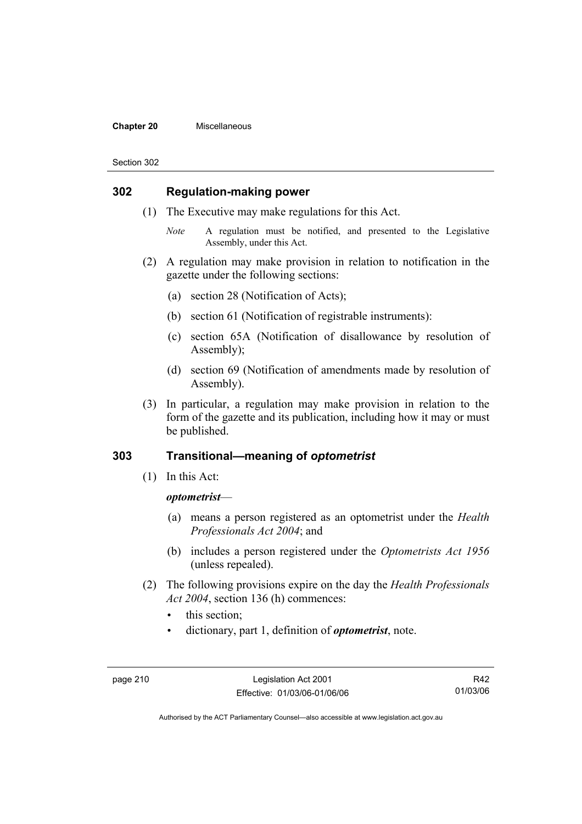#### **Chapter 20** Miscellaneous

#### Section 302

### **302 Regulation-making power**

- (1) The Executive may make regulations for this Act.
	- *Note* A regulation must be notified, and presented to the Legislative Assembly, under this Act.
- (2) A regulation may make provision in relation to notification in the gazette under the following sections:
	- (a) section 28 (Notification of Acts);
	- (b) section 61 (Notification of registrable instruments):
	- (c) section 65A (Notification of disallowance by resolution of Assembly);
	- (d) section 69 (Notification of amendments made by resolution of Assembly).
- (3) In particular, a regulation may make provision in relation to the form of the gazette and its publication, including how it may or must be published.

## **303 Transitional—meaning of** *optometrist*

(1) In this Act:

#### *optometrist*—

- (a) means a person registered as an optometrist under the *Health Professionals Act 2004*; and
- (b) includes a person registered under the *Optometrists Act 1956* (unless repealed).
- (2) The following provisions expire on the day the *Health Professionals Act 2004*, section 136 (h) commences:
	- this section:
	- dictionary, part 1, definition of *optometrist*, note.

R42 01/03/06

Authorised by the ACT Parliamentary Counsel—also accessible at www.legislation.act.gov.au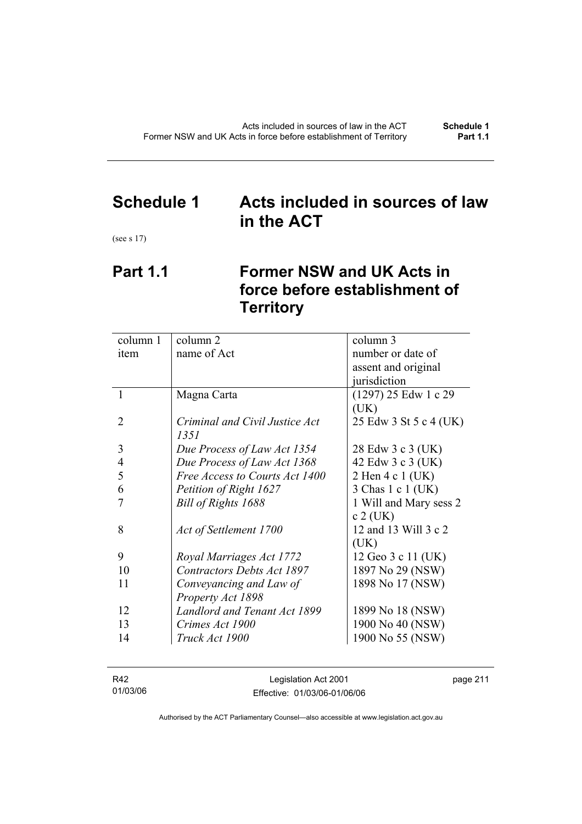# **Schedule 1 Acts included in sources of law in the ACT**

(see s 17)

# **Part 1.1 Former NSW and UK Acts in force before establishment of Territory**

| column 1 | column 2                          | column 3               |
|----------|-----------------------------------|------------------------|
| item     | name of Act                       | number or date of      |
|          |                                   | assent and original    |
|          |                                   | jurisdiction           |
| 1        | Magna Carta                       | $(1297)$ 25 Edw 1 c 29 |
|          |                                   | (UK)                   |
| 2        | Criminal and Civil Justice Act    | 25 Edw 3 St 5 c 4 (UK) |
|          | 1351                              |                        |
| 3        | Due Process of Law Act 1354       | 28 Edw 3 c 3 (UK)      |
| 4        | Due Process of Law Act 1368       | 42 Edw 3 c 3 (UK)      |
| 5        | Free Access to Courts Act 1400    | 2 Hen 4 c 1 (UK)       |
| 6        | Petition of Right 1627            | 3 Chas 1 c 1 (UK)      |
|          | Bill of Rights 1688               | 1 Will and Mary sess 2 |
|          |                                   | $c 2$ (UK)             |
| 8        | Act of Settlement 1700            | 12 and 13 Will 3 c 2   |
|          |                                   | (UK)                   |
| 9        | Royal Marriages Act 1772          | 12 Geo 3 c 11 (UK)     |
| 10       | <b>Contractors Debts Act 1897</b> | 1897 No 29 (NSW)       |
| 11       | Conveyancing and Law of           | 1898 No 17 (NSW)       |
|          | Property Act 1898                 |                        |
| 12       | Landlord and Tenant Act 1899      | 1899 No 18 (NSW)       |
| 13       | Crimes Act 1900                   | 1900 No 40 (NSW)       |
| 14       | Truck Act 1900                    | 1900 No 55 (NSW)       |
|          |                                   |                        |

| R42      | Legislation Act 2001         | page 211 |
|----------|------------------------------|----------|
| 01/03/06 | Effective: 01/03/06-01/06/06 |          |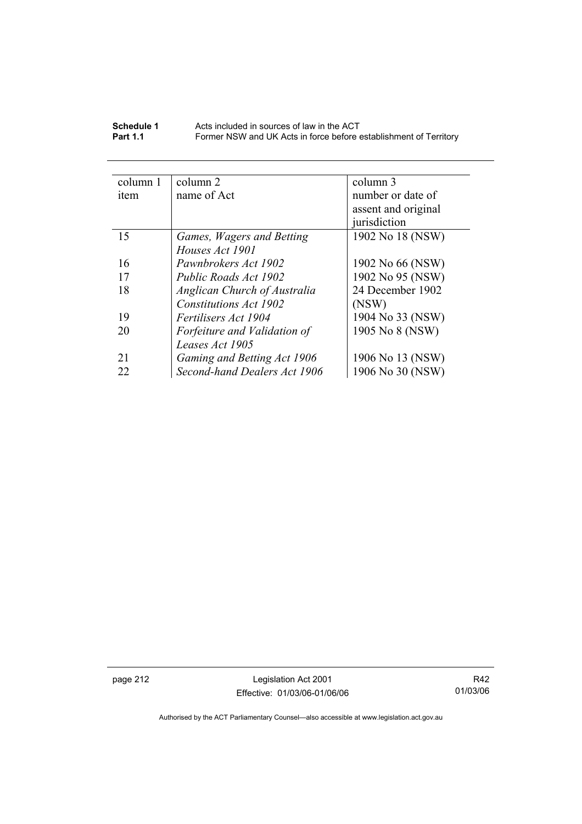| Schedule 1      | Acts included in sources of law in the ACT                        |
|-----------------|-------------------------------------------------------------------|
| <b>Part 1.1</b> | Former NSW and UK Acts in force before establishment of Territory |

| column 1 | column 2                     | column 3            |
|----------|------------------------------|---------------------|
| item     | name of Act                  | number or date of   |
|          |                              | assent and original |
|          |                              | jurisdiction        |
| 15       | Games, Wagers and Betting    | 1902 No 18 (NSW)    |
|          | Houses Act 1901              |                     |
| 16       | Pawnbrokers Act 1902         | 1902 No 66 (NSW)    |
| 17       | Public Roads Act 1902        | 1902 No 95 (NSW)    |
| 18       | Anglican Church of Australia | 24 December 1902    |
|          | Constitutions Act 1902       | (NSW)               |
| 19       | <i>Fertilisers Act 1904</i>  | 1904 No 33 (NSW)    |
| 20       | Forfeiture and Validation of | 1905 No 8 (NSW)     |
|          | Leases Act 1905              |                     |
| 21       | Gaming and Betting Act 1906  | 1906 No 13 (NSW)    |
| 22       | Second-hand Dealers Act 1906 | 1906 No 30 (NSW)    |
|          |                              |                     |

page 212 Legislation Act 2001 Effective: 01/03/06-01/06/06

R42 01/03/06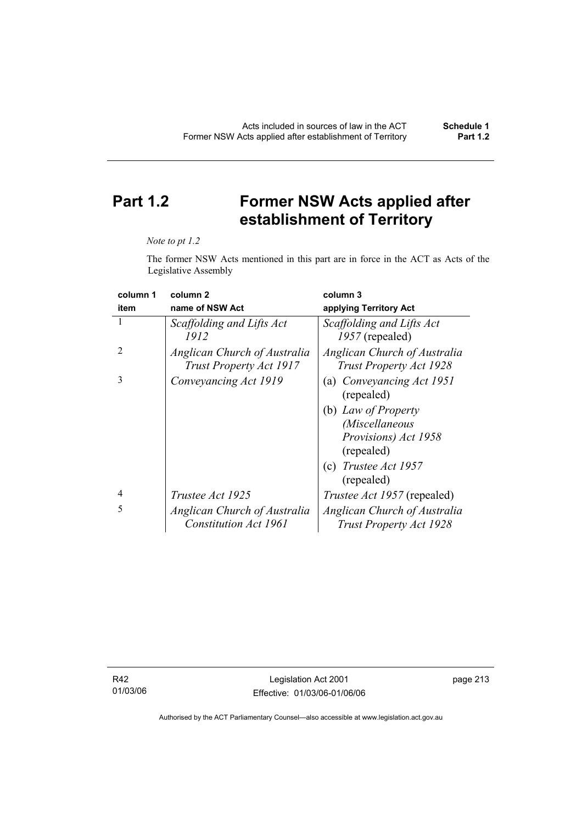# **Part 1.2 Former NSW Acts applied after establishment of Territory**

#### *Note to pt 1.2*

The former NSW Acts mentioned in this part are in force in the ACT as Acts of the Legislative Assembly

| column 1       | column <sub>2</sub>                                     | column 3                                                |
|----------------|---------------------------------------------------------|---------------------------------------------------------|
| item           | name of NSW Act                                         | applying Territory Act                                  |
| 1              | Scaffolding and Lifts Act<br>1912                       | Scaffolding and Lifts Act<br>1957 (repealed)            |
| $\mathfrak{D}$ | Anglican Church of Australia<br>Trust Property Act 1917 | Anglican Church of Australia<br>Trust Property Act 1928 |
| 3              | Conveyancing Act 1919                                   | (a) Conveyancing Act 1951<br>(repealed)                 |
|                |                                                         | (b) Law of Property                                     |
|                |                                                         | <i>(Miscellaneous</i>                                   |
|                |                                                         | Provisions) Act 1958<br>(repealed)                      |
|                |                                                         | (c) Trustee Act $1957$<br>(repealed)                    |
| 4              | <i>Trustee Act 1925</i>                                 | <i>Trustee Act 1957</i> (repealed)                      |
| 5              | Anglican Church of Australia                            | Anglican Church of Australia                            |
|                | <b>Constitution Act 1961</b>                            | Trust Property Act 1928                                 |

R42 01/03/06 page 213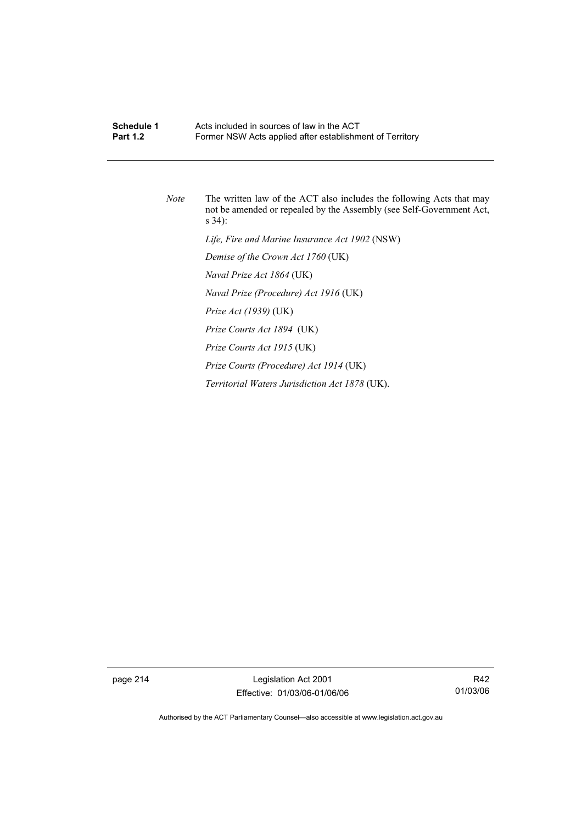## **Schedule 1 Acts included in sources of law in the ACT**<br>**Part 1.2 Example 5 Former NSW Acts annied after establishm** Former NSW Acts applied after establishment of Territory

*Note* The written law of the ACT also includes the following Acts that may not be amended or repealed by the Assembly (see Self-Government Act, s 34):  *Life, Fire and Marine Insurance Act 1902* (NSW)  *Demise of the Crown Act 1760* (UK)  *Naval Prize Act 1864* (UK)  *Naval Prize (Procedure) Act 1916* (UK)  *Prize Act (1939)* (UK)  *Prize Courts Act 1894* (UK)  *Prize Courts Act 1915* (UK)  *Prize Courts (Procedure) Act 1914* (UK)  *Territorial Waters Jurisdiction Act 1878* (UK).

page 214 Legislation Act 2001 Effective: 01/03/06-01/06/06

R42 01/03/06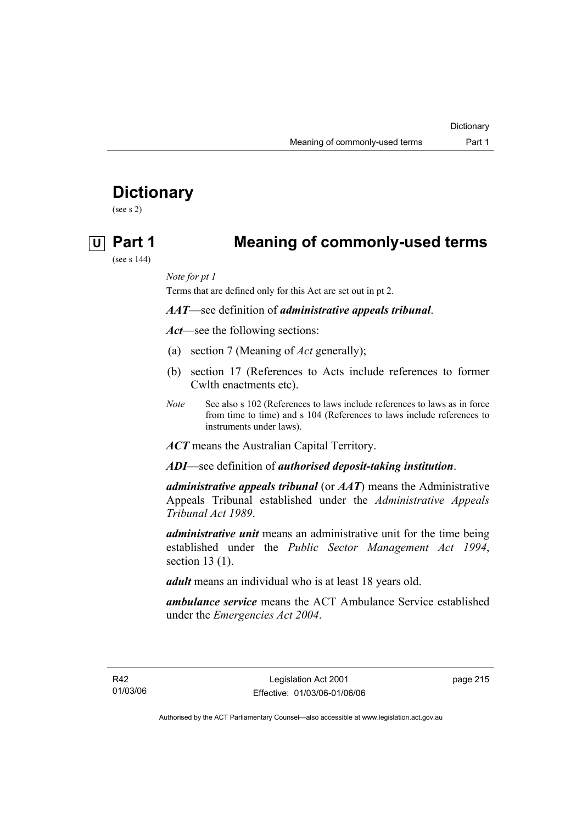# **Dictionary**

(see s 2)

# **U Part 1 Meaning of commonly-used terms**

(see s 144)

*Note for pt 1* 

Terms that are defined only for this Act are set out in pt 2.

*AAT*—see definition of *administrative appeals tribunal*.

*Act*—see the following sections:

- (a) section 7 (Meaning of *Act* generally);
- (b) section 17 (References to Acts include references to former Cwlth enactments etc).
- *Note* See also s 102 (References to laws include references to laws as in force from time to time) and s 104 (References to laws include references to instruments under laws).

*ACT* means the Australian Capital Territory.

*ADI*—see definition of *authorised deposit-taking institution*.

*administrative appeals tribunal* (or *AAT*) means the Administrative Appeals Tribunal established under the *Administrative Appeals Tribunal Act 1989*.

*administrative unit* means an administrative unit for the time being established under the *Public Sector Management Act 1994*, section 13 (1).

*adult* means an individual who is at least 18 years old.

*ambulance service* means the ACT Ambulance Service established under the *Emergencies Act 2004*.

page 215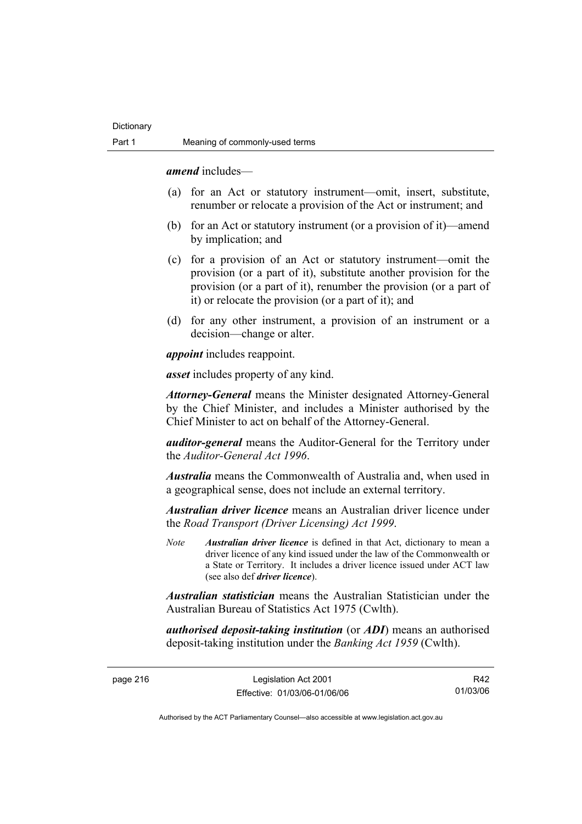*amend* includes—

- (a) for an Act or statutory instrument—omit, insert, substitute, renumber or relocate a provision of the Act or instrument; and
- (b) for an Act or statutory instrument (or a provision of it)—amend by implication; and
- (c) for a provision of an Act or statutory instrument—omit the provision (or a part of it), substitute another provision for the provision (or a part of it), renumber the provision (or a part of it) or relocate the provision (or a part of it); and
- (d) for any other instrument, a provision of an instrument or a decision—change or alter.

*appoint* includes reappoint.

*asset* includes property of any kind.

*Attorney-General* means the Minister designated Attorney-General by the Chief Minister, and includes a Minister authorised by the Chief Minister to act on behalf of the Attorney-General.

*auditor-general* means the Auditor-General for the Territory under the *Auditor-General Act 1996*.

*Australia* means the Commonwealth of Australia and, when used in a geographical sense, does not include an external territory.

*Australian driver licence* means an Australian driver licence under the *Road Transport (Driver Licensing) Act 1999*.

*Note Australian driver licence* is defined in that Act, dictionary to mean a driver licence of any kind issued under the law of the Commonwealth or a State or Territory. It includes a driver licence issued under ACT law (see also def *driver licence*).

*Australian statistician* means the Australian Statistician under the Australian Bureau of Statistics Act 1975 (Cwlth).

*authorised deposit-taking institution* (or *ADI*) means an authorised deposit-taking institution under the *Banking Act 1959* (Cwlth).

page 216 Legislation Act 2001 Effective: 01/03/06-01/06/06

R42 01/03/06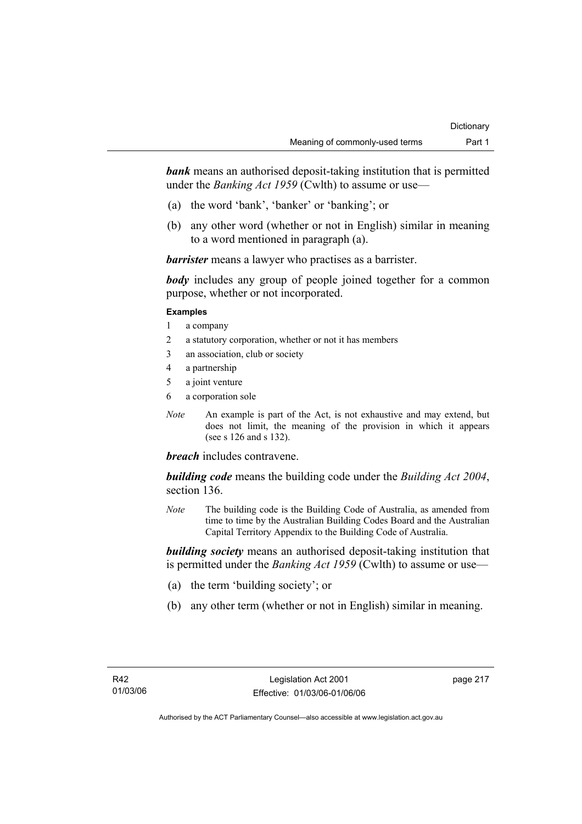**bank** means an authorised deposit-taking institution that is permitted under the *Banking Act 1959* (Cwlth) to assume or use—

- (a) the word 'bank', 'banker' or 'banking'; or
- (b) any other word (whether or not in English) similar in meaning to a word mentioned in paragraph (a).

*barrister* means a lawyer who practises as a barrister.

*body* includes any group of people joined together for a common purpose, whether or not incorporated.

#### **Examples**

- 1 a company
- 2 a statutory corporation, whether or not it has members
- 3 an association, club or society
- 4 a partnership
- 5 a joint venture
- 6 a corporation sole
- *Note* An example is part of the Act, is not exhaustive and may extend, but does not limit, the meaning of the provision in which it appears (see s 126 and s 132).

### *breach* includes contravene.

*building code* means the building code under the *Building Act 2004*, section 136.

*Note* The building code is the Building Code of Australia, as amended from time to time by the Australian Building Codes Board and the Australian Capital Territory Appendix to the Building Code of Australia.

*building society* means an authorised deposit-taking institution that is permitted under the *Banking Act 1959* (Cwlth) to assume or use—

- (a) the term 'building society'; or
- (b) any other term (whether or not in English) similar in meaning.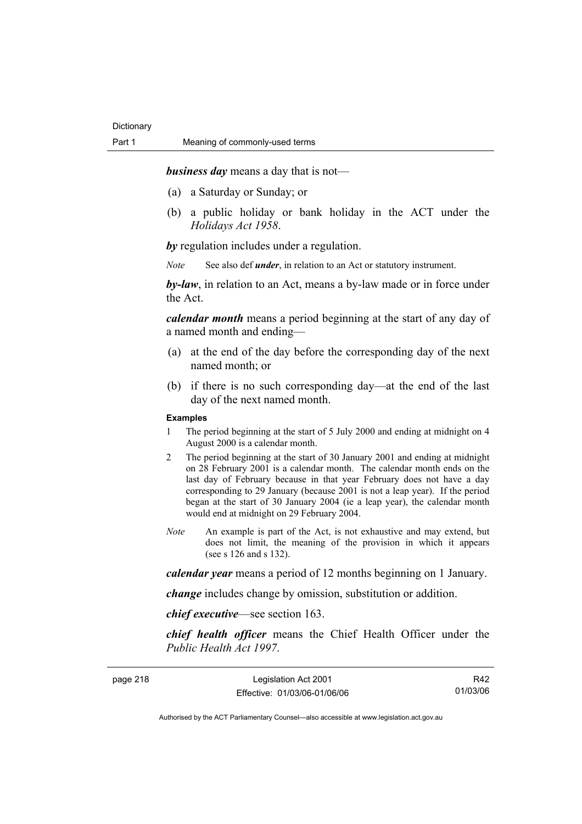*business day* means a day that is not—

- (a) a Saturday or Sunday; or
- (b) a public holiday or bank holiday in the ACT under the *Holidays Act 1958*.

*by* regulation includes under a regulation.

*Note* See also def *under*, in relation to an Act or statutory instrument.

*by-law*, in relation to an Act, means a by-law made or in force under the Act.

*calendar month* means a period beginning at the start of any day of a named month and ending—

- (a) at the end of the day before the corresponding day of the next named month; or
- (b) if there is no such corresponding day—at the end of the last day of the next named month.

#### **Examples**

- 1 The period beginning at the start of 5 July 2000 and ending at midnight on 4 August 2000 is a calendar month.
- 2 The period beginning at the start of 30 January 2001 and ending at midnight on 28 February 2001 is a calendar month. The calendar month ends on the last day of February because in that year February does not have a day corresponding to 29 January (because 2001 is not a leap year). If the period began at the start of 30 January 2004 (ie a leap year), the calendar month would end at midnight on 29 February 2004.
- *Note* An example is part of the Act, is not exhaustive and may extend, but does not limit, the meaning of the provision in which it appears (see s 126 and s 132).

*calendar year* means a period of 12 months beginning on 1 January.

*change* includes change by omission, substitution or addition.

*chief executive*—see section 163.

*chief health officer* means the Chief Health Officer under the *Public Health Act 1997*.

| page 218 |  |
|----------|--|
|----------|--|

page 218 Legislation Act 2001 Effective: 01/03/06-01/06/06

R42 01/03/06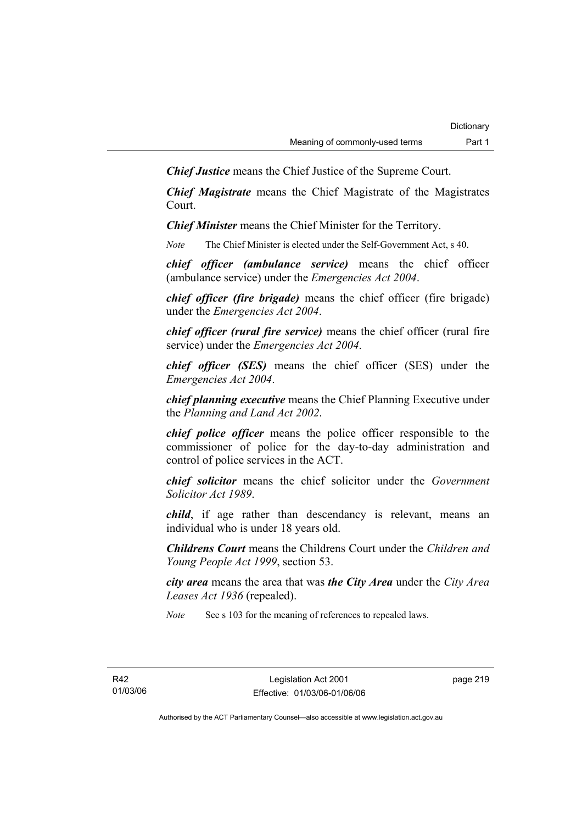*Chief Justice* means the Chief Justice of the Supreme Court.

*Chief Magistrate* means the Chief Magistrate of the Magistrates Court.

*Chief Minister* means the Chief Minister for the Territory.

*Note* The Chief Minister is elected under the Self-Government Act, s 40.

*chief officer (ambulance service)* means the chief officer (ambulance service) under the *Emergencies Act 2004*.

*chief officer (fire brigade)* means the chief officer (fire brigade) under the *Emergencies Act 2004*.

*chief officer (rural fire service)* means the chief officer (rural fire service) under the *Emergencies Act 2004*.

*chief officer (SES)* means the chief officer (SES) under the *Emergencies Act 2004*.

*chief planning executive* means the Chief Planning Executive under the *Planning and Land Act 2002*.

*chief police officer* means the police officer responsible to the commissioner of police for the day-to-day administration and control of police services in the ACT.

*chief solicitor* means the chief solicitor under the *Government Solicitor Act 1989*.

*child*, if age rather than descendancy is relevant, means an individual who is under 18 years old.

*Childrens Court* means the Childrens Court under the *Children and Young People Act 1999*, section 53.

*city area* means the area that was *the City Area* under the *City Area Leases Act 1936* (repealed).

*Note* See s 103 for the meaning of references to repealed laws.

R42 01/03/06 page 219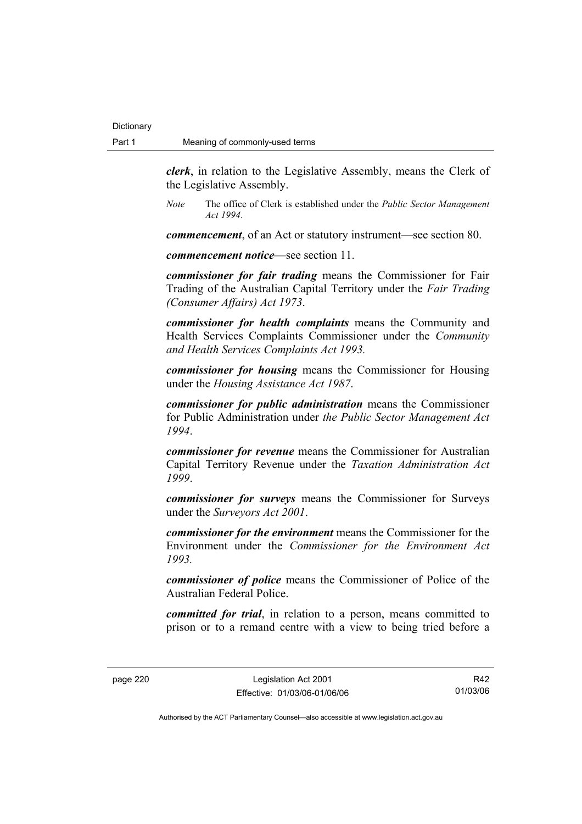*clerk*, in relation to the Legislative Assembly, means the Clerk of the Legislative Assembly.

*Note* The office of Clerk is established under the *Public Sector Management Act 1994*.

*commencement*, of an Act or statutory instrument—see section 80.

*commencement notice*—see section 11.

*commissioner for fair trading* means the Commissioner for Fair Trading of the Australian Capital Territory under the *Fair Trading (Consumer Affairs) Act 1973*.

*commissioner for health complaints* means the Community and Health Services Complaints Commissioner under the *Community and Health Services Complaints Act 1993.* 

*commissioner for housing* means the Commissioner for Housing under the *Housing Assistance Act 1987*.

*commissioner for public administration* means the Commissioner for Public Administration under *the Public Sector Management Act 1994*.

*commissioner for revenue* means the Commissioner for Australian Capital Territory Revenue under the *Taxation Administration Act 1999*.

*commissioner for surveys* means the Commissioner for Surveys under the *Surveyors Act 2001*.

*commissioner for the environment* means the Commissioner for the Environment under the *Commissioner for the Environment Act 1993.* 

*commissioner of police* means the Commissioner of Police of the Australian Federal Police.

*committed for trial*, in relation to a person, means committed to prison or to a remand centre with a view to being tried before a

page 220 Legislation Act 2001 Effective: 01/03/06-01/06/06

R42 01/03/06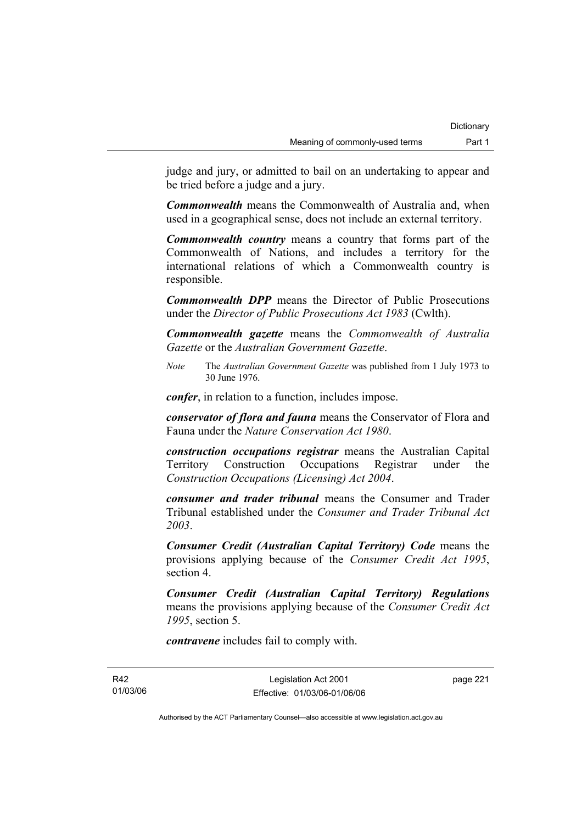judge and jury, or admitted to bail on an undertaking to appear and be tried before a judge and a jury.

*Commonwealth* means the Commonwealth of Australia and, when used in a geographical sense, does not include an external territory.

*Commonwealth country* means a country that forms part of the Commonwealth of Nations, and includes a territory for the international relations of which a Commonwealth country is responsible.

*Commonwealth DPP* means the Director of Public Prosecutions under the *Director of Public Prosecutions Act 1983* (Cwlth).

*Commonwealth gazette* means the *Commonwealth of Australia Gazette* or the *Australian Government Gazette*.

*Note* The *Australian Government Gazette* was published from 1 July 1973 to 30 June 1976.

*confer*, in relation to a function, includes impose.

*conservator of flora and fauna* means the Conservator of Flora and Fauna under the *Nature Conservation Act 1980*.

*construction occupations registrar* means the Australian Capital Territory Construction Occupations Registrar under the *Construction Occupations (Licensing) Act 2004*.

*consumer and trader tribunal* means the Consumer and Trader Tribunal established under the *Consumer and Trader Tribunal Act 2003*.

*Consumer Credit (Australian Capital Territory) Code* means the provisions applying because of the *Consumer Credit Act 1995*, section 4.

*Consumer Credit (Australian Capital Territory) Regulations* means the provisions applying because of the *Consumer Credit Act 1995*, section 5.

*contravene* includes fail to comply with.

R42 01/03/06

Legislation Act 2001 Effective: 01/03/06-01/06/06 page 221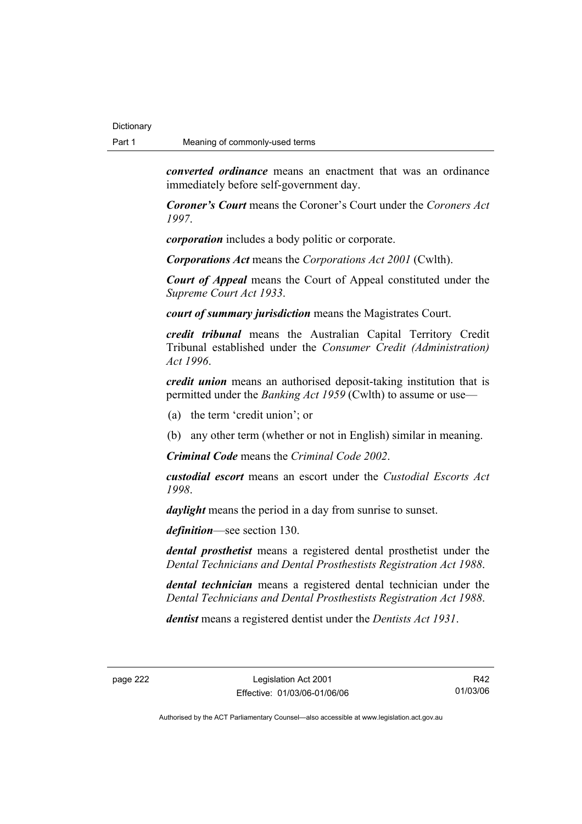*converted ordinance* means an enactment that was an ordinance immediately before self-government day.

*Coroner's Court* means the Coroner's Court under the *Coroners Act 1997*.

*corporation* includes a body politic or corporate.

*Corporations Act* means the *Corporations Act 2001* (Cwlth).

*Court of Appeal* means the Court of Appeal constituted under the *Supreme Court Act 1933*.

*court of summary jurisdiction* means the Magistrates Court.

*credit tribunal* means the Australian Capital Territory Credit Tribunal established under the *Consumer Credit (Administration) Act 1996*.

*credit union* means an authorised deposit-taking institution that is permitted under the *Banking Act 1959* (Cwlth) to assume or use—

- (a) the term 'credit union'; or
- (b) any other term (whether or not in English) similar in meaning.

*Criminal Code* means the *Criminal Code 2002*.

*custodial escort* means an escort under the *Custodial Escorts Act 1998*.

*daylight* means the period in a day from sunrise to sunset.

*definition*—see section 130.

*dental prosthetist* means a registered dental prosthetist under the *Dental Technicians and Dental Prosthestists Registration Act 1988*.

*dental technician* means a registered dental technician under the *Dental Technicians and Dental Prosthestists Registration Act 1988*.

*dentist* means a registered dentist under the *Dentists Act 1931*.

R42 01/03/06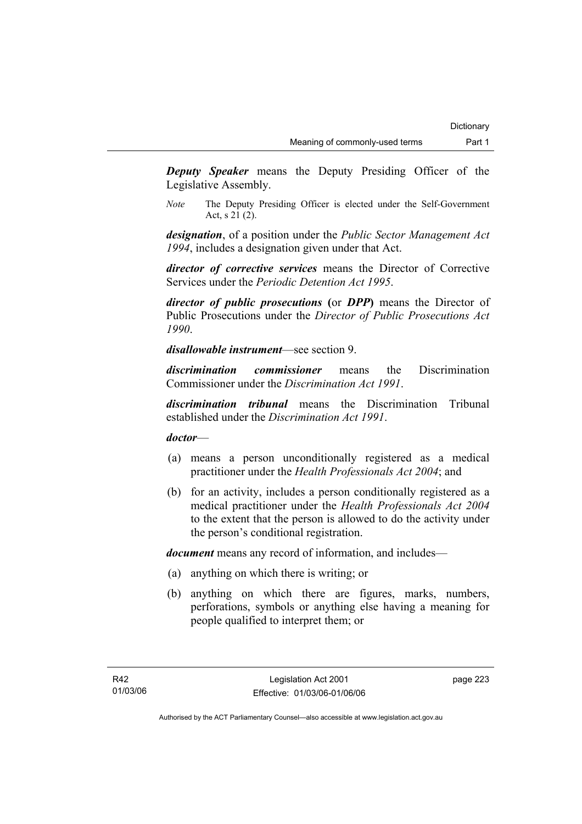*Deputy Speaker* means the Deputy Presiding Officer of the Legislative Assembly.

*Note* The Deputy Presiding Officer is elected under the Self-Government Act, s 21 (2).

*designation*, of a position under the *Public Sector Management Act 1994*, includes a designation given under that Act.

*director of corrective services* means the Director of Corrective Services under the *Periodic Detention Act 1995*.

*director of public prosecutions* **(**or *DPP***)** means the Director of Public Prosecutions under the *Director of Public Prosecutions Act 1990*.

*disallowable instrument*—see section 9.

*discrimination commissioner* means the Discrimination Commissioner under the *Discrimination Act 1991*.

*discrimination tribunal* means the Discrimination Tribunal established under the *Discrimination Act 1991*.

#### *doctor*—

- (a) means a person unconditionally registered as a medical practitioner under the *Health Professionals Act 2004*; and
- (b) for an activity, includes a person conditionally registered as a medical practitioner under the *Health Professionals Act 2004*  to the extent that the person is allowed to do the activity under the person's conditional registration.

*document* means any record of information, and includes—

- (a) anything on which there is writing; or
- (b) anything on which there are figures, marks, numbers, perforations, symbols or anything else having a meaning for people qualified to interpret them; or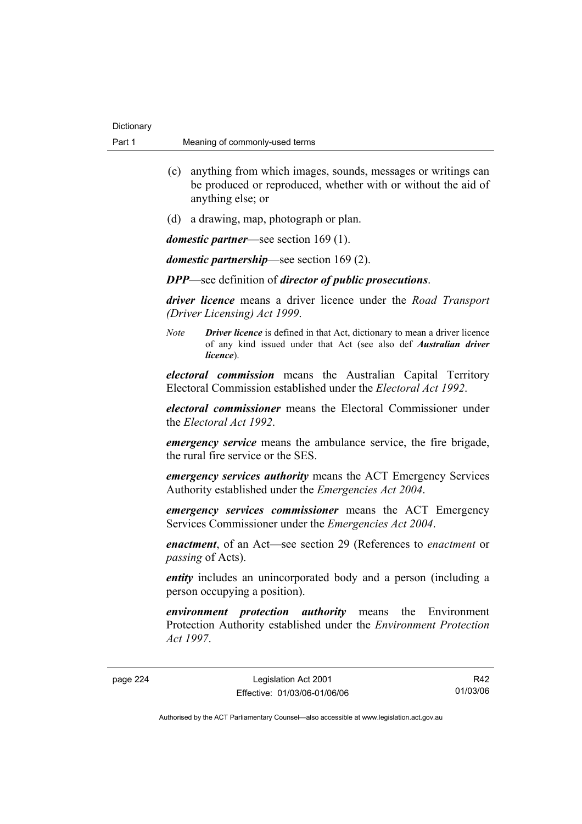- (c) anything from which images, sounds, messages or writings can be produced or reproduced, whether with or without the aid of anything else; or
- (d) a drawing, map, photograph or plan.

*domestic partner*—see section 169 (1).

*domestic partnership*—see section 169 (2).

*DPP*—see definition of *director of public prosecutions*.

*driver licence* means a driver licence under the *Road Transport (Driver Licensing) Act 1999*.

*Note Driver licence* is defined in that Act, dictionary to mean a driver licence of any kind issued under that Act (see also def *Australian driver licence*).

*electoral commission* means the Australian Capital Territory Electoral Commission established under the *Electoral Act 1992*.

*electoral commissioner* means the Electoral Commissioner under the *Electoral Act 1992*.

*emergency service* means the ambulance service, the fire brigade, the rural fire service or the SES.

*emergency services authority* means the ACT Emergency Services Authority established under the *Emergencies Act 2004*.

*emergency services commissioner* means the ACT Emergency Services Commissioner under the *Emergencies Act 2004*.

*enactment*, of an Act—see section 29 (References to *enactment* or *passing* of Acts).

*entity* includes an unincorporated body and a person (including a person occupying a position).

*environment protection authority* means the Environment Protection Authority established under the *Environment Protection Act 1997*.

page 224 Legislation Act 2001 Effective: 01/03/06-01/06/06

R42 01/03/06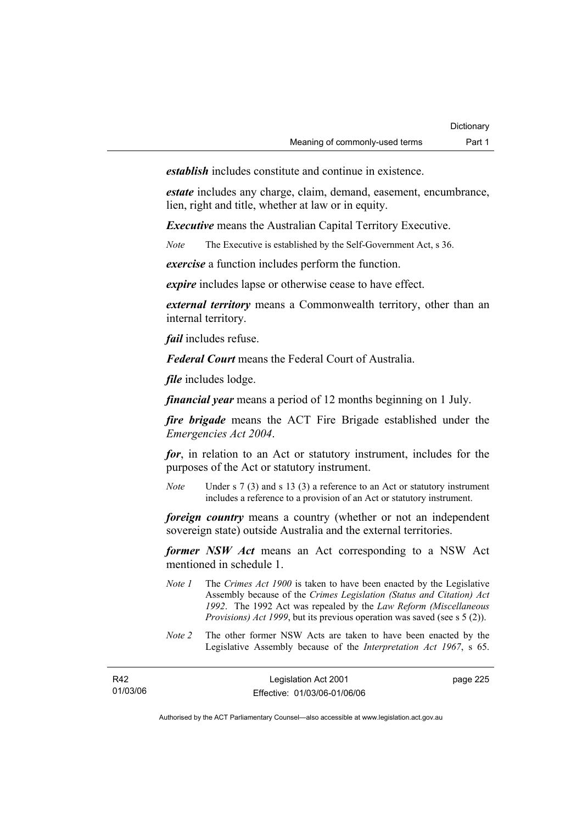*establish* includes constitute and continue in existence.

*estate* includes any charge, claim, demand, easement, encumbrance, lien, right and title, whether at law or in equity.

*Executive* means the Australian Capital Territory Executive.

*Note* The Executive is established by the Self-Government Act, s 36.

*exercise* a function includes perform the function.

*expire* includes lapse or otherwise cease to have effect.

*external territory* means a Commonwealth territory, other than an internal territory.

*fail* includes refuse.

*Federal Court* means the Federal Court of Australia.

*file* includes lodge.

*financial year* means a period of 12 months beginning on 1 July.

*fire brigade* means the ACT Fire Brigade established under the *Emergencies Act 2004*.

*for*, in relation to an Act or statutory instrument, includes for the purposes of the Act or statutory instrument.

*Note* Under s 7 (3) and s 13 (3) a reference to an Act or statutory instrument includes a reference to a provision of an Act or statutory instrument.

*foreign country* means a country (whether or not an independent sovereign state) outside Australia and the external territories.

*former NSW Act* means an Act corresponding to a NSW Act mentioned in schedule 1.

- *Note 1* The *Crimes Act 1900* is taken to have been enacted by the Legislative Assembly because of the *Crimes Legislation (Status and Citation) Act 1992*. The 1992 Act was repealed by the *Law Reform (Miscellaneous Provisions) Act 1999*, but its previous operation was saved (see s 5 (2)).
- *Note 2* The other former NSW Acts are taken to have been enacted by the Legislative Assembly because of the *Interpretation Act 1967*, s 65.

| R42      | Legislation Act 2001         | page 225 |
|----------|------------------------------|----------|
| 01/03/06 | Effective: 01/03/06-01/06/06 |          |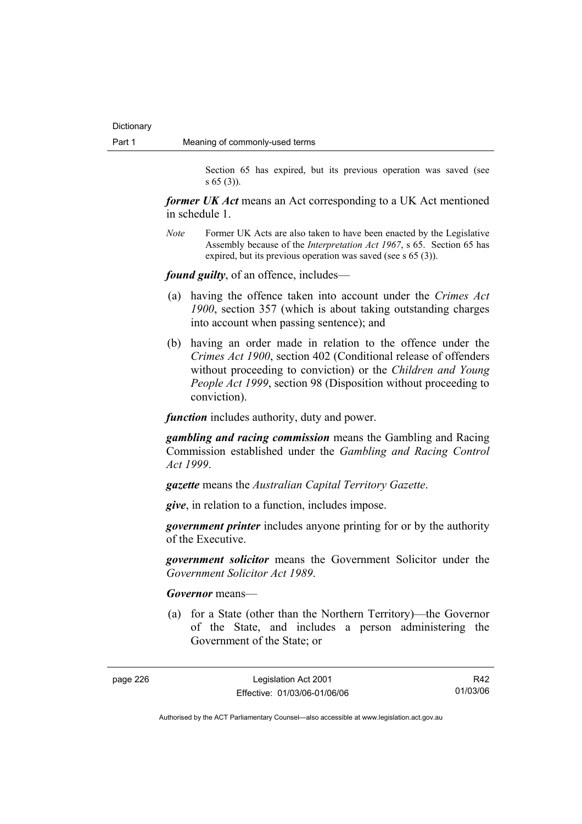Section 65 has expired, but its previous operation was saved (see s 65 (3)).

*former UK Act* means an Act corresponding to a UK Act mentioned in schedule 1.

*Note* Former UK Acts are also taken to have been enacted by the Legislative Assembly because of the *Interpretation Act 1967*, s 65. Section 65 has expired, but its previous operation was saved (see s 65 (3)).

*found guilty*, of an offence, includes—

- (a) having the offence taken into account under the *Crimes Act 1900*, section 357 (which is about taking outstanding charges into account when passing sentence); and
- (b) having an order made in relation to the offence under the *Crimes Act 1900*, section 402 (Conditional release of offenders without proceeding to conviction) or the *Children and Young People Act 1999*, section 98 (Disposition without proceeding to conviction).

*function* includes authority, duty and power.

*gambling and racing commission* means the Gambling and Racing Commission established under the *Gambling and Racing Control Act 1999*.

*gazette* means the *Australian Capital Territory Gazette*.

*give*, in relation to a function, includes impose.

*government printer* includes anyone printing for or by the authority of the Executive.

*government solicitor* means the Government Solicitor under the *Government Solicitor Act 1989*.

*Governor* means—

 (a) for a State (other than the Northern Territory)—the Governor of the State, and includes a person administering the Government of the State; or

R42 01/03/06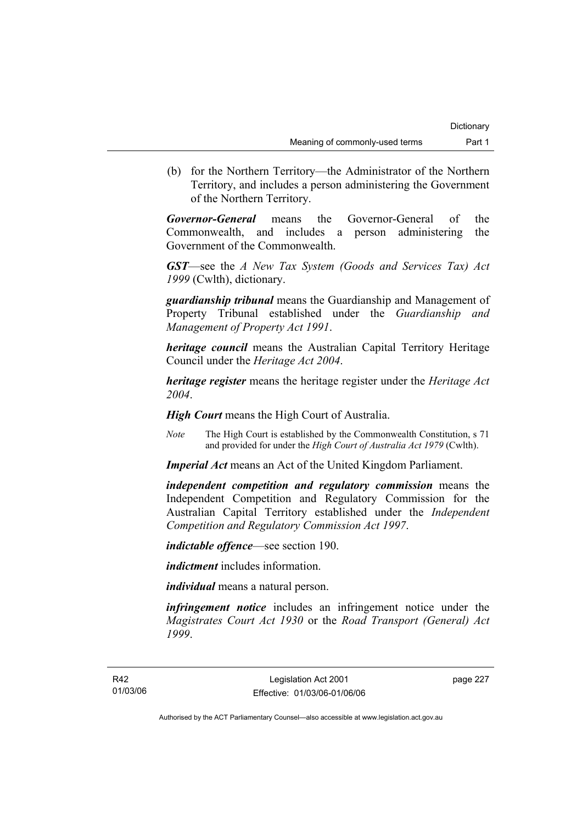(b) for the Northern Territory—the Administrator of the Northern Territory, and includes a person administering the Government of the Northern Territory.

*Governor-General* means the Governor-General of the Commonwealth, and includes a person administering the Government of the Commonwealth.

*GST*—see the *A New Tax System (Goods and Services Tax) Act 1999* (Cwlth), dictionary.

*guardianship tribunal* means the Guardianship and Management of Property Tribunal established under the *Guardianship and Management of Property Act 1991*.

*heritage council* means the Australian Capital Territory Heritage Council under the *Heritage Act 2004*.

*heritage register* means the heritage register under the *Heritage Act 2004*.

*High Court* means the High Court of Australia.

*Note* The High Court is established by the Commonwealth Constitution, s 71 and provided for under the *High Court of Australia Act 1979* (Cwlth).

*Imperial Act* means an Act of the United Kingdom Parliament.

*independent competition and regulatory commission* means the Independent Competition and Regulatory Commission for the Australian Capital Territory established under the *Independent Competition and Regulatory Commission Act 1997*.

*indictable offence*—see section 190.

*indictment* includes information.

*individual* means a natural person.

*infringement notice* includes an infringement notice under the *Magistrates Court Act 1930* or the *Road Transport (General) Act 1999*.

page 227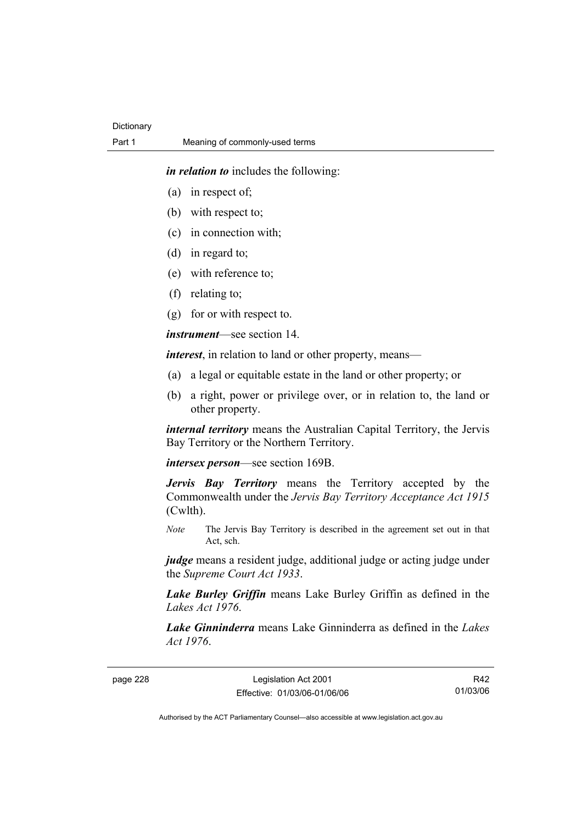*in relation to* includes the following:

- (a) in respect of;
- (b) with respect to;
- (c) in connection with;
- (d) in regard to;
- (e) with reference to;
- (f) relating to;
- (g) for or with respect to.

*instrument*—see section 14.

*interest*, in relation to land or other property, means—

- (a) a legal or equitable estate in the land or other property; or
- (b) a right, power or privilege over, or in relation to, the land or other property.

*internal territory* means the Australian Capital Territory, the Jervis Bay Territory or the Northern Territory.

*intersex person*—see section 169B.

*Jervis Bay Territory* means the Territory accepted by the Commonwealth under the *Jervis Bay Territory Acceptance Act 1915* (Cwlth).

*Note* The Jervis Bay Territory is described in the agreement set out in that Act, sch.

judge means a resident judge, additional judge or acting judge under the *Supreme Court Act 1933*.

*Lake Burley Griffin* means Lake Burley Griffin as defined in the *Lakes Act 1976*.

*Lake Ginninderra* means Lake Ginninderra as defined in the *Lakes Act 1976*.

page 228 Legislation Act 2001 Effective: 01/03/06-01/06/06

R42 01/03/06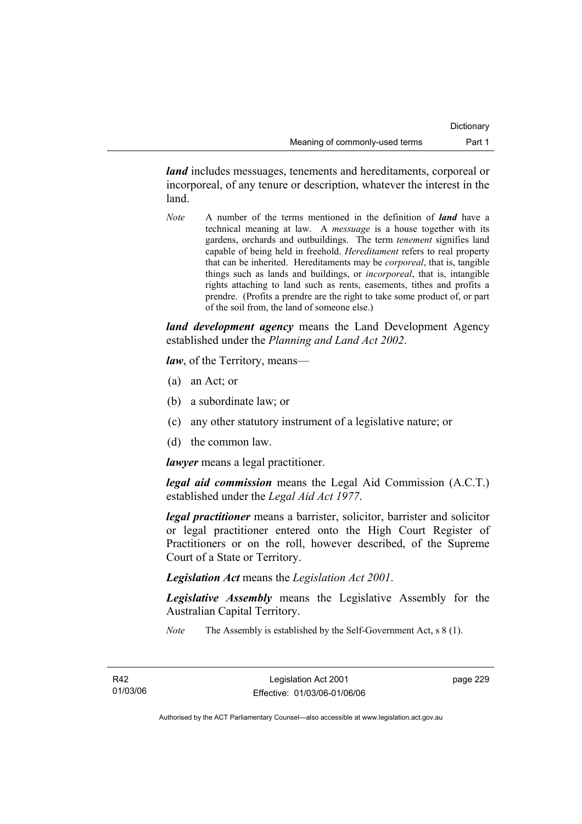*land* includes messuages, tenements and hereditaments, corporeal or incorporeal, of any tenure or description, whatever the interest in the land.

*Note* A number of the terms mentioned in the definition of *land* have a technical meaning at law. A *messuage* is a house together with its gardens, orchards and outbuildings. The term *tenement* signifies land capable of being held in freehold. *Hereditament* refers to real property that can be inherited. Hereditaments may be *corporeal*, that is, tangible things such as lands and buildings, or *incorporeal*, that is, intangible rights attaching to land such as rents, easements, tithes and profits a prendre. (Profits a prendre are the right to take some product of, or part of the soil from, the land of someone else.)

*land development agency* means the Land Development Agency established under the *Planning and Land Act 2002*.

*law*, of the Territory, means—

- (a) an Act; or
- (b) a subordinate law; or
- (c) any other statutory instrument of a legislative nature; or
- (d) the common law.

*lawyer* means a legal practitioner.

*legal aid commission* means the Legal Aid Commission (A.C.T.) established under the *Legal Aid Act 1977*.

*legal practitioner* means a barrister, solicitor, barrister and solicitor or legal practitioner entered onto the High Court Register of Practitioners or on the roll, however described, of the Supreme Court of a State or Territory.

*Legislation Act* means the *Legislation Act 2001*.

*Legislative Assembly* means the Legislative Assembly for the Australian Capital Territory.

*Note* The Assembly is established by the Self-Government Act, s 8 (1).

page 229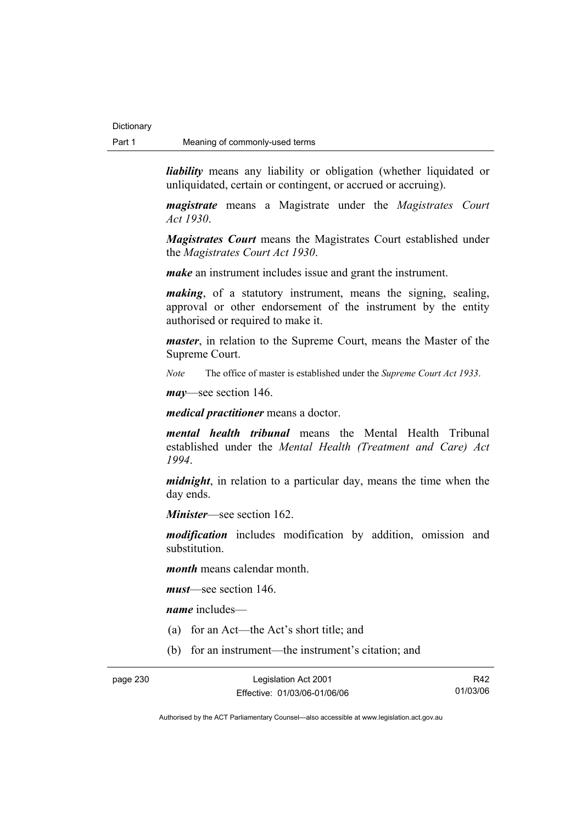*liability* means any liability or obligation (whether liquidated or unliquidated, certain or contingent, or accrued or accruing).

*magistrate* means a Magistrate under the *Magistrates Court Act 1930*.

*Magistrates Court* means the Magistrates Court established under the *Magistrates Court Act 1930*.

*make* an instrument includes issue and grant the instrument.

*making*, of a statutory instrument, means the signing, sealing, approval or other endorsement of the instrument by the entity authorised or required to make it.

*master*, in relation to the Supreme Court, means the Master of the Supreme Court.

*Note* The office of master is established under the *Supreme Court Act 1933*.

*may*—see section 146.

*medical practitioner* means a doctor.

*mental health tribunal* means the Mental Health Tribunal established under the *Mental Health (Treatment and Care) Act 1994*.

*midnight*, in relation to a particular day, means the time when the day ends.

*Minister*—see section 162.

*modification* includes modification by addition, omission and substitution.

*month* means calendar month.

*must*—see section 146.

*name* includes—

- (a) for an Act—the Act's short title; and
- (b) for an instrument—the instrument's citation; and

R42 01/03/06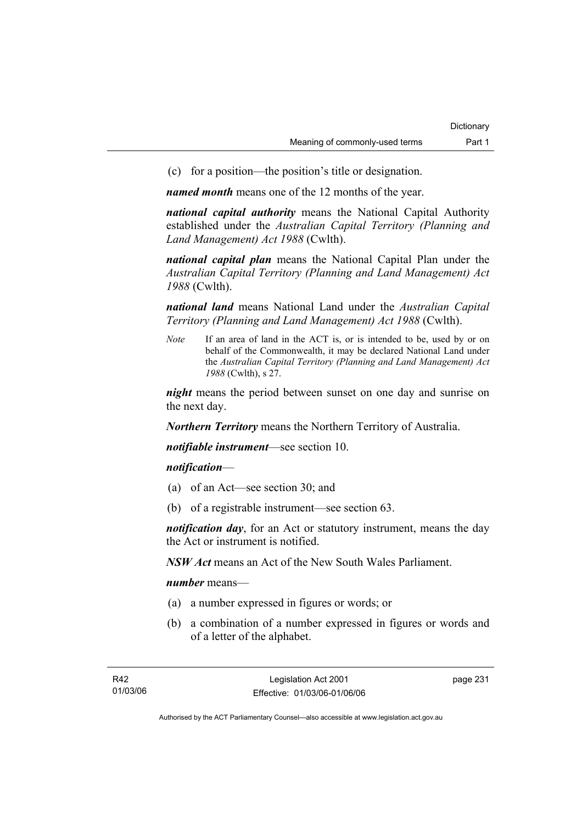(c) for a position—the position's title or designation.

*named month* means one of the 12 months of the year.

*national capital authority* means the National Capital Authority established under the *Australian Capital Territory (Planning and Land Management) Act 1988* (Cwlth).

*national capital plan* means the National Capital Plan under the *Australian Capital Territory (Planning and Land Management) Act 1988* (Cwlth).

*national land* means National Land under the *Australian Capital Territory (Planning and Land Management) Act 1988* (Cwlth).

*Note* If an area of land in the ACT is, or is intended to be, used by or on behalf of the Commonwealth, it may be declared National Land under the *Australian Capital Territory (Planning and Land Management) Act 1988* (Cwlth), s 27.

*night* means the period between sunset on one day and sunrise on the next day.

*Northern Territory* means the Northern Territory of Australia.

*notifiable instrument*—see section 10.

*notification*—

- (a) of an Act—see section 30; and
- (b) of a registrable instrument—see section 63.

*notification day*, for an Act or statutory instrument, means the day the Act or instrument is notified.

*NSW Act* means an Act of the New South Wales Parliament.

*number* means—

- (a) a number expressed in figures or words; or
- (b) a combination of a number expressed in figures or words and of a letter of the alphabet.

page 231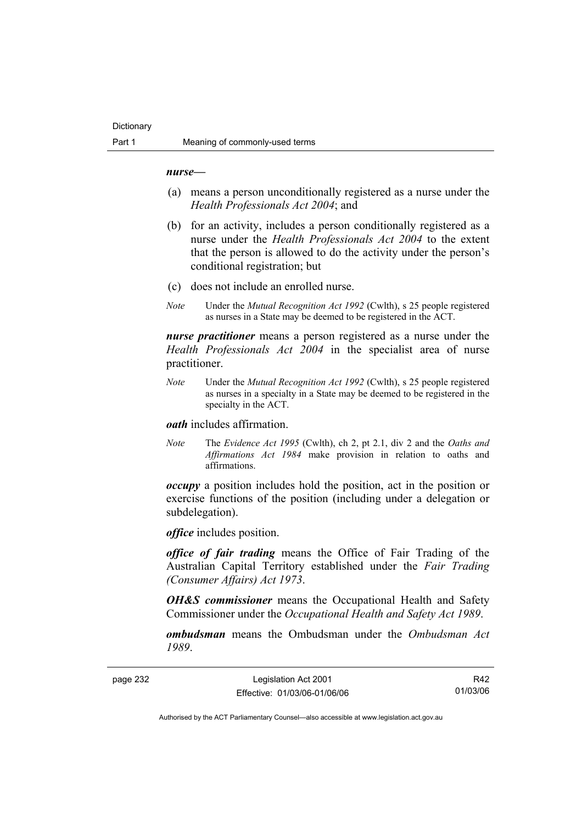#### *nurse***—**

- (a) means a person unconditionally registered as a nurse under the *Health Professionals Act 2004*; and
- (b) for an activity, includes a person conditionally registered as a nurse under the *Health Professionals Act 2004* to the extent that the person is allowed to do the activity under the person's conditional registration; but
- (c) does not include an enrolled nurse.
- *Note* Under the *Mutual Recognition Act 1992* (Cwlth), s 25 people registered as nurses in a State may be deemed to be registered in the ACT.

*nurse practitioner* means a person registered as a nurse under the *Health Professionals Act 2004* in the specialist area of nurse practitioner.

*Note* Under the *Mutual Recognition Act 1992* (Cwlth), s 25 people registered as nurses in a specialty in a State may be deemed to be registered in the specialty in the ACT.

#### *oath* includes affirmation.

*Note* The *Evidence Act 1995* (Cwlth), ch 2, pt 2.1, div 2 and the *Oaths and Affirmations Act 1984* make provision in relation to oaths and affirmations.

*occupy* a position includes hold the position, act in the position or exercise functions of the position (including under a delegation or subdelegation).

*office* includes position.

*office of fair trading* means the Office of Fair Trading of the Australian Capital Territory established under the *Fair Trading (Consumer Affairs) Act 1973*.

*OH&S commissioner* means the Occupational Health and Safety Commissioner under the *Occupational Health and Safety Act 1989*.

*ombudsman* means the Ombudsman under the *Ombudsman Act 1989*.

page 232 Legislation Act 2001 Effective: 01/03/06-01/06/06

R42 01/03/06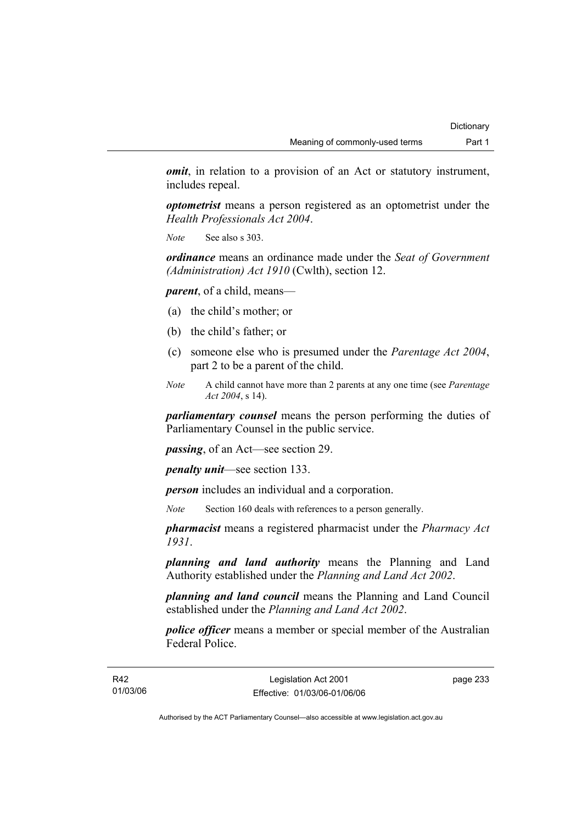*omit*, in relation to a provision of an Act or statutory instrument, includes repeal.

*optometrist* means a person registered as an optometrist under the *Health Professionals Act 2004*.

*Note* See also s 303.

*ordinance* means an ordinance made under the *Seat of Government (Administration) Act 1910* (Cwlth), section 12.

*parent*, of a child, means—

- (a) the child's mother; or
- (b) the child's father; or
- (c) someone else who is presumed under the *Parentage Act 2004*, part 2 to be a parent of the child.
- *Note* A child cannot have more than 2 parents at any one time (see *Parentage Act 2004*, s 14).

*parliamentary counsel* means the person performing the duties of Parliamentary Counsel in the public service.

*passing*, of an Act—see section 29.

*penalty unit*—see section 133.

*person* includes an individual and a corporation.

*Note* Section 160 deals with references to a person generally.

*pharmacist* means a registered pharmacist under the *Pharmacy Act 1931*.

*planning and land authority* means the Planning and Land Authority established under the *Planning and Land Act 2002*.

*planning and land council* means the Planning and Land Council established under the *Planning and Land Act 2002*.

*police officer* means a member or special member of the Australian Federal Police.

page 233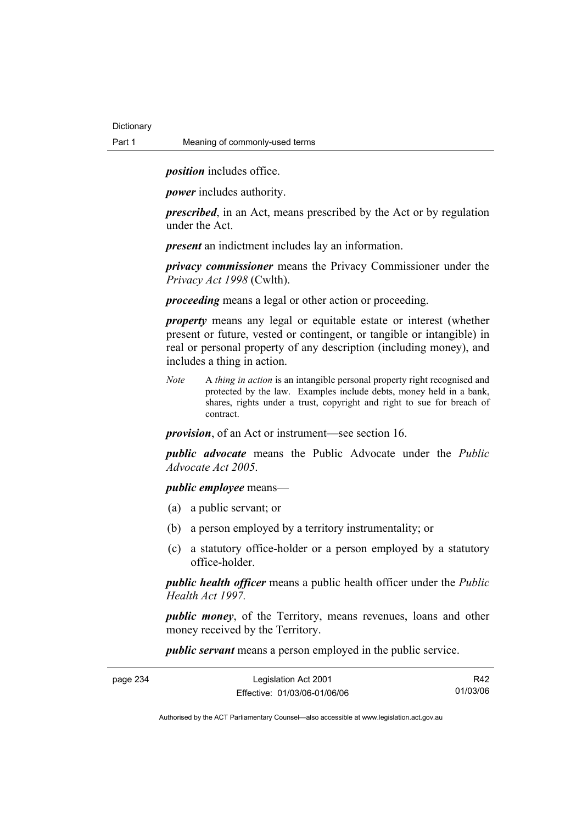*position* includes office.

*power* includes authority.

*prescribed*, in an Act, means prescribed by the Act or by regulation under the Act.

*present* an indictment includes lay an information.

*privacy commissioner* means the Privacy Commissioner under the *Privacy Act 1998* (Cwlth).

*proceeding* means a legal or other action or proceeding.

*property* means any legal or equitable estate or interest (whether present or future, vested or contingent, or tangible or intangible) in real or personal property of any description (including money), and includes a thing in action.

*Note* A *thing in action* is an intangible personal property right recognised and protected by the law. Examples include debts, money held in a bank, shares, rights under a trust, copyright and right to sue for breach of contract.

*provision*, of an Act or instrument—see section 16.

*public advocate* means the Public Advocate under the *Public Advocate Act 2005*.

*public employee* means—

- (a) a public servant; or
- (b) a person employed by a territory instrumentality; or
- (c) a statutory office-holder or a person employed by a statutory office-holder.

*public health officer* means a public health officer under the *Public Health Act 1997.*

*public money*, of the Territory, means revenues, loans and other money received by the Territory.

*public servant* means a person employed in the public service.

| page 234 | Legislation Act 2001         | R42      |
|----------|------------------------------|----------|
|          | Effective: 01/03/06-01/06/06 | 01/03/06 |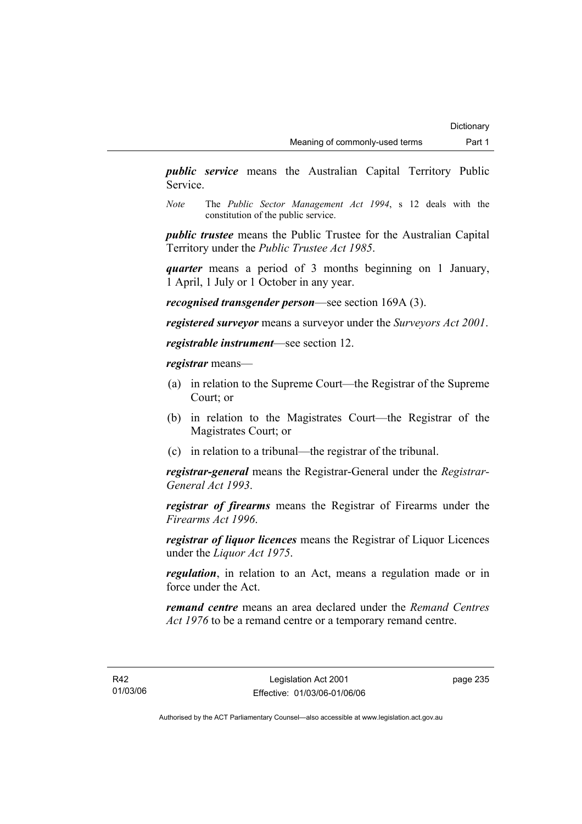*public service* means the Australian Capital Territory Public Service.

*Note* The *Public Sector Management Act 1994*, s 12 deals with the constitution of the public service.

*public trustee* means the Public Trustee for the Australian Capital Territory under the *Public Trustee Act 1985*.

*quarter* means a period of 3 months beginning on 1 January, 1 April, 1 July or 1 October in any year.

*recognised transgender person*—see section 169A (3).

*registered surveyor* means a surveyor under the *Surveyors Act 2001*.

*registrable instrument*—see section 12.

*registrar* means—

- (a) in relation to the Supreme Court—the Registrar of the Supreme Court; or
- (b) in relation to the Magistrates Court—the Registrar of the Magistrates Court; or
- (c) in relation to a tribunal—the registrar of the tribunal.

*registrar-general* means the Registrar-General under the *Registrar-General Act 1993*.

*registrar of firearms* means the Registrar of Firearms under the *Firearms Act 1996*.

*registrar of liquor licences* means the Registrar of Liquor Licences under the *Liquor Act 1975*.

*regulation*, in relation to an Act, means a regulation made or in force under the Act.

*remand centre* means an area declared under the *Remand Centres Act 1976* to be a remand centre or a temporary remand centre.

page 235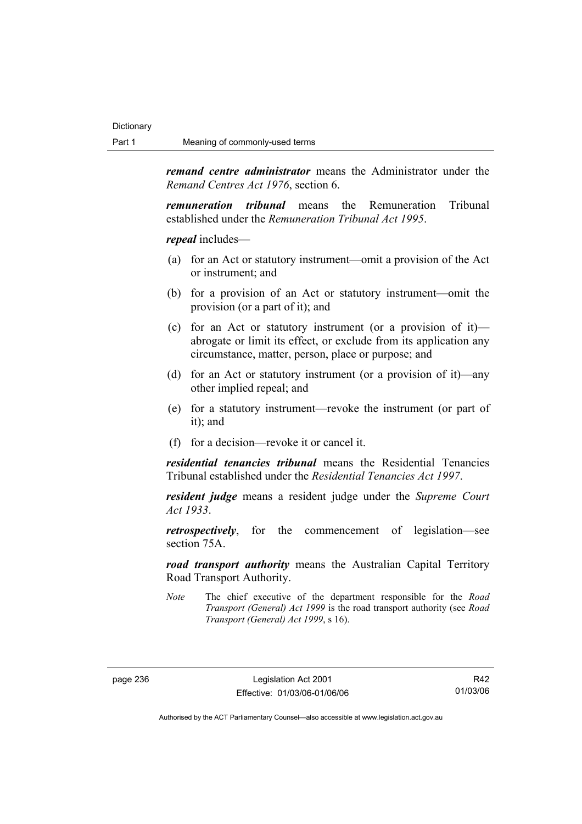*remand centre administrator* means the Administrator under the *Remand Centres Act 1976*, section 6.

*remuneration tribunal* means the Remuneration Tribunal established under the *Remuneration Tribunal Act 1995*.

*repeal* includes—

- (a) for an Act or statutory instrument—omit a provision of the Act or instrument; and
- (b) for a provision of an Act or statutory instrument—omit the provision (or a part of it); and
- (c) for an Act or statutory instrument (or a provision of it) abrogate or limit its effect, or exclude from its application any circumstance, matter, person, place or purpose; and
- (d) for an Act or statutory instrument (or a provision of it)—any other implied repeal; and
- (e) for a statutory instrument—revoke the instrument (or part of it); and
- (f) for a decision—revoke it or cancel it.

*residential tenancies tribunal* means the Residential Tenancies Tribunal established under the *Residential Tenancies Act 1997*.

*resident judge* means a resident judge under the *Supreme Court Act 1933*.

*retrospectively*, for the commencement of legislation—see section 75A.

*road transport authority* means the Australian Capital Territory Road Transport Authority.

*Note* The chief executive of the department responsible for the *Road Transport (General) Act 1999* is the road transport authority (see *Road Transport (General) Act 1999*, s 16).

R42 01/03/06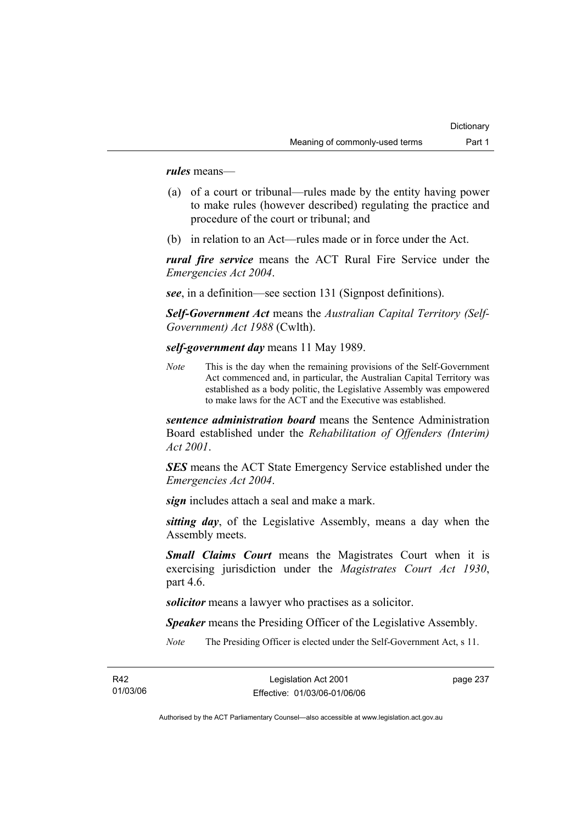*rules* means—

- (a) of a court or tribunal—rules made by the entity having power to make rules (however described) regulating the practice and procedure of the court or tribunal; and
- (b) in relation to an Act—rules made or in force under the Act.

*rural fire service* means the ACT Rural Fire Service under the *Emergencies Act 2004*.

*see*, in a definition—see section 131 (Signpost definitions).

*Self-Government Act* means the *Australian Capital Territory (Self-Government) Act 1988* (Cwlth).

*self-government day* means 11 May 1989.

*Note* This is the day when the remaining provisions of the Self-Government Act commenced and, in particular, the Australian Capital Territory was established as a body politic, the Legislative Assembly was empowered to make laws for the ACT and the Executive was established.

*sentence administration board* means the Sentence Administration Board established under the *Rehabilitation of Offenders (Interim) Act 2001*.

*SES* means the ACT State Emergency Service established under the *Emergencies Act 2004*.

*sign* includes attach a seal and make a mark.

*sitting day*, of the Legislative Assembly, means a day when the Assembly meets.

*Small Claims Court* means the Magistrates Court when it is exercising jurisdiction under the *Magistrates Court Act 1930*, part 4.6.

*solicitor* means a lawyer who practises as a solicitor.

*Speaker* means the Presiding Officer of the Legislative Assembly.

*Note* The Presiding Officer is elected under the Self-Government Act, s 11.

page 237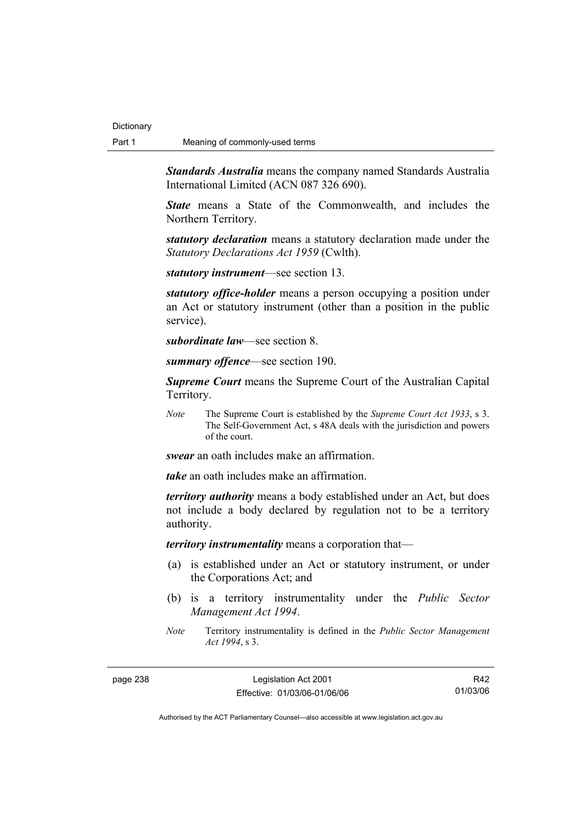*Standards Australia* means the company named Standards Australia International Limited (ACN 087 326 690).

*State* means a State of the Commonwealth, and includes the Northern Territory.

*statutory declaration* means a statutory declaration made under the *Statutory Declarations Act 1959* (Cwlth).

*statutory instrument*—see section 13.

*statutory office-holder* means a person occupying a position under an Act or statutory instrument (other than a position in the public service).

*subordinate law*—see section 8.

*summary offence*—see section 190.

*Supreme Court* means the Supreme Court of the Australian Capital Territory.

*Note* The Supreme Court is established by the *Supreme Court Act 1933*, s 3. The Self-Government Act, s 48A deals with the jurisdiction and powers of the court.

*swear* an oath includes make an affirmation.

*take* an oath includes make an affirmation.

*territory authority* means a body established under an Act, but does not include a body declared by regulation not to be a territory authority.

*territory instrumentality* means a corporation that—

- (a) is established under an Act or statutory instrument, or under the Corporations Act; and
- (b) is a territory instrumentality under the *Public Sector Management Act 1994*.
- *Note* Territory instrumentality is defined in the *Public Sector Management Act 1994*, s 3.

page 238 Legislation Act 2001 Effective: 01/03/06-01/06/06

R42 01/03/06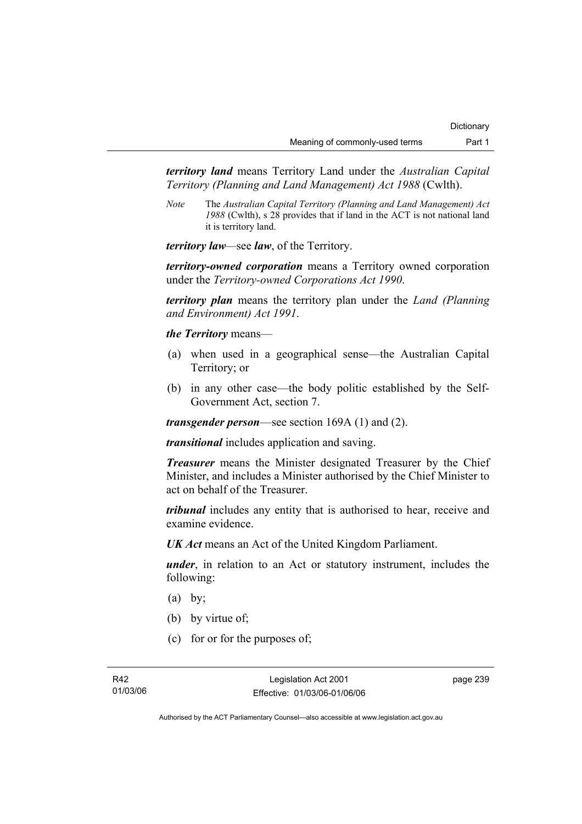*territory land* means Territory Land under the *Australian Capital Territory (Planning and Land Management) Act 1988* (Cwlth).

*Note* The *Australian Capital Territory (Planning and Land Management) Act 1988* (Cwlth), s 28 provides that if land in the ACT is not national land it is territory land.

*territory law—*see *law*, of the Territory.

*territory-owned corporation* means a Territory owned corporation under the *Territory-owned Corporations Act 1990*.

*territory plan* means the territory plan under the *Land (Planning and Environment) Act 1991*.

*the Territory* means—

- (a) when used in a geographical sense—the Australian Capital Territory; or
- (b) in any other case—the body politic established by the Self-Government Act, section 7.

*transgender person*—see section 169A (1) and (2).

*transitional* includes application and saving.

*Treasurer* means the Minister designated Treasurer by the Chief Minister, and includes a Minister authorised by the Chief Minister to act on behalf of the Treasurer.

*tribunal* includes any entity that is authorised to hear, receive and examine evidence.

*UK Act* means an Act of the United Kingdom Parliament.

*under*, in relation to an Act or statutory instrument, includes the following:

- $(a)$  by;
- (b) by virtue of;
- (c) for or for the purposes of;

page 239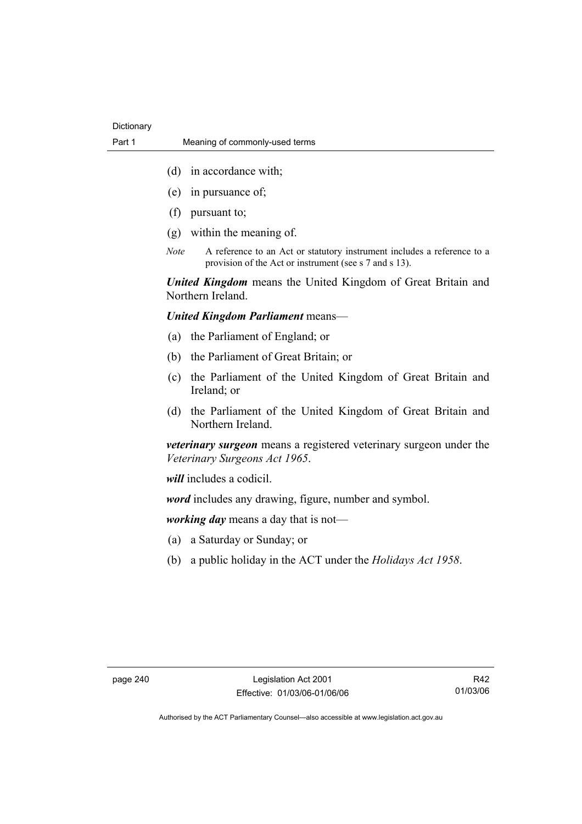- (d) in accordance with;
- (e) in pursuance of;
- (f) pursuant to;
- (g) within the meaning of.
- *Note* A reference to an Act or statutory instrument includes a reference to a provision of the Act or instrument (see s 7 and s 13).

*United Kingdom* means the United Kingdom of Great Britain and Northern Ireland.

## *United Kingdom Parliament* means—

- (a) the Parliament of England; or
- (b) the Parliament of Great Britain; or
- (c) the Parliament of the United Kingdom of Great Britain and Ireland; or
- (d) the Parliament of the United Kingdom of Great Britain and Northern Ireland.

*veterinary surgeon* means a registered veterinary surgeon under the *Veterinary Surgeons Act 1965*.

*will* includes a codicil.

*word* includes any drawing, figure, number and symbol.

*working day* means a day that is not—

- (a) a Saturday or Sunday; or
- (b) a public holiday in the ACT under the *Holidays Act 1958*.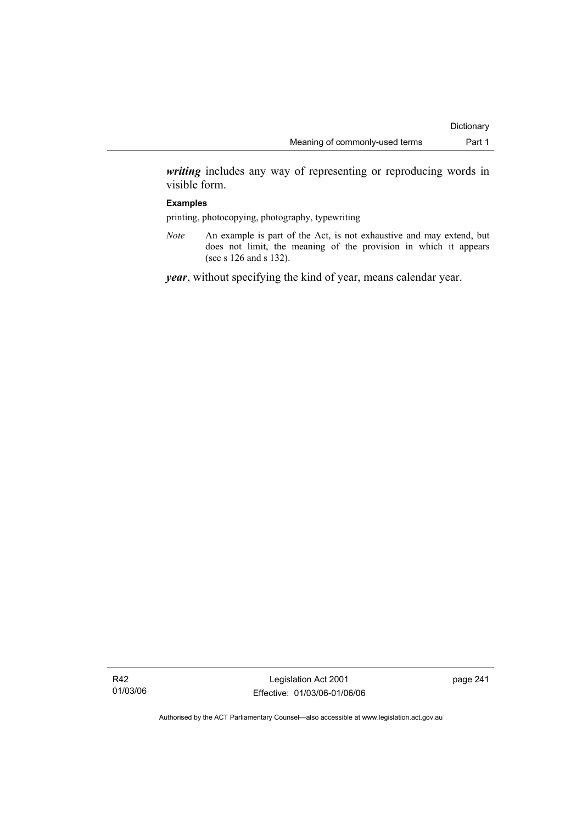*writing* includes any way of representing or reproducing words in visible form.

### **Examples**

printing, photocopying, photography, typewriting

*Note* An example is part of the Act, is not exhaustive and may extend, but does not limit, the meaning of the provision in which it appears (see s 126 and s 132).

*year*, without specifying the kind of year, means calendar year.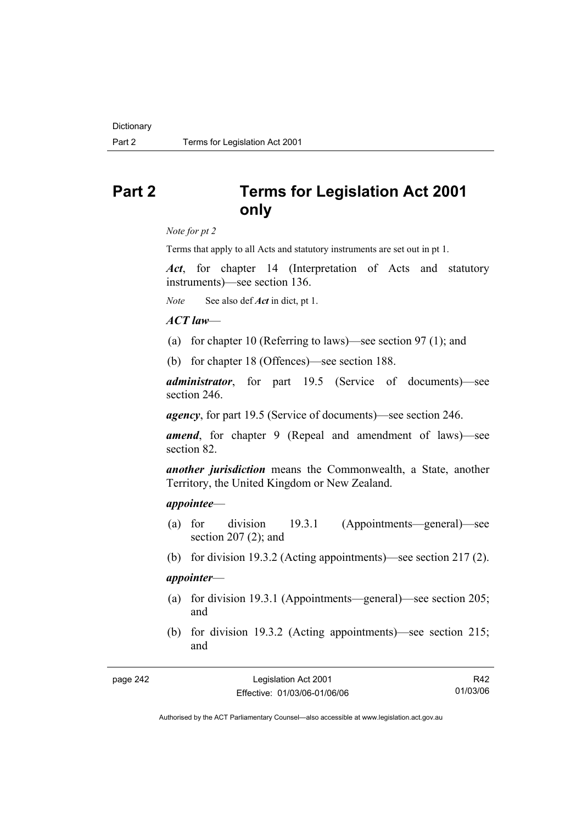# **Part 2 Terms for Legislation Act 2001 only**

*Note for pt 2* 

Terms that apply to all Acts and statutory instruments are set out in pt 1.

*Act*, for chapter 14 (Interpretation of Acts and statutory instruments)—see section 136.

*Note* See also def *Act* in dict, pt 1.

## *ACT law*—

- (a) for chapter 10 (Referring to laws)—see section 97 (1); and
- (b) for chapter 18 (Offences)—see section 188.

*administrator*, for part 19.5 (Service of documents)—see section 246.

*agency*, for part 19.5 (Service of documents)—see section 246.

*amend*, for chapter 9 (Repeal and amendment of laws)—see section 82.

*another jurisdiction* means the Commonwealth, a State, another Territory, the United Kingdom or New Zealand.

### *appointee*—

- (a) for division 19.3.1 (Appointments—general)—see section 207 (2); and
- (b) for division 19.3.2 (Acting appointments)—see section 217 (2).

## *appointer*—

- (a) for division 19.3.1 (Appointments—general)—see section 205; and
- (b) for division 19.3.2 (Acting appointments)—see section 215; and

R42 01/03/06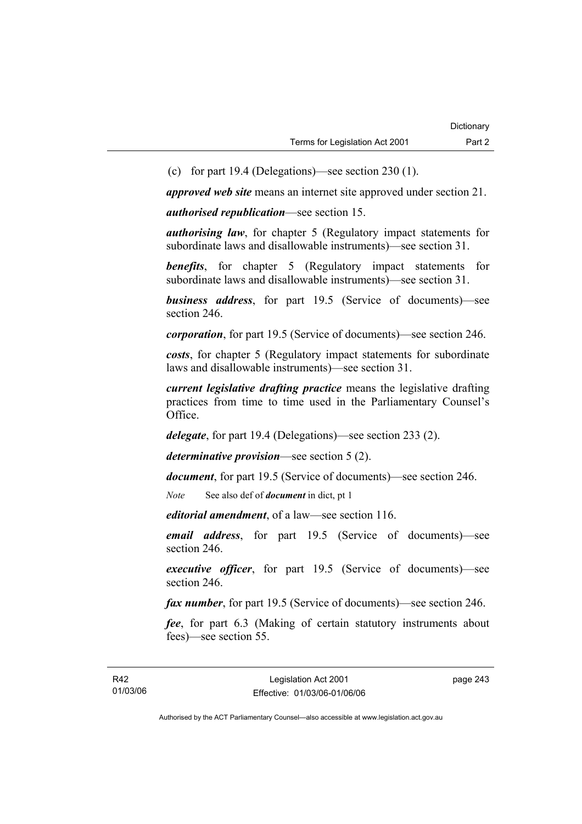(c) for part 19.4 (Delegations)—see section 230 (1).

*approved web site* means an internet site approved under section 21.

*authorised republication*—see section 15.

*authorising law*, for chapter 5 (Regulatory impact statements for subordinate laws and disallowable instruments)—see section 31.

**benefits**, for chapter 5 (Regulatory impact statements for subordinate laws and disallowable instruments)—see section 31.

*business address*, for part 19.5 (Service of documents)—see section 246.

*corporation*, for part 19.5 (Service of documents)—see section 246.

*costs*, for chapter 5 (Regulatory impact statements for subordinate laws and disallowable instruments)—see section 31.

*current legislative drafting practice* means the legislative drafting practices from time to time used in the Parliamentary Counsel's Office.

*delegate*, for part 19.4 (Delegations)—see section 233 (2).

*determinative provision*—see section 5 (2).

*document*, for part 19.5 (Service of documents)—see section 246.

*Note* See also def of *document* in dict, pt 1

*editorial amendment*, of a law—see section 116.

*email address*, for part 19.5 (Service of documents)—see section 246.

*executive officer*, for part 19.5 (Service of documents)—see section 246.

*fax number*, for part 19.5 (Service of documents)—see section 246.

*fee*, for part 6.3 (Making of certain statutory instruments about fees)—see section 55.

page 243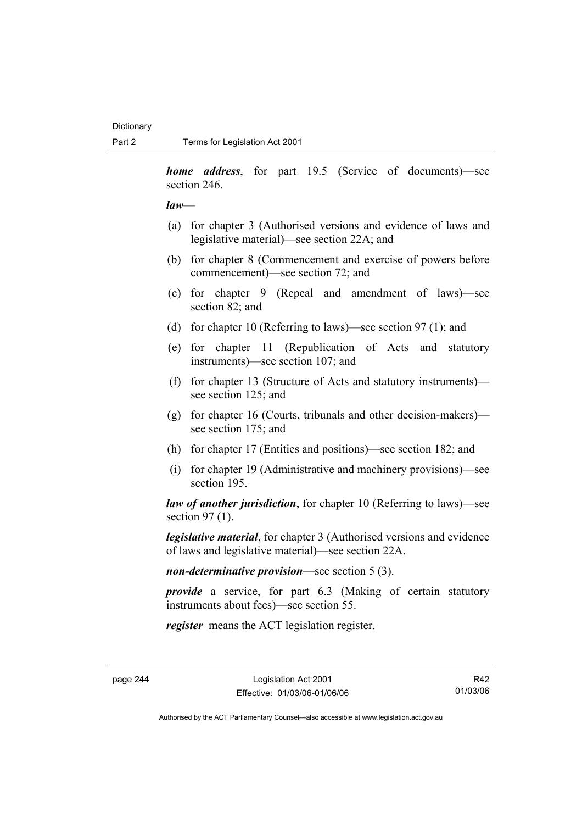*home address*, for part 19.5 (Service of documents)—see section 246.

*law*—

- (a) for chapter 3 (Authorised versions and evidence of laws and legislative material)—see section 22A; and
- (b) for chapter 8 (Commencement and exercise of powers before commencement)—see section 72; and
- (c) for chapter 9 (Repeal and amendment of laws)—see section 82; and
- (d) for chapter 10 (Referring to laws)—see section 97 (1); and
- (e) for chapter 11 (Republication of Acts and statutory instruments)—see section 107; and
- (f) for chapter 13 (Structure of Acts and statutory instruments) see section 125; and
- (g) for chapter 16 (Courts, tribunals and other decision-makers) see section 175; and
- (h) for chapter 17 (Entities and positions)—see section 182; and
- (i) for chapter 19 (Administrative and machinery provisions)—see section 195.

*law of another jurisdiction*, for chapter 10 (Referring to laws)—see section 97 (1).

*legislative material*, for chapter 3 (Authorised versions and evidence of laws and legislative material)—see section 22A.

*non-determinative provision*—see section 5 (3).

*provide* a service, for part 6.3 (Making of certain statutory instruments about fees)—see section 55.

*register* means the ACT legislation register.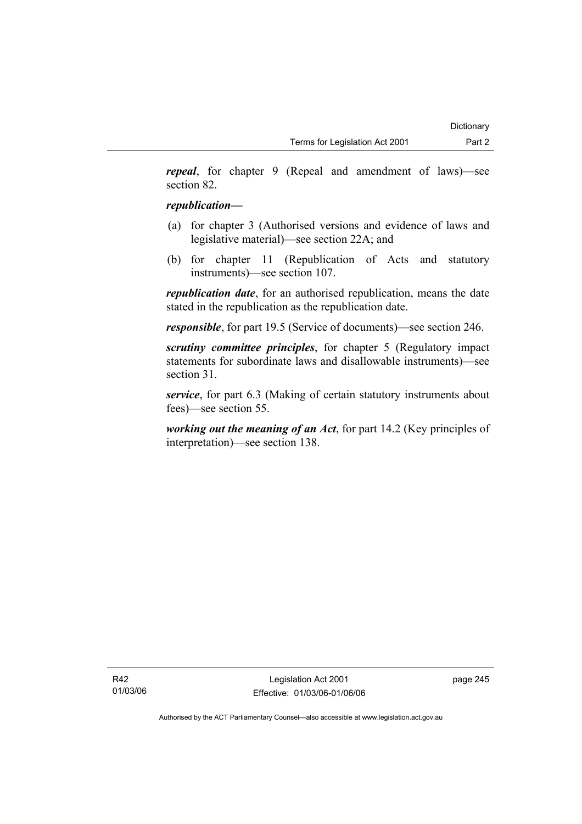*repeal*, for chapter 9 (Repeal and amendment of laws)—see section 82.

## *republication—*

- (a) for chapter 3 (Authorised versions and evidence of laws and legislative material)—see section 22A; and
- (b) for chapter 11 (Republication of Acts and statutory instruments)—see section 107.

*republication date*, for an authorised republication, means the date stated in the republication as the republication date.

*responsible*, for part 19.5 (Service of documents)—see section 246.

*scrutiny committee principles*, for chapter 5 (Regulatory impact statements for subordinate laws and disallowable instruments)—see section 31.

*service*, for part 6.3 (Making of certain statutory instruments about fees)—see section 55.

*working out the meaning of an Act*, for part 14.2 (Key principles of interpretation)—see section 138.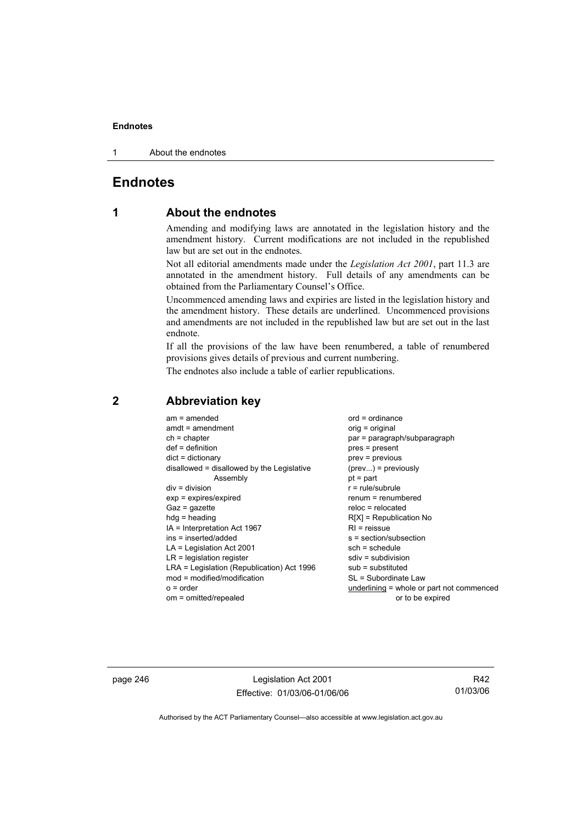1 About the endnotes

## **Endnotes**

## **1 About the endnotes**

Amending and modifying laws are annotated in the legislation history and the amendment history. Current modifications are not included in the republished law but are set out in the endnotes.

Not all editorial amendments made under the *Legislation Act 2001*, part 11.3 are annotated in the amendment history. Full details of any amendments can be obtained from the Parliamentary Counsel's Office.

Uncommenced amending laws and expiries are listed in the legislation history and the amendment history. These details are underlined. Uncommenced provisions and amendments are not included in the republished law but are set out in the last endnote.

If all the provisions of the law have been renumbered, a table of renumbered provisions gives details of previous and current numbering.

The endnotes also include a table of earlier republications.

| $am = amended$<br>$amdt = amendment$<br>$ch = chapter$<br>$def = definition$<br>$dict = dictionary$<br>disallowed = disallowed by the Legislative<br>Assembly<br>$div = division$<br>$exp = expires/expired$<br>$Gaz = gazette$<br>$hdg = heading$<br>$IA = Interpretation Act 1967$<br>$ins = inserted/added$<br>$LA =$ Legislation Act 2001<br>$LR =$ legislation register<br>LRA = Legislation (Republication) Act 1996<br>$mod = modified/modification$ | $ord = ordinance$<br>$orig = original$<br>par = paragraph/subparagraph<br>$pres = present$<br>$prev = previous$<br>$(\text{prev}) = \text{previously}$<br>$pt = part$<br>$r = rule/subrule$<br>$renum = renumbered$<br>$reloc = relocated$<br>$R[X]$ = Republication No<br>$R1$ = reissue<br>$s = section/subsection$<br>$sch = schedule$<br>$sdiv = subdivision$<br>$sub =$ substituted<br>SL = Subordinate Law |
|-------------------------------------------------------------------------------------------------------------------------------------------------------------------------------------------------------------------------------------------------------------------------------------------------------------------------------------------------------------------------------------------------------------------------------------------------------------|------------------------------------------------------------------------------------------------------------------------------------------------------------------------------------------------------------------------------------------------------------------------------------------------------------------------------------------------------------------------------------------------------------------|
| $o = order$                                                                                                                                                                                                                                                                                                                                                                                                                                                 | underlining = whole or part not commenced                                                                                                                                                                                                                                                                                                                                                                        |
| om = omitted/repealed                                                                                                                                                                                                                                                                                                                                                                                                                                       | or to be expired                                                                                                                                                                                                                                                                                                                                                                                                 |
|                                                                                                                                                                                                                                                                                                                                                                                                                                                             |                                                                                                                                                                                                                                                                                                                                                                                                                  |

## **2 Abbreviation key**

page 246 Legislation Act 2001 Effective: 01/03/06-01/06/06

R42 01/03/06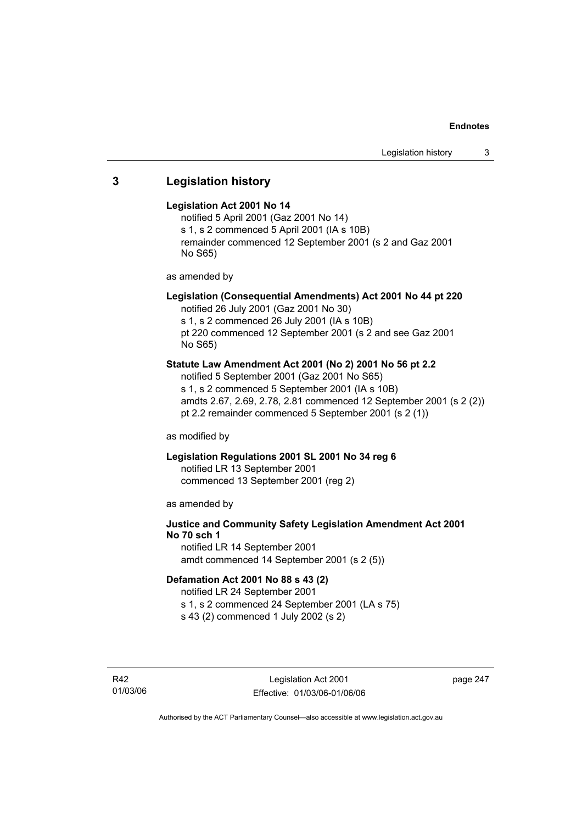## **3 Legislation history**

## **Legislation Act 2001 No 14**

notified 5 April 2001 (Gaz 2001 No 14) s 1, s 2 commenced 5 April 2001 (IA s 10B) remainder commenced 12 September 2001 (s 2 and Gaz 2001 No S65)

as amended by

## **Legislation (Consequential Amendments) Act 2001 No 44 pt 220**

notified 26 July 2001 (Gaz 2001 No 30) s 1, s 2 commenced 26 July 2001 (IA s 10B)

pt 220 commenced 12 September 2001 (s 2 and see Gaz 2001 No S65)

## **Statute Law Amendment Act 2001 (No 2) 2001 No 56 pt 2.2**

notified 5 September 2001 (Gaz 2001 No S65) s 1, s 2 commenced 5 September 2001 (IA s 10B) amdts 2.67, 2.69, 2.78, 2.81 commenced 12 September 2001 (s 2 (2)) pt 2.2 remainder commenced 5 September 2001 (s 2 (1))

as modified by

## **Legislation Regulations 2001 SL 2001 No 34 reg 6**

notified LR 13 September 2001 commenced 13 September 2001 (reg 2)

as amended by

## **Justice and Community Safety Legislation Amendment Act 2001 No 70 sch 1**

notified LR 14 September 2001 amdt commenced 14 September 2001 (s 2 (5))

## **Defamation Act 2001 No 88 s 43 (2)**

notified LR 24 September 2001 s 1, s 2 commenced 24 September 2001 (LA s 75)

s 43 (2) commenced 1 July 2002 (s 2)

R42 01/03/06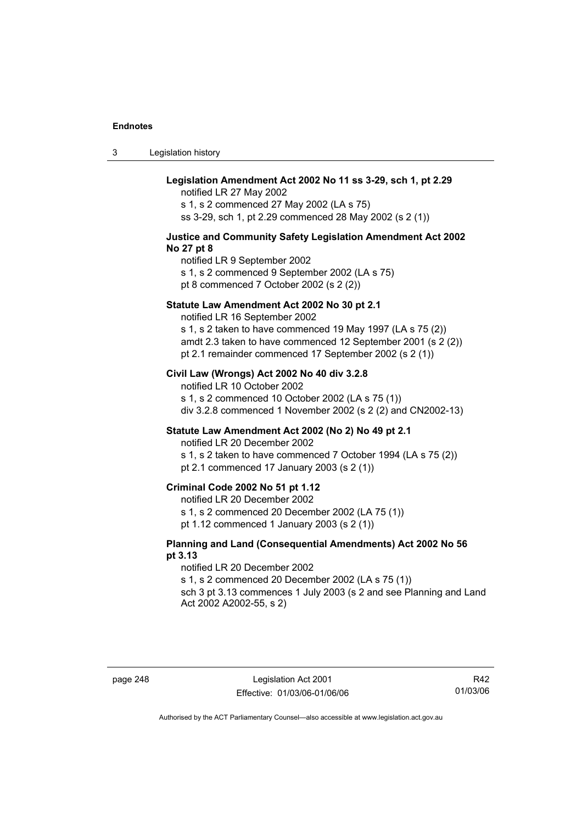3 Legislation history

## **Legislation Amendment Act 2002 No 11 ss 3-29, sch 1, pt 2.29**

notified LR 27 May 2002 s 1, s 2 commenced 27 May 2002 (LA s 75) ss 3-29, sch 1, pt 2.29 commenced 28 May 2002 (s 2 (1))

### **Justice and Community Safety Legislation Amendment Act 2002 No 27 pt 8**

notified LR 9 September 2002 s 1, s 2 commenced 9 September 2002 (LA s 75) pt 8 commenced 7 October 2002 (s 2 (2))

### **Statute Law Amendment Act 2002 No 30 pt 2.1**

notified LR 16 September 2002

s 1, s 2 taken to have commenced 19 May 1997 (LA s 75 (2)) amdt 2.3 taken to have commenced 12 September 2001 (s 2 (2)) pt 2.1 remainder commenced 17 September 2002 (s 2 (1))

## **Civil Law (Wrongs) Act 2002 No 40 div 3.2.8**

notified LR 10 October 2002 s 1, s 2 commenced 10 October 2002 (LA s 75 (1)) div 3.2.8 commenced 1 November 2002 (s 2 (2) and CN2002-13)

## **Statute Law Amendment Act 2002 (No 2) No 49 pt 2.1**

notified LR 20 December 2002

s 1, s 2 taken to have commenced 7 October 1994 (LA s 75 (2)) pt 2.1 commenced 17 January 2003 (s 2 (1))

## **Criminal Code 2002 No 51 pt 1.12**

notified LR 20 December 2002

s 1, s 2 commenced 20 December 2002 (LA 75 (1))

pt 1.12 commenced 1 January 2003 (s 2 (1))

## **Planning and Land (Consequential Amendments) Act 2002 No 56 pt 3.13**

notified LR 20 December 2002

s 1, s 2 commenced 20 December 2002 (LA s 75 (1))

sch 3 pt 3.13 commences 1 July 2003 (s 2 and see Planning and Land Act 2002 A2002-55, s 2)

page 248 Legislation Act 2001 Effective: 01/03/06-01/06/06

R42 01/03/06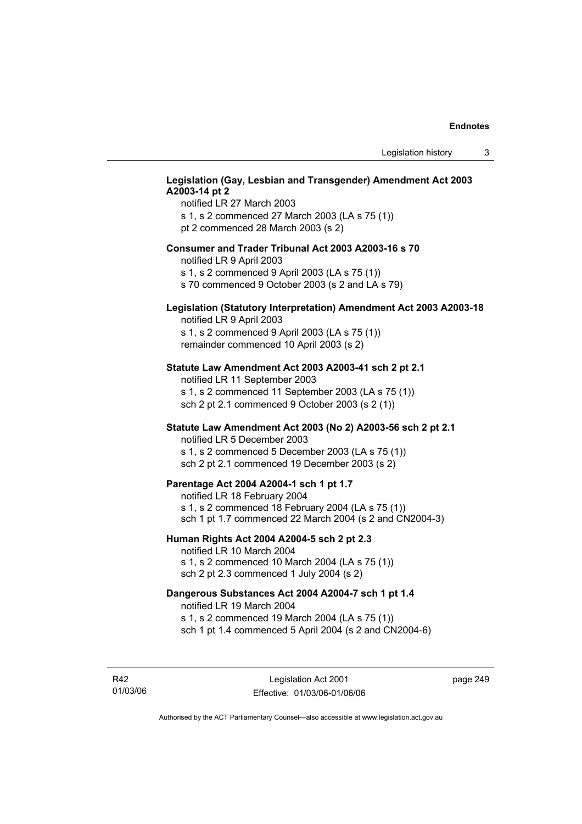## **Legislation (Gay, Lesbian and Transgender) Amendment Act 2003 A2003-14 pt 2**

notified LR 27 March 2003 s 1, s 2 commenced 27 March 2003 (LA s 75 (1)) pt 2 commenced 28 March 2003 (s 2)

## **Consumer and Trader Tribunal Act 2003 A2003-16 s 70**

notified LR 9 April 2003

s 1, s 2 commenced 9 April 2003 (LA s 75 (1))

s 70 commenced 9 October 2003 (s 2 and LA s 79)

## **Legislation (Statutory Interpretation) Amendment Act 2003 A2003-18**

notified LR 9 April 2003 s 1, s 2 commenced 9 April 2003 (LA s 75 (1)) remainder commenced 10 April 2003 (s 2)

### **Statute Law Amendment Act 2003 A2003-41 sch 2 pt 2.1**

notified LR 11 September 2003 s 1, s 2 commenced 11 September 2003 (LA s 75 (1)) sch 2 pt 2.1 commenced 9 October 2003 (s 2 (1))

## **Statute Law Amendment Act 2003 (No 2) A2003-56 sch 2 pt 2.1**

notified LR 5 December 2003 s 1, s 2 commenced 5 December 2003 (LA s 75 (1)) sch 2 pt 2.1 commenced 19 December 2003 (s 2)

## **Parentage Act 2004 A2004-1 sch 1 pt 1.7**

notified LR 18 February 2004 s 1, s 2 commenced 18 February 2004 (LA s 75 (1)) sch 1 pt 1.7 commenced 22 March 2004 (s 2 and CN2004-3)

### **Human Rights Act 2004 A2004-5 sch 2 pt 2.3**

notified LR 10 March 2004 s 1, s 2 commenced 10 March 2004 (LA s 75 (1)) sch 2 pt 2.3 commenced 1 July 2004 (s 2)

## **Dangerous Substances Act 2004 A2004-7 sch 1 pt 1.4**

notified LR 19 March 2004 s 1, s 2 commenced 19 March 2004 (LA s 75 (1)) sch 1 pt 1.4 commenced 5 April 2004 (s 2 and CN2004-6)

R42 01/03/06 page 249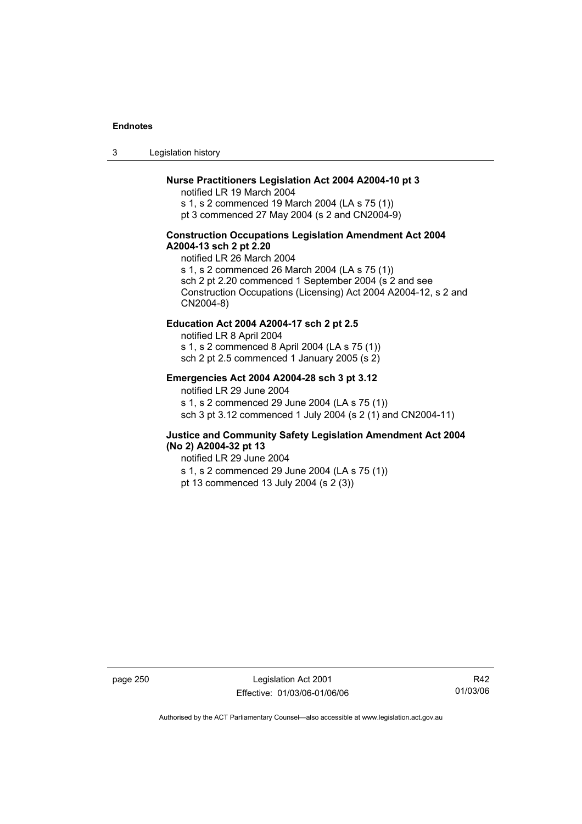3 Legislation history

## **Nurse Practitioners Legislation Act 2004 A2004-10 pt 3**

notified LR 19 March 2004 s 1, s 2 commenced 19 March 2004 (LA s 75 (1)) pt 3 commenced 27 May 2004 (s 2 and CN2004-9)

## **Construction Occupations Legislation Amendment Act 2004 A2004-13 sch 2 pt 2.20**

notified LR 26 March 2004 s 1, s 2 commenced 26 March 2004 (LA s 75 (1)) sch 2 pt 2.20 commenced 1 September 2004 (s 2 and see Construction Occupations (Licensing) Act 2004 A2004-12, s 2 and CN2004-8)

## **Education Act 2004 A2004-17 sch 2 pt 2.5**

notified LR 8 April 2004 s 1, s 2 commenced 8 April 2004 (LA s 75 (1)) sch 2 pt 2.5 commenced 1 January 2005 (s 2)

## **Emergencies Act 2004 A2004-28 sch 3 pt 3.12**

notified LR 29 June 2004

s 1, s 2 commenced 29 June 2004 (LA s 75 (1)) sch 3 pt 3.12 commenced 1 July 2004 (s 2 (1) and CN2004-11)

## **Justice and Community Safety Legislation Amendment Act 2004 (No 2) A2004-32 pt 13**

notified LR 29 June 2004 s 1, s 2 commenced 29 June 2004 (LA s 75 (1)) pt 13 commenced 13 July 2004 (s 2 (3))

page 250 Legislation Act 2001 Effective: 01/03/06-01/06/06

R42 01/03/06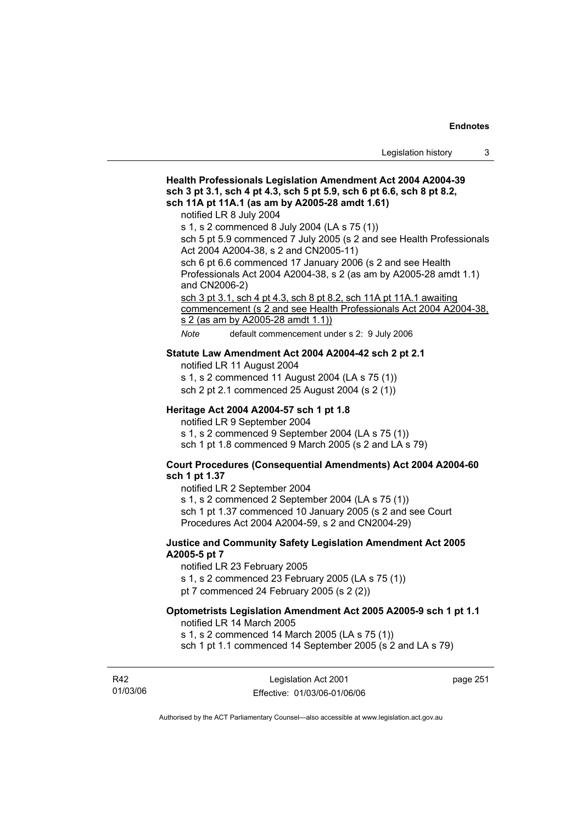## **Health Professionals Legislation Amendment Act 2004 A2004-39 sch 3 pt 3.1, sch 4 pt 4.3, sch 5 pt 5.9, sch 6 pt 6.6, sch 8 pt 8.2, sch 11A pt 11A.1 (as am by A2005-28 amdt 1.61)**  notified LR 8 July 2004 s 1, s 2 commenced 8 July 2004 (LA s 75 (1)) sch 5 pt 5.9 commenced 7 July 2005 (s 2 and see Health Professionals Act 2004 A2004-38, s 2 and CN2005-11) sch 6 pt 6.6 commenced 17 January 2006 (s 2 and see Health Professionals Act 2004 A2004-38, s 2 (as am by A2005-28 amdt 1.1) and CN2006-2) sch 3 pt 3.1, sch 4 pt 4.3, sch 8 pt 8.2, sch 11A pt 11A.1 awaiting commencement (s 2 and see Health Professionals Act 2004 A2004-38, s 2 (as am by A2005-28 amdt 1.1)) *Note* default commencement under s 2: 9 July 2006 **Statute Law Amendment Act 2004 A2004-42 sch 2 pt 2.1**  notified LR 11 August 2004 s 1, s 2 commenced 11 August 2004 (LA s 75 (1)) sch 2 pt 2.1 commenced 25 August 2004 (s 2 (1)) **Heritage Act 2004 A2004-57 sch 1 pt 1.8**  notified LR 9 September 2004 s 1, s 2 commenced 9 September 2004 (LA s 75 (1)) sch 1 pt 1.8 commenced 9 March 2005 (s 2 and LA s 79) **Court Procedures (Consequential Amendments) Act 2004 A2004-60 sch 1 pt 1.37**  notified LR 2 September 2004 s 1, s 2 commenced 2 September 2004 (LA s 75 (1)) sch 1 pt 1.37 commenced 10 January 2005 (s 2 and see Court Procedures Act 2004 A2004-59, s 2 and CN2004-29) **Justice and Community Safety Legislation Amendment Act 2005 A2005-5 pt 7**  notified LR 23 February 2005 s 1, s 2 commenced 23 February 2005 (LA s 75 (1)) pt 7 commenced 24 February 2005 (s 2 (2)) **Optometrists Legislation Amendment Act 2005 A2005-9 sch 1 pt 1.1**  notified LR 14 March 2005 s 1, s 2 commenced 14 March 2005 (LA s 75 (1)) sch 1 pt 1.1 commenced 14 September 2005 (s 2 and LA s 79)

R42 01/03/06

Legislation Act 2001 Effective: 01/03/06-01/06/06 page 251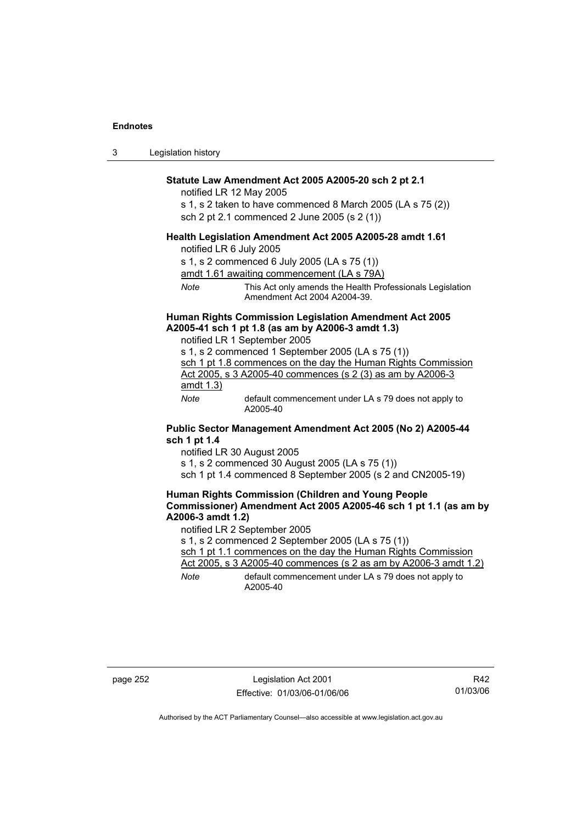| -3 | Legislation history |  |
|----|---------------------|--|
|----|---------------------|--|

### **Statute Law Amendment Act 2005 A2005-20 sch 2 pt 2.1**

notified LR 12 May 2005

s 1, s 2 taken to have commenced 8 March 2005 (LA s 75 (2)) sch 2 pt 2.1 commenced 2 June 2005 (s 2 (1))

### **Health Legislation Amendment Act 2005 A2005-28 amdt 1.61**

notified LR 6 July 2005

s 1, s 2 commenced 6 July 2005 (LA s 75 (1))

amdt 1.61 awaiting commencement (LA s 79A)

*Note* This Act only amends the Health Professionals Legislation Amendment Act 2004 A2004-39.

## **Human Rights Commission Legislation Amendment Act 2005 A2005-41 sch 1 pt 1.8 (as am by A2006-3 amdt 1.3)**

notified LR 1 September 2005 s 1, s 2 commenced 1 September 2005 (LA s 75 (1)) sch 1 pt 1.8 commences on the day the Human Rights Commission Act 2005, s 3 A2005-40 commences (s 2 (3) as am by A2006-3 amdt 1.3) *Note* default commencement under LA s 79 does not apply to A2005-40

### **Public Sector Management Amendment Act 2005 (No 2) A2005-44 sch 1 pt 1.4**

notified LR 30 August 2005

s 1, s 2 commenced 30 August 2005 (LA s 75 (1))

sch 1 pt 1.4 commenced 8 September 2005 (s 2 and CN2005-19)

## **Human Rights Commission (Children and Young People Commissioner) Amendment Act 2005 A2005-46 sch 1 pt 1.1 (as am by A2006-3 amdt 1.2)**

notified LR 2 September 2005

s 1, s 2 commenced 2 September 2005 (LA s 75 (1))

sch 1 pt 1.1 commences on the day the Human Rights Commission Act 2005, s 3 A2005-40 commences (s 2 as am by A2006-3 amdt 1.2)

*Note* default commencement under LA s 79 does not apply to A2005-40

page 252 Legislation Act 2001 Effective: 01/03/06-01/06/06

R42 01/03/06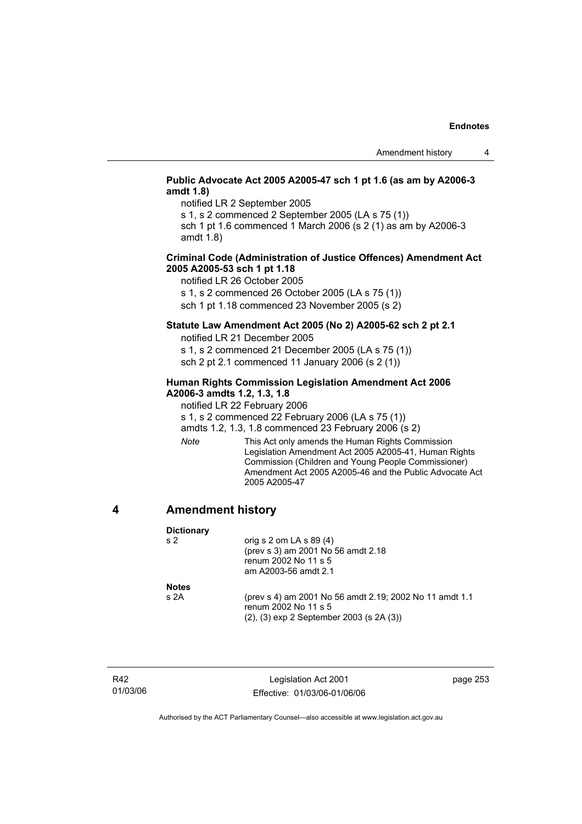## **Public Advocate Act 2005 A2005-47 sch 1 pt 1.6 (as am by A2006-3 amdt 1.8)**

notified LR 2 September 2005

s 1, s 2 commenced 2 September 2005 (LA s 75 (1)) sch 1 pt 1.6 commenced 1 March 2006 (s 2 (1) as am by A2006-3

amdt 1.8)

## **Criminal Code (Administration of Justice Offences) Amendment Act 2005 A2005-53 sch 1 pt 1.18**

notified LR 26 October 2005

s 1, s 2 commenced 26 October 2005 (LA s 75 (1))

sch 1 pt 1.18 commenced 23 November 2005 (s 2)

## **Statute Law Amendment Act 2005 (No 2) A2005-62 sch 2 pt 2.1**

notified LR 21 December 2005

s 1, s 2 commenced 21 December 2005 (LA s 75 (1)) sch 2 pt 2.1 commenced 11 January 2006 (s 2 (1))

## **Human Rights Commission Legislation Amendment Act 2006 A2006-3 amdts 1.2, 1.3, 1.8**

notified LR 22 February 2006

s 1, s 2 commenced 22 February 2006 (LA s 75 (1))

amdts 1.2, 1.3, 1.8 commenced 23 February 2006 (s 2)

*Note* This Act only amends the Human Rights Commission Legislation Amendment Act 2005 A2005-41, Human Rights Commission (Children and Young People Commissioner) Amendment Act 2005 A2005-46 and the Public Advocate Act 2005 A2005-47

## **4 Amendment history**

**Dictionary** 

| s 2           | orig s $2$ om LA s $89(4)$<br>(prev s 3) am 2001 No 56 amdt 2.18<br>renum 2002 No 11 s 5<br>am A2003-56 amdt 2.1                    |
|---------------|-------------------------------------------------------------------------------------------------------------------------------------|
| Notes<br>s 2A | (prev s 4) am 2001 No 56 amdt 2.19; 2002 No 11 amdt 1.1<br>renum 2002 No 11 s 5<br>$(2)$ , $(3)$ exp 2 September 2003 (s 2A $(3)$ ) |

R42 01/03/06

Legislation Act 2001 Effective: 01/03/06-01/06/06 page 253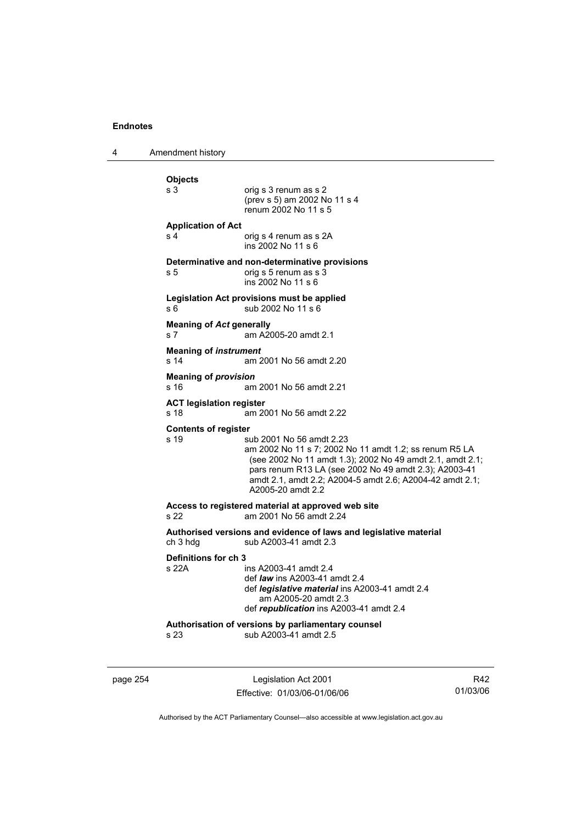4 Amendment history

| <b>Objects</b><br>s 3                             | orig s 3 renum as s 2<br>(prev s 5) am 2002 No 11 s 4<br>renum 2002 No 11 s 5                                                                                                                                                                                                             |
|---------------------------------------------------|-------------------------------------------------------------------------------------------------------------------------------------------------------------------------------------------------------------------------------------------------------------------------------------------|
| <b>Application of Act</b><br>s 4                  | orig s 4 renum as s 2A<br>ins 2002 No 11 s 6                                                                                                                                                                                                                                              |
| s 5                                               | Determinative and non-determinative provisions<br>orig s 5 renum as s 3<br>ins 2002 No 11 s 6                                                                                                                                                                                             |
| s 6                                               | Legislation Act provisions must be applied<br>sub 2002 No 11 s 6                                                                                                                                                                                                                          |
| <b>Meaning of Act generally</b><br>s <sub>7</sub> | am A2005-20 amdt 2.1                                                                                                                                                                                                                                                                      |
| <b>Meaning of instrument</b><br>s 14              | am 2001 No 56 amdt 2.20                                                                                                                                                                                                                                                                   |
| <b>Meaning of provision</b><br>s 16               | am 2001 No 56 amdt 2.21                                                                                                                                                                                                                                                                   |
| <b>ACT legislation register</b><br>s 18           | am 2001 No 56 amdt 2.22                                                                                                                                                                                                                                                                   |
| <b>Contents of register</b><br>s <sub>19</sub>    | sub 2001 No 56 amdt 2.23<br>am 2002 No 11 s 7; 2002 No 11 amdt 1.2; ss renum R5 LA<br>(see 2002 No 11 amdt 1.3); 2002 No 49 amdt 2.1, amdt 2.1;<br>pars renum R13 LA (see 2002 No 49 amdt 2.3); A2003-41<br>amdt 2.1, amdt 2.2; A2004-5 amdt 2.6; A2004-42 amdt 2.1;<br>A2005-20 amdt 2.2 |
| s 22                                              | Access to registered material at approved web site<br>am 2001 No 56 amdt 2.24                                                                                                                                                                                                             |
| ch 3 hdg                                          | Authorised versions and evidence of laws and legislative material<br>sub A2003-41 amdt 2.3                                                                                                                                                                                                |
| Definitions for ch 3<br>s 22A                     | ins A2003-41 amdt 2.4<br>def <i>law</i> ins A2003-41 amdt 2.4<br>def <i>legislative material</i> ins A2003-41 amdt 2.4<br>am A2005-20 amdt 2.3<br>def republication ins A2003-41 amdt 2.4                                                                                                 |
| s 23                                              | Authorisation of versions by parliamentary counsel<br>sub A2003-41 amdt 2.5                                                                                                                                                                                                               |

page 254 Legislation Act 2001 Effective: 01/03/06-01/06/06

R42 01/03/06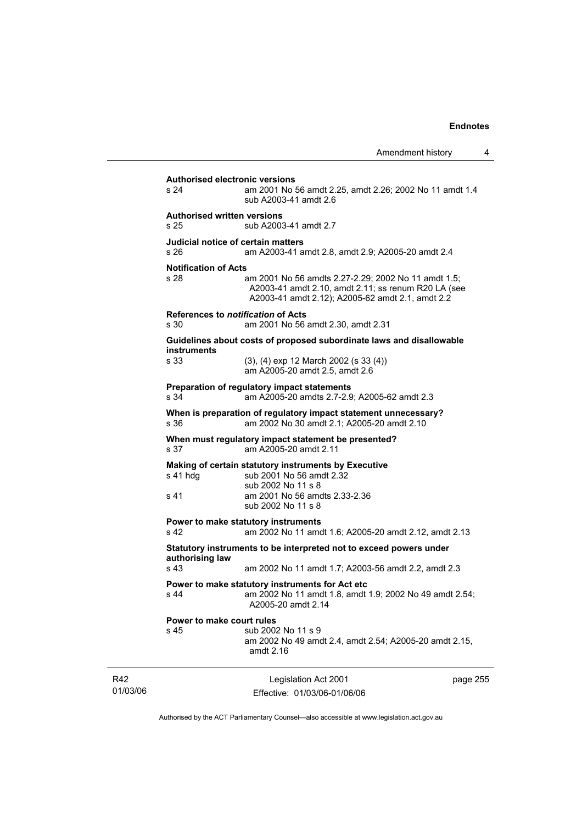| s 24                                       | <b>Authorised electronic versions</b><br>am 2001 No 56 amdt 2.25, amdt 2.26; 2002 No 11 amdt 1.4<br>sub A2003-41 amdt 2.6                                      |          |
|--------------------------------------------|----------------------------------------------------------------------------------------------------------------------------------------------------------------|----------|
| <b>Authorised written versions</b><br>s 25 | sub A2003-41 amdt 2.7                                                                                                                                          |          |
| s 26                                       | Judicial notice of certain matters<br>am A2003-41 amdt 2.8, amdt 2.9; A2005-20 amdt 2.4                                                                        |          |
| <b>Notification of Acts</b><br>s 28        | am 2001 No 56 amdts 2.27-2.29; 2002 No 11 amdt 1.5;<br>A2003-41 amdt 2.10, amdt 2.11; ss renum R20 LA (see<br>A2003-41 amdt 2.12); A2005-62 amdt 2.1, amdt 2.2 |          |
| s 30                                       | References to <i>notification</i> of Acts<br>am 2001 No 56 amdt 2.30, amdt 2.31                                                                                |          |
| instruments                                | Guidelines about costs of proposed subordinate laws and disallowable                                                                                           |          |
| s 33                                       | (3), (4) exp 12 March 2002 (s 33 (4))<br>am A2005-20 amdt 2.5, amdt 2.6                                                                                        |          |
| s 34                                       | Preparation of regulatory impact statements<br>am A2005-20 amdts 2.7-2.9; A2005-62 amdt 2.3                                                                    |          |
| s 36                                       | When is preparation of regulatory impact statement unnecessary?<br>am 2002 No 30 amdt 2.1; A2005-20 amdt 2.10                                                  |          |
| s 37                                       | When must regulatory impact statement be presented?<br>am A2005-20 amdt 2.11                                                                                   |          |
| s 41 hdg<br>s 41                           | Making of certain statutory instruments by Executive<br>sub 2001 No 56 amdt 2.32<br>sub 2002 No 11 s 8<br>am 2001 No 56 amdts 2.33-2.36<br>sub 2002 No 11 s 8  |          |
| s 42                                       | Power to make statutory instruments<br>am 2002 No 11 amdt 1.6; A2005-20 amdt 2.12, amdt 2.13                                                                   |          |
| authorising law<br>s 43                    | Statutory instruments to be interpreted not to exceed powers under<br>am 2002 No 11 amdt 1.7; A2003-56 amdt 2.2, amdt 2.3                                      |          |
| s 44                                       | Power to make statutory instruments for Act etc<br>am 2002 No 11 amdt 1.8, amdt 1.9; 2002 No 49 amdt 2.54;<br>A2005-20 amdt 2.14                               |          |
| Power to make court rules<br>s 45          | sub 2002 No 11 s 9<br>am 2002 No 49 amdt 2.4, amdt 2.54; A2005-20 amdt 2.15,<br>amdt 2.16                                                                      |          |
|                                            | Legislation Act 2001<br>Effective: 01/03/06-01/06/06                                                                                                           | page 255 |

R42 01/03/06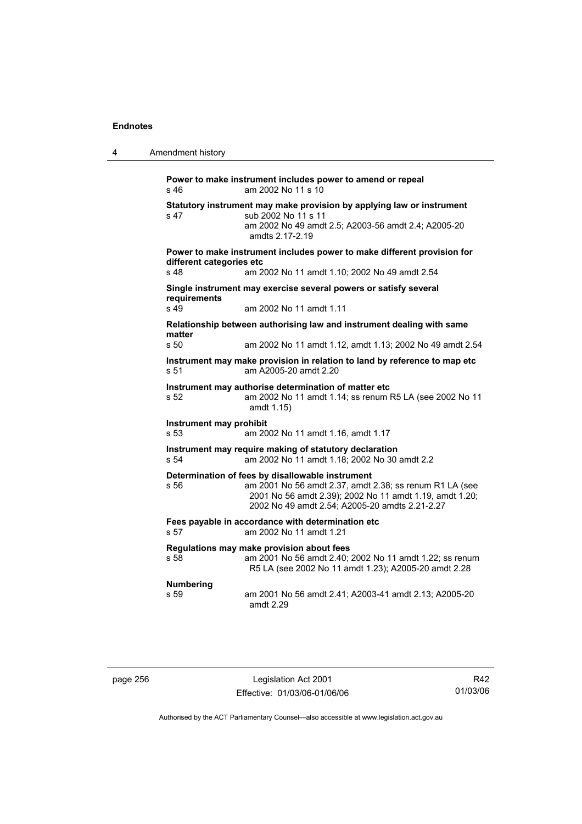| 4 | Amendment history |
|---|-------------------|
|   |                   |

**Power to make instrument includes power to amend or repeal**  s 46 am 2002 No 11 s 10 **Statutory instrument may make provision by applying law or instrument**  s 47 sub 2002 No 11 s 11 am 2002 No 49 amdt 2.5; A2003-56 amdt 2.4; A2005-20 amdts 2.17-2.19 **Power to make instrument includes power to make different provision for different categories etc**  s 48 am 2002 No 11 amdt 1.10; 2002 No 49 amdt 2.54 **Single instrument may exercise several powers or satisfy several requirements**  s 49 am 2002 No 11 amdt 1.11 **Relationship between authorising law and instrument dealing with same matter**  s 50 am 2002 No 11 amdt 1.12, amdt 1.13; 2002 No 49 amdt 2.54 **Instrument may make provision in relation to land by reference to map etc**  s 51 am A2005-20 amdt 2.20 **Instrument may authorise determination of matter etc**  s 52 am 2002 No 11 amdt 1.14; ss renum R5 LA (see 2002 No 11 amdt 1.15) **Instrument may prohibit**  s 53 am 2002 No 11 amdt 1.16, amdt 1.17 **Instrument may require making of statutory declaration**  s 54 am 2002 No 11 amdt 1.18; 2002 No 30 amdt 2.2 **Determination of fees by disallowable instrument**  s 56 am 2001 No 56 amdt 2.37, amdt 2.38; ss renum R1 LA (see 2001 No 56 amdt 2.39); 2002 No 11 amdt 1.19, amdt 1.20; 2002 No 49 amdt 2.54; A2005-20 amdts 2.21-2.27 **Fees payable in accordance with determination etc**  s 57 am 2002 No 11 amdt 1.21 **Regulations may make provision about fees**  s 58 am 2001 No 56 amdt 2.40; 2002 No 11 amdt 1.22; ss renum R5 LA (see 2002 No 11 amdt 1.23); A2005-20 amdt 2.28 **Numbering**  s 59 am 2001 No 56 amdt 2.41; A2003-41 amdt 2.13; A2005-20 amdt 2.29

| page 256 |  |
|----------|--|
|----------|--|

page 256 Legislation Act 2001 Effective: 01/03/06-01/06/06

R42 01/03/06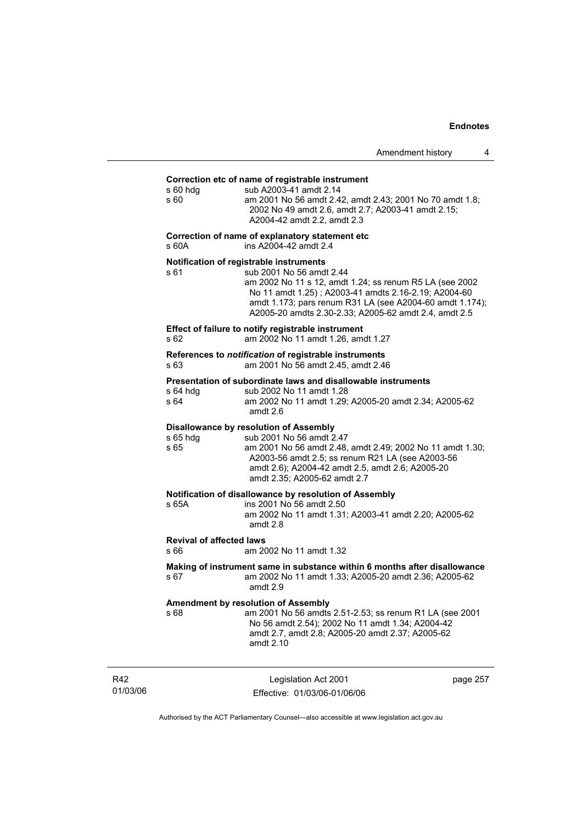#### **Correction etc of name of registrable instrument**

|                                         | Correction etc of name of registrable instrument                                                                                                                                                                                                                                                            |          |
|-----------------------------------------|-------------------------------------------------------------------------------------------------------------------------------------------------------------------------------------------------------------------------------------------------------------------------------------------------------------|----------|
| s 60 hdq<br>s 60                        | sub A2003-41 amdt 2.14<br>am 2001 No 56 amdt 2.42, amdt 2.43; 2001 No 70 amdt 1.8;<br>2002 No 49 amdt 2.6, amdt 2.7; A2003-41 amdt 2.15;<br>A2004-42 amdt 2.2, amdt 2.3                                                                                                                                     |          |
| s 60A                                   | Correction of name of explanatory statement etc<br>ins A2004-42 amdt 2.4                                                                                                                                                                                                                                    |          |
| s 61                                    | Notification of registrable instruments<br>sub 2001 No 56 amdt 2.44<br>am 2002 No 11 s 12, amdt 1.24; ss renum R5 LA (see 2002<br>No 11 amdt 1.25); A2003-41 amdts 2.16-2.19; A2004-60<br>amdt 1.173; pars renum R31 LA (see A2004-60 amdt 1.174);<br>A2005-20 amdts 2.30-2.33; A2005-62 amdt 2.4, amdt 2.5 |          |
| s 62                                    | Effect of failure to notify registrable instrument<br>am 2002 No 11 amdt 1.26, amdt 1.27                                                                                                                                                                                                                    |          |
| s 63                                    | References to <i>notification</i> of registrable instruments<br>am 2001 No 56 amdt 2.45, amdt 2.46                                                                                                                                                                                                          |          |
| s 64 hdg<br>s 64                        | Presentation of subordinate laws and disallowable instruments<br>sub 2002 No 11 amdt 1.28<br>am 2002 No 11 amdt 1.29; A2005-20 amdt 2.34; A2005-62<br>amdt 2.6                                                                                                                                              |          |
| s 65 hdg<br>s 65                        | Disallowance by resolution of Assembly<br>sub 2001 No 56 amdt 2.47<br>am 2001 No 56 amdt 2.48, amdt 2.49; 2002 No 11 amdt 1.30;<br>A2003-56 amdt 2.5; ss renum R21 LA (see A2003-56<br>amdt 2.6); A2004-42 amdt 2.5, amdt 2.6; A2005-20<br>amdt 2.35; A2005-62 amdt 2.7                                     |          |
| s 65A                                   | Notification of disallowance by resolution of Assembly<br>ins 2001 No 56 amdt 2.50<br>am 2002 No 11 amdt 1.31; A2003-41 amdt 2.20; A2005-62<br>amdt 2.8                                                                                                                                                     |          |
| <b>Revival of affected laws</b><br>s 66 | am 2002 No 11 amdt 1.32                                                                                                                                                                                                                                                                                     |          |
| s 67                                    | Making of instrument same in substance within 6 months after disallowance<br>am 2002 No 11 amdt 1.33; A2005-20 amdt 2.36; A2005-62<br>amdt 2.9                                                                                                                                                              |          |
| s 68                                    | <b>Amendment by resolution of Assembly</b><br>am 2001 No 56 amdts 2.51-2.53; ss renum R1 LA (see 2001<br>No 56 amdt 2.54); 2002 No 11 amdt 1.34; A2004-42<br>amdt 2.7, amdt 2.8; A2005-20 amdt 2.37; A2005-62<br>amdt 2.10                                                                                  |          |
|                                         | Legislation Act 2001                                                                                                                                                                                                                                                                                        | page 257 |

R42 01/03/06

Effective: 01/03/06-01/06/06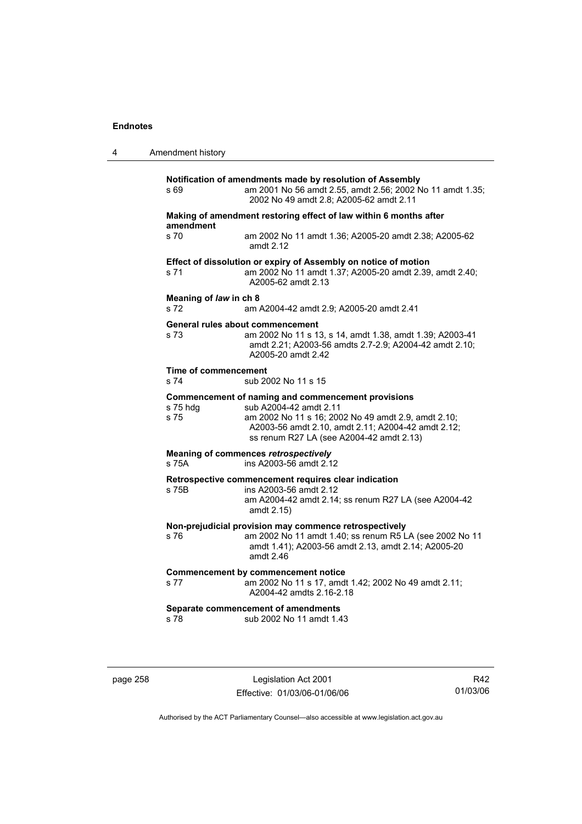| 4 | Amendment history                                                                                                                                                                                                                                         |
|---|-----------------------------------------------------------------------------------------------------------------------------------------------------------------------------------------------------------------------------------------------------------|
|   | Notification of amendments made by resolution of Assembly<br>am 2001 No 56 amdt 2.55, amdt 2.56; 2002 No 11 amdt 1.35;<br>s 69<br>2002 No 49 amdt 2.8; A2005-62 amdt 2.11                                                                                 |
|   | Making of amendment restoring effect of law within 6 months after<br>amendment                                                                                                                                                                            |
|   | s 70<br>am 2002 No 11 amdt 1.36; A2005-20 amdt 2.38; A2005-62<br>amdt $2.12$                                                                                                                                                                              |
|   | Effect of dissolution or expiry of Assembly on notice of motion<br>am 2002 No 11 amdt 1.37; A2005-20 amdt 2.39, amdt 2.40;<br>s 71<br>A2005-62 amdt 2.13                                                                                                  |
|   | Meaning of law in ch 8<br>s 72<br>am A2004-42 amdt 2.9; A2005-20 amdt 2.41                                                                                                                                                                                |
|   | General rules about commencement<br>s 73<br>am 2002 No 11 s 13, s 14, amdt 1.38, amdt 1.39; A2003-41<br>amdt 2.21; A2003-56 amdts 2.7-2.9; A2004-42 amdt 2.10;<br>A2005-20 amdt 2.42                                                                      |
|   | Time of commencement<br>s 74<br>sub 2002 No 11 s 15                                                                                                                                                                                                       |
|   | Commencement of naming and commencement provisions<br>s 75 hdg<br>sub A2004-42 amdt 2.11<br>am 2002 No 11 s 16; 2002 No 49 amdt 2.9, amdt 2.10;<br>s 75<br>A2003-56 amdt 2.10, amdt 2.11; A2004-42 amdt 2.12;<br>ss renum R27 LA (see A2004-42 amdt 2.13) |
|   | Meaning of commences retrospectively<br>ins A2003-56 amdt 2.12<br>s 75A                                                                                                                                                                                   |
|   | Retrospective commencement requires clear indication<br>ins A2003-56 amdt 2.12<br>s 75B<br>am A2004-42 amdt 2.14; ss renum R27 LA (see A2004-42<br>amdt 2.15)                                                                                             |
|   | Non-prejudicial provision may commence retrospectively<br>am 2002 No 11 amdt 1.40; ss renum R5 LA (see 2002 No 11<br>s 76<br>amdt 1.41); A2003-56 amdt 2.13, amdt 2.14; A2005-20<br>amdt $2.46$                                                           |
|   | <b>Commencement by commencement notice</b><br>am 2002 No 11 s 17, amdt 1.42; 2002 No 49 amdt 2.11;<br>s 77<br>A2004-42 amdts 2.16-2.18                                                                                                                    |
|   | Separate commencement of amendments<br>sub 2002 No 11 amdt 1.43<br>s 78                                                                                                                                                                                   |

page 258 Legislation Act 2001 Effective: 01/03/06-01/06/06

R42 01/03/06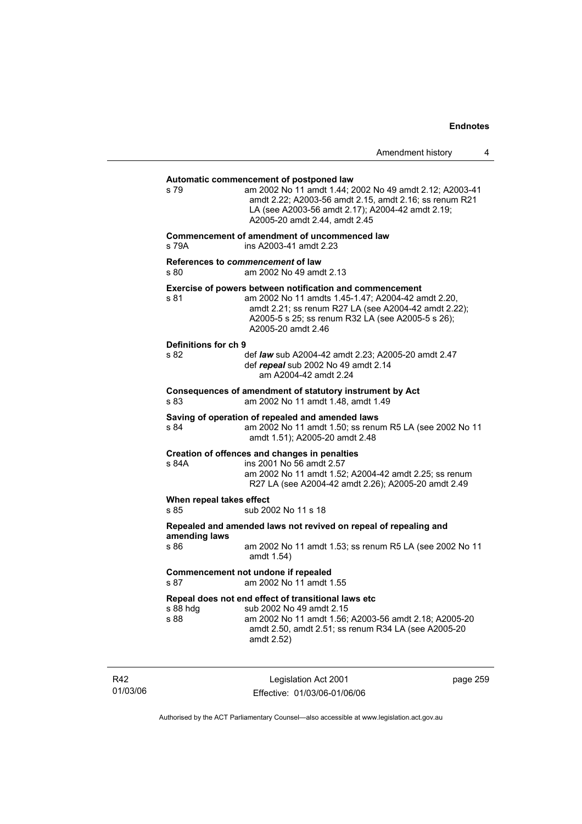## Legislation Act 2001 Effective: 01/03/06-01/06/06 page 259 **Automatic commencement of postponed law**  s 79 am 2002 No 11 amdt 1.44; 2002 No 49 amdt 2.12; A2003-41 amdt 2.22; A2003-56 amdt 2.15, amdt 2.16; ss renum R21 LA (see A2003-56 amdt 2.17); A2004-42 amdt 2.19; A2005-20 amdt 2.44, amdt 2.45 **Commencement of amendment of uncommenced law**  s 79A ins A2003-41 amdt 2.23 **References to** *commencement* **of law**  s 80 am 2002 No 49 amdt 2.13 **Exercise of powers between notification and commencement**  s 81 am 2002 No 11 amdts 1.45-1.47; A2004-42 amdt 2.20, amdt 2.21; ss renum R27 LA (see A2004-42 amdt 2.22); A2005-5 s 25; ss renum R32 LA (see A2005-5 s 26); A2005-20 amdt 2.46 **Definitions for ch 9**  s 82 def *law* sub A2004-42 amdt 2.23; A2005-20 amdt 2.47 def *repeal* sub 2002 No 49 amdt 2.14 am A2004-42 amdt 2.24 **Consequences of amendment of statutory instrument by Act**  s 83 am 2002 No 11 amdt 1.48, amdt 1.49 **Saving of operation of repealed and amended laws**  s 84 am 2002 No 11 amdt 1.50; ss renum R5 LA (see 2002 No 11 amdt 1.51); A2005-20 amdt 2.48 **Creation of offences and changes in penalties**  s 84A ins 2001 No 56 amdt 2.57 am 2002 No 11 amdt 1.52; A2004-42 amdt 2.25; ss renum R27 LA (see A2004-42 amdt 2.26); A2005-20 amdt 2.49 **When repeal takes effect**  s 85 sub 2002 No 11 s 18 **Repealed and amended laws not revived on repeal of repealing and amending laws**  s 86 am 2002 No 11 amdt 1.53; ss renum R5 LA (see 2002 No 11 amdt 1.54) **Commencement not undone if repealed**  s 87 am 2002 No 11 amdt 1.55 **Repeal does not end effect of transitional laws etc**  s 88 hdg sub 2002 No 49 amdt 2.15<br>s 88 se sam 2002 No 11 amdt 1.56: am 2002 No 11 amdt 1.56; A2003-56 amdt 2.18; A2005-20 amdt 2.50, amdt 2.51; ss renum R34 LA (see A2005-20 amdt 2.52)

Authorised by the ACT Parliamentary Counsel—also accessible at www.legislation.act.gov.au

R42 01/03/06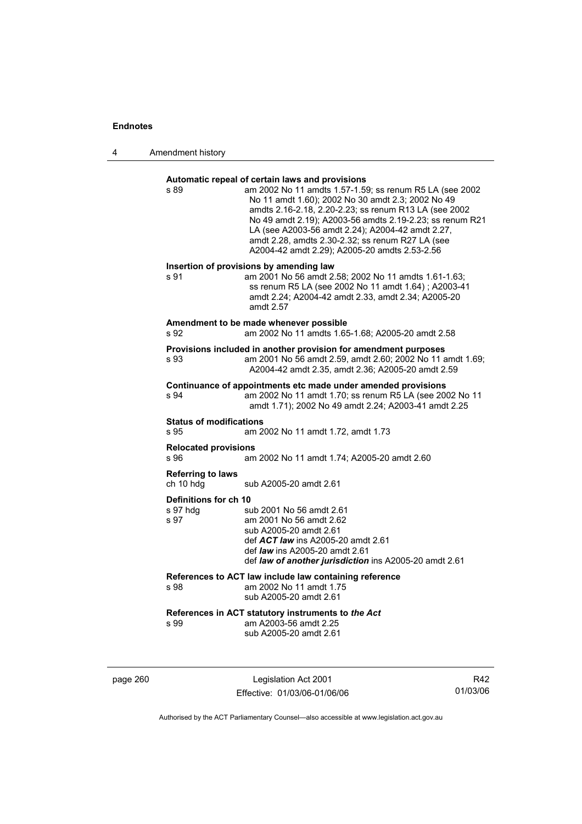4 Amendment history

## **Automatic repeal of certain laws and provisions**

| s 89                                   | am 2002 No 11 amdts 1.57-1.59; ss renum R5 LA (see 2002<br>No 11 amdt 1.60); 2002 No 30 amdt 2.3; 2002 No 49<br>amdts 2.16-2.18, 2.20-2.23; ss renum R13 LA (see 2002<br>No 49 amdt 2.19); A2003-56 amdts 2.19-2.23; ss renum R21<br>LA (see A2003-56 amdt 2.24); A2004-42 amdt 2.27,<br>amdt 2.28, amdts 2.30-2.32; ss renum R27 LA (see<br>A2004-42 amdt 2.29); A2005-20 amdts 2.53-2.56 |
|----------------------------------------|--------------------------------------------------------------------------------------------------------------------------------------------------------------------------------------------------------------------------------------------------------------------------------------------------------------------------------------------------------------------------------------------|
| s 91                                   | Insertion of provisions by amending law<br>am 2001 No 56 amdt 2.58; 2002 No 11 amdts 1.61-1.63;<br>ss renum R5 LA (see 2002 No 11 amdt 1.64); A2003-41<br>amdt 2.24; A2004-42 amdt 2.33, amdt 2.34; A2005-20<br>amdt 2.57                                                                                                                                                                  |
| s 92                                   | Amendment to be made whenever possible<br>am 2002 No 11 amdts 1.65-1.68; A2005-20 amdt 2.58                                                                                                                                                                                                                                                                                                |
| s 93                                   | Provisions included in another provision for amendment purposes<br>am 2001 No 56 amdt 2.59, amdt 2.60; 2002 No 11 amdt 1.69;<br>A2004-42 amdt 2.35, amdt 2.36; A2005-20 amdt 2.59                                                                                                                                                                                                          |
| s 94                                   | Continuance of appointments etc made under amended provisions<br>am 2002 No 11 amdt 1.70; ss renum R5 LA (see 2002 No 11<br>amdt 1.71); 2002 No 49 amdt 2.24; A2003-41 amdt 2.25                                                                                                                                                                                                           |
| <b>Status of modifications</b><br>s 95 | am 2002 No 11 amdt 1.72, amdt 1.73                                                                                                                                                                                                                                                                                                                                                         |
| <b>Relocated provisions</b><br>s 96    | am 2002 No 11 amdt 1.74; A2005-20 amdt 2.60                                                                                                                                                                                                                                                                                                                                                |
| <b>Referring to laws</b><br>ch 10 hdg  | sub A2005-20 amdt 2.61                                                                                                                                                                                                                                                                                                                                                                     |
| Definitions for ch 10                  |                                                                                                                                                                                                                                                                                                                                                                                            |
| s 97 hdq<br>s 97                       | sub 2001 No 56 amdt 2.61<br>am 2001 No 56 amdt 2.62<br>sub A2005-20 amdt 2.61<br>def ACT law ins A2005-20 amdt 2.61<br>def law ins A2005-20 amdt 2.61<br>def law of another jurisdiction ins A2005-20 amdt 2.61                                                                                                                                                                            |
| s 98                                   | References to ACT law include law containing reference<br>am 2002 No 11 amdt 1.75<br>sub A2005-20 amdt 2.61                                                                                                                                                                                                                                                                                |
| s 99                                   | References in ACT statutory instruments to the Act<br>am A2003-56 amdt 2.25<br>sub A2005-20 amdt 2.61                                                                                                                                                                                                                                                                                      |

page 260 Legislation Act 2001 Effective: 01/03/06-01/06/06

R42 01/03/06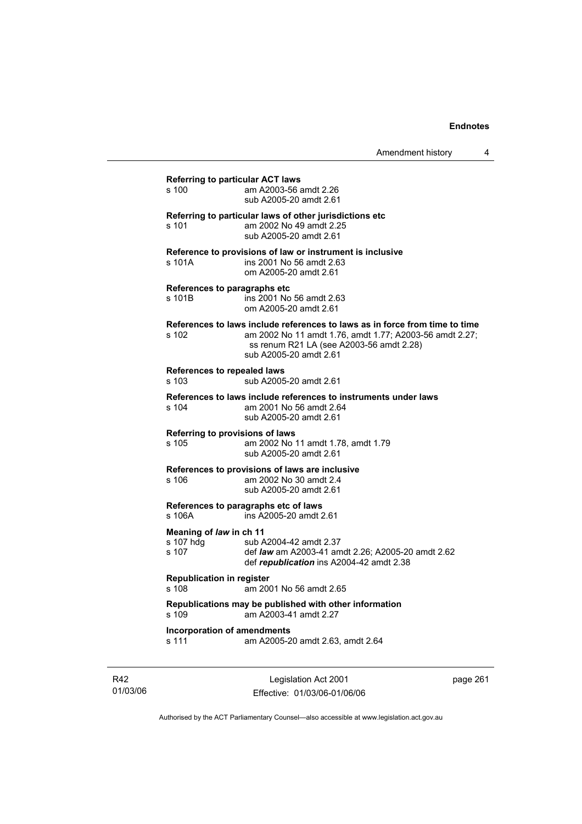| s 100                                         | <b>Referring to particular ACT laws</b><br>am A2003-56 amdt 2.26<br>sub A2005-20 amdt 2.61                                                                                                                   |
|-----------------------------------------------|--------------------------------------------------------------------------------------------------------------------------------------------------------------------------------------------------------------|
| s 101                                         | Referring to particular laws of other jurisdictions etc<br>am 2002 No 49 amdt 2.25<br>sub A2005-20 amdt 2.61                                                                                                 |
| s 101A                                        | Reference to provisions of law or instrument is inclusive<br>ins 2001 No 56 amdt 2.63<br>om A2005-20 amdt 2.61                                                                                               |
| s 101B                                        | References to paragraphs etc<br>ins 2001 No 56 amdt 2.63<br>om A2005-20 amdt 2.61                                                                                                                            |
| s 102                                         | References to laws include references to laws as in force from time to time<br>am 2002 No 11 amdt 1.76, amdt 1.77; A2003-56 amdt 2.27;<br>ss renum R21 LA (see A2003-56 amdt 2.28)<br>sub A2005-20 amdt 2.61 |
| References to repealed laws<br>s 103          | sub A2005-20 amdt 2.61                                                                                                                                                                                       |
| s 104                                         | References to laws include references to instruments under laws<br>am 2001 No 56 amdt 2.64<br>sub A2005-20 amdt 2.61                                                                                         |
| s 105                                         | Referring to provisions of laws<br>am 2002 No 11 amdt 1.78, amdt 1.79<br>sub A2005-20 amdt 2.61                                                                                                              |
| s 106                                         | References to provisions of laws are inclusive<br>am 2002 No 30 amdt 2.4<br>sub A2005-20 amdt 2.61                                                                                                           |
| s 106A                                        | References to paragraphs etc of laws<br>ins A2005-20 amdt 2.61                                                                                                                                               |
| Meaning of law in ch 11<br>s 107 hdg<br>s 107 | sub A2004-42 amdt 2.37<br>def law am A2003-41 amdt 2.26; A2005-20 amdt 2.62<br>def republication ins A2004-42 amdt 2.38                                                                                      |
| <b>Republication in register</b><br>$s$ 108   | am 2001 No 56 amdt 2.65                                                                                                                                                                                      |
| s 109                                         | Republications may be published with other information<br>am A2003-41 amdt 2.27                                                                                                                              |
|                                               |                                                                                                                                                                                                              |

R42 01/03/06

Legislation Act 2001 Effective: 01/03/06-01/06/06 page 261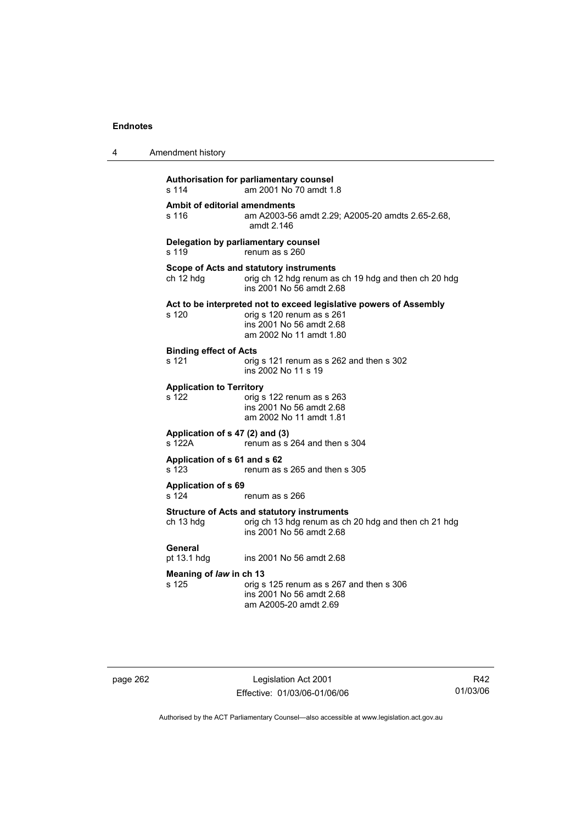| 4 | Amendment history                                                                                                                                               |
|---|-----------------------------------------------------------------------------------------------------------------------------------------------------------------|
|   | Authorisation for parliamentary counsel<br>s 114<br>am 2001 No 70 amdt 1.8                                                                                      |
|   | Ambit of editorial amendments<br>s 116<br>am A2003-56 amdt 2.29; A2005-20 amdts 2.65-2.68,<br>amdt 2.146                                                        |
|   | Delegation by parliamentary counsel<br>s 119<br>renum as s 260                                                                                                  |
|   | Scope of Acts and statutory instruments<br>ch 12 hdg<br>orig ch 12 hdg renum as ch 19 hdg and then ch 20 hdg<br>ins 2001 No 56 amdt 2.68                        |
|   | Act to be interpreted not to exceed legislative powers of Assembly<br>orig s 120 renum as s 261<br>s 120<br>ins 2001 No 56 amdt 2.68<br>am 2002 No 11 amdt 1.80 |
|   | <b>Binding effect of Acts</b><br>s 121<br>orig s 121 renum as s 262 and then s 302<br>ins 2002 No 11 s 19                                                       |
|   | <b>Application to Territory</b><br>s 122<br>orig s 122 renum as s 263<br>ins 2001 No 56 amdt 2.68<br>am 2002 No 11 amdt 1.81                                    |
|   | Application of s 47 (2) and (3)<br>renum as s 264 and then s 304<br>s 122A                                                                                      |
|   | Application of s 61 and s 62<br>s 123<br>renum as s 265 and then s 305                                                                                          |
|   | <b>Application of s 69</b><br>s 124<br>renum as s 266                                                                                                           |
|   | <b>Structure of Acts and statutory instruments</b><br>ch 13 hdg<br>orig ch 13 hdg renum as ch 20 hdg and then ch 21 hdg<br>ins 2001 No 56 amdt 2.68             |
|   | General<br>ins 2001 No 56 amdt 2.68<br>pt 13.1 hdg                                                                                                              |
|   | Meaning of law in ch 13<br>s 125<br>orig s 125 renum as s 267 and then s 306<br>ins 2001 No 56 amdt 2.68<br>am A2005-20 amdt 2.69                               |

page 262 Legislation Act 2001 Effective: 01/03/06-01/06/06

R42 01/03/06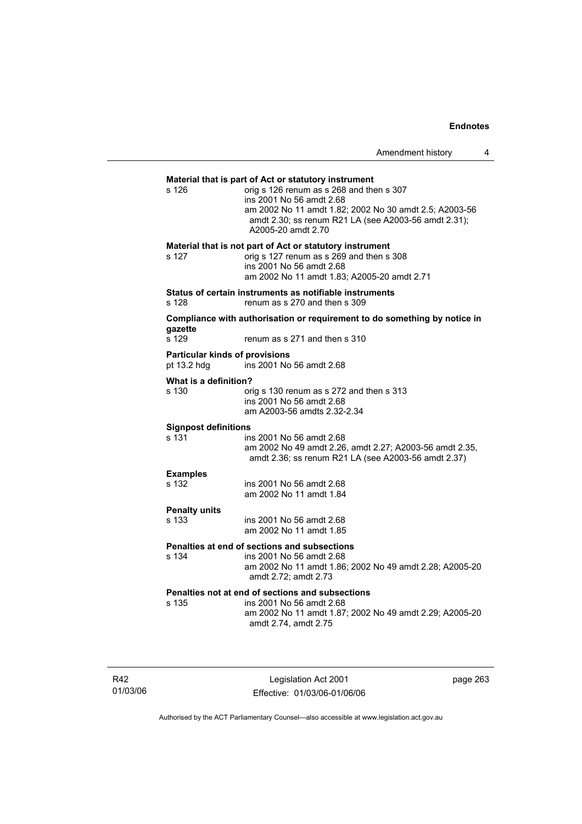## **Material that is part of Act or statutory instrument**  s 126 orig s 126 renum as s 268 and then s 307 ins 2001 No 56 amdt 2.68 am 2002 No 11 amdt 1.82; 2002 No 30 amdt 2.5; A2003-56 amdt 2.30; ss renum R21 LA (see A2003-56 amdt 2.31); A2005-20 amdt 2.70 **Material that is not part of Act or statutory instrument**  s 127 orig s 127 renum as s 269 and then s 308 ins 2001 No 56 amdt 2.68 am 2002 No 11 amdt 1.83; A2005-20 amdt 2.71 **Status of certain instruments as notifiable instruments**  s 128 renum as s 270 and then s 309 **Compliance with authorisation or requirement to do something by notice in gazette**  renum as s 271 and then s 310 **Particular kinds of provisions**  pt 13.2 hdg ins 2001 No 56 amdt 2.68 **What is a definition?**<br>s 130 or orig s 130 renum as s 272 and then s 313 ins 2001 No 56 amdt 2.68 am A2003-56 amdts 2.32-2.34 **Signpost definitions**  s 131 ins 2001 No 56 amdt 2.68 am 2002 No 49 amdt 2.26, amdt 2.27; A2003-56 amdt 2.35, amdt 2.36; ss renum R21 LA (see A2003-56 amdt 2.37) **Examples**  s 132 ins 2001 No 56 amdt 2.68 am 2002 No 11 amdt 1.84 **Penalty units**  ins 2001 No 56 amdt 2.68 am 2002 No 11 amdt 1.85 **Penalties at end of sections and subsections**  s 134 ins 2001 No 56 amdt 2.68 am 2002 No 11 amdt 1.86; 2002 No 49 amdt 2.28; A2005-20 amdt 2.72; amdt 2.73 **Penalties not at end of sections and subsections**  s 135 ins 2001 No 56 amdt 2.68 am 2002 No 11 amdt 1.87; 2002 No 49 amdt 2.29; A2005-20 amdt 2.74, amdt 2.75

R42 01/03/06

Legislation Act 2001 Effective: 01/03/06-01/06/06 page 263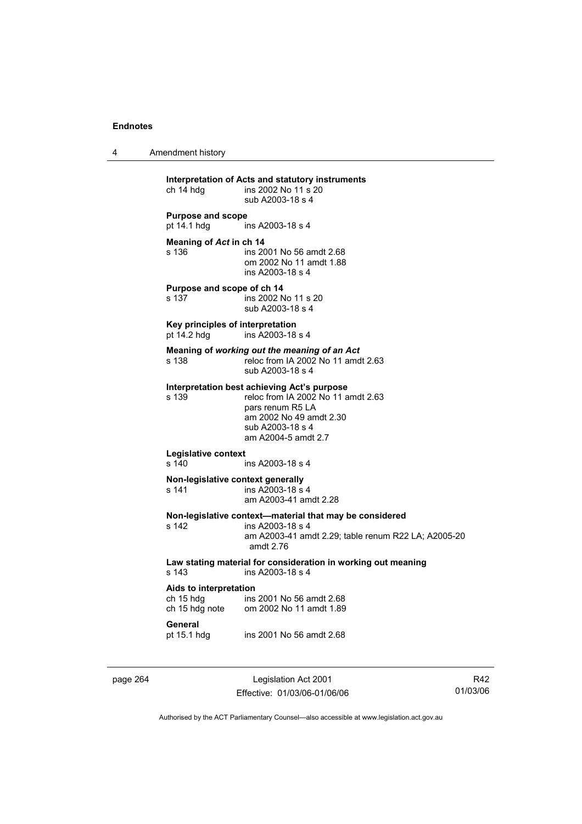4 Amendment history

**Interpretation of Acts and statutory instruments**  ins 2002 No 11 s 20 sub A2003-18 s 4 **Purpose and scope**<br>pt 14.1 hdg ir ins A2003-18 s 4 **Meaning of** *Act* **in ch 14**  s 136 ins 2001 No 56 amdt 2.68 om 2002 No 11 amdt 1.88 ins A2003-18 s 4 **Purpose and scope of ch 14**  s 137 ins 2002 No 11 s 20 sub A2003-18 s 4 **Key principles of interpretation**  pt 14.2 hdg ins A2003-18 s 4 **Meaning of** *working out the meaning of an Act* s 138 reloc from IA 2002 No 11 amdt 2.63 sub A2003-18 s 4 **Interpretation best achieving Act's purpose**  s 139 reloc from IA 2002 No 11 amdt 2.63 pars renum R5 LA am 2002 No 49 amdt 2.30 sub A2003-18 s 4 am A2004-5 amdt 2.7 **Legislative context**  s 140 ins A2003-18 s 4 **Non-legislative context generally**  s 141 ins A2003-18 s 4 am A2003-41 amdt 2.28 **Non-legislative context—material that may be considered**  s 142 ins A2003-18 s 4 am A2003-41 amdt 2.29; table renum R22 LA; A2005-20 amdt 2.76 **Law stating material for consideration in working out meaning**  ins A2003-18 s 4 **Aids to interpretation**  ch 15 hdg ins 2001 No 56 amdt 2.68<br>ch 15 hdg note om 2002 No 11 amdt 1.89 om 2002 No 11 amdt 1.89 **General**  pt 15.1 hdg ins 2001 No 56 amdt 2.68

page 264 Legislation Act 2001 Effective: 01/03/06-01/06/06

R42 01/03/06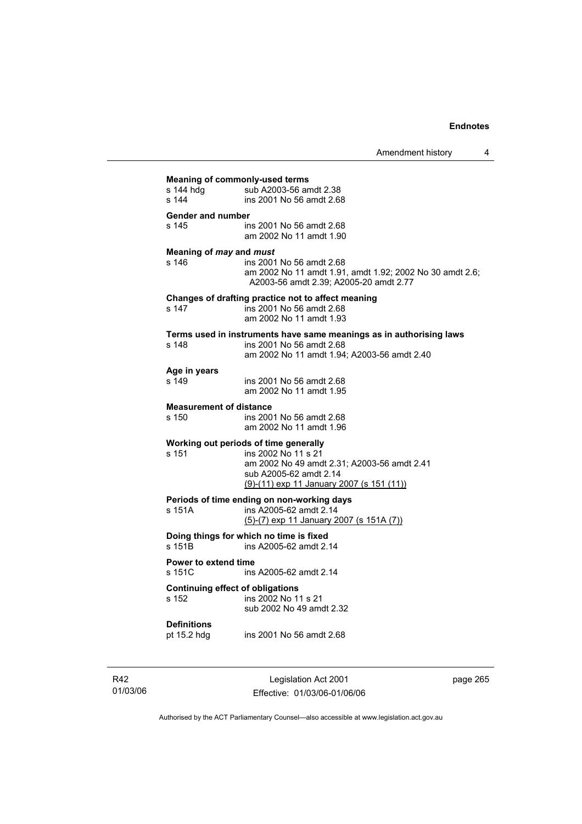| <b>Meaning of commonly-used terms</b>   |                                                                     |  |
|-----------------------------------------|---------------------------------------------------------------------|--|
| s 144 hdg                               | sub A2003-56 amdt 2.38                                              |  |
| s 144                                   | ins 2001 No 56 amdt 2.68                                            |  |
|                                         |                                                                     |  |
| Gender and number                       |                                                                     |  |
| s 145                                   | ins 2001 No 56 amdt 2.68                                            |  |
|                                         | am 2002 No 11 amdt 1.90                                             |  |
|                                         |                                                                     |  |
| Meaning of may and must                 |                                                                     |  |
| s 146                                   | ins 2001 No 56 amdt 2.68                                            |  |
|                                         | am 2002 No 11 amdt 1.91, amdt 1.92; 2002 No 30 amdt 2.6;            |  |
|                                         | A2003-56 amdt 2.39; A2005-20 amdt 2.77                              |  |
|                                         |                                                                     |  |
|                                         | Changes of drafting practice not to affect meaning                  |  |
| s 147                                   | ins 2001 No 56 amdt 2.68                                            |  |
|                                         | am 2002 No 11 amdt 1.93                                             |  |
|                                         | Terms used in instruments have same meanings as in authorising laws |  |
| s 148                                   | ins 2001 No 56 amdt 2.68                                            |  |
|                                         | am 2002 No 11 amdt 1.94; A2003-56 amdt 2.40                         |  |
|                                         |                                                                     |  |
| Age in years                            |                                                                     |  |
| s 149                                   | ins 2001 No 56 amdt 2.68                                            |  |
|                                         | am 2002 No 11 amdt 1.95                                             |  |
|                                         |                                                                     |  |
| <b>Measurement of distance</b>          |                                                                     |  |
| s 150                                   | ins 2001 No 56 amdt 2.68                                            |  |
|                                         | am 2002 No 11 amdt 1.96                                             |  |
|                                         |                                                                     |  |
|                                         | Working out periods of time generally                               |  |
| s 151                                   | ins 2002 No 11 s 21                                                 |  |
|                                         | am 2002 No 49 amdt 2.31; A2003-56 amdt 2.41                         |  |
|                                         | sub A2005-62 amdt 2.14                                              |  |
|                                         | $(9)$ -(11) exp 11 January 2007 (s 151 (11))                        |  |
|                                         | Periods of time ending on non-working days                          |  |
| s 151A                                  | ins A2005-62 amdt 2.14                                              |  |
|                                         | $(5)-(7)$ exp 11 January 2007 (s 151A $(7)$ )                       |  |
|                                         |                                                                     |  |
|                                         | Doing things for which no time is fixed                             |  |
| s 151B                                  | ins A2005-62 amdt 2.14                                              |  |
|                                         |                                                                     |  |
| <b>Power to extend time</b>             |                                                                     |  |
| s 151C                                  | ins A2005-62 amdt 2.14                                              |  |
| <b>Continuing effect of obligations</b> |                                                                     |  |
| s 152                                   | ins 2002 No 11 s 21                                                 |  |
|                                         | sub 2002 No 49 amdt 2.32                                            |  |
|                                         |                                                                     |  |
| <b>Definitions</b>                      |                                                                     |  |
| pt 15.2 hdg                             | ins 2001 No 56 amdt 2.68                                            |  |
|                                         |                                                                     |  |
|                                         |                                                                     |  |
|                                         |                                                                     |  |

R42 01/03/06

Legislation Act 2001 Effective: 01/03/06-01/06/06 page 265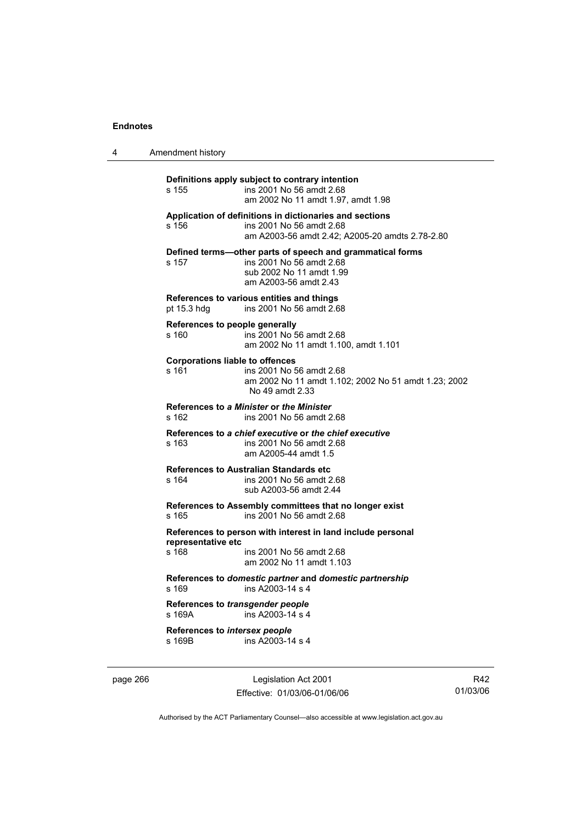| 4 | Amendment history                                                                                                                                      |
|---|--------------------------------------------------------------------------------------------------------------------------------------------------------|
|   | Definitions apply subject to contrary intention<br>ins 2001 No 56 amdt 2.68<br>s 155<br>am 2002 No 11 amdt 1.97, amdt 1.98                             |
|   | Application of definitions in dictionaries and sections<br>s 156<br>ins 2001 No 56 amdt 2.68<br>am A2003-56 amdt 2.42; A2005-20 amdts 2.78-2.80        |
|   | Defined terms—other parts of speech and grammatical forms<br>ins 2001 No 56 amdt 2.68<br>s 157<br>sub 2002 No 11 amdt 1.99<br>am A2003-56 amdt 2.43    |
|   | References to various entities and things<br>ins 2001 No 56 amdt 2.68<br>pt $15.3$ hdg                                                                 |
|   | References to people generally<br>ins 2001 No 56 amdt 2.68<br>s 160<br>am 2002 No 11 amdt 1.100, amdt 1.101                                            |
|   | <b>Corporations liable to offences</b><br>ins 2001 No 56 amdt 2.68<br>s 161<br>am 2002 No 11 amdt 1.102; 2002 No 51 amdt 1.23; 2002<br>No 49 amdt 2.33 |
|   | References to a Minister or the Minister<br>s 162<br>ins 2001 No 56 amdt 2.68                                                                          |
|   | References to a chief executive or the chief executive<br>s 163<br>ins 2001 No 56 amdt 2.68<br>am A2005-44 amdt 1.5                                    |
|   | <b>References to Australian Standards etc</b><br>s 164<br>ins 2001 No 56 amdt 2.68<br>sub A2003-56 amdt 2.44                                           |
|   | References to Assembly committees that no longer exist<br>s 165<br>ins 2001 No 56 amdt 2.68                                                            |
|   | References to person with interest in land include personal<br>representative etc<br>s 168<br>ins 2001 No 56 amdt 2.68                                 |
|   | am 2002 No 11 amdt 1.103                                                                                                                               |
|   | References to domestic partner and domestic partnership<br>s 169<br>ins A2003-14 s 4                                                                   |
|   | References to transgender people<br>s 169A<br>ins A2003-14 s 4                                                                                         |
|   | References to intersex people<br>ins A2003-14 s 4<br>s 169B                                                                                            |

page 266 Legislation Act 2001 Effective: 01/03/06-01/06/06

R42 01/03/06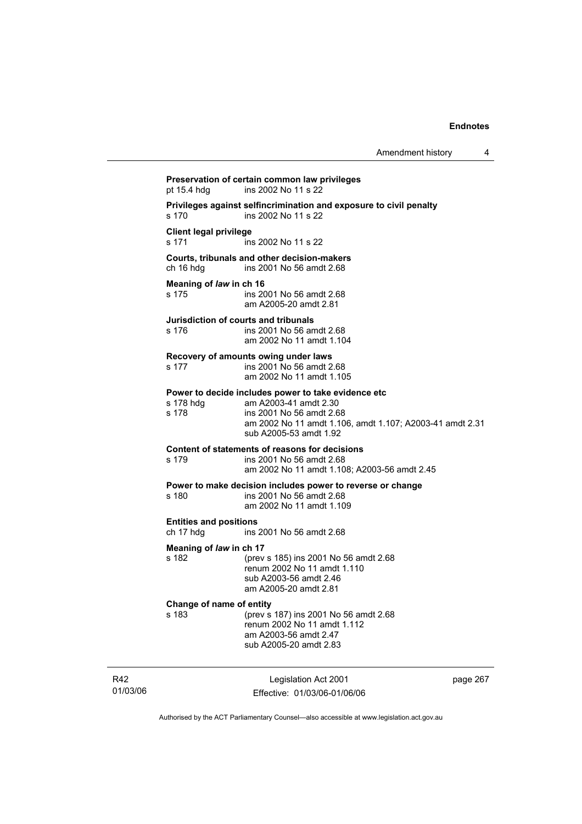Legislation Act 2001 **Preservation of certain common law privileges**  pt 15.4 hdg ins 2002 No 11 s 22 **Privileges against selfincrimination and exposure to civil penalty**  s 170 ins 2002 No 11 s 22 **Client legal privilege**  s 171 ins 2002 No 11 s 22 **Courts, tribunals and other decision-makers**  ch 16 hdg ins 2001 No 56 amdt 2.68 **Meaning of** *law* **in ch 16**  s 175 ins 2001 No 56 amdt 2.68 am A2005-20 amdt 2.81 **Jurisdiction of courts and tribunals**  s 176 ins 2001 No 56 amdt 2.68 am 2002 No 11 amdt 1.104 **Recovery of amounts owing under laws**  s 177 ins 2001 No 56 amdt 2.68 am 2002 No 11 amdt 1.105 **Power to decide includes power to take evidence etc**  s 178 hdg am A2003-41 amdt 2.30<br>s 178 ins 2001 No 56 amdt 2.6 ins 2001 No 56 amdt 2.68 am 2002 No 11 amdt 1.106, amdt 1.107; A2003-41 amdt 2.31 sub A2005-53 amdt 1.92 **Content of statements of reasons for decisions**  s 179 ins 2001 No 56 amdt 2.68 am 2002 No 11 amdt 1.108; A2003-56 amdt 2.45 **Power to make decision includes power to reverse or change**  s 180 ins 2001 No 56 amdt 2.68 am 2002 No 11 amdt 1.109 **Entities and positions**  ch 17 hdg ins 2001 No 56 amdt 2.68 **Meaning of** *law* **in ch 17**  s 182 (prev s 185) ins 2001 No 56 amdt 2.68 renum 2002 No 11 amdt 1.110 sub A2003-56 amdt 2.46 am A2005-20 amdt 2.81 **Change of name of entity**  s 183 (prev s 187) ins 2001 No 56 amdt 2.68 renum 2002 No 11 amdt 1.112 am A2003-56 amdt 2.47 sub A2005-20 amdt 2.83

R42 01/03/06

Effective: 01/03/06-01/06/06

page 267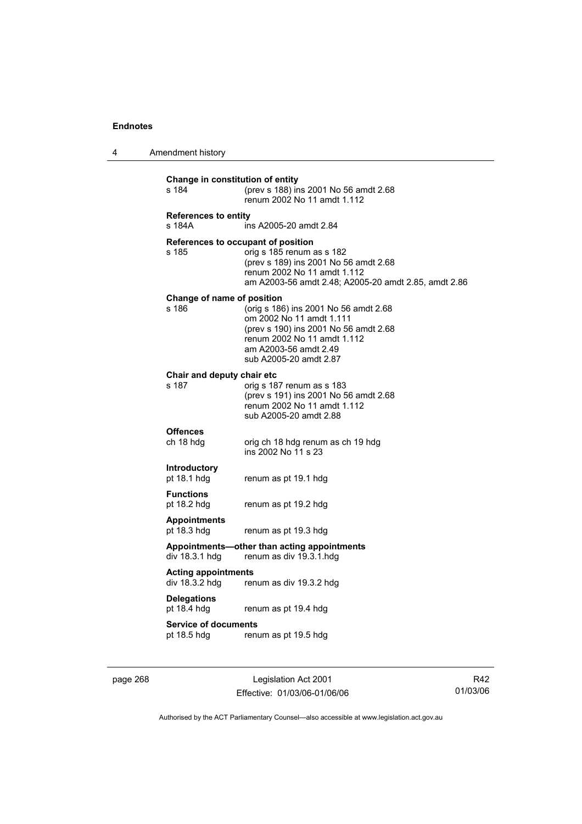| 4 | Amendment history |
|---|-------------------|
|---|-------------------|

| Change in constitution of entity<br>s 184    | (prev s 188) ins 2001 No 56 amdt 2.68<br>renum 2002 No 11 amdt 1.112                                                                                                                         |
|----------------------------------------------|----------------------------------------------------------------------------------------------------------------------------------------------------------------------------------------------|
| <b>References to entity</b><br>s 184A        | ins A2005-20 amdt 2.84                                                                                                                                                                       |
| References to occupant of position<br>s 185  | orig s 185 renum as s 182<br>(prev s 189) ins 2001 No 56 amdt 2.68<br>renum 2002 No 11 amdt 1.112<br>am A2003-56 amdt 2.48; A2005-20 amdt 2.85, amdt 2.86                                    |
| Change of name of position<br>s 186          | (orig s 186) ins 2001 No 56 amdt 2.68<br>om 2002 No 11 amdt 1.111<br>(prev s 190) ins 2001 No 56 amdt 2.68<br>renum 2002 No 11 amdt 1.112<br>am A2003-56 amdt 2.49<br>sub A2005-20 amdt 2.87 |
| Chair and deputy chair etc<br>s 187          | orig s 187 renum as s 183<br>(prev s 191) ins 2001 No 56 amdt 2.68<br>renum 2002 No 11 amdt 1.112<br>sub A2005-20 amdt 2.88                                                                  |
| <b>Offences</b><br>ch 18 hdg                 | orig ch 18 hdg renum as ch 19 hdg<br>ins 2002 No 11 s 23                                                                                                                                     |
| <b>Introductory</b><br>pt 18.1 hdg           | renum as pt 19.1 hdg                                                                                                                                                                         |
| <b>Functions</b><br>pt 18.2 hdg              | renum as pt 19.2 hdg                                                                                                                                                                         |
| <b>Appointments</b><br>pt 18.3 hdg           | renum as pt 19.3 hdg                                                                                                                                                                         |
| div 18.3.1 hdg                               | Appointments-other than acting appointments<br>renum as div 19.3.1.hdg                                                                                                                       |
| <b>Acting appointments</b><br>div 18.3.2 hdg | renum as div 19.3.2 hdg                                                                                                                                                                      |
| <b>Delegations</b><br>pt 18.4 hdg            | renum as pt 19.4 hdg                                                                                                                                                                         |
| <b>Service of documents</b><br>pt 18.5 hdg   | renum as pt 19.5 hdg                                                                                                                                                                         |

page 268 Legislation Act 2001 Effective: 01/03/06-01/06/06

R42 01/03/06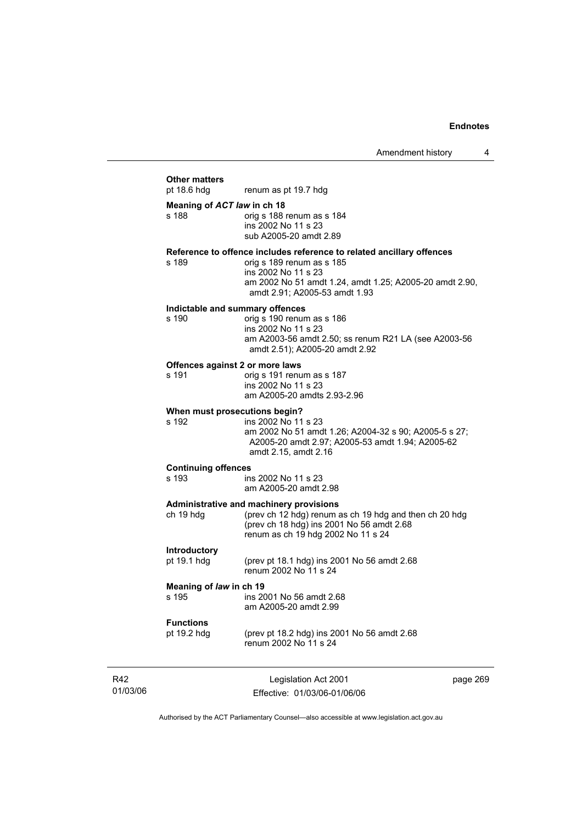|                                     | AMONUMENT MONTY                                                                                                                                                                                                       |         |
|-------------------------------------|-----------------------------------------------------------------------------------------------------------------------------------------------------------------------------------------------------------------------|---------|
|                                     |                                                                                                                                                                                                                       |         |
| <b>Other matters</b><br>pt 18.6 hdg | renum as pt 19.7 hdg                                                                                                                                                                                                  |         |
| Meaning of ACT law in ch 18         |                                                                                                                                                                                                                       |         |
| s 188                               | orig s 188 renum as s 184<br>ins 2002 No 11 s 23<br>sub A2005-20 amdt 2.89                                                                                                                                            |         |
| s 189                               | Reference to offence includes reference to related ancillary offences<br>orig s 189 renum as s 185<br>ins 2002 No 11 s 23<br>am 2002 No 51 amdt 1.24, amdt 1.25; A2005-20 amdt 2.90,<br>amdt 2.91; A2005-53 amdt 1.93 |         |
|                                     | Indictable and summary offences                                                                                                                                                                                       |         |
| s 190                               | orig s 190 renum as s 186<br>ins 2002 No 11 s 23<br>am A2003-56 amdt 2.50; ss renum R21 LA (see A2003-56<br>amdt 2.51); A2005-20 amdt 2.92                                                                            |         |
|                                     | Offences against 2 or more laws                                                                                                                                                                                       |         |
| s 191                               | orig s 191 renum as s 187<br>ins 2002 No 11 s 23<br>am A2005-20 amdts 2.93-2.96                                                                                                                                       |         |
|                                     | When must prosecutions begin?                                                                                                                                                                                         |         |
| s 192                               | ins 2002 No 11 s 23<br>am 2002 No 51 amdt 1.26; A2004-32 s 90; A2005-5 s 27;<br>A2005-20 amdt 2.97; A2005-53 amdt 1.94; A2005-62<br>amdt 2.15, amdt 2.16                                                              |         |
| <b>Continuing offences</b>          |                                                                                                                                                                                                                       |         |
| s 193                               | ins 2002 No 11 s 23<br>am A2005-20 amdt 2.98                                                                                                                                                                          |         |
|                                     | Administrative and machinery provisions                                                                                                                                                                               |         |
| ch 19 hdg                           | (prev ch 12 hdg) renum as ch 19 hdg and then ch 20 hdg<br>(prev ch 18 hdg) ins 2001 No 56 amdt 2.68<br>renum as ch 19 hdg 2002 No 11 s 24                                                                             |         |
| Introductory                        |                                                                                                                                                                                                                       |         |
| pt 19.1 hdg                         | (prev pt 18.1 hdg) ins 2001 No 56 amdt 2.68<br>renum 2002 No 11 s 24                                                                                                                                                  |         |
| Meaning of law in ch 19             |                                                                                                                                                                                                                       |         |
| s 195                               | ins 2001 No 56 amdt 2.68<br>am A2005-20 amdt 2.99                                                                                                                                                                     |         |
| <b>Functions</b>                    |                                                                                                                                                                                                                       |         |
| pt 19.2 hdg                         | (prev pt 18.2 hdg) ins 2001 No 56 amdt 2.68<br>renum 2002 No 11 s 24                                                                                                                                                  |         |
|                                     | Legislation Act 2001                                                                                                                                                                                                  | nage 26 |

R42 01/03/06

Legislation Act 2001 Effective: 01/03/06-01/06/06 page 269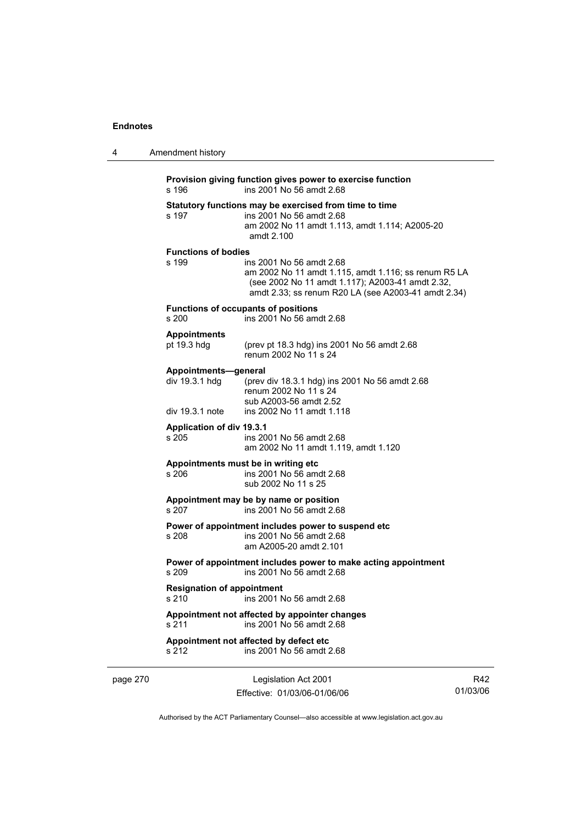| 4        | Amendment history                                                                               |                                                                                                                                                                                             |   |
|----------|-------------------------------------------------------------------------------------------------|---------------------------------------------------------------------------------------------------------------------------------------------------------------------------------------------|---|
|          | Provision giving function gives power to exercise function<br>ins 2001 No 56 amdt 2.68<br>s 196 |                                                                                                                                                                                             |   |
|          | s 197                                                                                           | Statutory functions may be exercised from time to time<br>ins 2001 No 56 amdt 2.68<br>am 2002 No 11 amdt 1.113, amdt 1.114; A2005-20<br>amdt 2.100                                          |   |
|          | <b>Functions of bodies</b><br>s 199                                                             | ins 2001 No 56 amdt 2.68<br>am 2002 No 11 amdt 1.115, amdt 1.116; ss renum R5 LA<br>(see 2002 No 11 amdt 1.117); A2003-41 amdt 2.32,<br>amdt 2.33; ss renum R20 LA (see A2003-41 amdt 2.34) |   |
|          | s 200                                                                                           | <b>Functions of occupants of positions</b><br>ins 2001 No 56 amdt 2.68                                                                                                                      |   |
|          | <b>Appointments</b><br>pt 19.3 hdg                                                              | (prev pt 18.3 hdg) ins 2001 No 56 amdt 2.68<br>renum 2002 No 11 s 24                                                                                                                        |   |
|          | Appointments-general<br>div 19.3.1 hdg                                                          | (prev div 18.3.1 hdg) ins 2001 No 56 amdt 2.68<br>renum 2002 No 11 s 24<br>sub A2003-56 amdt 2.52                                                                                           |   |
|          | div 19.3.1 note<br><b>Application of div 19.3.1</b><br>s 205                                    | ins 2002 No 11 amdt 1.118<br>ins 2001 No 56 amdt 2.68<br>am 2002 No 11 amdt 1.119, amdt 1.120                                                                                               |   |
|          | s 206                                                                                           | Appointments must be in writing etc<br>ins 2001 No 56 amdt 2.68<br>sub 2002 No 11 s 25                                                                                                      |   |
|          | s 207                                                                                           | Appointment may be by name or position<br>ins 2001 No 56 amdt 2.68                                                                                                                          |   |
|          | s 208                                                                                           | Power of appointment includes power to suspend etc<br>ins 2001 No 56 amdt 2.68<br>am A2005-20 amdt 2.101                                                                                    |   |
|          | s 209                                                                                           | Power of appointment includes power to make acting appointment<br>ins 2001 No 56 amdt 2.68                                                                                                  |   |
|          | <b>Resignation of appointment</b><br>s 210                                                      | ins 2001 No 56 amdt 2.68                                                                                                                                                                    |   |
|          | s 211                                                                                           | Appointment not affected by appointer changes<br>ins 2001 No 56 amdt 2.68                                                                                                                   |   |
|          | s 212                                                                                           | Appointment not affected by defect etc<br>ins 2001 No 56 amdt 2.68                                                                                                                          |   |
| page 270 |                                                                                                 | Legislation Act 2001                                                                                                                                                                        | R |

Effective: 01/03/06-01/06/06

R42 01/03/06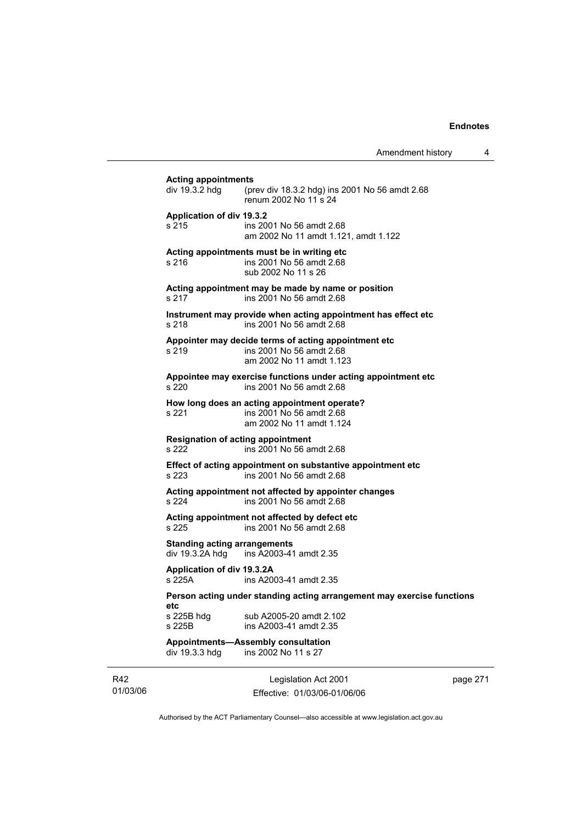| <b>Acting appointments</b><br>div 19.3.2 hdg           | (prev div 18.3.2 hdg) ins 2001 No 56 amdt 2.68<br>renum 2002 No 11 s 24                                      |
|--------------------------------------------------------|--------------------------------------------------------------------------------------------------------------|
| <b>Application of div 19.3.2</b><br>s 215              | ins 2001 No 56 amdt 2.68<br>am 2002 No 11 amdt 1.121, amdt 1.122                                             |
| s 216                                                  | Acting appointments must be in writing etc<br>ins 2001 No 56 amdt 2.68<br>sub 2002 No 11 s 26                |
| s 217                                                  | Acting appointment may be made by name or position<br>ins 2001 No 56 amdt 2.68                               |
| s 218                                                  | Instrument may provide when acting appointment has effect etc<br>ins 2001 No 56 amdt 2.68                    |
| s 219                                                  | Appointer may decide terms of acting appointment etc<br>ins 2001 No 56 amdt 2.68<br>am 2002 No 11 amdt 1.123 |
| s 220                                                  | Appointee may exercise functions under acting appointment etc.<br>ins 2001 No 56 amdt 2.68                   |
| s 221                                                  | How long does an acting appointment operate?<br>ins 2001 No 56 amdt 2.68<br>am 2002 No 11 amdt 1.124         |
| <b>Resignation of acting appointment</b><br>s 222      | ins 2001 No 56 amdt 2.68                                                                                     |
| s 223                                                  | Effect of acting appointment on substantive appointment etc<br>ins 2001 No 56 amdt 2.68                      |
| s 224                                                  | Acting appointment not affected by appointer changes<br>ins 2001 No 56 amdt 2.68                             |
| s 225                                                  | Acting appointment not affected by defect etc<br>ins 2001 No 56 amdt 2.68                                    |
| <b>Standing acting arrangements</b><br>div 19.3.2A hdg | ins A2003-41 amdt 2.35                                                                                       |
| Application of div 19.3.2A<br>s 225A                   | ins A2003-41 amdt 2.35                                                                                       |
|                                                        | Person acting under standing acting arrangement may exercise functions                                       |
| etc<br>s 225B hdg<br>s 225B                            | sub A2005-20 amdt 2.102<br>ins A2003-41 amdt 2.35                                                            |
| div 19.3.3 hdg                                         | <b>Appointments-Assembly consultation</b><br>ins 2002 No 11 s 27                                             |

R42 01/03/06

Legislation Act 2001 Effective: 01/03/06-01/06/06 page 271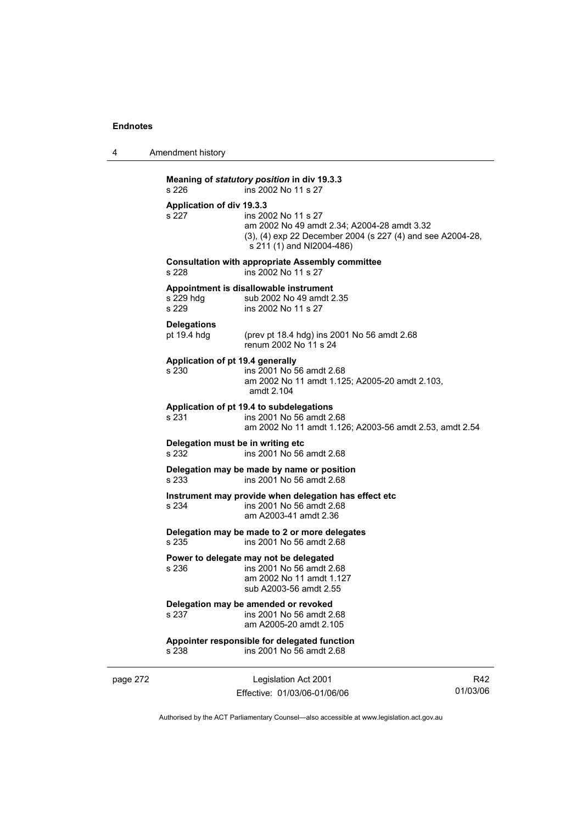4 Amendment history

**Meaning of** *statutory position* **in div 19.3.3**  s 226 ins 2002 No 11 s 27 **Application of div 19.3.3**  s 227 ins 2002 No 11 s 27 am 2002 No 49 amdt 2.34; A2004-28 amdt 3.32 (3), (4) exp 22 December 2004 (s 227 (4) and see A2004-28, s 211 (1) and NI2004-486) **Consultation with appropriate Assembly committee**  s 228 ins 2002 No 11 s 27 **Appointment is disallowable instrument**  s 229 hdg sub 2002 No 49 amdt 2.35<br>s 229 s ins 2002 No 11 s 27 ins 2002 No 11 s 27 **Delegations**  pt 19.4 hdg (prev pt 18.4 hdg) ins 2001 No 56 amdt 2.68 renum 2002 No 11 s 24 **Application of pt 19.4 generally**  s 230 ins 2001 No 56 amdt 2.68 am 2002 No 11 amdt 1.125; A2005-20 amdt 2.103, amdt 2.104 **Application of pt 19.4 to subdelegations**  s 231 ins 2001 No 56 amdt 2.68 am 2002 No 11 amdt 1.126; A2003-56 amdt 2.53, amdt 2.54 **Delegation must be in writing etc**  s 232 ins 2001 No 56 amdt 2.68 **Delegation may be made by name or position**  s 233 ins 2001 No 56 amdt 2.68 **Instrument may provide when delegation has effect etc**  s 234 ins 2001 No 56 amdt 2.68 am A2003-41 amdt 2.36 **Delegation may be made to 2 or more delegates**  ins 2001 No 56 amdt 2.68 **Power to delegate may not be delegated**  s 236 ins 2001 No 56 amdt 2.68 am 2002 No 11 amdt 1.127 sub A2003-56 amdt 2.55 **Delegation may be amended or revoked**  s 237 ins 2001 No 56 amdt 2.68 am A2005-20 amdt 2.105 **Appointer responsible for delegated function**  s 238 ins 2001 No 56 amdt 2.68

page 272 Legislation Act 2001 Effective: 01/03/06-01/06/06

R42 01/03/06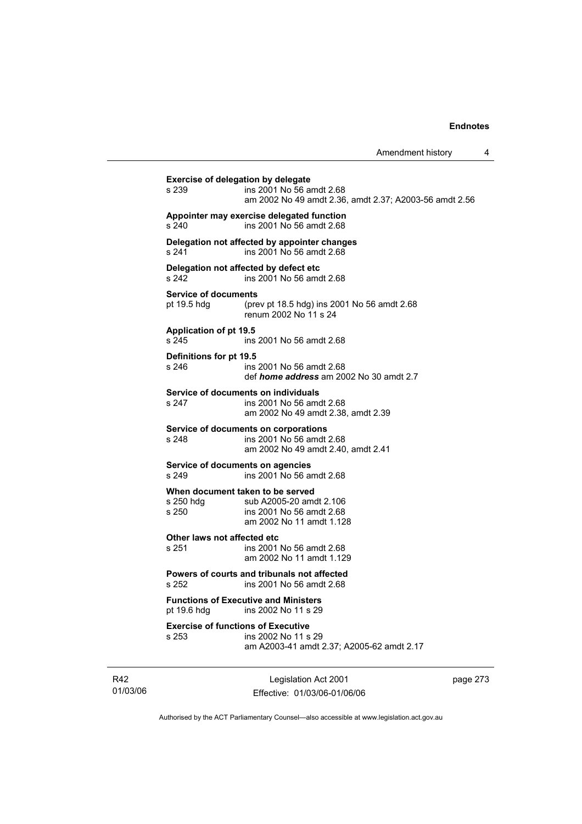|                                                    |                                                                                                                     | Amendment history | 4 |
|----------------------------------------------------|---------------------------------------------------------------------------------------------------------------------|-------------------|---|
| Exercise of delegation by delegate<br>s 239        | ins 2001 No 56 amdt 2.68<br>am 2002 No 49 amdt 2.36, amdt 2.37; A2003-56 amdt 2.56                                  |                   |   |
| s 240                                              | Appointer may exercise delegated function<br>ins 2001 No 56 amdt 2.68                                               |                   |   |
| s 241                                              | Delegation not affected by appointer changes<br>ins 2001 No 56 amdt 2.68                                            |                   |   |
| s 242                                              | Delegation not affected by defect etc<br>ins 2001 No 56 amdt 2.68                                                   |                   |   |
| <b>Service of documents</b><br>pt 19.5 hdg         | (prev pt 18.5 hdg) ins 2001 No 56 amdt 2.68<br>renum 2002 No 11 s 24                                                |                   |   |
| <b>Application of pt 19.5</b><br>s 245             | ins 2001 No 56 amdt 2.68                                                                                            |                   |   |
| Definitions for pt 19.5<br>s 246                   | ins 2001 No 56 amdt 2.68<br>def <i>home address</i> am 2002 No 30 amdt 2.7                                          |                   |   |
| s 247                                              | Service of documents on individuals<br>ins 2001 No 56 amdt 2.68<br>am 2002 No 49 amdt 2.38, amdt 2.39               |                   |   |
| s 248                                              | Service of documents on corporations<br>ins 2001 No 56 amdt 2.68<br>am 2002 No 49 amdt 2.40, amdt 2.41              |                   |   |
| Service of documents on agencies<br>s 249          | ins 2001 No 56 amdt 2.68                                                                                            |                   |   |
| s 250 hdg<br>s 250                                 | When document taken to be served<br>sub A2005-20 amdt 2.106<br>ins 2001 No 56 amdt 2.68<br>am 2002 No 11 amdt 1.128 |                   |   |
| Other laws not affected etc<br>s 251               | ins 2001 No 56 amdt 2.68<br>am 2002 No 11 amdt 1.129                                                                |                   |   |
| s 252                                              | Powers of courts and tribunals not affected<br>ins 2001 No 56 amdt 2.68                                             |                   |   |
| pt 19.6 hdg                                        | <b>Functions of Executive and Ministers</b><br>ins 2002 No 11 s 29                                                  |                   |   |
| <b>Exercise of functions of Executive</b><br>s 253 | ins 2002 No 11 s 29<br>am A2003-41 amdt 2.37; A2005-62 amdt 2.17                                                    |                   |   |
|                                                    |                                                                                                                     |                   |   |

R42 01/03/06

Legislation Act 2001 Effective: 01/03/06-01/06/06 page 273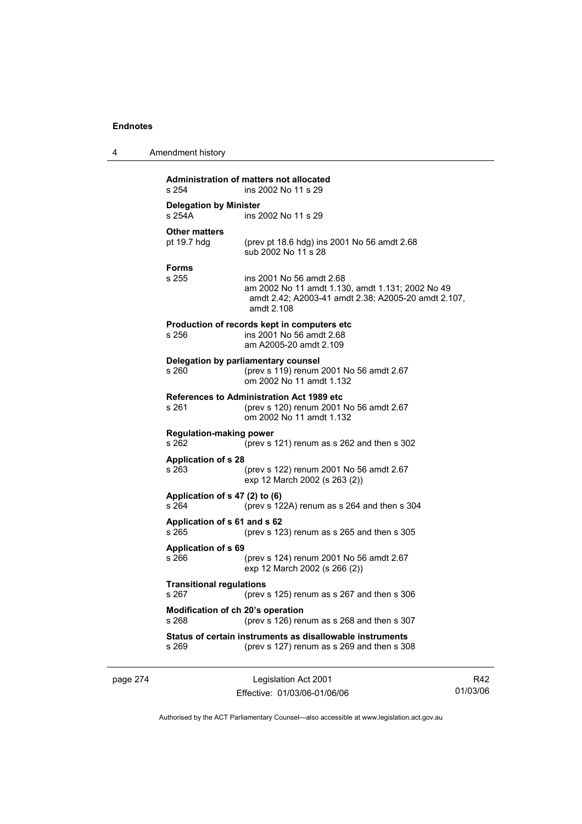| 4 | Amendment history |
|---|-------------------|
|---|-------------------|

| s 254                                      | <b>Administration of matters not allocated</b><br>ins 2002 No 11 s 29                                                                             |  |  |  |
|--------------------------------------------|---------------------------------------------------------------------------------------------------------------------------------------------------|--|--|--|
| <b>Delegation by Minister</b><br>s 254A    | ins 2002 No 11 s 29                                                                                                                               |  |  |  |
| <b>Other matters</b><br>pt 19.7 hdg        | (prev pt 18.6 hdg) ins 2001 No 56 amdt 2.68<br>sub 2002 No 11 s 28                                                                                |  |  |  |
| <b>Forms</b><br>s 255                      | ins 2001 No 56 amdt 2.68<br>am 2002 No 11 amdt 1.130, amdt 1.131; 2002 No 49<br>amdt 2.42; A2003-41 amdt 2.38; A2005-20 amdt 2.107,<br>amdt 2.108 |  |  |  |
| s 256                                      | Production of records kept in computers etc.<br>ins 2001 No 56 amdt 2.68<br>am A2005-20 amdt 2.109                                                |  |  |  |
| s 260                                      | Delegation by parliamentary counsel<br>(prev s 119) renum 2001 No 56 amdt 2.67<br>om 2002 No 11 amdt 1.132                                        |  |  |  |
| s 261                                      | <b>References to Administration Act 1989 etc</b><br>(prev s 120) renum 2001 No 56 amdt 2.67<br>om 2002 No 11 amdt 1.132                           |  |  |  |
| <b>Regulation-making power</b><br>s 262    | (prev s 121) renum as s 262 and then s 302                                                                                                        |  |  |  |
| <b>Application of s 28</b><br>s 263        | (prev s 122) renum 2001 No 56 amdt 2.67<br>exp 12 March 2002 (s 263 (2))                                                                          |  |  |  |
| Application of s 47 (2) to (6)<br>s 264    | (prev s 122A) renum as s 264 and then s 304                                                                                                       |  |  |  |
| Application of s 61 and s 62<br>s 265      | (prev s 123) renum as s 265 and then s 305                                                                                                        |  |  |  |
| <b>Application of s 69</b><br>s 266        | (prev s 124) renum 2001 No 56 amdt 2.67<br>exp 12 March 2002 (s 266 (2))                                                                          |  |  |  |
| <b>Transitional regulations</b><br>s 267   | (prev s $125$ ) renum as s $267$ and then s $306$                                                                                                 |  |  |  |
| Modification of ch 20's operation<br>s 268 | (prev s 126) renum as s 268 and then s 307                                                                                                        |  |  |  |
| s 269                                      | Status of certain instruments as disallowable instruments<br>(prev s 127) renum as s 269 and then s 308                                           |  |  |  |

page 274 Legislation Act 2001 Effective: 01/03/06-01/06/06

R42 01/03/06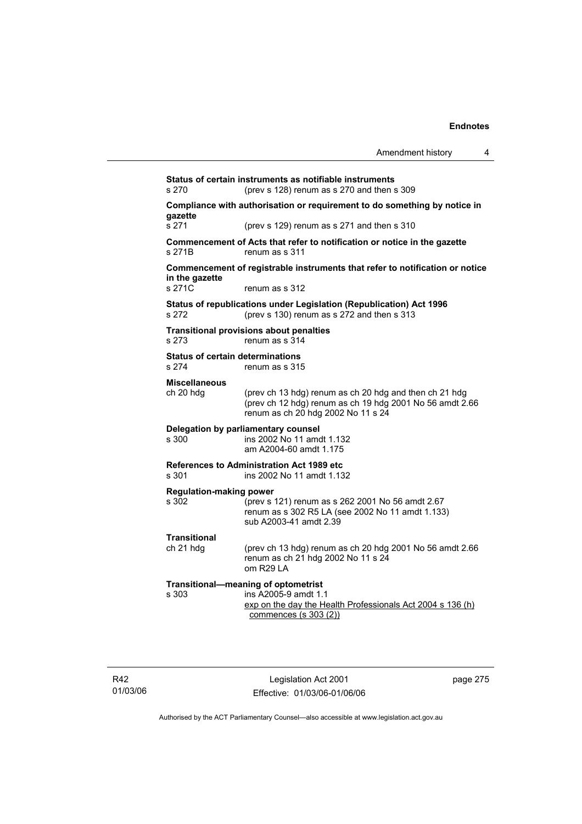**Status of certain instruments as notifiable instruments**  s 270 (prev s 128) renum as s 270 and then s 309 **Compliance with authorisation or requirement to do something by notice in gazette**  s 271 (prev s 129) renum as s 271 and then s 310 **Commencement of Acts that refer to notification or notice in the gazette**  s 271B renum as s 311 **Commencement of registrable instruments that refer to notification or notice in the gazette**  s 271C renum as s 312 **Status of republications under Legislation (Republication) Act 1996**  s 272 (prev s 130) renum as s 272 and then s 313 **Transitional provisions about penalties** s 273 renum as s 314 **Status of certain determinations**  s 274 renum as s 315 **Miscellaneous**  ch 20 hdg (prev ch 13 hdg) renum as ch 20 hdg and then ch 21 hdg (prev ch 12 hdg) renum as ch 19 hdg 2001 No 56 amdt 2.66 renum as ch 20 hdg 2002 No 11 s 24 **Delegation by parliamentary counsel**  s 300 ins 2002 No 11 amdt 1.132 am A2004-60 amdt 1.175 **References to Administration Act 1989 etc**  s 301 ins 2002 No 11 amdt 1.132 **Regulation-making power**  s 302 (prev s 121) renum as s 262 2001 No 56 amdt 2.67 renum as s 302 R5 LA (see 2002 No 11 amdt 1.133) sub A2003-41 amdt 2.39 **Transitional**  ch 21 hdg (prev ch 13 hdg) renum as ch 20 hdg 2001 No 56 amdt 2.66 renum as ch 21 hdg 2002 No 11 s 24 om R29 LA **Transitional—meaning of optometrist**  ins A2005-9 amdt 1.1 exp on the day the Health Professionals Act 2004 s 136 (h) commences (s 303 (2))

R42 01/03/06

Legislation Act 2001 Effective: 01/03/06-01/06/06 page 275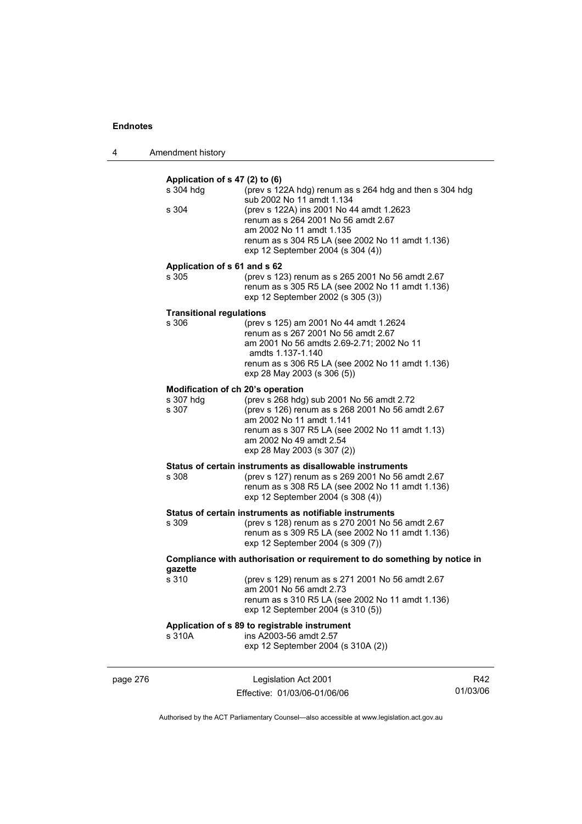4 Amendment history

|          | Application of s 47 (2) to (6)    |                                                                                                                                                                                                                                        |     |
|----------|-----------------------------------|----------------------------------------------------------------------------------------------------------------------------------------------------------------------------------------------------------------------------------------|-----|
|          | s 304 hdg                         | (prev s 122A hdg) renum as s 264 hdg and then s 304 hdg<br>sub 2002 No 11 amdt 1.134                                                                                                                                                   |     |
|          | s 304                             | (prev s 122A) ins 2001 No 44 amdt 1.2623<br>renum as s 264 2001 No 56 amdt 2.67<br>am 2002 No 11 amdt 1.135<br>renum as s 304 R5 LA (see 2002 No 11 amdt 1.136)<br>exp 12 September 2004 (s 304 (4))                                   |     |
|          | Application of s 61 and s 62      |                                                                                                                                                                                                                                        |     |
|          | s 305                             | (prev s 123) renum as s 265 2001 No 56 amdt 2.67<br>renum as s 305 R5 LA (see 2002 No 11 amdt 1.136)<br>exp 12 September 2002 (s 305 (3))                                                                                              |     |
|          | <b>Transitional regulations</b>   |                                                                                                                                                                                                                                        |     |
|          | s 306                             | (prev s 125) am 2001 No 44 amdt 1.2624<br>renum as s 267 2001 No 56 amdt 2.67<br>am 2001 No 56 amdts 2.69-2.71; 2002 No 11<br>amdts 1.137-1.140<br>renum as s 306 R5 LA (see 2002 No 11 amdt 1.136)<br>exp 28 May 2003 (s 306 (5))     |     |
|          | Modification of ch 20's operation |                                                                                                                                                                                                                                        |     |
|          | s 307 hdg<br>s 307                | (prev s 268 hdg) sub 2001 No 56 amdt 2.72<br>(prev s 126) renum as s 268 2001 No 56 amdt 2.67<br>am 2002 No 11 amdt 1.141<br>renum as s 307 R5 LA (see 2002 No 11 amdt 1.13)<br>am 2002 No 49 amdt 2.54<br>exp 28 May 2003 (s 307 (2)) |     |
|          |                                   | Status of certain instruments as disallowable instruments                                                                                                                                                                              |     |
|          | s 308                             | (prev s 127) renum as s 269 2001 No 56 amdt 2.67<br>renum as s 308 R5 LA (see 2002 No 11 amdt 1.136)<br>exp 12 September 2004 (s 308 (4))                                                                                              |     |
|          |                                   | Status of certain instruments as notifiable instruments                                                                                                                                                                                |     |
|          | s 309                             | (prev s 128) renum as s 270 2001 No 56 amdt 2.67<br>renum as s 309 R5 LA (see 2002 No 11 amdt 1.136)<br>exp 12 September 2004 (s 309 (7))                                                                                              |     |
|          | gazette                           | Compliance with authorisation or requirement to do something by notice in                                                                                                                                                              |     |
|          | s 310                             | (prev s 129) renum as s 271 2001 No 56 amdt 2.67<br>am 2001 No 56 amdt 2.73<br>renum as s 310 R5 LA (see 2002 No 11 amdt 1.136)<br>exp 12 September 2004 (s 310 (5))                                                                   |     |
|          |                                   | Application of s 89 to registrable instrument                                                                                                                                                                                          |     |
|          | s 310A                            | ins A2003-56 amdt 2.57<br>exp 12 September 2004 (s 310A (2))                                                                                                                                                                           |     |
| page 276 |                                   | Legislation Act 2001                                                                                                                                                                                                                   | R42 |

Authorised by the ACT Parliamentary Counsel—also accessible at www.legislation.act.gov.au

01/03/06

Effective: 01/03/06-01/06/06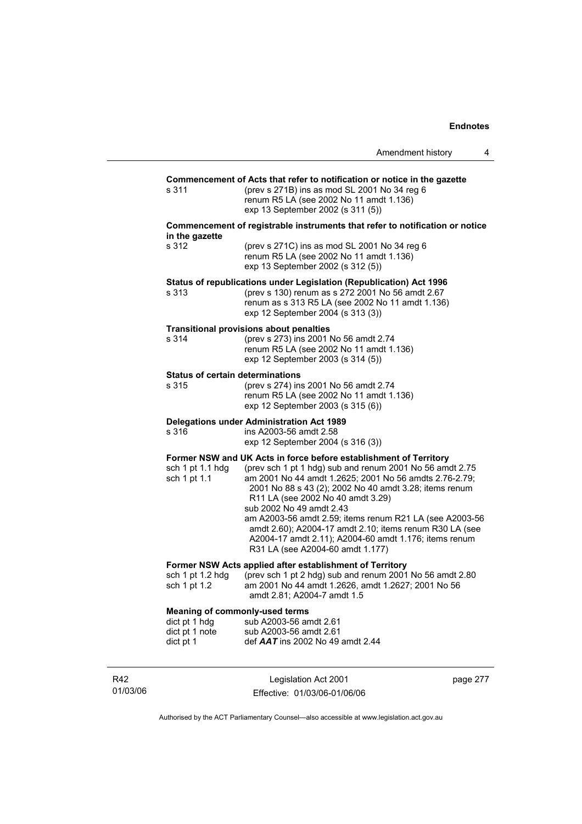|                                                                                       |                                                                                                                                                                                                                                                                                                                                                                                                                                                                                                                                       | Amendment history | 4 |
|---------------------------------------------------------------------------------------|---------------------------------------------------------------------------------------------------------------------------------------------------------------------------------------------------------------------------------------------------------------------------------------------------------------------------------------------------------------------------------------------------------------------------------------------------------------------------------------------------------------------------------------|-------------------|---|
| s 311                                                                                 | Commencement of Acts that refer to notification or notice in the gazette<br>(prev s 271B) ins as mod SL 2001 No 34 reg 6<br>renum R5 LA (see 2002 No 11 amdt 1.136)<br>exp 13 September 2002 (s 311 (5))                                                                                                                                                                                                                                                                                                                              |                   |   |
| in the gazette                                                                        | Commencement of registrable instruments that refer to notification or notice                                                                                                                                                                                                                                                                                                                                                                                                                                                          |                   |   |
| s 312                                                                                 | (prev s 271C) ins as mod SL 2001 No 34 reg 6<br>renum R5 LA (see 2002 No 11 amdt 1.136)<br>exp 13 September 2002 (s 312 (5))                                                                                                                                                                                                                                                                                                                                                                                                          |                   |   |
| s 313                                                                                 | Status of republications under Legislation (Republication) Act 1996<br>(prev s 130) renum as s 272 2001 No 56 amdt 2.67<br>renum as s 313 R5 LA (see 2002 No 11 amdt 1.136)<br>exp 12 September 2004 (s 313 (3))                                                                                                                                                                                                                                                                                                                      |                   |   |
| s 314                                                                                 | <b>Transitional provisions about penalties</b><br>(prev s 273) ins 2001 No 56 amdt 2.74<br>renum R5 LA (see 2002 No 11 amdt 1.136)<br>exp 12 September 2003 (s 314 (5))                                                                                                                                                                                                                                                                                                                                                               |                   |   |
| <b>Status of certain determinations</b><br>s 315                                      | (prev s 274) ins 2001 No 56 amdt 2.74<br>renum R5 LA (see 2002 No 11 amdt 1.136)<br>exp 12 September 2003 (s 315 (6))                                                                                                                                                                                                                                                                                                                                                                                                                 |                   |   |
| s 316                                                                                 | <b>Delegations under Administration Act 1989</b><br>ins A2003-56 amdt 2.58<br>exp 12 September 2004 (s 316 (3))                                                                                                                                                                                                                                                                                                                                                                                                                       |                   |   |
| sch 1 pt 1.1 hdg<br>sch 1 pt 1.1                                                      | Former NSW and UK Acts in force before establishment of Territory<br>(prev sch 1 pt 1 hdg) sub and renum 2001 No 56 amdt 2.75<br>am 2001 No 44 amdt 1.2625; 2001 No 56 amdts 2.76-2.79;<br>2001 No 88 s 43 (2); 2002 No 40 amdt 3.28; items renum<br>R11 LA (see 2002 No 40 amdt 3.29)<br>sub 2002 No 49 amdt 2.43<br>am A2003-56 amdt 2.59; items renum R21 LA (see A2003-56<br>amdt 2.60); A2004-17 amdt 2.10; items renum R30 LA (see<br>A2004-17 amdt 2.11); A2004-60 amdt 1.176; items renum<br>R31 LA (see A2004-60 amdt 1.177) |                   |   |
| sch 1 pt 1.2 hdg<br>sch 1 pt 1.2                                                      | Former NSW Acts applied after establishment of Territory<br>(prev sch 1 pt 2 hdg) sub and renum 2001 No 56 amdt 2.80<br>am 2001 No 44 amdt 1.2626, amdt 1.2627; 2001 No 56<br>amdt 2.81; A2004-7 amdt 1.5                                                                                                                                                                                                                                                                                                                             |                   |   |
| <b>Meaning of commonly-used terms</b><br>dict pt 1 hdg<br>dict pt 1 note<br>dict pt 1 | sub A2003-56 amdt 2.61<br>sub A2003-56 amdt 2.61<br>def $AAT$ ins 2002 No 49 amdt 2.44                                                                                                                                                                                                                                                                                                                                                                                                                                                |                   |   |

R42 01/03/06

Legislation Act 2001 Effective: 01/03/06-01/06/06 page 277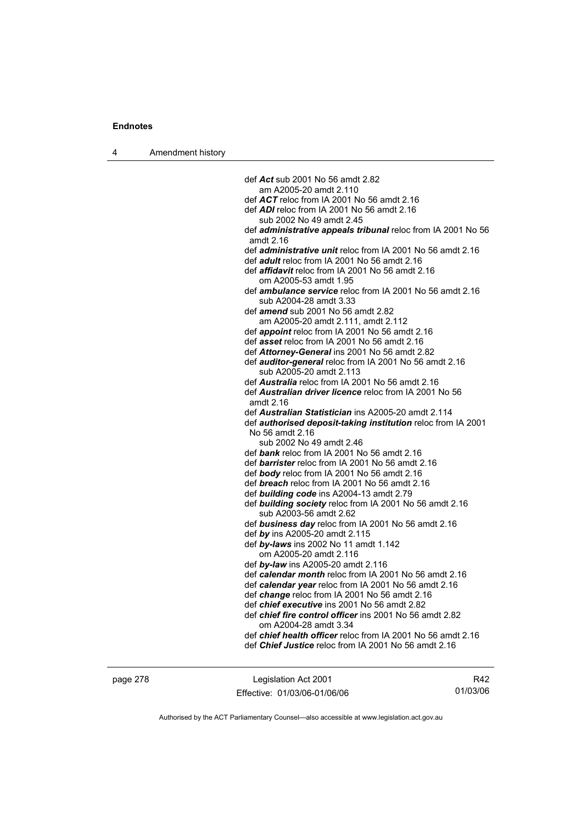4 Amendment history

def *Act* sub 2001 No 56 amdt 2.82 am A2005-20 amdt 2.110 def *ACT* reloc from IA 2001 No 56 amdt 2.16 def *ADI* reloc from IA 2001 No 56 amdt 2.16 sub 2002 No 49 amdt 2.45 def *administrative appeals tribunal* reloc from IA 2001 No 56 amdt 2.16 def *administrative unit* reloc from IA 2001 No 56 amdt 2.16 def *adult* reloc from IA 2001 No 56 amdt 2.16 def *affidavit* reloc from IA 2001 No 56 amdt 2.16 om A2005-53 amdt 1.95 def *ambulance service* reloc from IA 2001 No 56 amdt 2.16 sub A2004-28 amdt 3.33 def *amend* sub 2001 No 56 amdt 2.82 am A2005-20 amdt 2.111, amdt 2.112 def *appoint* reloc from IA 2001 No 56 amdt 2.16 def *asset* reloc from IA 2001 No 56 amdt 2.16 def *Attorney-General* ins 2001 No 56 amdt 2.82 def *auditor-general* reloc from IA 2001 No 56 amdt 2.16 sub A2005-20 amdt 2.113 def *Australia* reloc from IA 2001 No 56 amdt 2.16 def *Australian driver licence* reloc from IA 2001 No 56 amdt 2.16 def *Australian Statistician* ins A2005-20 amdt 2.114 def *authorised deposit-taking institution* reloc from IA 2001 No 56 amdt 2.16 sub 2002 No 49 amdt 2.46 def *bank* reloc from IA 2001 No 56 amdt 2.16 def *barrister* reloc from IA 2001 No 56 amdt 2.16 def *body* reloc from IA 2001 No 56 amdt 2.16 def *breach* reloc from IA 2001 No 56 amdt 2.16 def *building code* ins A2004-13 amdt 2.79 def *building society* reloc from IA 2001 No 56 amdt 2.16 sub A2003-56 amdt 2.62 def *business day* reloc from IA 2001 No 56 amdt 2.16 def *by* ins A2005-20 amdt 2.115 def *by-laws* ins 2002 No 11 amdt 1.142 om A2005-20 amdt 2.116 def *by-law* ins A2005-20 amdt 2.116 def *calendar month* reloc from IA 2001 No 56 amdt 2.16 def *calendar year* reloc from IA 2001 No 56 amdt 2.16 def *change* reloc from IA 2001 No 56 amdt 2.16 def *chief executive* ins 2001 No 56 amdt 2.82 def *chief fire control officer* ins 2001 No 56 amdt 2.82 om A2004-28 amdt 3.34 def *chief health officer* reloc from IA 2001 No 56 amdt 2.16 def *Chief Justice* reloc from IA 2001 No 56 amdt 2.16

page 278 Legislation Act 2001 Effective: 01/03/06-01/06/06

R42 01/03/06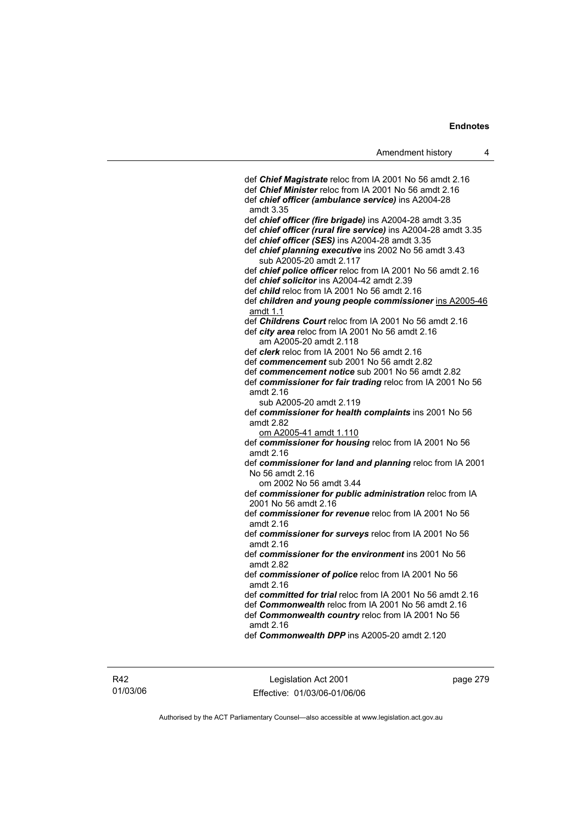def *Chief Magistrate* reloc from IA 2001 No 56 amdt 2.16 def *Chief Minister* reloc from IA 2001 No 56 amdt 2.16 def *chief officer (ambulance service)* ins A2004-28 amdt 3.35 def *chief officer (fire brigade)* ins A2004-28 amdt 3.35 def *chief officer (rural fire service)* ins A2004-28 amdt 3.35 def *chief officer (SES)* ins A2004-28 amdt 3.35 def *chief planning executive* ins 2002 No 56 amdt 3.43 sub A2005-20 amdt 2.117 def *chief police officer* reloc from IA 2001 No 56 amdt 2.16 def *chief solicitor* ins A2004-42 amdt 2.39 def *child* reloc from IA 2001 No 56 amdt 2.16 def *children and young people commissioner* ins A2005-46 amdt 1.1 def *Childrens Court* reloc from IA 2001 No 56 amdt 2.16 def *city area* reloc from IA 2001 No 56 amdt 2.16 am A2005-20 amdt 2.118 def *clerk* reloc from IA 2001 No 56 amdt 2.16 def *commencement* sub 2001 No 56 amdt 2.82 def *commencement notice* sub 2001 No 56 amdt 2.82 def *commissioner for fair trading* reloc from IA 2001 No 56 amdt 2.16 sub A2005-20 amdt 2.119 def *commissioner for health complaints* ins 2001 No 56 amdt 2.82 om A2005-41 amdt 1.110 def *commissioner for housing* reloc from IA 2001 No 56 amdt 2.16 def *commissioner for land and planning* reloc from IA 2001 No 56 amdt 2.16 om 2002 No 56 amdt 3.44 def *commissioner for public administration* reloc from IA 2001 No 56 amdt 2.16 def *commissioner for revenue* reloc from IA 2001 No 56 amdt 2.16 def *commissioner for surveys* reloc from IA 2001 No 56 amdt 2.16 def *commissioner for the environment* ins 2001 No 56 amdt 2.82 def *commissioner of police* reloc from IA 2001 No 56 amdt 2.16 def *committed for trial* reloc from IA 2001 No 56 amdt 2.16 def *Commonwealth* reloc from IA 2001 No 56 amdt 2.16 def *Commonwealth country* reloc from IA 2001 No 56

amdt 2.16

def *Commonwealth DPP* ins A2005-20 amdt 2.120

R42 01/03/06

Legislation Act 2001 Effective: 01/03/06-01/06/06 page 279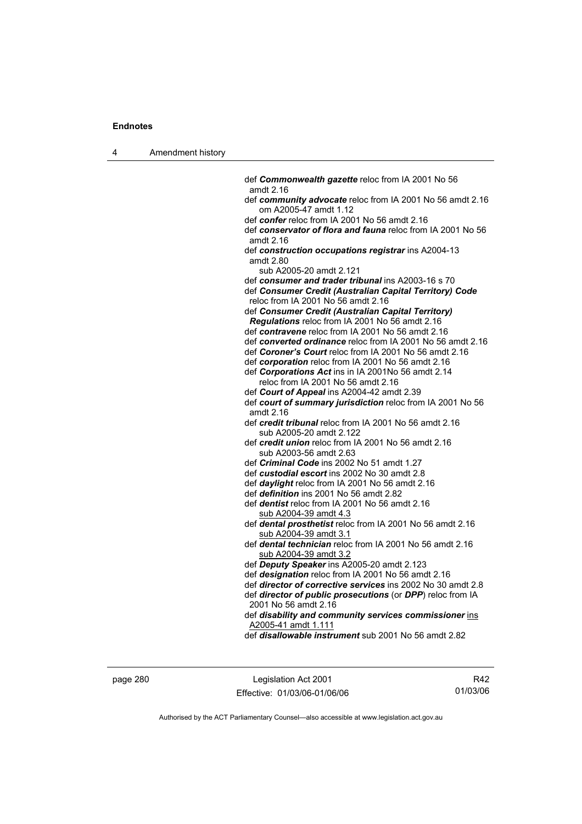| 4 | Amendment history |                                                                                                          |
|---|-------------------|----------------------------------------------------------------------------------------------------------|
|   |                   |                                                                                                          |
|   |                   | def Commonwealth gazette reloc from IA 2001 No 56<br>amdt 2.16                                           |
|   |                   | def community advocate reloc from IA 2001 No 56 amdt 2.16                                                |
|   |                   | om A2005-47 amdt 1.12<br>def confer reloc from IA 2001 No 56 amdt 2.16                                   |
|   |                   | def conservator of flora and fauna reloc from IA 2001 No 56                                              |
|   |                   | amdt 2.16                                                                                                |
|   |                   | def construction occupations registrar ins A2004-13                                                      |
|   |                   | amdt 2.80                                                                                                |
|   |                   | sub A2005-20 amdt 2.121                                                                                  |
|   |                   | def consumer and trader tribunal ins A2003-16 s 70                                                       |
|   |                   | def Consumer Credit (Australian Capital Territory) Code<br>reloc from IA 2001 No 56 amdt 2.16            |
|   |                   | def Consumer Credit (Australian Capital Territory)                                                       |
|   |                   | Regulations reloc from IA 2001 No 56 amdt 2.16                                                           |
|   |                   | def contravene reloc from IA 2001 No 56 amdt 2.16                                                        |
|   |                   | def converted ordinance reloc from IA 2001 No 56 amdt 2.16                                               |
|   |                   | def Coroner's Court reloc from IA 2001 No 56 amdt 2.16                                                   |
|   |                   | def corporation reloc from IA 2001 No 56 amdt 2.16                                                       |
|   |                   | def Corporations Act ins in IA 2001No 56 amdt 2.14                                                       |
|   |                   | reloc from IA 2001 No 56 amdt 2.16                                                                       |
|   |                   | def Court of Appeal ins A2004-42 amdt 2.39<br>def court of summary jurisdiction reloc from IA 2001 No 56 |
|   |                   | amdt 2.16                                                                                                |
|   |                   | def credit tribunal reloc from IA 2001 No 56 amdt 2.16                                                   |
|   |                   | sub A2005-20 amdt 2.122                                                                                  |
|   |                   | def <i>credit union</i> reloc from IA 2001 No 56 amdt 2.16                                               |
|   |                   | sub A2003-56 amdt 2.63                                                                                   |
|   |                   | def Criminal Code ins 2002 No 51 amdt 1.27                                                               |
|   |                   | def custodial escort ins 2002 No 30 amdt 2.8                                                             |
|   |                   | def daylight reloc from IA 2001 No 56 amdt 2.16                                                          |
|   |                   | def <i>definition</i> ins 2001 No 56 amdt 2.82<br>def <i>dentist</i> reloc from IA 2001 No 56 amdt 2.16  |
|   |                   | sub A2004-39 amdt 4.3                                                                                    |
|   |                   | def dental prosthetist reloc from IA 2001 No 56 amdt 2.16                                                |
|   |                   | sub A2004-39 amdt 3.1                                                                                    |
|   |                   | def dental technician reloc from IA 2001 No 56 amdt 2.16                                                 |
|   |                   | sub A2004-39 amdt 3.2                                                                                    |
|   |                   | def Deputy Speaker ins A2005-20 amdt 2.123                                                               |
|   |                   | def designation reloc from IA 2001 No 56 amdt 2.16                                                       |
|   |                   | def director of corrective services ins 2002 No 30 amdt 2.8                                              |
|   |                   | def director of public prosecutions (or DPP) reloc from IA<br>2001 No 56 amdt 2.16                       |
|   |                   | def disability and community services commissioner ins                                                   |
|   |                   | A2005-41 amdt 1.111                                                                                      |
|   |                   | def <i>disallowable instrument</i> sub 2001 No 56 amdt 2.82                                              |
|   |                   |                                                                                                          |
|   |                   |                                                                                                          |

page 280 Legislation Act 2001 Effective: 01/03/06-01/06/06

R42 01/03/06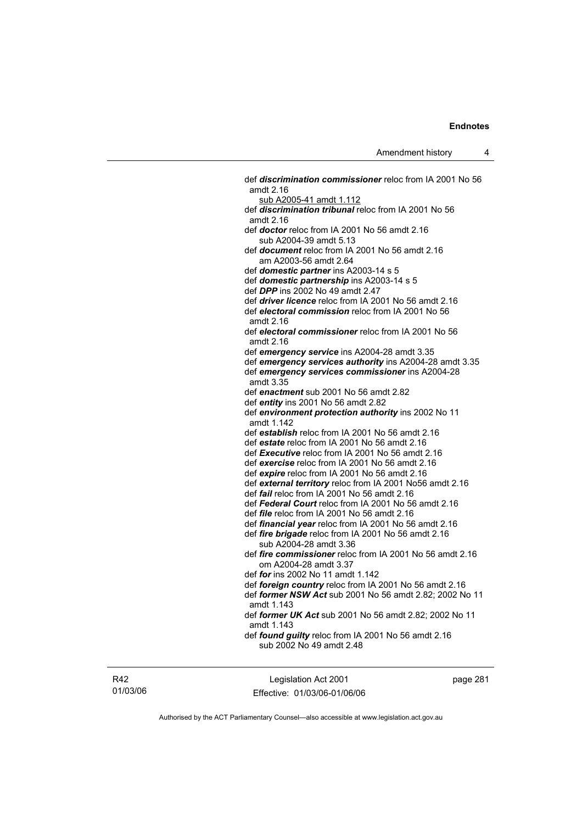def *discrimination commissioner* reloc from IA 2001 No 56 amdt 2.16 sub A2005-41 amdt 1.112 def *discrimination tribunal* reloc from IA 2001 No 56 amdt 2.16 def *doctor* reloc from IA 2001 No 56 amdt 2.16 sub A2004-39 amdt 5.13 def *document* reloc from IA 2001 No 56 amdt 2.16 am A2003-56 amdt 2.64 def *domestic partner* ins A2003-14 s 5 def *domestic partnership* ins A2003-14 s 5 def *DPP* ins 2002 No 49 amdt 2.47 def *driver licence* reloc from IA 2001 No 56 amdt 2.16 def *electoral commission* reloc from IA 2001 No 56 amdt 2.16 def *electoral commissioner* reloc from IA 2001 No 56 amdt 2.16 def *emergency service* ins A2004-28 amdt 3.35 def *emergency services authority* ins A2004-28 amdt 3.35 def *emergency services commissioner* ins A2004-28 amdt 3.35 def *enactment* sub 2001 No 56 amdt 2.82 def *entity* ins 2001 No 56 amdt 2.82 def *environment protection authority* ins 2002 No 11 amdt 1.142 def *establish* reloc from IA 2001 No 56 amdt 2.16 def *estate* reloc from IA 2001 No 56 amdt 2.16 def *Executive* reloc from IA 2001 No 56 amdt 2.16 def *exercise* reloc from IA 2001 No 56 amdt 2.16 def *expire* reloc from IA 2001 No 56 amdt 2.16 def *external territory* reloc from IA 2001 No56 amdt 2.16 def *fail* reloc from IA 2001 No 56 amdt 2.16 def *Federal Court* reloc from IA 2001 No 56 amdt 2.16 def *file* reloc from IA 2001 No 56 amdt 2.16 def *financial year* reloc from IA 2001 No 56 amdt 2.16 def *fire brigade* reloc from IA 2001 No 56 amdt 2.16 sub A2004-28 amdt 3.36 def *fire commissioner* reloc from IA 2001 No 56 amdt 2.16 om A2004-28 amdt 3.37 def *for* ins 2002 No 11 amdt 1.142 def *foreign country* reloc from IA 2001 No 56 amdt 2.16 def *former NSW Act* sub 2001 No 56 amdt 2.82; 2002 No 11 amdt 1.143 def *former UK Act* sub 2001 No 56 amdt 2.82; 2002 No 11 amdt 1.143 def *found guilty* reloc from IA 2001 No 56 amdt 2.16 sub 2002 No 49 amdt 2.48

R42 01/03/06

Legislation Act 2001 Effective: 01/03/06-01/06/06 page 281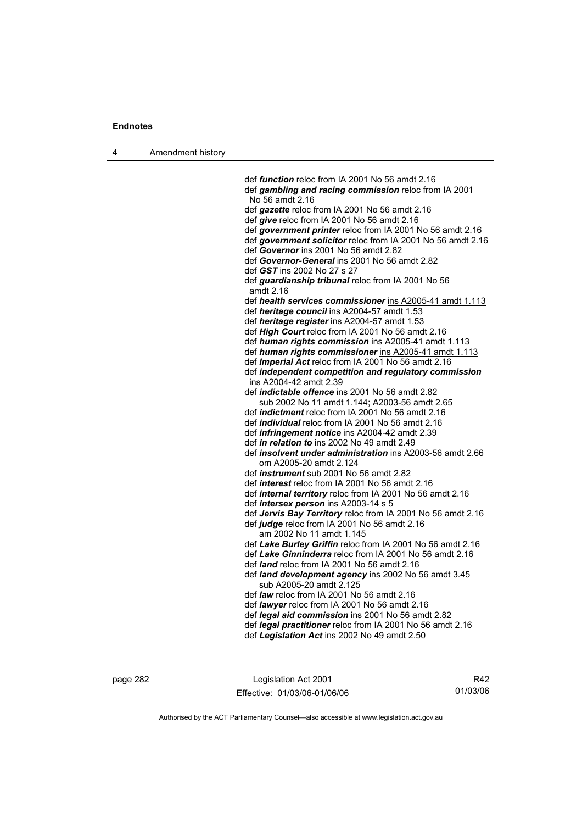4 Amendment history

 def *function* reloc from IA 2001 No 56 amdt 2.16 def *gambling and racing commission* reloc from IA 2001 No 56 amdt 2.16 def *gazette* reloc from IA 2001 No 56 amdt 2.16 def *give* reloc from IA 2001 No 56 amdt 2.16 def *government printer* reloc from IA 2001 No 56 amdt 2.16 def *government solicitor* reloc from IA 2001 No 56 amdt 2.16 def *Governor* ins 2001 No 56 amdt 2.82 def *Governor-General* ins 2001 No 56 amdt 2.82 def *GST* ins 2002 No 27 s 27 def *guardianship tribunal* reloc from IA 2001 No 56 amdt 2.16 def *health services commissioner* ins A2005-41 amdt 1.113 def *heritage council* ins A2004-57 amdt 1.53 def *heritage register* ins A2004-57 amdt 1.53 def *High Court* reloc from IA 2001 No 56 amdt 2.16 def *human rights commission* ins A2005-41 amdt 1.113 def *human rights commissioner* ins A2005-41 amdt 1.113 def *Imperial Act* reloc from IA 2001 No 56 amdt 2.16 def *independent competition and regulatory commission*  ins A2004-42 amdt 2.39 def *indictable offence* ins 2001 No 56 amdt 2.82 sub 2002 No 11 amdt 1.144; A2003-56 amdt 2.65 def *indictment* reloc from IA 2001 No 56 amdt 2.16 def *individual* reloc from IA 2001 No 56 amdt 2.16 def *infringement notice* ins A2004-42 amdt 2.39 def *in relation to* ins 2002 No 49 amdt 2.49 def *insolvent under administration* ins A2003-56 amdt 2.66 om A2005-20 amdt 2.124 def *instrument* sub 2001 No 56 amdt 2.82 def *interest* reloc from IA 2001 No 56 amdt 2.16 def *internal territory* reloc from IA 2001 No 56 amdt 2.16 def *intersex person* ins A2003-14 s 5 def *Jervis Bay Territory* reloc from IA 2001 No 56 amdt 2.16 def *judge* reloc from IA 2001 No 56 amdt 2.16 am 2002 No 11 amdt 1.145 def *Lake Burley Griffin* reloc from IA 2001 No 56 amdt 2.16 def *Lake Ginninderra* reloc from IA 2001 No 56 amdt 2.16 def *land* reloc from IA 2001 No 56 amdt 2.16 def *land development agency* ins 2002 No 56 amdt 3.45 sub A2005-20 amdt 2.125 def *law* reloc from IA 2001 No 56 amdt 2.16 def *lawyer* reloc from IA 2001 No 56 amdt 2.16 def *legal aid commission* ins 2001 No 56 amdt 2.82 def *legal practitioner* reloc from IA 2001 No 56 amdt 2.16 def *Legislation Act* ins 2002 No 49 amdt 2.50

page 282 Legislation Act 2001 Effective: 01/03/06-01/06/06

R42 01/03/06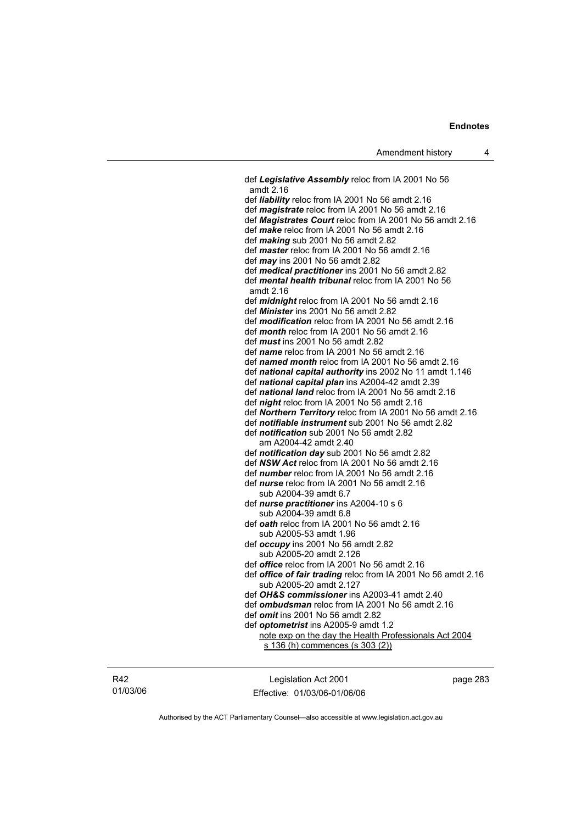def *Legislative Assembly* reloc from IA 2001 No 56 amdt 2.16 def *liability* reloc from IA 2001 No 56 amdt 2.16 def *magistrate* reloc from IA 2001 No 56 amdt 2.16 def *Magistrates Court* reloc from IA 2001 No 56 amdt 2.16 def *make* reloc from IA 2001 No 56 amdt 2.16 def *making* sub 2001 No 56 amdt 2.82 def *master* reloc from IA 2001 No 56 amdt 2.16 def *may* ins 2001 No 56 amdt 2.82 def *medical practitioner* ins 2001 No 56 amdt 2.82 def *mental health tribunal* reloc from IA 2001 No 56 amdt 2.16 def *midnight* reloc from IA 2001 No 56 amdt 2.16 def *Minister* ins 2001 No 56 amdt 2.82 def *modification* reloc from IA 2001 No 56 amdt 2.16 def *month* reloc from IA 2001 No 56 amdt 2.16 def *must* ins 2001 No 56 amdt 2.82 def *name* reloc from IA 2001 No 56 amdt 2.16 def *named month* reloc from IA 2001 No 56 amdt 2.16 def *national capital authority* ins 2002 No 11 amdt 1.146 def *national capital plan* ins A2004-42 amdt 2.39 def *national land* reloc from IA 2001 No 56 amdt 2.16 def *night* reloc from IA 2001 No 56 amdt 2.16 def *Northern Territory* reloc from IA 2001 No 56 amdt 2.16 def *notifiable instrument* sub 2001 No 56 amdt 2.82 def *notification* sub 2001 No 56 amdt 2.82 am A2004-42 amdt 2.40 def *notification day* sub 2001 No 56 amdt 2.82 def *NSW Act* reloc from IA 2001 No 56 amdt 2.16 def *number* reloc from IA 2001 No 56 amdt 2.16 def *nurse* reloc from IA 2001 No 56 amdt 2.16 sub A2004-39 amdt 6.7 def *nurse practitioner* ins A2004-10 s 6 sub A2004-39 amdt 6.8 def *oath* reloc from IA 2001 No 56 amdt 2.16 sub A2005-53 amdt 1.96 def *occupy* ins 2001 No 56 amdt 2.82 sub A2005-20 amdt 2.126 def *office* reloc from IA 2001 No 56 amdt 2.16 def *office of fair trading* reloc from IA 2001 No 56 amdt 2.16 sub A2005-20 amdt 2.127 def *OH&S commissioner* ins A2003-41 amdt 2.40 def *ombudsman* reloc from IA 2001 No 56 amdt 2.16 def *omit* ins 2001 No 56 amdt 2.82 def *optometrist* ins A2005-9 amdt 1.2 note exp on the day the Health Professionals Act 2004 s 136 (h) commences (s 303 (2))

R42 01/03/06

Legislation Act 2001 Effective: 01/03/06-01/06/06 page 283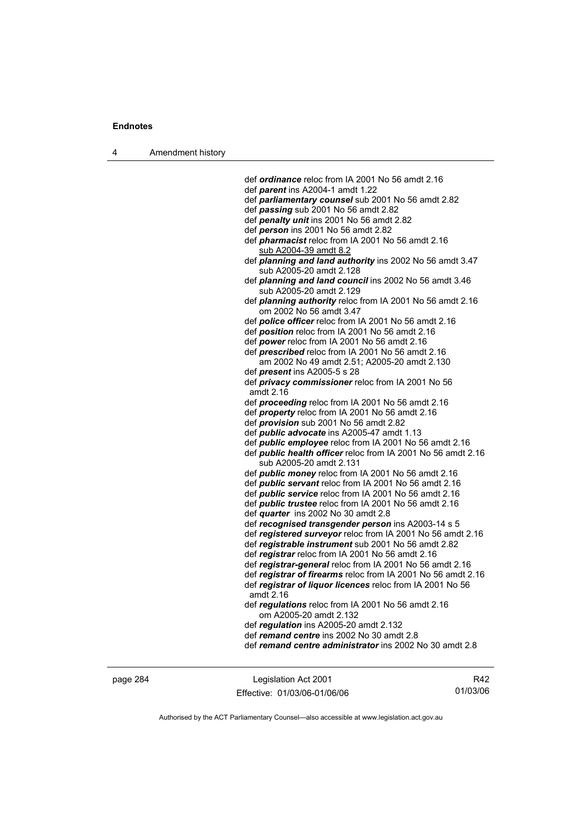| Amendment history<br>л |  |
|------------------------|--|
|------------------------|--|

 def *ordinance* reloc from IA 2001 No 56 amdt 2.16 def *parent* ins A2004-1 amdt 1.22 def *parliamentary counsel* sub 2001 No 56 amdt 2.82 def *passing* sub 2001 No 56 amdt 2.82 def *penalty unit* ins 2001 No 56 amdt 2.82 def *person* ins 2001 No 56 amdt 2.82 def *pharmacist* reloc from IA 2001 No 56 amdt 2.16 sub A2004-39 amdt 8.2 def *planning and land authority* ins 2002 No 56 amdt 3.47 sub A2005-20 amdt 2.128 def *planning and land council* ins 2002 No 56 amdt 3.46 sub A2005-20 amdt 2.129 def *planning authority* reloc from IA 2001 No 56 amdt 2.16 om 2002 No 56 amdt 3.47 def *police officer* reloc from IA 2001 No 56 amdt 2.16 def *position* reloc from IA 2001 No 56 amdt 2.16 def *power* reloc from IA 2001 No 56 amdt 2.16 def *prescribed* reloc from IA 2001 No 56 amdt 2.16 am 2002 No 49 amdt 2.51; A2005-20 amdt 2.130 def *present* ins A2005-5 s 28 def *privacy commissioner* reloc from IA 2001 No 56 amdt 2.16 def *proceeding* reloc from IA 2001 No 56 amdt 2.16 def *property* reloc from IA 2001 No 56 amdt 2.16 def *provision* sub 2001 No 56 amdt 2.82 def *public advocate* ins A2005-47 amdt 1.13 def *public employee* reloc from IA 2001 No 56 amdt 2.16 def *public health officer* reloc from IA 2001 No 56 amdt 2.16 sub A2005-20 amdt 2.131 def *public money* reloc from IA 2001 No 56 amdt 2.16 def *public servant* reloc from IA 2001 No 56 amdt 2.16 def *public service* reloc from IA 2001 No 56 amdt 2.16 def *public trustee* reloc from IA 2001 No 56 amdt 2.16 def *quarter* ins 2002 No 30 amdt 2.8 def *recognised transgender person* ins A2003-14 s 5 def *registered surveyor* reloc from IA 2001 No 56 amdt 2.16 def *registrable instrument* sub 2001 No 56 amdt 2.82 def *registrar* reloc from IA 2001 No 56 amdt 2.16 def *registrar-general* reloc from IA 2001 No 56 amdt 2.16 def *registrar of firearms* reloc from IA 2001 No 56 amdt 2.16 def *registrar of liquor licences* reloc from IA 2001 No 56 amdt 2.16 def *regulations* reloc from IA 2001 No 56 amdt 2.16 om A2005-20 amdt 2.132 def *regulation* ins A2005-20 amdt 2.132 def *remand centre* ins 2002 No 30 amdt 2.8 def *remand centre administrator* ins 2002 No 30 amdt 2.8

page 284 Legislation Act 2001 Effective: 01/03/06-01/06/06

R42 01/03/06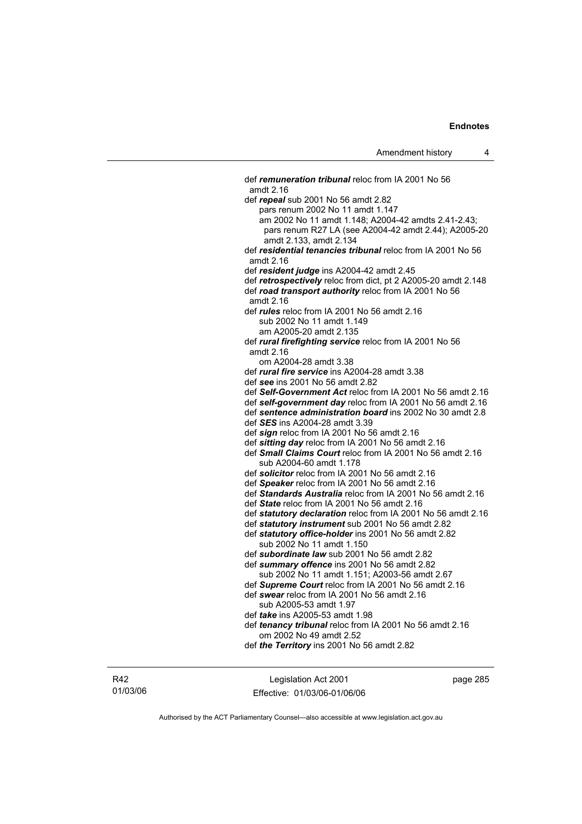def *remuneration tribunal* reloc from IA 2001 No 56 amdt 2.16 def *repeal* sub 2001 No 56 amdt 2.82 pars renum 2002 No 11 amdt 1.147 am 2002 No 11 amdt 1.148; A2004-42 amdts 2.41-2.43; pars renum R27 LA (see A2004-42 amdt 2.44); A2005-20 amdt 2.133, amdt 2.134 def *residential tenancies tribunal* reloc from IA 2001 No 56 amdt 2.16 def *resident judge* ins A2004-42 amdt 2.45 def *retrospectively* reloc from dict, pt 2 A2005-20 amdt 2.148 def *road transport authority* reloc from IA 2001 No 56 amdt 2.16 def *rules* reloc from IA 2001 No 56 amdt 2.16 sub 2002 No 11 amdt 1.149 am A2005-20 amdt 2.135 def *rural firefighting service* reloc from IA 2001 No 56 amdt 2.16 om A2004-28 amdt 3.38 def *rural fire service* ins A2004-28 amdt 3.38 def *see* ins 2001 No 56 amdt 2.82 def *Self-Government Act* reloc from IA 2001 No 56 amdt 2.16 def *self-government day* reloc from IA 2001 No 56 amdt 2.16 def *sentence administration board* ins 2002 No 30 amdt 2.8 def *SES* ins A2004-28 amdt 3.39 def *sign* reloc from IA 2001 No 56 amdt 2.16 def *sitting day* reloc from IA 2001 No 56 amdt 2.16 def *Small Claims Court* reloc from IA 2001 No 56 amdt 2.16 sub A2004-60 amdt 1.178 def *solicitor* reloc from IA 2001 No 56 amdt 2.16 def *Speaker* reloc from IA 2001 No 56 amdt 2.16 def *Standards Australia* reloc from IA 2001 No 56 amdt 2.16 def *State* reloc from IA 2001 No 56 amdt 2.16 def *statutory declaration* reloc from IA 2001 No 56 amdt 2.16 def *statutory instrument* sub 2001 No 56 amdt 2.82 def *statutory office-holder* ins 2001 No 56 amdt 2.82 sub 2002 No 11 amdt 1.150 def *subordinate law* sub 2001 No 56 amdt 2.82 def *summary offence* ins 2001 No 56 amdt 2.82 sub 2002 No 11 amdt 1.151; A2003-56 amdt 2.67 def *Supreme Court* reloc from IA 2001 No 56 amdt 2.16 def *swear* reloc from IA 2001 No 56 amdt 2.16 sub A2005-53 amdt 1.97 def *take* ins A2005-53 amdt 1.98 def *tenancy tribunal* reloc from IA 2001 No 56 amdt 2.16 om 2002 No 49 amdt 2.52 def *the Territory* ins 2001 No 56 amdt 2.82

R42 01/03/06

Legislation Act 2001 Effective: 01/03/06-01/06/06 page 285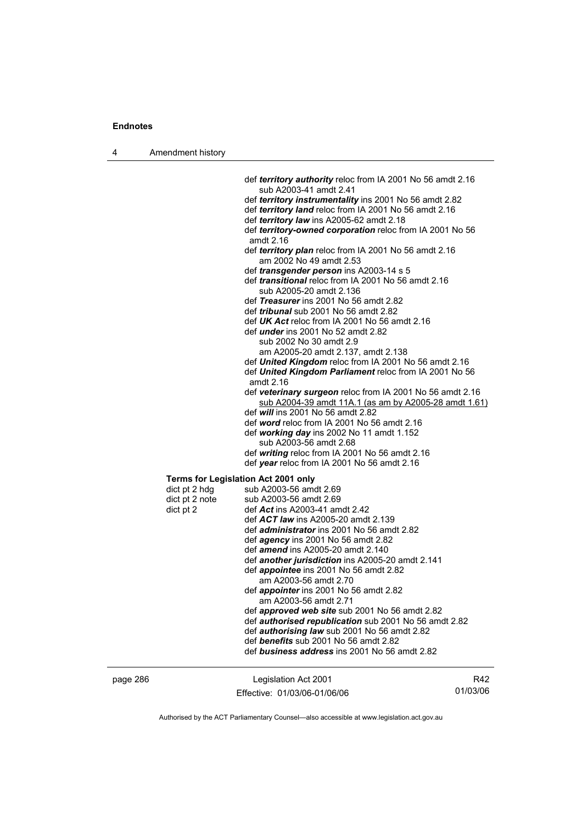| Amendment history |
|-------------------|
|                   |

 def *territory authority* reloc from IA 2001 No 56 amdt 2.16 sub A2003-41 amdt 2.41 def *territory instrumentality* ins 2001 No 56 amdt 2.82 def *territory land* reloc from IA 2001 No 56 amdt 2.16 def *territory law* ins A2005-62 amdt 2.18 def *territory-owned corporation* reloc from IA 2001 No 56 amdt 2.16 def *territory plan* reloc from IA 2001 No 56 amdt 2.16 am 2002 No 49 amdt 2.53 def *transgender person* ins A2003-14 s 5 def *transitional* reloc from IA 2001 No 56 amdt 2.16 sub A2005-20 amdt 2.136 def *Treasurer* ins 2001 No 56 amdt 2.82 def *tribunal* sub 2001 No 56 amdt 2.82 def *UK Act* reloc from IA 2001 No 56 amdt 2.16 def *under* ins 2001 No 52 amdt 2.82 sub 2002 No 30 amdt 2.9 am A2005-20 amdt 2.137, amdt 2.138 def *United Kingdom* reloc from IA 2001 No 56 amdt 2.16 def *United Kingdom Parliament* reloc from IA 2001 No 56 amdt 2.16 def *veterinary surgeon* reloc from IA 2001 No 56 amdt 2.16 sub A2004-39 amdt 11A.1 (as am by A2005-28 amdt 1.61) def *will* ins 2001 No 56 amdt 2.82 def *word* reloc from IA 2001 No 56 amdt 2.16 def *working day* ins 2002 No 11 amdt 1.152 sub A2003-56 amdt 2.68 def *writing* reloc from IA 2001 No 56 amdt 2.16 def *year* reloc from IA 2001 No 56 amdt 2.16 **Terms for Legislation Act 2001 only**<br>dict pt 2 hdg sub A2003-56 amo sub A2003-56 amdt 2.69 dict pt 2 note sub A2003-56 amdt 2.69 dict pt 2 def *Act* ins A2003-41 amdt 2.42 def *ACT law* ins A2005-20 amdt 2.139 def *administrator* ins 2001 No 56 amdt 2.82 def *agency* ins 2001 No 56 amdt 2.82 def *amend* ins A2005-20 amdt 2.140 def *another jurisdiction* ins A2005-20 amdt 2.141 def *appointee* ins 2001 No 56 amdt 2.82 am A2003-56 amdt 2.70 def *appointer* ins 2001 No 56 amdt 2.82 am A2003-56 amdt 2.71 def *approved web site* sub 2001 No 56 amdt 2.82 def *authorised republication* sub 2001 No 56 amdt 2.82 def *authorising law* sub 2001 No 56 amdt 2.82 def *benefits* sub 2001 No 56 amdt 2.82

def *business address* ins 2001 No 56 amdt 2.82

| nade | ۲ŀ |
|------|----|
|      |    |

Legislation Act 2001 Effective: 01/03/06-01/06/06

R42 01/03/06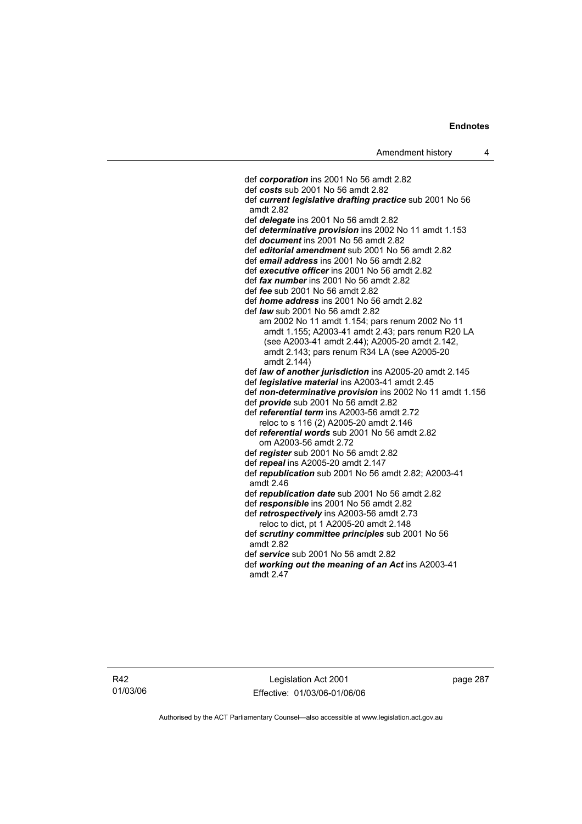def *corporation* ins 2001 No 56 amdt 2.82 def *costs* sub 2001 No 56 amdt 2.82 def *current legislative drafting practice* sub 2001 No 56 amdt 2.82 def *delegate* ins 2001 No 56 amdt 2.82 def *determinative provision* ins 2002 No 11 amdt 1.153 def *document* ins 2001 No 56 amdt 2.82 def *editorial amendment* sub 2001 No 56 amdt 2.82 def *email address* ins 2001 No 56 amdt 2.82 def *executive officer* ins 2001 No 56 amdt 2.82 def *fax number* ins 2001 No 56 amdt 2.82 def *fee* sub 2001 No 56 amdt 2.82 def *home address* ins 2001 No 56 amdt 2.82 def *law* sub 2001 No 56 amdt 2.82 am 2002 No 11 amdt 1.154; pars renum 2002 No 11 amdt 1.155; A2003-41 amdt 2.43; pars renum R20 LA (see A2003-41 amdt 2.44); A2005-20 amdt 2.142, amdt 2.143; pars renum R34 LA (see A2005-20 amdt 2.144) def *law of another jurisdiction* ins A2005-20 amdt 2.145 def *legislative material* ins A2003-41 amdt 2.45 def *non-determinative provision* ins 2002 No 11 amdt 1.156 def *provide* sub 2001 No 56 amdt 2.82 def *referential term* ins A2003-56 amdt 2.72 reloc to s 116 (2) A2005-20 amdt 2.146 def *referential words* sub 2001 No 56 amdt 2.82 om A2003-56 amdt 2.72 def *register* sub 2001 No 56 amdt 2.82 def *repeal* ins A2005-20 amdt 2.147 def *republication* sub 2001 No 56 amdt 2.82; A2003-41 amdt 2.46 def *republication date* sub 2001 No 56 amdt 2.82 def *responsible* ins 2001 No 56 amdt 2.82 def *retrospectively* ins A2003-56 amdt 2.73 reloc to dict, pt 1 A2005-20 amdt 2.148 def *scrutiny committee principles* sub 2001 No 56 amdt 2.82 def *service* sub 2001 No 56 amdt 2.82 def *working out the meaning of an Act* ins A2003-41 amdt 2.47

Legislation Act 2001 Effective: 01/03/06-01/06/06 page 287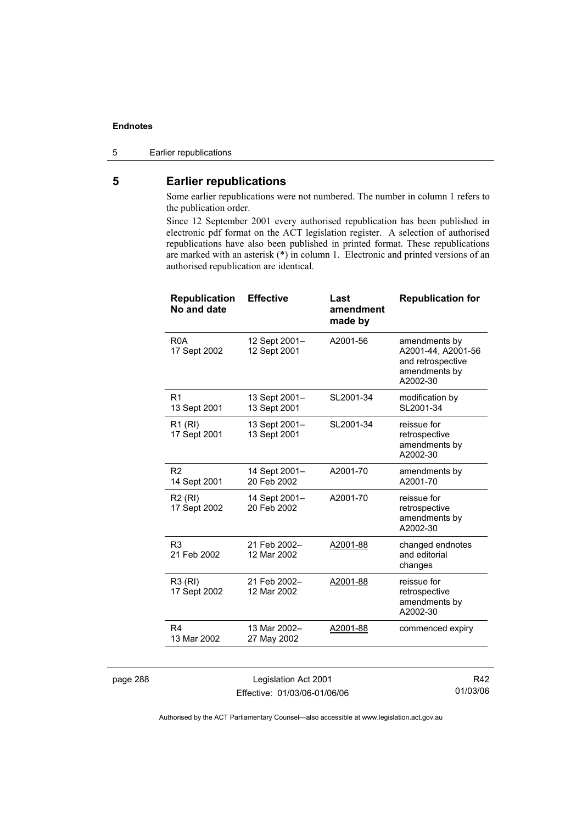### 5 Earlier republications

### **5 Earlier republications**

Some earlier republications were not numbered. The number in column 1 refers to the publication order.

Since 12 September 2001 every authorised republication has been published in electronic pdf format on the ACT legislation register. A selection of authorised republications have also been published in printed format. These republications are marked with an asterisk (\*) in column 1. Electronic and printed versions of an authorised republication are identical.

| <b>Republication</b><br>No and date | <b>Effective</b>              | Last<br>amendment<br>made by | <b>Republication for</b>                                                              |
|-------------------------------------|-------------------------------|------------------------------|---------------------------------------------------------------------------------------|
| R <sub>0</sub> A<br>17 Sept 2002    | 12 Sept 2001-<br>12 Sept 2001 | A2001-56                     | amendments by<br>A2001-44, A2001-56<br>and retrospective<br>amendments by<br>A2002-30 |
| R <sub>1</sub><br>13 Sept 2001      | 13 Sept 2001-<br>13 Sept 2001 | SL2001-34                    | modification by<br>SL2001-34                                                          |
| R1 (RI)<br>17 Sept 2001             | 13 Sept 2001-<br>13 Sept 2001 | SL2001-34                    | reissue for<br>retrospective<br>amendments by<br>A2002-30                             |
| R <sub>2</sub><br>14 Sept 2001      | 14 Sept 2001-<br>20 Feb 2002  | A2001-70                     | amendments by<br>A2001-70                                                             |
| <b>R2 (RI)</b><br>17 Sept 2002      | 14 Sept 2001-<br>20 Feb 2002  | A2001-70                     | reissue for<br>retrospective<br>amendments by<br>A2002-30                             |
| R <sub>3</sub><br>21 Feb 2002       | 21 Feb 2002-<br>12 Mar 2002   | A2001-88                     | changed endnotes<br>and editorial<br>changes                                          |
| R3 (RI)<br>17 Sept 2002             | 21 Feb 2002-<br>12 Mar 2002   | A2001-88                     | reissue for<br>retrospective<br>amendments by<br>A2002-30                             |
| R4<br>13 Mar 2002                   | 13 Mar 2002-<br>27 May 2002   | A2001-88                     | commenced expiry                                                                      |

page 288 Legislation Act 2001 Effective: 01/03/06-01/06/06

R42 01/03/06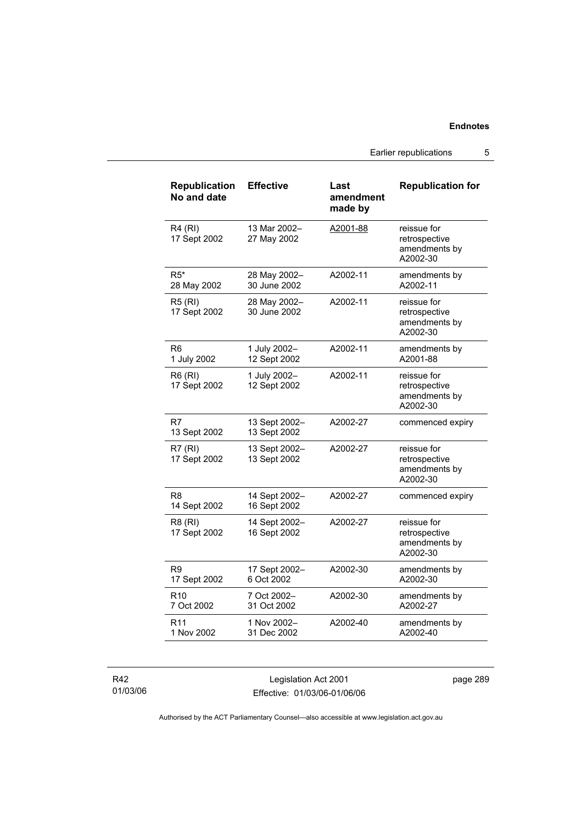Earlier republications 5

| <b>Republication</b><br>No and date | <b>Effective</b>              | Last<br>amendment<br>made by | <b>Republication for</b>                                  |
|-------------------------------------|-------------------------------|------------------------------|-----------------------------------------------------------|
| <b>R4 (RI)</b><br>17 Sept 2002      | 13 Mar 2002-<br>27 May 2002   | A2001-88                     | reissue for<br>retrospective<br>amendments by<br>A2002-30 |
| $R5*$<br>28 May 2002                | 28 May 2002-<br>30 June 2002  | A2002-11                     | amendments by<br>A2002-11                                 |
| <b>R5 (RI)</b><br>17 Sept 2002      | 28 May 2002-<br>30 June 2002  | A2002-11                     | reissue for<br>retrospective<br>amendments by<br>A2002-30 |
| R6<br>1 July 2002                   | 1 July 2002-<br>12 Sept 2002  | A2002-11                     | amendments by<br>A2001-88                                 |
| R6 (RI)<br>17 Sept 2002             | 1 July 2002-<br>12 Sept 2002  | A2002-11                     | reissue for<br>retrospective<br>amendments by<br>A2002-30 |
| R7<br>13 Sept 2002                  | 13 Sept 2002-<br>13 Sept 2002 | A2002-27                     | commenced expiry                                          |
| R7(RI)<br>17 Sept 2002              | 13 Sept 2002-<br>13 Sept 2002 | A2002-27                     | reissue for<br>retrospective<br>amendments by<br>A2002-30 |
| R8<br>14 Sept 2002                  | 14 Sept 2002-<br>16 Sept 2002 | A2002-27                     | commenced expiry                                          |
| R8 (RI)<br>17 Sept 2002             | 14 Sept 2002-<br>16 Sept 2002 | A2002-27                     | reissue for<br>retrospective<br>amendments by<br>A2002-30 |
| R <sub>9</sub><br>17 Sept 2002      | 17 Sept 2002-<br>6 Oct 2002   | A2002-30                     | amendments by<br>A2002-30                                 |
| R10<br>7 Oct 2002                   | 7 Oct 2002-<br>31 Oct 2002    | A2002-30                     | amendments by<br>A2002-27                                 |
| R <sub>11</sub><br>1 Nov 2002       | 1 Nov 2002-<br>31 Dec 2002    | A2002-40                     | amendments by<br>A2002-40                                 |

R42 01/03/06

Legislation Act 2001 Effective: 01/03/06-01/06/06 page 289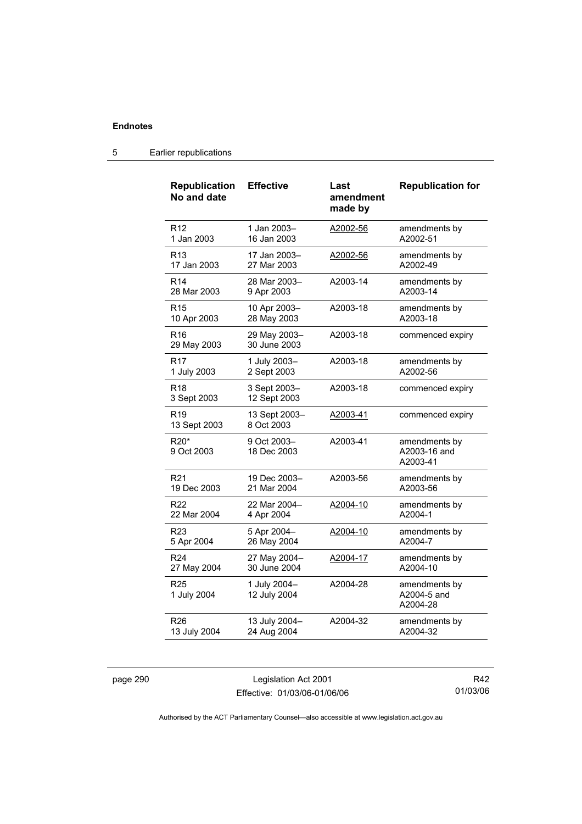#### **Republication No and date Effective Last amendment made by Republication for**  R12 1 Jan 2003 1 Jan 2003– 16 Jan 2003 A2002-56 amendments by A2002-51 R13 17 Jan 2003 17 Jan 2003– 27 Mar 2003 A2002-56 amendments by A2002-49 R14 28 Mar 2003 28 Mar 2003– 9 Apr 2003 A2003-14 amendments by A2003-14 R15 10 Apr 2003 10 Apr 2003– 28 May 2003 A2003-18 amendments by A2003-18 R16 29 May 2003 29 May 2003– 30 June 2003 A2003-18 commenced expiry R17 1 July 2003 1 July 2003– 2 Sept 2003 A2003-18 amendments by A2002-56 R18 3 Sept 2003 3 Sept 2003– 12 Sept 2003 A2003-18 commenced expiry R19 13 Sept 2003 13 Sept 2003– 8 Oct 2003 A2003-41 commenced expiry R20\* 9 Oct 2003 9 Oct 2003– 18 Dec 2003 A2003-41 amendments by A2003-16 and A2003-41 R21 19 Dec 2003 19 Dec 2003– 21 Mar 2004 A2003-56 amendments by A2003-56 R22 22 Mar 2004 22 Mar 2004– 4 Apr 2004 A2004-10 amendments by A2004-1 R23 5 Apr 2004 5 Apr 2004– 26 May 2004 A2004-10 amendments by A2004-7 R24 27 May 2004 27 May 2004– 30 June 2004 A2004-17 amendments by A2004-10 R25 1 July 2004 1 July 2004– 12 July 2004 A2004-28 amendments by A2004-5 and A2004-28 R26 13 July 2004 13 July 2004– 24 Aug 2004 A2004-32 amendments by A2004-32

#### 5 Earlier republications

page 290 Legislation Act 2001 Effective: 01/03/06-01/06/06

R42 01/03/06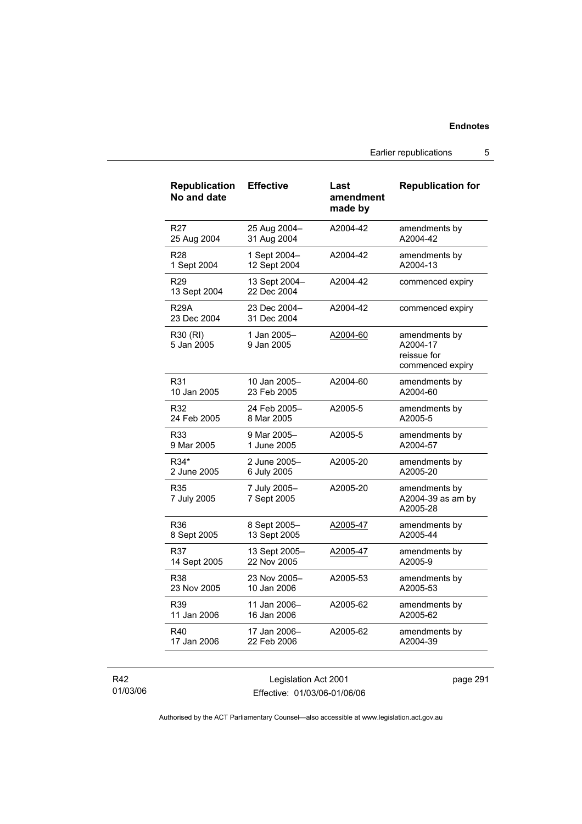Earlier republications 5

| <b>Republication</b><br>No and date | <b>Effective</b>             | Last<br>amendment<br>made by | <b>Republication for</b>                                     |
|-------------------------------------|------------------------------|------------------------------|--------------------------------------------------------------|
| R <sub>27</sub>                     | 25 Aug 2004-                 | A2004-42                     | amendments by                                                |
| 25 Aug 2004                         | 31 Aug 2004                  |                              | A2004-42                                                     |
| <b>R28</b>                          | 1 Sept 2004-                 | A2004-42                     | amendments by                                                |
| 1 Sept 2004                         | 12 Sept 2004                 |                              | A2004-13                                                     |
| R <sub>29</sub><br>13 Sept 2004     | 13 Sept 2004-<br>22 Dec 2004 | A2004-42                     | commenced expiry                                             |
| <b>R29A</b><br>23 Dec 2004          | 23 Dec 2004-<br>31 Dec 2004  | A2004-42                     | commenced expiry                                             |
| R30 (RI)<br>5 Jan 2005              | 1 Jan 2005-<br>9 Jan 2005    | A2004-60                     | amendments by<br>A2004-17<br>reissue for<br>commenced expiry |
| R31                                 | 10 Jan 2005-                 | A2004-60                     | amendments by                                                |
| 10 Jan 2005                         | 23 Feb 2005                  |                              | A2004-60                                                     |
| R32                                 | 24 Feb 2005-                 | A2005-5                      | amendments by                                                |
| 24 Feb 2005                         | 8 Mar 2005                   |                              | A2005-5                                                      |
| R33                                 | 9 Mar 2005-                  | A2005-5                      | amendments by                                                |
| 9 Mar 2005                          | 1 June 2005                  |                              | A2004-57                                                     |
| R34*                                | 2 June 2005-                 | A2005-20                     | amendments by                                                |
| 2 June 2005                         | 6 July 2005                  |                              | A2005-20                                                     |
| R <sub>35</sub><br>7 July 2005      | 7 July 2005-<br>7 Sept 2005  | A2005-20                     | amendments by<br>A2004-39 as am by<br>A2005-28               |
| R36                                 | 8 Sept 2005-                 | A2005-47                     | amendments by                                                |
| 8 Sept 2005                         | 13 Sept 2005                 |                              | A2005-44                                                     |
| R37                                 | 13 Sept 2005-                | A2005-47                     | amendments by                                                |
| 14 Sept 2005                        | 22 Nov 2005                  |                              | A2005-9                                                      |
| <b>R38</b>                          | 23 Nov 2005-                 | A2005-53                     | amendments by                                                |
| 23 Nov 2005                         | 10 Jan 2006                  |                              | A2005-53                                                     |
| R39                                 | 11 Jan 2006-                 | A2005-62                     | amendments by                                                |
| 11 Jan 2006                         | 16 Jan 2006                  |                              | A2005-62                                                     |
| R40                                 | 17 Jan 2006-                 | A2005-62                     | amendments by                                                |
| 17 Jan 2006                         | 22 Feb 2006                  |                              | A2004-39                                                     |

R42 01/03/06

Legislation Act 2001 Effective: 01/03/06-01/06/06 page 291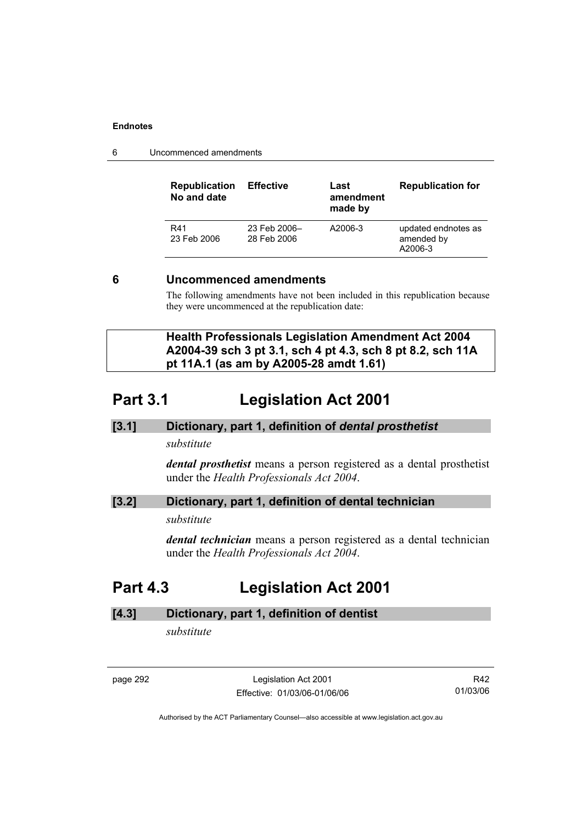6 Uncommenced amendments

| <b>Dopublication</b> Effective | l act |
|--------------------------------|-------|

| <b>Republication</b><br>No and date | <b>Effective</b>            | Last<br>amendment<br>made by | <b>Republication for</b>                     |
|-------------------------------------|-----------------------------|------------------------------|----------------------------------------------|
| R41<br>23 Feb 2006                  | 23 Feb 2006-<br>28 Feb 2006 | A2006-3                      | updated endnotes as<br>amended by<br>A2006-3 |

### **6 Uncommenced amendments**

The following amendments have not been included in this republication because they were uncommenced at the republication date:

 **Health Professionals Legislation Amendment Act 2004 A2004-39 sch 3 pt 3.1, sch 4 pt 4.3, sch 8 pt 8.2, sch 11A pt 11A.1 (as am by A2005-28 amdt 1.61)** 

# **Part 3.1 Legislation Act 2001**

### **[3.1] Dictionary, part 1, definition of** *dental prosthetist*

*substitute* 

*dental prosthetist* means a person registered as a dental prosthetist under the *Health Professionals Act 2004*.

### **[3.2] Dictionary, part 1, definition of dental technician**

*substitute* 

*dental technician* means a person registered as a dental technician under the *Health Professionals Act 2004*.

# **Part 4.3 Legislation Act 2001**

## **[4.3] Dictionary, part 1, definition of dentist**

*substitute* 

page 292 Legislation Act 2001 Effective: 01/03/06-01/06/06

R42 01/03/06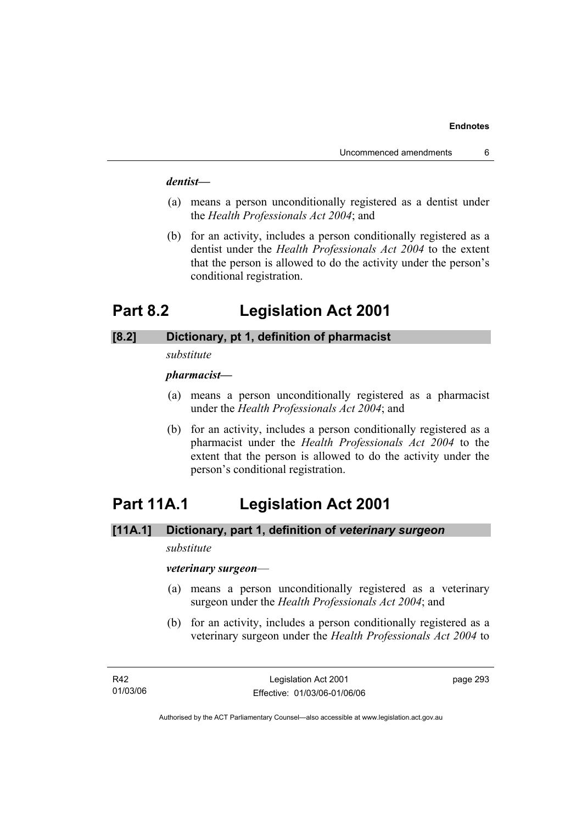#### *dentist***—**

- (a) means a person unconditionally registered as a dentist under the *Health Professionals Act 2004*; and
- (b) for an activity, includes a person conditionally registered as a dentist under the *Health Professionals Act 2004* to the extent that the person is allowed to do the activity under the person's conditional registration.

# **Part 8.2 Legislation Act 2001**

### **[8.2] Dictionary, pt 1, definition of pharmacist**

#### *substitute*

### *pharmacist***—**

- (a) means a person unconditionally registered as a pharmacist under the *Health Professionals Act 2004*; and
- (b) for an activity, includes a person conditionally registered as a pharmacist under the *Health Professionals Act 2004* to the extent that the person is allowed to do the activity under the person's conditional registration.

# **Part 11A.1 Legislation Act 2001**

# **[11A.1] Dictionary, part 1, definition of** *veterinary surgeon*

### *substitute*

#### *veterinary surgeon*—

- (a) means a person unconditionally registered as a veterinary surgeon under the *Health Professionals Act 2004*; and
- (b) for an activity, includes a person conditionally registered as a veterinary surgeon under the *Health Professionals Act 2004* to

page 293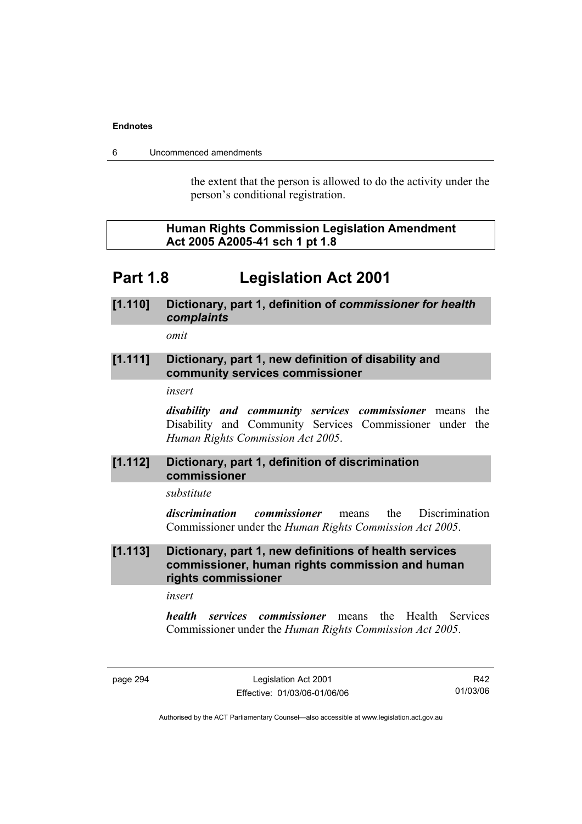6 Uncommenced amendments

the extent that the person is allowed to do the activity under the person's conditional registration.

### **Human Rights Commission Legislation Amendment Act 2005 A2005-41 sch 1 pt 1.8**

# **Part 1.8 Legislation Act 2001**

## **[1.110] Dictionary, part 1, definition of** *commissioner for health complaints*

*omit* 

### **[1.111] Dictionary, part 1, new definition of disability and community services commissioner**

*insert* 

*disability and community services commissioner* means the Disability and Community Services Commissioner under the *Human Rights Commission Act 2005*.

### **[1.112] Dictionary, part 1, definition of discrimination commissioner**

*substitute* 

*discrimination commissioner* means the Discrimination Commissioner under the *Human Rights Commission Act 2005*.

### **[1.113] Dictionary, part 1, new definitions of health services commissioner, human rights commission and human rights commissioner**

*insert* 

*health services commissioner* means the Health Services Commissioner under the *Human Rights Commission Act 2005*.

page 294 Legislation Act 2001 Effective: 01/03/06-01/06/06

R42 01/03/06